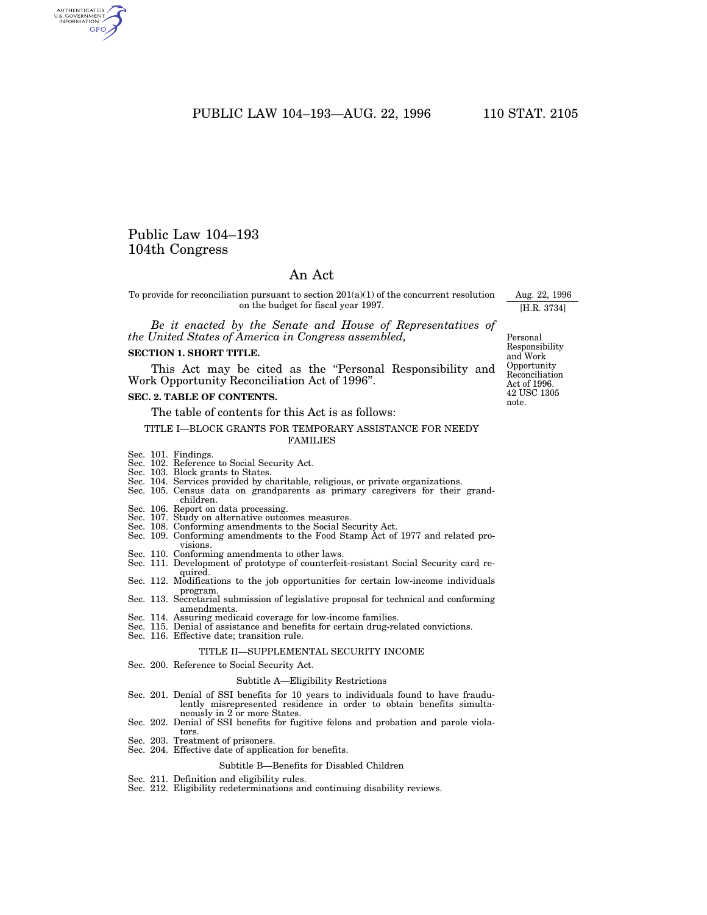PUBLIC LAW 104-193-AUG. 22, 1996 110 STAT. 2105

# Public Law 104–193 104th Congress

# An Act

To provide for reconciliation pursuant to section  $201(a)(1)$  of the concurrent resolution on the budget for fiscal year 1997.

*Be it enacted by the Senate and House of Representatives of the United States of America in Congress assembled,*

#### **SECTION 1. SHORT TITLE.**

This Act may be cited as the ''Personal Responsibility and Work Opportunity Reconciliation Act of 1996''.

# **SEC. 2. TABLE OF CONTENTS.**

The table of contents for this Act is as follows:

TITLE I—BLOCK GRANTS FOR TEMPORARY ASSISTANCE FOR NEEDY FAMILIES

- 
- Sec. 101. Findings. Sec. 102. Reference to Social Security Act.
- Sec. 103. Block grants to States.
- Sec. 104. Services provided by charitable, religious, or private organizations.
- Sec. 105. Census data on grandparents as primary caregivers for their grandchildren.
- Sec. 106. Report on data processing.
- Sec. 107. Study on alternative outcomes measures.
- Sec. 108. Conforming amendments to the Social Security Act.
- Sec. 109. Conforming amendments to the Food Stamp Act of 1977 and related provisions.
- 
- Sec. 110. Conforming amendments to other laws. Sec. 111. Development of prototype of counterfeit-resistant Social Security card required.
- Sec. 112. Modifications to the job opportunities for certain low-income individuals program. Sec. 113. Secretarial submission of legislative proposal for technical and conforming
- amendments.
- Sec. 114. Assuring medicaid coverage for low-income families.
- Sec. 115. Denial of assistance and benefits for certain drug-related convictions. Sec. 116. Effective date; transition rule.
- 

## TITLE II—SUPPLEMENTAL SECURITY INCOME

Sec. 200. Reference to Social Security Act.

## Subtitle A—Eligibility Restrictions

- Sec. 201. Denial of SSI benefits for 10 years to individuals found to have fraudulently misrepresented residence in order to obtain benefits simultaneously in 2 or more States.
- Sec. 202. Denial of SSI benefits for fugitive felons and probation and parole violators.
- Sec. 203. Treatment of prisoners.
- Sec. 204. Effective date of application for benefits.

#### Subtitle B—Benefits for Disabled Children

- 
- Sec. 211. Definition and eligibility rules. Sec. 212. Eligibility redeterminations and continuing disability reviews.

42 USC 1305 note. Personal Responsibility and Work Opportunity Reconciliation Act of 1996.

Aug. 22, 1996 [H.R. 3734]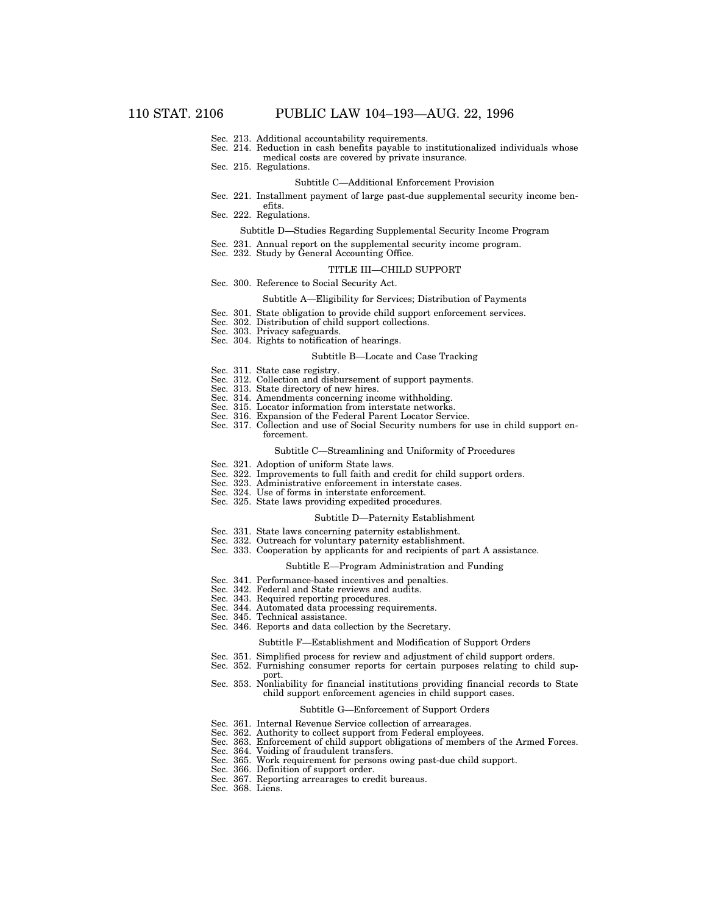- Sec. 213. Additional accountability requirements.
- Sec. 214. Reduction in cash benefits payable to institutionalized individuals whose
- medical costs are covered by private insurance. Sec. 215. Regulations.

efits.

#### Subtitle C—Additional Enforcement Provision

- Sec. 221. Installment payment of large past-due supplemental security income ben-
- Sec. 222. Regulations.

#### Subtitle D—Studies Regarding Supplemental Security Income Program

- Sec. 231. Annual report on the supplemental security income program. Sec. 232. Study by General Accounting Office.
- 

#### TITLE III—CHILD SUPPORT

#### Sec. 300. Reference to Social Security Act.

#### Subtitle A—Eligibility for Services; Distribution of Payments

- Sec. 301. State obligation to provide child support enforcement services.
- Sec. 302. Distribution of child support collections.
- Sec. 303. Privacy safeguards.
- Sec. 304. Rights to notification of hearings.

#### Subtitle B—Locate and Case Tracking

- Sec. 311. State case registry.
- Sec. 312. Collection and disbursement of support payments. Sec. 313. State directory of new hires.
- 
- Sec. 314. Amendments concerning income withholding.
- Sec. 315. Locator information from interstate networks.
- Sec. 316. Expansion of the Federal Parent Locator Service.
- Sec. 317. Collection and use of Social Security numbers for use in child support enforcement.

#### Subtitle C—Streamlining and Uniformity of Procedures

- Sec. 321. Adoption of uniform State laws.
- Sec. 322. Improvements to full faith and credit for child support orders.
- Sec. 323. Administrative enforcement in interstate cases.
- Sec. 324. Use of forms in interstate enforcement.
- Sec. 325. State laws providing expedited procedures.

#### Subtitle D—Paternity Establishment

- Sec. 331. State laws concerning paternity establishment.
- Sec. 332. Outreach for voluntary paternity establishment.
- Sec. 333. Cooperation by applicants for and recipients of part A assistance.

#### Subtitle E—Program Administration and Funding

- Sec. 341. Performance-based incentives and penalties.
- Sec. 342. Federal and State reviews and audits.
- Sec. 343. Required reporting procedures.
- Sec. 344. Automated data processing requirements.
- Sec. 345. Technical assistance.
- Sec. 346. Reports and data collection by the Secretary.

#### Subtitle F—Establishment and Modification of Support Orders

- Sec. 351. Simplified process for review and adjustment of child support orders.
- Sec. 352. Furnishing consumer reports for certain purposes relating to child support.
- Sec. 353. Nonliability for financial institutions providing financial records to State child support enforcement agencies in child support cases.

#### Subtitle G—Enforcement of Support Orders

- Sec. 361. Internal Revenue Service collection of arrearages.
- Sec. 362. Authority to collect support from Federal employees.
- Sec. 363. Enforcement of child support obligations of members of the Armed Forces.
- Sec. 364. Voiding of fraudulent transfers.
- Sec. 365. Work requirement for persons owing past-due child support.
- Sec. 366. Definition of support order.
- Sec. 367. Reporting arrearages to credit bureaus.
- Sec. 368. Liens.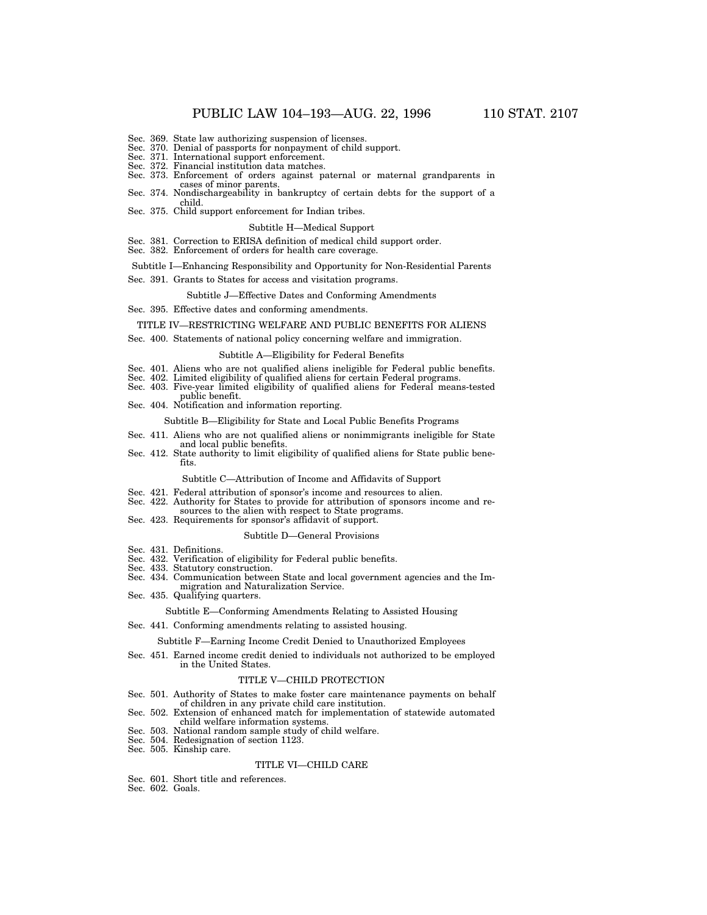- 
- Sec. 369. State law authorizing suspension of licenses. Sec. 370. Denial of passports for nonpayment of child support.
- Sec. 371. International support enforcement.
- Sec. 372. Financial institution data matches.
- Sec. 373. Enforcement of orders against paternal or maternal grandparents in cases of minor parents.
- Sec. 374. Nondischargeability in bankruptcy of certain debts for the support of a child.
- Sec. 375. Child support enforcement for Indian tribes.

#### Subtitle H—Medical Support

- Sec. 381. Correction to ERISA definition of medical child support order.
- Sec. 382. Enforcement of orders for health care coverage.
- Subtitle I—Enhancing Responsibility and Opportunity for Non-Residential Parents
- Sec. 391. Grants to States for access and visitation programs.

# Subtitle J—Effective Dates and Conforming Amendments

Sec. 395. Effective dates and conforming amendments.

#### TITLE IV—RESTRICTING WELFARE AND PUBLIC BENEFITS FOR ALIENS

#### Sec. 400. Statements of national policy concerning welfare and immigration.

#### Subtitle A—Eligibility for Federal Benefits

- Sec. 401. Aliens who are not qualified aliens ineligible for Federal public benefits.
- Sec. 402. Limited eligibility of qualified aliens for certain Federal programs. Sec. 403. Five-year limited eligibility of qualified aliens for Federal means-tested
- public benefit.
- Sec. 404. Notification and information reporting.

#### Subtitle B—Eligibility for State and Local Public Benefits Programs

- Sec. 411. Aliens who are not qualified aliens or nonimmigrants ineligible for State and local public benefits.
- Sec. 412. State authority to limit eligibility of qualified aliens for State public benefits.

#### Subtitle C—Attribution of Income and Affidavits of Support

- Sec. 421. Federal attribution of sponsor's income and resources to alien.<br>Sec. 422. Authority for States to provide for attribution of sponsors inc
- Sec. 422. Authority for States to provide for attribution of sponsors income and resources to the alien with respect to State programs.
- Sec. 423. Requirements for sponsor's affidavit of support.

#### Subtitle D—General Provisions

- Sec. 431. Definitions.
- Sec. 432. Verification of eligibility for Federal public benefits.
- Sec. 433. Statutory construction.
- Sec. 434. Communication between State and local government agencies and the Immigration and Naturalization Service.
- Sec. 435. Qualifying quarters.

# Subtitle E—Conforming Amendments Relating to Assisted Housing

Sec. 441. Conforming amendments relating to assisted housing.

#### Subtitle F—Earning Income Credit Denied to Unauthorized Employees

Sec. 451. Earned income credit denied to individuals not authorized to be employed in the United States.

#### TITLE V—CHILD PROTECTION

- Sec. 501. Authority of States to make foster care maintenance payments on behalf of children in any private child care institution.
- Sec. 502. Extension of enhanced match for implementation of statewide automated child welfare information systems.
- Sec. 503. National random sample study of child welfare.
- Sec. 504. Redesignation of section 1123.

# Sec. 505. Kinship care.

#### TITLE VI—CHILD CARE

- Sec. 601. Short title and references.
- Sec. 602. Goals.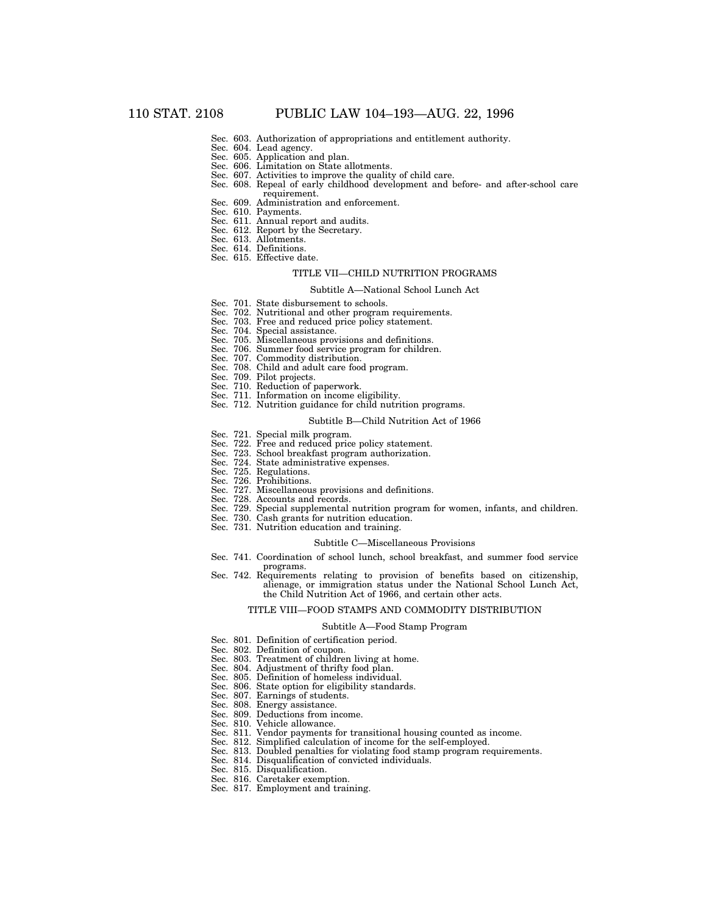- Sec. 603. Authorization of appropriations and entitlement authority.
- Sec. 604. Lead agency.
- Sec. 605. Application and plan.
- Sec. 606. Limitation on State allotments.
- Sec. 607. Activities to improve the quality of child care.
- Sec. 608. Repeal of early childhood development and before- and after-school care requirement.
	- Sec. 609. Administration and enforcement. Sec. 610. Payments.
	-
	- Sec. 611. Annual report and audits. Sec. 612. Report by the Secretary.
	-
	- Sec. 613. Allotments.
	- Sec. 614. Definitions.
	- Sec. 615. Effective date.

## TITLE VII—CHILD NUTRITION PROGRAMS

#### Subtitle A—National School Lunch Act

- Sec. 701. State disbursement to schools.
- Sec. 702. Nutritional and other program requirements. Sec. 703. Free and reduced price policy statement.
- 
- 
- Sec. 704. Special assistance. Sec. 705. Miscellaneous provisions and definitions.
- Sec. 706. Summer food service program for children.
- Sec. 707. Commodity distribution.
- Sec. 708. Child and adult care food program.
- Sec. 709. Pilot projects.
- Sec. 710. Reduction of paperwork.
- Sec. 711. Information on income eligibility.
- Sec. 712. Nutrition guidance for child nutrition programs.

#### Subtitle B—Child Nutrition Act of 1966

- Sec. 721. Special milk program.
- Sec. 722. Free and reduced price policy statement.
- Sec. 723. School breakfast program authorization.
- Sec. 724. State administrative expenses.
- Sec. 725. Regulations.
- Sec. 726. Prohibitions.
- Sec. 727. Miscellaneous provisions and definitions.
- Sec. 728. Accounts and records.
- Sec. 729. Special supplemental nutrition program for women, infants, and children.
- Sec. 730. Cash grants for nutrition education.
- Sec. 731. Nutrition education and training.

#### Subtitle C—Miscellaneous Provisions

- Sec. 741. Coordination of school lunch, school breakfast, and summer food service programs.
- Sec. 742. Requirements relating to provision of benefits based on citizenship, alienage, or immigration status under the National School Lunch Act, the Child Nutrition Act of 1966, and certain other acts.

#### TITLE VIII—FOOD STAMPS AND COMMODITY DISTRIBUTION

#### Subtitle A—Food Stamp Program

- Sec. 801. Definition of certification period.
- Sec. 802. Definition of coupon.
- Sec. 803. Treatment of children living at home.
- Sec. 804. Adjustment of thrifty food plan.
- Sec. 805. Definition of homeless individual.
- Sec. 806. State option for eligibility standards.
- Sec. 807. Earnings of students.
- Sec. 808. Energy assistance.
- Sec. 809. Deductions from income.
- Sec. 810. Vehicle allowance.
- 
- Sec. 811. Vendor payments for transitional housing counted as income.
- Sec. 812. Simplified calculation of income for the self-employed.
- Sec. 813. Doubled penalties for violating food stamp program requirements.
- Sec. 814. Disqualification of convicted individuals.
- Sec. 815. Disqualification.
- Sec. 816. Caretaker exemption.
- Sec. 817. Employment and training.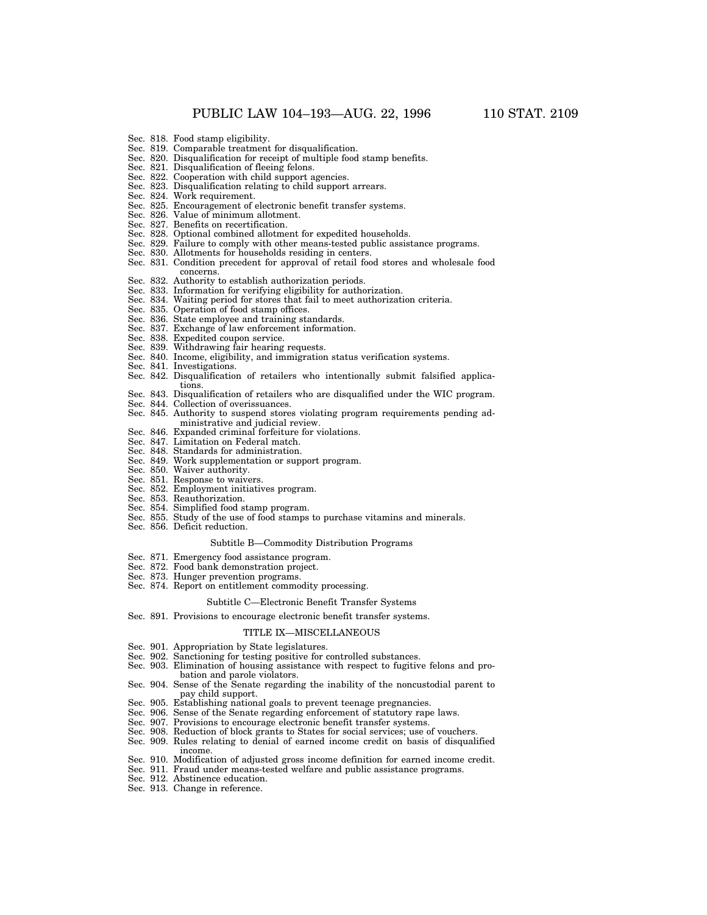- Sec. 818. Food stamp eligibility.
- Sec. 819. Comparable treatment for disqualification.
- Sec. 820. Disqualification for receipt of multiple food stamp benefits.
- Sec. 821. Disqualification of fleeing felons.
- Sec. 822. Cooperation with child support agencies.
- Sec. 823. Disqualification relating to child support arrears.
- Sec. 824. Work requirement.
- Sec. 825. Encouragement of electronic benefit transfer systems.
- Sec. 826. Value of minimum allotment.
- Sec. 827. Benefits on recertification.
- Sec. 828. Optional combined allotment for expedited households.
- Sec. 829. Failure to comply with other means-tested public assistance programs.
- Sec. 830. Allotments for households residing in centers.
- Sec. 831. Condition precedent for approval of retail food stores and wholesale food concerns.
- Sec. 832. Authority to establish authorization periods.
- Sec. 833. Information for verifying eligibility for authorization.
- Sec. 834. Waiting period for stores that fail to meet authorization criteria.
- Sec. 835. Operation of food stamp offices.
- Sec. 836. State employee and training standards.
- Sec. 837. Exchange of law enforcement information.
- Sec. 838. Expedited coupon service.
- Sec. 839. Withdrawing fair hearing requests.
- Sec. 840. Income, eligibility, and immigration status verification systems.
- Sec. 841. Investigations.
- Sec. 842. Disqualification of retailers who intentionally submit falsified applications.
- Sec. 843. Disqualification of retailers who are disqualified under the WIC program.
- Sec. 844. Collection of overissuances.
- Sec. 845. Authority to suspend stores violating program requirements pending administrative and judicial review.
- Sec. 846. Expanded criminal forfeiture for violations.
- Sec. 847. Limitation on Federal match.
- Sec. 848. Standards for administration.
- Sec. 849. Work supplementation or support program.
- Sec. 850. Waiver authority.
- Sec. 851. Response to waivers.
- Sec. 852. Employment initiatives program.
- Sec. 853. Reauthorization.
- Sec. 854. Simplified food stamp program.
- Sec. 855. Study of the use of food stamps to purchase vitamins and minerals.
- Sec. 856. Deficit reduction.

#### Subtitle B—Commodity Distribution Programs

- Sec. 871. Emergency food assistance program.
- Sec. 872. Food bank demonstration project.
- Sec. 873. Hunger prevention programs.
- Sec. 874. Report on entitlement commodity processing.

# Subtitle C—Electronic Benefit Transfer Systems

Sec. 891. Provisions to encourage electronic benefit transfer systems.

#### TITLE IX—MISCELLANEOUS

- Sec. 901. Appropriation by State legislatures.
- Sec. 902. Sanctioning for testing positive for controlled substances.
- Sec. 903. Elimination of housing assistance with respect to fugitive felons and probation and parole violators.
- Sec. 904. Sense of the Senate regarding the inability of the noncustodial parent to pay child support.
- Sec. 905. Establishing national goals to prevent teenage pregnancies.
- Sec. 906. Sense of the Senate regarding enforcement of statutory rape laws.
- Sec. 907. Provisions to encourage electronic benefit transfer systems.
- Sec. 908. Reduction of block grants to States for social services; use of vouchers.
- Sec. 909. Rules relating to denial of earned income credit on basis of disqualified income.
- Sec. 910. Modification of adjusted gross income definition for earned income credit.
- Sec. 911. Fraud under means-tested welfare and public assistance programs.
- Sec. 912. Abstinence education.
- Sec. 913. Change in reference.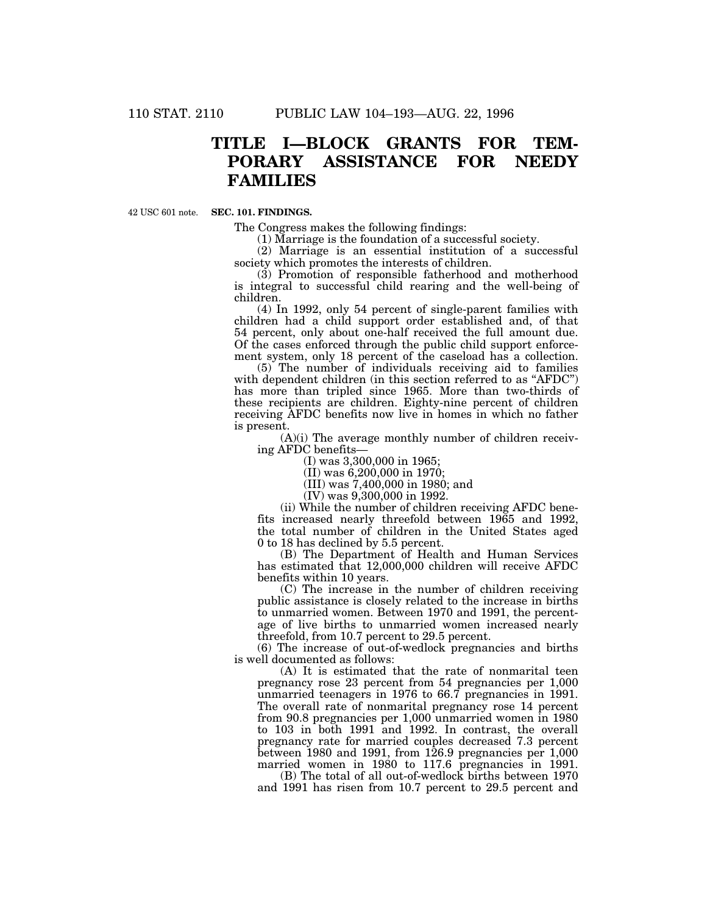# **TITLE I—BLOCK GRANTS FOR TEM-PORARY ASSISTANCE FOR NEEDY FAMILIES**

42 USC 601 note.

**SEC. 101. FINDINGS.**

The Congress makes the following findings:

(1) Marriage is the foundation of a successful society.

(2) Marriage is an essential institution of a successful society which promotes the interests of children.

(3) Promotion of responsible fatherhood and motherhood is integral to successful child rearing and the well-being of children.

(4) In 1992, only 54 percent of single-parent families with children had a child support order established and, of that 54 percent, only about one-half received the full amount due. Of the cases enforced through the public child support enforcement system, only 18 percent of the caseload has a collection.

(5) The number of individuals receiving aid to families with dependent children (in this section referred to as "AFDC") has more than tripled since 1965. More than two-thirds of these recipients are children. Eighty-nine percent of children receiving AFDC benefits now live in homes in which no father is present.

(A)(i) The average monthly number of children receiving AFDC benefits—

(I) was 3,300,000 in 1965;

(II) was 6,200,000 in 1970;

(III) was 7,400,000 in 1980; and

(IV) was 9,300,000 in 1992.

(ii) While the number of children receiving AFDC benefits increased nearly threefold between 1965 and 1992, the total number of children in the United States aged 0 to 18 has declined by 5.5 percent.

(B) The Department of Health and Human Services has estimated that 12,000,000 children will receive AFDC benefits within 10 years.

(C) The increase in the number of children receiving public assistance is closely related to the increase in births to unmarried women. Between 1970 and 1991, the percentage of live births to unmarried women increased nearly threefold, from 10.7 percent to 29.5 percent.

(6) The increase of out-of-wedlock pregnancies and births is well documented as follows:

(A) It is estimated that the rate of nonmarital teen pregnancy rose 23 percent from 54 pregnancies per 1,000 unmarried teenagers in 1976 to 66.7 pregnancies in 1991. The overall rate of nonmarital pregnancy rose 14 percent from 90.8 pregnancies per 1,000 unmarried women in 1980 to 103 in both 1991 and 1992. In contrast, the overall pregnancy rate for married couples decreased 7.3 percent between 1980 and 1991, from 126.9 pregnancies per 1,000 married women in 1980 to 117.6 pregnancies in 1991.

(B) The total of all out-of-wedlock births between 1970 and 1991 has risen from 10.7 percent to 29.5 percent and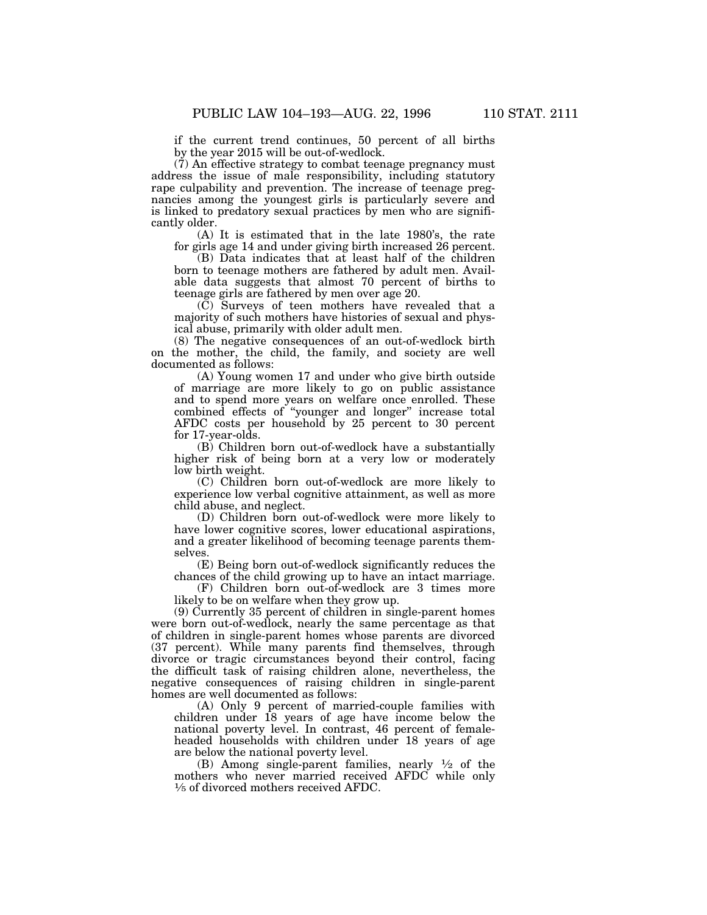if the current trend continues, 50 percent of all births by the year 2015 will be out-of-wedlock.

(7) An effective strategy to combat teenage pregnancy must address the issue of male responsibility, including statutory rape culpability and prevention. The increase of teenage pregnancies among the youngest girls is particularly severe and is linked to predatory sexual practices by men who are significantly older.

(A) It is estimated that in the late 1980's, the rate for girls age 14 and under giving birth increased 26 percent.

(B) Data indicates that at least half of the children born to teenage mothers are fathered by adult men. Available data suggests that almost 70 percent of births to teenage girls are fathered by men over age 20.

(C) Surveys of teen mothers have revealed that a majority of such mothers have histories of sexual and physical abuse, primarily with older adult men.

(8) The negative consequences of an out-of-wedlock birth on the mother, the child, the family, and society are well documented as follows:

(A) Young women 17 and under who give birth outside of marriage are more likely to go on public assistance and to spend more years on welfare once enrolled. These combined effects of ''younger and longer'' increase total AFDC costs per household by 25 percent to 30 percent for 17-year-olds.

(B) Children born out-of-wedlock have a substantially higher risk of being born at a very low or moderately low birth weight.

(C) Children born out-of-wedlock are more likely to experience low verbal cognitive attainment, as well as more child abuse, and neglect.

(D) Children born out-of-wedlock were more likely to have lower cognitive scores, lower educational aspirations, and a greater likelihood of becoming teenage parents themselves.

(E) Being born out-of-wedlock significantly reduces the chances of the child growing up to have an intact marriage.

(F) Children born out-of-wedlock are 3 times more likely to be on welfare when they grow up.

(9) Currently 35 percent of children in single-parent homes were born out-of-wedlock, nearly the same percentage as that of children in single-parent homes whose parents are divorced (37 percent). While many parents find themselves, through divorce or tragic circumstances beyond their control, facing the difficult task of raising children alone, nevertheless, the negative consequences of raising children in single-parent homes are well documented as follows:

(A) Only 9 percent of married-couple families with children under 18 years of age have income below the national poverty level. In contrast, 46 percent of femaleheaded households with children under 18 years of age are below the national poverty level.

(B) Among single-parent families, nearly  $\frac{1}{2}$  of the mothers who never married received AFDC while only 1⁄5 of divorced mothers received AFDC.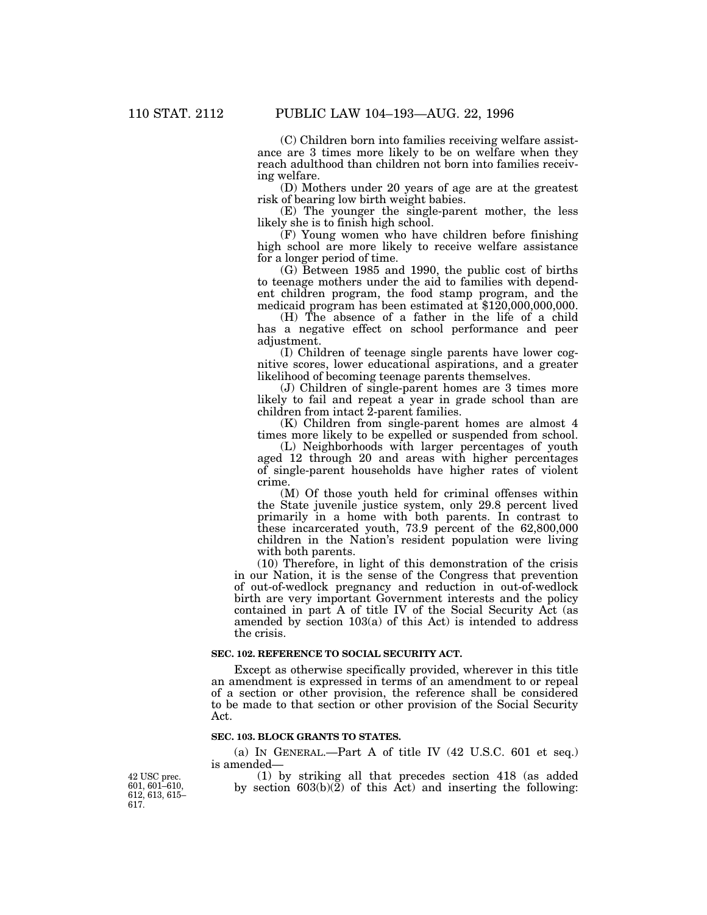(C) Children born into families receiving welfare assistance are 3 times more likely to be on welfare when they reach adulthood than children not born into families receiving welfare.

(D) Mothers under 20 years of age are at the greatest risk of bearing low birth weight babies.

(E) The younger the single-parent mother, the less likely she is to finish high school.

(F) Young women who have children before finishing high school are more likely to receive welfare assistance for a longer period of time.

(G) Between 1985 and 1990, the public cost of births to teenage mothers under the aid to families with dependent children program, the food stamp program, and the medicaid program has been estimated at \$120,000,000,000.

(H) The absence of a father in the life of a child has a negative effect on school performance and peer adjustment.

(I) Children of teenage single parents have lower cognitive scores, lower educational aspirations, and a greater likelihood of becoming teenage parents themselves.

(J) Children of single-parent homes are 3 times more likely to fail and repeat a year in grade school than are children from intact 2-parent families.

(K) Children from single-parent homes are almost 4 times more likely to be expelled or suspended from school.

(L) Neighborhoods with larger percentages of youth aged 12 through 20 and areas with higher percentages of single-parent households have higher rates of violent crime.

(M) Of those youth held for criminal offenses within the State juvenile justice system, only 29.8 percent lived primarily in a home with both parents. In contrast to these incarcerated youth, 73.9 percent of the 62,800,000 children in the Nation's resident population were living with both parents.

(10) Therefore, in light of this demonstration of the crisis in our Nation, it is the sense of the Congress that prevention of out-of-wedlock pregnancy and reduction in out-of-wedlock birth are very important Government interests and the policy contained in part A of title IV of the Social Security Act (as amended by section 103(a) of this Act) is intended to address the crisis.

# **SEC. 102. REFERENCE TO SOCIAL SECURITY ACT.**

Except as otherwise specifically provided, wherever in this title an amendment is expressed in terms of an amendment to or repeal of a section or other provision, the reference shall be considered to be made to that section or other provision of the Social Security Act.

# **SEC. 103. BLOCK GRANTS TO STATES.**

(a) IN GENERAL.—Part A of title IV (42 U.S.C. 601 et seq.) is amended—

42 USC prec. 601, 601–610, 612, 613, 615– 617.

(1) by striking all that precedes section 418 (as added by section  $603(b)(\tilde{2})$  of this Act) and inserting the following: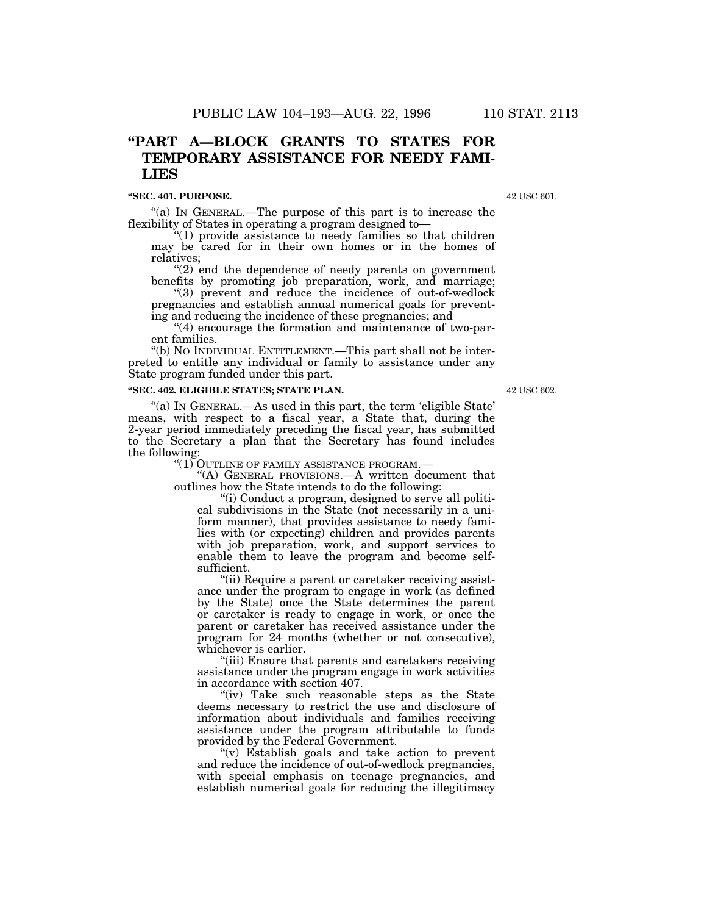# **''PART A—BLOCK GRANTS TO STATES FOR TEMPORARY ASSISTANCE FOR NEEDY FAMI-LIES**

# **''SEC. 401. PURPOSE.**

"(a) IN GENERAL.—The purpose of this part is to increase the flexibility of States in operating a program designed to—

 $(1)$  provide assistance to needy families so that children may be cared for in their own homes or in the homes of relatives;

"(2) end the dependence of needy parents on government benefits by promoting job preparation, work, and marriage;

''(3) prevent and reduce the incidence of out-of-wedlock pregnancies and establish annual numerical goals for preventing and reducing the incidence of these pregnancies; and

''(4) encourage the formation and maintenance of two-parent families.

''(b) NO INDIVIDUAL ENTITLEMENT.—This part shall not be interpreted to entitle any individual or family to assistance under any State program funded under this part.

# **''SEC. 402. ELIGIBLE STATES; STATE PLAN.**

"(a) IN GENERAL.—As used in this part, the term 'eligible State' means, with respect to a fiscal year, a State that, during the 2-year period immediately preceding the fiscal year, has submitted to the Secretary a plan that the Secretary has found includes the following:

 $"(1)$  OUTLINE OF FAMILY ASSISTANCE PROGRAM. $-$ 

''(A) GENERAL PROVISIONS.—A written document that outlines how the State intends to do the following:

''(i) Conduct a program, designed to serve all political subdivisions in the State (not necessarily in a uniform manner), that provides assistance to needy families with (or expecting) children and provides parents with job preparation, work, and support services to enable them to leave the program and become selfsufficient.

(ii) Require a parent or caretaker receiving assistance under the program to engage in work (as defined by the State) once the State determines the parent or caretaker is ready to engage in work, or once the parent or caretaker has received assistance under the program for 24 months (whether or not consecutive), whichever is earlier.

''(iii) Ensure that parents and caretakers receiving assistance under the program engage in work activities in accordance with section 407.

"(iv) Take such reasonable steps as the State deems necessary to restrict the use and disclosure of information about individuals and families receiving assistance under the program attributable to funds provided by the Federal Government.

 $(v)$  Establish goals and take action to prevent and reduce the incidence of out-of-wedlock pregnancies, with special emphasis on teenage pregnancies, and establish numerical goals for reducing the illegitimacy

42 USC 602.

42 USC 601.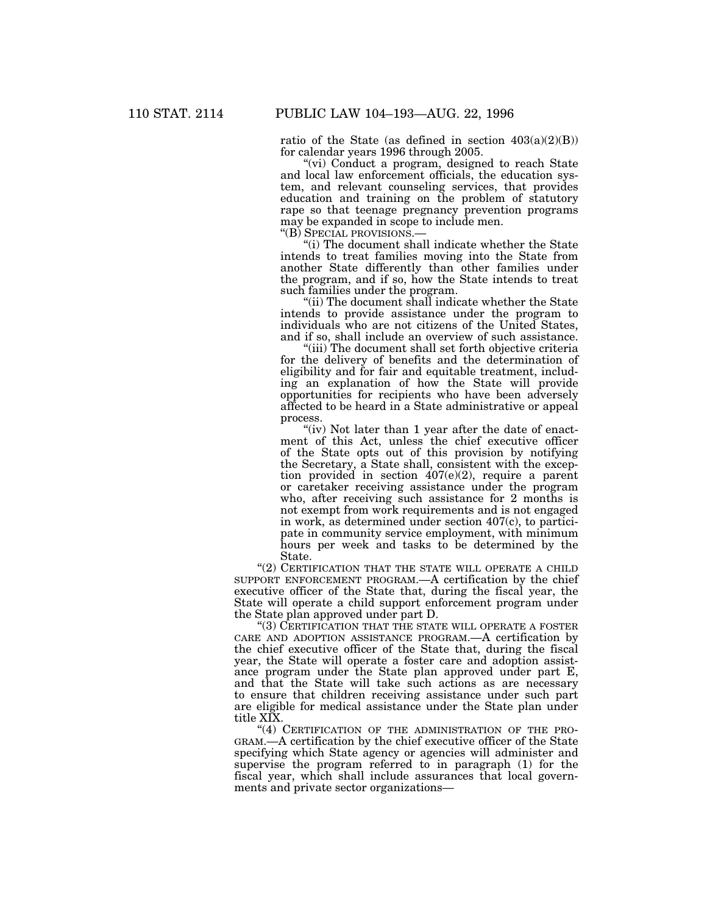ratio of the State (as defined in section  $403(a)(2)(B)$ ) for calendar years 1996 through 2005.

"(vi) Conduct a program, designed to reach State and local law enforcement officials, the education system, and relevant counseling services, that provides education and training on the problem of statutory rape so that teenage pregnancy prevention programs may be expanded in scope to include men.

''(B) SPECIAL PROVISIONS.—

"(i) The document shall indicate whether the State" intends to treat families moving into the State from another State differently than other families under the program, and if so, how the State intends to treat such families under the program.

''(ii) The document shall indicate whether the State intends to provide assistance under the program to individuals who are not citizens of the United States, and if so, shall include an overview of such assistance.

"(iii) The document shall set forth objective criteria for the delivery of benefits and the determination of eligibility and for fair and equitable treatment, including an explanation of how the State will provide opportunities for recipients who have been adversely affected to be heard in a State administrative or appeal process.

"(iv) Not later than 1 year after the date of enactment of this Act, unless the chief executive officer of the State opts out of this provision by notifying the Secretary, a State shall, consistent with the exception provided in section 407(e)(2), require a parent or caretaker receiving assistance under the program who, after receiving such assistance for 2 months is not exempt from work requirements and is not engaged in work, as determined under section 407(c), to participate in community service employment, with minimum hours per week and tasks to be determined by the State.

"(2) CERTIFICATION THAT THE STATE WILL OPERATE A CHILD SUPPORT ENFORCEMENT PROGRAM.—A certification by the chief executive officer of the State that, during the fiscal year, the State will operate a child support enforcement program under the State plan approved under part D.

"(3) CERTIFICATION THAT THE STATE WILL OPERATE A FOSTER CARE AND ADOPTION ASSISTANCE PROGRAM.—A certification by the chief executive officer of the State that, during the fiscal year, the State will operate a foster care and adoption assistance program under the State plan approved under part E, and that the State will take such actions as are necessary to ensure that children receiving assistance under such part are eligible for medical assistance under the State plan under title XIX.

"(4) CERTIFICATION OF THE ADMINISTRATION OF THE PRO-GRAM.—A certification by the chief executive officer of the State specifying which State agency or agencies will administer and supervise the program referred to in paragraph (1) for the fiscal year, which shall include assurances that local governments and private sector organizations—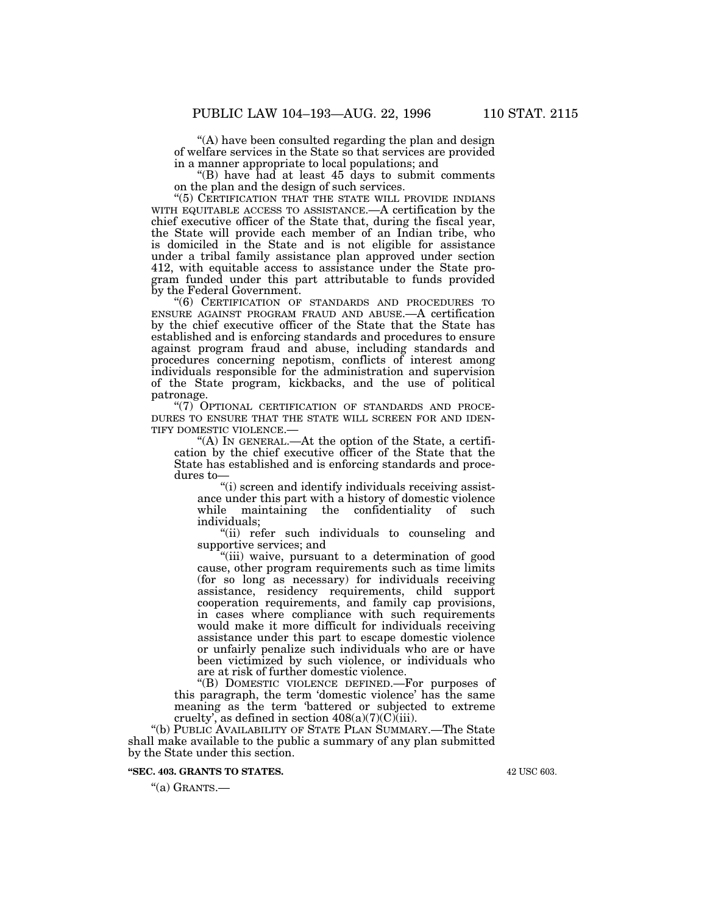''(A) have been consulted regarding the plan and design of welfare services in the State so that services are provided in a manner appropriate to local populations; and

''(B) have had at least 45 days to submit comments on the plan and the design of such services.

''(5) CERTIFICATION THAT THE STATE WILL PROVIDE INDIANS WITH EQUITABLE ACCESS TO ASSISTANCE.—A certification by the chief executive officer of the State that, during the fiscal year, the State will provide each member of an Indian tribe, who is domiciled in the State and is not eligible for assistance under a tribal family assistance plan approved under section 412, with equitable access to assistance under the State program funded under this part attributable to funds provided by the Federal Government.

''(6) CERTIFICATION OF STANDARDS AND PROCEDURES TO ENSURE AGAINST PROGRAM FRAUD AND ABUSE.—A certification by the chief executive officer of the State that the State has established and is enforcing standards and procedures to ensure against program fraud and abuse, including standards and procedures concerning nepotism, conflicts of interest among individuals responsible for the administration and supervision of the State program, kickbacks, and the use of political patronage.

"(7) OPTIONAL CERTIFICATION OF STANDARDS AND PROCE-DURES TO ENSURE THAT THE STATE WILL SCREEN FOR AND IDEN-TIFY DOMESTIC VIOLENCE.—

"(A) In GENERAL.—At the option of the State, a certification by the chief executive officer of the State that the State has established and is enforcing standards and procedures to—

''(i) screen and identify individuals receiving assistance under this part with a history of domestic violence while maintaining the confidentiality of such individuals;

''(ii) refer such individuals to counseling and supportive services; and

''(iii) waive, pursuant to a determination of good cause, other program requirements such as time limits (for so long as necessary) for individuals receiving assistance, residency requirements, child support cooperation requirements, and family cap provisions, in cases where compliance with such requirements would make it more difficult for individuals receiving assistance under this part to escape domestic violence or unfairly penalize such individuals who are or have been victimized by such violence, or individuals who are at risk of further domestic violence.

''(B) DOMESTIC VIOLENCE DEFINED.—For purposes of this paragraph, the term 'domestic violence' has the same meaning as the term 'battered or subjected to extreme cruelty', as defined in section  $408(a)(7)(C)$ (iii).

''(b) PUBLIC AVAILABILITY OF STATE PLAN SUMMARY.—The State shall make available to the public a summary of any plan submitted by the State under this section.

# **''SEC. 403. GRANTS TO STATES.**

42 USC 603.

''(a) GRANTS.—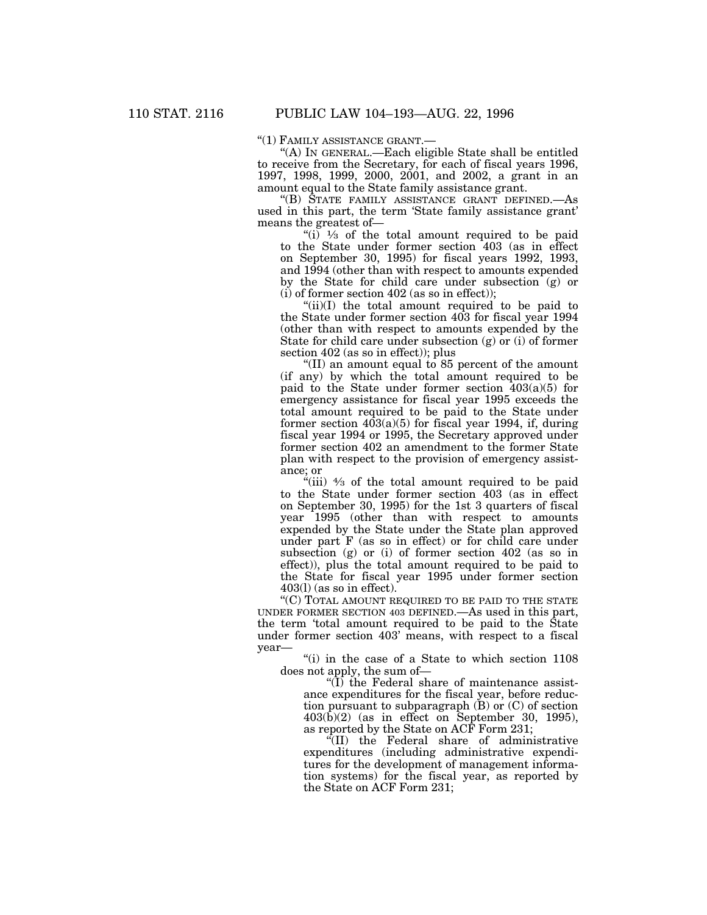''(1) FAMILY ASSISTANCE GRANT.—

''(A) IN GENERAL.—Each eligible State shall be entitled to receive from the Secretary, for each of fiscal years 1996, 1997, 1998, 1999, 2000, 2001, and 2002, a grant in an amount equal to the State family assistance grant.

''(B) STATE FAMILY ASSISTANCE GRANT DEFINED.—As used in this part, the term 'State family assistance grant' means the greatest of—

" $(i)$   $\frac{1}{3}$  of the total amount required to be paid to the State under former section 403 (as in effect on September 30, 1995) for fiscal years 1992, 1993, and 1994 (other than with respect to amounts expended by the State for child care under subsection (g) or  $(i)$  of former section 402 (as so in effect));

 $(ii)(I)$  the total amount required to be paid to the State under former section 403 for fiscal year 1994 (other than with respect to amounts expended by the State for child care under subsection (g) or (i) of former section 402 (as so in effect)); plus

''(II) an amount equal to 85 percent of the amount (if any) by which the total amount required to be paid to the State under former section  $403(a)(5)$  for emergency assistance for fiscal year 1995 exceeds the total amount required to be paid to the State under former section  $403(a)(5)$  for fiscal year 1994, if, during fiscal year 1994 or 1995, the Secretary approved under former section 402 an amendment to the former State plan with respect to the provision of emergency assistance; or

"(iii)  $\frac{4}{3}$  of the total amount required to be paid to the State under former section 403 (as in effect on September 30, 1995) for the 1st 3 quarters of fiscal year 1995 (other than with respect to amounts expended by the State under the State plan approved under part F (as so in effect) or for child care under subsection (g) or (i) of former section 402 (as so in effect)), plus the total amount required to be paid to the State for fiscal year 1995 under former section 403(l) (as so in effect).

''(C) TOTAL AMOUNT REQUIRED TO BE PAID TO THE STATE UNDER FORMER SECTION 403 DEFINED.—As used in this part, the term 'total amount required to be paid to the State under former section 403' means, with respect to a fiscal year—

"(i) in the case of a State to which section 1108 does not apply, the sum of—

''(I) the Federal share of maintenance assistance expenditures for the fiscal year, before reduction pursuant to subparagraph (B) or (C) of section 403(b)(2) (as in effect on September 30, 1995), as reported by the State on ACF Form 231;

''(II) the Federal share of administrative expenditures (including administrative expenditures for the development of management information systems) for the fiscal year, as reported by the State on ACF Form 231;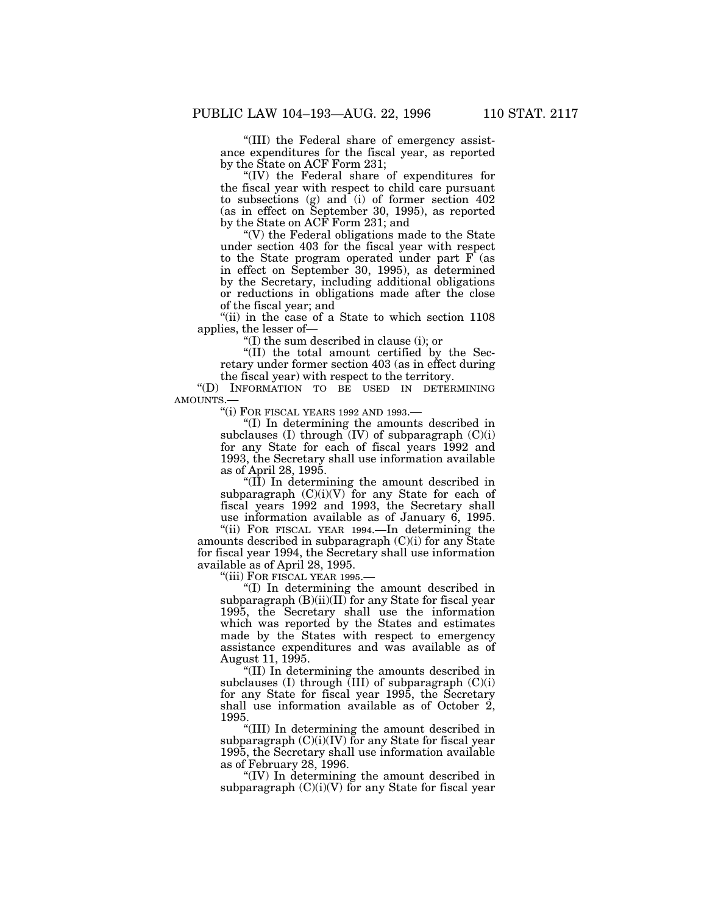''(III) the Federal share of emergency assistance expenditures for the fiscal year, as reported by the State on ACF Form 231;

" $(IV)$  the Federal share of expenditures for the fiscal year with respect to child care pursuant to subsections (g) and (i) of former section 402 (as in effect on September 30, 1995), as reported by the State on ACF Form 231; and

''(V) the Federal obligations made to the State under section 403 for the fiscal year with respect to the State program operated under part F (as in effect on September 30, 1995), as determined by the Secretary, including additional obligations or reductions in obligations made after the close of the fiscal year; and

''(ii) in the case of a State to which section 1108 applies, the lesser of—

''(I) the sum described in clause (i); or

''(II) the total amount certified by the Secretary under former section 403 (as in effect during the fiscal year) with respect to the territory.

''(D) INFORMATION TO BE USED IN DETERMINING AMOUNTS.—

''(i) FOR FISCAL YEARS 1992 AND 1993.—

''(I) In determining the amounts described in subclauses (I) through  $(IV)$  of subparagraph  $(C)(i)$ for any State for each of fiscal years 1992 and 1993, the Secretary shall use information available as of April 28, 1995.

''(II) In determining the amount described in subparagraph  $(C)(i)(V)$  for any State for each of fiscal years 1992 and 1993, the Secretary shall use information available as of January 6, 1995.

''(ii) FOR FISCAL YEAR 1994.—In determining the amounts described in subparagraph  $(C)(i)$  for any State for fiscal year 1994, the Secretary shall use information available as of April 28, 1995.

"(iii) FOR FISCAL YEAR 1995.-

''(I) In determining the amount described in subparagraph  $(B)(ii)(II)$  for any State for fiscal year 1995, the Secretary shall use the information which was reported by the States and estimates made by the States with respect to emergency assistance expenditures and was available as of August 11, 1995.

''(II) In determining the amounts described in subclauses (I) through  $\overline{(III)}$  of subparagraph  $(C)(i)$ for any State for fiscal year 1995, the Secretary shall use information available as of October  $2$ , 1995.

''(III) In determining the amount described in subparagraph  $(C)(i)(IV)$  for any State for fiscal year 1995, the Secretary shall use information available as of February 28, 1996.

''(IV) In determining the amount described in subparagraph  $(C)(i)(V)$  for any State for fiscal year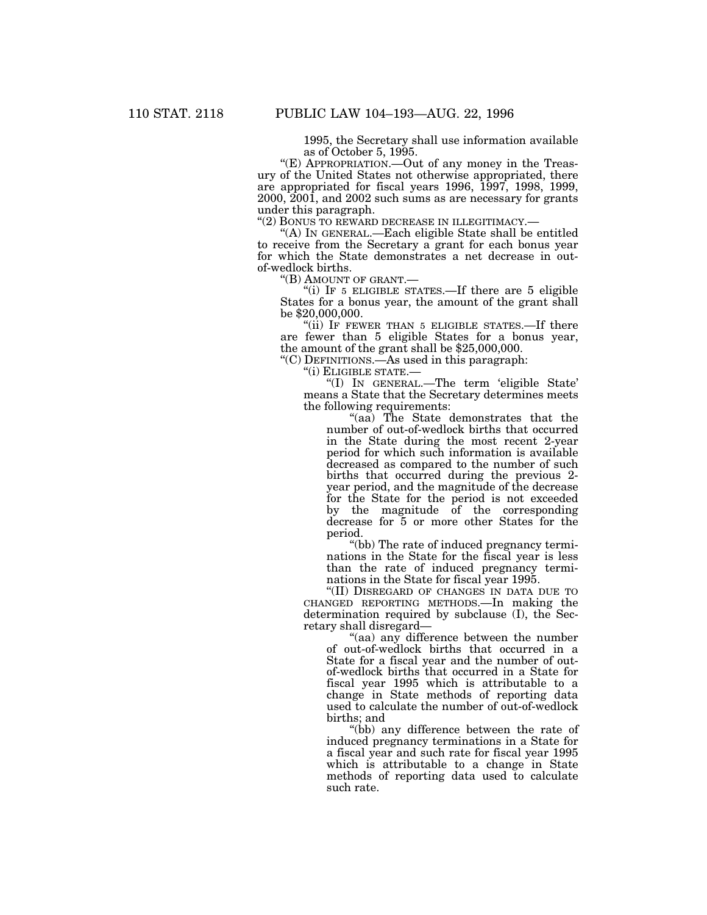1995, the Secretary shall use information available as of October 5, 1995.

''(E) APPROPRIATION.—Out of any money in the Treasury of the United States not otherwise appropriated, there are appropriated for fiscal years 1996, 1997, 1998, 1999, 2000, 2001, and 2002 such sums as are necessary for grants under this paragraph.

''(2) BONUS TO REWARD DECREASE IN ILLEGITIMACY.—

''(A) IN GENERAL.—Each eligible State shall be entitled to receive from the Secretary a grant for each bonus year for which the State demonstrates a net decrease in outof-wedlock births.

"(B) AMOUNT OF GRANT.-

"(i) IF 5 ELIGIBLE STATES.—If there are  $5$  eligible States for a bonus year, the amount of the grant shall be \$20,000,000.

"(ii) IF FEWER THAN 5 ELIGIBLE STATES.—If there are fewer than 5 eligible States for a bonus year, the amount of the grant shall be \$25,000,000.

''(C) DEFINITIONS.—As used in this paragraph:

''(i) ELIGIBLE STATE.—

''(I) IN GENERAL.—The term 'eligible State' means a State that the Secretary determines meets the following requirements:

"(aa) The State demonstrates that the number of out-of-wedlock births that occurred in the State during the most recent 2-year period for which such information is available decreased as compared to the number of such births that occurred during the previous 2 year period, and the magnitude of the decrease for the State for the period is not exceeded by the magnitude of the corresponding decrease for 5 or more other States for the period.

''(bb) The rate of induced pregnancy terminations in the State for the fiscal year is less than the rate of induced pregnancy terminations in the State for fiscal year 1995.

''(II) DISREGARD OF CHANGES IN DATA DUE TO CHANGED REPORTING METHODS.—In making the determination required by subclause (I), the Secretary shall disregard—

''(aa) any difference between the number of out-of-wedlock births that occurred in a State for a fiscal year and the number of outof-wedlock births that occurred in a State for fiscal year 1995 which is attributable to a change in State methods of reporting data used to calculate the number of out-of-wedlock births; and

''(bb) any difference between the rate of induced pregnancy terminations in a State for a fiscal year and such rate for fiscal year 1995 which is attributable to a change in State methods of reporting data used to calculate such rate.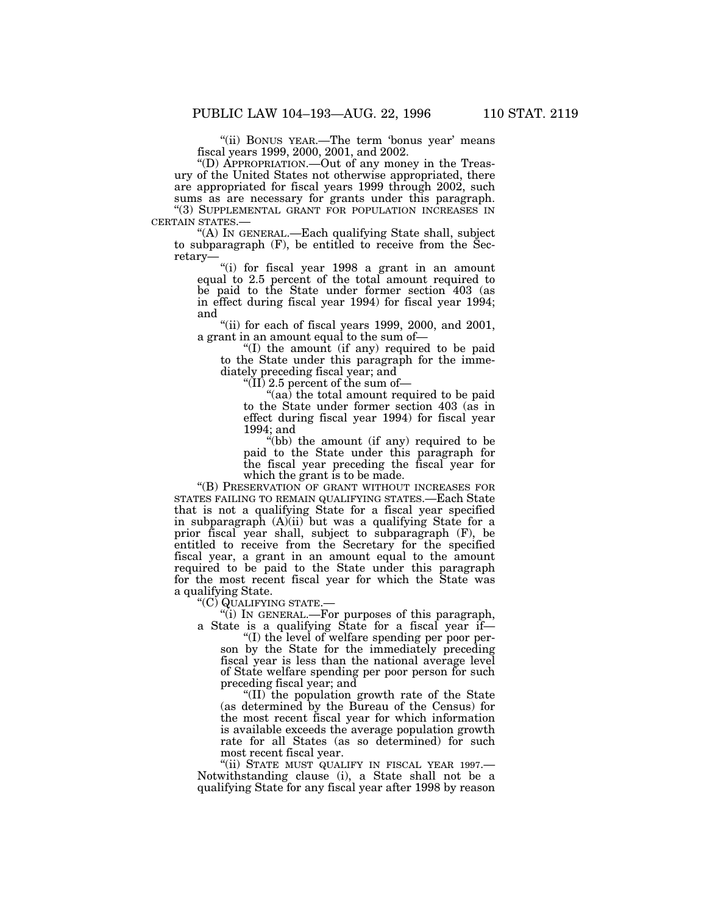''(ii) BONUS YEAR.—The term 'bonus year' means fiscal years 1999, 2000, 2001, and 2002.

''(D) APPROPRIATION.—Out of any money in the Treasury of the United States not otherwise appropriated, there are appropriated for fiscal years 1999 through 2002, such sums as are necessary for grants under this paragraph. ''(3) SUPPLEMENTAL GRANT FOR POPULATION INCREASES IN CERTAIN STATES.—

''(A) IN GENERAL.—Each qualifying State shall, subject to subparagraph (F), be entitled to receive from the Secretary—

''(i) for fiscal year 1998 a grant in an amount equal to 2.5 percent of the total amount required to be paid to the State under former section 403 (as in effect during fiscal year 1994) for fiscal year 1994; and

"(ii) for each of fiscal years  $1999, 2000,$  and  $2001,$ a grant in an amount equal to the sum of—

''(I) the amount (if any) required to be paid to the State under this paragraph for the immediately preceding fiscal year; and

''(II) 2.5 percent of the sum of—

"(aa) the total amount required to be paid to the State under former section 403 (as in effect during fiscal year 1994) for fiscal year 1994; and

''(bb) the amount (if any) required to be paid to the State under this paragraph for the fiscal year preceding the fiscal year for which the grant is to be made.

''(B) PRESERVATION OF GRANT WITHOUT INCREASES FOR STATES FAILING TO REMAIN QUALIFYING STATES.—Each State that is not a qualifying State for a fiscal year specified in subparagraph (A)(ii) but was a qualifying State for a prior fiscal year shall, subject to subparagraph (F), be entitled to receive from the Secretary for the specified fiscal year, a grant in an amount equal to the amount required to be paid to the State under this paragraph for the most recent fiscal year for which the State was a qualifying State.

''(C) QUALIFYING STATE.—

''(i) IN GENERAL.—For purposes of this paragraph, a State is a qualifying State for a fiscal year if—

''(I) the level of welfare spending per poor person by the State for the immediately preceding fiscal year is less than the national average level of State welfare spending per poor person for such preceding fiscal year; and

''(II) the population growth rate of the State (as determined by the Bureau of the Census) for the most recent fiscal year for which information is available exceeds the average population growth rate for all States (as so determined) for such most recent fiscal year.

"(ii) STATE MUST QUALIFY IN FISCAL YEAR 1997.— Notwithstanding clause (i), a State shall not be a qualifying State for any fiscal year after 1998 by reason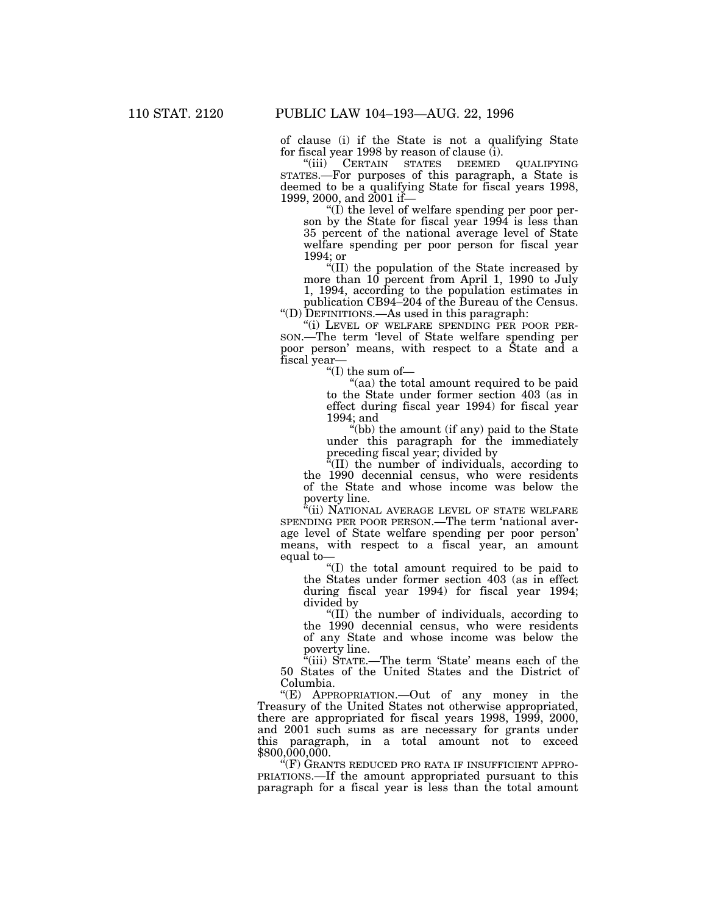of clause (i) if the State is not a qualifying State for fiscal year 1998 by reason of clause (i).

"(iii) CERTAIN STATES DEEMED QUALIFYING STATES.—For purposes of this paragraph, a State is deemed to be a qualifying State for fiscal years 1998, 1999, 2000, and 2001 if—

" $(I)$  the level of welfare spending per poor person by the State for fiscal year 1994 is less than 35 percent of the national average level of State welfare spending per poor person for fiscal year 1994; or

''(II) the population of the State increased by more than 10 percent from April 1, 1990 to July 1, 1994, according to the population estimates in publication CB94–204 of the Bureau of the Census. ''(D) DEFINITIONS.—As used in this paragraph:

"(i) LEVEL OF WELFARE SPENDING PER POOR PER-<br>SON.—The term 'level of State welfare spending per SON.—The term 'level of State welfare spending per poor person' means, with respect to a State and a fiscal year—

''(I) the sum of—

''(aa) the total amount required to be paid to the State under former section 403 (as in effect during fiscal year 1994) for fiscal year 1994; and

''(bb) the amount (if any) paid to the State under this paragraph for the immediately preceding fiscal year; divided by

''(II) the number of individuals, according to the 1990 decennial census, who were residents of the State and whose income was below the poverty line.

 $\frac{a}{b}$ (ii) NATIONAL AVERAGE LEVEL OF STATE WELFARE SPENDING PER POOR PERSON.—The term 'national average level of State welfare spending per poor person' means, with respect to a fiscal year, an amount equal to—

''(I) the total amount required to be paid to the States under former section 403 (as in effect during fiscal year 1994) for fiscal year 1994; divided by

''(II) the number of individuals, according to the 1990 decennial census, who were residents of any State and whose income was below the poverty line.

 $\alpha$ <sup>"</sup>(iii) STATE.—The term 'State' means each of the 50 States of the United States and the District of Columbia.

''(E) APPROPRIATION.—Out of any money in the Treasury of the United States not otherwise appropriated, there are appropriated for fiscal years 1998, 1999, 2000, and 2001 such sums as are necessary for grants under this paragraph, in a total amount not to exceed \$800,000,000.

"(F) GRANTS REDUCED PRO RATA IF INSUFFICIENT APPRO-PRIATIONS.—If the amount appropriated pursuant to this paragraph for a fiscal year is less than the total amount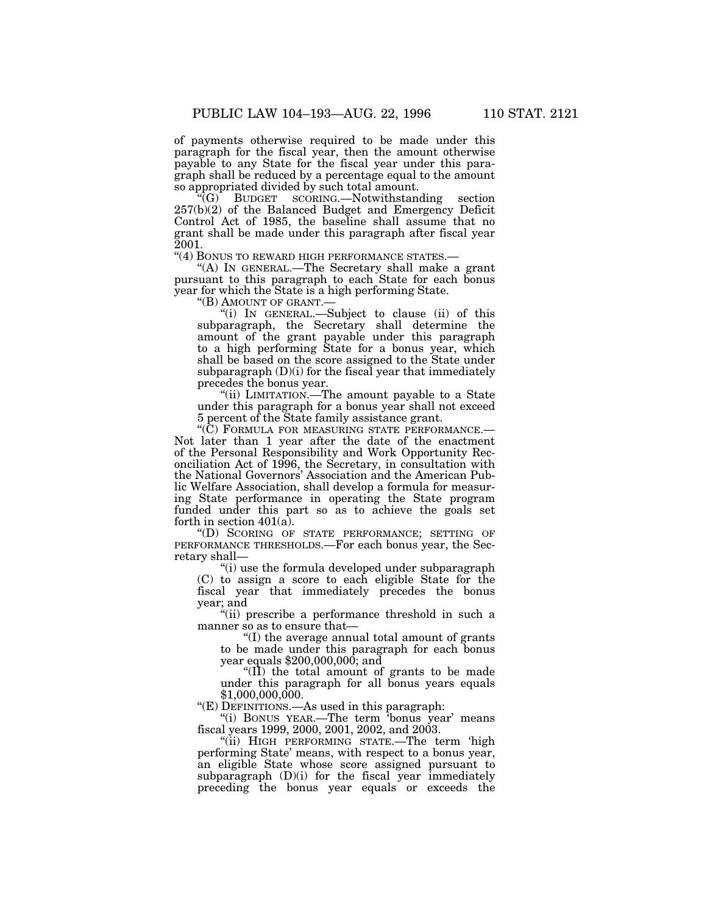of payments otherwise required to be made under this paragraph for the fiscal year, then the amount otherwise payable to any State for the fiscal year under this paragraph shall be reduced by a percentage equal to the amount so appropriated divided by such total amount.

''(G) BUDGET SCORING.—Notwithstanding section 257(b)(2) of the Balanced Budget and Emergency Deficit Control Act of 1985, the baseline shall assume that no grant shall be made under this paragraph after fiscal year 2001.

''(4) BONUS TO REWARD HIGH PERFORMANCE STATES.—

''(A) IN GENERAL.—The Secretary shall make a grant pursuant to this paragraph to each State for each bonus year for which the State is a high performing State.

''(B) AMOUNT OF GRANT.—

''(i) IN GENERAL.—Subject to clause (ii) of this subparagraph, the Secretary shall determine the amount of the grant payable under this paragraph to a high performing State for a bonus year, which shall be based on the score assigned to the State under subparagraph  $(D)(i)$  for the fiscal year that immediately precedes the bonus year.

"(ii) LIMITATION.—The amount payable to a State under this paragraph for a bonus year shall not exceed 5 percent of the State family assistance grant.

''(C) FORMULA FOR MEASURING STATE PERFORMANCE.— Not later than 1 year after the date of the enactment of the Personal Responsibility and Work Opportunity Reconciliation Act of 1996, the Secretary, in consultation with the National Governors' Association and the American Public Welfare Association, shall develop a formula for measuring State performance in operating the State program funded under this part so as to achieve the goals set forth in section 401(a).

''(D) SCORING OF STATE PERFORMANCE; SETTING OF PERFORMANCE THRESHOLDS.—For each bonus year, the Secretary shall—

''(i) use the formula developed under subparagraph (C) to assign a score to each eligible State for the fiscal year that immediately precedes the bonus year; and

"(ii) prescribe a performance threshold in such a manner so as to ensure that—

''(I) the average annual total amount of grants to be made under this paragraph for each bonus year equals \$200,000,000; and

" $(II)$  the total amount of grants to be made under this paragraph for all bonus years equals  $$1,000,000,000.$ 

''(E) DEFINITIONS.—As used in this paragraph:

"(i) BONUS YEAR.—The term 'bonus year' means fiscal years 1999, 2000, 2001, 2002, and 2003.

''(ii) HIGH PERFORMING STATE.—The term 'high performing State' means, with respect to a bonus year, an eligible State whose score assigned pursuant to  $subparam$  (D)(i) for the fiscal year immediately preceding the bonus year equals or exceeds the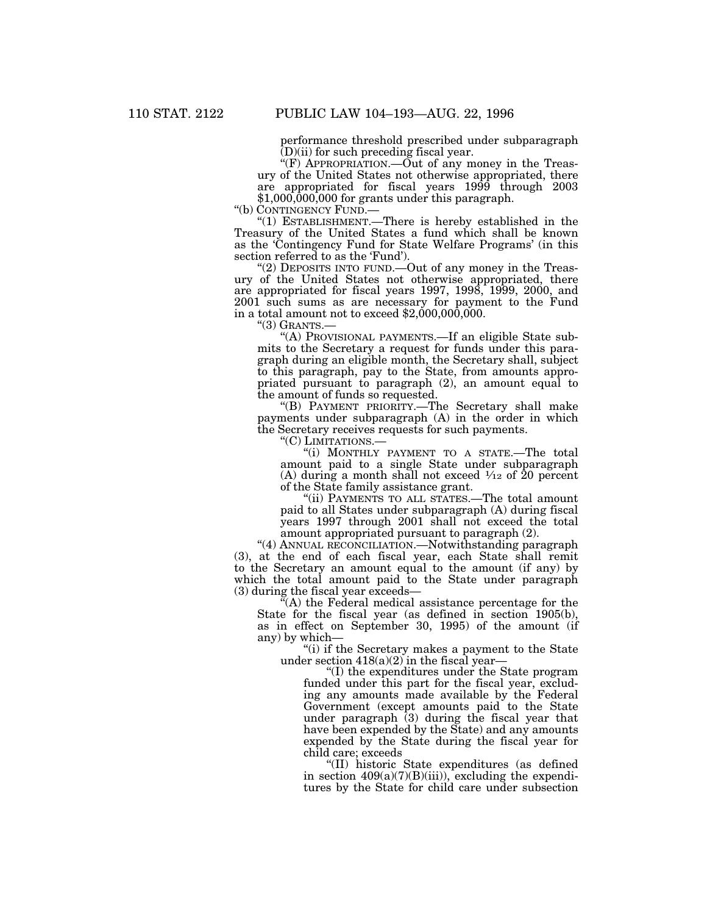performance threshold prescribed under subparagraph  $(D)(ii)$  for such preceding fiscal year.

" $(F)$  APPROPRIATION.—Out of any money in the Treasury of the United States not otherwise appropriated, there are appropriated for fiscal years 1999 through 2003 \$1,000,000,000 for grants under this paragraph.

''(b) CONTINGENCY FUND.—

''(1) ESTABLISHMENT.—There is hereby established in the Treasury of the United States a fund which shall be known as the 'Contingency Fund for State Welfare Programs' (in this section referred to as the 'Fund').

" $(2)$  DEPOSITS INTO FUND.—Out of any money in the Treasury of the United States not otherwise appropriated, there are appropriated for fiscal years 1997, 1998, 1999, 2000, and 2001 such sums as are necessary for payment to the Fund in a total amount not to exceed  $$2,000,000,000$ .

''(3) GRANTS.—

"(A) PROVISIONAL PAYMENTS.—If an eligible State submits to the Secretary a request for funds under this paragraph during an eligible month, the Secretary shall, subject to this paragraph, pay to the State, from amounts appropriated pursuant to paragraph (2), an amount equal to the amount of funds so requested.

''(B) PAYMENT PRIORITY.—The Secretary shall make payments under subparagraph (A) in the order in which the Secretary receives requests for such payments.

''(C) LIMITATIONS.—

"(i) MONTHLY PAYMENT TO A STATE.—The total amount paid to a single State under subparagraph (A) during a month shall not exceed  $\frac{1}{12}$  of 20 percent of the State family assistance grant.

''(ii) PAYMENTS TO ALL STATES.—The total amount paid to all States under subparagraph (A) during fiscal years 1997 through 2001 shall not exceed the total amount appropriated pursuant to paragraph (2).

''(4) ANNUAL RECONCILIATION.—Notwithstanding paragraph (3), at the end of each fiscal year, each State shall remit to the Secretary an amount equal to the amount (if any) by which the total amount paid to the State under paragraph (3) during the fiscal year exceeds—

"(A) the Federal medical assistance percentage for the State for the fiscal year (as defined in section 1905(b), as in effect on September 30, 1995) of the amount (if any) by which—

"(i) if the Secretary makes a payment to the State" under section  $418(a)(2)$  in the fiscal year-

''(I) the expenditures under the State program funded under this part for the fiscal year, excluding any amounts made available by the Federal Government (except amounts paid to the State under paragraph (3) during the fiscal year that have been expended by the State) and any amounts expended by the State during the fiscal year for child care; exceeds

''(II) historic State expenditures (as defined in section  $409(a)(7)(B)(iii)$ , excluding the expenditures by the State for child care under subsection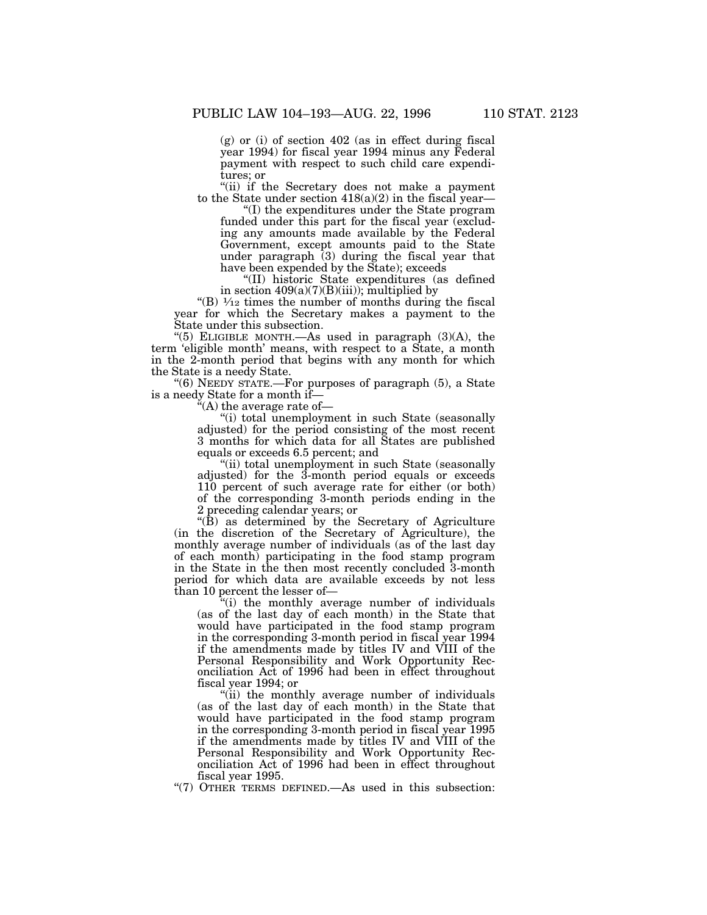(g) or (i) of section 402 (as in effect during fiscal year 1994) for fiscal year 1994 minus any Federal payment with respect to such child care expenditures; or

"(ii) if the Secretary does not make a payment to the State under section  $418(a)(2)$  in the fiscal year—

''(I) the expenditures under the State program funded under this part for the fiscal year (excluding any amounts made available by the Federal Government, except amounts paid to the State under paragraph (3) during the fiscal year that have been expended by the State); exceeds

''(II) historic State expenditures (as defined in section  $409(a)(7)(B)(iii)$ ; multiplied by

"(B)  $\frac{1}{12}$  times the number of months during the fiscal year for which the Secretary makes a payment to the State under this subsection.

"(5) ELIGIBLE MONTH.—As used in paragraph  $(3)(A)$ , the term 'eligible month' means, with respect to a State, a month in the 2-month period that begins with any month for which the State is a needy State.

''(6) NEEDY STATE.—For purposes of paragraph (5), a State is a needy State for a month if—

 $\kappa(A)$  the average rate of-

"(i) total unemployment in such State (seasonally adjusted) for the period consisting of the most recent 3 months for which data for all States are published equals or exceeds 6.5 percent; and

"(ii) total unemployment in such State (seasonally adjusted) for the 3-month period equals or exceeds 110 percent of such average rate for either (or both) of the corresponding 3-month periods ending in the 2 preceding calendar years; or

''(B) as determined by the Secretary of Agriculture (in the discretion of the Secretary of Agriculture), the monthly average number of individuals (as of the last day of each month) participating in the food stamp program in the State in the then most recently concluded 3-month period for which data are available exceeds by not less than 10 percent the lesser of—

''(i) the monthly average number of individuals (as of the last day of each month) in the State that would have participated in the food stamp program in the corresponding 3-month period in fiscal year 1994 if the amendments made by titles IV and VIII of the Personal Responsibility and Work Opportunity Reconciliation Act of 1996 had been in effect throughout fiscal year 1994; or

''(ii) the monthly average number of individuals (as of the last day of each month) in the State that would have participated in the food stamp program in the corresponding 3-month period in fiscal year 1995 if the amendments made by titles IV and VIII of the Personal Responsibility and Work Opportunity Reconciliation Act of 1996 had been in effect throughout fiscal year 1995.

"(7) OTHER TERMS DEFINED.—As used in this subsection: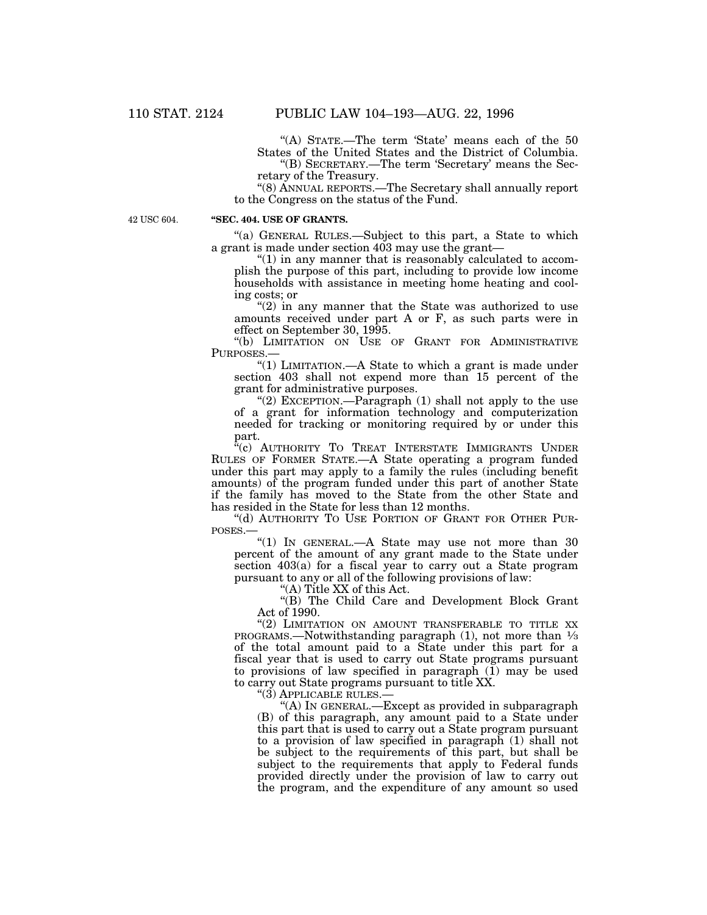"(A) STATE.—The term 'State' means each of the 50 States of the United States and the District of Columbia. ''(B) SECRETARY.—The term 'Secretary' means the Secretary of the Treasury.

''(8) ANNUAL REPORTS.—The Secretary shall annually report to the Congress on the status of the Fund.

42 USC 604.

#### **''SEC. 404. USE OF GRANTS.**

''(a) GENERAL RULES.—Subject to this part, a State to which a grant is made under section 403 may use the grant—

 $''(1)$  in any manner that is reasonably calculated to accomplish the purpose of this part, including to provide low income households with assistance in meeting home heating and cooling costs; or

" $(2)$  in any manner that the State was authorized to use amounts received under part A or F, as such parts were in effect on September 30, 1995.

''(b) LIMITATION ON USE OF GRANT FOR ADMINISTRATIVE PURPOSES.—

"(1) LIMITATION.—A State to which a grant is made under section 403 shall not expend more than 15 percent of the grant for administrative purposes.

"(2) EXCEPTION.—Paragraph (1) shall not apply to the use of a grant for information technology and computerization needed for tracking or monitoring required by or under this part.

''(c) AUTHORITY TO TREAT INTERSTATE IMMIGRANTS UNDER RULES OF FORMER STATE.—A State operating a program funded under this part may apply to a family the rules (including benefit amounts) of the program funded under this part of another State if the family has moved to the State from the other State and has resided in the State for less than 12 months.

"(d) AUTHORITY TO USE PORTION OF GRANT FOR OTHER PUR-POSES.—

''(1) IN GENERAL.—A State may use not more than 30 percent of the amount of any grant made to the State under section 403(a) for a fiscal year to carry out a State program pursuant to any or all of the following provisions of law:

''(A) Title XX of this Act.

''(B) The Child Care and Development Block Grant Act of 1990.

"(2) LIMITATION ON AMOUNT TRANSFERABLE TO TITLE XX PROGRAMS.—Notwithstanding paragraph  $(1)$ , not more than  $\frac{1}{3}$ of the total amount paid to a State under this part for a fiscal year that is used to carry out State programs pursuant to provisions of law specified in paragraph (1) may be used to carry out State programs pursuant to title XX.

''(3) APPLICABLE RULES.—

''(A) IN GENERAL.—Except as provided in subparagraph (B) of this paragraph, any amount paid to a State under this part that is used to carry out a State program pursuant to a provision of law specified in paragraph (1) shall not be subject to the requirements of this part, but shall be subject to the requirements that apply to Federal funds provided directly under the provision of law to carry out the program, and the expenditure of any amount so used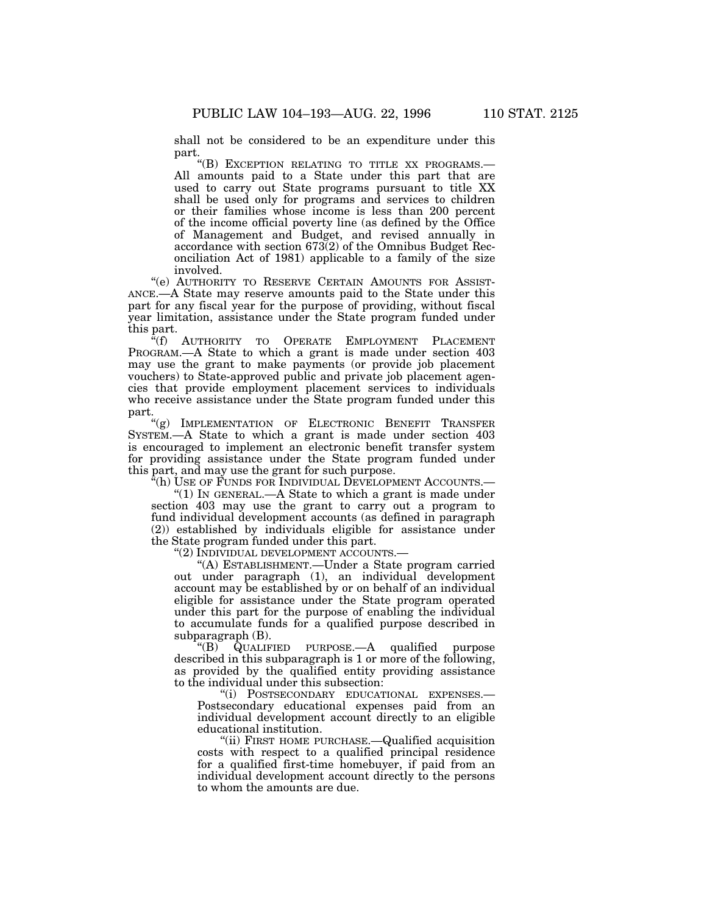shall not be considered to be an expenditure under this part.

''(B) EXCEPTION RELATING TO TITLE XX PROGRAMS.— All amounts paid to a State under this part that are used to carry out State programs pursuant to title XX shall be used only for programs and services to children or their families whose income is less than 200 percent of the income official poverty line (as defined by the Office of Management and Budget, and revised annually in accordance with section 673(2) of the Omnibus Budget Reconciliation Act of 1981) applicable to a family of the size involved.

"(e) AUTHORITY TO RESERVE CERTAIN AMOUNTS FOR ASSIST-ANCE.—A State may reserve amounts paid to the State under this part for any fiscal year for the purpose of providing, without fiscal year limitation, assistance under the State program funded under this part.

"(f) AUTHORITY TO OPERATE EMPLOYMENT PLACEMENT PROGRAM.—A State to which a grant is made under section 403 may use the grant to make payments (or provide job placement vouchers) to State-approved public and private job placement agencies that provide employment placement services to individuals who receive assistance under the State program funded under this part.

"(g) IMPLEMENTATION OF ELECTRONIC BENEFIT TRANSFER SYSTEM.—A State to which a grant is made under section 403 is encouraged to implement an electronic benefit transfer system for providing assistance under the State program funded under this part, and may use the grant for such purpose.

"(h) USE OF FUNDS FOR INDIVIDUAL DEVELOPMENT ACCOUNTS.—

"(1) In GENERAL.—A State to which a grant is made under section 403 may use the grant to carry out a program to fund individual development accounts (as defined in paragraph (2)) established by individuals eligible for assistance under the State program funded under this part.

"(2) INDIVIDUAL DEVELOPMENT ACCOUNTS.—

''(A) ESTABLISHMENT.—Under a State program carried out under paragraph (1), an individual development account may be established by or on behalf of an individual eligible for assistance under the State program operated under this part for the purpose of enabling the individual to accumulate funds for a qualified purpose described in subparagraph  $(B)$ .<br>"(B)  $QUALIF$ 

QUALIFIED PURPOSE.—A qualified purpose described in this subparagraph is 1 or more of the following, as provided by the qualified entity providing assistance to the individual under this subsection:

''(i) POSTSECONDARY EDUCATIONAL EXPENSES.— Postsecondary educational expenses paid from an individual development account directly to an eligible educational institution.

''(ii) FIRST HOME PURCHASE.—Qualified acquisition costs with respect to a qualified principal residence for a qualified first-time homebuyer, if paid from an individual development account directly to the persons to whom the amounts are due.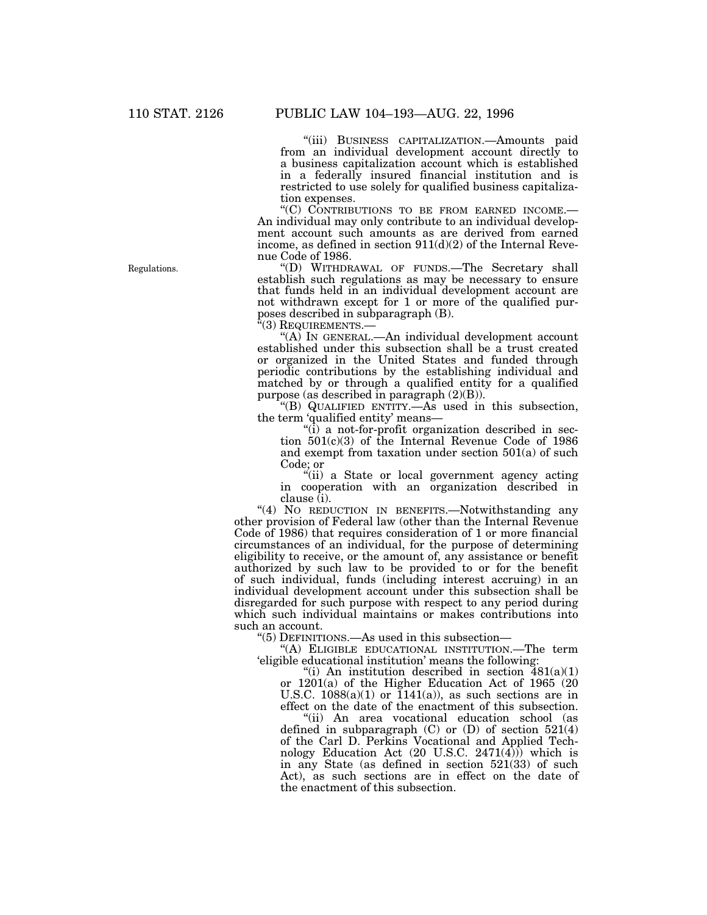''(iii) BUSINESS CAPITALIZATION.—Amounts paid from an individual development account directly to a business capitalization account which is established in a federally insured financial institution and is restricted to use solely for qualified business capitalization expenses.

"(C) CONTRIBUTIONS TO BE FROM EARNED INCOME.-An individual may only contribute to an individual development account such amounts as are derived from earned income, as defined in section  $911(d)(2)$  of the Internal Revenue Code of 1986.

''(D) WITHDRAWAL OF FUNDS.—The Secretary shall establish such regulations as may be necessary to ensure that funds held in an individual development account are not withdrawn except for 1 or more of the qualified purposes described in subparagraph (B).

''(3) REQUIREMENTS.—

''(A) IN GENERAL.—An individual development account established under this subsection shall be a trust created or organized in the United States and funded through periodic contributions by the establishing individual and matched by or through a qualified entity for a qualified purpose (as described in paragraph (2)(B)).

''(B) QUALIFIED ENTITY.—As used in this subsection, the term 'qualified entity' means—

" $(i)$  a not-for-profit organization described in section 501(c)(3) of the Internal Revenue Code of 1986 and exempt from taxation under section 501(a) of such Code; or

''(ii) a State or local government agency acting in cooperation with an organization described in clause (i).

"(4) NO REDUCTION IN BENEFITS.—Notwithstanding any other provision of Federal law (other than the Internal Revenue Code of 1986) that requires consideration of 1 or more financial circumstances of an individual, for the purpose of determining eligibility to receive, or the amount of, any assistance or benefit authorized by such law to be provided to or for the benefit of such individual, funds (including interest accruing) in an individual development account under this subsection shall be disregarded for such purpose with respect to any period during which such individual maintains or makes contributions into such an account.

''(5) DEFINITIONS.—As used in this subsection—

''(A) ELIGIBLE EDUCATIONAL INSTITUTION.—The term 'eligible educational institution' means the following:

"(i) An institution described in section  $\overline{481(a)(1)}$ or 1201(a) of the Higher Education Act of 1965 (20 U.S.C.  $1088(a)(1)$  or  $1141(a)$ , as such sections are in effect on the date of the enactment of this subsection.

''(ii) An area vocational education school (as defined in subparagraph  $(C)$  or  $(D)$  of section  $521(4)$ of the Carl D. Perkins Vocational and Applied Technology Education Act  $(20 \text{ U.S.C. } 2471(4))$  which is in any State (as defined in section 521(33) of such Act), as such sections are in effect on the date of the enactment of this subsection.

Regulations.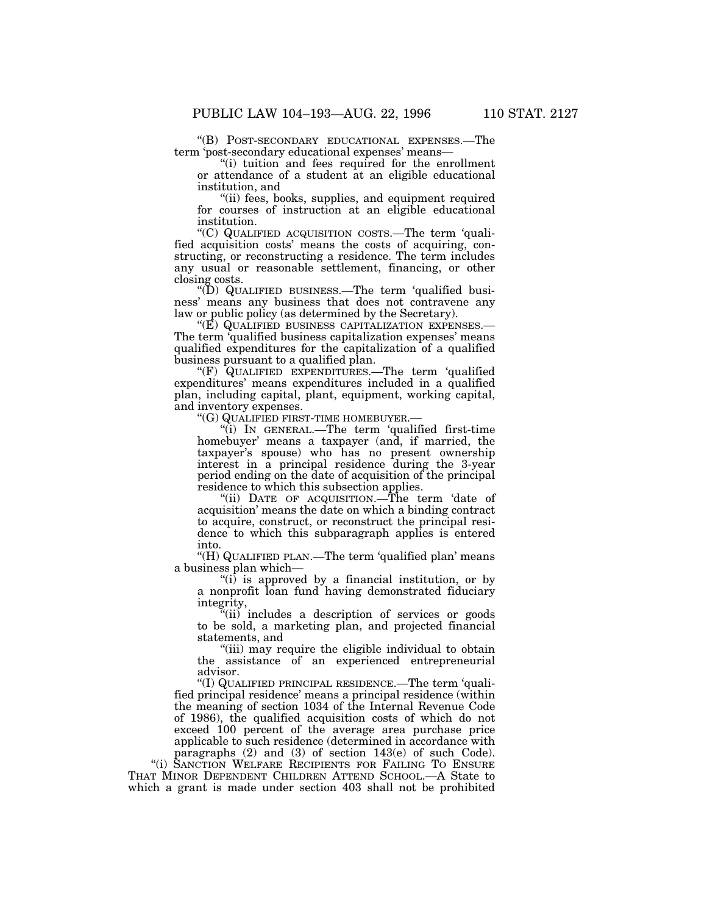''(B) POST-SECONDARY EDUCATIONAL EXPENSES.—The term 'post-secondary educational expenses' means—

''(i) tuition and fees required for the enrollment or attendance of a student at an eligible educational institution, and

''(ii) fees, books, supplies, and equipment required for courses of instruction at an eligible educational institution.

''(C) QUALIFIED ACQUISITION COSTS.—The term 'qualified acquisition costs' means the costs of acquiring, constructing, or reconstructing a residence. The term includes any usual or reasonable settlement, financing, or other closing costs.

''(D) QUALIFIED BUSINESS.—The term 'qualified business' means any business that does not contravene any law or public policy (as determined by the Secretary).

"(E) QUALIFIED BUSINESS CAPITALIZATION EXPENSES.-The term 'qualified business capitalization expenses' means qualified expenditures for the capitalization of a qualified business pursuant to a qualified plan.

''(F) QUALIFIED EXPENDITURES.—The term 'qualified expenditures' means expenditures included in a qualified plan, including capital, plant, equipment, working capital, and inventory expenses.

''(G) QUALIFIED FIRST-TIME HOMEBUYER.—

''(i) IN GENERAL.—The term 'qualified first-time homebuyer' means a taxpayer (and, if married, the taxpayer's spouse) who has no present ownership interest in a principal residence during the 3-year period ending on the date of acquisition of the principal residence to which this subsection applies.

"(ii) DATE OF ACQUISITION.—The term 'date of acquisition' means the date on which a binding contract to acquire, construct, or reconstruct the principal residence to which this subparagraph applies is entered into.

''(H) QUALIFIED PLAN.—The term 'qualified plan' means a business plan which—

 $\sqrt[4]{i}$  is approved by a financial institution, or by a nonprofit loan fund having demonstrated fiduciary integrity,

''(ii) includes a description of services or goods to be sold, a marketing plan, and projected financial statements, and

"(iii) may require the eligible individual to obtain the assistance of an experienced entrepreneurial advisor.

''(I) QUALIFIED PRINCIPAL RESIDENCE.—The term 'qualified principal residence' means a principal residence (within the meaning of section 1034 of the Internal Revenue Code of 1986), the qualified acquisition costs of which do not exceed 100 percent of the average area purchase price applicable to such residence (determined in accordance with paragraphs (2) and (3) of section 143(e) of such Code).

''(i) SANCTION WELFARE RECIPIENTS FOR FAILING TO ENSURE THAT MINOR DEPENDENT CHILDREN ATTEND SCHOOL.—A State to which a grant is made under section 403 shall not be prohibited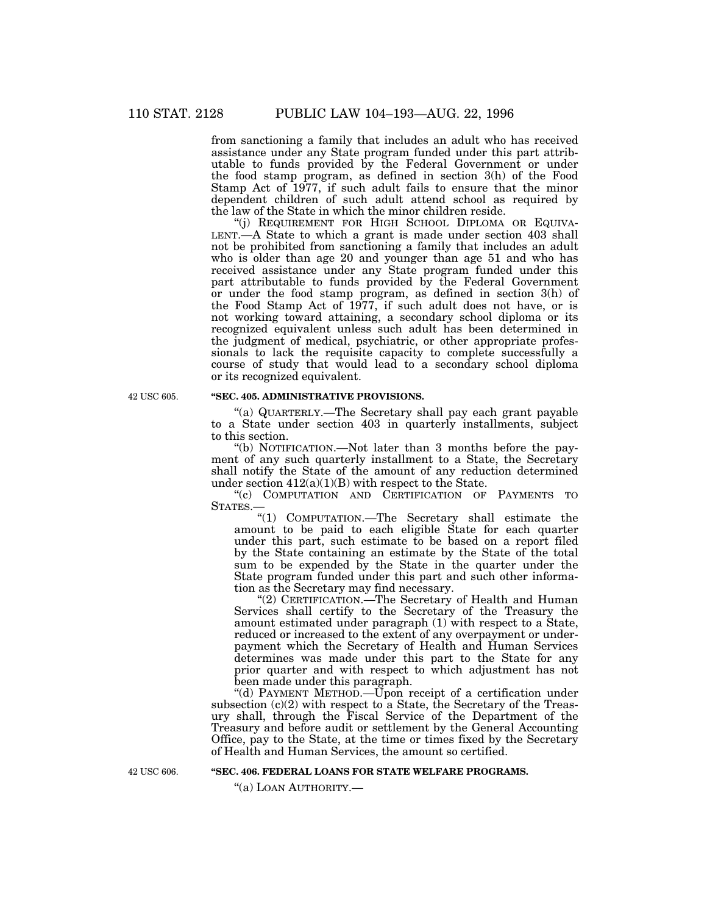from sanctioning a family that includes an adult who has received assistance under any State program funded under this part attributable to funds provided by the Federal Government or under the food stamp program, as defined in section 3(h) of the Food Stamp Act of 1977, if such adult fails to ensure that the minor dependent children of such adult attend school as required by the law of the State in which the minor children reside.

''(j) REQUIREMENT FOR HIGH SCHOOL DIPLOMA OR EQUIVA-LENT.—A State to which a grant is made under section 403 shall not be prohibited from sanctioning a family that includes an adult who is older than age 20 and younger than age 51 and who has received assistance under any State program funded under this part attributable to funds provided by the Federal Government or under the food stamp program, as defined in section 3(h) of the Food Stamp Act of 1977, if such adult does not have, or is not working toward attaining, a secondary school diploma or its recognized equivalent unless such adult has been determined in the judgment of medical, psychiatric, or other appropriate professionals to lack the requisite capacity to complete successfully a course of study that would lead to a secondary school diploma or its recognized equivalent.

42 USC 605.

# **''SEC. 405. ADMINISTRATIVE PROVISIONS.**

''(a) QUARTERLY.—The Secretary shall pay each grant payable to a State under section 403 in quarterly installments, subject to this section.

''(b) NOTIFICATION.—Not later than 3 months before the payment of any such quarterly installment to a State, the Secretary shall notify the State of the amount of any reduction determined under section  $412(a)(1)(B)$  with respect to the State.

''(c) COMPUTATION AND CERTIFICATION OF PAYMENTS TO STATES.—

''(1) COMPUTATION.—The Secretary shall estimate the amount to be paid to each eligible State for each quarter under this part, such estimate to be based on a report filed by the State containing an estimate by the State of the total sum to be expended by the State in the quarter under the State program funded under this part and such other information as the Secretary may find necessary.

"(2) CERTIFICATION.—The Secretary of Health and Human Services shall certify to the Secretary of the Treasury the amount estimated under paragraph (1) with respect to a State, reduced or increased to the extent of any overpayment or underpayment which the Secretary of Health and Human Services determines was made under this part to the State for any prior quarter and with respect to which adjustment has not been made under this paragraph.

''(d) PAYMENT METHOD.—Upon receipt of a certification under subsection (c)(2) with respect to a State, the Secretary of the Treasury shall, through the Fiscal Service of the Department of the Treasury and before audit or settlement by the General Accounting Office, pay to the State, at the time or times fixed by the Secretary of Health and Human Services, the amount so certified.

42 USC 606.

## **''SEC. 406. FEDERAL LOANS FOR STATE WELFARE PROGRAMS.**

''(a) LOAN AUTHORITY.—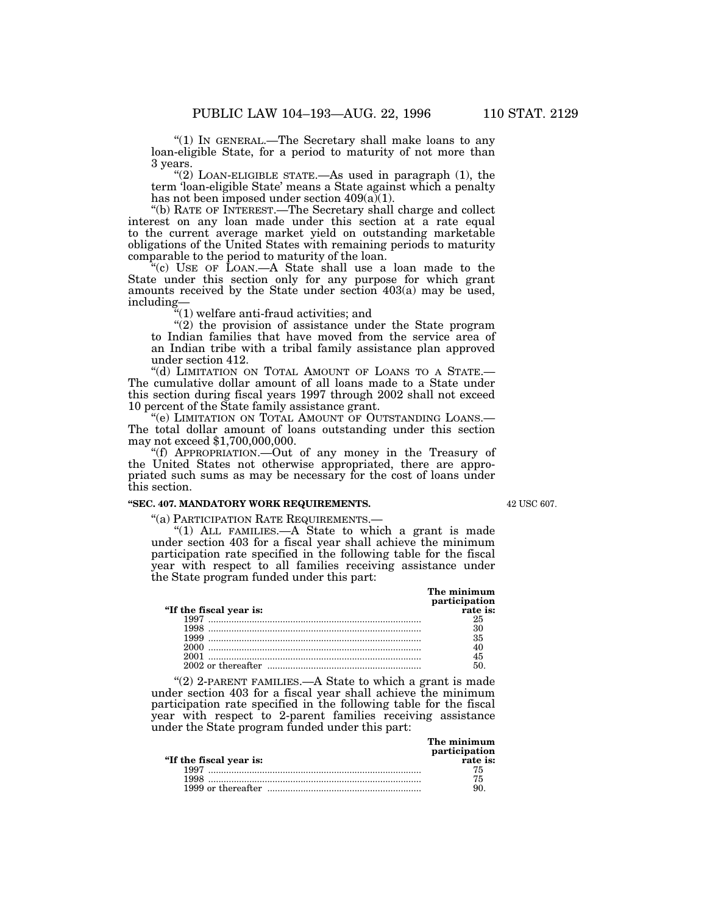''(1) IN GENERAL.—The Secretary shall make loans to any loan-eligible State, for a period to maturity of not more than 3 years.

"(2) LOAN-ELIGIBLE STATE.—As used in paragraph  $(1)$ , the term 'loan-eligible State' means a State against which a penalty has not been imposed under section  $409(a)(1)$ .

''(b) RATE OF INTEREST.—The Secretary shall charge and collect interest on any loan made under this section at a rate equal to the current average market yield on outstanding marketable obligations of the United States with remaining periods to maturity comparable to the period to maturity of the loan.

"(c) USE OF LOAN.—A State shall use a loan made to the State under this section only for any purpose for which grant amounts received by the State under section 403(a) may be used, including—

''(1) welfare anti-fraud activities; and

 $''(2)$  the provision of assistance under the State program to Indian families that have moved from the service area of an Indian tribe with a tribal family assistance plan approved under section 412.

"(d) LIMITATION ON TOTAL AMOUNT OF LOANS TO A STATE.-The cumulative dollar amount of all loans made to a State under this section during fiscal years 1997 through 2002 shall not exceed 10 percent of the State family assistance grant.

"(e) LIMITATION ON TOTAL AMOUNT OF OUTSTANDING LOANS.— The total dollar amount of loans outstanding under this section may not exceed \$1,700,000,000.

''(f) APPROPRIATION.—Out of any money in the Treasury of the United States not otherwise appropriated, there are appropriated such sums as may be necessary for the cost of loans under this section.

# **''SEC. 407. MANDATORY WORK REQUIREMENTS.**

42 USC 607.

''(a) PARTICIPATION RATE REQUIREMENTS.—

"(1) ALL FAMILIES.—A State to which a grant is made under section 403 for a fiscal year shall achieve the minimum participation rate specified in the following table for the fiscal year with respect to all families receiving assistance under the State program funded under this part:

|                         | The minimum<br>participation<br>rate is: |
|-------------------------|------------------------------------------|
| "If the fiscal year is: |                                          |
| 1997                    | 25                                       |
| 1998                    | 30                                       |
| 1999                    | 35                                       |
| 2000                    | 40                                       |
| 2001                    | 45                                       |
|                         |                                          |

"(2) 2-PARENT FAMILIES.—A State to which a grant is made under section 403 for a fiscal year shall achieve the minimum participation rate specified in the following table for the fiscal year with respect to 2-parent families receiving assistance under the State program funded under this part:

|                         | The minimum<br>participation |
|-------------------------|------------------------------|
| "If the fiscal year is: | rate is:                     |
| 1997                    | 75                           |
| 1998                    | 75                           |
|                         |                              |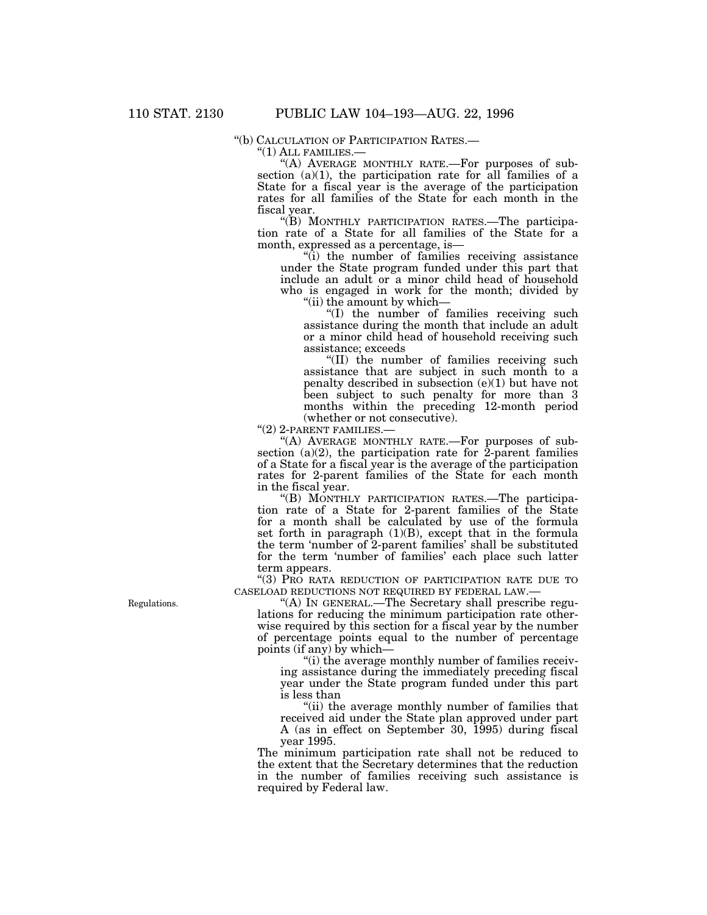''(b) CALCULATION OF PARTICIPATION RATES.— ''(1) ALL FAMILIES.— ''(A) AVERAGE MONTHLY RATE.—For purposes of subsection  $(a)(1)$ , the participation rate for all families of a State for a fiscal year is the average of the participation rates for all families of the State for each month in the fiscal year.

''(B) MONTHLY PARTICIPATION RATES.—The participation rate of a State for all families of the State for a month, expressed as a percentage, is—

''(i) the number of families receiving assistance under the State program funded under this part that include an adult or a minor child head of household who is engaged in work for the month; divided by

''(ii) the amount by which—

''(I) the number of families receiving such assistance during the month that include an adult or a minor child head of household receiving such assistance; exceeds

''(II) the number of families receiving such assistance that are subject in such month to a penalty described in subsection (e)(1) but have not been subject to such penalty for more than 3 months within the preceding 12-month period (whether or not consecutive).

"(2) 2-PARENT FAMILIES.-

"(A) AVERAGE MONTHLY RATE.—For purposes of subsection  $(a)(2)$ , the participation rate for 2-parent families of a State for a fiscal year is the average of the participation rates for 2-parent families of the State for each month in the fiscal year.

''(B) MONTHLY PARTICIPATION RATES.—The participation rate of a State for 2-parent families of the State for a month shall be calculated by use of the formula set forth in paragraph  $(1)(B)$ , except that in the formula the term 'number of 2-parent families' shall be substituted for the term 'number of families' each place such latter term appears.

''(3) PRO RATA REDUCTION OF PARTICIPATION RATE DUE TO CASELOAD REDUCTIONS NOT REQUIRED BY FEDERAL LAW.—

''(A) IN GENERAL.—The Secretary shall prescribe regulations for reducing the minimum participation rate otherwise required by this section for a fiscal year by the number of percentage points equal to the number of percentage points (if any) by which—

''(i) the average monthly number of families receiving assistance during the immediately preceding fiscal year under the State program funded under this part is less than

''(ii) the average monthly number of families that received aid under the State plan approved under part A (as in effect on September 30, 1995) during fiscal year 1995.

The minimum participation rate shall not be reduced to the extent that the Secretary determines that the reduction in the number of families receiving such assistance is required by Federal law.

Regulations.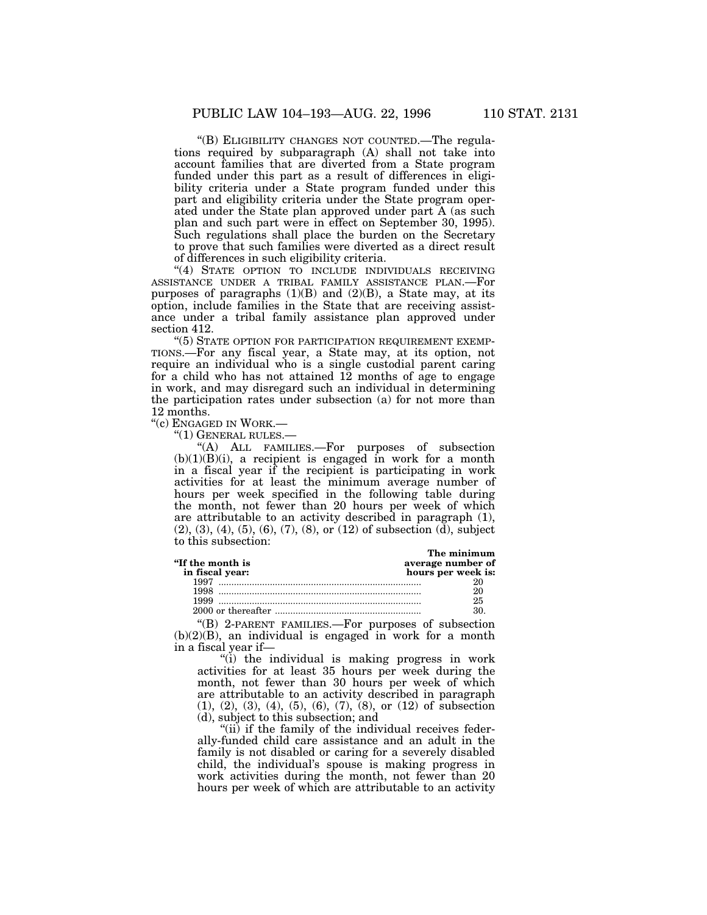''(B) ELIGIBILITY CHANGES NOT COUNTED.—The regulations required by subparagraph (A) shall not take into account families that are diverted from a State program funded under this part as a result of differences in eligibility criteria under a State program funded under this part and eligibility criteria under the State program operated under the State plan approved under part A (as such plan and such part were in effect on September 30, 1995). Such regulations shall place the burden on the Secretary to prove that such families were diverted as a direct result of differences in such eligibility criteria.

"(4) STATE OPTION TO INCLUDE INDIVIDUALS RECEIVING ASSISTANCE UNDER A TRIBAL FAMILY ASSISTANCE PLAN.—For purposes of paragraphs  $(1)(B)$  and  $(2)(B)$ , a State may, at its option, include families in the State that are receiving assistance under a tribal family assistance plan approved under section 412.

''(5) STATE OPTION FOR PARTICIPATION REQUIREMENT EXEMP-TIONS.—For any fiscal year, a State may, at its option, not require an individual who is a single custodial parent caring for a child who has not attained  $12$  months of age to engage in work, and may disregard such an individual in determining the participation rates under subsection (a) for not more than 12 months.

''(c) ENGAGED IN WORK.—

''(1) GENERAL RULES.—

''(A) ALL FAMILIES.—For purposes of subsection  $(b)(1)(B)(i)$ , a recipient is engaged in work for a month in a fiscal year if the recipient is participating in work activities for at least the minimum average number of hours per week specified in the following table during the month, not fewer than 20 hours per week of which are attributable to an activity described in paragraph (1),  $(2), (3), (4), (5), (6), (7), (8), or (12)$  of subsection (d), subject to this subsection:

|                  | The minimum                             |
|------------------|-----------------------------------------|
| "If the month is |                                         |
| in fiscal year:  | average number of<br>hours per week is: |
| 1997             |                                         |
| 1998             | 20                                      |
| 1999             | 25                                      |
|                  | 30.                                     |

"(B) 2-PARENT FAMILIES.—For purposes of subsection  $(b)(2)(B)$ , an individual is engaged in work for a month in a fiscal year if—

''(i) the individual is making progress in work activities for at least 35 hours per week during the month, not fewer than 30 hours per week of which are attributable to an activity described in paragraph (1), (2), (3), (4), (5), (6), (7), (8), or (12) of subsection (d), subject to this subsection; and

"(ii) if the family of the individual receives federally-funded child care assistance and an adult in the family is not disabled or caring for a severely disabled child, the individual's spouse is making progress in work activities during the month, not fewer than 20 hours per week of which are attributable to an activity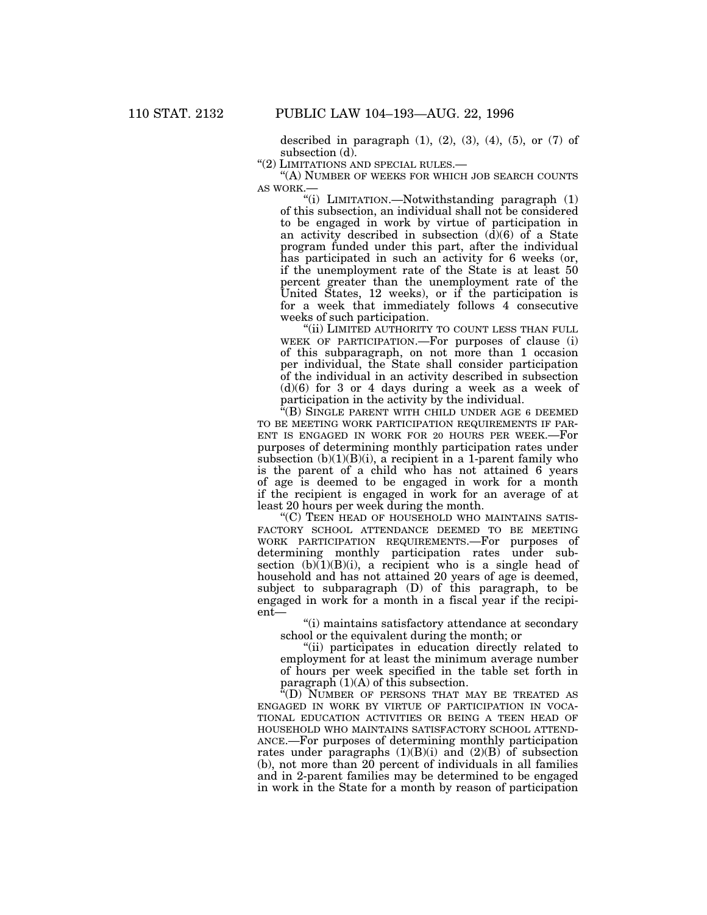described in paragraph  $(1)$ ,  $(2)$ ,  $(3)$ ,  $(4)$ ,  $(5)$ , or  $(7)$  of subsection (d).

''(2) LIMITATIONS AND SPECIAL RULES.—

''(A) NUMBER OF WEEKS FOR WHICH JOB SEARCH COUNTS AS WORK.—

''(i) LIMITATION.—Notwithstanding paragraph (1) of this subsection, an individual shall not be considered to be engaged in work by virtue of participation in an activity described in subsection  $(d)(6)$  of a State program funded under this part, after the individual has participated in such an activity for 6 weeks (or, if the unemployment rate of the State is at least 50 percent greater than the unemployment rate of the United States, 12 weeks), or if the participation is for a week that immediately follows 4 consecutive weeks of such participation.

"(ii) LIMITED AUTHORITY TO COUNT LESS THAN FULL WEEK OF PARTICIPATION.—For purposes of clause (i) of this subparagraph, on not more than 1 occasion per individual, the State shall consider participation of the individual in an activity described in subsection (d)(6) for 3 or 4 days during a week as a week of participation in the activity by the individual.

''(B) SINGLE PARENT WITH CHILD UNDER AGE 6 DEEMED TO BE MEETING WORK PARTICIPATION REQUIREMENTS IF PAR-ENT IS ENGAGED IN WORK FOR 20 HOURS PER WEEK.—For purposes of determining monthly participation rates under subsection  $(b)(1)(B)(i)$ , a recipient in a 1-parent family who is the parent of a child who has not attained 6 years of age is deemed to be engaged in work for a month if the recipient is engaged in work for an average of at least 20 hours per week during the month.

''(C) TEEN HEAD OF HOUSEHOLD WHO MAINTAINS SATIS-FACTORY SCHOOL ATTENDANCE DEEMED TO BE MEETING WORK PARTICIPATION REQUIREMENTS.—For purposes of determining monthly participation rates under subsection  $(b)(1)(B)(i)$ , a recipient who is a single head of household and has not attained 20 years of age is deemed, subject to subparagraph (D) of this paragraph, to be engaged in work for a month in a fiscal year if the recipient—

''(i) maintains satisfactory attendance at secondary school or the equivalent during the month; or

"(ii) participates in education directly related to employment for at least the minimum average number of hours per week specified in the table set forth in paragraph (1)(A) of this subsection.

''(D) NUMBER OF PERSONS THAT MAY BE TREATED AS ENGAGED IN WORK BY VIRTUE OF PARTICIPATION IN VOCA-TIONAL EDUCATION ACTIVITIES OR BEING A TEEN HEAD OF HOUSEHOLD WHO MAINTAINS SATISFACTORY SCHOOL ATTEND-ANCE.—For purposes of determining monthly participation rates under paragraphs  $(1)(B)(i)$  and  $(2)(B)$  of subsection (b), not more than 20 percent of individuals in all families and in 2-parent families may be determined to be engaged in work in the State for a month by reason of participation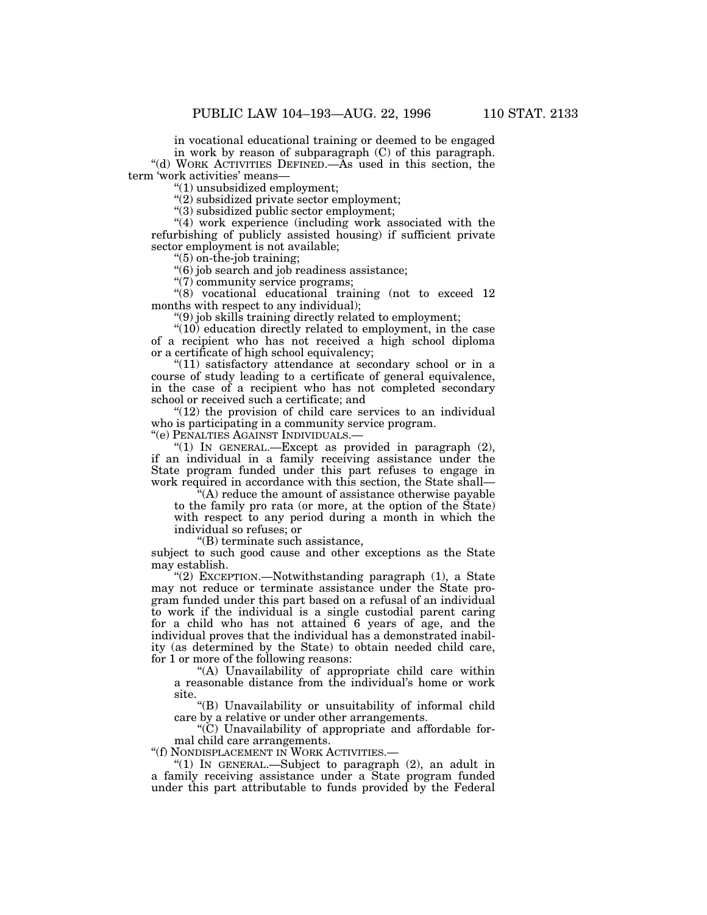in vocational educational training or deemed to be engaged

in work by reason of subparagraph (C) of this paragraph. ''(d) WORK ACTIVITIES DEFINED.—As used in this section, the term 'work activities' means—

''(1) unsubsidized employment;

''(2) subsidized private sector employment;

''(3) subsidized public sector employment;

 $(4)$  work experience (including work associated with the refurbishing of publicly assisted housing) if sufficient private sector employment is not available;

''(5) on-the-job training;

''(6) job search and job readiness assistance;

''(7) community service programs;

''(8) vocational educational training (not to exceed 12 months with respect to any individual);

''(9) job skills training directly related to employment;

"(10) education directly related to employment, in the case of a recipient who has not received a high school diploma or a certificate of high school equivalency;

"(11) satisfactory attendance at secondary school or in a course of study leading to a certificate of general equivalence, in the case of a recipient who has not completed secondary school or received such a certificate; and

 $(12)$  the provision of child care services to an individual who is participating in a community service program.

''(e) PENALTIES AGAINST INDIVIDUALS.—

"(1) IN GENERAL.—Except as provided in paragraph (2), if an individual in a family receiving assistance under the State program funded under this part refuses to engage in work required in accordance with this section, the State shall—

''(A) reduce the amount of assistance otherwise payable to the family pro rata (or more, at the option of the State) with respect to any period during a month in which the individual so refuses; or

''(B) terminate such assistance,

subject to such good cause and other exceptions as the State may establish.

"(2) EXCEPTION.—Notwithstanding paragraph (1), a State may not reduce or terminate assistance under the State program funded under this part based on a refusal of an individual to work if the individual is a single custodial parent caring for a child who has not attained 6 years of age, and the individual proves that the individual has a demonstrated inability (as determined by the State) to obtain needed child care, for 1 or more of the following reasons:

''(A) Unavailability of appropriate child care within a reasonable distance from the individual's home or work site.

''(B) Unavailability or unsuitability of informal child care by a relative or under other arrangements.

''(C) Unavailability of appropriate and affordable formal child care arrangements.

''(f) NONDISPLACEMENT IN WORK ACTIVITIES.—

" $(1)$  In GENERAL.—Subject to paragraph  $(2)$ , an adult in a family receiving assistance under a State program funded under this part attributable to funds provided by the Federal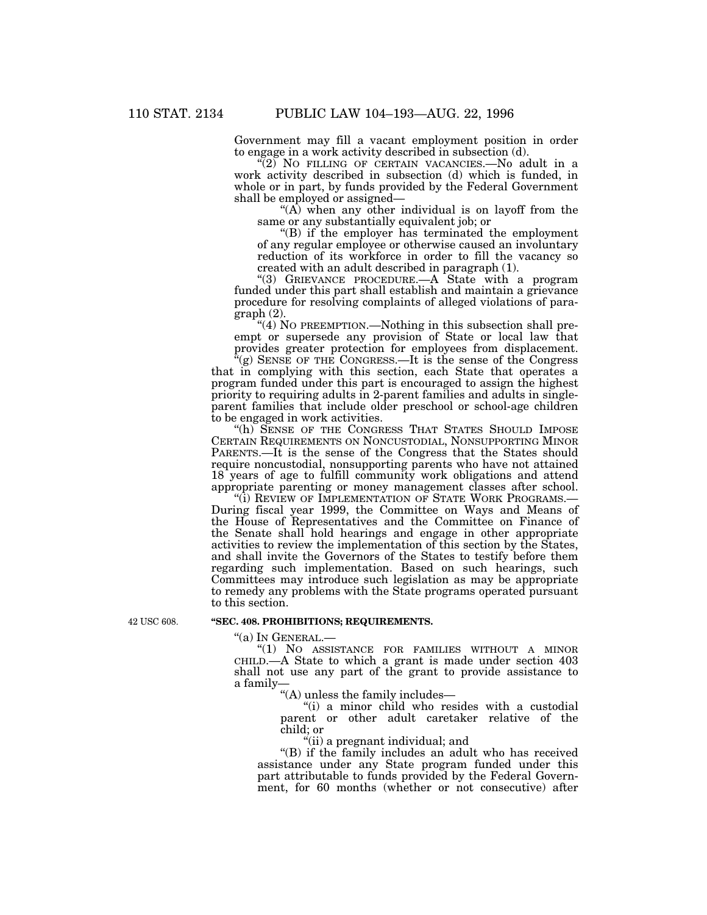Government may fill a vacant employment position in order to engage in a work activity described in subsection (d).

 $\sqrt{2}$  No FILLING OF CERTAIN VACANCIES.—No adult in a work activity described in subsection (d) which is funded, in whole or in part, by funds provided by the Federal Government shall be employed or assigned—

"(A) when any other individual is on layoff from the same or any substantially equivalent job; or

''(B) if the employer has terminated the employment of any regular employee or otherwise caused an involuntary reduction of its workforce in order to fill the vacancy so created with an adult described in paragraph (1).

''(3) GRIEVANCE PROCEDURE.—A State with a program funded under this part shall establish and maintain a grievance procedure for resolving complaints of alleged violations of paragraph (2).

''(4) NO PREEMPTION.—Nothing in this subsection shall preempt or supersede any provision of State or local law that provides greater protection for employees from displacement.

 $'(g)$  SENSE OF THE CONGRESS.—It is the sense of the Congress that in complying with this section, each State that operates a program funded under this part is encouraged to assign the highest priority to requiring adults in 2-parent families and adults in singleparent families that include older preschool or school-age children to be engaged in work activities.

''(h) SENSE OF THE CONGRESS THAT STATES SHOULD IMPOSE CERTAIN REQUIREMENTS ON NONCUSTODIAL, NONSUPPORTING MINOR PARENTS.—It is the sense of the Congress that the States should require noncustodial, nonsupporting parents who have not attained 18 years of age to fulfill community work obligations and attend appropriate parenting or money management classes after school.

''(i) REVIEW OF IMPLEMENTATION OF STATE WORK PROGRAMS.— During fiscal year 1999, the Committee on Ways and Means of the House of Representatives and the Committee on Finance of the Senate shall hold hearings and engage in other appropriate activities to review the implementation of this section by the States, and shall invite the Governors of the States to testify before them regarding such implementation. Based on such hearings, such Committees may introduce such legislation as may be appropriate to remedy any problems with the State programs operated pursuant to this section.

42 USC 608.

# **''SEC. 408. PROHIBITIONS; REQUIREMENTS.**

''(a) IN GENERAL.—

''(1) NO ASSISTANCE FOR FAMILIES WITHOUT A MINOR CHILD.—A State to which a grant is made under section 403 shall not use any part of the grant to provide assistance to a family—

''(A) unless the family includes—

''(i) a minor child who resides with a custodial parent or other adult caretaker relative of the child; or

''(ii) a pregnant individual; and

''(B) if the family includes an adult who has received assistance under any State program funded under this part attributable to funds provided by the Federal Government, for 60 months (whether or not consecutive) after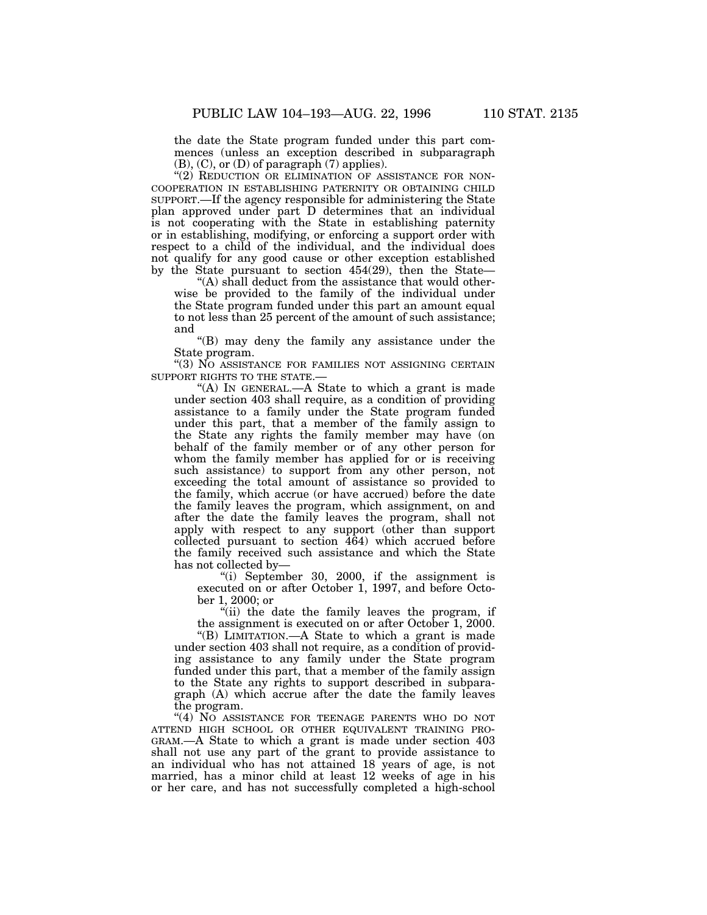the date the State program funded under this part commences (unless an exception described in subparagraph  $(B)$ ,  $(C)$ , or  $(D)$  of paragraph  $(7)$  applies).

"(2) REDUCTION OR ELIMINATION OF ASSISTANCE FOR NON-COOPERATION IN ESTABLISHING PATERNITY OR OBTAINING CHILD SUPPORT.—If the agency responsible for administering the State plan approved under part D determines that an individual is not cooperating with the State in establishing paternity or in establishing, modifying, or enforcing a support order with respect to a child of the individual, and the individual does not qualify for any good cause or other exception established by the State pursuant to section 454(29), then the State—

''(A) shall deduct from the assistance that would otherwise be provided to the family of the individual under the State program funded under this part an amount equal to not less than 25 percent of the amount of such assistance; and

''(B) may deny the family any assistance under the State program.

"(3) NO ASSISTANCE FOR FAMILIES NOT ASSIGNING CERTAIN SUPPORT RIGHTS TO THE STATE.—

''(A) IN GENERAL.—A State to which a grant is made under section 403 shall require, as a condition of providing assistance to a family under the State program funded under this part, that a member of the family assign to the State any rights the family member may have (on behalf of the family member or of any other person for whom the family member has applied for or is receiving such assistance) to support from any other person, not exceeding the total amount of assistance so provided to the family, which accrue (or have accrued) before the date the family leaves the program, which assignment, on and after the date the family leaves the program, shall not apply with respect to any support (other than support  $collected$  pursuant to section  $464$ ) which accrued before the family received such assistance and which the State has not collected by—

''(i) September 30, 2000, if the assignment is executed on or after October 1, 1997, and before October 1, 2000; or

''(ii) the date the family leaves the program, if the assignment is executed on or after October 1, 2000.

"(B) LIMITATION.—A State to which a grant is made under section 403 shall not require, as a condition of providing assistance to any family under the State program funded under this part, that a member of the family assign to the State any rights to support described in subparagraph (A) which accrue after the date the family leaves the program.

"(4) NO ASSISTANCE FOR TEENAGE PARENTS WHO DO NOT ATTEND HIGH SCHOOL OR OTHER EQUIVALENT TRAINING PRO-GRAM.—A State to which a grant is made under section 403 shall not use any part of the grant to provide assistance to an individual who has not attained 18 years of age, is not married, has a minor child at least 12 weeks of age in his or her care, and has not successfully completed a high-school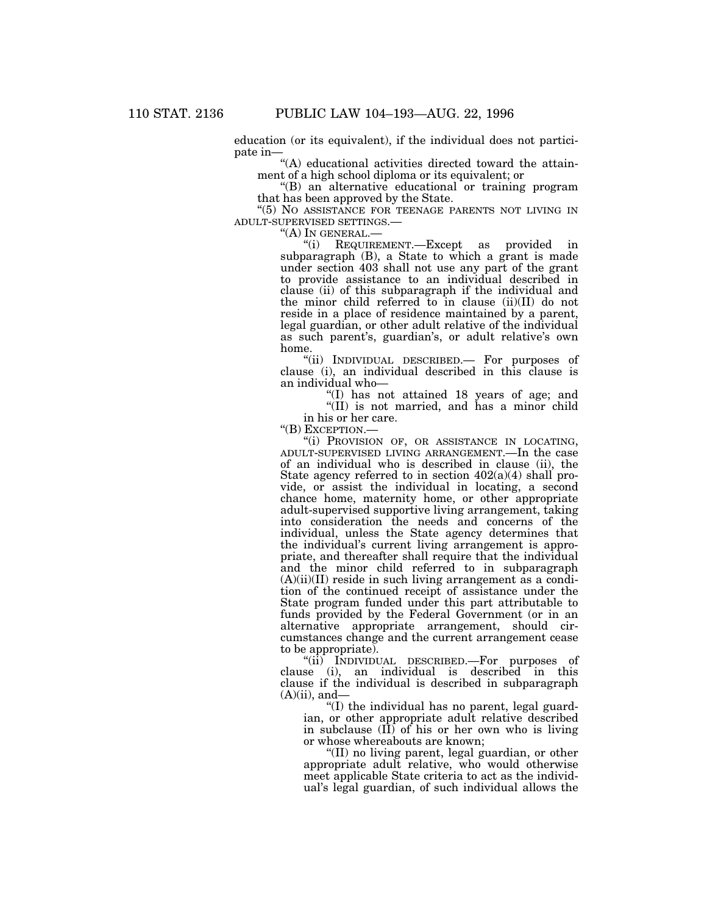education (or its equivalent), if the individual does not participate in—

"(A) educational activities directed toward the attainment of a high school diploma or its equivalent; or

''(B) an alternative educational or training program that has been approved by the State.

''(5) NO ASSISTANCE FOR TEENAGE PARENTS NOT LIVING IN ADULT-SUPERVISED SETTINGS.—

"(A) IN GENERAL.-<br>"(i) REQUIR

REQUIREMENT.-Except as provided in subparagraph (B), a State to which a grant is made under section 403 shall not use any part of the grant to provide assistance to an individual described in clause (ii) of this subparagraph if the individual and the minor child referred to in clause (ii)(II) do not reside in a place of residence maintained by a parent, legal guardian, or other adult relative of the individual as such parent's, guardian's, or adult relative's own home.

"(ii) INDIVIDUAL DESCRIBED. For purposes of clause (i), an individual described in this clause is an individual who—

''(I) has not attained 18 years of age; and  $\sqrt{\text{III}}$  is not married, and has a minor child

in his or her care.

''(B) EXCEPTION.—

''(i) PROVISION OF, OR ASSISTANCE IN LOCATING, ADULT-SUPERVISED LIVING ARRANGEMENT.—In the case of an individual who is described in clause (ii), the State agency referred to in section  $402(a)(4)$  shall provide, or assist the individual in locating, a second chance home, maternity home, or other appropriate adult-supervised supportive living arrangement, taking into consideration the needs and concerns of the individual, unless the State agency determines that the individual's current living arrangement is appropriate, and thereafter shall require that the individual and the minor child referred to in subparagraph  $(A)(ii)(II)$  reside in such living arrangement as a condition of the continued receipt of assistance under the State program funded under this part attributable to funds provided by the Federal Government (or in an alternative appropriate arrangement, should circumstances change and the current arrangement cease to be appropriate).

''(ii) INDIVIDUAL DESCRIBED.—For purposes of clause (i), an individual is described in this clause if the individual is described in subparagraph  $(A)(ii)$ , and-

''(I) the individual has no parent, legal guardian, or other appropriate adult relative described in subclause (II) of his or her own who is living or whose whereabouts are known;

''(II) no living parent, legal guardian, or other appropriate adult relative, who would otherwise meet applicable State criteria to act as the individual's legal guardian, of such individual allows the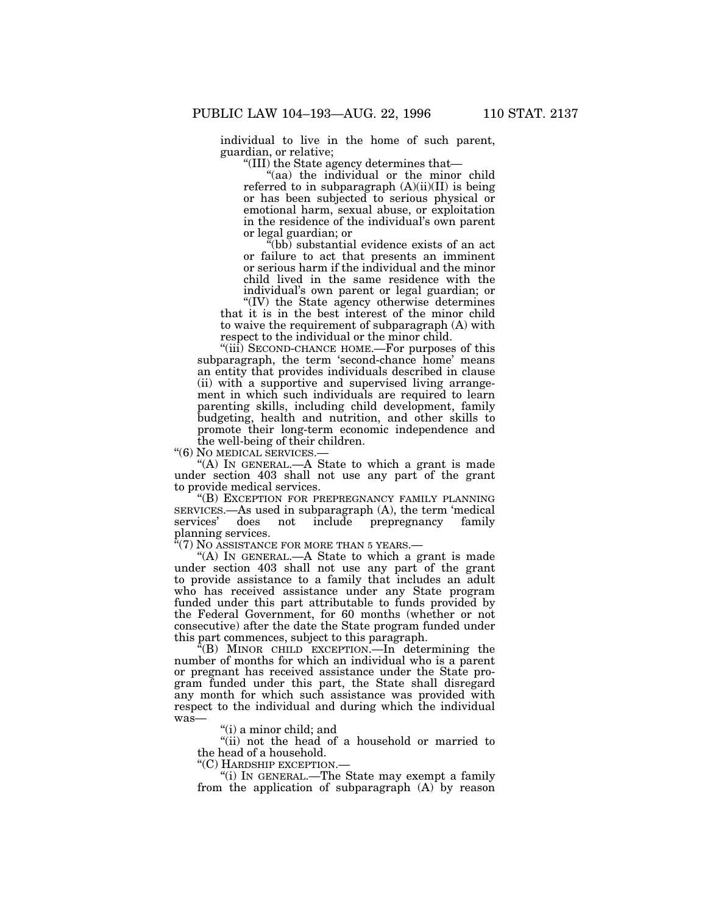individual to live in the home of such parent, guardian, or relative;

''(III) the State agency determines that—

"(aa) the individual or the minor child referred to in subparagraph (A)(ii)(II) is being or has been subjected to serious physical or emotional harm, sexual abuse, or exploitation in the residence of the individual's own parent or legal guardian; or

(bb) substantial evidence exists of an act or failure to act that presents an imminent or serious harm if the individual and the minor child lived in the same residence with the individual's own parent or legal guardian; or

''(IV) the State agency otherwise determines that it is in the best interest of the minor child to waive the requirement of subparagraph (A) with respect to the individual or the minor child.

"(iii) SECOND-CHANCE HOME.—For purposes of this subparagraph, the term 'second-chance home' means an entity that provides individuals described in clause (ii) with a supportive and supervised living arrangement in which such individuals are required to learn parenting skills, including child development, family budgeting, health and nutrition, and other skills to promote their long-term economic independence and the well-being of their children.

''(6) NO MEDICAL SERVICES.—

''(A) IN GENERAL.—A State to which a grant is made under section 403 shall not use any part of the grant to provide medical services.

''(B) EXCEPTION FOR PREPREGNANCY FAMILY PLANNING SERVICES.—As used in subparagraph (A), the term 'medical include prepregnancy planning services.

 $\mathbf{F}(7)$  No assistance for more than 5 years.—

''(A) IN GENERAL.—A State to which a grant is made under section 403 shall not use any part of the grant to provide assistance to a family that includes an adult who has received assistance under any State program funded under this part attributable to funds provided by the Federal Government, for 60 months (whether or not consecutive) after the date the State program funded under this part commences, subject to this paragraph.

''(B) MINOR CHILD EXCEPTION.—In determining the number of months for which an individual who is a parent or pregnant has received assistance under the State program funded under this part, the State shall disregard any month for which such assistance was provided with respect to the individual and during which the individual was—

''(i) a minor child; and

''(ii) not the head of a household or married to the head of a household.

''(C) HARDSHIP EXCEPTION.—

''(i) IN GENERAL.—The State may exempt a family from the application of subparagraph  $(A)$  by reason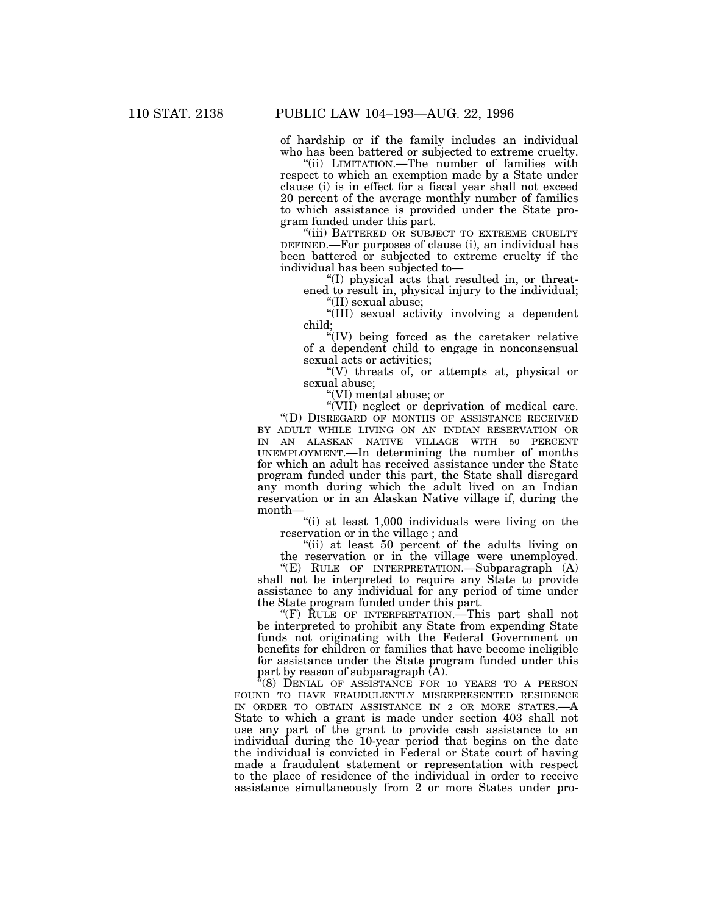of hardship or if the family includes an individual who has been battered or subjected to extreme cruelty.

"(ii) LIMITATION.—The number of families with respect to which an exemption made by a State under clause (i) is in effect for a fiscal year shall not exceed 20 percent of the average monthly number of families to which assistance is provided under the State program funded under this part.

"(iii) BATTERED OR SUBJECT TO EXTREME CRUELTY DEFINED.—For purposes of clause (i), an individual has been battered or subjected to extreme cruelty if the individual has been subjected to—

''(I) physical acts that resulted in, or threatened to result in, physical injury to the individual; ''(II) sexual abuse;

''(III) sexual activity involving a dependent child;

"(IV) being forced as the caretaker relative of a dependent child to engage in nonconsensual sexual acts or activities;

''(V) threats of, or attempts at, physical or sexual abuse;

''(VI) mental abuse; or

''(VII) neglect or deprivation of medical care.

''(D) DISREGARD OF MONTHS OF ASSISTANCE RECEIVED BY ADULT WHILE LIVING ON AN INDIAN RESERVATION OR IN AN ALASKAN NATIVE VILLAGE WITH 50 PERCENT UNEMPLOYMENT.—In determining the number of months for which an adult has received assistance under the State program funded under this part, the State shall disregard any month during which the adult lived on an Indian reservation or in an Alaskan Native village if, during the month—

"(i) at least 1,000 individuals were living on the reservation or in the village ; and

"(ii) at least 50 percent of the adults living on the reservation or in the village were unemployed.

''(E) RULE OF INTERPRETATION.—Subparagraph (A) shall not be interpreted to require any State to provide assistance to any individual for any period of time under the State program funded under this part.

"(F) RULE OF INTERPRETATION.—This part shall not be interpreted to prohibit any State from expending State funds not originating with the Federal Government on benefits for children or families that have become ineligible for assistance under the State program funded under this part by reason of subparagraph (A).

 $F(8)$  DENIAL OF ASSISTANCE FOR 10 YEARS TO A PERSON FOUND TO HAVE FRAUDULENTLY MISREPRESENTED RESIDENCE IN ORDER TO OBTAIN ASSISTANCE IN 2 OR MORE STATES.—A State to which a grant is made under section 403 shall not use any part of the grant to provide cash assistance to an individual during the 10-year period that begins on the date the individual is convicted in Federal or State court of having made a fraudulent statement or representation with respect to the place of residence of the individual in order to receive assistance simultaneously from 2 or more States under pro-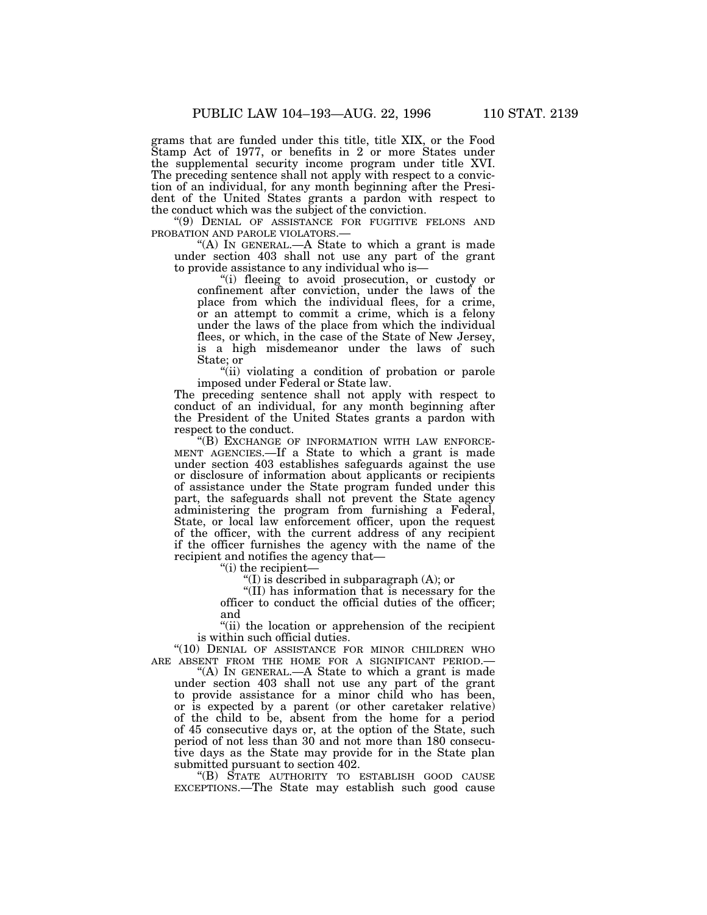grams that are funded under this title, title XIX, or the Food Stamp Act of 1977, or benefits in 2 or more States under the supplemental security income program under title XVI. The preceding sentence shall not apply with respect to a conviction of an individual, for any month beginning after the President of the United States grants a pardon with respect to the conduct which was the subject of the conviction.

''(9) DENIAL OF ASSISTANCE FOR FUGITIVE FELONS AND PROBATION AND PAROLE VIOLATORS.—

''(A) IN GENERAL.—A State to which a grant is made under section 403 shall not use any part of the grant to provide assistance to any individual who is—

''(i) fleeing to avoid prosecution, or custody or confinement after conviction, under the laws of the place from which the individual flees, for a crime, or an attempt to commit a crime, which is a felony under the laws of the place from which the individual flees, or which, in the case of the State of New Jersey, is a high misdemeanor under the laws of such State; or

''(ii) violating a condition of probation or parole imposed under Federal or State law.

The preceding sentence shall not apply with respect to conduct of an individual, for any month beginning after the President of the United States grants a pardon with respect to the conduct.

''(B) EXCHANGE OF INFORMATION WITH LAW ENFORCE-MENT AGENCIES.—If a State to which a grant is made under section 403 establishes safeguards against the use or disclosure of information about applicants or recipients of assistance under the State program funded under this part, the safeguards shall not prevent the State agency administering the program from furnishing a Federal, State, or local law enforcement officer, upon the request of the officer, with the current address of any recipient if the officer furnishes the agency with the name of the recipient and notifies the agency that—

''(i) the recipient—

 $f(I)$  is described in subparagraph  $(A)$ ; or

''(II) has information that is necessary for the officer to conduct the official duties of the officer; and

''(ii) the location or apprehension of the recipient is within such official duties.

''(10) DENIAL OF ASSISTANCE FOR MINOR CHILDREN WHO ARE ABSENT FROM THE HOME FOR A SIGNIFICANT PERIOD.—

"(A) IN GENERAL.—A State to which a grant is made under section 403 shall not use any part of the grant to provide assistance for a minor child who has been, or is expected by a parent (or other caretaker relative) of the child to be, absent from the home for a period of 45 consecutive days or, at the option of the State, such period of not less than 30 and not more than 180 consecutive days as the State may provide for in the State plan submitted pursuant to section 402.

''(B) STATE AUTHORITY TO ESTABLISH GOOD CAUSE EXCEPTIONS.—The State may establish such good cause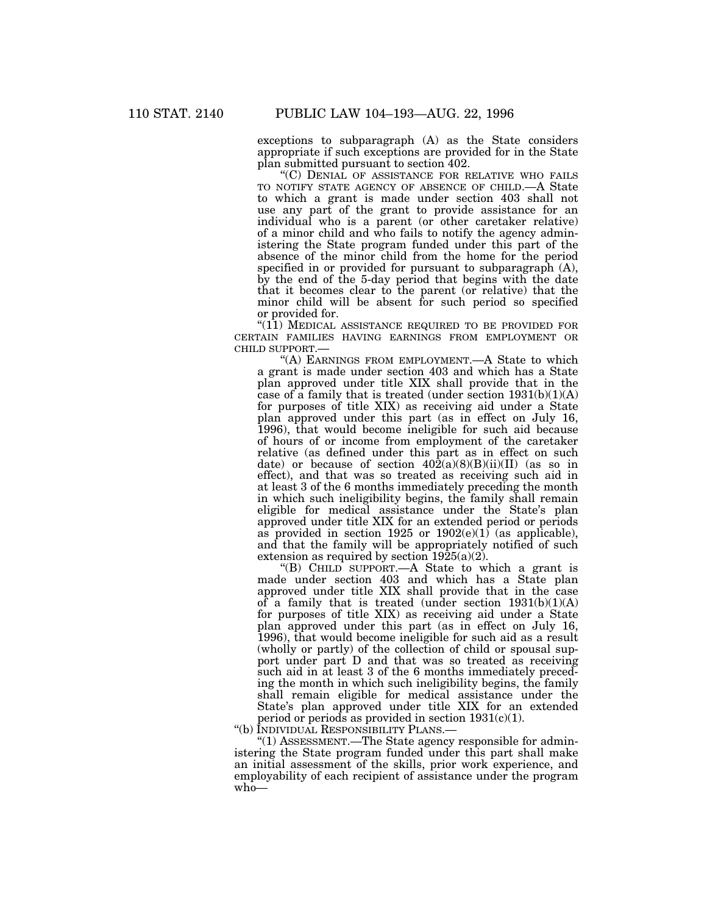exceptions to subparagraph (A) as the State considers appropriate if such exceptions are provided for in the State plan submitted pursuant to section 402.

''(C) DENIAL OF ASSISTANCE FOR RELATIVE WHO FAILS TO NOTIFY STATE AGENCY OF ABSENCE OF CHILD.—A State to which a grant is made under section 403 shall not use any part of the grant to provide assistance for an individual who is a parent (or other caretaker relative) of a minor child and who fails to notify the agency administering the State program funded under this part of the absence of the minor child from the home for the period specified in or provided for pursuant to subparagraph (A), by the end of the 5-day period that begins with the date that it becomes clear to the parent (or relative) that the minor child will be absent for such period so specified or provided for.

 $!(1)$  MEDICAL ASSISTANCE REQUIRED TO BE PROVIDED FOR CERTAIN FAMILIES HAVING EARNINGS FROM EMPLOYMENT OR CHILD SUPPORT.—

"(A) EARNINGS FROM EMPLOYMENT.—A State to which a grant is made under section 403 and which has a State plan approved under title XIX shall provide that in the case of a family that is treated (under section 1931(b)(1)(A) for purposes of title XIX) as receiving aid under a State plan approved under this part (as in effect on July 16, 1996), that would become ineligible for such aid because of hours of or income from employment of the caretaker relative (as defined under this part as in effect on such date) or because of section  $402(a)(8)(B)(ii)(II)$  (as so in effect), and that was so treated as receiving such aid in at least 3 of the 6 months immediately preceding the month in which such ineligibility begins, the family shall remain eligible for medical assistance under the State's plan approved under title XIX for an extended period or periods as provided in section 1925 or  $1902(e)(1)$  (as applicable), and that the family will be appropriately notified of such extension as required by section  $1925(a)(2)$ .

''(B) CHILD SUPPORT.—A State to which a grant is made under section 403 and which has a State plan approved under title XIX shall provide that in the case of a family that is treated (under section  $1931(b)(1)(A)$ for purposes of title XIX) as receiving aid under a State plan approved under this part (as in effect on July 16, 1996), that would become ineligible for such aid as a result (wholly or partly) of the collection of child or spousal support under part D and that was so treated as receiving such aid in at least 3 of the 6 months immediately preceding the month in which such ineligibility begins, the family shall remain eligible for medical assistance under the State's plan approved under title XIX for an extended period or periods as provided in section 1931(c)(1).

''(b) INDIVIDUAL RESPONSIBILITY PLANS.—

''(1) ASSESSMENT.—The State agency responsible for administering the State program funded under this part shall make an initial assessment of the skills, prior work experience, and employability of each recipient of assistance under the program  $wh_0$ —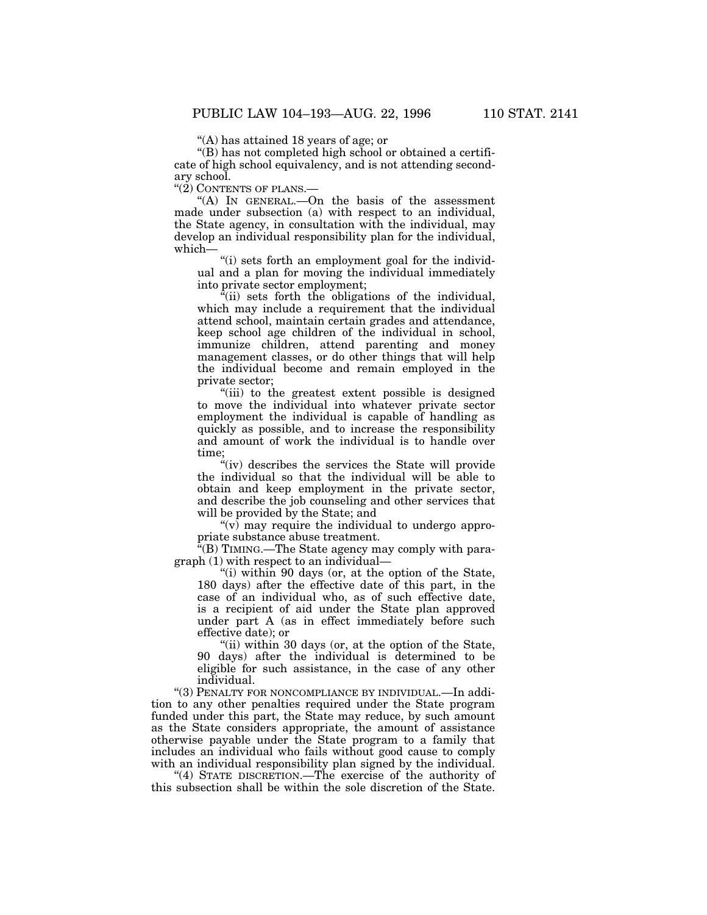''(A) has attained 18 years of age; or

''(B) has not completed high school or obtained a certificate of high school equivalency, and is not attending secondary school.

" $(2)$  CONTENTS OF PLANS.—

''(A) IN GENERAL.—On the basis of the assessment made under subsection (a) with respect to an individual, the State agency, in consultation with the individual, may develop an individual responsibility plan for the individual, which—

"(i) sets forth an employment goal for the individual and a plan for moving the individual immediately into private sector employment;

"(ii) sets forth the obligations of the individual, which may include a requirement that the individual attend school, maintain certain grades and attendance, keep school age children of the individual in school, immunize children, attend parenting and money management classes, or do other things that will help the individual become and remain employed in the private sector;

''(iii) to the greatest extent possible is designed to move the individual into whatever private sector employment the individual is capable of handling as quickly as possible, and to increase the responsibility and amount of work the individual is to handle over time;

"(iv) describes the services the State will provide the individual so that the individual will be able to obtain and keep employment in the private sector, and describe the job counseling and other services that will be provided by the State; and

''(v) may require the individual to undergo appropriate substance abuse treatment.

"(B) TIMING.—The State agency may comply with paragraph (1) with respect to an individual—

''(i) within 90 days (or, at the option of the State, 180 days) after the effective date of this part, in the case of an individual who, as of such effective date, is a recipient of aid under the State plan approved under part A (as in effect immediately before such effective date); or

''(ii) within 30 days (or, at the option of the State, 90 days) after the individual is determined to be eligible for such assistance, in the case of any other individual.

''(3) PENALTY FOR NONCOMPLIANCE BY INDIVIDUAL.—In addition to any other penalties required under the State program funded under this part, the State may reduce, by such amount as the State considers appropriate, the amount of assistance otherwise payable under the State program to a family that includes an individual who fails without good cause to comply with an individual responsibility plan signed by the individual.

"(4) STATE DISCRETION.—The exercise of the authority of this subsection shall be within the sole discretion of the State.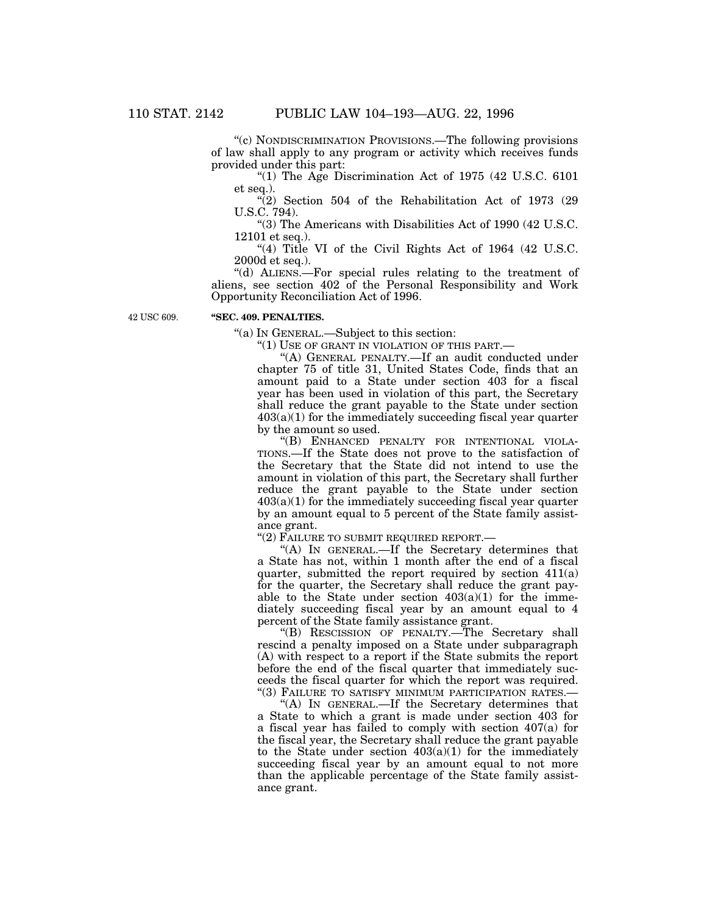''(c) NONDISCRIMINATION PROVISIONS.—The following provisions of law shall apply to any program or activity which receives funds provided under this part:

"(1) The Age Discrimination Act of  $1975$  (42 U.S.C. 6101) et seq.).

"(2) Section 504 of the Rehabilitation Act of 1973 (29) U.S.C. 794).

"(3) The Americans with Disabilities Act of 1990 (42 U.S.C. 12101 et seq.).

"(4) Title VI of the Civil Rights Act of  $1964$  (42 U.S.C.) 2000d et seq.).

''(d) ALIENS.—For special rules relating to the treatment of aliens, see section 402 of the Personal Responsibility and Work Opportunity Reconciliation Act of 1996.

42 USC 609.

### **''SEC. 409. PENALTIES.**

''(a) IN GENERAL.—Subject to this section:

''(1) USE OF GRANT IN VIOLATION OF THIS PART.—

''(A) GENERAL PENALTY.—If an audit conducted under chapter 75 of title 31, United States Code, finds that an amount paid to a State under section 403 for a fiscal year has been used in violation of this part, the Secretary shall reduce the grant payable to the State under section  $403(a)(1)$  for the immediately succeeding fiscal year quarter by the amount so used.

''(B) ENHANCED PENALTY FOR INTENTIONAL VIOLA-TIONS.—If the State does not prove to the satisfaction of the Secretary that the State did not intend to use the amount in violation of this part, the Secretary shall further reduce the grant payable to the State under section  $403(a)(1)$  for the immediately succeeding fiscal year quarter by an amount equal to 5 percent of the State family assistance grant.

''(2) FAILURE TO SUBMIT REQUIRED REPORT.—

''(A) IN GENERAL.—If the Secretary determines that a State has not, within 1 month after the end of a fiscal quarter, submitted the report required by section 411(a) for the quarter, the Secretary shall reduce the grant payable to the State under section  $403(a)(1)$  for the immediately succeeding fiscal year by an amount equal to 4 percent of the State family assistance grant.

''(B) RESCISSION OF PENALTY.—The Secretary shall rescind a penalty imposed on a State under subparagraph (A) with respect to a report if the State submits the report before the end of the fiscal quarter that immediately succeeds the fiscal quarter for which the report was required. "(3) FAILURE TO SATISFY MINIMUM PARTICIPATION RATES.-

"(A) IN GENERAL.—If the Secretary determines that a State to which a grant is made under section 403 for a fiscal year has failed to comply with section 407(a) for the fiscal year, the Secretary shall reduce the grant payable to the State under section  $403(a)(1)$  for the immediately succeeding fiscal year by an amount equal to not more than the applicable percentage of the State family assistance grant.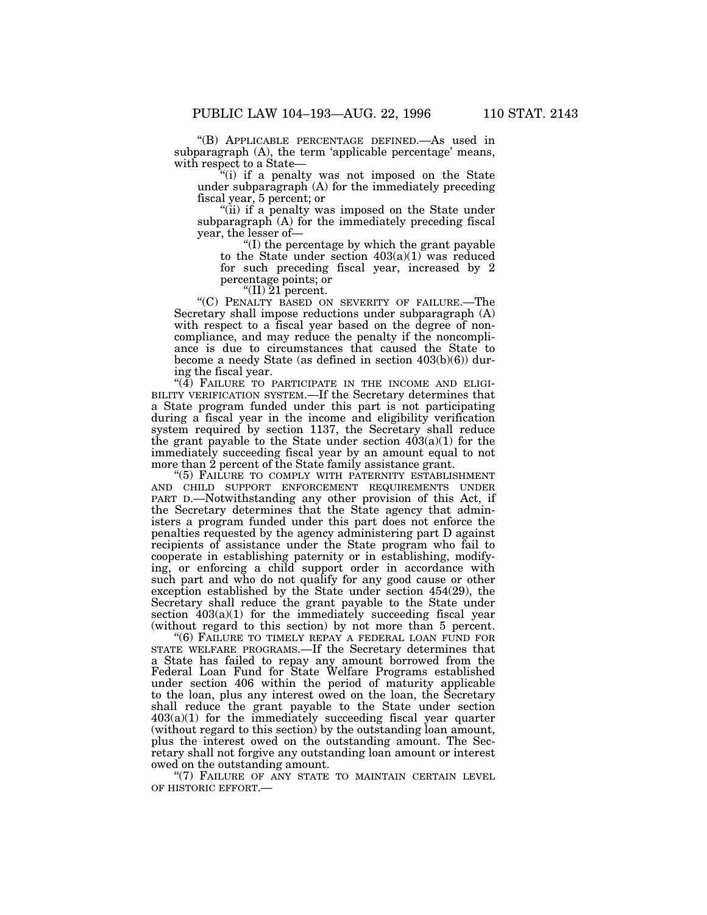''(B) APPLICABLE PERCENTAGE DEFINED.—As used in subparagraph (A), the term 'applicable percentage' means, with respect to a State—

''(i) if a penalty was not imposed on the State under subparagraph (A) for the immediately preceding fiscal year, 5 percent; or

''(ii) if a penalty was imposed on the State under subparagraph (A) for the immediately preceding fiscal year, the lesser of—

''(I) the percentage by which the grant payable to the State under section  $403(a)(1)$  was reduced for such preceding fiscal year, increased by 2 percentage points; or

''(II) 21 percent.

''(C) PENALTY BASED ON SEVERITY OF FAILURE.—The Secretary shall impose reductions under subparagraph (A) with respect to a fiscal year based on the degree of noncompliance, and may reduce the penalty if the noncompliance is due to circumstances that caused the State to become a needy State (as defined in section 403(b)(6)) during the fiscal year.

 $(4)$  FAILURE TO PARTICIPATE IN THE INCOME AND ELIGI-BILITY VERIFICATION SYSTEM.—If the Secretary determines that a State program funded under this part is not participating during a fiscal year in the income and eligibility verification system required by section 1137, the Secretary shall reduce the grant payable to the State under section  $403(a)(1)$  for the immediately succeeding fiscal year by an amount equal to not more than 2 percent of the State family assistance grant.

''(5) FAILURE TO COMPLY WITH PATERNITY ESTABLISHMENT AND CHILD SUPPORT ENFORCEMENT REQUIREMENTS UNDER PART D.—Notwithstanding any other provision of this Act, if the Secretary determines that the State agency that administers a program funded under this part does not enforce the penalties requested by the agency administering part D against recipients of assistance under the State program who fail to cooperate in establishing paternity or in establishing, modifying, or enforcing a child support order in accordance with such part and who do not qualify for any good cause or other exception established by the State under section 454(29), the Secretary shall reduce the grant payable to the State under section  $403(a)(1)$  for the immediately succeeding fiscal year (without regard to this section) by not more than 5 percent.

"(6) FAILURE TO TIMELY REPAY A FEDERAL LOAN FUND FOR STATE WELFARE PROGRAMS.—If the Secretary determines that a State has failed to repay any amount borrowed from the Federal Loan Fund for State Welfare Programs established under section 406 within the period of maturity applicable to the loan, plus any interest owed on the loan, the Secretary shall reduce the grant payable to the State under section  $403(a)(1)$  for the immediately succeeding fiscal year quarter (without regard to this section) by the outstanding loan amount, plus the interest owed on the outstanding amount. The Secretary shall not forgive any outstanding loan amount or interest owed on the outstanding amount.

"(7) FAILURE OF ANY STATE TO MAINTAIN CERTAIN LEVEL OF HISTORIC EFFORT.—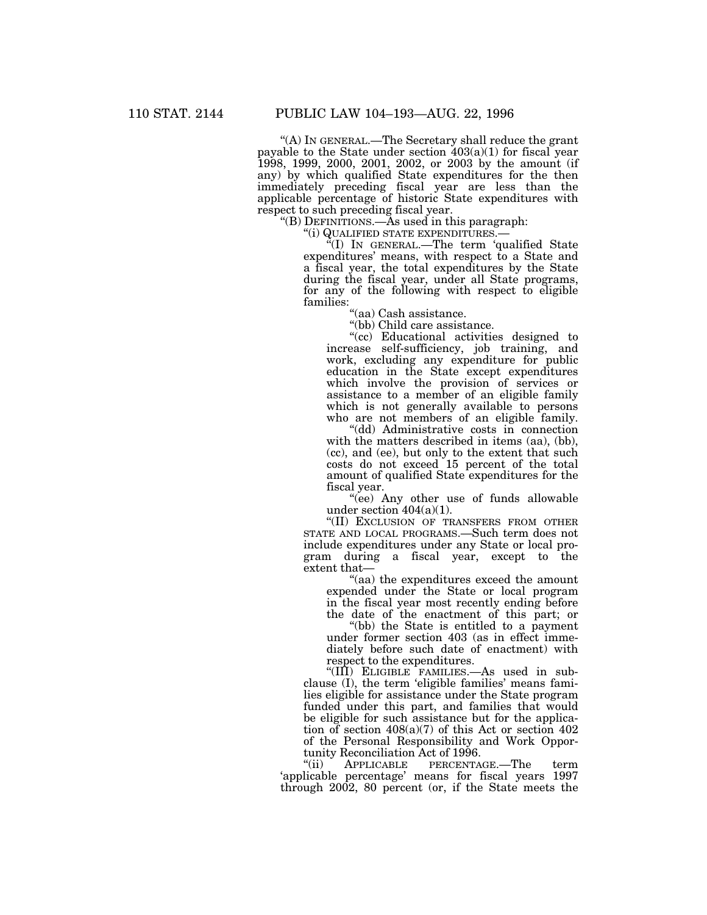''(A) IN GENERAL.—The Secretary shall reduce the grant payable to the State under section  $403(a)(1)$  for fiscal year 1998, 1999, 2000, 2001, 2002, or 2003 by the amount (if any) by which qualified State expenditures for the then immediately preceding fiscal year are less than the applicable percentage of historic State expenditures with respect to such preceding fiscal year.

''(B) DEFINITIONS.—As used in this paragraph:

"(i) QUALIFIED STATE EXPENDITURES.-

''(I) IN GENERAL.—The term 'qualified State expenditures' means, with respect to a State and a fiscal year, the total expenditures by the State during the fiscal year, under all State programs, for any of the following with respect to eligible families:

''(aa) Cash assistance.

"(bb) Child care assistance.

''(cc) Educational activities designed to increase self-sufficiency, job training, and work, excluding any expenditure for public education in the State except expenditures which involve the provision of services or assistance to a member of an eligible family which is not generally available to persons who are not members of an eligible family.

''(dd) Administrative costs in connection with the matters described in items (aa), (bb), (cc), and (ee), but only to the extent that such costs do not exceed 15 percent of the total amount of qualified State expenditures for the fiscal year.

"(ee) Any other use of funds allowable under section  $404(a)(1)$ .

''(II) EXCLUSION OF TRANSFERS FROM OTHER STATE AND LOCAL PROGRAMS.—Such term does not include expenditures under any State or local program during a fiscal year, except to the extent that—

''(aa) the expenditures exceed the amount expended under the State or local program in the fiscal year most recently ending before the date of the enactment of this part; or

''(bb) the State is entitled to a payment under former section 403 (as in effect immediately before such date of enactment) with respect to the expenditures.

''(III) ELIGIBLE FAMILIES.—As used in subclause (I), the term 'eligible families' means families eligible for assistance under the State program funded under this part, and families that would be eligible for such assistance but for the application of section  $408(a)(7)$  of this Act or section  $402$ of the Personal Responsibility and Work Opportunity Reconciliation Act of 1996.<br>
"(ii) APPLICABLE PERCENTA

APPLICABLE PERCENTAGE.—The term 'applicable percentage' means for fiscal years 1997 through 2002, 80 percent (or, if the State meets the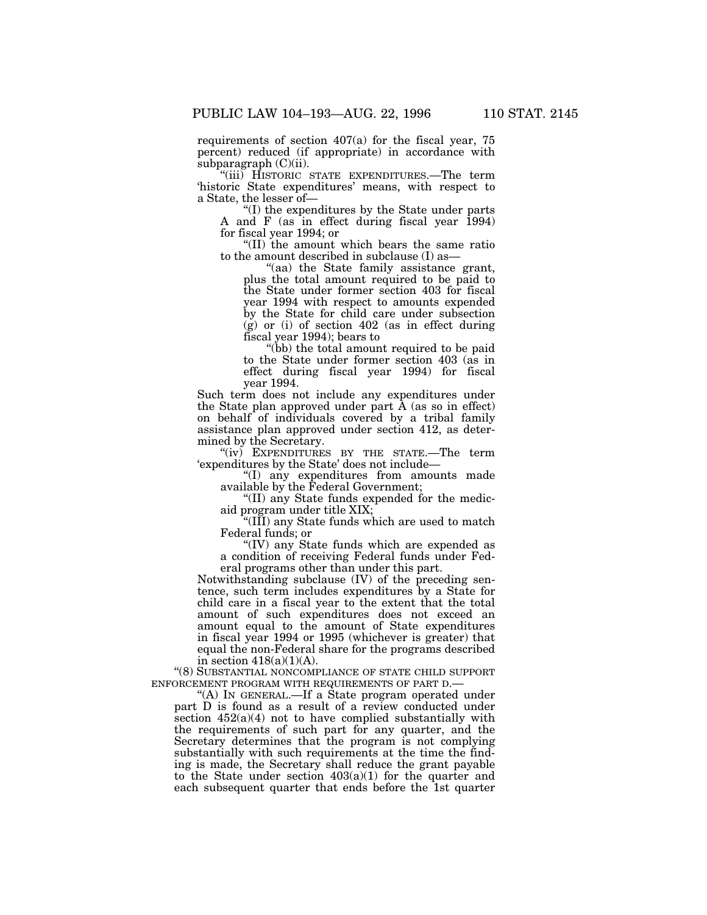requirements of section 407(a) for the fiscal year, 75 percent) reduced (if appropriate) in accordance with subparagraph  $(C)(ii)$ .

''(iii) HISTORIC STATE EXPENDITURES.—The term 'historic State expenditures' means, with respect to a State, the lesser of—

''(I) the expenditures by the State under parts A and F (as in effect during fiscal year 1994) for fiscal year 1994; or

''(II) the amount which bears the same ratio to the amount described in subclause (I) as—

''(aa) the State family assistance grant, plus the total amount required to be paid to the State under former section 403 for fiscal year 1994 with respect to amounts expended by the State for child care under subsection (g) or (i) of section 402 (as in effect during fiscal year 1994); bears to

''(bb) the total amount required to be paid to the State under former section 403 (as in effect during fiscal year 1994) for fiscal year 1994.

Such term does not include any expenditures under the State plan approved under part  $\bar{A}$  (as so in effect) on behalf of individuals covered by a tribal family assistance plan approved under section 412, as determined by the Secretary.

"(iv) EXPENDITURES BY THE STATE.—The term 'expenditures by the State' does not include—

''(I) any expenditures from amounts made available by the Federal Government;

''(II) any State funds expended for the medicaid program under title XIX;

''(III) any State funds which are used to match Federal funds; or

''(IV) any State funds which are expended as a condition of receiving Federal funds under Federal programs other than under this part.

Notwithstanding subclause (IV) of the preceding sentence, such term includes expenditures by a State for child care in a fiscal year to the extent that the total amount of such expenditures does not exceed an amount equal to the amount of State expenditures in fiscal year 1994 or 1995 (whichever is greater) that equal the non-Federal share for the programs described in section  $418(a)(1)(A)$ .

''(8) SUBSTANTIAL NONCOMPLIANCE OF STATE CHILD SUPPORT ENFORCEMENT PROGRAM WITH REQUIREMENTS OF PART D.—

"(A) In GENERAL.—If a State program operated under part D is found as a result of a review conducted under  $section 452(a)(4)$  not to have complied substantially with the requirements of such part for any quarter, and the Secretary determines that the program is not complying substantially with such requirements at the time the finding is made, the Secretary shall reduce the grant payable to the State under section  $403(a)(1)$  for the quarter and each subsequent quarter that ends before the 1st quarter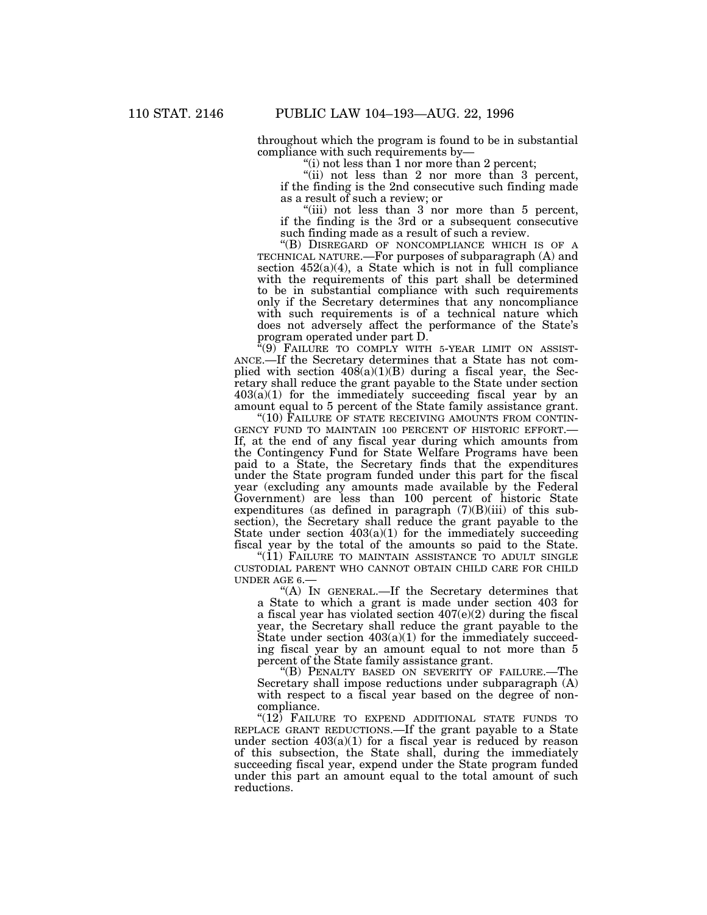throughout which the program is found to be in substantial compliance with such requirements by—

''(i) not less than 1 nor more than 2 percent;

"(ii) not less than 2 nor more than 3 percent, if the finding is the 2nd consecutive such finding made as a result of such a review; or

''(iii) not less than 3 nor more than 5 percent, if the finding is the 3rd or a subsequent consecutive such finding made as a result of such a review.

''(B) DISREGARD OF NONCOMPLIANCE WHICH IS OF A TECHNICAL NATURE.—For purposes of subparagraph (A) and section 452(a)(4), a State which is not in full compliance with the requirements of this part shall be determined to be in substantial compliance with such requirements only if the Secretary determines that any noncompliance with such requirements is of a technical nature which does not adversely affect the performance of the State's program operated under part D.

"(9) FAILURE TO COMPLY WITH 5-YEAR LIMIT ON ASSIST-ANCE.—If the Secretary determines that a State has not complied with section  $408(a)(1)(B)$  during a fiscal year, the Secretary shall reduce the grant payable to the State under section  $403(\mathring{a})(1)$  for the immediately succeeding fiscal year by an amount equal to 5 percent of the State family assistance grant.

"(10) FAILURE OF STATE RECEIVING AMOUNTS FROM CONTIN-GENCY FUND TO MAINTAIN 100 PERCENT OF HISTORIC EFFORT.— If, at the end of any fiscal year during which amounts from the Contingency Fund for State Welfare Programs have been paid to a State, the Secretary finds that the expenditures under the State program funded under this part for the fiscal year (excluding any amounts made available by the Federal Government) are less than 100 percent of historic State expenditures (as defined in paragraph  $(7)(B)(iii)$  of this subsection), the Secretary shall reduce the grant payable to the State under section  $403(a)(1)$  for the immediately succeeding fiscal year by the total of the amounts so paid to the State.

"(11) FAILURE TO MAINTAIN ASSISTANCE TO ADULT SINGLE CUSTODIAL PARENT WHO CANNOT OBTAIN CHILD CARE FOR CHILD UNDER AGE 6.—

''(A) IN GENERAL.—If the Secretary determines that a State to which a grant is made under section 403 for a fiscal year has violated section 407(e)(2) during the fiscal year, the Secretary shall reduce the grant payable to the State under section 403(a)(1) for the immediately succeeding fiscal year by an amount equal to not more than 5 percent of the State family assistance grant.

''(B) PENALTY BASED ON SEVERITY OF FAILURE.—The Secretary shall impose reductions under subparagraph (A) with respect to a fiscal year based on the degree of noncompliance.

"(12) FAILURE TO EXPEND ADDITIONAL STATE FUNDS TO REPLACE GRANT REDUCTIONS.—If the grant payable to a State under section  $403(a)(1)$  for a fiscal year is reduced by reason of this subsection, the State shall, during the immediately succeeding fiscal year, expend under the State program funded under this part an amount equal to the total amount of such reductions.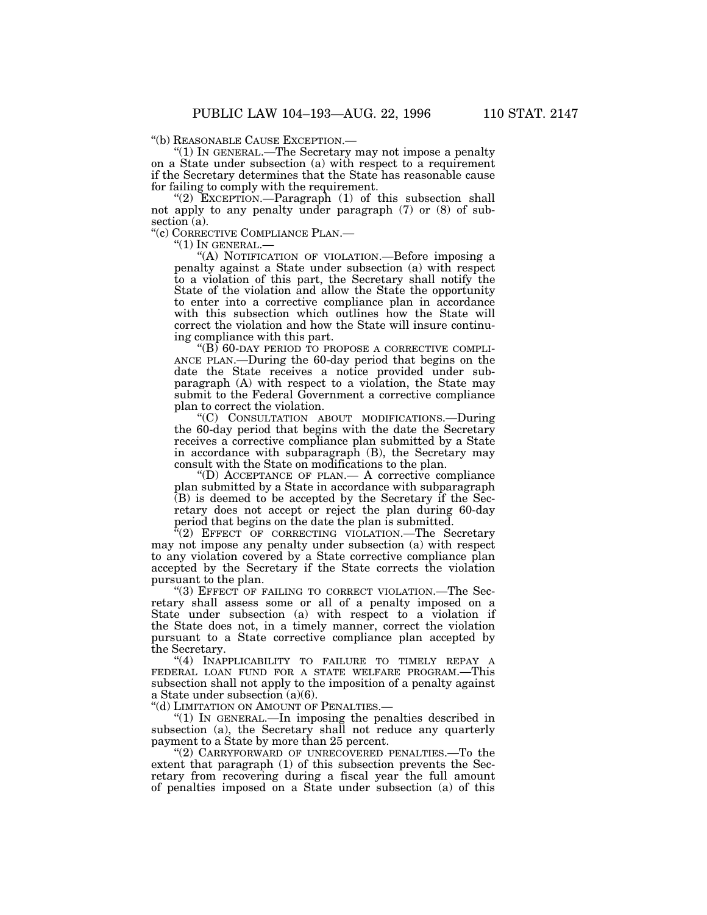''(b) REASONABLE CAUSE EXCEPTION.— ''(1) IN GENERAL.—The Secretary may not impose a penalty on a State under subsection (a) with respect to a requirement if the Secretary determines that the State has reasonable cause for failing to comply with the requirement.

"(2) EXCEPTION.—Paragraph  $(1)$  of this subsection shall not apply to any penalty under paragraph (7) or (8) of subsection (a).

''(c) CORRECTIVE COMPLIANCE PLAN.—

 $"(1)$  In GENERAL. $-$ 

''(A) NOTIFICATION OF VIOLATION.—Before imposing a penalty against a State under subsection (a) with respect to a violation of this part, the Secretary shall notify the State of the violation and allow the State the opportunity to enter into a corrective compliance plan in accordance with this subsection which outlines how the State will correct the violation and how the State will insure continuing compliance with this part.

''(B) 60-DAY PERIOD TO PROPOSE A CORRECTIVE COMPLI-ANCE PLAN.—During the 60-day period that begins on the date the State receives a notice provided under subparagraph (A) with respect to a violation, the State may submit to the Federal Government a corrective compliance plan to correct the violation.

''(C) CONSULTATION ABOUT MODIFICATIONS.—During the 60-day period that begins with the date the Secretary receives a corrective compliance plan submitted by a State in accordance with subparagraph (B), the Secretary may consult with the State on modifications to the plan.

''(D) ACCEPTANCE OF PLAN.— A corrective compliance plan submitted by a State in accordance with subparagraph (B) is deemed to be accepted by the Secretary if the Secretary does not accept or reject the plan during 60-day period that begins on the date the plan is submitted.

(2) EFFECT OF CORRECTING VIOLATION.—The Secretary may not impose any penalty under subsection (a) with respect to any violation covered by a State corrective compliance plan accepted by the Secretary if the State corrects the violation pursuant to the plan.

"(3) EFFECT OF FAILING TO CORRECT VIOLATION.—The Secretary shall assess some or all of a penalty imposed on a State under subsection (a) with respect to a violation if the State does not, in a timely manner, correct the violation pursuant to a State corrective compliance plan accepted by the Secretary.

"(4) INAPPLICABILITY TO FAILURE TO TIMELY REPAY A FEDERAL LOAN FUND FOR A STATE WELFARE PROGRAM.—This subsection shall not apply to the imposition of a penalty against a State under subsection (a)(6).

''(d) LIMITATION ON AMOUNT OF PENALTIES.—

''(1) IN GENERAL.—In imposing the penalties described in subsection (a), the Secretary shall not reduce any quarterly payment to a State by more than 25 percent.

"(2) CARRYFORWARD OF UNRECOVERED PENALTIES.—To the extent that paragraph (1) of this subsection prevents the Secretary from recovering during a fiscal year the full amount of penalties imposed on a State under subsection (a) of this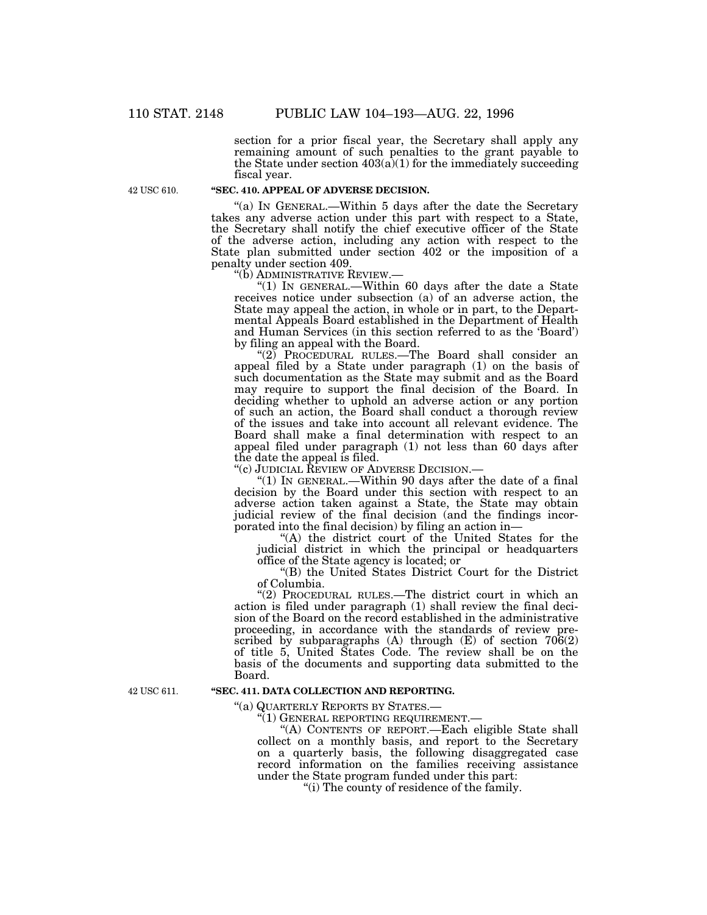section for a prior fiscal year, the Secretary shall apply any remaining amount of such penalties to the grant payable to the State under section 403(a)(1) for the immediately succeeding fiscal year.

42 USC 610.

### **''SEC. 410. APPEAL OF ADVERSE DECISION.**

''(a) IN GENERAL.—Within 5 days after the date the Secretary takes any adverse action under this part with respect to a State, the Secretary shall notify the chief executive officer of the State of the adverse action, including any action with respect to the State plan submitted under section 402 or the imposition of a penalty under section 409.<br>"(b) ADMINISTRATIVE REVIEW.—

'(1) In GENERAL.—Within 60 days after the date a State receives notice under subsection (a) of an adverse action, the State may appeal the action, in whole or in part, to the Departmental Appeals Board established in the Department of Health and Human Services (in this section referred to as the 'Board') by filing an appeal with the Board.

"(2) PROCEDURAL RULES.—The Board shall consider an appeal filed by a State under paragraph (1) on the basis of such documentation as the State may submit and as the Board may require to support the final decision of the Board. In deciding whether to uphold an adverse action or any portion of such an action, the Board shall conduct a thorough review of the issues and take into account all relevant evidence. The Board shall make a final determination with respect to an appeal filed under paragraph (1) not less than 60 days after the date the appeal is filed.

''(c) JUDICIAL REVIEW OF ADVERSE DECISION.— ''(1) IN GENERAL.—Within 90 days after the date of a final decision by the Board under this section with respect to an adverse action taken against a State, the State may obtain judicial review of the final decision (and the findings incorporated into the final decision) by filing an action in—

''(A) the district court of the United States for the judicial district in which the principal or headquarters office of the State agency is located; or

''(B) the United States District Court for the District of Columbia.

''(2) PROCEDURAL RULES.—The district court in which an action is filed under paragraph (1) shall review the final decision of the Board on the record established in the administrative proceeding, in accordance with the standards of review prescribed by subparagraphs (A) through (E) of section 706(2) of title 5, United States Code. The review shall be on the basis of the documents and supporting data submitted to the Board.

42 USC 611.

### **''SEC. 411. DATA COLLECTION AND REPORTING.**

''(a) QUARTERLY REPORTS BY STATES.— ''(1) GENERAL REPORTING REQUIREMENT.— ''(A) CONTENTS OF REPORT.—Each eligible State shall collect on a monthly basis, and report to the Secretary on a quarterly basis, the following disaggregated case record information on the families receiving assistance under the State program funded under this part:

''(i) The county of residence of the family.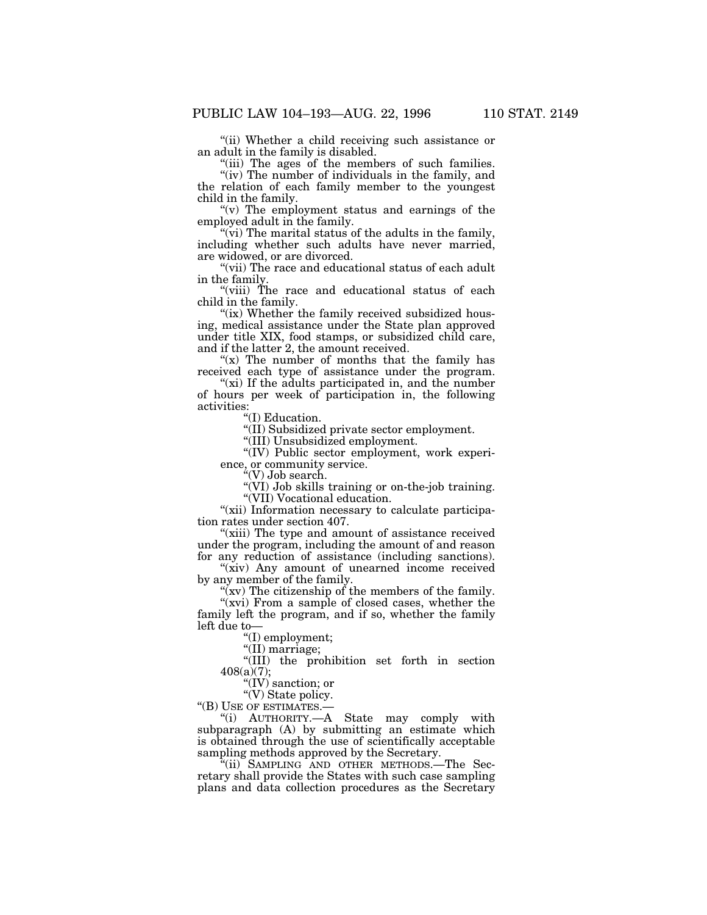''(ii) Whether a child receiving such assistance or an adult in the family is disabled.

"(iii) The ages of the members of such families. "(iv) The number of individuals in the family, and the relation of each family member to the youngest child in the family.

" $(v)$  The employment status and earnings of the employed adult in the family.

" $(vi)$  The marital status of the adults in the family, including whether such adults have never married, are widowed, or are divorced.

"(vii) The race and educational status of each adult in the family.

"(viii) The race and educational status of each child in the family.

"(ix) Whether the family received subsidized housing, medical assistance under the State plan approved under title XIX, food stamps, or subsidized child care, and if the latter 2, the amount received.

" $(x)$  The number of months that the family has received each type of assistance under the program.

"(xi) If the adults participated in, and the number of hours per week of participation in, the following activities:

''(I) Education.

''(II) Subsidized private sector employment.

''(III) Unsubsidized employment.

''(IV) Public sector employment, work experience, or community service.

''(V) Job search.

"(VI) Job skills training or on-the-job training. ''(VII) Vocational education.

"(xii) Information necessary to calculate participation rates under section 407.

"(xiii) The type and amount of assistance received under the program, including the amount of and reason for any reduction of assistance (including sanctions).

"(xiv) Any amount of unearned income received by any member of the family.

" $(xv)$  The citizenship of the members of the family. "(xvi) From a sample of closed cases, whether the family left the program, and if so, whether the family left due to—

''(I) employment;

"(II) marriage;

''(III) the prohibition set forth in section 408(a)(7);

''(IV) sanction; or

"(V) State policy.

"(B) USE OF ESTIMATES .-

''(i) AUTHORITY.—A State may comply with subparagraph (A) by submitting an estimate which is obtained through the use of scientifically acceptable sampling methods approved by the Secretary.

"(ii) SAMPLING AND OTHER METHODS. The Secretary shall provide the States with such case sampling plans and data collection procedures as the Secretary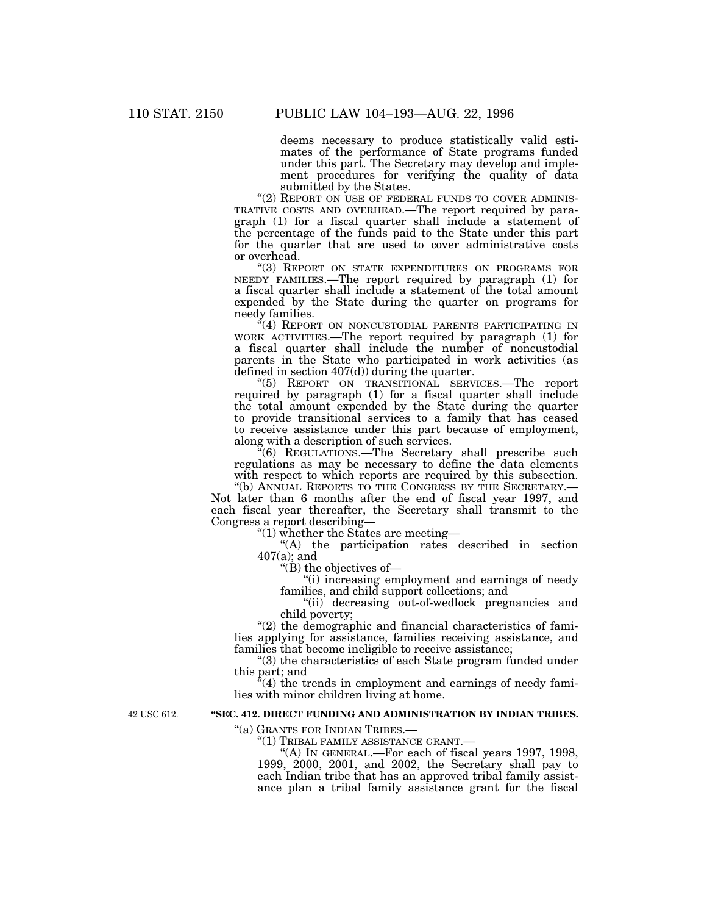deems necessary to produce statistically valid estimates of the performance of State programs funded under this part. The Secretary may develop and implement procedures for verifying the quality of data submitted by the States.

"(2) REPORT ON USE OF FEDERAL FUNDS TO COVER ADMINIS-TRATIVE COSTS AND OVERHEAD.—The report required by paragraph (1) for a fiscal quarter shall include a statement of the percentage of the funds paid to the State under this part for the quarter that are used to cover administrative costs or overhead.

''(3) REPORT ON STATE EXPENDITURES ON PROGRAMS FOR NEEDY FAMILIES.—The report required by paragraph (1) for a fiscal quarter shall include a statement of the total amount expended by the State during the quarter on programs for needy families.

''(4) REPORT ON NONCUSTODIAL PARENTS PARTICIPATING IN WORK ACTIVITIES.—The report required by paragraph (1) for a fiscal quarter shall include the number of noncustodial parents in the State who participated in work activities (as defined in section 407(d)) during the quarter.

''(5) REPORT ON TRANSITIONAL SERVICES.—The report required by paragraph (1) for a fiscal quarter shall include the total amount expended by the State during the quarter to provide transitional services to a family that has ceased to receive assistance under this part because of employment, along with a description of such services.

''(6) REGULATIONS.—The Secretary shall prescribe such regulations as may be necessary to define the data elements with respect to which reports are required by this subsection.

''(b) ANNUAL REPORTS TO THE CONGRESS BY THE SECRETARY.— Not later than 6 months after the end of fiscal year 1997, and each fiscal year thereafter, the Secretary shall transmit to the Congress a report describing—

''(1) whether the States are meeting—

''(A) the participation rates described in section 407(a); and

''(B) the objectives of—

''(i) increasing employment and earnings of needy families, and child support collections; and

''(ii) decreasing out-of-wedlock pregnancies and child poverty;

''(2) the demographic and financial characteristics of families applying for assistance, families receiving assistance, and families that become ineligible to receive assistance;

''(3) the characteristics of each State program funded under this part; and

 $\mathcal{F}(4)$  the trends in employment and earnings of needy families with minor children living at home.

42 USC 612.

### **''SEC. 412. DIRECT FUNDING AND ADMINISTRATION BY INDIAN TRIBES.**

''(a) GRANTS FOR INDIAN TRIBES.—

''(1) TRIBAL FAMILY ASSISTANCE GRANT.—

''(A) IN GENERAL.—For each of fiscal years 1997, 1998, 1999, 2000, 2001, and 2002, the Secretary shall pay to each Indian tribe that has an approved tribal family assistance plan a tribal family assistance grant for the fiscal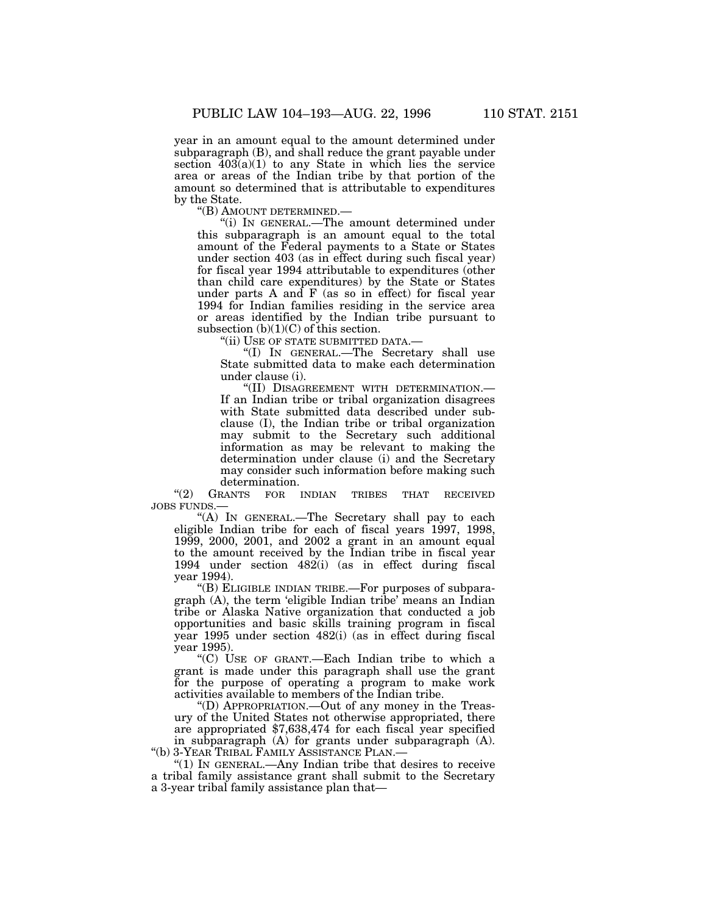year in an amount equal to the amount determined under subparagraph (B), and shall reduce the grant payable under section  $403(a)(1)$  to any State in which lies the service area or areas of the Indian tribe by that portion of the amount so determined that is attributable to expenditures by the State.

''(B) AMOUNT DETERMINED.—

''(i) IN GENERAL.—The amount determined under this subparagraph is an amount equal to the total amount of the Federal payments to a State or States under section 403 (as in effect during such fiscal year) for fiscal year 1994 attributable to expenditures (other than child care expenditures) by the State or States under parts A and  $F$  (as so in effect) for fiscal year 1994 for Indian families residing in the service area or areas identified by the Indian tribe pursuant to subsection  $(b)(1)(C)$  of this section.

"(ii) USE OF STATE SUBMITTED DATA.-

''(I) IN GENERAL.—The Secretary shall use State submitted data to make each determination under clause (i).

''(II) DISAGREEMENT WITH DETERMINATION.— If an Indian tribe or tribal organization disagrees with State submitted data described under subclause (I), the Indian tribe or tribal organization may submit to the Secretary such additional information as may be relevant to making the determination under clause (i) and the Secretary may consider such information before making such determination.

"(2) GRANTS FOR INDIAN TRIBES THAT RECEIVED JOBS FUNDS.—

''(A) IN GENERAL.—The Secretary shall pay to each eligible Indian tribe for each of fiscal years 1997, 1998, 1999, 2000, 2001, and 2002 a grant in an amount equal to the amount received by the Indian tribe in fiscal year 1994 under section  $482(i)$  (as in effect during fiscal year 1994).

''(B) ELIGIBLE INDIAN TRIBE.—For purposes of subparagraph (A), the term 'eligible Indian tribe' means an Indian tribe or Alaska Native organization that conducted a job opportunities and basic skills training program in fiscal year 1995 under section 482(i) (as in effect during fiscal year 1995).

''(C) USE OF GRANT.—Each Indian tribe to which a grant is made under this paragraph shall use the grant for the purpose of operating a program to make work activities available to members of the Indian tribe.

''(D) APPROPRIATION.—Out of any money in the Treasury of the United States not otherwise appropriated, there are appropriated \$7,638,474 for each fiscal year specified in subparagraph (A) for grants under subparagraph (A). ''(b) 3-YEAR TRIBAL FAMILY ASSISTANCE PLAN.—

" $(1)$  In GENERAL.—Any Indian tribe that desires to receive

a tribal family assistance grant shall submit to the Secretary a 3-year tribal family assistance plan that—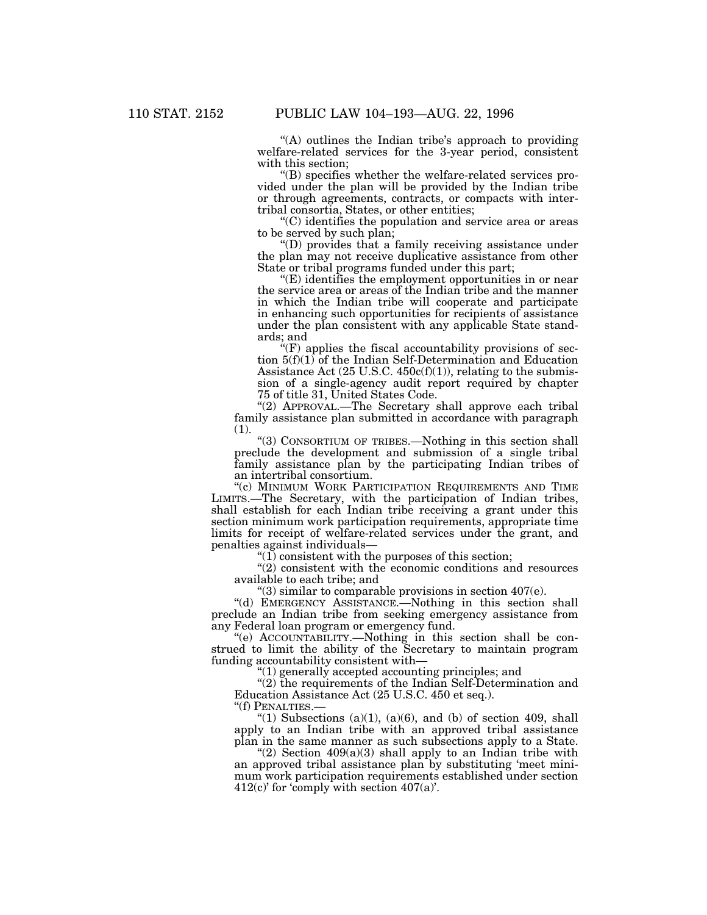''(A) outlines the Indian tribe's approach to providing welfare-related services for the 3-year period, consistent with this section;

''(B) specifies whether the welfare-related services provided under the plan will be provided by the Indian tribe or through agreements, contracts, or compacts with intertribal consortia, States, or other entities;

''(C) identifies the population and service area or areas to be served by such plan;

''(D) provides that a family receiving assistance under the plan may not receive duplicative assistance from other State or tribal programs funded under this part;

''(E) identifies the employment opportunities in or near the service area or areas of the Indian tribe and the manner in which the Indian tribe will cooperate and participate in enhancing such opportunities for recipients of assistance under the plan consistent with any applicable State standards; and

" $(F)$  applies the fiscal accountability provisions of section 5(f)(1) of the Indian Self-Determination and Education Assistance Act  $(25 \text{ U.S.C. } 450c(f)(1))$ , relating to the submission of a single-agency audit report required by chapter 75 of title 31, United States Code.

"(2) APPROVAL.—The Secretary shall approve each tribal family assistance plan submitted in accordance with paragraph (1).

''(3) CONSORTIUM OF TRIBES.—Nothing in this section shall preclude the development and submission of a single tribal family assistance plan by the participating Indian tribes of an intertribal consortium.

"(c) MINIMUM WORK PARTICIPATION REQUIREMENTS AND TIME LIMITS.—The Secretary, with the participation of Indian tribes, shall establish for each Indian tribe receiving a grant under this section minimum work participation requirements, appropriate time limits for receipt of welfare-related services under the grant, and penalties against individuals—

''(1) consistent with the purposes of this section;

 $''(2)$  consistent with the economic conditions and resources available to each tribe; and

" $(3)$  similar to comparable provisions in section 407 $(e)$ .

''(d) EMERGENCY ASSISTANCE.—Nothing in this section shall preclude an Indian tribe from seeking emergency assistance from any Federal loan program or emergency fund.

''(e) ACCOUNTABILITY.—Nothing in this section shall be construed to limit the ability of the Secretary to maintain program funding accountability consistent with—

''(1) generally accepted accounting principles; and

"(2) the requirements of the Indian Self-Determination and Education Assistance Act (25 U.S.C. 450 et seq.).

"(f) PENALTIES.-

"(1) Subsections (a)(1), (a)(6), and (b) of section 409, shall apply to an Indian tribe with an approved tribal assistance plan in the same manner as such subsections apply to a State.

"(2) Section  $409(a)(3)$  shall apply to an Indian tribe with an approved tribal assistance plan by substituting 'meet minimum work participation requirements established under section  $412(c)$  for 'comply with section  $407(a)$ '.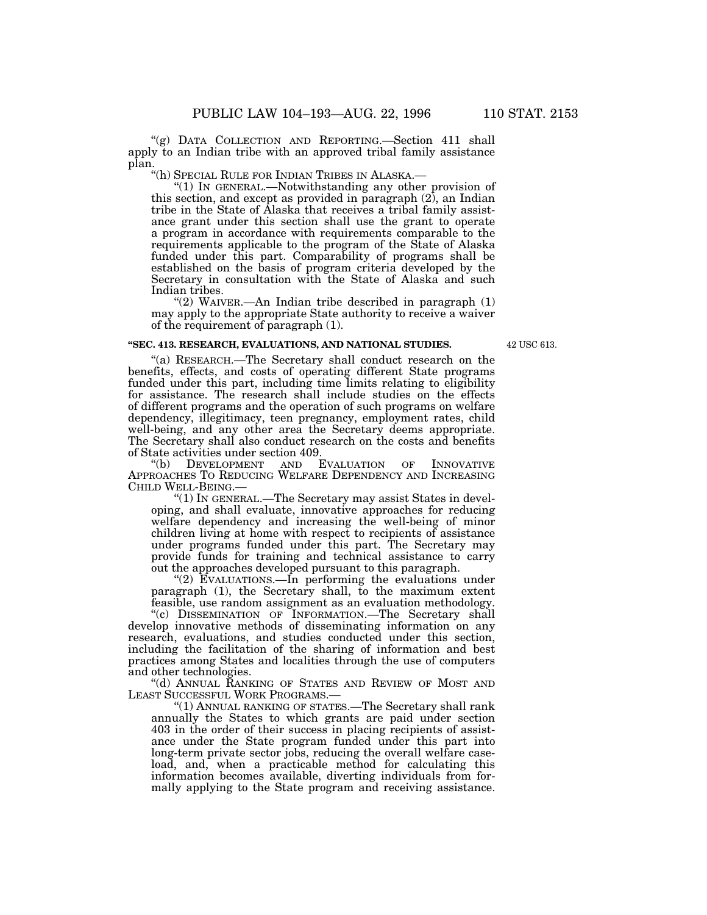''(g) DATA COLLECTION AND REPORTING.—Section 411 shall apply to an Indian tribe with an approved tribal family assistance plan.

''(h) SPECIAL RULE FOR INDIAN TRIBES IN ALASKA.—

''(1) IN GENERAL.—Notwithstanding any other provision of this section, and except as provided in paragraph  $(2)$ , an Indian tribe in the State of Alaska that receives a tribal family assistance grant under this section shall use the grant to operate a program in accordance with requirements comparable to the requirements applicable to the program of the State of Alaska funded under this part. Comparability of programs shall be established on the basis of program criteria developed by the Secretary in consultation with the State of Alaska and such Indian tribes.

"(2) WAIVER.—An Indian tribe described in paragraph  $(1)$ may apply to the appropriate State authority to receive a waiver of the requirement of paragraph (1).

#### **''SEC. 413. RESEARCH, EVALUATIONS, AND NATIONAL STUDIES.**

42 USC 613.

''(a) RESEARCH.—The Secretary shall conduct research on the benefits, effects, and costs of operating different State programs funded under this part, including time limits relating to eligibility for assistance. The research shall include studies on the effects of different programs and the operation of such programs on welfare dependency, illegitimacy, teen pregnancy, employment rates, child well-being, and any other area the Secretary deems appropriate. The Secretary shall also conduct research on the costs and benefits of State activities under section 409.<br>
"(b) DEVELOPMENT AND EVALUATION

DEVELOPMENT AND EVALUATION OF INNOVATIVE APPROACHES TO REDUCING WELFARE DEPENDENCY AND INCREASING CHILD WELL-BEING.—

''(1) IN GENERAL.—The Secretary may assist States in developing, and shall evaluate, innovative approaches for reducing welfare dependency and increasing the well-being of minor children living at home with respect to recipients of assistance under programs funded under this part. The Secretary may provide funds for training and technical assistance to carry out the approaches developed pursuant to this paragraph.

''(2) EVALUATIONS.—In performing the evaluations under paragraph (1), the Secretary shall, to the maximum extent feasible, use random assignment as an evaluation methodology.

"(c) DISSEMINATION OF INFORMATION.—The Secretary shall develop innovative methods of disseminating information on any research, evaluations, and studies conducted under this section, including the facilitation of the sharing of information and best practices among States and localities through the use of computers and other technologies.

''(d) ANNUAL RANKING OF STATES AND REVIEW OF MOST AND LEAST SUCCESSFUL WORK PROGRAMS.—

"(1) ANNUAL RANKING OF STATES.—The Secretary shall rank annually the States to which grants are paid under section 403 in the order of their success in placing recipients of assistance under the State program funded under this part into long-term private sector jobs, reducing the overall welfare caseload, and, when a practicable method for calculating this information becomes available, diverting individuals from formally applying to the State program and receiving assistance.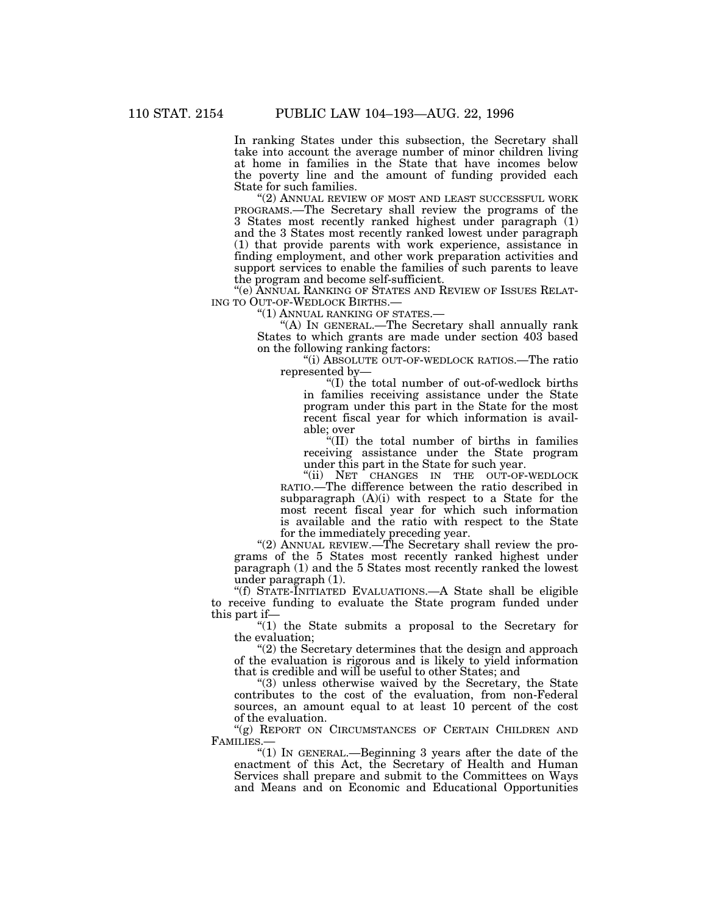In ranking States under this subsection, the Secretary shall take into account the average number of minor children living at home in families in the State that have incomes below the poverty line and the amount of funding provided each State for such families.

''(2) ANNUAL REVIEW OF MOST AND LEAST SUCCESSFUL WORK PROGRAMS.—The Secretary shall review the programs of the 3 States most recently ranked highest under paragraph (1) and the 3 States most recently ranked lowest under paragraph (1) that provide parents with work experience, assistance in finding employment, and other work preparation activities and support services to enable the families of such parents to leave the program and become self-sufficient.

''(e) ANNUAL RANKING OF STATES AND REVIEW OF ISSUES RELAT-ING TO OUT-OF-WEDLOCK BIRTHS.—

''(1) ANNUAL RANKING OF STATES.—

''(A) IN GENERAL.—The Secretary shall annually rank States to which grants are made under section 403 based on the following ranking factors:

''(i) ABSOLUTE OUT-OF-WEDLOCK RATIOS.—The ratio represented by—

''(I) the total number of out-of-wedlock births in families receiving assistance under the State program under this part in the State for the most recent fiscal year for which information is available; over

''(II) the total number of births in families receiving assistance under the State program under this part in the State for such year.

"(ii) NET CHANGES IN THE OUT-OF-WEDLOCK RATIO.—The difference between the ratio described in subparagraph  $(A)(i)$  with respect to a State for the most recent fiscal year for which such information is available and the ratio with respect to the State for the immediately preceding year.

"(2) ANNUAL REVIEW.—The Secretary shall review the programs of the 5 States most recently ranked highest under paragraph (1) and the 5 States most recently ranked the lowest under paragraph (1).

''(f) STATE-INITIATED EVALUATIONS.—A State shall be eligible to receive funding to evaluate the State program funded under this part if—

''(1) the State submits a proposal to the Secretary for the evaluation;

 $(2)$  the Secretary determines that the design and approach of the evaluation is rigorous and is likely to yield information that is credible and will be useful to other States; and

''(3) unless otherwise waived by the Secretary, the State contributes to the cost of the evaluation, from non-Federal sources, an amount equal to at least 10 percent of the cost of the evaluation.

"(g) REPORT ON CIRCUMSTANCES OF CERTAIN CHILDREN AND FAMILIES.—

''(1) IN GENERAL.—Beginning 3 years after the date of the enactment of this Act, the Secretary of Health and Human Services shall prepare and submit to the Committees on Ways and Means and on Economic and Educational Opportunities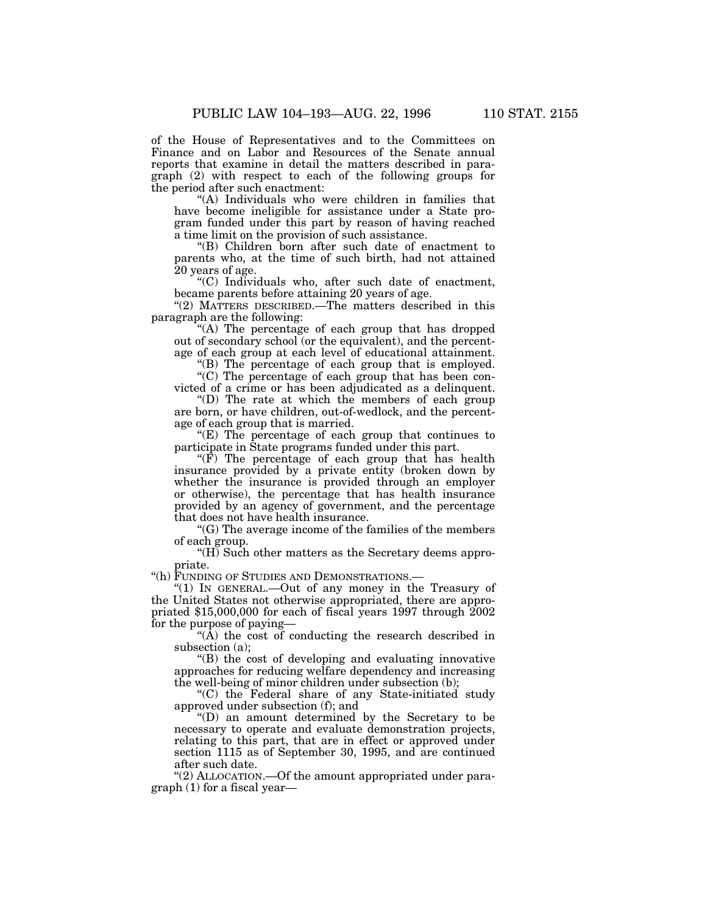of the House of Representatives and to the Committees on Finance and on Labor and Resources of the Senate annual reports that examine in detail the matters described in paragraph (2) with respect to each of the following groups for the period after such enactment:

''(A) Individuals who were children in families that have become ineligible for assistance under a State program funded under this part by reason of having reached a time limit on the provision of such assistance.

''(B) Children born after such date of enactment to parents who, at the time of such birth, had not attained 20 years of age.

''(C) Individuals who, after such date of enactment, became parents before attaining 20 years of age.

''(2) MATTERS DESCRIBED.—The matters described in this paragraph are the following:

''(A) The percentage of each group that has dropped out of secondary school (or the equivalent), and the percentage of each group at each level of educational attainment.

"(B) The percentage of each group that is employed.

''(C) The percentage of each group that has been convicted of a crime or has been adjudicated as a delinquent.

''(D) The rate at which the members of each group are born, or have children, out-of-wedlock, and the percentage of each group that is married.

 $E(E)$  The percentage of each group that continues to participate in State programs funded under this part.

" $(\hat{F})$  The percentage of each group that has health insurance provided by a private entity (broken down by whether the insurance is provided through an employer or otherwise), the percentage that has health insurance provided by an agency of government, and the percentage that does not have health insurance.

''(G) The average income of the families of the members of each group.

''(H) Such other matters as the Secretary deems appropriate.

''(h) FUNDING OF STUDIES AND DEMONSTRATIONS.—

''(1) IN GENERAL.—Out of any money in the Treasury of the United States not otherwise appropriated, there are appropriated \$15,000,000 for each of fiscal years 1997 through 2002 for the purpose of paying—

" $(\hat{A})$  the cost of conducting the research described in subsection (a);

''(B) the cost of developing and evaluating innovative approaches for reducing welfare dependency and increasing the well-being of minor children under subsection (b);

''(C) the Federal share of any State-initiated study approved under subsection (f); and

''(D) an amount determined by the Secretary to be necessary to operate and evaluate demonstration projects, relating to this part, that are in effect or approved under section 1115 as of September 30, 1995, and are continued after such date.

"(2) ALLOCATION.—Of the amount appropriated under paragraph (1) for a fiscal year—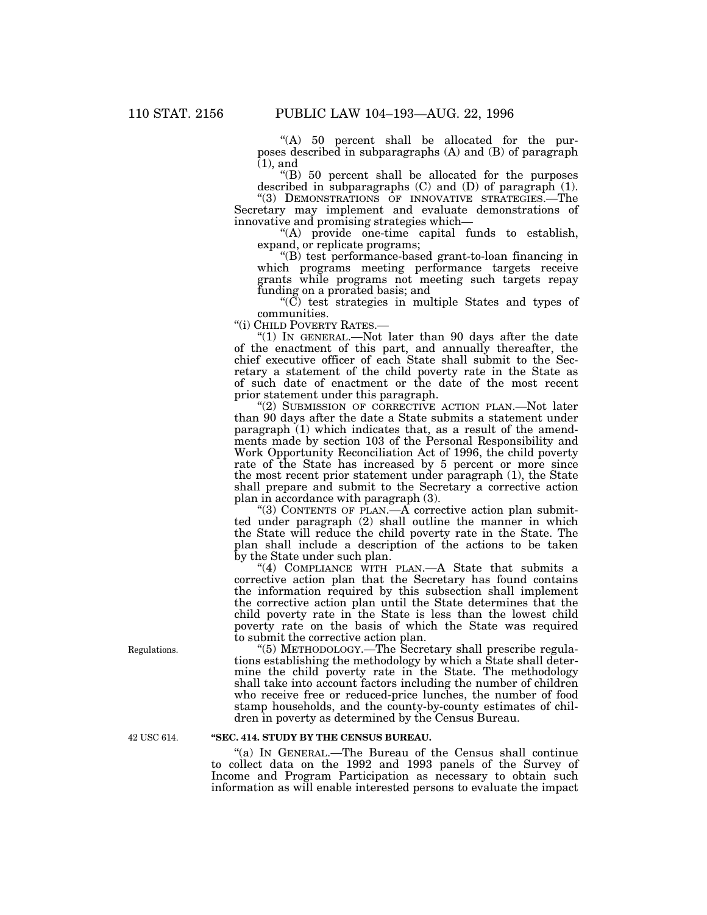''(A) 50 percent shall be allocated for the purposes described in subparagraphs (A) and (B) of paragraph  $(1)$ , and

''(B) 50 percent shall be allocated for the purposes described in subparagraphs (C) and (D) of paragraph (1).

''(3) DEMONSTRATIONS OF INNOVATIVE STRATEGIES.—The Secretary may implement and evaluate demonstrations of innovative and promising strategies which—

''(A) provide one-time capital funds to establish, expand, or replicate programs;

''(B) test performance-based grant-to-loan financing in which programs meeting performance targets receive grants while programs not meeting such targets repay funding on a prorated basis; and

" $(\overrightarrow{C})$  test strategies in multiple States and types of communities.

''(i) CHILD POVERTY RATES.—

''(1) IN GENERAL.—Not later than 90 days after the date of the enactment of this part, and annually thereafter, the chief executive officer of each State shall submit to the Secretary a statement of the child poverty rate in the State as of such date of enactment or the date of the most recent prior statement under this paragraph.

"(2) SUBMISSION OF CORRECTIVE ACTION PLAN.—Not later than 90 days after the date a State submits a statement under paragraph (1) which indicates that, as a result of the amendments made by section 103 of the Personal Responsibility and Work Opportunity Reconciliation Act of 1996, the child poverty rate of the State has increased by 5 percent or more since the most recent prior statement under paragraph (1), the State shall prepare and submit to the Secretary a corrective action plan in accordance with paragraph (3).

''(3) CONTENTS OF PLAN.—A corrective action plan submitted under paragraph (2) shall outline the manner in which the State will reduce the child poverty rate in the State. The plan shall include a description of the actions to be taken by the State under such plan.

"(4) COMPLIANCE WITH PLAN.—A State that submits a corrective action plan that the Secretary has found contains the information required by this subsection shall implement the corrective action plan until the State determines that the child poverty rate in the State is less than the lowest child poverty rate on the basis of which the State was required to submit the corrective action plan.

''(5) METHODOLOGY.—The Secretary shall prescribe regulations establishing the methodology by which a State shall determine the child poverty rate in the State. The methodology shall take into account factors including the number of children who receive free or reduced-price lunches, the number of food stamp households, and the county-by-county estimates of children in poverty as determined by the Census Bureau.

42 USC 614.

#### **''SEC. 414. STUDY BY THE CENSUS BUREAU.**

''(a) IN GENERAL.—The Bureau of the Census shall continue to collect data on the 1992 and 1993 panels of the Survey of Income and Program Participation as necessary to obtain such information as will enable interested persons to evaluate the impact

Regulations.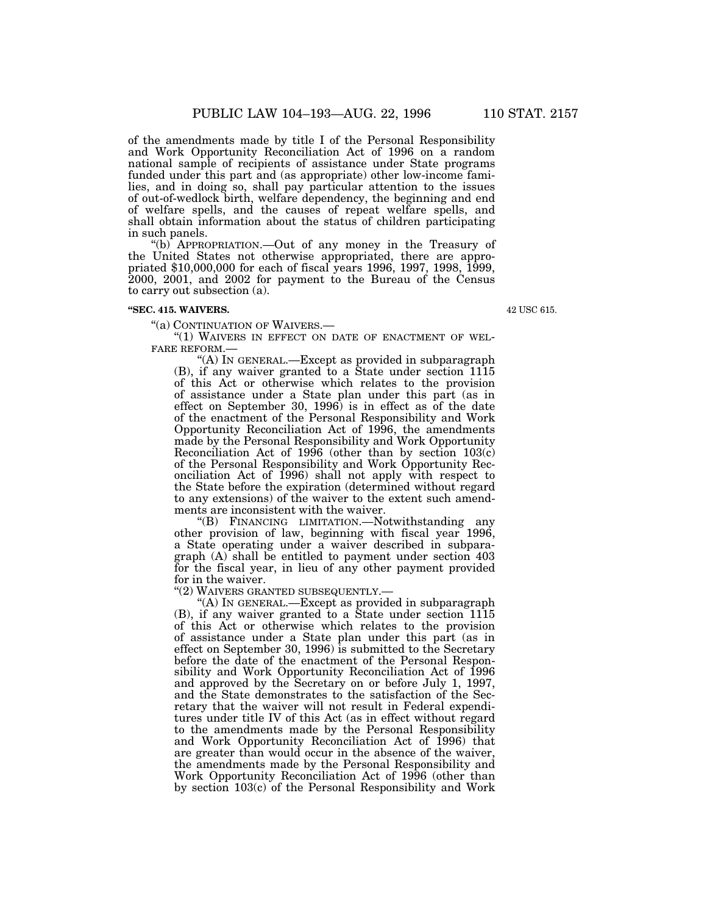of the amendments made by title I of the Personal Responsibility and Work Opportunity Reconciliation Act of 1996 on a random national sample of recipients of assistance under State programs funded under this part and (as appropriate) other low-income families, and in doing so, shall pay particular attention to the issues of out-of-wedlock birth, welfare dependency, the beginning and end of welfare spells, and the causes of repeat welfare spells, and shall obtain information about the status of children participating in such panels.

''(b) APPROPRIATION.—Out of any money in the Treasury of the United States not otherwise appropriated, there are appropriated \$10,000,000 for each of fiscal years 1996, 1997, 1998, 1999, 2000, 2001, and 2002 for payment to the Bureau of the Census to carry out subsection (a).

#### **''SEC. 415. WAIVERS.**

''(a) CONTINUATION OF WAIVERS.—

"(1) WAIVERS IN EFFECT ON DATE OF ENACTMENT OF WEL-FARE REFORM.—

''(A) IN GENERAL.—Except as provided in subparagraph (B), if any waiver granted to a State under section 1115 of this Act or otherwise which relates to the provision of assistance under a State plan under this part (as in effect on September 30, 1996) is in effect as of the date of the enactment of the Personal Responsibility and Work Opportunity Reconciliation Act of 1996, the amendments made by the Personal Responsibility and Work Opportunity Reconciliation Act of 1996 (other than by section 103(c) of the Personal Responsibility and Work Opportunity Reconciliation Act of 1996) shall not apply with respect to the State before the expiration (determined without regard to any extensions) of the waiver to the extent such amendments are inconsistent with the waiver.

''(B) FINANCING LIMITATION.—Notwithstanding any other provision of law, beginning with fiscal year 1996, a State operating under a waiver described in subparagraph  $(A)$  shall be entitled to payment under section 403 for the fiscal year, in lieu of any other payment provided for in the waiver.

"(2) WAIVERS GRANTED SUBSEQUENTLY.-

''(A) IN GENERAL.—Except as provided in subparagraph (B), if any waiver granted to a State under section 1115 of this Act or otherwise which relates to the provision of assistance under a State plan under this part (as in effect on September 30, 1996) is submitted to the Secretary before the date of the enactment of the Personal Responsibility and Work Opportunity Reconciliation Act of 1996 and approved by the Secretary on or before July 1, 1997, and the State demonstrates to the satisfaction of the Secretary that the waiver will not result in Federal expenditures under title IV of this Act (as in effect without regard to the amendments made by the Personal Responsibility and Work Opportunity Reconciliation Act of 1996) that are greater than would occur in the absence of the waiver, the amendments made by the Personal Responsibility and Work Opportunity Reconciliation Act of 1996 (other than by section 103(c) of the Personal Responsibility and Work

42 USC 615.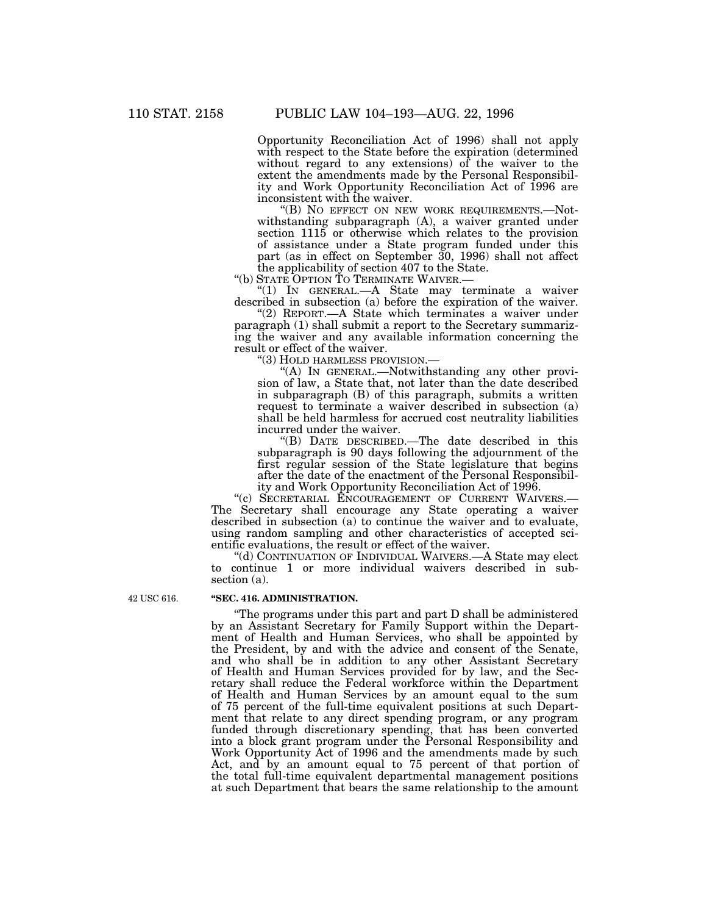Opportunity Reconciliation Act of 1996) shall not apply with respect to the State before the expiration (determined without regard to any extensions) of the waiver to the extent the amendments made by the Personal Responsibility and Work Opportunity Reconciliation Act of 1996 are inconsistent with the waiver.

"(B) NO EFFECT ON NEW WORK REQUIREMENTS.—Notwithstanding subparagraph (A), a waiver granted under section 1115 or otherwise which relates to the provision of assistance under a State program funded under this part (as in effect on September 30, 1996) shall not affect the applicability of section 407 to the State.

''(b) STATE OPTION TO TERMINATE WAIVER.—

''(1) IN GENERAL.—A State may terminate a waiver described in subsection (a) before the expiration of the waiver.

"(2) REPORT.—A State which terminates a waiver under paragraph (1) shall submit a report to the Secretary summarizing the waiver and any available information concerning the result or effect of the waiver.

''(3) HOLD HARMLESS PROVISION.—

 $(A)$  In GENERAL.—Notwithstanding any other provision of law, a State that, not later than the date described in subparagraph (B) of this paragraph, submits a written request to terminate a waiver described in subsection (a) shall be held harmless for accrued cost neutrality liabilities incurred under the waiver.

''(B) DATE DESCRIBED.—The date described in this subparagraph is 90 days following the adjournment of the first regular session of the State legislature that begins after the date of the enactment of the Personal Responsibility and Work Opportunity Reconciliation Act of 1996.

"(c) SECRETARIAL ENCOURAGEMENT OF CURRENT WAIVERS.-The Secretary shall encourage any State operating a waiver described in subsection (a) to continue the waiver and to evaluate, using random sampling and other characteristics of accepted scientific evaluations, the result or effect of the waiver.

''(d) CONTINUATION OF INDIVIDUAL WAIVERS.—A State may elect to continue 1 or more individual waivers described in subsection (a).

42 USC 616.

# **''SEC. 416. ADMINISTRATION.**

''The programs under this part and part D shall be administered by an Assistant Secretary for Family Support within the Department of Health and Human Services, who shall be appointed by the President, by and with the advice and consent of the Senate, and who shall be in addition to any other Assistant Secretary of Health and Human Services provided for by law, and the Secretary shall reduce the Federal workforce within the Department of Health and Human Services by an amount equal to the sum of 75 percent of the full-time equivalent positions at such Department that relate to any direct spending program, or any program funded through discretionary spending, that has been converted into a block grant program under the Personal Responsibility and Work Opportunity Act of 1996 and the amendments made by such Act, and by an amount equal to 75 percent of that portion of the total full-time equivalent departmental management positions at such Department that bears the same relationship to the amount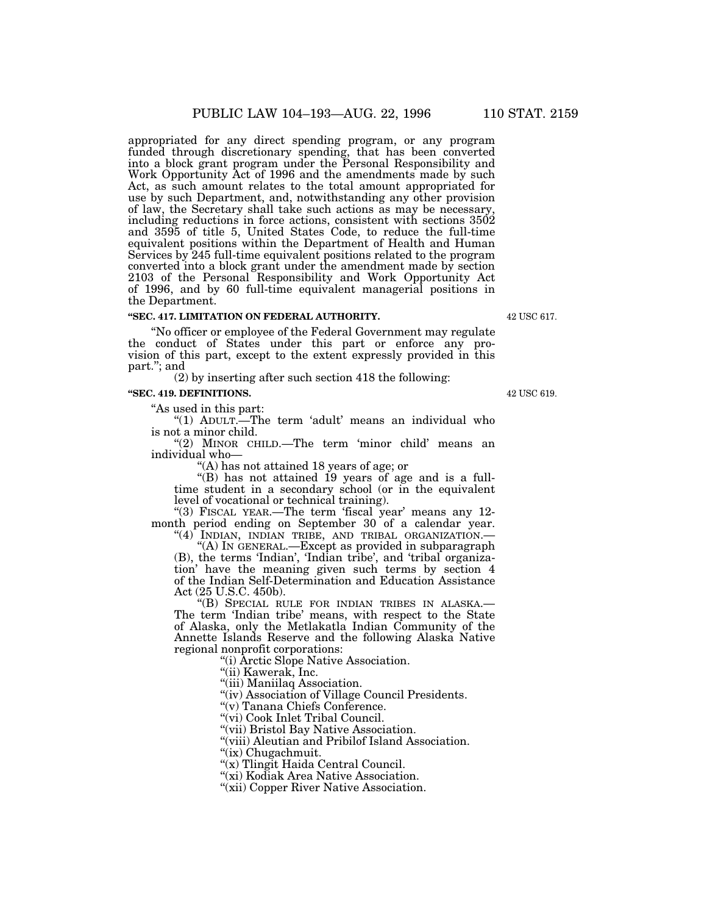appropriated for any direct spending program, or any program funded through discretionary spending, that has been converted into a block grant program under the Personal Responsibility and Work Opportunity Act of 1996 and the amendments made by such Act, as such amount relates to the total amount appropriated for use by such Department, and, notwithstanding any other provision of law, the Secretary shall take such actions as may be necessary, including reductions in force actions, consistent with sections 3502 and 3595 of title 5, United States Code, to reduce the full-time equivalent positions within the Department of Health and Human Services by 245 full-time equivalent positions related to the program converted into a block grant under the amendment made by section 2103 of the Personal Responsibility and Work Opportunity Act of 1996, and by 60 full-time equivalent managerial positions in the Department.

### **''SEC. 417. LIMITATION ON FEDERAL AUTHORITY.**

42 USC 617.

42 USC 619.

''No officer or employee of the Federal Government may regulate the conduct of States under this part or enforce any provision of this part, except to the extent expressly provided in this part.''; and

(2) by inserting after such section 418 the following:

#### **''SEC. 419. DEFINITIONS.**

''As used in this part:

"(1) ADULT.—The term 'adult' means an individual who is not a minor child.

"(2) MINOR CHILD.—The term 'minor child' means an individual who—

''(A) has not attained 18 years of age; or

''(B) has not attained 19 years of age and is a fulltime student in a secondary school (or in the equivalent level of vocational or technical training).

"(3) FISCAL YEAR.—The term 'fiscal year' means any 12month period ending on September 30 of a calendar year.

''(4) INDIAN, INDIAN TRIBE, AND TRIBAL ORGANIZATION.— ''(A) IN GENERAL.—Except as provided in subparagraph

(B), the terms 'Indian', 'Indian tribe', and 'tribal organization' have the meaning given such terms by section 4 of the Indian Self-Determination and Education Assistance Act (25 U.S.C. 450b).

''(B) SPECIAL RULE FOR INDIAN TRIBES IN ALASKA.— The term 'Indian tribe' means, with respect to the State of Alaska, only the Metlakatla Indian Community of the Annette Islands Reserve and the following Alaska Native regional nonprofit corporations:

''(i) Arctic Slope Native Association.

"(ii) Kawerak, Inc.

''(iii) Maniilaq Association.

''(iv) Association of Village Council Presidents.

"(v) Tanana Chiefs Conference.

''(vi) Cook Inlet Tribal Council.

''(vii) Bristol Bay Native Association.

''(viii) Aleutian and Pribilof Island Association.

''(ix) Chugachmuit.

''(x) Tlingit Haida Central Council.

''(xi) Kodiak Area Native Association.

''(xii) Copper River Native Association.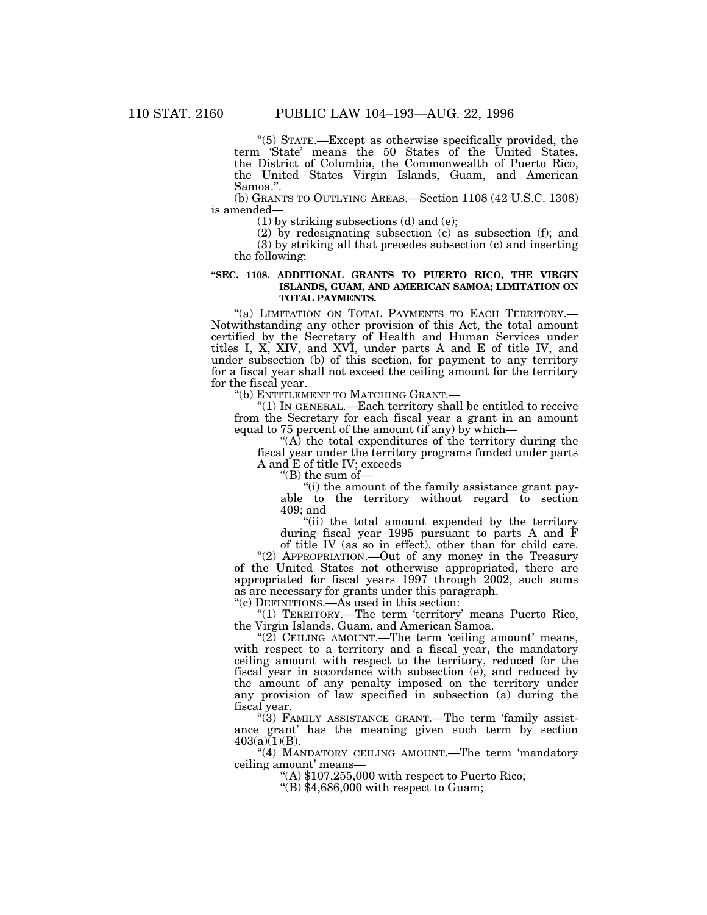''(5) STATE.—Except as otherwise specifically provided, the term 'State' means the 50 States of the United States, the District of Columbia, the Commonwealth of Puerto Rico, the United States Virgin Islands, Guam, and American Samoa.''.

(b) GRANTS TO OUTLYING AREAS.—Section 1108 (42 U.S.C. 1308) is amended—

(1) by striking subsections (d) and (e);

(2) by redesignating subsection (c) as subsection (f); and (3) by striking all that precedes subsection (c) and inserting the following:

### **''SEC. 1108. ADDITIONAL GRANTS TO PUERTO RICO, THE VIRGIN ISLANDS, GUAM, AND AMERICAN SAMOA; LIMITATION ON TOTAL PAYMENTS.**

''(a) LIMITATION ON TOTAL PAYMENTS TO EACH TERRITORY.— Notwithstanding any other provision of this Act, the total amount certified by the Secretary of Health and Human Services under titles I, X, XIV, and XVI, under parts A and E of title IV, and under subsection (b) of this section, for payment to any territory for a fiscal year shall not exceed the ceiling amount for the territory for the fiscal year.

''(b) ENTITLEMENT TO MATCHING GRANT.—

''(1) IN GENERAL.—Each territory shall be entitled to receive from the Secretary for each fiscal year a grant in an amount equal to 75 percent of the amount (if any) by which—

''(A) the total expenditures of the territory during the fiscal year under the territory programs funded under parts A and E of title IV; exceeds

''(B) the sum of—

''(i) the amount of the family assistance grant payable to the territory without regard to section 409; and

''(ii) the total amount expended by the territory during fiscal year 1995 pursuant to parts A and F of title IV (as so in effect), other than for child care.

"(2) APPROPRIATION.—Out of any money in the Treasury of the United States not otherwise appropriated, there are appropriated for fiscal years 1997 through 2002, such sums as are necessary for grants under this paragraph. ''(c) DEFINITIONS.—As used in this section:

"(1) TERRITORY.—The term 'territory' means Puerto Rico, the Virgin Islands, Guam, and American Samoa.

" $(2)$  CEILING AMOUNT.—The term 'ceiling amount' means, with respect to a territory and a fiscal year, the mandatory ceiling amount with respect to the territory, reduced for the fiscal year in accordance with subsection (e), and reduced by the amount of any penalty imposed on the territory under any provision of law specified in subsection (a) during the fiscal year.

"(3) FAMILY ASSISTANCE GRANT.—The term 'family assistance grant' has the meaning given such term by section  $403(a)(1)(B)$ .

"(4) MANDATORY CEILING AMOUNT.—The term 'mandatory ceiling amount' means—

"(A)  $$107,255,000$  with respect to Puerto Rico;

 $'(B)$  \$4,686,000 with respect to Guam;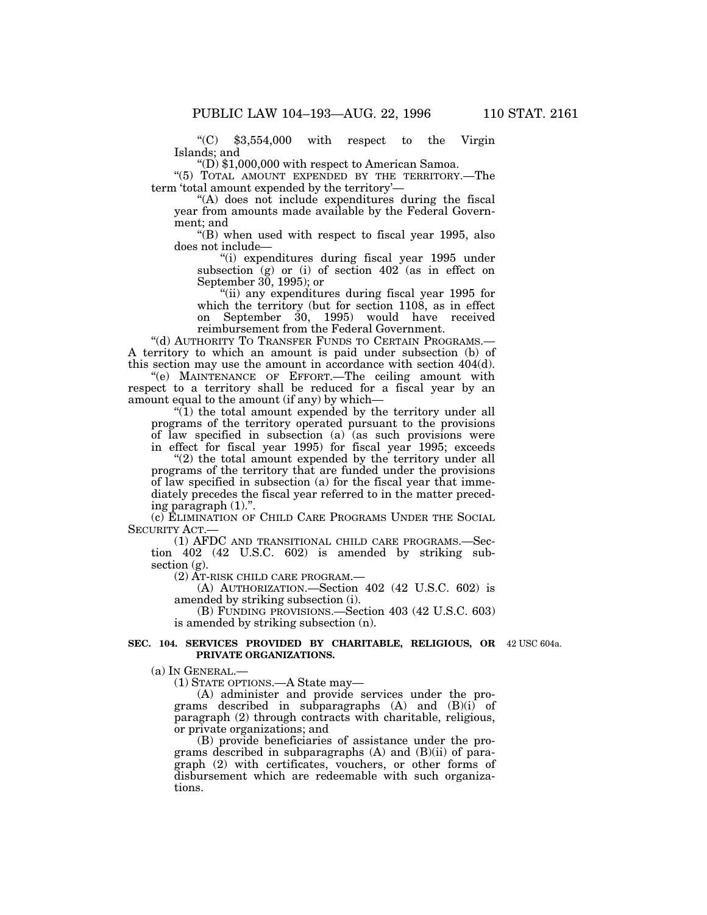$(C)$  \$3,554,000 with respect to the Virgin Islands; and

" $(D)$  \$1,000,000 with respect to American Samoa.

''(5) TOTAL AMOUNT EXPENDED BY THE TERRITORY.—The term 'total amount expended by the territory'—

''(A) does not include expenditures during the fiscal year from amounts made available by the Federal Government; and

''(B) when used with respect to fiscal year 1995, also does not include—

''(i) expenditures during fiscal year 1995 under subsection (g) or (i) of section  $402$  (as in effect on September 30, 1995); or

''(ii) any expenditures during fiscal year 1995 for which the territory (but for section 1108, as in effect on September 30, 1995) would have received reimbursement from the Federal Government.

"(d) AUTHORITY TO TRANSFER FUNDS TO CERTAIN PROGRAMS.-A territory to which an amount is paid under subsection (b) of this section may use the amount in accordance with section 404(d).

"(e) MAINTENANCE OF EFFORT. The ceiling amount with respect to a territory shall be reduced for a fiscal year by an amount equal to the amount (if any) by which—

 $\sqrt{\ }$ (1) the total amount expended by the territory under all programs of the territory operated pursuant to the provisions of law specified in subsection (a) (as such provisions were in effect for fiscal year 1995) for fiscal year 1995; exceeds

 $(2)$  the total amount expended by the territory under all programs of the territory that are funded under the provisions of law specified in subsection (a) for the fiscal year that immediately precedes the fiscal year referred to in the matter preceding paragraph (1).''.

(c) ELIMINATION OF CHILD CARE PROGRAMS UNDER THE SOCIAL SECURITY ACT.—

(1) AFDC AND TRANSITIONAL CHILD CARE PROGRAMS.—Section 402 (42 U.S.C. 602) is amended by striking subsection (g).

(2) AT-RISK CHILD CARE PROGRAM.—

(A) AUTHORIZATION.—Section 402 (42 U.S.C. 602) is amended by striking subsection (i).

(B) FUNDING PROVISIONS.—Section 403 (42 U.S.C. 603) is amended by striking subsection (n).

#### **SEC. 104. SERVICES PROVIDED BY CHARITABLE, RELIGIOUS, OR** 42 USC 604a.**PRIVATE ORGANIZATIONS.**

(a) IN GENERAL.—

(1) STATE OPTIONS.—A State may—

(A) administer and provide services under the programs described in subparagraphs  $(A)$  and  $(B)(i)$  of paragraph (2) through contracts with charitable, religious, or private organizations; and

(B) provide beneficiaries of assistance under the programs described in subparagraphs (A) and (B)(ii) of paragraph (2) with certificates, vouchers, or other forms of disbursement which are redeemable with such organizations.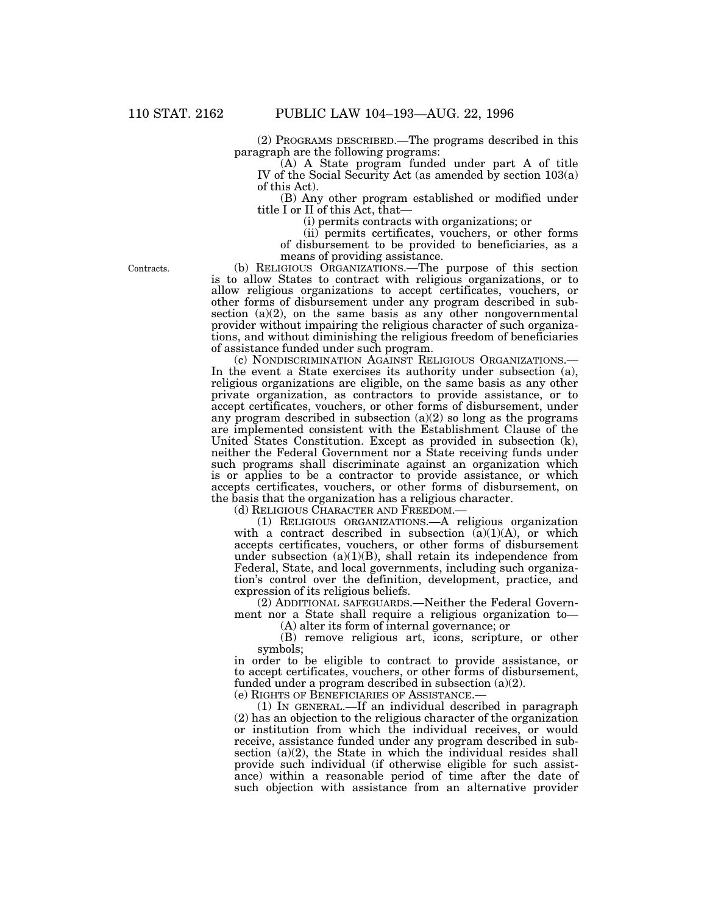(2) PROGRAMS DESCRIBED.—The programs described in this paragraph are the following programs:

(A) A State program funded under part A of title IV of the Social Security Act (as amended by section 103(a) of this Act).

(B) Any other program established or modified under title I or II of this Act, that—

(i) permits contracts with organizations; or

(ii) permits certificates, vouchers, or other forms of disbursement to be provided to beneficiaries, as a means of providing assistance.

Contracts.

(b) RELIGIOUS ORGANIZATIONS.—The purpose of this section is to allow States to contract with religious organizations, or to allow religious organizations to accept certificates, vouchers, or other forms of disbursement under any program described in subsection  $(a)(2)$ , on the same basis as any other nongovernmental provider without impairing the religious character of such organizations, and without diminishing the religious freedom of beneficiaries of assistance funded under such program.

(c) NONDISCRIMINATION AGAINST RELIGIOUS ORGANIZATIONS.— In the event a State exercises its authority under subsection (a), religious organizations are eligible, on the same basis as any other private organization, as contractors to provide assistance, or to accept certificates, vouchers, or other forms of disbursement, under any program described in subsection  $(a)(2)$  so long as the programs are implemented consistent with the Establishment Clause of the United States Constitution. Except as provided in subsection (k), neither the Federal Government nor a State receiving funds under such programs shall discriminate against an organization which is or applies to be a contractor to provide assistance, or which accepts certificates, vouchers, or other forms of disbursement, on the basis that the organization has a religious character.

(d) RELIGIOUS CHARACTER AND FREEDOM.—

(1) RELIGIOUS ORGANIZATIONS.—A religious organization with a contract described in subsection  $(a)(1)(A)$ , or which accepts certificates, vouchers, or other forms of disbursement under subsection  $(a)(1)(B)$ , shall retain its independence from Federal, State, and local governments, including such organization's control over the definition, development, practice, and expression of its religious beliefs.

(2) ADDITIONAL SAFEGUARDS.—Neither the Federal Government nor a State shall require a religious organization to—

(A) alter its form of internal governance; or

(B) remove religious art, icons, scripture, or other symbols;

in order to be eligible to contract to provide assistance, or to accept certificates, vouchers, or other forms of disbursement, funded under a program described in subsection  $(a)(2)$ .

(e) RIGHTS OF BENEFICIARIES OF ASSISTANCE.—

(1) IN GENERAL.—If an individual described in paragraph (2) has an objection to the religious character of the organization or institution from which the individual receives, or would receive, assistance funded under any program described in subsection  $(a)(2)$ , the State in which the individual resides shall provide such individual (if otherwise eligible for such assistance) within a reasonable period of time after the date of such objection with assistance from an alternative provider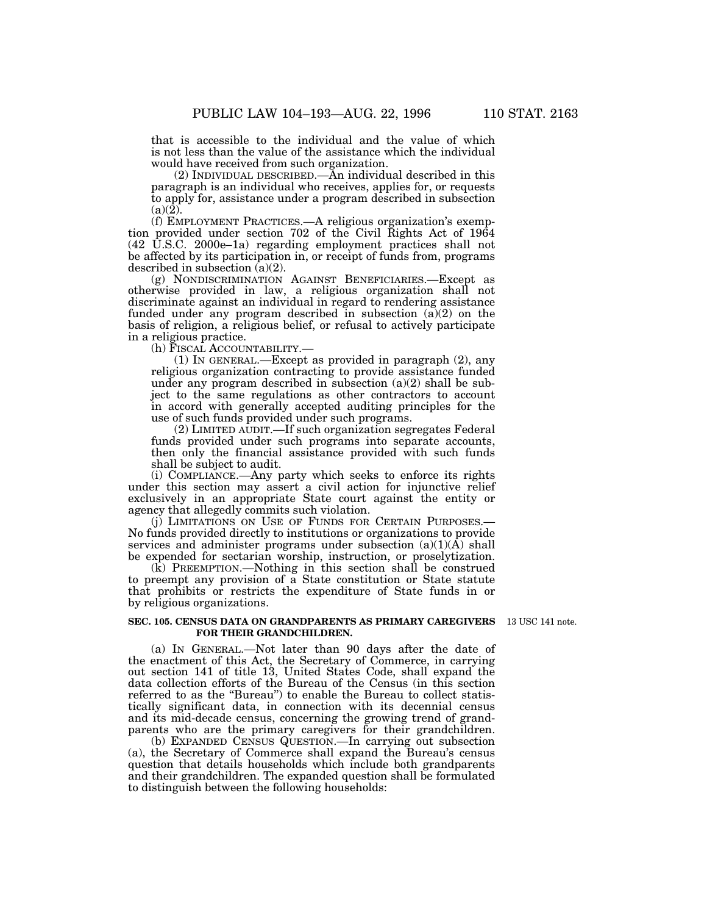that is accessible to the individual and the value of which is not less than the value of the assistance which the individual would have received from such organization.

(2) INDIVIDUAL DESCRIBED.—An individual described in this paragraph is an individual who receives, applies for, or requests to apply for, assistance under a program described in subsection  $(a)(\bar{2})$ .

(f) EMPLOYMENT PRACTICES.—A religious organization's exemption provided under section 702 of the Civil Rights Act of 1964 (42 U.S.C. 2000e–1a) regarding employment practices shall not be affected by its participation in, or receipt of funds from, programs described in subsection (a)(2).

(g) NONDISCRIMINATION AGAINST BENEFICIARIES.—Except as otherwise provided in law, a religious organization shall not discriminate against an individual in regard to rendering assistance funded under any program described in subsection  $(a)(2)$  on the basis of religion, a religious belief, or refusal to actively participate in a religious practice.

(h) FISCAL ACCOUNTABILITY.—

(1) IN GENERAL.—Except as provided in paragraph (2), any religious organization contracting to provide assistance funded under any program described in subsection  $(a)(2)$  shall be subject to the same regulations as other contractors to account in accord with generally accepted auditing principles for the use of such funds provided under such programs.

(2) LIMITED AUDIT.—If such organization segregates Federal funds provided under such programs into separate accounts, then only the financial assistance provided with such funds shall be subject to audit.

(i) COMPLIANCE.—Any party which seeks to enforce its rights under this section may assert a civil action for injunctive relief exclusively in an appropriate State court against the entity or agency that allegedly commits such violation.

(j) LIMITATIONS ON USE OF FUNDS FOR CERTAIN PURPOSES.— No funds provided directly to institutions or organizations to provide services and administer programs under subsection  $(a)(1)(\overline{A})$  shall be expended for sectarian worship, instruction, or proselytization.

 $(k)$  PREEMPTION.—Nothing in this section shall be construed to preempt any provision of a State constitution or State statute that prohibits or restricts the expenditure of State funds in or by religious organizations.

#### **SEC. 105. CENSUS DATA ON GRANDPARENTS AS PRIMARY CAREGIVERS** 13 USC 141 note.**FOR THEIR GRANDCHILDREN.**

(a) IN GENERAL.—Not later than 90 days after the date of the enactment of this Act, the Secretary of Commerce, in carrying out section 141 of title 13, United States Code, shall expand the data collection efforts of the Bureau of the Census (in this section referred to as the ''Bureau'') to enable the Bureau to collect statistically significant data, in connection with its decennial census and its mid-decade census, concerning the growing trend of grandparents who are the primary caregivers for their grandchildren.

(b) EXPANDED CENSUS QUESTION.—In carrying out subsection (a), the Secretary of Commerce shall expand the Bureau's census question that details households which include both grandparents and their grandchildren. The expanded question shall be formulated to distinguish between the following households: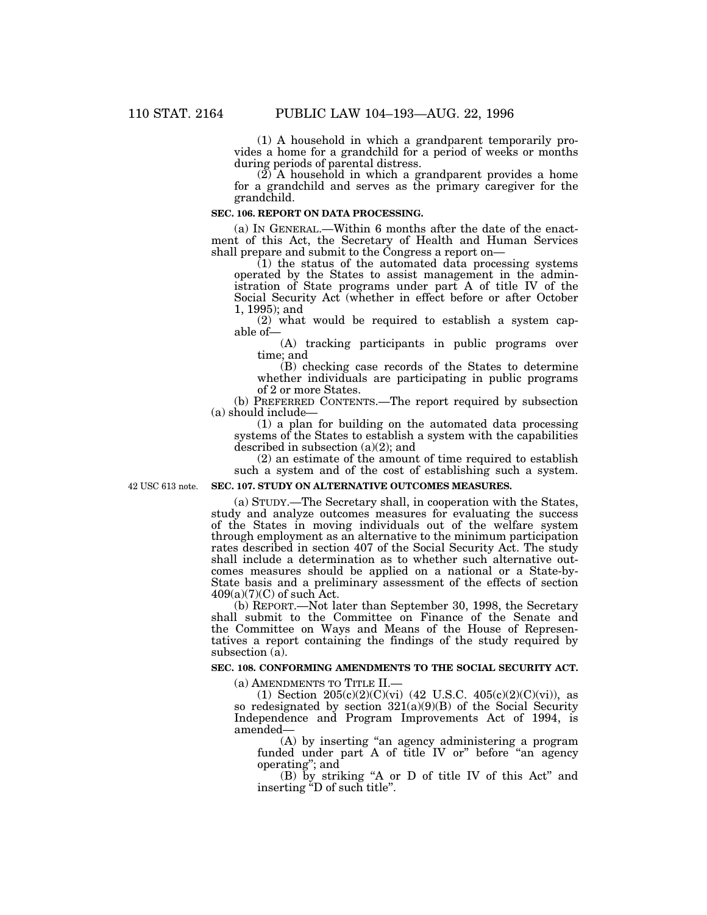(1) A household in which a grandparent temporarily provides a home for a grandchild for a period of weeks or months during periods of parental distress.

 $(2)$  A household in which a grandparent provides a home for a grandchild and serves as the primary caregiver for the grandchild.

#### **SEC. 106. REPORT ON DATA PROCESSING.**

(a) IN GENERAL.—Within 6 months after the date of the enactment of this Act, the Secretary of Health and Human Services shall prepare and submit to the Congress a report on—

 $(1)$  the status of the automated data processing systems operated by the States to assist management in the administration of State programs under part A of title IV of the Social Security Act (whether in effect before or after October 1, 1995); and

(2) what would be required to establish a system capable of—

(A) tracking participants in public programs over time; and

(B) checking case records of the States to determine whether individuals are participating in public programs of 2 or more States.

(b) PREFERRED CONTENTS.—The report required by subsection (a) should include—

(1) a plan for building on the automated data processing systems of the States to establish a system with the capabilities described in subsection (a)(2); and

(2) an estimate of the amount of time required to establish such a system and of the cost of establishing such a system.

42 USC 613 note.

# **SEC. 107. STUDY ON ALTERNATIVE OUTCOMES MEASURES.**

(a) STUDY.—The Secretary shall, in cooperation with the States, study and analyze outcomes measures for evaluating the success of the States in moving individuals out of the welfare system through employment as an alternative to the minimum participation rates described in section 407 of the Social Security Act. The study shall include a determination as to whether such alternative outcomes measures should be applied on a national or a State-by-State basis and a preliminary assessment of the effects of section  $409(a)(7)(C)$  of such Act.

(b) REPORT.—Not later than September 30, 1998, the Secretary shall submit to the Committee on Finance of the Senate and the Committee on Ways and Means of the House of Representatives a report containing the findings of the study required by subsection (a).

## **SEC. 108. CONFORMING AMENDMENTS TO THE SOCIAL SECURITY ACT.**

(a) AMENDMENTS TO TITLE II.—

(1) Section  $205(c)(2)(C)(vi)$  (42 U.S.C. 405(c)(2)(C)(vi)), as so redesignated by section 321(a)(9)(B) of the Social Security Independence and Program Improvements Act of 1994, is amended—

(A) by inserting ''an agency administering a program funded under part A of title IV or" before "an agency operating''; and

(B) by striking ''A or D of title IV of this Act'' and inserting ''D of such title''.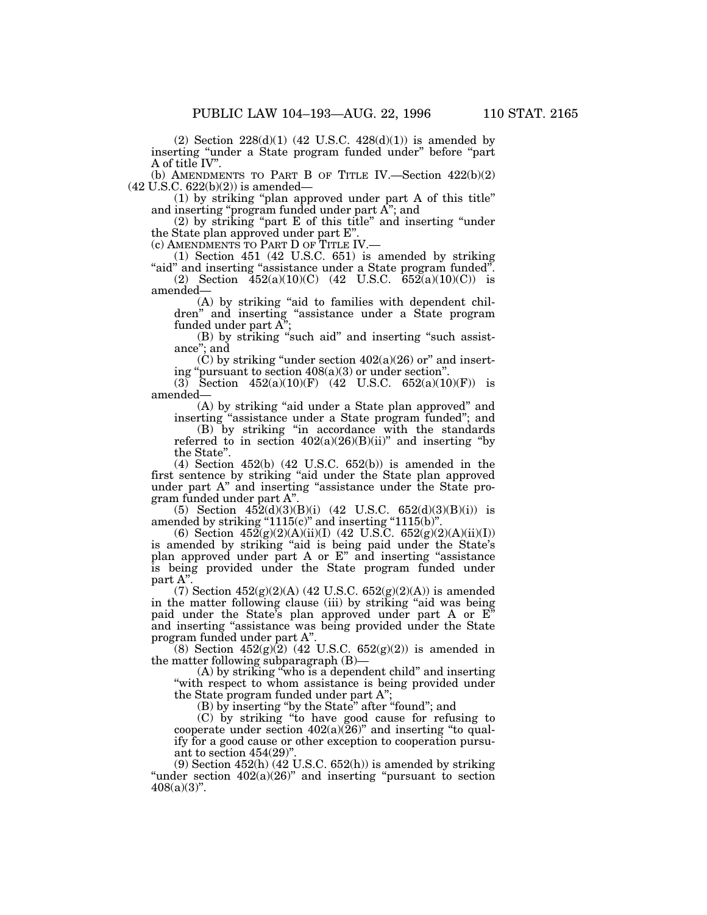(2) Section  $228(d)(1)$  (42 U.S.C.  $428(d)(1)$ ) is amended by inserting ''under a State program funded under'' before ''part A of title IV''.

(b) AMENDMENTS TO PART B OF TITLE IV.—Section 422(b)(2)  $(42 \text{ U.S.C. } 622(b)(2))$  is amended—

(1) by striking ''plan approved under part A of this title'' and inserting "program funded under part  $\overline{A}$ "; and

(2) by striking ''part E of this title'' and inserting ''under the State plan approved under part E''.

(c) AMENDMENTS TO PART D OF TITLE IV.—

(1) Section 451 (42 U.S.C. 651) is amended by striking "aid" and inserting "assistance under a State program funded".

(2) Section  $\overline{452(a)(10)(C)}$  (42 U.S.C.  $\overline{652(a)(10)(C)}$  is amended—

(A) by striking ''aid to families with dependent children'' and inserting ''assistance under a State program funded under part A

(B) by striking "such aid" and inserting "such assistance''; and

(C) by striking "under section  $402(a)(26)$  or" and inserting ''pursuant to section 408(a)(3) or under section''.

(3) Section  $452(a)(10)(F)$  (42 U.S.C.  $652(a)(10)(F)$  is amended—

(A) by striking "aid under a State plan approved" and inserting "assistance under a State program funded"; and

(B) by striking ''in accordance with the standards referred to in section  $402(a)(26)(B)(ii)$ " and inserting "by the State''.

(4) Section 452(b) (42 U.S.C. 652(b)) is amended in the first sentence by striking ''aid under the State plan approved under part A" and inserting "assistance under the State program funded under part A''.

(5) Section  $452(d)(3)(B)(i)$  (42 U.S.C.  $652(d)(3)(B)(i)$ ) is amended by striking " $1115(c)$ " and inserting " $1115(b)$ ".

(6) Section  $45\tilde{2}(g)(2)(\tilde{A})(ii)(I)$  (42 U.S.C.  $652(g)(2)(A)(ii)(I))$ is amended by striking ''aid is being paid under the State's plan approved under part A or E" and inserting "assistance is being provided under the State program funded under part A''.

(7) Section  $452(g)(2)(A)$  (42 U.S.C.  $652(g)(2)(A)$ ) is amended in the matter following clause (iii) by striking ''aid was being paid under the State's plan approved under part A or E<sup>"</sup> and inserting "assistance was being provided under the State program funded under part A''.

 $(8)$  Section  $452(g)(2)$  (42 U.S.C.  $652(g)(2)$ ) is amended in the matter following subparagraph (B)—

(A) by striking ''who is a dependent child'' and inserting "with respect to whom assistance is being provided under the State program funded under part A'';

(B) by inserting ''by the State'' after ''found''; and

(C) by striking ''to have good cause for refusing to cooperate under section 402(a)(26)'' and inserting ''to qualify for a good cause or other exception to cooperation pursuant to section  $454(29)$ ".

 $(9)$  Section 452(h) (42 U.S.C. 652(h)) is amended by striking "under section 402(a)(26)" and inserting "pursuant to section  $408(a)(3)$ ".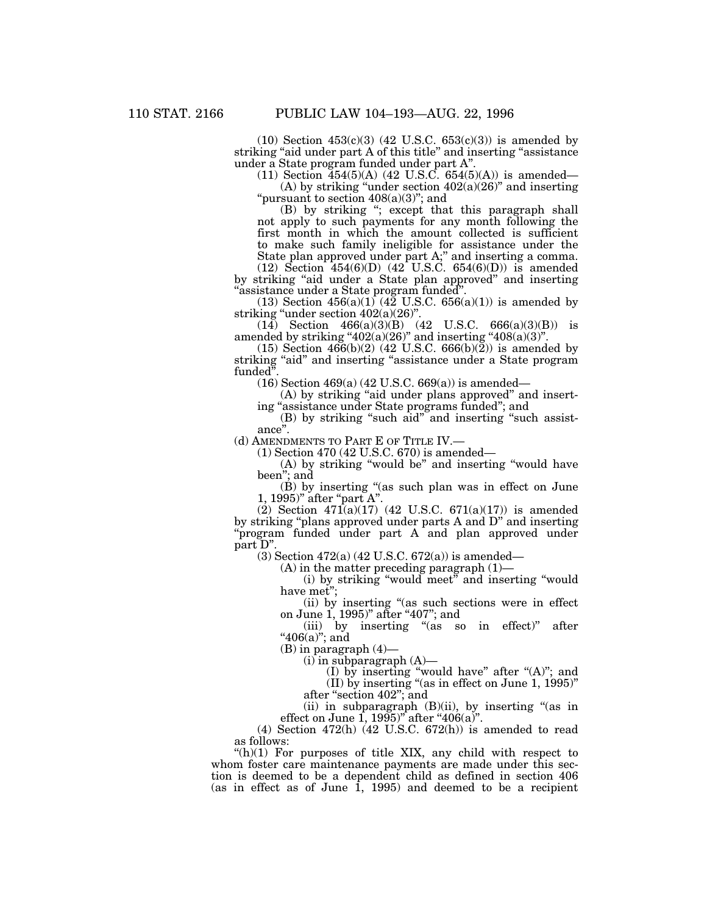$(10)$  Section  $453(c)(3)$   $(42 \text{ U.S.C. } 653(c)(3))$  is amended by striking "aid under part A of this title" and inserting "assistance under a State program funded under part A''.

(11) Section  $\overline{4}54(5)(A)$  (42 U.S.C. 654(5)(A)) is amended— (A) by striking "under section  $402(a)(26)$ " and inserting "pursuant to section  $408(a)(3)$ "; and

(B) by striking ''; except that this paragraph shall not apply to such payments for any month following the first month in which the amount collected is sufficient to make such family ineligible for assistance under the State plan approved under part A;'' and inserting a comma.

(12) Section 454(6)(D) (42 U.S.C. 654(6)(D)) is amended by striking "aid under a State plan approved" and inserting ''assistance under a State program funded''.

(13) Section  $456(a)(1)$  (42 U.S.C.  $656(a)(1)$ ) is amended by striking ''under section 402(a)(26)''.

(14) Section  $466(a)(3)(B)$  (42 U.S.C.  $666(a)(3)(B)$ ) is amended by striking " $402(a)(26)$ " and inserting " $408(a)(3)$ ".

(15) Section  $466(b)(2)$  (42 U.S.C. 666(b)(2)) is amended by striking "aid" and inserting "assistance under a State program funded''.

 $(16)$  Section  $469(a)$  (42 U.S.C. 669(a)) is amended—

(A) by striking "aid under plans approved" and inserting ''assistance under State programs funded''; and

(B) by striking "such aid" and inserting "such assistance''.

(d) AMENDMENTS TO PART E OF TITLE IV.—

(1) Section 470 (42 U.S.C. 670) is amended—

(A) by striking ''would be'' and inserting ''would have been''; and

(B) by inserting ''(as such plan was in effect on June 1, 1995)'' after ''part A''.

(2) Section  $471(a)(17)$  (42 U.S.C.  $671(a)(17)$ ) is amended by striking ''plans approved under parts A and D'' and inserting "program funded under part A and plan approved under part D''.

 $(3)$  Section 472(a) (42 U.S.C. 672(a)) is amended—

(A) in the matter preceding paragraph (1)—

(i) by striking ''would meet'' and inserting ''would have met'';

(ii) by inserting ''(as such sections were in effect on June 1, 1995)" after "407"; and

(iii) by inserting "(as so in effect)" after " $406(a)$ "; and

(B) in paragraph (4)—

 $(i)$  in subparagraph  $(A)$ —

(I) by inserting ''would have'' after ''(A)''; and (II) by inserting ''(as in effect on June 1, 1995)''

after ''section 402''; and

(ii) in subparagraph (B)(ii), by inserting ''(as in effect on June  $\overline{1}$ , 1995)" after "406(a)".

(4) Section  $472(h)$  (42 U.S.C.  $672(h)$ ) is amended to read as follows:

 $f(h)(1)$  For purposes of title XIX, any child with respect to whom foster care maintenance payments are made under this section is deemed to be a dependent child as defined in section 406 (as in effect as of June  $\overline{1}$ , 1995) and deemed to be a recipient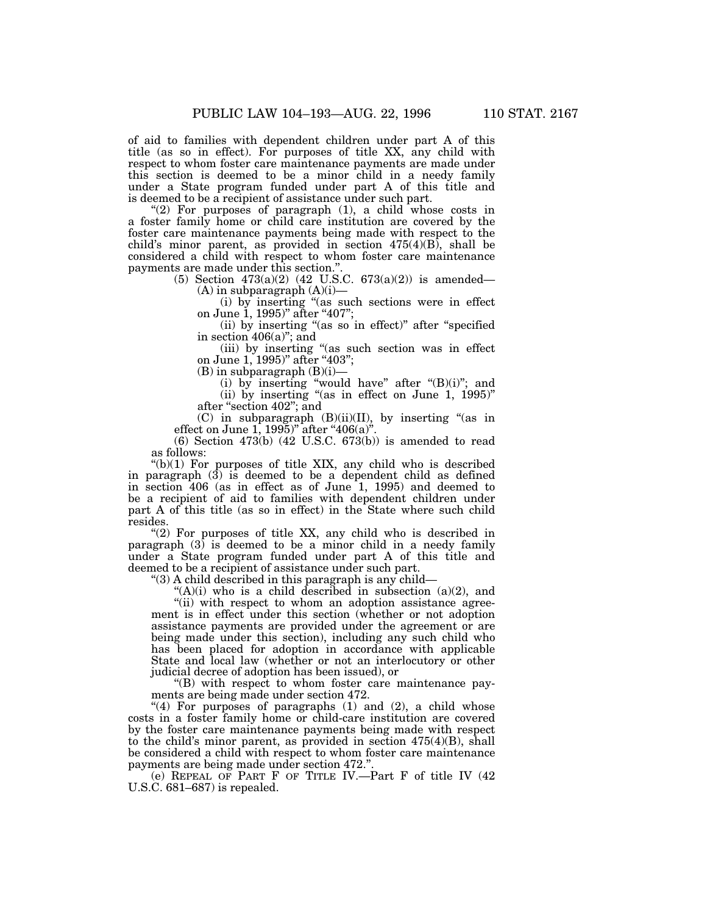of aid to families with dependent children under part A of this title (as so in effect). For purposes of title XX, any child with respect to whom foster care maintenance payments are made under this section is deemed to be a minor child in a needy family under a State program funded under part A of this title and is deemed to be a recipient of assistance under such part.

" $(2)$  For purposes of paragraph  $(1)$ , a child whose costs in a foster family home or child care institution are covered by the foster care maintenance payments being made with respect to the child's minor parent, as provided in section 475(4)(B), shall be considered a child with respect to whom foster care maintenance payments are made under this section."

(5) Section 473(a)(2) (42 U.S.C. 673(a)(2)) is amended—  $(A)$  in subparagraph  $(A)(i)$ –

(i) by inserting ''(as such sections were in effect on June 1, 1995)" after "407";

(ii) by inserting "(as so in effect)" after "specified" in section  $406(a)$ "; and

(iii) by inserting ''(as such section was in effect on June 1, 1995)" after "403";

 $(B)$  in subparagraph  $(B)(i)$ —

(i) by inserting ''would have'' after ''(B)(i)''; and (ii) by inserting ''(as in effect on June 1, 1995)'' after ''section 402''; and

(C) in subparagraph (B)(ii)(II), by inserting ''(as in effect on June 1, 1995)" after "406(a)".

 $(6)$  Section 473 $(b)$  (42 U.S.C. 673 $(b)$ ) is amended to read as follows:

" $(b)(1)$  For purposes of title XIX, any child who is described in paragraph  $(3)$  is deemed to be a dependent child as defined in section 406 (as in effect as of June 1, 1995) and deemed to be a recipient of aid to families with dependent children under part A of this title (as so in effect) in the State where such child resides.

"(2) For purposes of title XX, any child who is described in paragraph  $(3)$  is deemed to be a minor child in a needy family under a State program funded under part A of this title and deemed to be a recipient of assistance under such part.

''(3) A child described in this paragraph is any child—

 $(A)(i)$  who is a child described in subsection (a)(2), and

"(ii) with respect to whom an adoption assistance agreement is in effect under this section (whether or not adoption assistance payments are provided under the agreement or are being made under this section), including any such child who has been placed for adoption in accordance with applicable State and local law (whether or not an interlocutory or other judicial decree of adoption has been issued), or

''(B) with respect to whom foster care maintenance payments are being made under section 472.

"(4) For purposes of paragraphs (1) and (2), a child whose costs in a foster family home or child-care institution are covered by the foster care maintenance payments being made with respect to the child's minor parent, as provided in section 475(4)(B), shall be considered a child with respect to whom foster care maintenance payments are being made under section 472.''.

(e) REPEAL OF PART F OF TITLE IV.—Part F of title IV (42 U.S.C. 681–687) is repealed.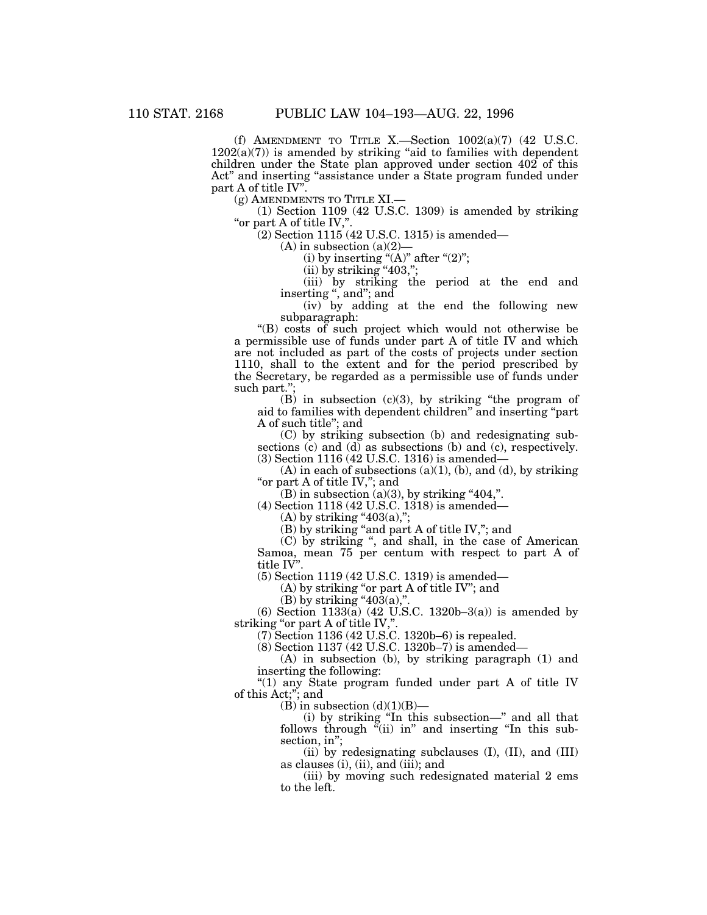(f) AMENDMENT TO TITLE  $X$ .—Section  $1002(a)(7)$  (42 U.S.C.  $1202(a)(7)$ ) is amended by striking "aid to families with dependent children under the State plan approved under section 402 of this Act" and inserting "assistance under a State program funded under part A of title IV''.

(g) AMENDMENTS TO TITLE XI.—

(1) Section 1109 (42 U.S.C. 1309) is amended by striking ''or part A of title IV,''.

(2) Section 1115 (42 U.S.C. 1315) is amended—

 $(A)$  in subsection  $(a)(2)$ –

(i) by inserting " $(A)$ " after " $(2)$ ";

 $(ii)$  by striking "403,";

(iii) by striking the period at the end and inserting '', and''; and

(iv) by adding at the end the following new subparagraph:

''(B) costs of such project which would not otherwise be a permissible use of funds under part A of title IV and which are not included as part of the costs of projects under section 1110, shall to the extent and for the period prescribed by the Secretary, be regarded as a permissible use of funds under such part.'';

 $(B)$  in subsection  $(c)(3)$ , by striking "the program of aid to families with dependent children'' and inserting ''part A of such title''; and

(C) by striking subsection (b) and redesignating subsections (c) and (d) as subsections (b) and (c), respectively. (3) Section 1116 (42 U.S.C. 1316) is amended—

 $(A)$  in each of subsections  $(a)(1)$ ,  $(b)$ , and  $(d)$ , by striking ''or part A of title IV,''; and

 $(B)$  in subsection  $(a)(3)$ , by striking "404,".

(4) Section 1118 (42 U.S.C. 1318) is amended—

(A) by striking " $403(a)$ ,";

(B) by striking ''and part A of title IV,''; and

(C) by striking '', and shall, in the case of American Samoa, mean 75 per centum with respect to part A of title IV''.

(5) Section 1119 (42 U.S.C. 1319) is amended—

 $(A)$  by striking "or part A of title IV"; and

 $(B)$  by striking "403(a),"

(6) Section 1133(a) (42 U.S.C. 1320b–3(a)) is amended by striking "or part A of title IV,"

(7) Section 1136 (42 U.S.C. 1320b–6) is repealed.

(8) Section 1137 (42 U.S.C. 1320b–7) is amended—

(A) in subsection (b), by striking paragraph (1) and inserting the following:

"(1) any State program funded under part A of title IV of this Act;''; and

 $(B)$  in subsection  $(d)(1)(B)$ —

(i) by striking ''In this subsection—'' and all that follows through "(ii) in" and inserting "In this subsection, in'';

(ii) by redesignating subclauses (I), (II), and (III) as clauses (i), (ii), and (iii); and

(iii) by moving such redesignated material 2 ems to the left.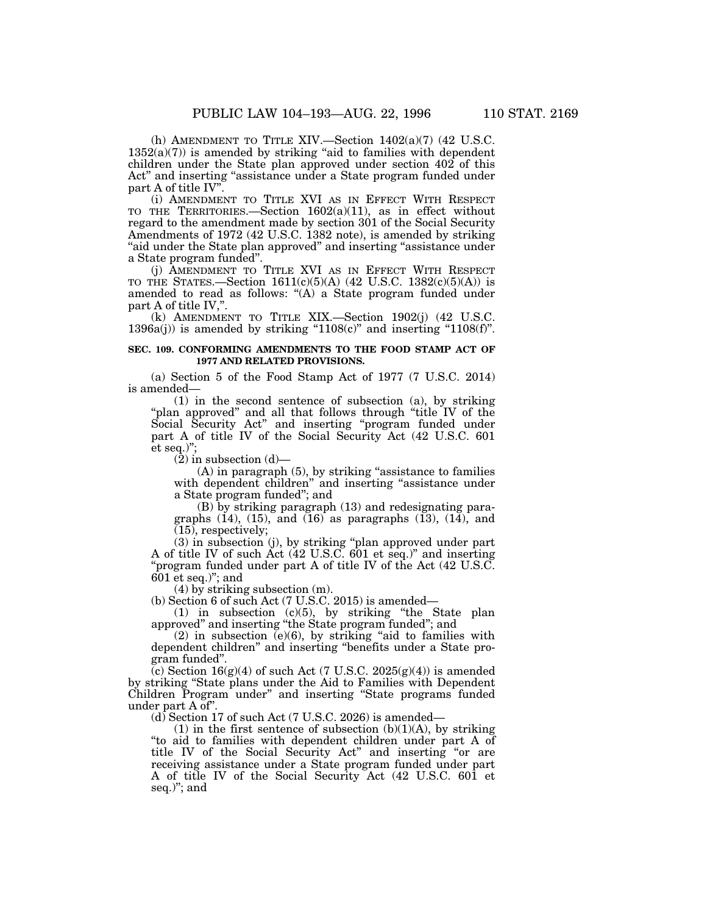(h) AMENDMENT TO TITLE XIV.—Section 1402(a)(7) (42 U.S.C.  $1352(a)(7)$ ) is amended by striking "aid to families with dependent children under the State plan approved under section 402 of this Act" and inserting "assistance under a State program funded under part A of title IV".

(i) AMENDMENT TO TITLE XVI AS IN EFFECT WITH RESPECT TO THE TERRITORIES.—Section 1602(a)(11), as in effect without regard to the amendment made by section 301 of the Social Security Amendments of 1972 (42 U.S.C. 1382 note), is amended by striking "aid under the State plan approved" and inserting "assistance under a State program funded''.

(j) AMENDMENT TO TITLE XVI AS IN EFFECT WITH RESPECT TO THE STATES.—Section 1611(c)(5)(A) (42 U.S.C. 1382(c)(5)(A)) is amended to read as follows: ''(A) a State program funded under part A of title IV,''.

(k) AMENDMENT TO TITLE XIX.—Section 1902(j) (42 U.S.C.  $1396a(j)$ ) is amended by striking " $1108(c)$ " and inserting " $1108(f)$ ".

#### **SEC. 109. CONFORMING AMENDMENTS TO THE FOOD STAMP ACT OF 1977 AND RELATED PROVISIONS.**

(a) Section 5 of the Food Stamp Act of 1977 (7 U.S.C. 2014) is amended—

(1) in the second sentence of subsection (a), by striking "plan approved" and all that follows through "title IV of the Social Security Act'' and inserting ''program funded under part A of title IV of the Social Security Act (42 U.S.C. 601 et seq.)'';

 $(2)$  in subsection  $(d)$ —

 $(A)$  in paragraph  $(5)$ , by striking "assistance to families with dependent children" and inserting "assistance under a State program funded''; and

(B) by striking paragraph (13) and redesignating paragraphs  $(14)$ ,  $(15)$ , and  $(16)$  as paragraphs  $(13)$ ,  $(14)$ , and (15), respectively;

(3) in subsection (j), by striking ''plan approved under part A of title IV of such Act (42 U.S.C. 601 et seq.)'' and inserting "program funded under part A of title IV of the Act  $(42 \text{ U.S. C})$ .  $601$  et seq.)"; and

(4) by striking subsection (m).

(b) Section 6 of such Act (7 U.S.C. 2015) is amended—

(1) in subsection  $(c)(5)$ , by striking "the State plan approved'' and inserting ''the State program funded''; and

(2) in subsection  $(e)(6)$ , by striking "aid to families with dependent children'' and inserting ''benefits under a State program funded''.

(c) Section  $16(g)(4)$  of such Act (7 U.S.C. 2025(g)(4)) is amended by striking ''State plans under the Aid to Families with Dependent Children Program under'' and inserting ''State programs funded under part A of''.

 $(d)$  Section 17 of such Act (7 U.S.C. 2026) is amended—

(1) in the first sentence of subsection  $(b)(1)(A)$ , by striking ''to aid to families with dependent children under part A of title IV of the Social Security Act'' and inserting ''or are receiving assistance under a State program funded under part A of title IV of the Social Security Act (42 U.S.C. 601 et seq.)''; and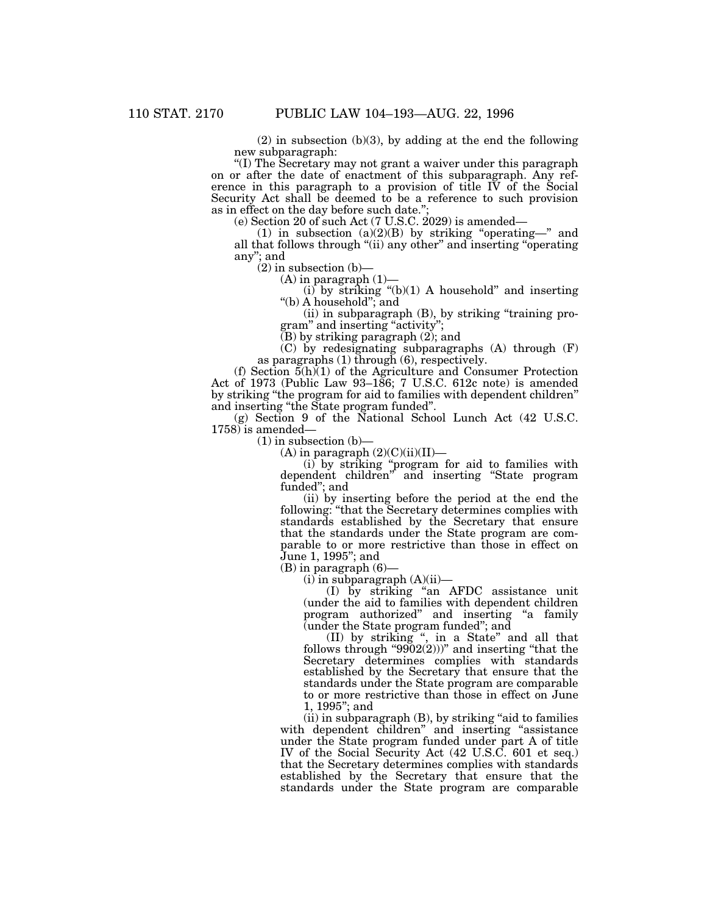$(2)$  in subsection  $(b)(3)$ , by adding at the end the following new subparagraph:

''(I) The Secretary may not grant a waiver under this paragraph on or after the date of enactment of this subparagraph. Any reference in this paragraph to a provision of title IV of the Social Security Act shall be deemed to be a reference to such provision as in effect on the day before such date.'';

(e) Section 20 of such Act (7 U.S.C. 2029) is amended—

(1) in subsection  $(a)(2)(B)$  by striking "operating—" and all that follows through "(ii) any other" and inserting "operating any''; and

(2) in subsection (b)—

 $(A)$  in paragraph  $(1)$ –

 $(i)$  by striking " $(b)(1)$  A household" and inserting ''(b) A household''; and

(ii) in subparagraph (B), by striking ''training program" and inserting "activity";

(B) by striking paragraph (2); and

(C) by redesignating subparagraphs (A) through (F) as paragraphs (1) through (6), respectively.

(f) Section  $\tilde{\delta}(h)(1)$  of the Agriculture and Consumer Protection Act of 1973 (Public Law 93–186; 7 U.S.C. 612c note) is amended by striking ''the program for aid to families with dependent children'' and inserting ''the State program funded''.

(g) Section 9 of the National School Lunch Act (42 U.S.C. 1758) is amended—

 $(1)$  in subsection  $(b)$ —

(A) in paragraph  $(2)(C)(ii)(II)$ —

(i) by striking ''program for aid to families with dependent children'' and inserting ''State program funded''; and

(ii) by inserting before the period at the end the following: ''that the Secretary determines complies with standards established by the Secretary that ensure that the standards under the State program are comparable to or more restrictive than those in effect on June 1, 1995''; and

(B) in paragraph (6)—

 $(i)$  in subparagraph  $(A)(ii)$ —

(I) by striking ''an AFDC assistance unit (under the aid to families with dependent children program authorized'' and inserting ''a family (under the State program funded''; and

(II) by striking '', in a State'' and all that follows through " $(9902(2))$ " and inserting "that the Secretary determines complies with standards established by the Secretary that ensure that the standards under the State program are comparable to or more restrictive than those in effect on June 1, 1995''; and

(ii) in subparagraph (B), by striking ''aid to families with dependent children" and inserting "assistance under the State program funded under part A of title IV of the Social Security Act (42 U.S.C. 601 et seq.) that the Secretary determines complies with standards established by the Secretary that ensure that the standards under the State program are comparable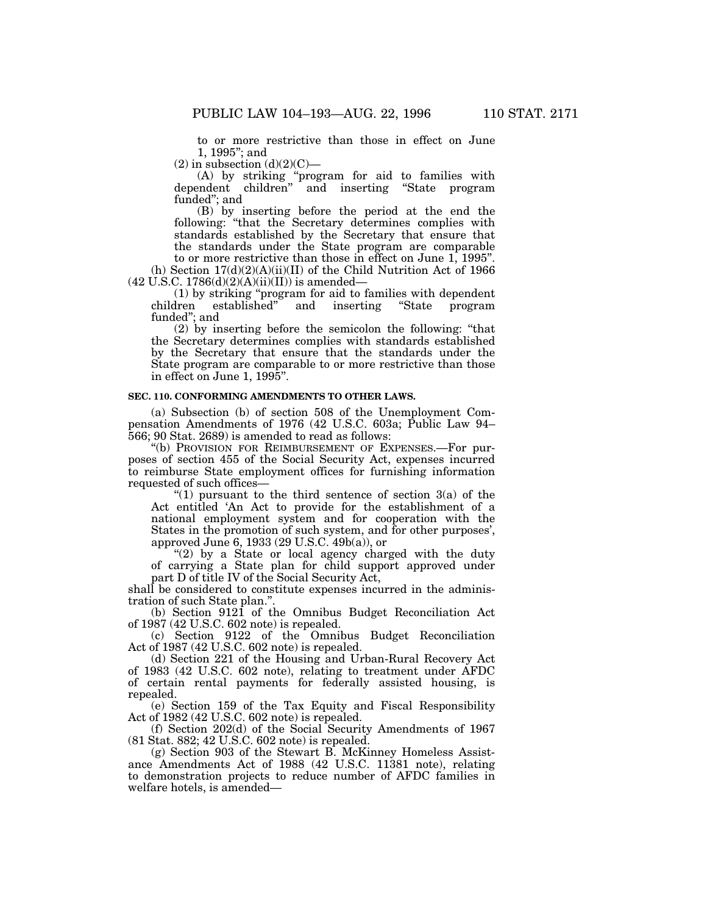to or more restrictive than those in effect on June 1, 1995''; and

 $(2)$  in subsection  $(d)(2)(C)$ —

(A) by striking ''program for aid to families with dependent children'' and inserting ''State program funded''; and

(B) by inserting before the period at the end the following: "that the Secretary determines complies with standards established by the Secretary that ensure that the standards under the State program are comparable to or more restrictive than those in effect on June 1, 1995''.

(h) Section  $17(d)(2)(A)(ii)(II)$  of the Child Nutrition Act of 1966  $(42 \text{ U.S.C. } 1786(d)(2)(A)(ii)(II))$  is amended—

(1) by striking "program for aid to families with dependent<br>dren established" and inserting "State program children established'' and inserting ''State program funded''; and

(2) by inserting before the semicolon the following: ''that the Secretary determines complies with standards established by the Secretary that ensure that the standards under the State program are comparable to or more restrictive than those in effect on June 1, 1995''.

### **SEC. 110. CONFORMING AMENDMENTS TO OTHER LAWS.**

(a) Subsection (b) of section 508 of the Unemployment Compensation Amendments of 1976 (42 U.S.C. 603a; Public Law 94– 566; 90 Stat. 2689) is amended to read as follows:

''(b) PROVISION FOR REIMBURSEMENT OF EXPENSES.—For purposes of section 455 of the Social Security Act, expenses incurred to reimburse State employment offices for furnishing information requested of such offices—

"(1) pursuant to the third sentence of section  $3(a)$  of the Act entitled 'An Act to provide for the establishment of a national employment system and for cooperation with the States in the promotion of such system, and for other purposes', approved June 6, 1933 (29 U.S.C. 49b(a)), or

"(2) by a State or local agency charged with the duty of carrying a State plan for child support approved under part D of title IV of the Social Security Act,

shall be considered to constitute expenses incurred in the administration of such State plan.''.

(b) Section 9121 of the Omnibus Budget Reconciliation Act of 1987 (42 U.S.C. 602 note) is repealed.

(c) Section 9122 of the Omnibus Budget Reconciliation Act of 1987 (42 U.S.C. 602 note) is repealed.

(d) Section 221 of the Housing and Urban-Rural Recovery Act of 1983 (42 U.S.C. 602 note), relating to treatment under AFDC of certain rental payments for federally assisted housing, is repealed.

(e) Section 159 of the Tax Equity and Fiscal Responsibility Act of 1982 (42 U.S.C. 602 note) is repealed.

(f) Section 202(d) of the Social Security Amendments of 1967 (81 Stat. 882; 42 U.S.C. 602 note) is repealed.

(g) Section 903 of the Stewart B. McKinney Homeless Assistance Amendments Act of 1988 (42 U.S.C. 11381 note), relating to demonstration projects to reduce number of AFDC families in welfare hotels, is amended—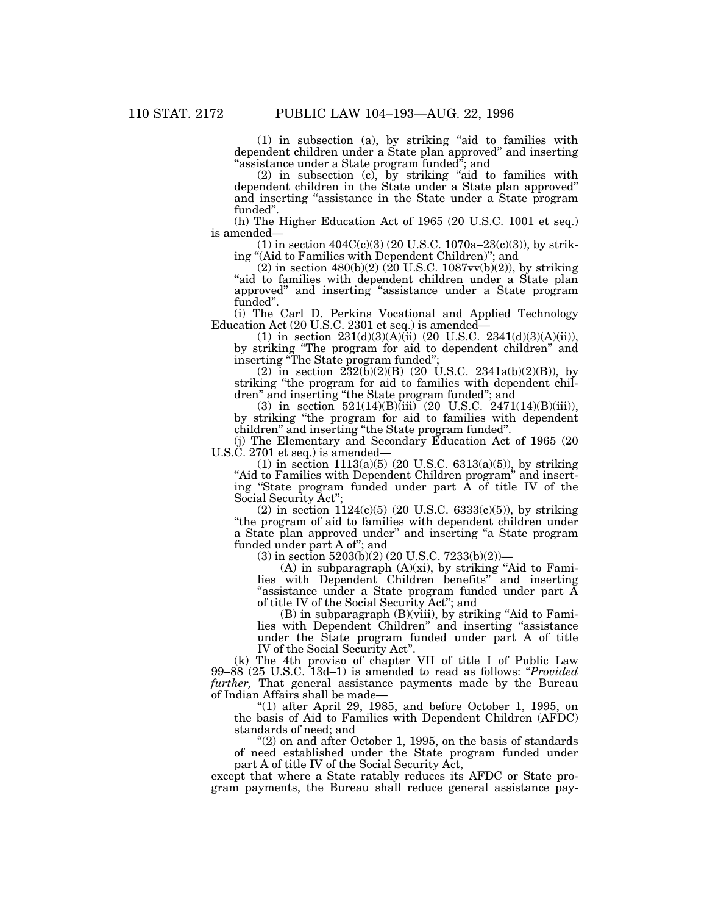(1) in subsection (a), by striking ''aid to families with dependent children under a State plan approved'' and inserting "assistance under a State program funded"; and

(2) in subsection (c), by striking ''aid to families with dependent children in the State under a State plan approved'' and inserting "assistance in the State under a State program funded''.

(h) The Higher Education Act of 1965 (20 U.S.C. 1001 et seq.) is amended—

(1) in section  $404C(c)(3)$  (20 U.S.C. 1070a–23(c)(3)), by striking ''(Aid to Families with Dependent Children)''; and

 $(2)$  in section  $480(b)(2)$  (20 U.S.C. 1087vv(b)(2)), by striking "aid to families with dependent children under a State plan approved'' and inserting ''assistance under a State program funded''.

(i) The Carl D. Perkins Vocational and Applied Technology Education Act (20 U.S.C. 2301 et seq.) is amended—

(1) in section  $231(d)(3)(A)(ii)$  (20 U.S.C.  $2341(d)(3)(A)(ii)$ ), by striking ''The program for aid to dependent children'' and inserting ''The State program funded'';

(2) in section  $2\overline{3}2(b)(2)(B)$  (20 U.S.C.  $2341a(b)(2)(B)$ ), by striking ''the program for aid to families with dependent children'' and inserting ''the State program funded''; and

(3) in section  $521(14)(B)$ (iii) (20 U.S.C. 2471(14)(B)(iii)), by striking ''the program for aid to families with dependent children'' and inserting ''the State program funded''.

(j) The Elementary and Secondary Education Act of 1965 (20 U.S.C. 2701 et seq.) is amended—

 $(1)$  in section  $1113(a)(5)$   $(20 \text{ U.S.C. } 6313(a)(5))$ , by striking "Aid to Families with Dependent Children program" and inserting ''State program funded under part A of title IV of the Social Security Act"

(2) in section  $1124(c)(5)$  (20 U.S.C. 6333(c)(5)), by striking ''the program of aid to families with dependent children under a State plan approved under" and inserting "a State program funded under part A of''; and

 $(3)$  in section 5203(b)(2) (20 U.S.C. 7233(b)(2))—

 $(A)$  in subparagraph  $(A)(xi)$ , by striking "Aid to Families with Dependent Children benefits'' and inserting ''assistance under a State program funded under part A of title IV of the Social Security Act''; and

(B) in subparagraph (B)(viii), by striking ''Aid to Families with Dependent Children" and inserting "assistance under the State program funded under part A of title IV of the Social Security Act''.

(k) The 4th proviso of chapter VII of title I of Public Law 99–88 (25 U.S.C. 13d–1) is amended to read as follows: ''*Provided further,* That general assistance payments made by the Bureau of Indian Affairs shall be made—

" $(1)$  after April 29, 1985, and before October 1, 1995, on the basis of Aid to Families with Dependent Children (AFDC) standards of need; and

 $(2)$  on and after October 1, 1995, on the basis of standards of need established under the State program funded under part A of title IV of the Social Security Act,

except that where a State ratably reduces its AFDC or State program payments, the Bureau shall reduce general assistance pay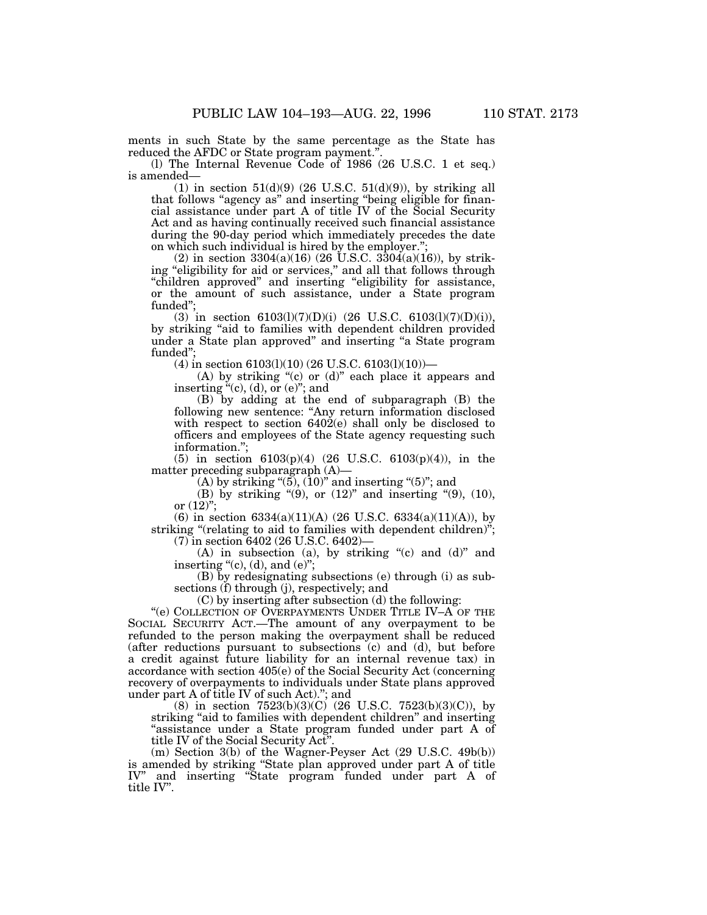ments in such State by the same percentage as the State has reduced the AFDC or State program payment.'

(l) The Internal Revenue Code of 1986 (26 U.S.C. 1 et seq.) is amended—

(1) in section  $51(d)(9)$  (26 U.S.C.  $51(d)(9)$ ), by striking all that follows "agency as" and inserting "being eligible for financial assistance under part A of title IV of the Social Security Act and as having continually received such financial assistance during the 90-day period which immediately precedes the date on which such individual is hired by the employer.'';

 $(2)$  in section 3304(a)(16) (26 U.S.C. 3304(a)(16)), by striking "eligibility for aid or services," and all that follows through "children approved" and inserting "eligibility for assistance, or the amount of such assistance, under a State program funded'';

(3) in section 6103(l)(7)(D)(i) (26 U.S.C. 6103(l)(7)(D)(i)), by striking ''aid to families with dependent children provided under a State plan approved'' and inserting ''a State program funded'';

 $(4)$  in section 6103(l)(10) (26 U.S.C. 6103(l)(10))—

(A) by striking ''(c) or (d)'' each place it appears and inserting "(c), (d), or (e)"; and

(B) by adding at the end of subparagraph (B) the following new sentence: ''Any return information disclosed with respect to section  $6402(e)$  shall only be disclosed to officers and employees of the State agency requesting such information.'';

(5) in section 6103(p)(4) (26 U.S.C. 6103(p)(4)), in the matter preceding subparagraph (A)—

(A) by striking " $(5)$ ,  $(10)$ " and inserting " $(5)$ "; and

(B) by striking  $\degree$ (9), or  $(12)$ " and inserting  $\degree$ (9),  $(10)$ , or  $(12)$ ";

(6) in section  $6334(a)(11)(A)$  (26 U.S.C.  $6334(a)(11)(A)$ ), by striking "(relating to aid to families with dependent children)";

(7) in section 6402 (26 U.S.C. 6402)—

(A) in subsection (a), by striking " $(c)$  and  $(d)$ " and inserting " $(c)$ ,  $(d)$ , and  $(e)$ ";

(B) by redesignating subsections (e) through (i) as subsections (f) through (j), respectively; and

(C) by inserting after subsection (d) the following:

''(e) COLLECTION OF OVERPAYMENTS UNDER TITLE IV–A OF THE SOCIAL SECURITY ACT.—The amount of any overpayment to be refunded to the person making the overpayment shall be reduced (after reductions pursuant to subsections (c) and (d), but before a credit against future liability for an internal revenue tax) in accordance with section 405(e) of the Social Security Act (concerning recovery of overpayments to individuals under State plans approved under part A of title IV of such Act).''; and

(8) in section 7523(b)(3)(C) (26 U.S.C. 7523(b)(3)(C)), by striking "aid to families with dependent children" and inserting "assistance under a State program funded under part A of title IV of the Social Security Act''.

(m) Section 3(b) of the Wagner-Peyser Act (29 U.S.C. 49b(b)) is amended by striking ''State plan approved under part A of title IV'' and inserting ''State program funded under part A of title IV''.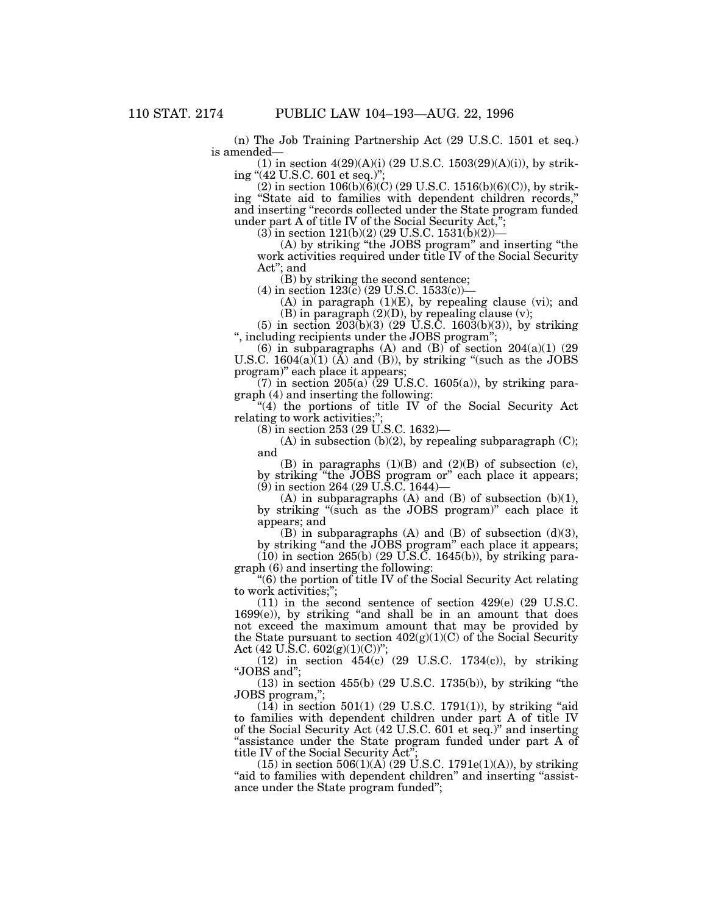(n) The Job Training Partnership Act (29 U.S.C. 1501 et seq.) is amended—

 $(1)$  in section  $4(29)(A)(i)$  (29 U.S.C. 1503 $(29)(A)(i)$ ), by striking ''(42 U.S.C. 601 et seq.)'';

 $(2)$  in section  $106(b)(6)(C)$  (29 U.S.C. 1516(b)(6)(C)), by striking ''State aid to families with dependent children records,'' and inserting "records collected under the State program funded under part A of title IV of the Social Security Act,'';

 $(3)$  in section  $121(b)(2)$   $(29 U.S.C. 1531(b)(2))$ 

(A) by striking ''the JOBS program'' and inserting ''the work activities required under title IV of the Social Security Act''; and

(B) by striking the second sentence;

(4) in section  $123(c)$  (29 U.S.C. 1533(c))-

(A) in paragraph  $(1)(E)$ , by repealing clause (vi); and (B) in paragraph (2)(D), by repealing clause (v);

(5) in section 203(b)(3) (29 U.S.C. 1603(b)(3)), by striking '', including recipients under the JOBS program'';

(6) in subparagraphs (A) and  $(B)$  of section 204(a)(1) (29 U.S.C. 1604( $a$ ) $(1)$  ( $\overline{A}$ ) and (B)), by striking "(such as the JOBS program)'' each place it appears;

(7) in section  $205(a)(29)$  U.S.C. 1605(a)), by striking paragraph (4) and inserting the following:

"(4) the portions of title IV of the Social Security Act relating to work activities;"

(8) in section 253 (29 U.S.C. 1632)—

(A) in subsection  $(b)(2)$ , by repealing subparagraph  $(C)$ ; and

(B) in paragraphs (1)(B) and (2)(B) of subsection (c), by striking ''the JOBS program or'' each place it appears;

(9) in section 264 (29 U.S.C. 1644)—

(A) in subparagraphs (A) and (B) of subsection  $(b)(1)$ , by striking "(such as the JOBS program)" each place it appears; and

(B) in subparagraphs  $(A)$  and  $(B)$  of subsection  $(d)(3)$ , by striking "and the JOBS program" each place it appears;

 $(10)$  in section 265(b) (29 U.S.C. 1645(b)), by striking paragraph (6) and inserting the following:

''(6) the portion of title IV of the Social Security Act relating to work activities;'';

(11) in the second sentence of section 429(e) (29 U.S.C.  $1699(e)$ , by striking "and shall be in an amount that does not exceed the maximum amount that may be provided by the State pursuant to section  $402(g)(1)(C)$  of the Social Security Act  $(42 \text{ U.S.C. } 602(g)(1)(C))$ ";

(12) in section 454(c) (29 U.S.C. 1734(c)), by striking ''JOBS and'';

(13) in section 455(b) (29 U.S.C. 1735(b)), by striking ''the JOBS program,'';

 $(14)$  in section 501(1) (29 U.S.C. 1791(1)), by striking "aid to families with dependent children under part A of title IV of the Social Security Act (42 U.S.C. 601 et seq.)'' and inserting ''assistance under the State program funded under part A of title IV of the Social Security Act'';

 $(15)$  in section 506 $(1)(A)$  (29 U.S.C. 1791e $(1)(A)$ ), by striking "aid to families with dependent children" and inserting "assistance under the State program funded'';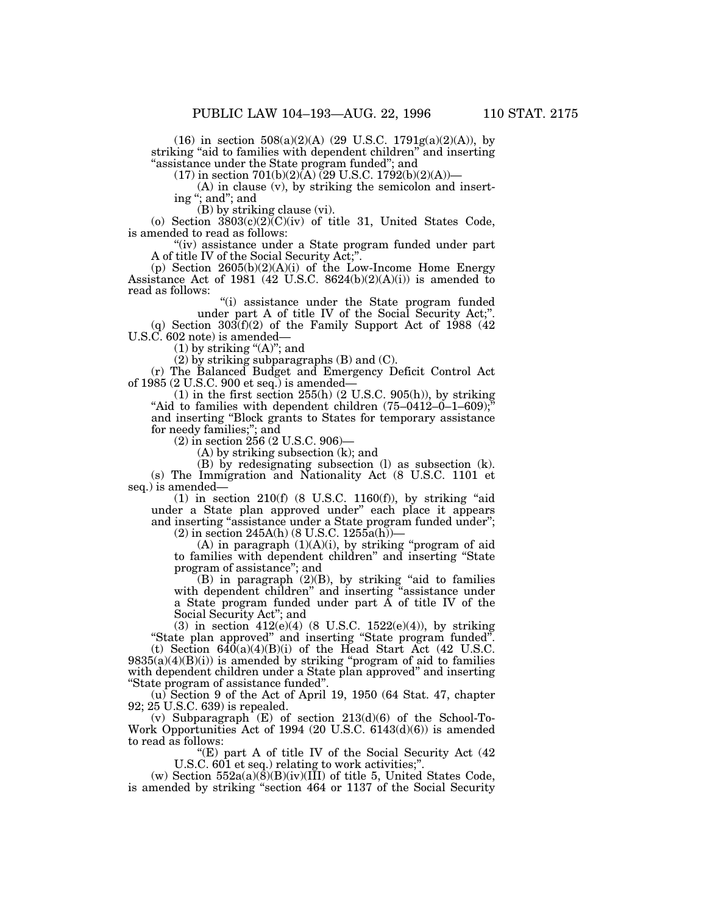(16) in section  $508(a)(2)(A)$  (29 U.S.C. 1791g(a)(2)(A)), by striking "aid to families with dependent children" and inserting "assistance under the State program funded"; and

 $(17)$  in section  $701(b)(2)$  $\tilde{(A)}$   $\tilde{(29 U.S.C. 1792(b)(2)(A))}$ 

(A) in clause (v), by striking the semicolon and inserting ''; and''; and

(B) by striking clause (vi).

(o) Section  $3803(c)(2)(c)(iv)$  of title 31, United States Code, is amended to read as follows:

''(iv) assistance under a State program funded under part A of title IV of the Social Security Act;''.

(p) Section 2605(b)(2)(A)(i) of the Low-Income Home Energy Assistance Act of 1981 (42 U.S.C. 8624(b)(2)(A)(i)) is amended to read as follows:

''(i) assistance under the State program funded under part A of title IV of the Social Security Act;''.

(q) Section  $303(f)(2)$  of the Family Support Act of  $1988(42)$ U.S.C. 602 note) is amended—

(1) by striking " $(A)$ "; and

(2) by striking subparagraphs (B) and (C).

(r) The Balanced Budget and Emergency Deficit Control Act of 1985 (2 U.S.C. 900 et seq.) is amended—

 $(1)$  in the first section 255(h)  $(2 \text{ U.S.C. } 905(h))$ , by striking "Aid to families with dependent children  $(75-0412-0-1-609)$ ; and inserting ''Block grants to States for temporary assistance for needy families;''; and

(2) in section 256 (2 U.S.C. 906)—

(A) by striking subsection (k); and

(B) by redesignating subsection (l) as subsection (k). (s) The Immigration and Nationality Act (8 U.S.C. 1101 et seq.) is amended—

 $(1)$  in section  $210(f)$   $(8 \text{ U.S.C. } 1160(f))$ , by striking "aid under a State plan approved under'' each place it appears and inserting "assistance under a State program funded under";

 $(2)$  in section 245A(h) (8 U.S.C. 1255a(h)

 $(A)$  in paragraph  $(1)(A)(i)$ , by striking "program of aid to families with dependent children'' and inserting ''State program of assistance''; and

(B) in paragraph (2)(B), by striking ''aid to families with dependent children'' and inserting ''assistance under a State program funded under part A of title IV of the Social Security Act''; and

(3) in section 412(e)(4) (8 U.S.C. 1522(e)(4)), by striking ''State plan approved'' and inserting ''State program funded''.

(t) Section  $640(a)(4)(B)(i)$  of the Head Start Act (42 U.S.C.  $9835(a)(4)(B)(i)$  is amended by striking "program of aid to families with dependent children under a State plan approved" and inserting ''State program of assistance funded''.

(u) Section 9 of the Act of April 19, 1950 (64 Stat. 47, chapter 92; 25 U.S.C. 639) is repealed.

(v) Subparagraph  $(E)$  of section 213(d)(6) of the School-To-Work Opportunities Act of 1994 (20 U.S.C. 6143(d)(6)) is amended to read as follows:

" $(E)$  part A of title IV of the Social Security Act  $(42)$ U.S.C. 601 et seq.) relating to work activities;"

(w) Section  $552a(a)(8)(B)(iv)(III)$  of title 5, United States Code, is amended by striking ''section 464 or 1137 of the Social Security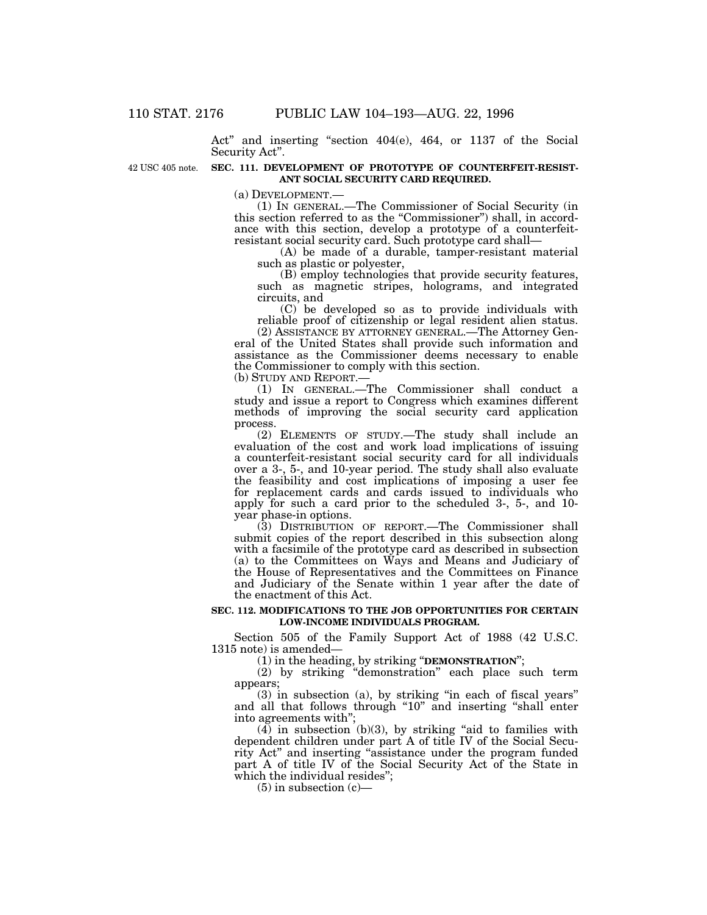Act" and inserting "section 404(e), 464, or 1137 of the Social Security Act''.

42 USC 405 note.

#### **SEC. 111. DEVELOPMENT OF PROTOTYPE OF COUNTERFEIT-RESIST-ANT SOCIAL SECURITY CARD REQUIRED.**

(a) DEVELOPMENT.— (1) IN GENERAL.—The Commissioner of Social Security (in this section referred to as the ''Commissioner'') shall, in accordance with this section, develop a prototype of a counterfeitresistant social security card. Such prototype card shall—

(A) be made of a durable, tamper-resistant material such as plastic or polyester,

(B) employ technologies that provide security features, such as magnetic stripes, holograms, and integrated circuits, and

(C) be developed so as to provide individuals with reliable proof of citizenship or legal resident alien status.

(2) ASSISTANCE BY ATTORNEY GENERAL.—The Attorney General of the United States shall provide such information and assistance as the Commissioner deems necessary to enable the Commissioner to comply with this section.<br>(b) STUDY AND REPORT.—

(b) STUDY AND REPORT.— (1) IN GENERAL.—The Commissioner shall conduct a study and issue a report to Congress which examines different methods of improving the social security card application process.

(2) ELEMENTS OF STUDY.—The study shall include an evaluation of the cost and work load implications of issuing a counterfeit-resistant social security card for all individuals over a 3-, 5-, and 10-year period. The study shall also evaluate the feasibility and cost implications of imposing a user fee for replacement cards and cards issued to individuals who apply for such a card prior to the scheduled 3-, 5-, and 10 year phase-in options.

(3) DISTRIBUTION OF REPORT.—The Commissioner shall submit copies of the report described in this subsection along with a facsimile of the prototype card as described in subsection (a) to the Committees on Ways and Means and Judiciary of the House of Representatives and the Committees on Finance and Judiciary of the Senate within 1 year after the date of the enactment of this Act.

### **SEC. 112. MODIFICATIONS TO THE JOB OPPORTUNITIES FOR CERTAIN LOW-INCOME INDIVIDUALS PROGRAM.**

Section 505 of the Family Support Act of 1988 (42 U.S.C. 1315 note) is amended—

(1) in the heading, by striking ''**DEMONSTRATION**'';

(2) by striking ''demonstration'' each place such term appears;

(3) in subsection (a), by striking ''in each of fiscal years'' and all that follows through "10" and inserting "shall enter into agreements with'';

 $(4)$  in subsection  $(b)(3)$ , by striking "aid to families with dependent children under part A of title IV of the Social Security Act'' and inserting ''assistance under the program funded part A of title IV of the Social Security Act of the State in which the individual resides";

 $(5)$  in subsection  $(c)$ —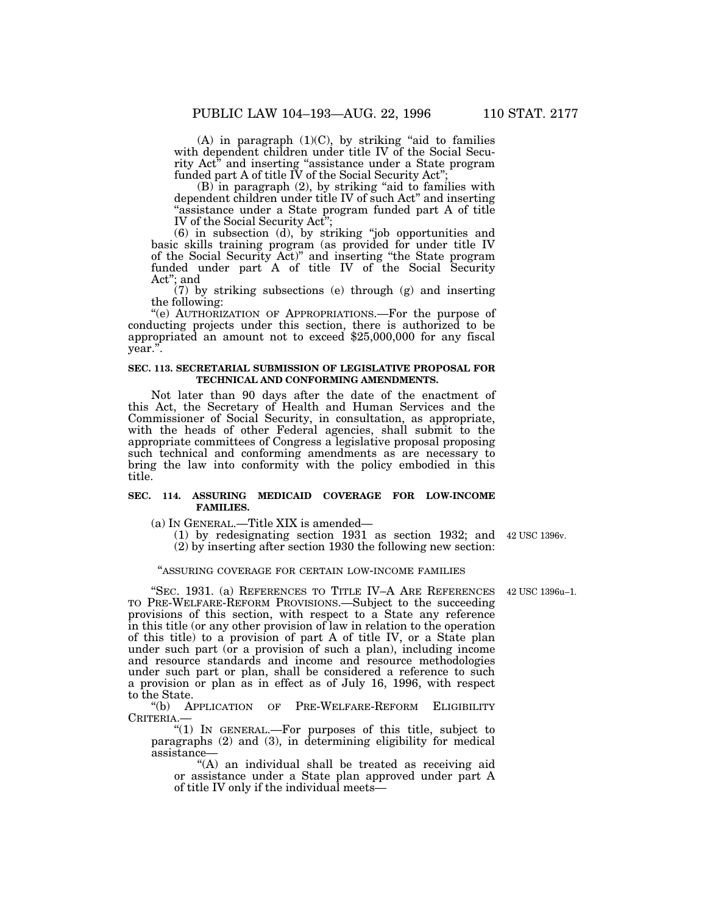$(A)$  in paragraph  $(1)(C)$ , by striking "aid to families with dependent children under title IV of the Social Security Act'' and inserting ''assistance under a State program funded part A of title IV of the Social Security Act'';

 $(B)$  in paragraph  $(2)$ , by striking "aid to families with dependent children under title IV of such Act'' and inserting ''assistance under a State program funded part A of title IV of the Social Security Act'';

(6) in subsection (d), by striking ''job opportunities and basic skills training program (as provided for under title IV of the Social Security Act)'' and inserting ''the State program funded under part A of title IV of the Social Security Act''; and

(7) by striking subsections (e) through (g) and inserting the following:

''(e) AUTHORIZATION OF APPROPRIATIONS.—For the purpose of conducting projects under this section, there is authorized to be appropriated an amount not to exceed \$25,000,000 for any fiscal year.''.

#### **SEC. 113. SECRETARIAL SUBMISSION OF LEGISLATIVE PROPOSAL FOR TECHNICAL AND CONFORMING AMENDMENTS.**

Not later than 90 days after the date of the enactment of this Act, the Secretary of Health and Human Services and the Commissioner of Social Security, in consultation, as appropriate, with the heads of other Federal agencies, shall submit to the appropriate committees of Congress a legislative proposal proposing such technical and conforming amendments as are necessary to bring the law into conformity with the policy embodied in this title.

#### **SEC. 114. ASSURING MEDICAID COVERAGE FOR LOW-INCOME FAMILIES.**

(a) IN GENERAL.—Title XIX is amended—

(1) by redesignating section 1931 as section 1932; and 42 USC 1396v.(2) by inserting after section 1930 the following new section:

''ASSURING COVERAGE FOR CERTAIN LOW-INCOME FAMILIES

''SEC. 1931. (a) REFERENCES TO TITLE IV–A ARE REFERENCES 42 USC 1396u–1. TO PRE-WELFARE-REFORM PROVISIONS.—Subject to the succeeding provisions of this section, with respect to a State any reference in this title (or any other provision of law in relation to the operation of this title) to a provision of part A of title IV, or a State plan under such part (or a provision of such a plan), including income and resource standards and income and resource methodologies under such part or plan, shall be considered a reference to such a provision or plan as in effect as of July 16, 1996, with respect to the State.

''(b) APPLICATION OF PRE-WELFARE-REFORM ELIGIBILITY CRITERIA.—

"(1) IN GENERAL.—For purposes of this title, subject to paragraphs (2) and (3), in determining eligibility for medical assistance—

"(A) an individual shall be treated as receiving aid or assistance under a State plan approved under part A of title IV only if the individual meets—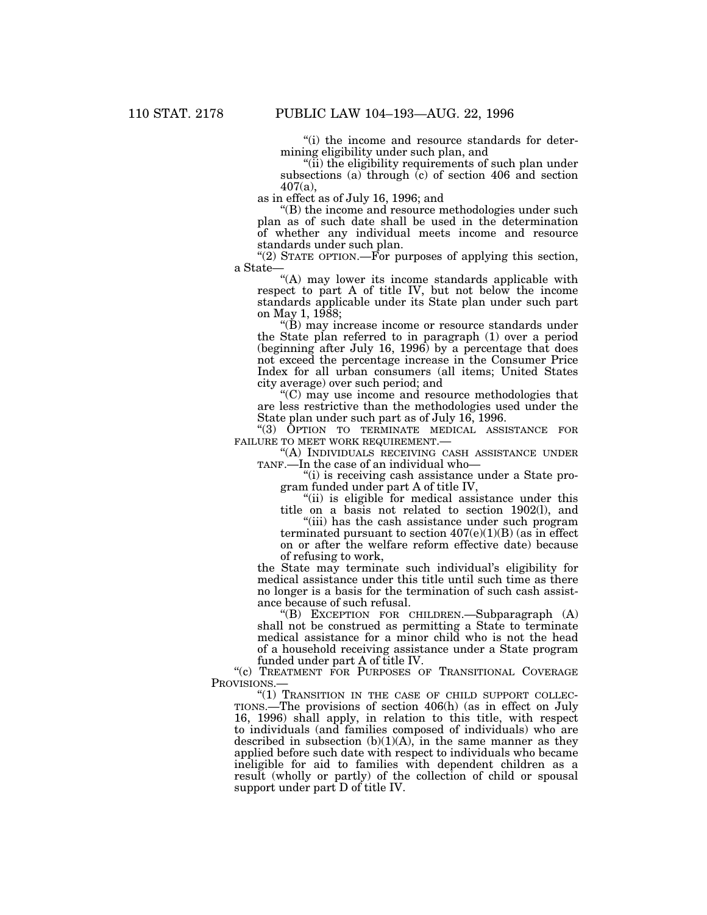''(i) the income and resource standards for determining eligibility under such plan, and

''(ii) the eligibility requirements of such plan under subsections (a) through (c) of section 406 and section 407(a),

as in effect as of July 16, 1996; and

''(B) the income and resource methodologies under such plan as of such date shall be used in the determination of whether any individual meets income and resource standards under such plan.

"(2) STATE OPTION.—For purposes of applying this section, a State—

"(A) may lower its income standards applicable with respect to part A of title IV, but not below the income standards applicable under its State plan under such part on May 1, 1988;

''(B) may increase income or resource standards under the State plan referred to in paragraph (1) over a period (beginning after July 16, 1996) by a percentage that does not exceed the percentage increase in the Consumer Price Index for all urban consumers (all items; United States city average) over such period; and

 $(C)$  may use income and resource methodologies that are less restrictive than the methodologies used under the State plan under such part as of July 16, 1996.

''(3) OPTION TO TERMINATE MEDICAL ASSISTANCE FOR FAILURE TO MEET WORK REQUIREMENT.—

''(A) INDIVIDUALS RECEIVING CASH ASSISTANCE UNDER TANF.—In the case of an individual who—

''(i) is receiving cash assistance under a State program funded under part A of title IV,

"(ii) is eligible for medical assistance under this title on a basis not related to section 1902(l), and

''(iii) has the cash assistance under such program terminated pursuant to section  $407(e)(1)(B)$  (as in effect on or after the welfare reform effective date) because of refusing to work,

the State may terminate such individual's eligibility for medical assistance under this title until such time as there no longer is a basis for the termination of such cash assistance because of such refusal.

''(B) EXCEPTION FOR CHILDREN.—Subparagraph (A) shall not be construed as permitting a State to terminate medical assistance for a minor child who is not the head of a household receiving assistance under a State program funded under part A of title IV.

"(c) TREATMENT FOR PURPOSES OF TRANSITIONAL COVERAGE PROVISIONS.

"(1) TRANSITION IN THE CASE OF CHILD SUPPORT COLLEC-TIONS.—The provisions of section 406(h) (as in effect on July 16, 1996) shall apply, in relation to this title, with respect to individuals (and families composed of individuals) who are described in subsection  $(b)(1)(A)$ , in the same manner as they applied before such date with respect to individuals who became ineligible for aid to families with dependent children as a result (wholly or partly) of the collection of child or spousal support under part D of title IV.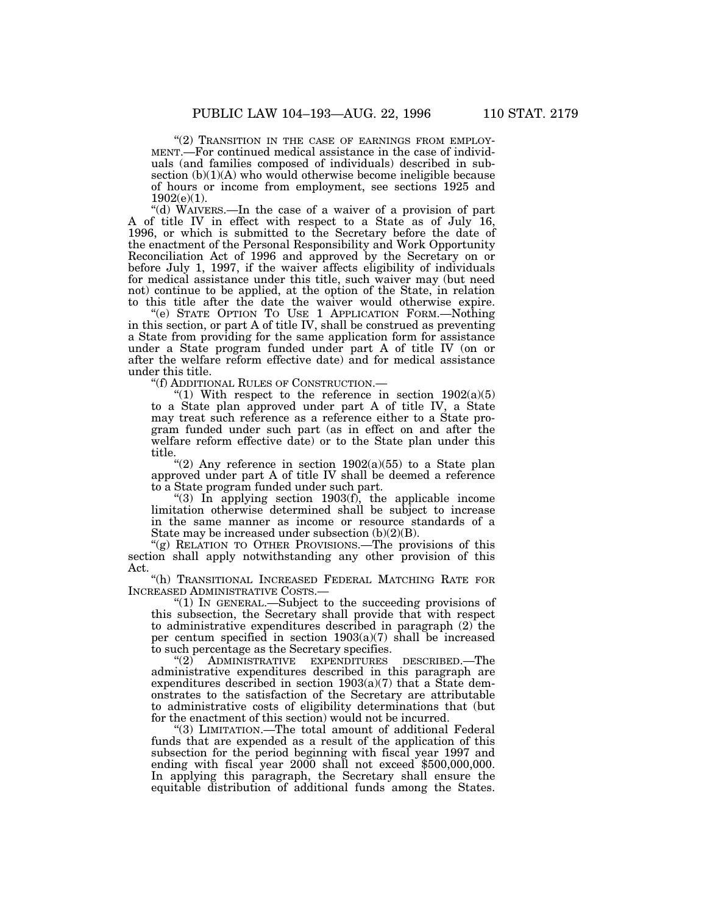''(2) TRANSITION IN THE CASE OF EARNINGS FROM EMPLOY- MENT.—For continued medical assistance in the case of individuals (and families composed of individuals) described in subsection  $(b)(1)(A)$  who would otherwise become ineligible because of hours or income from employment, see sections 1925 and  $1902(e)(1)$ .

"(d) WAIVERS.—In the case of a waiver of a provision of part A of title IV in effect with respect to a State as of July 16, 1996, or which is submitted to the Secretary before the date of the enactment of the Personal Responsibility and Work Opportunity Reconciliation Act of 1996 and approved by the Secretary on or before July 1, 1997, if the waiver affects eligibility of individuals for medical assistance under this title, such waiver may (but need not) continue to be applied, at the option of the State, in relation to this title after the date the waiver would otherwise expire.

''(e) STATE OPTION TO USE 1 APPLICATION FORM.—Nothing in this section, or part A of title IV, shall be construed as preventing a State from providing for the same application form for assistance under a State program funded under part A of title IV (on or after the welfare reform effective date) and for medical assistance under this title.

''(f) ADDITIONAL RULES OF CONSTRUCTION.—

"(1) With respect to the reference in section  $1902(a)(5)$ to a State plan approved under part A of title IV, a State may treat such reference as a reference either to a State program funded under such part (as in effect on and after the welfare reform effective date) or to the State plan under this title.

"(2) Any reference in section  $1902(a)(55)$  to a State plan approved under part A of title IV shall be deemed a reference to a State program funded under such part.

''(3) In applying section 1903(f), the applicable income limitation otherwise determined shall be subject to increase in the same manner as income or resource standards of a State may be increased under subsection (b)(2)(B).

"(g) RELATION TO OTHER PROVISIONS.—The provisions of this section shall apply notwithstanding any other provision of this Act.

''(h) TRANSITIONAL INCREASED FEDERAL MATCHING RATE FOR INCREASED ADMINISTRATIVE COSTS.—

''(1) IN GENERAL.—Subject to the succeeding provisions of this subsection, the Secretary shall provide that with respect to administrative expenditures described in paragraph (2) the per centum specified in section 1903(a)(7) shall be increased to such percentage as the Secretary specifies.

''(2) ADMINISTRATIVE EXPENDITURES DESCRIBED.—The administrative expenditures described in this paragraph are expenditures described in section  $1903(a)(7)$  that a State demonstrates to the satisfaction of the Secretary are attributable to administrative costs of eligibility determinations that (but for the enactment of this section) would not be incurred.

''(3) LIMITATION.—The total amount of additional Federal funds that are expended as a result of the application of this subsection for the period beginning with fiscal year 1997 and ending with fiscal year 2000 shall not exceed \$500,000,000. In applying this paragraph, the Secretary shall ensure the equitable distribution of additional funds among the States.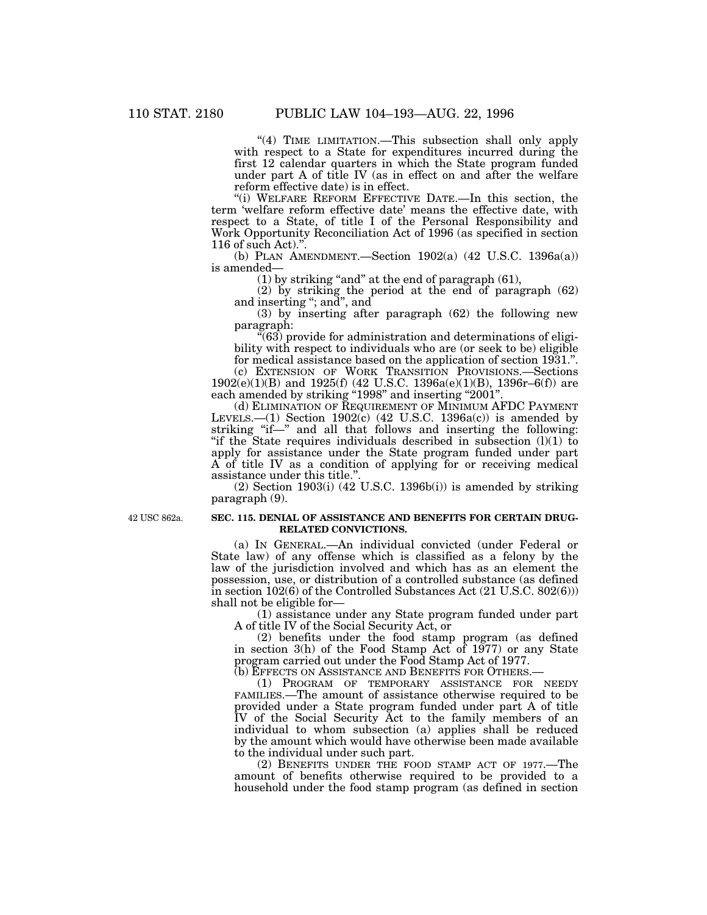"(4) TIME LIMITATION.—This subsection shall only apply with respect to a State for expenditures incurred during the first 12 calendar quarters in which the State program funded under part A of title IV (as in effect on and after the welfare reform effective date) is in effect.

''(i) WELFARE REFORM EFFECTIVE DATE.—In this section, the term 'welfare reform effective date' means the effective date, with respect to a State, of title I of the Personal Responsibility and Work Opportunity Reconciliation Act of 1996 (as specified in section 116 of such Act).''.

(b) PLAN AMENDMENT.—Section 1902(a) (42 U.S.C. 1396a(a)) is amended—

(1) by striking ''and'' at the end of paragraph (61),

(2) by striking the period at the end of paragraph (62) and inserting "; and", and

(3) by inserting after paragraph (62) the following new paragraph:

 $\sqrt{63}$  provide for administration and determinations of eligibility with respect to individuals who are (or seek to be) eligible for medical assistance based on the application of section 1931.''.

(c) EXTENSION OF WORK TRANSITION PROVISIONS.—Sections  $1902(e)(1)(B)$  and  $1925(f)$  (42 U.S.C. 1396a(e)(1)(B), 1396r–6(f)) are each amended by striking "1998" and inserting "2001".

(d) ELIMINATION OF REQUIREMENT OF MINIMUM AFDC PAYMENT LEVELS.—(1) Section  $1902(c)$  (42 U.S.C. 1396a(c)) is amended by striking "if—" and all that follows and inserting the following: "if the State requires individuals described in subsection  $(l)(1)$  to apply for assistance under the State program funded under part A of title IV as a condition of applying for or receiving medical assistance under this title."

 $(2)$  Section 1903 $(i)$  (42 U.S.C. 1396b $(i)$ ) is amended by striking paragraph (9).

42 USC 862a.

#### **SEC. 115. DENIAL OF ASSISTANCE AND BENEFITS FOR CERTAIN DRUG-RELATED CONVICTIONS.**

(a) IN GENERAL.—An individual convicted (under Federal or State law) of any offense which is classified as a felony by the law of the jurisdiction involved and which has as an element the possession, use, or distribution of a controlled substance (as defined in section 102(6) of the Controlled Substances Act (21 U.S.C. 802(6))) shall not be eligible for—

(1) assistance under any State program funded under part A of title IV of the Social Security Act, or

(2) benefits under the food stamp program (as defined in section 3(h) of the Food Stamp Act of 1977) or any State program carried out under the Food Stamp Act of 1977.

(b) EFFECTS ON ASSISTANCE AND BENEFITS FOR OTHERS.—

(1) PROGRAM OF TEMPORARY ASSISTANCE FOR NEEDY FAMILIES.—The amount of assistance otherwise required to be provided under a State program funded under part A of title IV of the Social Security Act to the family members of an individual to whom subsection (a) applies shall be reduced by the amount which would have otherwise been made available to the individual under such part.

(2) BENEFITS UNDER THE FOOD STAMP ACT OF 1977.—The amount of benefits otherwise required to be provided to a household under the food stamp program (as defined in section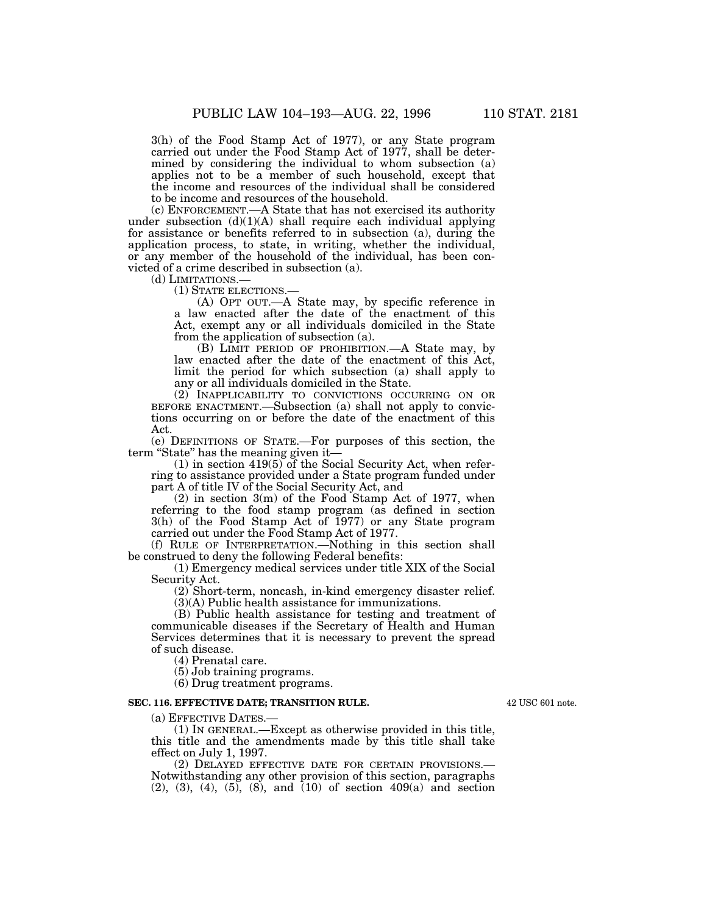3(h) of the Food Stamp Act of 1977), or any State program carried out under the Food Stamp Act of 1977, shall be determined by considering the individual to whom subsection (a) applies not to be a member of such household, except that the income and resources of the individual shall be considered to be income and resources of the household.

(c) ENFORCEMENT.—A State that has not exercised its authority under subsection  $(d)(1)(A)$  shall require each individual applying for assistance or benefits referred to in subsection (a), during the application process, to state, in writing, whether the individual, or any member of the household of the individual, has been convicted of a crime described in subsection (a).

(d) LIMITATIONS.—

(1) STATE ELECTIONS.—

(A) OPT OUT.—A State may, by specific reference in a law enacted after the date of the enactment of this Act, exempt any or all individuals domiciled in the State from the application of subsection (a).

(B) LIMIT PERIOD OF PROHIBITION.—A State may, by law enacted after the date of the enactment of this Act, limit the period for which subsection (a) shall apply to any or all individuals domiciled in the State.

(2) INAPPLICABILITY TO CONVICTIONS OCCURRING ON OR BEFORE ENACTMENT.—Subsection (a) shall not apply to convictions occurring on or before the date of the enactment of this Act.

(e) DEFINITIONS OF STATE.—For purposes of this section, the term ''State'' has the meaning given it—

(1) in section 419(5) of the Social Security Act, when referring to assistance provided under a State program funded under part A of title IV of the Social Security Act, and

 $(2)$  in section  $3(m)$  of the Food Stamp Act of 1977, when referring to the food stamp program (as defined in section  $3(h)$  of the Food Stamp Act of 1977) or any State program carried out under the Food Stamp Act of 1977.

(f) RULE OF INTERPRETATION.—Nothing in this section shall be construed to deny the following Federal benefits:

(1) Emergency medical services under title XIX of the Social Security Act.

(2) Short-term, noncash, in-kind emergency disaster relief. (3)(A) Public health assistance for immunizations.

(B) Public health assistance for testing and treatment of communicable diseases if the Secretary of Health and Human Services determines that it is necessary to prevent the spread of such disease.

(4) Prenatal care.

(5) Job training programs.

(6) Drug treatment programs.

#### **SEC. 116. EFFECTIVE DATE; TRANSITION RULE.**

(a) EFFECTIVE DATES.—

(1) IN GENERAL.—Except as otherwise provided in this title, this title and the amendments made by this title shall take effect on July 1, 1997.

(2) DELAYED EFFECTIVE DATE FOR CERTAIN PROVISIONS.— Notwithstanding any other provision of this section, paragraphs  $(2)$ ,  $(3)$ ,  $(4)$ ,  $(5)$ ,  $(8)$ , and  $(10)$  of section  $409(a)$  and section

42 USC 601 note.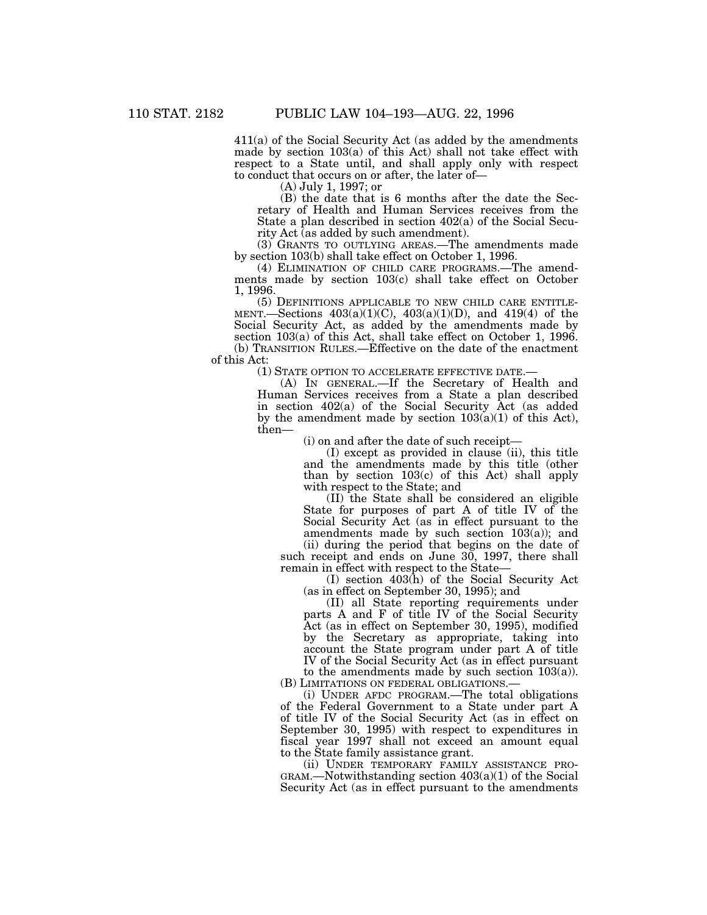411(a) of the Social Security Act (as added by the amendments made by section 103(a) of this Act) shall not take effect with respect to a State until, and shall apply only with respect to conduct that occurs on or after, the later of—

(A) July 1, 1997; or

(B) the date that is 6 months after the date the Secretary of Health and Human Services receives from the State a plan described in section 402(a) of the Social Security Act (as added by such amendment).

(3) GRANTS TO OUTLYING AREAS.—The amendments made by section 103(b) shall take effect on October 1, 1996.

(4) ELIMINATION OF CHILD CARE PROGRAMS.—The amendments made by section 103(c) shall take effect on October 1, 1996.

(5) DEFINITIONS APPLICABLE TO NEW CHILD CARE ENTITLE-MENT.—Sections  $403(a)(1)(C)$ ,  $403(a)(1)(D)$ , and  $419(4)$  of the Social Security Act, as added by the amendments made by section  $103(a)$  of this Act, shall take effect on October 1, 1996. (b) TRANSITION RULES.—Effective on the date of the enactment of this Act:

(1) STATE OPTION TO ACCELERATE EFFECTIVE DATE.—

(A) IN GENERAL.—If the Secretary of Health and Human Services receives from a State a plan described in section 402(a) of the Social Security Act (as added by the amendment made by section  $103(a)(1)$  of this Act), then—

(i) on and after the date of such receipt—

(I) except as provided in clause (ii), this title and the amendments made by this title (other than by section 103(c) of this Act) shall apply with respect to the State; and

(II) the State shall be considered an eligible State for purposes of part A of title IV of the Social Security Act (as in effect pursuant to the amendments made by such section 103(a)); and (ii) during the period that begins on the date of

such receipt and ends on June 30, 1997, there shall remain in effect with respect to the State—

(I) section 403(h) of the Social Security Act (as in effect on September 30, 1995); and

(II) all State reporting requirements under parts A and F of title IV of the Social Security Act (as in effect on September 30, 1995), modified by the Secretary as appropriate, taking into account the State program under part A of title IV of the Social Security Act (as in effect pursuant to the amendments made by such section 103(a)).

(B) LIMITATIONS ON FEDERAL OBLIGATIONS.—

(i) UNDER AFDC PROGRAM.—The total obligations of the Federal Government to a State under part A of title IV of the Social Security Act (as in effect on September 30, 1995) with respect to expenditures in fiscal year 1997 shall not exceed an amount equal to the State family assistance grant.

(ii) UNDER TEMPORARY FAMILY ASSISTANCE PRO- $GRAM$ .—Notwithstanding section  $403(a)(1)$  of the Social Security Act (as in effect pursuant to the amendments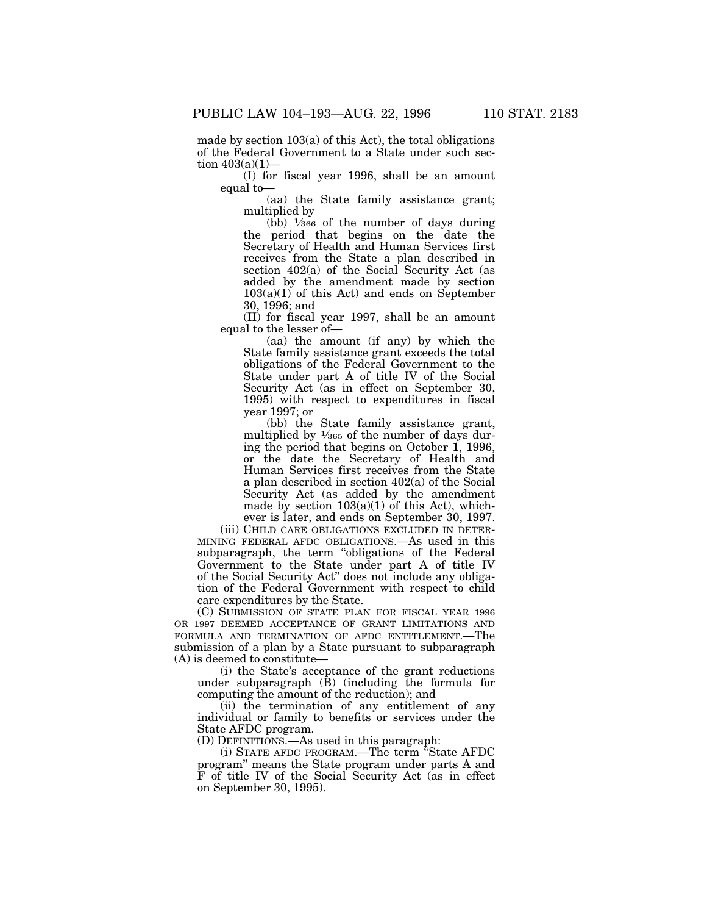made by section 103(a) of this Act), the total obligations of the Federal Government to a State under such section  $403(a)(1)$ —

(I) for fiscal year 1996, shall be an amount equal to—

(aa) the State family assistance grant; multiplied by

 $(bb)$  <sup>1</sup>/366 of the number of days during the period that begins on the date the Secretary of Health and Human Services first receives from the State a plan described in section 402(a) of the Social Security Act (as added by the amendment made by section  $103(a)(1)$  of this Act) and ends on September 30, 1996; and

(II) for fiscal year 1997, shall be an amount equal to the lesser of—

(aa) the amount (if any) by which the State family assistance grant exceeds the total obligations of the Federal Government to the State under part A of title IV of the Social Security Act (as in effect on September 30, 1995) with respect to expenditures in fiscal year 1997; or

(bb) the State family assistance grant, multiplied by  $\frac{1}{365}$  of the number of days during the period that begins on October 1, 1996, or the date the Secretary of Health and Human Services first receives from the State a plan described in section 402(a) of the Social Security Act (as added by the amendment made by section  $103(a)(1)$  of this Act), whichever is later, and ends on September 30, 1997.

(iii) CHILD CARE OBLIGATIONS EXCLUDED IN DETER-MINING FEDERAL AFDC OBLIGATIONS.—As used in this subparagraph, the term ''obligations of the Federal Government to the State under part A of title IV of the Social Security Act'' does not include any obligation of the Federal Government with respect to child care expenditures by the State.

(C) SUBMISSION OF STATE PLAN FOR FISCAL YEAR 1996 OR 1997 DEEMED ACCEPTANCE OF GRANT LIMITATIONS AND FORMULA AND TERMINATION OF AFDC ENTITLEMENT.—The submission of a plan by a State pursuant to subparagraph (A) is deemed to constitute—

(i) the State's acceptance of the grant reductions under subparagraph (B) (including the formula for computing the amount of the reduction); and

(ii) the termination of any entitlement of any individual or family to benefits or services under the State AFDC program.

(D) DEFINITIONS.—As used in this paragraph:

(i) STATE AFDC PROGRAM.—The term ''State AFDC program'' means the State program under parts A and F of title IV of the Social Security Act (as in effect on September 30, 1995).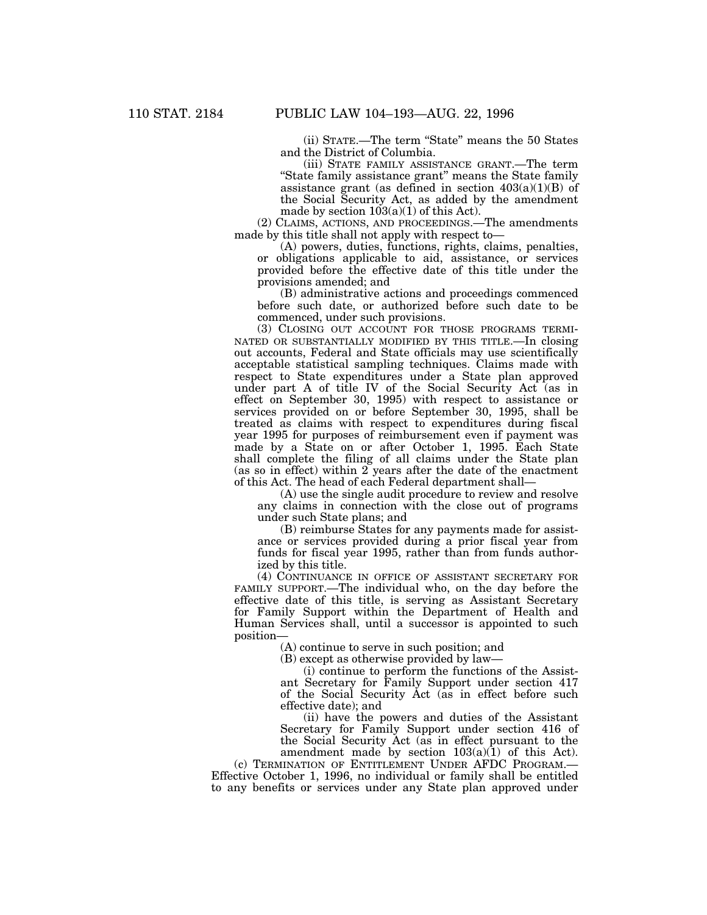(ii) STATE.—The term ''State'' means the 50 States and the District of Columbia.

(iii) STATE FAMILY ASSISTANCE GRANT.—The term "State family assistance grant" means the State family assistance grant (as defined in section 403(a)(1)(B) of the Social Security Act, as added by the amendment made by section  $103(a)(1)$  of this Act).

(2) CLAIMS, ACTIONS, AND PROCEEDINGS.—The amendments made by this title shall not apply with respect to—

(A) powers, duties, functions, rights, claims, penalties, or obligations applicable to aid, assistance, or services provided before the effective date of this title under the provisions amended; and

(B) administrative actions and proceedings commenced before such date, or authorized before such date to be commenced, under such provisions.

(3) CLOSING OUT ACCOUNT FOR THOSE PROGRAMS TERMI-NATED OR SUBSTANTIALLY MODIFIED BY THIS TITLE.—In closing out accounts, Federal and State officials may use scientifically acceptable statistical sampling techniques. Claims made with respect to State expenditures under a State plan approved under part A of title IV of the Social Security Act (as in effect on September 30, 1995) with respect to assistance or services provided on or before September 30, 1995, shall be treated as claims with respect to expenditures during fiscal year 1995 for purposes of reimbursement even if payment was made by a State on or after October 1, 1995. Each State shall complete the filing of all claims under the State plan (as so in effect) within 2 years after the date of the enactment of this Act. The head of each Federal department shall—

(A) use the single audit procedure to review and resolve any claims in connection with the close out of programs under such State plans; and

(B) reimburse States for any payments made for assistance or services provided during a prior fiscal year from funds for fiscal year 1995, rather than from funds authorized by this title.

(4) CONTINUANCE IN OFFICE OF ASSISTANT SECRETARY FOR FAMILY SUPPORT.—The individual who, on the day before the effective date of this title, is serving as Assistant Secretary for Family Support within the Department of Health and Human Services shall, until a successor is appointed to such position—

(A) continue to serve in such position; and

(B) except as otherwise provided by law—

(i) continue to perform the functions of the Assistant Secretary for Family Support under section 417 of the Social Security Act (as in effect before such effective date); and

(ii) have the powers and duties of the Assistant Secretary for Family Support under section 416 of the Social Security Act (as in effect pursuant to the amendment made by section  $103(a)(1)$  of this Act).

(c) TERMINATION OF ENTITLEMENT UNDER AFDC PROGRAM.— Effective October 1, 1996, no individual or family shall be entitled to any benefits or services under any State plan approved under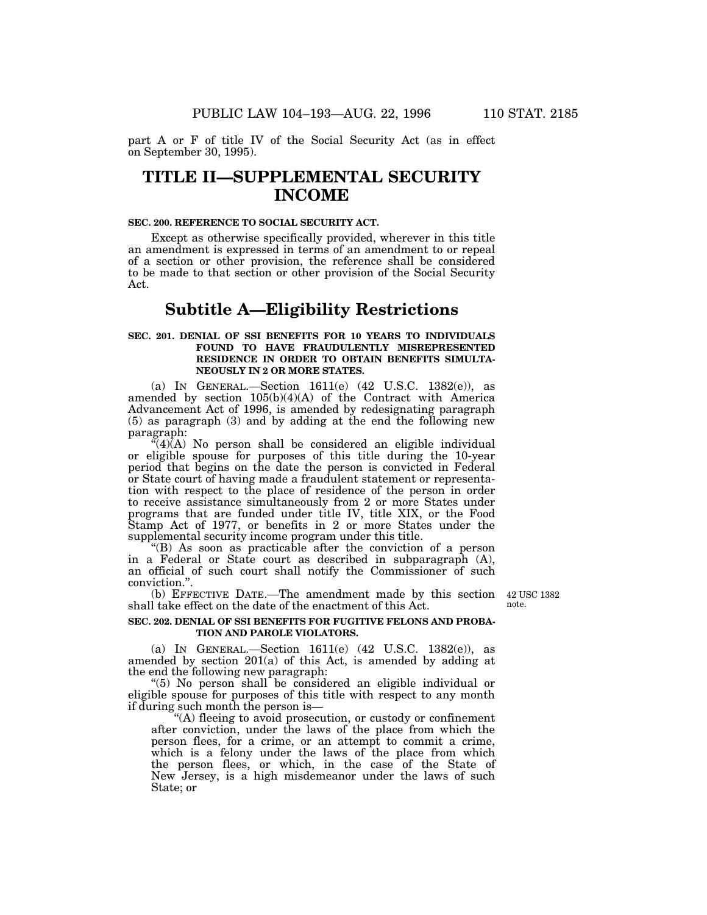part A or F of title IV of the Social Security Act (as in effect on September 30, 1995).

# **TITLE II—SUPPLEMENTAL SECURITY INCOME**

### **SEC. 200. REFERENCE TO SOCIAL SECURITY ACT.**

Except as otherwise specifically provided, wherever in this title an amendment is expressed in terms of an amendment to or repeal of a section or other provision, the reference shall be considered to be made to that section or other provision of the Social Security Act.

# **Subtitle A—Eligibility Restrictions**

#### **SEC. 201. DENIAL OF SSI BENEFITS FOR 10 YEARS TO INDIVIDUALS FOUND TO HAVE FRAUDULENTLY MISREPRESENTED RESIDENCE IN ORDER TO OBTAIN BENEFITS SIMULTA-NEOUSLY IN 2 OR MORE STATES.**

(a) IN GENERAL.—Section 1611(e) (42 U.S.C. 1382(e)), as amended by section  $105(b)(4)(A)$  of the Contract with America Advancement Act of 1996, is amended by redesignating paragraph (5) as paragraph (3) and by adding at the end the following new paragraph:

"(4)(A) No person shall be considered an eligible individual or eligible spouse for purposes of this title during the 10-year period that begins on the date the person is convicted in Federal or State court of having made a fraudulent statement or representation with respect to the place of residence of the person in order to receive assistance simultaneously from 2 or more States under programs that are funded under title IV, title XIX, or the Food Stamp Act of 1977, or benefits in 2 or more States under the supplemental security income program under this title.

''(B) As soon as practicable after the conviction of a person in a Federal or State court as described in subparagraph (A), an official of such court shall notify the Commissioner of such conviction.''.

(b) EFFECTIVE DATE.—The amendment made by this section 42 USC 1382 shall take effect on the date of the enactment of this Act.

note.

## **SEC. 202. DENIAL OF SSI BENEFITS FOR FUGITIVE FELONS AND PROBA-TION AND PAROLE VIOLATORS.**

(a) IN GENERAL.—Section 1611(e) (42 U.S.C. 1382(e)), as amended by section 201(a) of this Act, is amended by adding at the end the following new paragraph:

''(5) No person shall be considered an eligible individual or eligible spouse for purposes of this title with respect to any month if during such month the person is—

''(A) fleeing to avoid prosecution, or custody or confinement after conviction, under the laws of the place from which the person flees, for a crime, or an attempt to commit a crime, which is a felony under the laws of the place from which the person flees, or which, in the case of the State of New Jersey, is a high misdemeanor under the laws of such State; or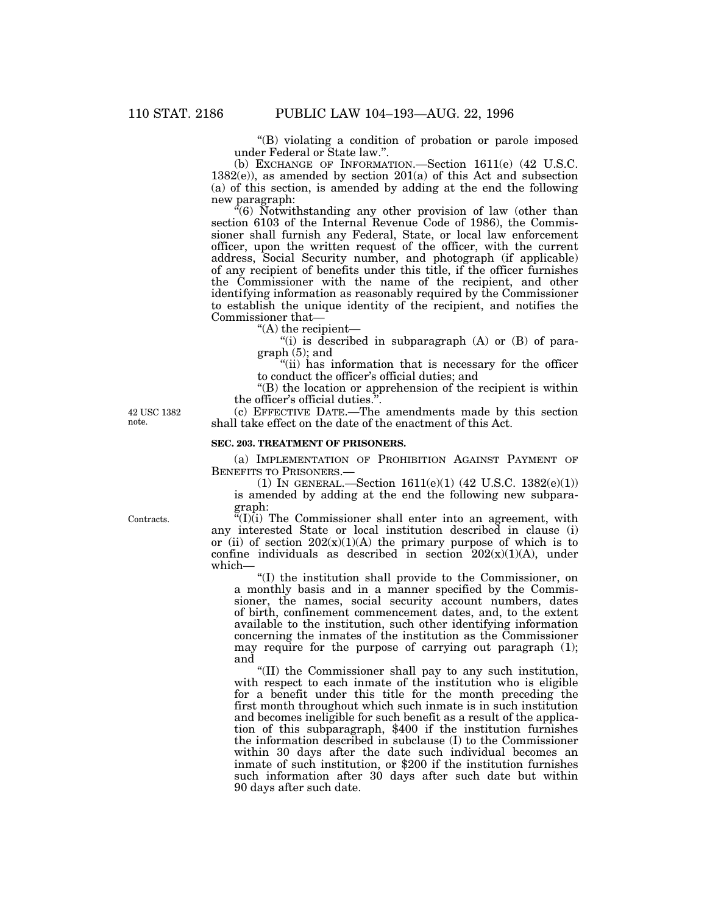''(B) violating a condition of probation or parole imposed under Federal or State law.''.

(b) EXCHANGE OF INFORMATION.—Section 1611(e) (42 U.S.C. 1382(e)), as amended by section 201(a) of this Act and subsection (a) of this section, is amended by adding at the end the following new paragraph:

''(6) Notwithstanding any other provision of law (other than section 6103 of the Internal Revenue Code of 1986), the Commissioner shall furnish any Federal, State, or local law enforcement officer, upon the written request of the officer, with the current address, Social Security number, and photograph (if applicable) of any recipient of benefits under this title, if the officer furnishes the Commissioner with the name of the recipient, and other identifying information as reasonably required by the Commissioner to establish the unique identity of the recipient, and notifies the Commissioner that—

''(A) the recipient—

"(i) is described in subparagraph (A) or (B) of paragraph (5); and

"(ii) has information that is necessary for the officer to conduct the officer's official duties; and

''(B) the location or apprehension of the recipient is within the officer's official duties.''.

42 USC 1382 note.

(c) EFFECTIVE DATE.—The amendments made by this section shall take effect on the date of the enactment of this Act.

### **SEC. 203. TREATMENT OF PRISONERS.**

(a) IMPLEMENTATION OF PROHIBITION AGAINST PAYMENT OF BENEFITS TO PRISONERS.—

(1) IN GENERAL.—Section 1611(e)(1) (42 U.S.C. 1382(e)(1)) is amended by adding at the end the following new subparagraph:

''(I)(i) The Commissioner shall enter into an agreement, with any interested State or local institution described in clause (i) or (ii) of section  $202(x)(1)(A)$  the primary purpose of which is to confine individuals as described in section  $202(x)(1)(A)$ , under which—

''(I) the institution shall provide to the Commissioner, on a monthly basis and in a manner specified by the Commissioner, the names, social security account numbers, dates of birth, confinement commencement dates, and, to the extent available to the institution, such other identifying information concerning the inmates of the institution as the Commissioner may require for the purpose of carrying out paragraph (1); and

''(II) the Commissioner shall pay to any such institution, with respect to each inmate of the institution who is eligible for a benefit under this title for the month preceding the first month throughout which such inmate is in such institution and becomes ineligible for such benefit as a result of the application of this subparagraph, \$400 if the institution furnishes the information described in subclause (I) to the Commissioner within 30 days after the date such individual becomes an inmate of such institution, or \$200 if the institution furnishes such information after 30 days after such date but within 90 days after such date.

Contracts.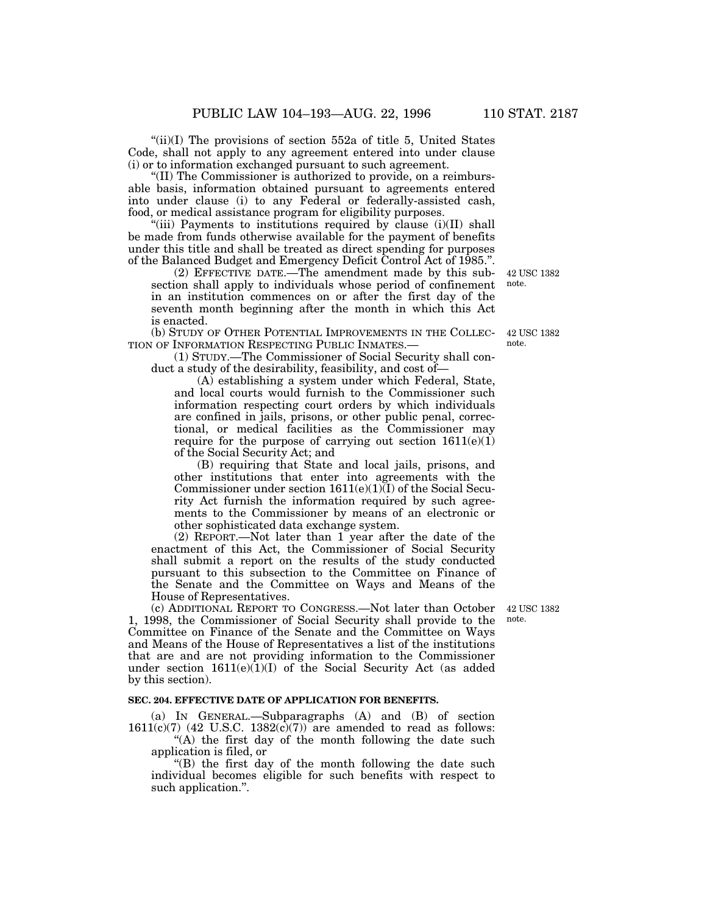" $(ii)(I)$  The provisions of section 552a of title 5, United States Code, shall not apply to any agreement entered into under clause (i) or to information exchanged pursuant to such agreement.

''(II) The Commissioner is authorized to provide, on a reimbursable basis, information obtained pursuant to agreements entered into under clause (i) to any Federal or federally-assisted cash, food, or medical assistance program for eligibility purposes.

''(iii) Payments to institutions required by clause (i)(II) shall be made from funds otherwise available for the payment of benefits under this title and shall be treated as direct spending for purposes of the Balanced Budget and Emergency Deficit Control Act of 1985.''.

(2) EFFECTIVE DATE.—The amendment made by this subsection shall apply to individuals whose period of confinement in an institution commences on or after the first day of the seventh month beginning after the month in which this Act is enacted.

(b) STUDY OF OTHER POTENTIAL IMPROVEMENTS IN THE COLLEC-TION OF INFORMATION RESPECTING PUBLIC INMATES.—

(1) STUDY.—The Commissioner of Social Security shall conduct a study of the desirability, feasibility, and cost of—

(A) establishing a system under which Federal, State, and local courts would furnish to the Commissioner such information respecting court orders by which individuals are confined in jails, prisons, or other public penal, correctional, or medical facilities as the Commissioner may require for the purpose of carrying out section  $1611(e)(1)$ of the Social Security Act; and

(B) requiring that State and local jails, prisons, and other institutions that enter into agreements with the Commissioner under section 1611(e)(1)(I) of the Social Security Act furnish the information required by such agreements to the Commissioner by means of an electronic or other sophisticated data exchange system.

(2) REPORT.—Not later than 1 year after the date of the enactment of this Act, the Commissioner of Social Security shall submit a report on the results of the study conducted pursuant to this subsection to the Committee on Finance of the Senate and the Committee on Ways and Means of the House of Representatives.

(c) ADDITIONAL REPORT TO CONGRESS.—Not later than October 1, 1998, the Commissioner of Social Security shall provide to the Committee on Finance of the Senate and the Committee on Ways and Means of the House of Representatives a list of the institutions that are and are not providing information to the Commissioner under section  $1611(e)(1)(I)$  of the Social Security Act (as added by this section).

## **SEC. 204. EFFECTIVE DATE OF APPLICATION FOR BENEFITS.**

(a) IN GENERAL.—Subparagraphs (A) and (B) of section  $1611(c)(7)$  (42 U.S.C.  $1382(c)(7)$ ) are amended to read as follows: "(A) the first day of the month following the date such application is filed, or

''(B) the first day of the month following the date such individual becomes eligible for such benefits with respect to such application.''.

42 USC 1382 note.

42 USC 1382 note.

42 USC 1382 note.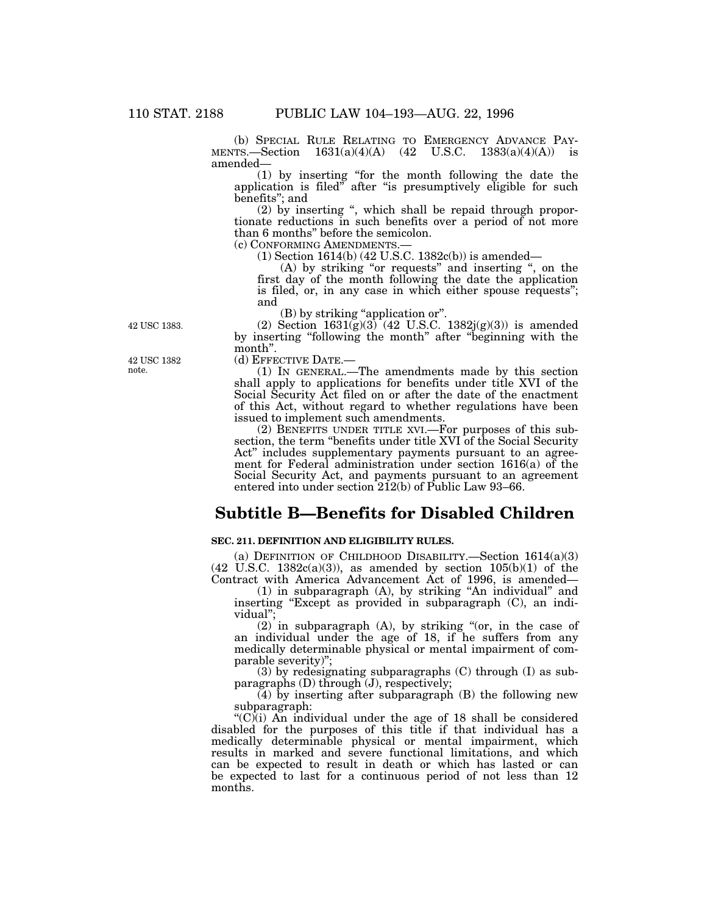(b) SPECIAL RULE RELATING TO EMERGENCY ADVANCE PAY-<br>MENTS.—Section  $1631(a)(4)(A)$  (42 U.S.C. 1383(a)(4)(A)) is amended—

(1) by inserting ''for the month following the date the application is filed'' after ''is presumptively eligible for such benefits''; and

(2) by inserting '', which shall be repaid through proportionate reductions in such benefits over a period of not more than 6 months'' before the semicolon.

(c) CONFORMING AMENDMENTS.—

(1) Section 1614(b) (42 U.S.C. 1382c(b)) is amended—

(A) by striking "or requests" and inserting ", on the first day of the month following the date the application is filed, or, in any case in which either spouse requests''; and

(B) by striking "application or".

(2) Section  $1631(g)(3)$  (42 U.S.C. 1382j(g)(3)) is amended by inserting ''following the month'' after ''beginning with the month''.

(d) EFFECTIVE DATE.—

(1) IN GENERAL.—The amendments made by this section shall apply to applications for benefits under title XVI of the Social Security Act filed on or after the date of the enactment of this Act, without regard to whether regulations have been issued to implement such amendments.

(2) BENEFITS UNDER TITLE XVI.—For purposes of this subsection, the term "benefits under title XVI of the Social Security Act" includes supplementary payments pursuant to an agreement for Federal administration under section 1616(a) of the Social Security Act, and payments pursuant to an agreement entered into under section 212(b) of Public Law 93–66.

# **Subtitle B—Benefits for Disabled Children**

## **SEC. 211. DEFINITION AND ELIGIBILITY RULES.**

(a) DEFINITION OF CHILDHOOD DISABILITY.—Section  $1614(a)(3)$  $(42 \text{ U.S.C. } 1382c(a)(3))$ , as amended by section  $105(b)(1)$  of the Contract with America Advancement Act of 1996, is amended—

(1) in subparagraph (A), by striking ''An individual'' and inserting ''Except as provided in subparagraph (C), an individual'';

 $(2)$  in subparagraph  $(A)$ , by striking " $(or, in the case of)$ an individual under the age of 18, if he suffers from any medically determinable physical or mental impairment of comparable severity)'';

(3) by redesignating subparagraphs (C) through (I) as subparagraphs (D) through (J), respectively;

(4) by inserting after subparagraph (B) the following new subparagraph:

" $(C)$ (i) An individual under the age of 18 shall be considered disabled for the purposes of this title if that individual has a medically determinable physical or mental impairment, which results in marked and severe functional limitations, and which can be expected to result in death or which has lasted or can be expected to last for a continuous period of not less than 12 months.

42 USC 1383.

42 USC 1382 note.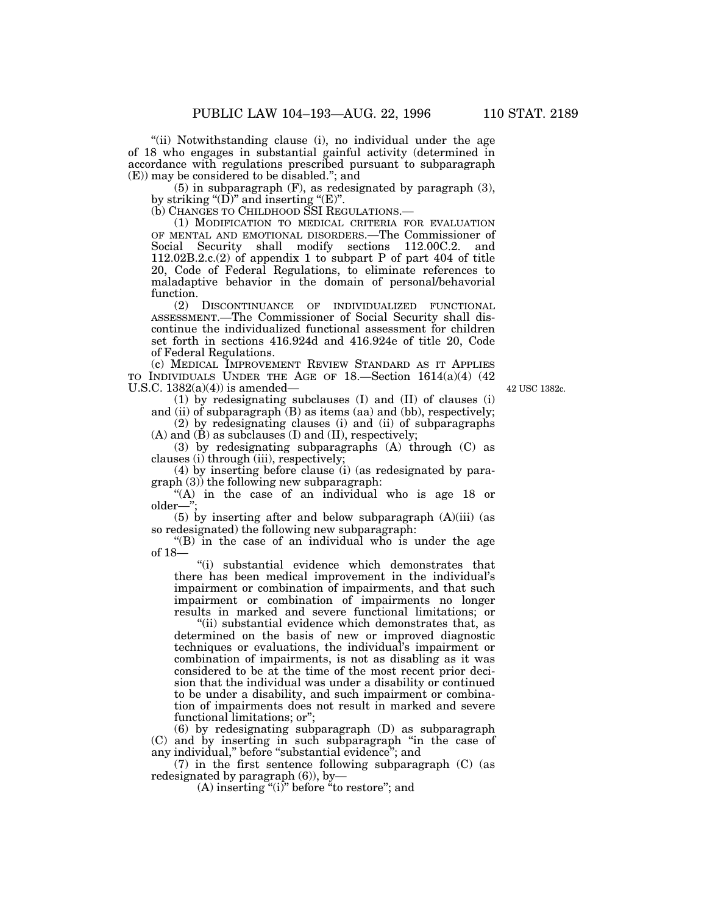"(ii) Notwithstanding clause (i), no individual under the age of 18 who engages in substantial gainful activity (determined in accordance with regulations prescribed pursuant to subparagraph (E)) may be considered to be disabled.''; and

(5) in subparagraph (F), as redesignated by paragraph (3), by striking " $(D)$ " and inserting " $(E)$ ".

(b) CHANGES TO CHILDHOOD SSI REGULATIONS.—

(1) MODIFICATION TO MEDICAL CRITERIA FOR EVALUATION OF MENTAL AND EMOTIONAL DISORDERS.—The Commissioner of Social Security shall modify sections 112.00C.2. and 112.02B.2.c.(2) of appendix 1 to subpart P of part 404 of title 20, Code of Federal Regulations, to eliminate references to maladaptive behavior in the domain of personal/behavorial function.

(2) DISCONTINUANCE OF INDIVIDUALIZED FUNCTIONAL ASSESSMENT.—The Commissioner of Social Security shall discontinue the individualized functional assessment for children set forth in sections 416.924d and 416.924e of title 20, Code of Federal Regulations.

(c) MEDICAL IMPROVEMENT REVIEW STANDARD AS IT APPLIES TO INDIVIDUALS UNDER THE AGE OF 18.—Section 1614(a)(4) (42 U.S.C.  $1382(a)(4)$  is amended-

42 USC 1382c.

(1) by redesignating subclauses (I) and (II) of clauses (i) and (ii) of subparagraph  $(B)$  as items (aa) and (bb), respectively;

(2) by redesignating clauses (i) and (ii) of subparagraphs (A) and (B) as subclauses (I) and (II), respectively;

(3) by redesignating subparagraphs (A) through (C) as clauses (i) through (iii), respectively;

(4) by inserting before clause (i) (as redesignated by paragraph (3)) the following new subparagraph:

"(A) in the case of an individual who is age 18 or older—'

 $(5)$  by inserting after and below subparagraph  $(A)(iii)$  (as so redesignated) the following new subparagraph:

"(B) in the case of an individual who is under the age of 18—

''(i) substantial evidence which demonstrates that there has been medical improvement in the individual's impairment or combination of impairments, and that such impairment or combination of impairments no longer results in marked and severe functional limitations; or

''(ii) substantial evidence which demonstrates that, as determined on the basis of new or improved diagnostic techniques or evaluations, the individual's impairment or combination of impairments, is not as disabling as it was considered to be at the time of the most recent prior decision that the individual was under a disability or continued to be under a disability, and such impairment or combination of impairments does not result in marked and severe functional limitations; or";

(6) by redesignating subparagraph (D) as subparagraph (C) and by inserting in such subparagraph ''in the case of any individual,'' before ''substantial evidence''; and

(7) in the first sentence following subparagraph (C) (as redesignated by paragraph (6)), by—

 $(A)$  inserting " $(i)$ " before "to restore"; and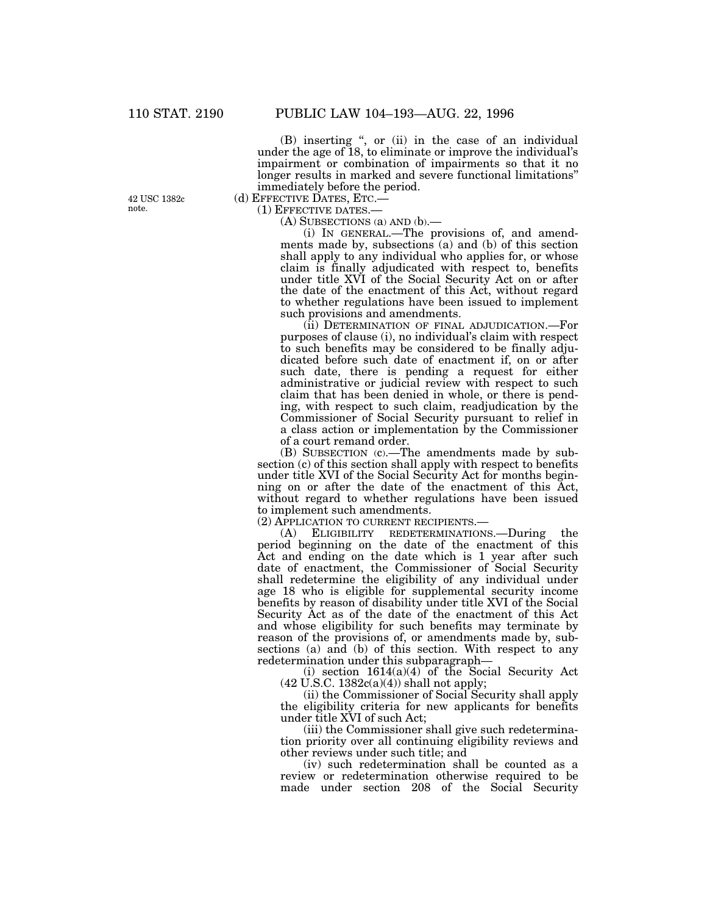(B) inserting '', or (ii) in the case of an individual under the age of 18, to eliminate or improve the individual's impairment or combination of impairments so that it no longer results in marked and severe functional limitations'' immediately before the period.

42 USC 1382c note.

(d) EFFECTIVE DATES, ETC.—

(1) EFFECTIVE DATES.—

(A) SUBSECTIONS (a) AND (b).—

(i) IN GENERAL.—The provisions of, and amendments made by, subsections (a) and (b) of this section shall apply to any individual who applies for, or whose claim is finally adjudicated with respect to, benefits under title XVI of the Social Security Act on or after the date of the enactment of this Act, without regard to whether regulations have been issued to implement such provisions and amendments.

(ii) DETERMINATION OF FINAL ADJUDICATION.—For purposes of clause (i), no individual's claim with respect to such benefits may be considered to be finally adjudicated before such date of enactment if, on or after such date, there is pending a request for either administrative or judicial review with respect to such claim that has been denied in whole, or there is pending, with respect to such claim, readjudication by the Commissioner of Social Security pursuant to relief in a class action or implementation by the Commissioner of a court remand order.

(B) SUBSECTION (c).—The amendments made by subsection (c) of this section shall apply with respect to benefits under title XVI of the Social Security Act for months beginning on or after the date of the enactment of this Act, without regard to whether regulations have been issued to implement such amendments.

(2) APPLICATION TO CURRENT RECIPIENTS.—

(A) ELIGIBILITY REDETERMINATIONS.—During the period beginning on the date of the enactment of this Act and ending on the date which is 1 year after such date of enactment, the Commissioner of Social Security shall redetermine the eligibility of any individual under age 18 who is eligible for supplemental security income benefits by reason of disability under title XVI of the Social Security Act as of the date of the enactment of this Act and whose eligibility for such benefits may terminate by reason of the provisions of, or amendments made by, subsections (a) and (b) of this section. With respect to any redetermination under this subparagraph—

(i) section  $1614(a)(4)$  of the Social Security Act  $(42 \text{ U.S.C. } 1382c(a)(4))$  shall not apply;

(ii) the Commissioner of Social Security shall apply the eligibility criteria for new applicants for benefits under title XVI of such Act;

(iii) the Commissioner shall give such redetermination priority over all continuing eligibility reviews and other reviews under such title; and

(iv) such redetermination shall be counted as a review or redetermination otherwise required to be made under section 208 of the Social Security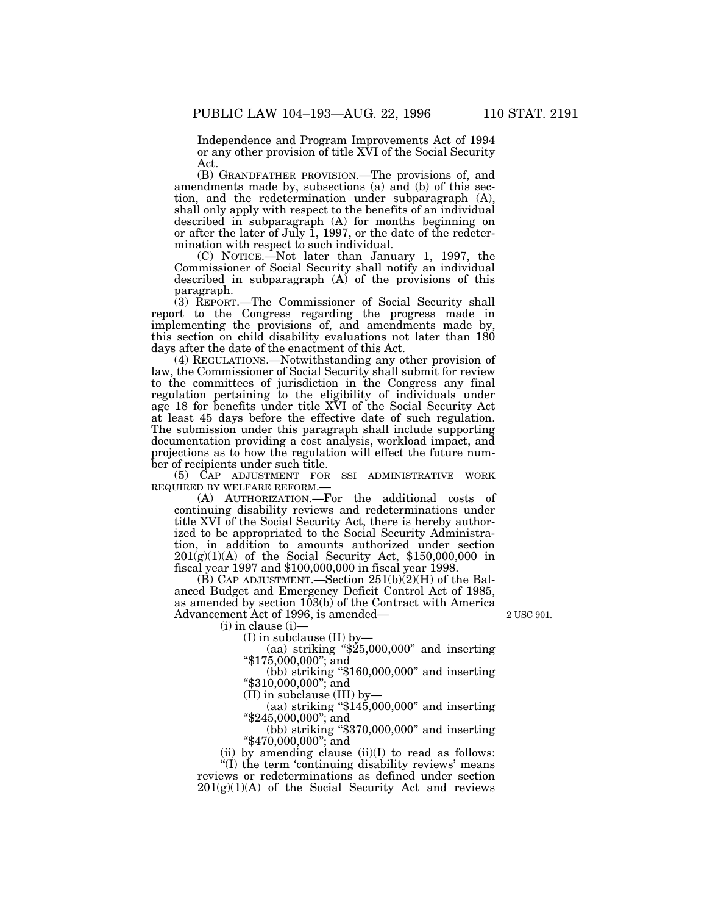Independence and Program Improvements Act of 1994 or any other provision of title XVI of the Social Security Act.

(B) GRANDFATHER PROVISION.—The provisions of, and amendments made by, subsections (a) and (b) of this section, and the redetermination under subparagraph (A), shall only apply with respect to the benefits of an individual described in subparagraph (A) for months beginning on or after the later of July 1, 1997, or the date of the redetermination with respect to such individual.

(C) NOTICE.—Not later than January 1, 1997, the Commissioner of Social Security shall notify an individual described in subparagraph (A) of the provisions of this paragraph.

(3) REPORT.—The Commissioner of Social Security shall report to the Congress regarding the progress made in implementing the provisions of, and amendments made by, this section on child disability evaluations not later than 180 days after the date of the enactment of this Act.

(4) REGULATIONS.—Notwithstanding any other provision of law, the Commissioner of Social Security shall submit for review to the committees of jurisdiction in the Congress any final regulation pertaining to the eligibility of individuals under age 18 for benefits under title XVI of the Social Security Act at least 45 days before the effective date of such regulation. The submission under this paragraph shall include supporting documentation providing a cost analysis, workload impact, and projections as to how the regulation will effect the future number of recipients under such title.

(5) CAP ADJUSTMENT FOR SSI ADMINISTRATIVE WORK REQUIRED BY WELFARE REFORM.—

(A) AUTHORIZATION.—For the additional costs of continuing disability reviews and redeterminations under title XVI of the Social Security Act, there is hereby authorized to be appropriated to the Social Security Administration, in addition to amounts authorized under section  $201(g)(1)(A)$  of the Social Security Act, \$150,000,000 in fiscal year 1997 and \$100,000,000 in fiscal year 1998.

 $(B)$  CAP ADJUSTMENT. Section 251(b)(2)(H) of the Balanced Budget and Emergency Deficit Control Act of 1985, as amended by section  $103(b)$  of the Contract with America Advancement Act of 1996, is amended—

2 USC 901.

(i) in clause (i)—

(I) in subclause (II) by—

(aa) striking " $\frac{25,000,000}{2}$  and inserting ''\$175,000,000''; and

(bb) striking ''\$160,000,000'' and inserting ''\$310,000,000''; and

(II) in subclause (III) by—

 $(aa)$  striking "\$145,000,000" and inserting ''\$245,000,000''; and

(bb) striking "\$370,000,000" and inserting ''\$470,000,000''; and

(ii) by amending clause  $(ii)(I)$  to read as follows: ''(I) the term 'continuing disability reviews' means reviews or redeterminations as defined under section

 $201(g)(1)(A)$  of the Social Security Act and reviews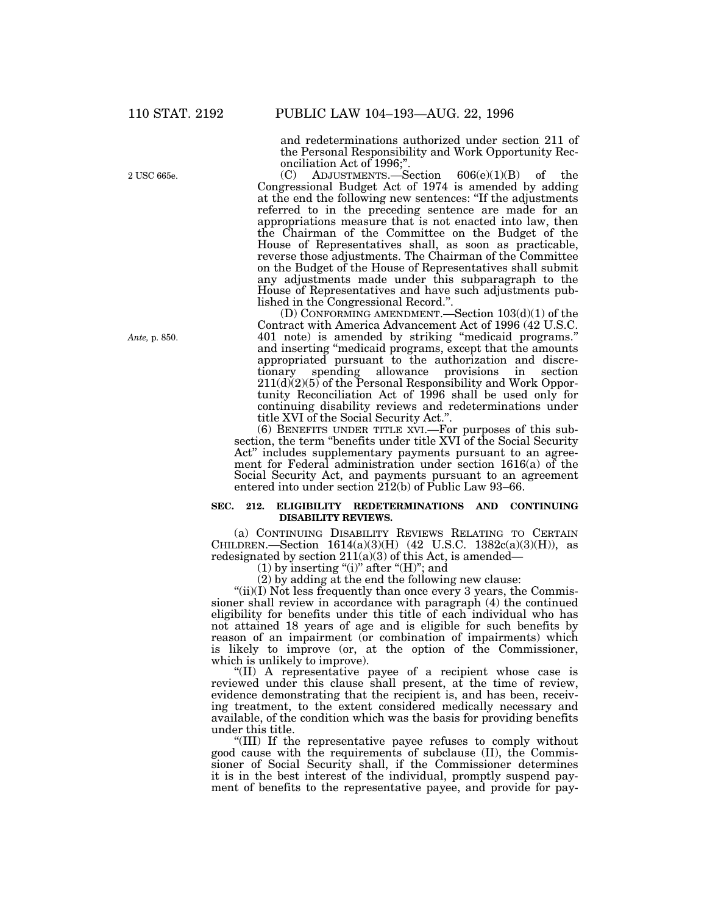*Ante,* p. 850.

and redeterminations authorized under section 211 of the Personal Responsibility and Work Opportunity Reconciliation Act of 1996;"

 $(C)$  ADJUSTMENTS.—Section  $606(e)(1)(B)$  of the Congressional Budget Act of 1974 is amended by adding at the end the following new sentences: ''If the adjustments referred to in the preceding sentence are made for an appropriations measure that is not enacted into law, then the Chairman of the Committee on the Budget of the House of Representatives shall, as soon as practicable, reverse those adjustments. The Chairman of the Committee on the Budget of the House of Representatives shall submit any adjustments made under this subparagraph to the House of Representatives and have such adjustments published in the Congressional Record.''.

(D) CONFORMING AMENDMENT.—Section 103(d)(1) of the Contract with America Advancement Act of 1996 (42 U.S.C. 401 note) is amended by striking ''medicaid programs.'' and inserting ''medicaid programs, except that the amounts appropriated pursuant to the authorization and discretionary spending allowance provisions in section 211(d)(2)(5) of the Personal Responsibility and Work Opportunity Reconciliation Act of 1996 shall be used only for continuing disability reviews and redeterminations under title XVI of the Social Security Act.''.

(6) BENEFITS UNDER TITLE XVI.—For purposes of this subsection, the term "benefits under title XVI of the Social Security Act'' includes supplementary payments pursuant to an agreement for Federal administration under section 1616(a) of the Social Security Act, and payments pursuant to an agreement entered into under section 212(b) of Public Law 93–66.

#### **SEC. 212. ELIGIBILITY REDETERMINATIONS AND CONTINUING DISABILITY REVIEWS.**

(a) CONTINUING DISABILITY REVIEWS RELATING TO CERTAIN CHILDREN.—Section  $1614(a)(3)(H)$  (42 U.S.C.  $1382c(a)(3)(H)$ ), as redesignated by section  $211(a)(3)$  of this Act, is amended—

 $(1)$  by inserting "(i)" after "(H)"; and

(2) by adding at the end the following new clause:

" $(ii)(I)$  Not less frequently than once every 3 years, the Commissioner shall review in accordance with paragraph (4) the continued eligibility for benefits under this title of each individual who has not attained 18 years of age and is eligible for such benefits by reason of an impairment (or combination of impairments) which is likely to improve (or, at the option of the Commissioner, which is unlikely to improve).

''(II) A representative payee of a recipient whose case is reviewed under this clause shall present, at the time of review, evidence demonstrating that the recipient is, and has been, receiving treatment, to the extent considered medically necessary and available, of the condition which was the basis for providing benefits under this title.

''(III) If the representative payee refuses to comply without good cause with the requirements of subclause (II), the Commissioner of Social Security shall, if the Commissioner determines it is in the best interest of the individual, promptly suspend payment of benefits to the representative payee, and provide for pay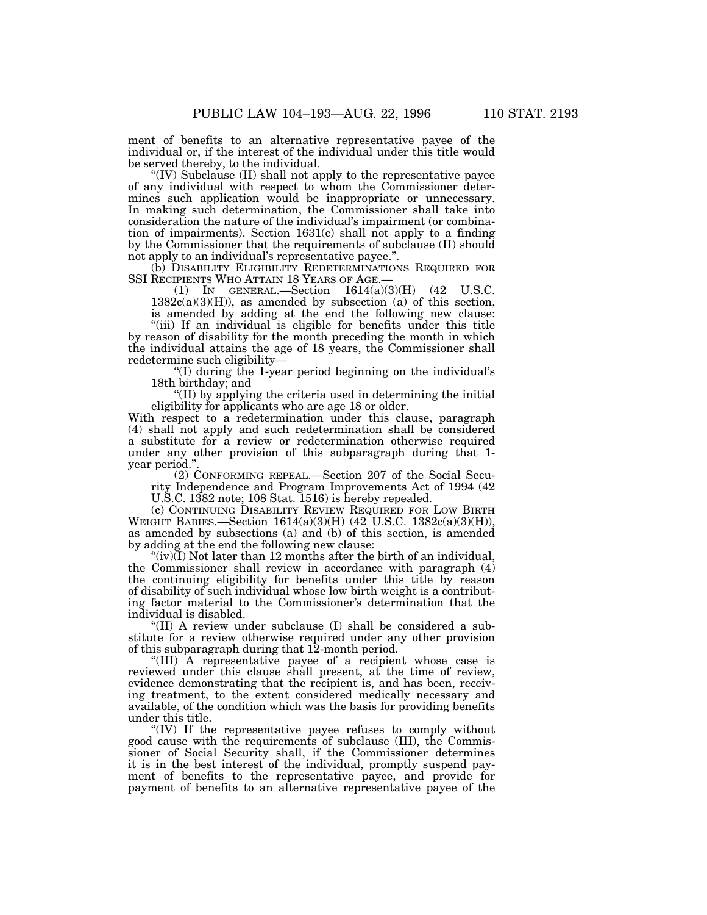ment of benefits to an alternative representative payee of the individual or, if the interest of the individual under this title would be served thereby, to the individual.

''(IV) Subclause (II) shall not apply to the representative payee of any individual with respect to whom the Commissioner determines such application would be inappropriate or unnecessary. In making such determination, the Commissioner shall take into consideration the nature of the individual's impairment (or combination of impairments). Section 1631(c) shall not apply to a finding by the Commissioner that the requirements of subclause (II) should not apply to an individual's representative payee.''.

(b) DISABILITY ELIGIBILITY REDETERMINATIONS REQUIRED FOR SSI RECIPIENTS WHO ATTAIN 18 YEARS OF AGE.-

(1) IN GENERAL.—Section 1614(a)(3)(H) (42 U.S.C.  $1382c(a)(3)(H)$ , as amended by subsection (a) of this section, is amended by adding at the end the following new clause:

"(iii) If an individual is eligible for benefits under this title by reason of disability for the month preceding the month in which the individual attains the age of 18 years, the Commissioner shall redetermine such eligibility—

''(I) during the 1-year period beginning on the individual's 18th birthday; and

''(II) by applying the criteria used in determining the initial eligibility for applicants who are age 18 or older.

With respect to a redetermination under this clause, paragraph (4) shall not apply and such redetermination shall be considered a substitute for a review or redetermination otherwise required under any other provision of this subparagraph during that 1 year period."

(2) CONFORMING REPEAL.—Section 207 of the Social Security Independence and Program Improvements Act of 1994 (42

U.S.C. 1382 note; 108 Stat. 1516) is hereby repealed.

(c) CONTINUING DISABILITY REVIEW REQUIRED FOR LOW BIRTH WEIGHT BABIES.—Section 1614(a)(3)(H) (42 U.S.C. 1382c(a)(3)(H)), as amended by subsections (a) and (b) of this section, is amended by adding at the end the following new clause:

" $(iv)(I)$  Not later than 12 months after the birth of an individual, the Commissioner shall review in accordance with paragraph (4) the continuing eligibility for benefits under this title by reason of disability of such individual whose low birth weight is a contributing factor material to the Commissioner's determination that the individual is disabled.

''(II) A review under subclause (I) shall be considered a substitute for a review otherwise required under any other provision of this subparagraph during that 12-month period.

''(III) A representative payee of a recipient whose case is reviewed under this clause shall present, at the time of review, evidence demonstrating that the recipient is, and has been, receiving treatment, to the extent considered medically necessary and available, of the condition which was the basis for providing benefits under this title.

"(IV) If the representative payee refuses to comply without good cause with the requirements of subclause (III), the Commissioner of Social Security shall, if the Commissioner determines it is in the best interest of the individual, promptly suspend payment of benefits to the representative payee, and provide for payment of benefits to an alternative representative payee of the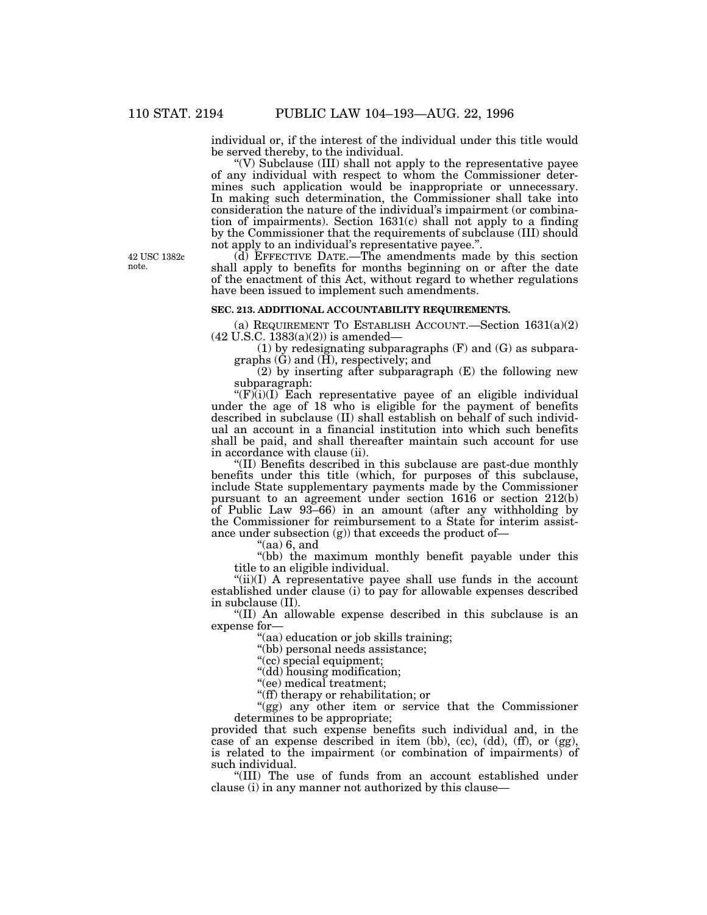individual or, if the interest of the individual under this title would be served thereby, to the individual.

''(V) Subclause (III) shall not apply to the representative payee of any individual with respect to whom the Commissioner determines such application would be inappropriate or unnecessary. In making such determination, the Commissioner shall take into consideration the nature of the individual's impairment (or combination of impairments). Section 1631(c) shall not apply to a finding by the Commissioner that the requirements of subclause (III) should not apply to an individual's representative payee.''.

(d) EFFECTIVE DATE.—The amendments made by this section shall apply to benefits for months beginning on or after the date of the enactment of this Act, without regard to whether regulations have been issued to implement such amendments.

# **SEC. 213. ADDITIONAL ACCOUNTABILITY REQUIREMENTS.**

(a) REQUIREMENT TO ESTABLISH ACCOUNT.—Section 1631(a)(2)  $(42 \text{ U.S.C. } 1383(a)(2))$  is amended—

(1) by redesignating subparagraphs (F) and (G) as subparagraphs (G) and (H), respectively; and

(2) by inserting after subparagraph (E) the following new subparagraph:

" $(F)(i)(I)$  Each representative payee of an eligible individual under the age of 18 who is eligible for the payment of benefits described in subclause (II) shall establish on behalf of such individual an account in a financial institution into which such benefits shall be paid, and shall thereafter maintain such account for use in accordance with clause (ii).

''(II) Benefits described in this subclause are past-due monthly benefits under this title (which, for purposes of this subclause, include State supplementary payments made by the Commissioner pursuant to an agreement under section 1616 or section 212(b) of Public Law 93–66) in an amount (after any withholding by the Commissioner for reimbursement to a State for interim assistance under subsection  $(g)$ ) that exceeds the product of-

''(aa) 6, and

''(bb) the maximum monthly benefit payable under this title to an eligible individual.

 $\frac{f''(ii)}{I}$  A representative payee shall use funds in the account established under clause (i) to pay for allowable expenses described in subclause (II).

''(II) An allowable expense described in this subclause is an expense for—

''(aa) education or job skills training;

''(bb) personal needs assistance;

''(cc) special equipment;

''(dd) housing modification;

''(ee) medical treatment;

''(ff) therapy or rehabilitation; or

''(gg) any other item or service that the Commissioner determines to be appropriate;

provided that such expense benefits such individual and, in the case of an expense described in item (bb), (cc), (dd), (ff), or (gg), is related to the impairment (or combination of impairments) of such individual.

''(III) The use of funds from an account established under clause (i) in any manner not authorized by this clause—

42 USC 1382c note.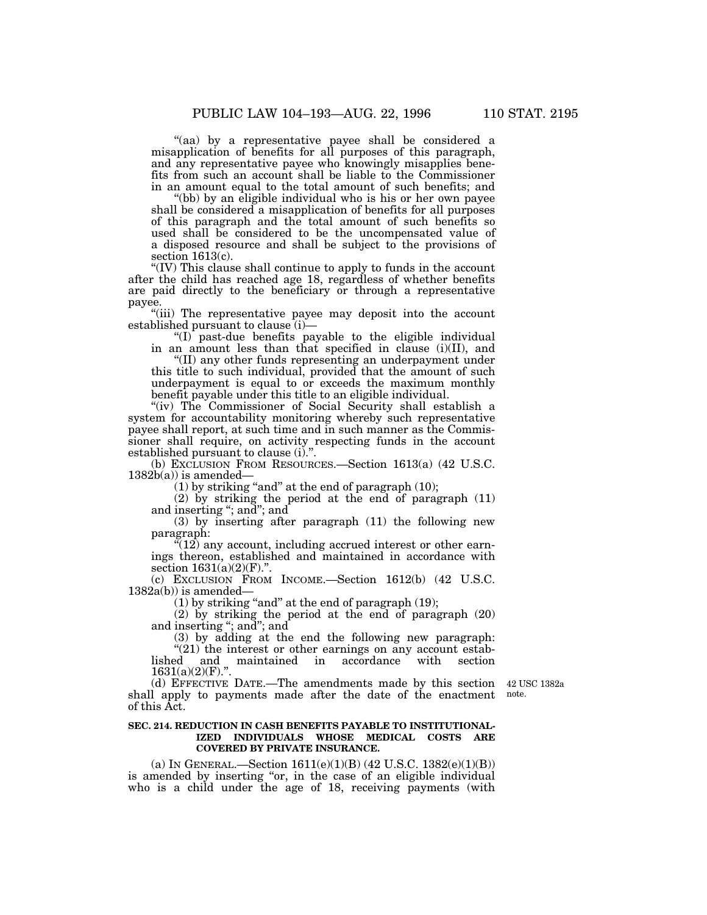''(aa) by a representative payee shall be considered a misapplication of benefits for all purposes of this paragraph, and any representative payee who knowingly misapplies benefits from such an account shall be liable to the Commissioner in an amount equal to the total amount of such benefits; and

''(bb) by an eligible individual who is his or her own payee shall be considered a misapplication of benefits for all purposes of this paragraph and the total amount of such benefits so used shall be considered to be the uncompensated value of a disposed resource and shall be subject to the provisions of section  $1613(c)$ .

''(IV) This clause shall continue to apply to funds in the account after the child has reached age 18, regardless of whether benefits are paid directly to the beneficiary or through a representative payee.

''(iii) The representative payee may deposit into the account established pursuant to clause (i)—

''(I) past-due benefits payable to the eligible individual in an amount less than that specified in clause (i)(II), and

''(II) any other funds representing an underpayment under this title to such individual, provided that the amount of such underpayment is equal to or exceeds the maximum monthly benefit payable under this title to an eligible individual.

"(iv) The Commissioner of Social Security shall establish a system for accountability monitoring whereby such representative payee shall report, at such time and in such manner as the Commissioner shall require, on activity respecting funds in the account established pursuant to clause (i).".

(b) EXCLUSION FROM RESOURCES.—Section 1613(a) (42 U.S.C.  $1382b(a)$ ) is amended-

(1) by striking ''and'' at the end of paragraph (10);

(2) by striking the period at the end of paragraph (11) and inserting ''; and''; and

(3) by inserting after paragraph (11) the following new paragraph:

 $\sqrt[n]{(12)}$  any account, including accrued interest or other earnings thereon, established and maintained in accordance with section 1631(a)(2)(F).".

(c) EXCLUSION FROM INCOME.—Section 1612(b) (42 U.S.C.  $1382a(b)$ ) is amended—

 $(1)$  by striking "and" at the end of paragraph  $(19)$ ;

(2) by striking the period at the end of paragraph (20) and inserting "; and"; and

(3) by adding at the end the following new paragraph:

 $\frac{``(21)}{''}(21)$  the interest or other earnings on any account established and maintained in accordance with section  $1631(a)(2)(F)$ .".

(d) EFFECTIVE DATE.—The amendments made by this section 42 USC 1382a shall apply to payments made after the date of the enactment of this Act.

### **SEC. 214. REDUCTION IN CASH BENEFITS PAYABLE TO INSTITUTIONAL-IZED INDIVIDUALS WHOSE MEDICAL COSTS ARE COVERED BY PRIVATE INSURANCE.**

(a) IN GENERAL.—Section  $1611(e)(1)(B)$  (42 U.S.C.  $1382(e)(1)(B)$ ) is amended by inserting "or, in the case of an eligible individual who is a child under the age of 18, receiving payments (with

note.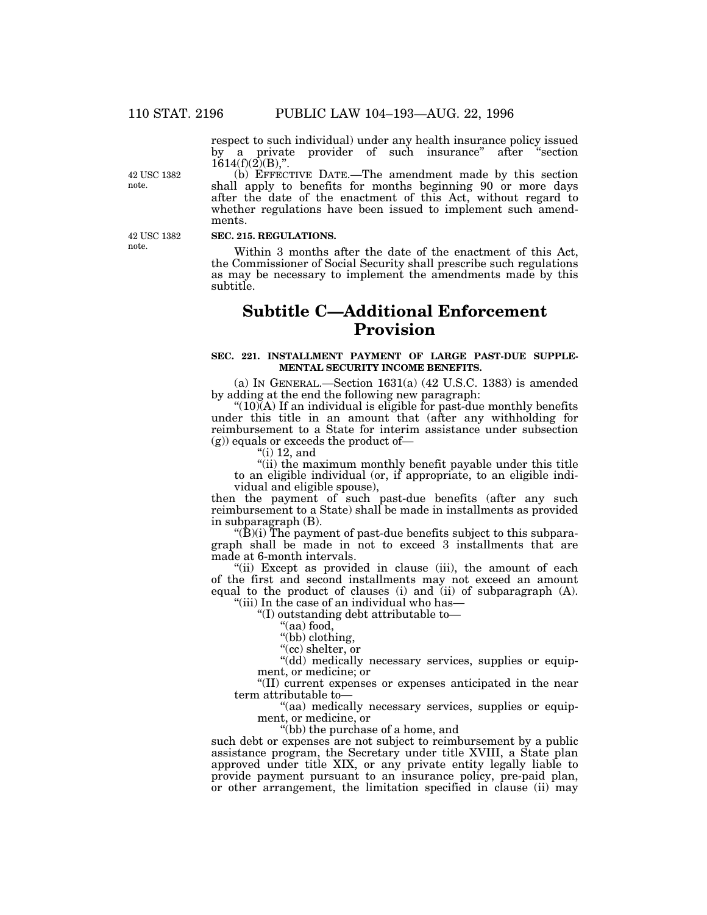respect to such individual) under any health insurance policy issued<br>by a private provider of such insurance" after "section by a private provider of such insurance'' after ''section  $1614(f)(2)(B)$ ,".

42 USC 1382 note.

(b) EFFECTIVE DATE.—The amendment made by this section shall apply to benefits for months beginning 90 or more days after the date of the enactment of this Act, without regard to whether regulations have been issued to implement such amendments.

42 USC 1382 note.

## **SEC. 215. REGULATIONS.**

Within 3 months after the date of the enactment of this Act, the Commissioner of Social Security shall prescribe such regulations as may be necessary to implement the amendments made by this subtitle.

# **Subtitle C—Additional Enforcement Provision**

#### **SEC. 221. INSTALLMENT PAYMENT OF LARGE PAST-DUE SUPPLE-MENTAL SECURITY INCOME BENEFITS.**

(a) IN GENERAL.—Section  $1631(a)$  (42 U.S.C. 1383) is amended by adding at the end the following new paragraph:

" $(10)(A)$  If an individual is eligible for past-due monthly benefits under this title in an amount that (after any withholding for reimbursement to a State for interim assistance under subsection (g)) equals or exceeds the product of—

"(i)  $12$ , and

''(ii) the maximum monthly benefit payable under this title to an eligible individual (or, if appropriate, to an eligible individual and eligible spouse),

then the payment of such past-due benefits (after any such reimbursement to a State) shall be made in installments as provided in subparagraph (B).

" $(\hat{B})(i)$  The payment of past-due benefits subject to this subparagraph shall be made in not to exceed 3 installments that are made at 6-month intervals.

"(ii) Except as provided in clause (iii), the amount of each of the first and second installments may not exceed an amount equal to the product of clauses (i) and (ii) of subparagraph (A). "(iii) In the case of an individual who has-

''(I) outstanding debt attributable to—

''(aa) food,

"(bb) clothing,

''(cc) shelter, or

"(dd) medically necessary services, supplies or equipment, or medicine; or

''(II) current expenses or expenses anticipated in the near term attributable to—

"(aa) medically necessary services, supplies or equipment, or medicine, or

''(bb) the purchase of a home, and

such debt or expenses are not subject to reimbursement by a public assistance program, the Secretary under title XVIII, a State plan approved under title XIX, or any private entity legally liable to provide payment pursuant to an insurance policy, pre-paid plan, or other arrangement, the limitation specified in clause (ii) may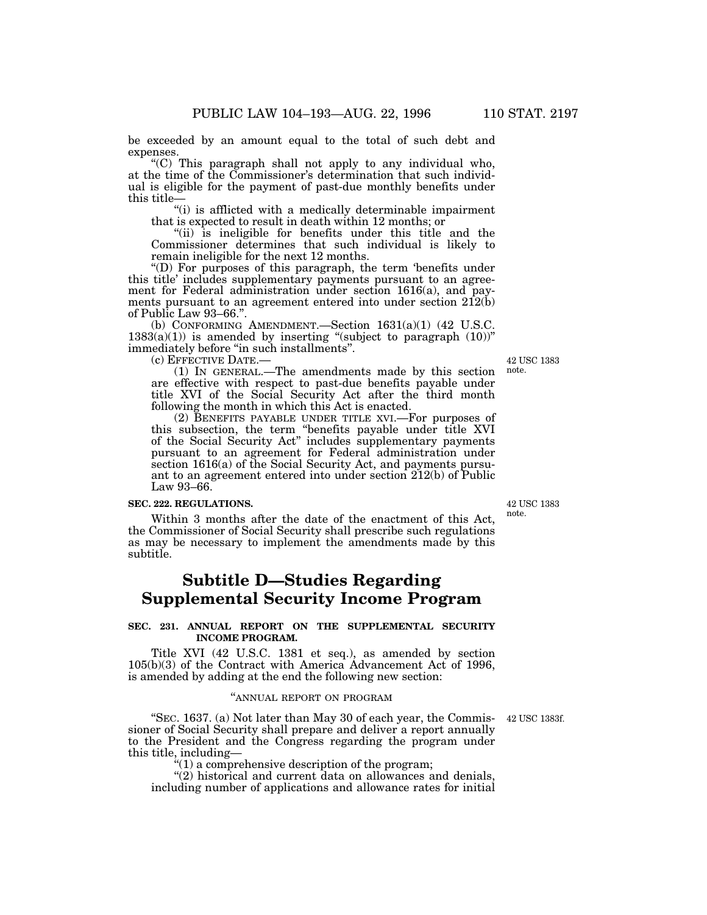be exceeded by an amount equal to the total of such debt and expenses.

''(C) This paragraph shall not apply to any individual who, at the time of the Commissioner's determination that such individual is eligible for the payment of past-due monthly benefits under this title—

''(i) is afflicted with a medically determinable impairment that is expected to result in death within 12 months; or

"(ii) is ineligible for benefits under this title and the Commissioner determines that such individual is likely to remain ineligible for the next 12 months.

''(D) For purposes of this paragraph, the term 'benefits under this title' includes supplementary payments pursuant to an agreement for Federal administration under section 1616(a), and payments pursuant to an agreement entered into under section  $2\overline{1}2(b)$ of Public Law 93–66.''.

(b) CONFORMING AMENDMENT.—Section 1631(a)(1) (42 U.S.C.  $1383(a)(1)$ ) is amended by inserting "(subject to paragraph  $(10)$ )" immediately before "in such installments".

(c) EFFECTIVE DATE.—

(1) IN GENERAL.—The amendments made by this section are effective with respect to past-due benefits payable under title XVI of the Social Security Act after the third month following the month in which this Act is enacted.

(2) BENEFITS PAYABLE UNDER TITLE XVI.—For purposes of this subsection, the term ''benefits payable under title XVI of the Social Security Act'' includes supplementary payments pursuant to an agreement for Federal administration under section 1616(a) of the Social Security Act, and payments pursuant to an agreement entered into under section 212(b) of Public Law 93–66.

## **SEC. 222. REGULATIONS.**

Within 3 months after the date of the enactment of this Act, the Commissioner of Social Security shall prescribe such regulations as may be necessary to implement the amendments made by this subtitle.

# **Subtitle D—Studies Regarding Supplemental Security Income Program**

#### **SEC. 231. ANNUAL REPORT ON THE SUPPLEMENTAL SECURITY INCOME PROGRAM.**

Title XVI (42 U.S.C. 1381 et seq.), as amended by section 105(b)(3) of the Contract with America Advancement Act of 1996, is amended by adding at the end the following new section:

#### ''ANNUAL REPORT ON PROGRAM

"SEC. 1637. (a) Not later than May 30 of each year, the Commis- 42 USC 1383f. sioner of Social Security shall prepare and deliver a report annually to the President and the Congress regarding the program under this title, including—

''(1) a comprehensive description of the program;

"(2) historical and current data on allowances and denials, including number of applications and allowance rates for initial

42 USC 1383 note.

42 USC 1383 note.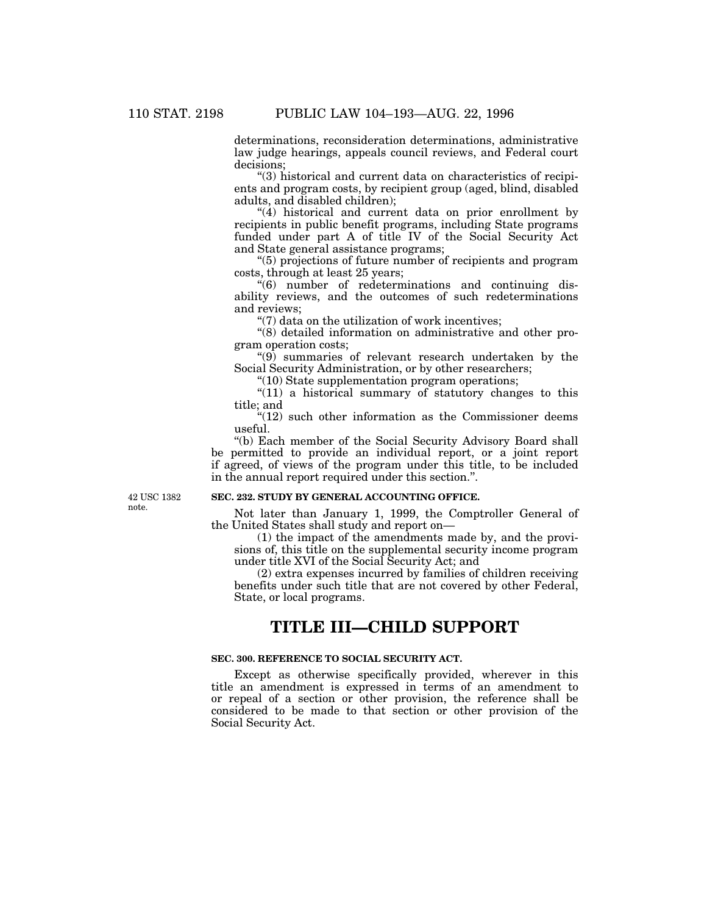determinations, reconsideration determinations, administrative law judge hearings, appeals council reviews, and Federal court decisions;

''(3) historical and current data on characteristics of recipients and program costs, by recipient group (aged, blind, disabled adults, and disabled children);

"(4) historical and current data on prior enrollment by recipients in public benefit programs, including State programs funded under part A of title IV of the Social Security Act and State general assistance programs;

''(5) projections of future number of recipients and program costs, through at least 25 years;

''(6) number of redeterminations and continuing disability reviews, and the outcomes of such redeterminations and reviews;

"(7) data on the utilization of work incentives;

''(8) detailed information on administrative and other program operation costs;

 $\degree$ (9) summaries of relevant research undertaken by the Social Security Administration, or by other researchers;

''(10) State supplementation program operations;

"(11) a historical summary of statutory changes to this title; and

"(12) such other information as the Commissioner deems useful.

''(b) Each member of the Social Security Advisory Board shall be permitted to provide an individual report, or a joint report if agreed, of views of the program under this title, to be included in the annual report required under this section.''.

42 USC 1382 note.

#### **SEC. 232. STUDY BY GENERAL ACCOUNTING OFFICE.**

Not later than January 1, 1999, the Comptroller General of the United States shall study and report on—

(1) the impact of the amendments made by, and the provisions of, this title on the supplemental security income program under title XVI of the Social Security Act; and

(2) extra expenses incurred by families of children receiving benefits under such title that are not covered by other Federal, State, or local programs.

# **TITLE III—CHILD SUPPORT**

## **SEC. 300. REFERENCE TO SOCIAL SECURITY ACT.**

Except as otherwise specifically provided, wherever in this title an amendment is expressed in terms of an amendment to or repeal of a section or other provision, the reference shall be considered to be made to that section or other provision of the Social Security Act.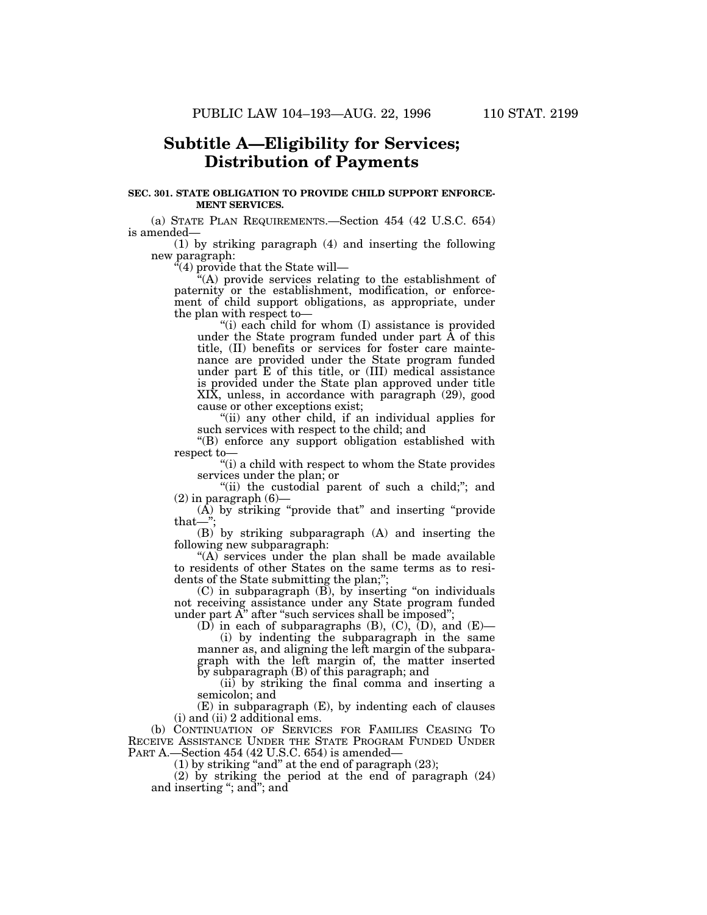# **Subtitle A—Eligibility for Services; Distribution of Payments**

### **SEC. 301. STATE OBLIGATION TO PROVIDE CHILD SUPPORT ENFORCE-MENT SERVICES.**

(a) STATE PLAN REQUIREMENTS.—Section 454 (42 U.S.C. 654) is amended—

(1) by striking paragraph (4) and inserting the following new paragraph:

''(4) provide that the State will—

''(A) provide services relating to the establishment of paternity or the establishment, modification, or enforcement of child support obligations, as appropriate, under the plan with respect to—

''(i) each child for whom (I) assistance is provided under the State program funded under part  $\tilde{A}$  of this title, (II) benefits or services for foster care maintenance are provided under the State program funded under part E of this title, or (III) medical assistance is provided under the State plan approved under title XIX, unless, in accordance with paragraph (29), good cause or other exceptions exist;

"(ii) any other child, if an individual applies for such services with respect to the child; and

''(B) enforce any support obligation established with respect to—

''(i) a child with respect to whom the State provides services under the plan; or

"(ii) the custodial parent of such a child;"; and  $(2)$  in paragraph  $(6)$ -

(A) by striking ''provide that'' and inserting ''provide that—'';

(B) by striking subparagraph (A) and inserting the following new subparagraph:

''(A) services under the plan shall be made available to residents of other States on the same terms as to residents of the State submitting the plan;'';

(C) in subparagraph (B), by inserting ''on individuals not receiving assistance under any State program funded under part A'' after ''such services shall be imposed'';

(D) in each of subparagraphs  $(B)$ ,  $(C)$ ,  $(D)$ , and  $(E)$ —

(i) by indenting the subparagraph in the same manner as, and aligning the left margin of the subparagraph with the left margin of, the matter inserted by subparagraph (B) of this paragraph; and

(ii) by striking the final comma and inserting a semicolon; and

(E) in subparagraph (E), by indenting each of clauses (i) and (ii) 2 additional ems.

(b) CONTINUATION OF SERVICES FOR FAMILIES CEASING TO RECEIVE ASSISTANCE UNDER THE STATE PROGRAM FUNDED UNDER PART A.—Section 454 (42 U.S.C. 654) is amended—

 $(1)$  by striking "and" at the end of paragraph  $(23)$ ;

(2) by striking the period at the end of paragraph (24) and inserting "; and"; and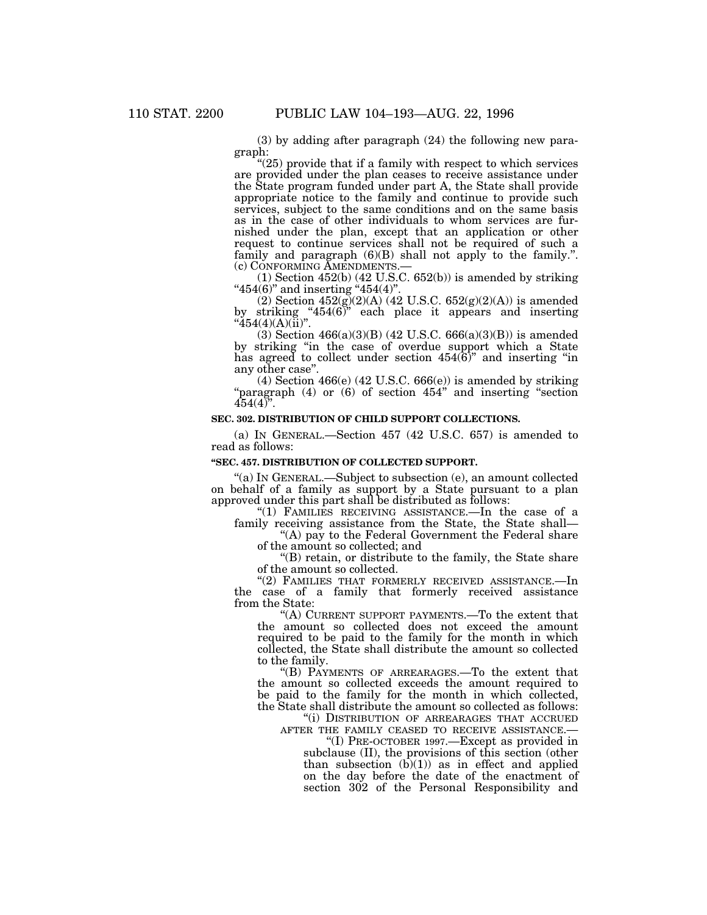(3) by adding after paragraph (24) the following new paragraph:

" $(25)$  provide that if a family with respect to which services are provided under the plan ceases to receive assistance under the State program funded under part A, the State shall provide appropriate notice to the family and continue to provide such services, subject to the same conditions and on the same basis as in the case of other individuals to whom services are furnished under the plan, except that an application or other request to continue services shall not be required of such a family and paragraph  $(6)(B)$  shall not apply to the family.".  $(c)$  CONFORMING AMENDMENTS.—

 $(1)$  Section 452(b) (42 U.S.C. 652(b)) is amended by striking " $454(6)$ " and inserting " $454(4)$ ".<br>(2) Section  $452(g)(2)(A)$  (42 U.S.C.  $652(g)(2)(A)$ ) is amended

(2) Section  $452(g)(2)(A)$  (42 U.S.C.  $652(g)(2)(A)$ ) is amended by striking "454(6)" each place it appears and inserting " $454(4)(A)(ii)$ ".

(3) Section  $466(a)(3)(B)$  (42 U.S.C.  $666(a)(3)(B)$ ) is amended by striking ''in the case of overdue support which a State has agreed to collect under section  $454(6)$ " and inserting "in any other case''.

(4) Section  $466(e)$  (42 U.S.C.  $666(e)$ ) is amended by striking "paragraph  $(4)$  or  $(6)$  of section  $454$ " and inserting "section  $\overline{454(4)}$ ".

## **SEC. 302. DISTRIBUTION OF CHILD SUPPORT COLLECTIONS.**

(a) IN GENERAL.—Section 457 (42 U.S.C. 657) is amended to read as follows:

### **''SEC. 457. DISTRIBUTION OF COLLECTED SUPPORT.**

''(a) IN GENERAL.—Subject to subsection (e), an amount collected on behalf of a family as support by a State pursuant to a plan approved under this part shall be distributed as follows:

"(1) FAMILIES RECEIVING ASSISTANCE.—In the case of a family receiving assistance from the State, the State shall—

"(A) pay to the Federal Government the Federal share of the amount so collected; and

''(B) retain, or distribute to the family, the State share of the amount so collected.

"(2) FAMILIES THAT FORMERLY RECEIVED ASSISTANCE.—In the case of a family that formerly received assistance from the State:

"(A) CURRENT SUPPORT PAYMENTS.—To the extent that the amount so collected does not exceed the amount required to be paid to the family for the month in which collected, the State shall distribute the amount so collected to the family.

''(B) PAYMENTS OF ARREARAGES.—To the extent that the amount so collected exceeds the amount required to be paid to the family for the month in which collected, the State shall distribute the amount so collected as follows:

"(i) DISTRIBUTION OF ARREARAGES THAT ACCRUED AFTER THE FAMILY CEASED TO RECEIVE ASSISTANCE.— ''(I) PRE-OCTOBER 1997.—Except as provided in

subclause (II), the provisions of this section (other than subsection  $(b)(1)$  as in effect and applied on the day before the date of the enactment of section 302 of the Personal Responsibility and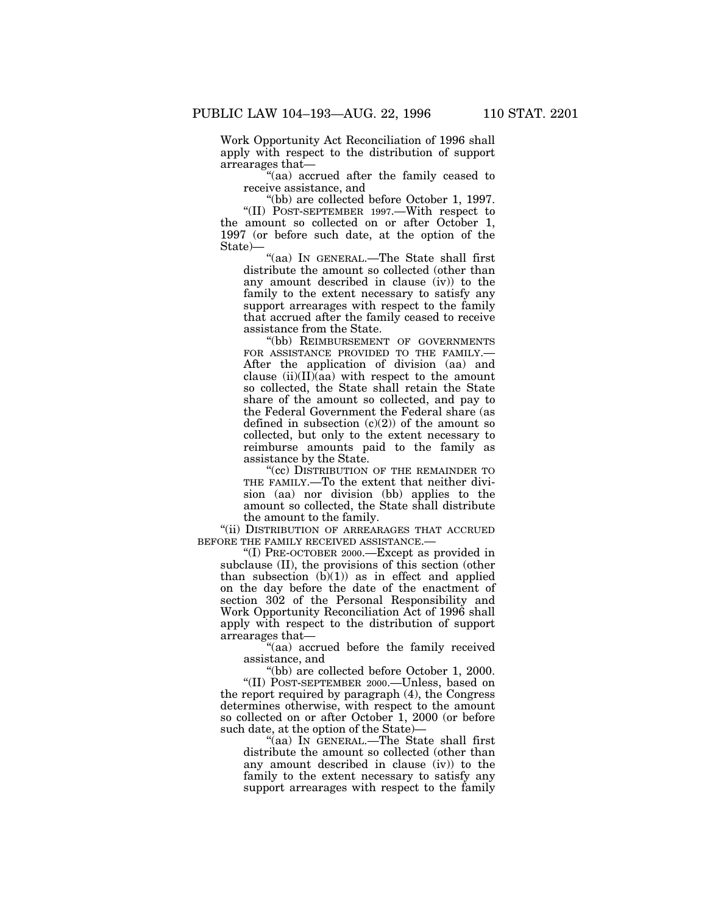Work Opportunity Act Reconciliation of 1996 shall apply with respect to the distribution of support arrearages that—

''(aa) accrued after the family ceased to receive assistance, and

''(bb) are collected before October 1, 1997. ''(II) POST-SEPTEMBER 1997.—With respect to the amount so collected on or after October 1, 1997 (or before such date, at the option of the State)—

''(aa) IN GENERAL.—The State shall first distribute the amount so collected (other than any amount described in clause (iv)) to the family to the extent necessary to satisfy any support arrearages with respect to the family that accrued after the family ceased to receive assistance from the State.

"(bb) REIMBURSEMENT OF GOVERNMENTS FOR ASSISTANCE PROVIDED TO THE FAMILY.— After the application of division (aa) and clause  $(ii)(II)(aa)$  with respect to the amount so collected, the State shall retain the State share of the amount so collected, and pay to the Federal Government the Federal share (as defined in subsection  $(c)(2)$  of the amount so collected, but only to the extent necessary to reimburse amounts paid to the family as assistance by the State.

"(cc) DISTRIBUTION OF THE REMAINDER TO THE FAMILY.—To the extent that neither division (aa) nor division (bb) applies to the amount so collected, the State shall distribute the amount to the family.

''(ii) DISTRIBUTION OF ARREARAGES THAT ACCRUED BEFORE THE FAMILY RECEIVED ASSISTANCE.—

''(I) PRE-OCTOBER 2000.—Except as provided in subclause (II), the provisions of this section (other than subsection  $(b)(1)$  as in effect and applied on the day before the date of the enactment of section 302 of the Personal Responsibility and Work Opportunity Reconciliation Act of 1996 shall apply with respect to the distribution of support arrearages that—

''(aa) accrued before the family received assistance, and

''(bb) are collected before October 1, 2000.

''(II) POST-SEPTEMBER 2000.—Unless, based on the report required by paragraph (4), the Congress determines otherwise, with respect to the amount so collected on or after October 1, 2000 (or before such date, at the option of the State)—

"(aa) In GENERAL.—The State shall first distribute the amount so collected (other than any amount described in clause (iv)) to the family to the extent necessary to satisfy any support arrearages with respect to the family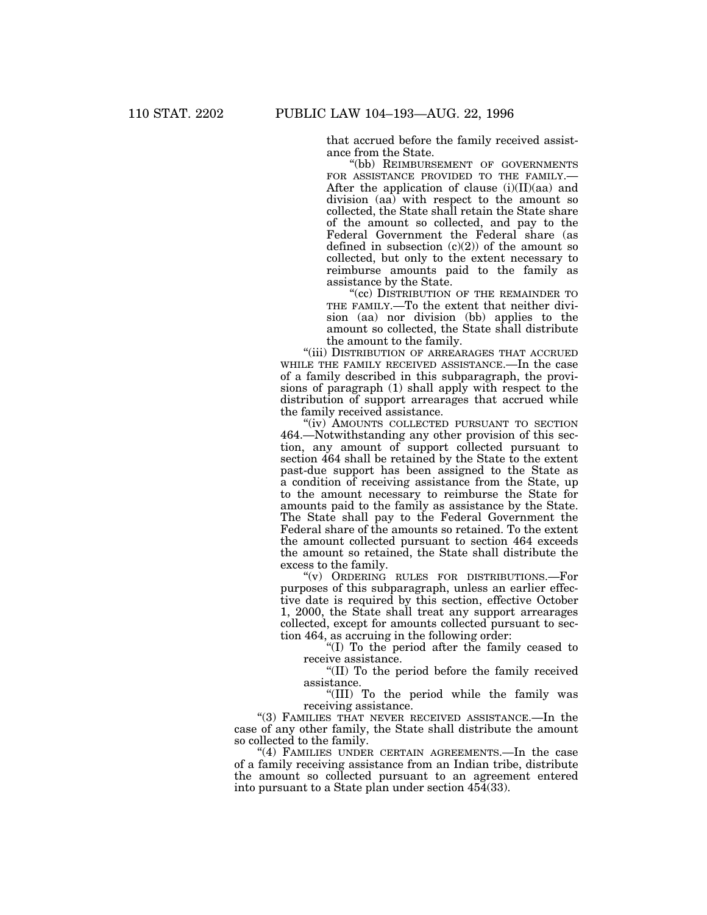that accrued before the family received assistance from the State.

''(bb) REIMBURSEMENT OF GOVERNMENTS FOR ASSISTANCE PROVIDED TO THE FAMILY.— After the application of clause  $(i)(II)(aa)$  and division (aa) with respect to the amount so collected, the State shall retain the State share of the amount so collected, and pay to the Federal Government the Federal share (as defined in subsection  $(c)(2)$  of the amount so collected, but only to the extent necessary to reimburse amounts paid to the family as assistance by the State.

''(cc) DISTRIBUTION OF THE REMAINDER TO THE FAMILY.—To the extent that neither division (aa) nor division (bb) applies to the amount so collected, the State shall distribute the amount to the family.

"(iii) DISTRIBUTION OF ARREARAGES THAT ACCRUED WHILE THE FAMILY RECEIVED ASSISTANCE.—In the case of a family described in this subparagraph, the provisions of paragraph (1) shall apply with respect to the distribution of support arrearages that accrued while the family received assistance.

"(iv) AMOUNTS COLLECTED PURSUANT TO SECTION 464.—Notwithstanding any other provision of this section, any amount of support collected pursuant to section 464 shall be retained by the State to the extent past-due support has been assigned to the State as a condition of receiving assistance from the State, up to the amount necessary to reimburse the State for amounts paid to the family as assistance by the State. The State shall pay to the Federal Government the Federal share of the amounts so retained. To the extent the amount collected pursuant to section 464 exceeds the amount so retained, the State shall distribute the excess to the family.

''(v) ORDERING RULES FOR DISTRIBUTIONS.—For purposes of this subparagraph, unless an earlier effective date is required by this section, effective October 1, 2000, the State shall treat any support arrearages collected, except for amounts collected pursuant to section 464, as accruing in the following order:

''(I) To the period after the family ceased to receive assistance.

''(II) To the period before the family received assistance.

''(III) To the period while the family was receiving assistance.

''(3) FAMILIES THAT NEVER RECEIVED ASSISTANCE.—In the case of any other family, the State shall distribute the amount so collected to the family.

"(4) FAMILIES UNDER CERTAIN AGREEMENTS.—In the case of a family receiving assistance from an Indian tribe, distribute the amount so collected pursuant to an agreement entered into pursuant to a State plan under section  $45\overline{4}(33)$ .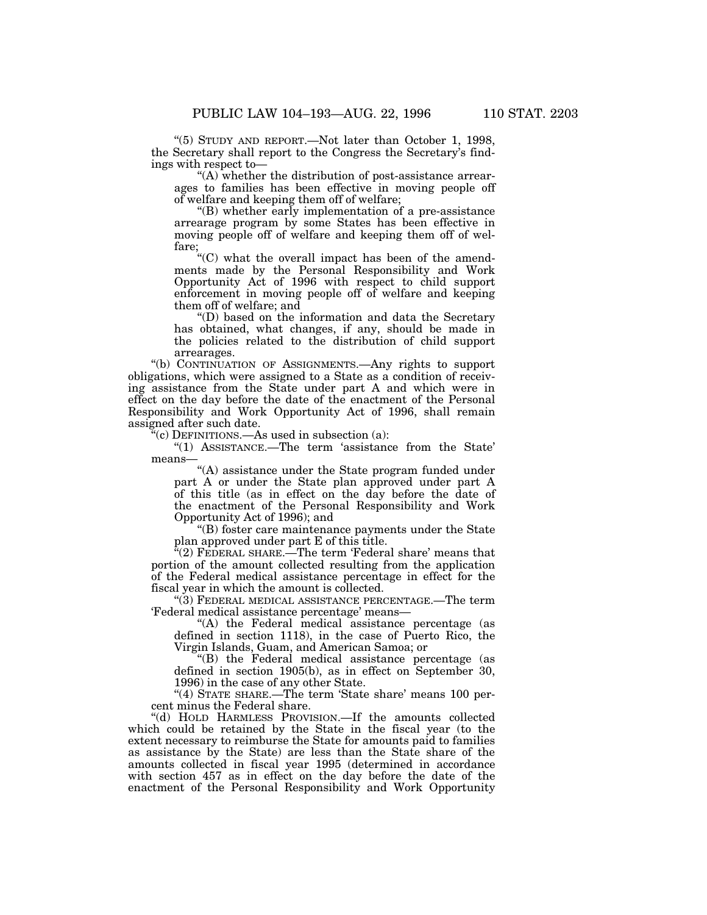''(5) STUDY AND REPORT.—Not later than October 1, 1998, the Secretary shall report to the Congress the Secretary's findings with respect to—

''(A) whether the distribution of post-assistance arrearages to families has been effective in moving people off of welfare and keeping them off of welfare;

''(B) whether early implementation of a pre-assistance arrearage program by some States has been effective in moving people off of welfare and keeping them off of welfare;

 $E''(C)$  what the overall impact has been of the amendments made by the Personal Responsibility and Work Opportunity Act of 1996 with respect to child support enforcement in moving people off of welfare and keeping them off of welfare; and

''(D) based on the information and data the Secretary has obtained, what changes, if any, should be made in the policies related to the distribution of child support arrearages.

''(b) CONTINUATION OF ASSIGNMENTS.—Any rights to support obligations, which were assigned to a State as a condition of receiving assistance from the State under part A and which were in effect on the day before the date of the enactment of the Personal Responsibility and Work Opportunity Act of 1996, shall remain assigned after such date.

''(c) DEFINITIONS.—As used in subsection (a):

''(1) ASSISTANCE.—The term 'assistance from the State' means—

''(A) assistance under the State program funded under part A or under the State plan approved under part A of this title (as in effect on the day before the date of the enactment of the Personal Responsibility and Work Opportunity Act of 1996); and

''(B) foster care maintenance payments under the State plan approved under part E of this title.

 $E^2(2)$  FEDERAL SHARE.—The term 'Federal share' means that portion of the amount collected resulting from the application of the Federal medical assistance percentage in effect for the fiscal year in which the amount is collected.

''(3) FEDERAL MEDICAL ASSISTANCE PERCENTAGE.—The term 'Federal medical assistance percentage' means—

''(A) the Federal medical assistance percentage (as defined in section 1118), in the case of Puerto Rico, the Virgin Islands, Guam, and American Samoa; or

''(B) the Federal medical assistance percentage (as defined in section 1905(b), as in effect on September 30, 1996) in the case of any other State.

"(4) STATE SHARE.—The term 'State share' means 100 percent minus the Federal share.

''(d) HOLD HARMLESS PROVISION.—If the amounts collected which could be retained by the State in the fiscal year (to the extent necessary to reimburse the State for amounts paid to families as assistance by the State) are less than the State share of the amounts collected in fiscal year 1995 (determined in accordance with section 457 as in effect on the day before the date of the enactment of the Personal Responsibility and Work Opportunity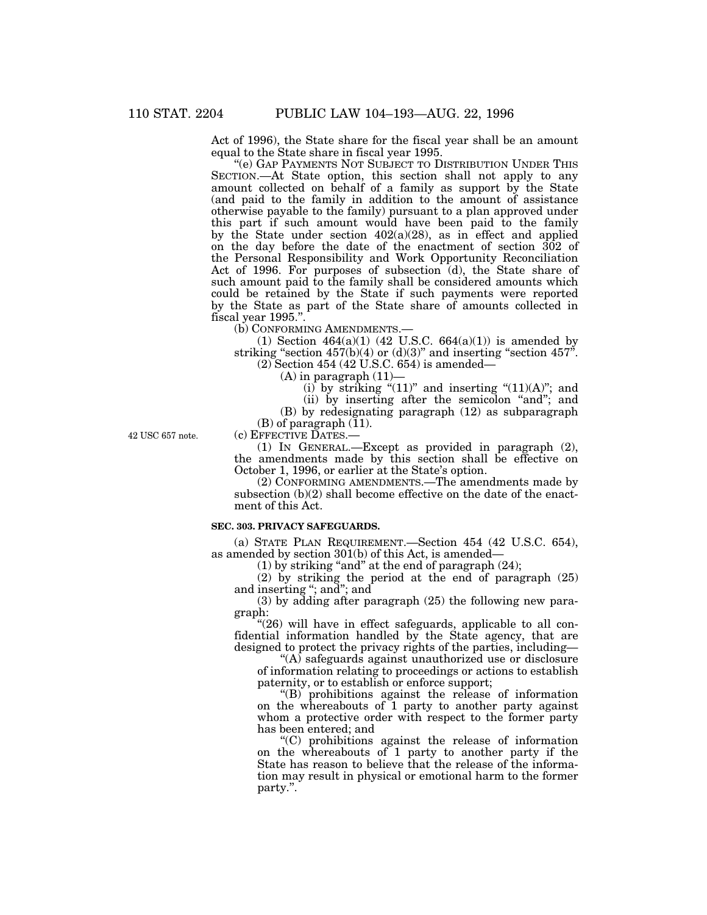Act of 1996), the State share for the fiscal year shall be an amount equal to the State share in fiscal year 1995.

''(e) GAP PAYMENTS NOT SUBJECT TO DISTRIBUTION UNDER THIS SECTION.—At State option, this section shall not apply to any amount collected on behalf of a family as support by the State (and paid to the family in addition to the amount of assistance otherwise payable to the family) pursuant to a plan approved under this part if such amount would have been paid to the family by the State under section  $402(a)(28)$ , as in effect and applied on the day before the date of the enactment of section 302 of the Personal Responsibility and Work Opportunity Reconciliation Act of 1996. For purposes of subsection (d), the State share of such amount paid to the family shall be considered amounts which could be retained by the State if such payments were reported by the State as part of the State share of amounts collected in fiscal year 1995.''.

(b) CONFORMING AMENDMENTS.—

(1) Section  $464(a)(1)$  (42 U.S.C.  $664(a)(1)$ ) is amended by striking "section  $457(b)(4)$  or  $(d)(3)$ " and inserting "section  $457$ ".

 $(2)$  Section 454  $(42 \text{ U.S.C. } 654)$  is amended—

 $(A)$  in paragraph  $(11)$ 

(i) by striking " $(11)$ " and inserting " $(11)(A)$ "; and

(ii) by inserting after the semicolon "and"; and

(B) by redesignating paragraph (12) as subparagraph (B) of paragraph (11).

42 USC 657 note.

(1) IN GENERAL.—Except as provided in paragraph (2), the amendments made by this section shall be effective on October 1, 1996, or earlier at the State's option.

(2) CONFORMING AMENDMENTS.—The amendments made by subsection (b)(2) shall become effective on the date of the enactment of this Act.

#### **SEC. 303. PRIVACY SAFEGUARDS.**

(c) EFFECTIVE DATES.—

(a) STATE PLAN REQUIREMENT.—Section 454 (42 U.S.C. 654), as amended by section 301(b) of this Act, is amended—

(1) by striking "and" at the end of paragraph  $(24)$ ;

(2) by striking the period at the end of paragraph (25) and inserting "; and"; and

(3) by adding after paragraph (25) the following new paragraph:

" $(26)$  will have in effect safeguards, applicable to all confidential information handled by the State agency, that are designed to protect the privacy rights of the parties, including—

 $(A)$  safeguards against unauthorized use or disclosure of information relating to proceedings or actions to establish paternity, or to establish or enforce support;

''(B) prohibitions against the release of information on the whereabouts of 1 party to another party against whom a protective order with respect to the former party has been entered; and

''(C) prohibitions against the release of information on the whereabouts of 1 party to another party if the State has reason to believe that the release of the information may result in physical or emotional harm to the former party.''.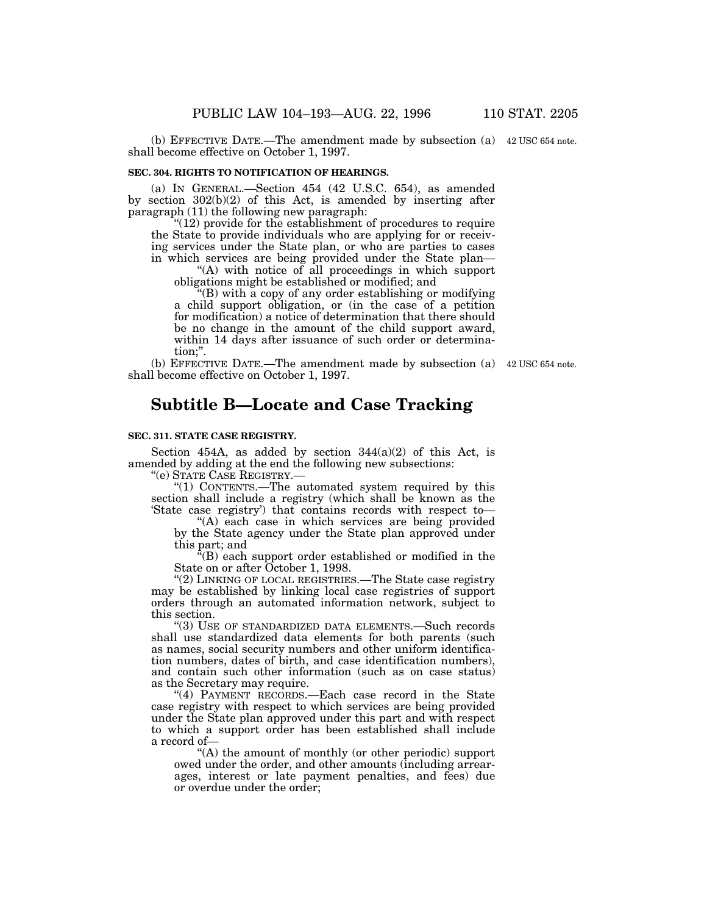(b) EFFECTIVE DATE.—The amendment made by subsection (a) 42 USC 654 note.shall become effective on October 1, 1997.

### **SEC. 304. RIGHTS TO NOTIFICATION OF HEARINGS.**

(a) IN GENERAL.—Section 454 (42 U.S.C. 654), as amended by section 302(b)(2) of this Act, is amended by inserting after paragraph (11) the following new paragraph:

 $(12)$  provide for the establishment of procedures to require the State to provide individuals who are applying for or receiving services under the State plan, or who are parties to cases in which services are being provided under the State plan—

''(A) with notice of all proceedings in which support obligations might be established or modified; and

''(B) with a copy of any order establishing or modifying a child support obligation, or (in the case of a petition for modification) a notice of determination that there should be no change in the amount of the child support award, within 14 days after issuance of such order or determination;''.

(b) EFFECTIVE DATE.—The amendment made by subsection (a) 42 USC 654 note. shall become effective on October 1, 1997.

# **Subtitle B—Locate and Case Tracking**

#### **SEC. 311. STATE CASE REGISTRY.**

Section 454A, as added by section  $344(a)(2)$  of this Act, is amended by adding at the end the following new subsections:

''(e) STATE CASE REGISTRY.—

''(1) CONTENTS.—The automated system required by this section shall include a registry (which shall be known as the 'State case registry') that contains records with respect to—

"(A) each case in which services are being provided by the State agency under the State plan approved under this part; and

''(B) each support order established or modified in the State on or after October 1, 1998.

''(2) LINKING OF LOCAL REGISTRIES.—The State case registry may be established by linking local case registries of support orders through an automated information network, subject to this section.

''(3) USE OF STANDARDIZED DATA ELEMENTS.—Such records shall use standardized data elements for both parents (such as names, social security numbers and other uniform identification numbers, dates of birth, and case identification numbers), and contain such other information (such as on case status) as the Secretary may require.

''(4) PAYMENT RECORDS.—Each case record in the State case registry with respect to which services are being provided under the State plan approved under this part and with respect to which a support order has been established shall include a record of—

''(A) the amount of monthly (or other periodic) support owed under the order, and other amounts (including arrearages, interest or late payment penalties, and fees) due or overdue under the order;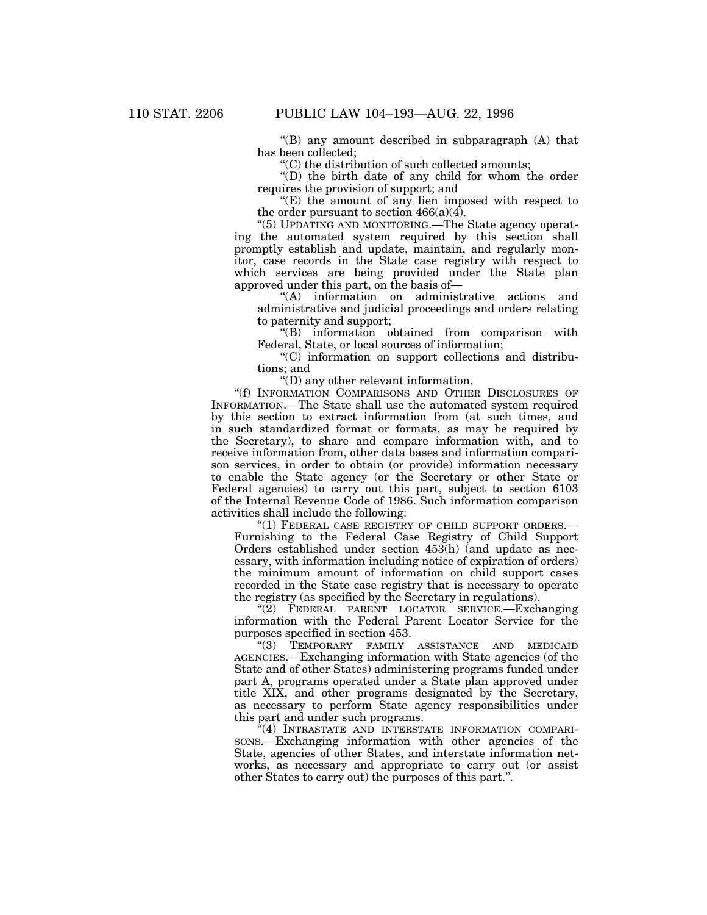"(B) any amount described in subparagraph  $(A)$  that has been collected;

 $(C)$  the distribution of such collected amounts;

''(D) the birth date of any child for whom the order requires the provision of support; and

 $E(E)$  the amount of any lien imposed with respect to the order pursuant to section  $466(a)(4)$ .

''(5) UPDATING AND MONITORING.—The State agency operating the automated system required by this section shall promptly establish and update, maintain, and regularly monitor, case records in the State case registry with respect to which services are being provided under the State plan approved under this part, on the basis of—

''(A) information on administrative actions and administrative and judicial proceedings and orders relating to paternity and support;

''(B) information obtained from comparison with Federal, State, or local sources of information;

''(C) information on support collections and distributions; and

''(D) any other relevant information.

''(f) INFORMATION COMPARISONS AND OTHER DISCLOSURES OF INFORMATION.—The State shall use the automated system required by this section to extract information from (at such times, and in such standardized format or formats, as may be required by the Secretary), to share and compare information with, and to receive information from, other data bases and information comparison services, in order to obtain (or provide) information necessary to enable the State agency (or the Secretary or other State or Federal agencies) to carry out this part, subject to section 6103 of the Internal Revenue Code of 1986. Such information comparison activities shall include the following:

"(1) FEDERAL CASE REGISTRY OF CHILD SUPPORT ORDERS.-Furnishing to the Federal Case Registry of Child Support Orders established under section 453(h) (and update as necessary, with information including notice of expiration of orders) the minimum amount of information on child support cases recorded in the State case registry that is necessary to operate the registry (as specified by the Secretary in regulations).

''(2) FEDERAL PARENT LOCATOR SERVICE.—Exchanging information with the Federal Parent Locator Service for the purposes specified in section 453.

''(3) TEMPORARY FAMILY ASSISTANCE AND MEDICAID AGENCIES.—Exchanging information with State agencies (of the State and of other States) administering programs funded under part A, programs operated under a State plan approved under title XIX, and other programs designated by the Secretary, as necessary to perform State agency responsibilities under this part and under such programs.

 $F(4)$  INTRASTATE AND INTERSTATE INFORMATION COMPARI-SONS.—Exchanging information with other agencies of the State, agencies of other States, and interstate information networks, as necessary and appropriate to carry out (or assist other States to carry out) the purposes of this part.''.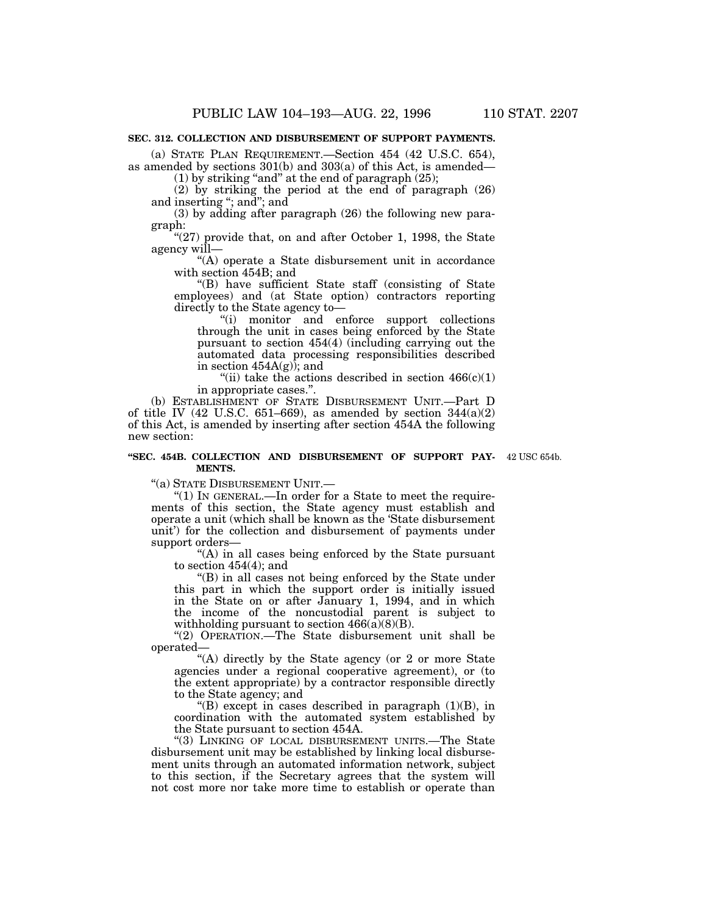## **SEC. 312. COLLECTION AND DISBURSEMENT OF SUPPORT PAYMENTS.**

(a) STATE PLAN REQUIREMENT.—Section 454 (42 U.S.C. 654), as amended by sections 301(b) and 303(a) of this Act, is amended—

(1) by striking "and" at the end of paragraph  $(25)$ ;

(2) by striking the period at the end of paragraph (26) and inserting ''; and''; and

(3) by adding after paragraph (26) the following new paragraph:

" $(27)$  provide that, on and after October 1, 1998, the State agency will—

''(A) operate a State disbursement unit in accordance with section 454B; and

''(B) have sufficient State staff (consisting of State employees) and (at State option) contractors reporting directly to the State agency to—

''(i) monitor and enforce support collections through the unit in cases being enforced by the State pursuant to section 454(4) (including carrying out the automated data processing responsibilities described in section  $454A(g)$ ; and

"(ii) take the actions described in section  $466(c)(1)$ in appropriate cases.''.

(b) ESTABLISHMENT OF STATE DISBURSEMENT UNIT.—Part D of title IV (42 U.S.C. 651–669), as amended by section  $344(a)(2)$ of this Act, is amended by inserting after section 454A the following new section:

#### **''SEC. 454B. COLLECTION AND DISBURSEMENT OF SUPPORT PAY-**42 USC 654b.**MENTS.**

''(a) STATE DISBURSEMENT UNIT.—

" $(1)$  In GENERAL.—In order for a State to meet the requirements of this section, the State agency must establish and operate a unit (which shall be known as the 'State disbursement unit') for the collection and disbursement of payments under support orders—

"(A) in all cases being enforced by the State pursuant to section 454(4); and

''(B) in all cases not being enforced by the State under this part in which the support order is initially issued in the State on or after January 1, 1994, and in which the income of the noncustodial parent is subject to withholding pursuant to section  $466(a)(8)(B)$ .

''(2) OPERATION.—The State disbursement unit shall be operated—

"(A) directly by the State agency (or 2 or more State agencies under a regional cooperative agreement), or (to the extent appropriate) by a contractor responsible directly to the State agency; and

''(B) except in cases described in paragraph (1)(B), in coordination with the automated system established by the State pursuant to section 454A.

''(3) LINKING OF LOCAL DISBURSEMENT UNITS.—The State disbursement unit may be established by linking local disbursement units through an automated information network, subject to this section, if the Secretary agrees that the system will not cost more nor take more time to establish or operate than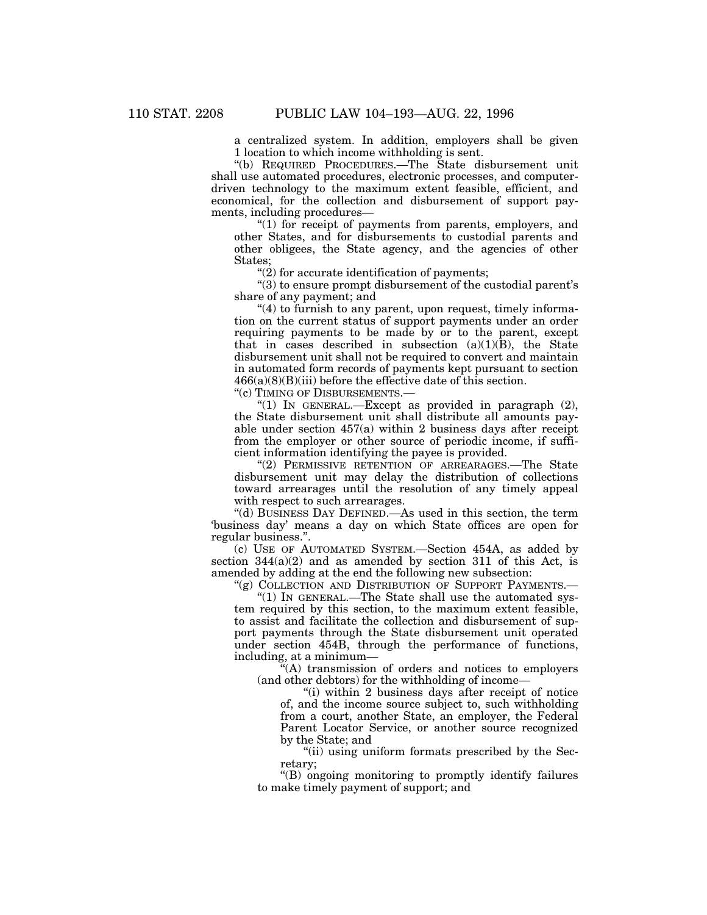a centralized system. In addition, employers shall be given 1 location to which income withholding is sent.

''(b) REQUIRED PROCEDURES.—The State disbursement unit shall use automated procedures, electronic processes, and computerdriven technology to the maximum extent feasible, efficient, and economical, for the collection and disbursement of support payments, including procedures—

"(1) for receipt of payments from parents, employers, and other States, and for disbursements to custodial parents and other obligees, the State agency, and the agencies of other States;

" $(2)$  for accurate identification of payments;

''(3) to ensure prompt disbursement of the custodial parent's share of any payment; and

 $''(4)$  to furnish to any parent, upon request, timely information on the current status of support payments under an order requiring payments to be made by or to the parent, except that in cases described in subsection  $(a)(1)(\overline{B})$ , the State disbursement unit shall not be required to convert and maintain in automated form records of payments kept pursuant to section  $466(a)(8)(B)(iii)$  before the effective date of this section.

''(c) TIMING OF DISBURSEMENTS.—

"(1) IN GENERAL.—Except as provided in paragraph  $(2)$ , the State disbursement unit shall distribute all amounts payable under section 457(a) within 2 business days after receipt from the employer or other source of periodic income, if sufficient information identifying the payee is provided.

"(2) PERMISSIVE RETENTION OF ARREARAGES.-The State disbursement unit may delay the distribution of collections toward arrearages until the resolution of any timely appeal with respect to such arrearages.

''(d) BUSINESS DAY DEFINED.—As used in this section, the term 'business day' means a day on which State offices are open for regular business.''.

(c) USE OF AUTOMATED SYSTEM.—Section 454A, as added by section  $344(a)(2)$  and as amended by section 311 of this Act, is amended by adding at the end the following new subsection:

"(g) COLLECTION AND DISTRIBUTION OF SUPPORT PAYMENTS.—

" $(1)$  In GENERAL.—The State shall use the automated system required by this section, to the maximum extent feasible, to assist and facilitate the collection and disbursement of support payments through the State disbursement unit operated under section 454B, through the performance of functions, including, at a minimum—

 $f(A)$  transmission of orders and notices to employers (and other debtors) for the withholding of income—

''(i) within 2 business days after receipt of notice of, and the income source subject to, such withholding from a court, another State, an employer, the Federal Parent Locator Service, or another source recognized by the State; and

''(ii) using uniform formats prescribed by the Secretary;

''(B) ongoing monitoring to promptly identify failures to make timely payment of support; and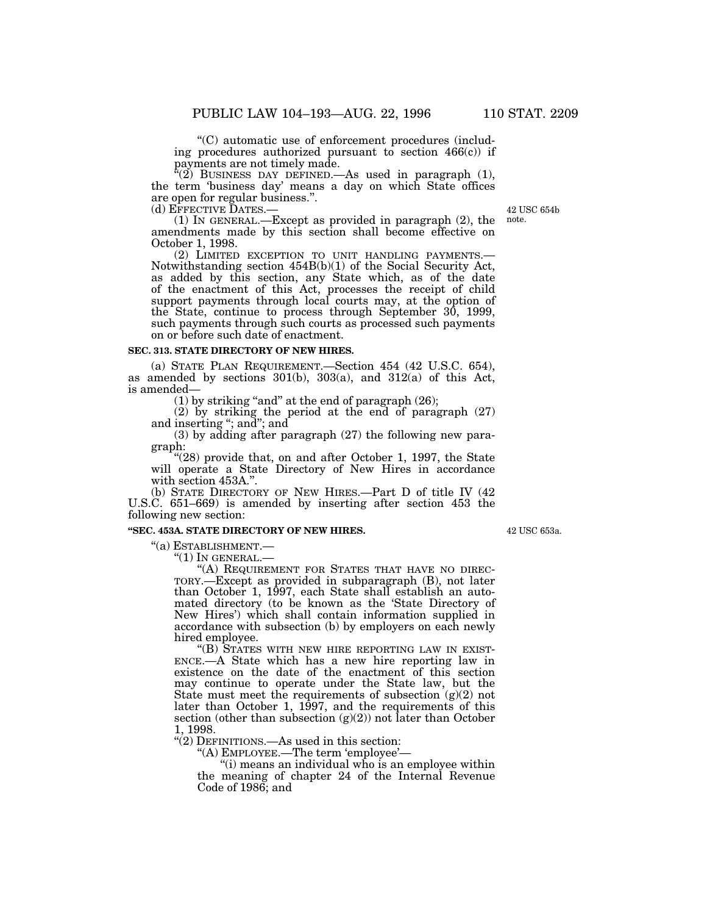''(C) automatic use of enforcement procedures (including procedures authorized pursuant to section 466(c)) if payments are not timely made.

 $\sqrt[\alpha]{2}$  BUSINESS DAY DEFINED.—As used in paragraph (1), the term 'business day' means a day on which State offices are open for regular business.".<br>(d) EFFECTIVE DATES.—

(1) IN GENERAL.—Except as provided in paragraph  $(2)$ , the amendments made by this section shall become effective on October 1, 1998.<br>
(2) LIMITED EXCEPTION TO UNIT HANDLING PAYMENTS.

Notwithstanding section  $454B(b)(1)$  of the Social Security Act, as added by this section, any State which, as of the date of the enactment of this Act, processes the receipt of child support payments through local courts may, at the option of the State, continue to process through September 30, 1999, such payments through such courts as processed such payments on or before such date of enactment.

#### **SEC. 313. STATE DIRECTORY OF NEW HIRES.**

(a) STATE PLAN REQUIREMENT.—Section 454 (42 U.S.C. 654), as amended by sections  $301(b)$ ,  $303(a)$ , and  $312(a)$  of this Act, is amended—

 $(1)$  by striking "and" at the end of paragraph  $(26)$ ;

(2) by striking the period at the end of paragraph (27) and inserting "; and"; and

(3) by adding after paragraph (27) the following new paragraph:

"(28) provide that, on and after October 1, 1997, the State will operate a State Directory of New Hires in accordance with section 453A."

(b) STATE DIRECTORY OF NEW HIRES.—Part D of title IV (42 U.S.C. 651–669) is amended by inserting after section 453 the following new section:

#### **''SEC. 453A. STATE DIRECTORY OF NEW HIRES.**

''(a) ESTABLISHMENT.— ''(1) IN GENERAL.— ''(A) REQUIREMENT FOR STATES THAT HAVE NO DIREC- TORY.—Except as provided in subparagraph (B), not later than October 1, 1997, each State shall establish an automated directory (to be known as the 'State Directory of New Hires') which shall contain information supplied in accordance with subsection (b) by employers on each newly hired employee.<br>"(B) STATES WITH NEW HIRE REPORTING LAW IN EXIST-

 $ENCE.$ —A State which has a new hire reporting law in existence on the date of the enactment of this section may continue to operate under the State law, but the State must meet the requirements of subsection  $(g)(2)$  not later than October 1, 1997, and the requirements of this section (other than subsection (g)(2)) not later than October 1, 1998.

''(2) DEFINITIONS.—As used in this section:

''(A) EMPLOYEE.—The term 'employee'—

''(i) means an individual who is an employee within the meaning of chapter 24 of the Internal Revenue Code of 1986; and

42 USC 653a.

42 USC 654b note.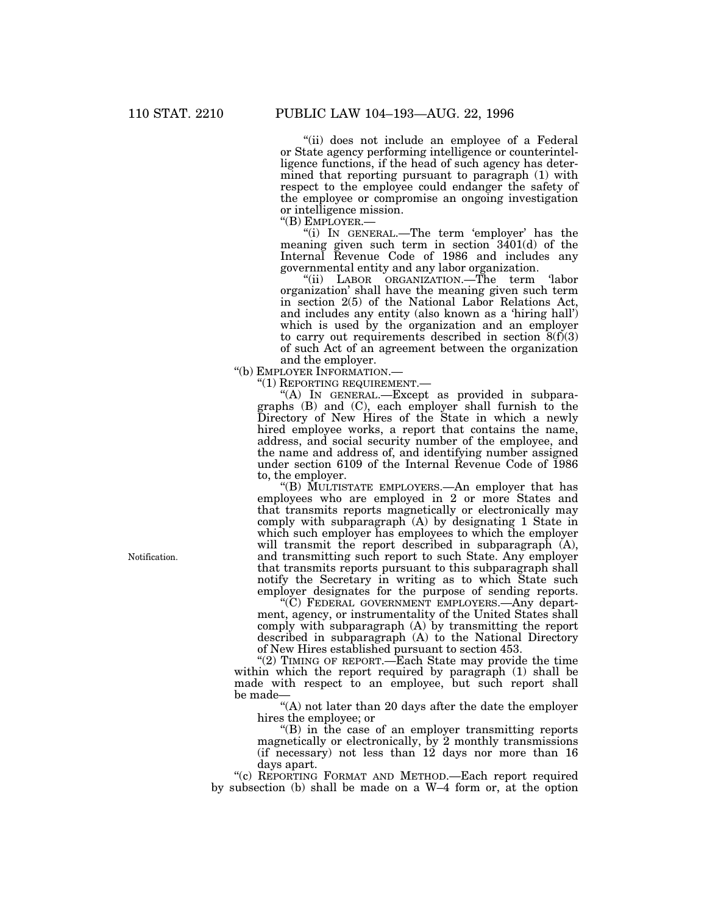"(ii) does not include an employee of a Federal or State agency performing intelligence or counterintelligence functions, if the head of such agency has determined that reporting pursuant to paragraph (1) with respect to the employee could endanger the safety of the employee or compromise an ongoing investigation or intelligence mission.

''(B) EMPLOYER.—

"(i) IN GENERAL.—The term 'employer' has the meaning given such term in section 3401(d) of the Internal Revenue Code of 1986 and includes any governmental entity and any labor organization.

''(ii) LABOR ORGANIZATION.—The term 'labor organization' shall have the meaning given such term in section 2(5) of the National Labor Relations Act, and includes any entity (also known as a 'hiring hall') which is used by the organization and an employer to carry out requirements described in section  $8(f)(3)$ of such Act of an agreement between the organization and the employer.

''(b) EMPLOYER INFORMATION.—

''(1) REPORTING REQUIREMENT.—

"(A) IN GENERAL.—Except as provided in subparagraphs (B) and (C), each employer shall furnish to the Directory of New Hires of the State in which a newly hired employee works, a report that contains the name, address, and social security number of the employee, and the name and address of, and identifying number assigned under section 6109 of the Internal Revenue Code of 1986 to, the employer.

''(B) MULTISTATE EMPLOYERS.—An employer that has employees who are employed in 2 or more States and that transmits reports magnetically or electronically may comply with subparagraph (A) by designating 1 State in which such employer has employees to which the employer will transmit the report described in subparagraph  $(A)$ , and transmitting such report to such State. Any employer that transmits reports pursuant to this subparagraph shall notify the Secretary in writing as to which State such employer designates for the purpose of sending reports.

''(C) FEDERAL GOVERNMENT EMPLOYERS.—Any department, agency, or instrumentality of the United States shall comply with subparagraph (A) by transmitting the report described in subparagraph (A) to the National Directory of New Hires established pursuant to section 453.

"(2) TIMING OF REPORT.—Each State may provide the time within which the report required by paragraph (1) shall be made with respect to an employee, but such report shall be made—

"(A) not later than 20 days after the date the employer hires the employee; or

''(B) in the case of an employer transmitting reports magnetically or electronically, by 2 monthly transmissions (if necessary) not less than 12 days nor more than 16 days apart.

"(c) REPORTING FORMAT AND METHOD. Each report required by subsection (b) shall be made on a W–4 form or, at the option

Notification.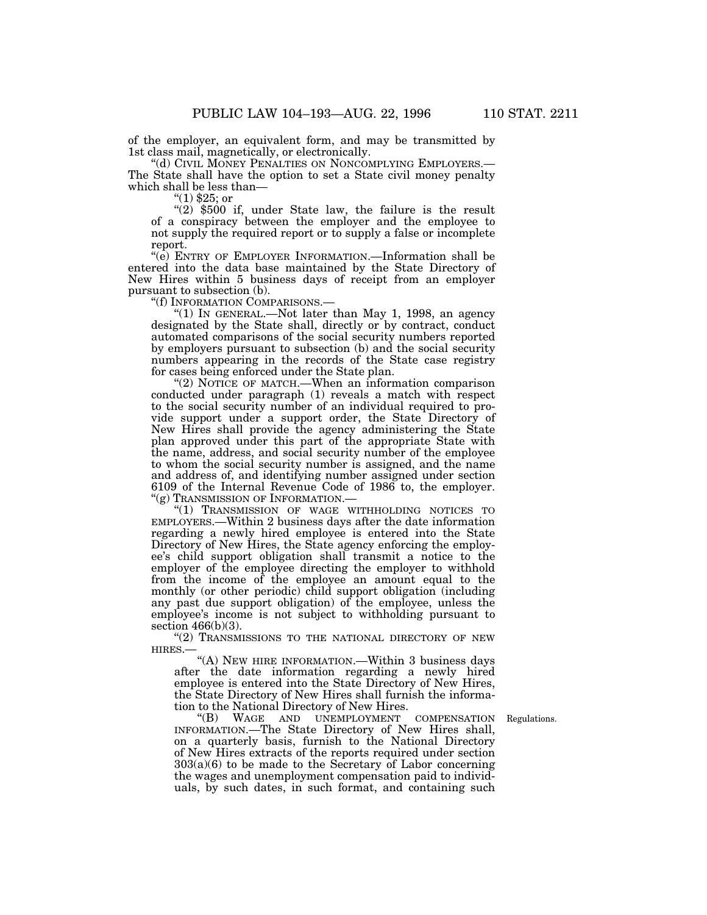of the employer, an equivalent form, and may be transmitted by 1st class mail, magnetically, or electronically.<br>"(d) CIVIL MONEY PENALTIES ON NONCOMPLYING EMPLOYERS.—

The State shall have the option to set a State civil money penalty which shall be less than—

 $"(1)$  \$25; or

 $''(2)$  \$500 if, under State law, the failure is the result of a conspiracy between the employer and the employee to not supply the required report or to supply a false or incomplete report.

''(e) ENTRY OF EMPLOYER INFORMATION.—Information shall be entered into the data base maintained by the State Directory of New Hires within 5 business days of receipt from an employer pursuant to subsection (b).

''(f) INFORMATION COMPARISONS.—

"(1) In GENERAL.—Not later than May 1, 1998, an agency designated by the State shall, directly or by contract, conduct automated comparisons of the social security numbers reported by employers pursuant to subsection (b) and the social security numbers appearing in the records of the State case registry for cases being enforced under the State plan.

"(2) NOTICE OF MATCH.—When an information comparison conducted under paragraph (1) reveals a match with respect to the social security number of an individual required to provide support under a support order, the State Directory of New Hires shall provide the agency administering the State plan approved under this part of the appropriate State with the name, address, and social security number of the employee to whom the social security number is assigned, and the name and address of, and identifying number assigned under section 6109 of the Internal Revenue Code of 1986 to, the employer. ''(g) TRANSMISSION OF INFORMATION.—

''(1) TRANSMISSION OF WAGE WITHHOLDING NOTICES TO EMPLOYERS.—Within 2 business days after the date information regarding a newly hired employee is entered into the State Directory of New Hires, the State agency enforcing the employee's child support obligation shall transmit a notice to the employer of the employee directing the employer to withhold from the income of the employee an amount equal to the monthly (or other periodic) child support obligation (including any past due support obligation) of the employee, unless the employee's income is not subject to withholding pursuant to section  $466(b)(3)$ .

''(2) TRANSMISSIONS TO THE NATIONAL DIRECTORY OF NEW HIRES.—

"(A) NEW HIRE INFORMATION.—Within 3 business days after the date information regarding a newly hired employee is entered into the State Directory of New Hires, the State Directory of New Hires shall furnish the information to the National Directory of New Hires.

Regulations.

''(B) WAGE AND UNEMPLOYMENT COMPENSATION INFORMATION.—The State Directory of New Hires shall, on a quarterly basis, furnish to the National Directory of New Hires extracts of the reports required under section  $303(a)(6)$  to be made to the Secretary of Labor concerning the wages and unemployment compensation paid to individuals, by such dates, in such format, and containing such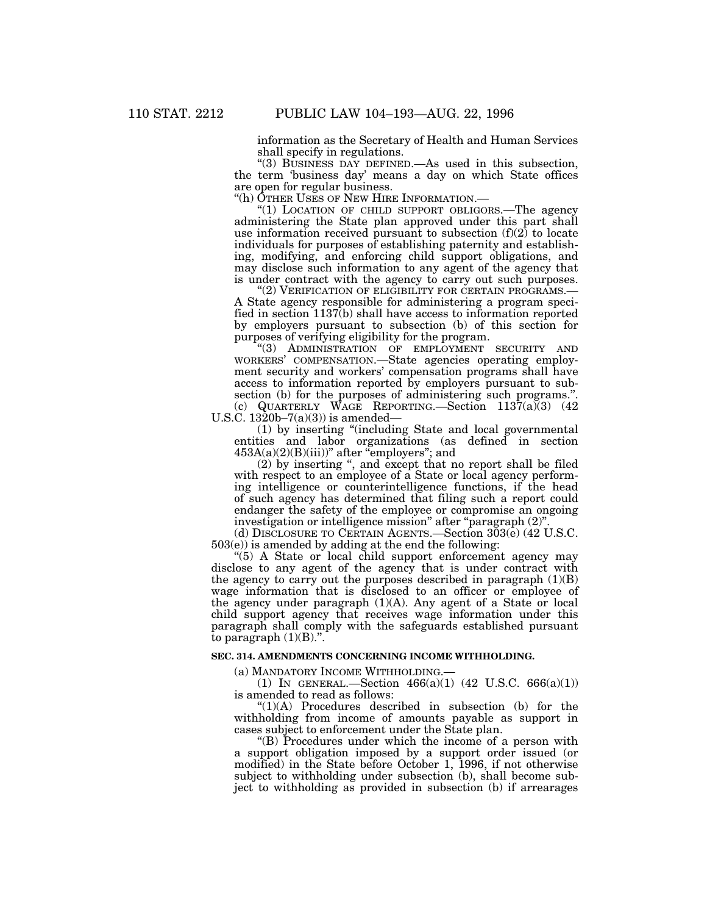information as the Secretary of Health and Human Services shall specify in regulations.

''(3) BUSINESS DAY DEFINED.—As used in this subsection, the term 'business day' means a day on which State offices are open for regular business.

''(h) OTHER USES OF NEW HIRE INFORMATION.—

"(1) LOCATION OF CHILD SUPPORT OBLIGORS.—The agency administering the State plan approved under this part shall use information received pursuant to subsection  $(f)(2)$  to locate individuals for purposes of establishing paternity and establishing, modifying, and enforcing child support obligations, and may disclose such information to any agent of the agency that is under contract with the agency to carry out such purposes.

"(2) VERIFICATION OF ELIGIBILITY FOR CERTAIN PROGRAMS.-A State agency responsible for administering a program specified in section 1137(b) shall have access to information reported by employers pursuant to subsection (b) of this section for purposes of verifying eligibility for the program.

''(3) ADMINISTRATION OF EMPLOYMENT SECURITY AND WORKERS' COMPENSATION.—State agencies operating employment security and workers' compensation programs shall have access to information reported by employers pursuant to subsection (b) for the purposes of administering such programs.".

(c) QUARTERLY WAGE REPORTING. Section  $1137(a)(3)$  (42) U.S.C.  $1320b - 7(a)(3)$  is amended-

(1) by inserting ''(including State and local governmental entities and labor organizations (as defined in section  $453A(a)(2)(B)(iii)$ " after "employers"; and

(2) by inserting '', and except that no report shall be filed with respect to an employee of a State or local agency performing intelligence or counterintelligence functions, if the head of such agency has determined that filing such a report could endanger the safety of the employee or compromise an ongoing investigation or intelligence mission'' after ''paragraph (2)''.

(d) DISCLOSURE TO CERTAIN AGENTS.—Section 303(e) (42 U.S.C. 503(e)) is amended by adding at the end the following:

''(5) A State or local child support enforcement agency may disclose to any agent of the agency that is under contract with the agency to carry out the purposes described in paragraph (1)(B) wage information that is disclosed to an officer or employee of the agency under paragraph (1)(A). Any agent of a State or local child support agency that receives wage information under this paragraph shall comply with the safeguards established pursuant to paragraph  $(1)(B)$ .".

#### **SEC. 314. AMENDMENTS CONCERNING INCOME WITHHOLDING.**

(a) MANDATORY INCOME WITHHOLDING.—

(1) IN GENERAL.—Section 466(a)(1) (42 U.S.C. 666(a)(1)) is amended to read as follows:

 $''(1)(A)$  Procedures described in subsection (b) for the withholding from income of amounts payable as support in cases subject to enforcement under the State plan.

''(B) Procedures under which the income of a person with a support obligation imposed by a support order issued (or modified) in the State before October 1, 1996, if not otherwise subject to withholding under subsection (b), shall become subject to withholding as provided in subsection (b) if arrearages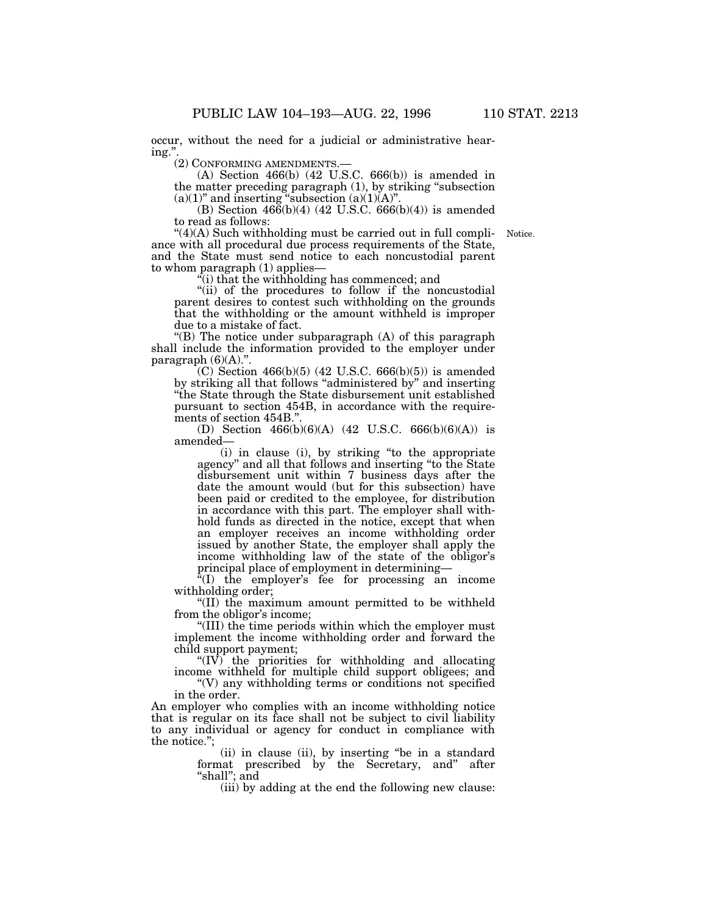occur, without the need for a judicial or administrative hearing.".<br>(2) CONFORMING AMENDMENTS.-

(A) Section 466(b) (42 U.S.C. 666(b)) is amended in the matter preceding paragraph (1), by striking ''subsection  $(a)(1)$ " and inserting "subsection  $(a)(1)(A)$ ".

(B) Section  $46\bar{6}$ (b)(4) (42 U.S.C.  $666$ (b)(4)) is amended to read as follows:

 $"(4)(A)$  Such withholding must be carried out in full compli- Notice. ance with all procedural due process requirements of the State, and the State must send notice to each noncustodial parent to whom paragraph (1) applies—

''(i) that the withholding has commenced; and

"(ii) of the procedures to follow if the noncustodial parent desires to contest such withholding on the grounds that the withholding or the amount withheld is improper due to a mistake of fact.

''(B) The notice under subparagraph (A) of this paragraph shall include the information provided to the employer under paragraph  $(6)(A)$ .".

(C) Section 466(b)(5) (42 U.S.C. 666(b)(5)) is amended by striking all that follows ''administered by'' and inserting ''the State through the State disbursement unit established pursuant to section 454B, in accordance with the requirements of section 454B."

(D) Section  $466(b)(6)(A)$  (42 U.S.C. 666(b)(6)(A)) is amended—

(i) in clause (i), by striking ''to the appropriate agency'' and all that follows and inserting ''to the State disbursement unit within 7 business days after the date the amount would (but for this subsection) have been paid or credited to the employee, for distribution in accordance with this part. The employer shall withhold funds as directed in the notice, except that when an employer receives an income withholding order issued by another State, the employer shall apply the income withholding law of the state of the obligor's principal place of employment in determining—

"(I) the employer's fee for processing an income withholding order;

''(II) the maximum amount permitted to be withheld from the obligor's income;

''(III) the time periods within which the employer must implement the income withholding order and forward the child support payment;

" $(IV)$  the priorities for withholding and allocating income withheld for multiple child support obligees; and

''(V) any withholding terms or conditions not specified in the order.

An employer who complies with an income withholding notice that is regular on its face shall not be subject to civil liability to any individual or agency for conduct in compliance with the notice.'';

(ii) in clause (ii), by inserting ''be in a standard format prescribed by the Secretary, and'' after ''shall''; and

(iii) by adding at the end the following new clause: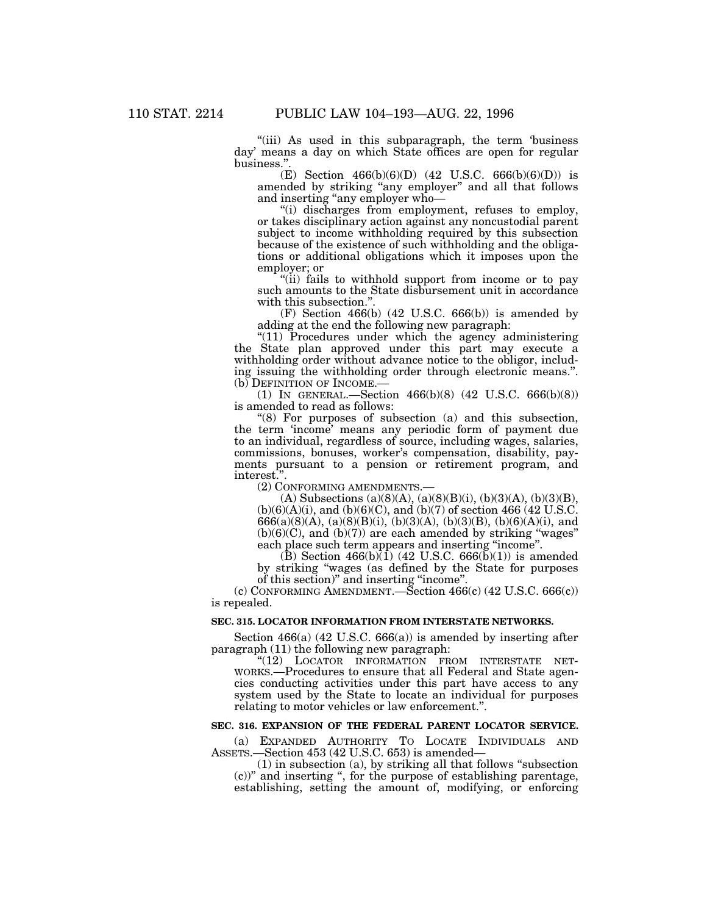"(iii) As used in this subparagraph, the term 'business' day' means a day on which State offices are open for regular business.''.

(E) Section 466(b)(6)(D) (42 U.S.C. 666(b)(6)(D)) is amended by striking ''any employer'' and all that follows and inserting ''any employer who—

''(i) discharges from employment, refuses to employ, or takes disciplinary action against any noncustodial parent subject to income withholding required by this subsection because of the existence of such withholding and the obligations or additional obligations which it imposes upon the employer; or

"(ii) fails to withhold support from income or to pay such amounts to the State disbursement unit in accordance with this subsection.".

 $(F)$  Section 466(b) (42 U.S.C. 666(b)) is amended by adding at the end the following new paragraph:

"(11) Procedures under which the agency administering the State plan approved under this part may execute a withholding order without advance notice to the obligor, including issuing the withholding order through electronic means.''. (b) DEFINITION OF INCOME.—

(1) IN GENERAL.—Section 466(b)(8) (42 U.S.C. 666(b)(8)) is amended to read as follows:

" $(8)$  For purposes of subsection  $(a)$  and this subsection, the term 'income' means any periodic form of payment due to an individual, regardless of source, including wages, salaries, commissions, bonuses, worker's compensation, disability, payments pursuant to a pension or retirement program, and interest.''.

(2) CONFORMING AMENDMENTS.—

(A) Subsections (a)(8)(A), (a)(8)(B)(i), (b)(3)(A), (b)(3)(B),  $(b)(6)(A)(i)$ , and  $(b)(6)(C)$ , and  $(b)(7)$  of section 466 (42 U.S.C. 666(a)(8)(A), (a)(8)(B)(i), (b)(3)(A), (b)(3)(B), (b)(6)(A)(i), and  $(b)(6)(C)$ , and  $(b)(7)$  are each amended by striking "wages" each place such term appears and inserting "income".

(B) Section  $466(b)\hat{1}$  (42 U.S.C. 666(b)(1)) is amended by striking ''wages (as defined by the State for purposes of this section)'' and inserting ''income''.

(c) CONFORMING AMENDMENT.—Section  $466(c)$  (42 U.S.C. 666 $(c)$ ) is repealed.

#### **SEC. 315. LOCATOR INFORMATION FROM INTERSTATE NETWORKS.**

Section 466(a) (42 U.S.C. 666(a)) is amended by inserting after paragraph (11) the following new paragraph:

''(12) LOCATOR INFORMATION FROM INTERSTATE NET-WORKS.—Procedures to ensure that all Federal and State agencies conducting activities under this part have access to any system used by the State to locate an individual for purposes relating to motor vehicles or law enforcement.''.

#### **SEC. 316. EXPANSION OF THE FEDERAL PARENT LOCATOR SERVICE.**

(a) EXPANDED AUTHORITY TO LOCATE INDIVIDUALS AND ASSETS.—Section 453 (42 U.S.C. 653) is amended—

(1) in subsection (a), by striking all that follows ''subsection (c))'' and inserting '', for the purpose of establishing parentage, establishing, setting the amount of, modifying, or enforcing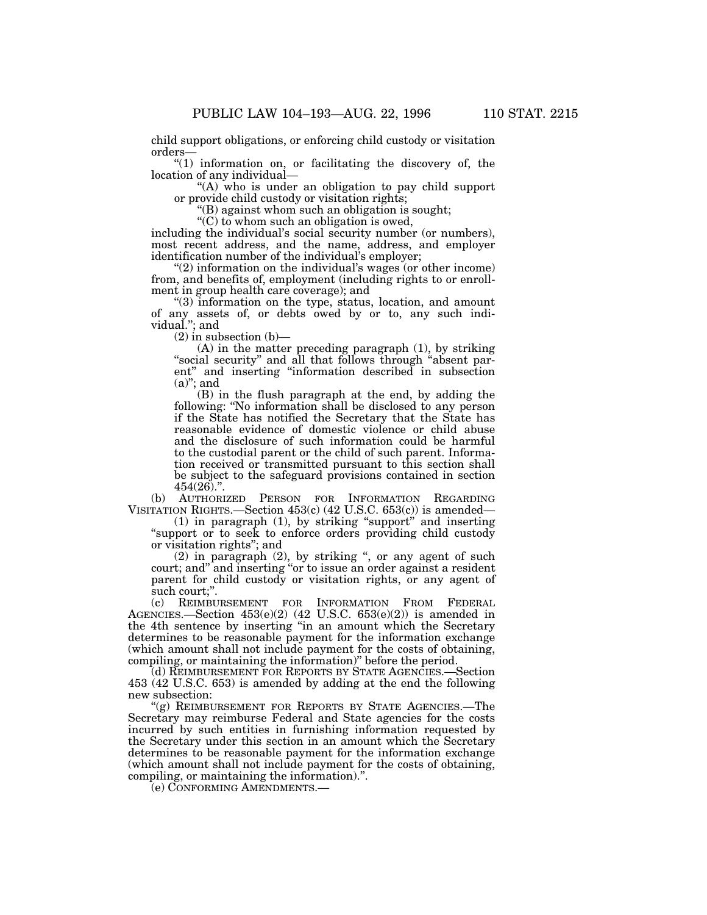child support obligations, or enforcing child custody or visitation orders—

''(1) information on, or facilitating the discovery of, the location of any individual—

''(A) who is under an obligation to pay child support or provide child custody or visitation rights;

''(B) against whom such an obligation is sought;

"(C) to whom such an obligation is owed,

including the individual's social security number (or numbers), most recent address, and the name, address, and employer identification number of the individual's employer;

 $(2)$  information on the individual's wages (or other income) from, and benefits of, employment (including rights to or enrollment in group health care coverage); and

''(3) information on the type, status, location, and amount of any assets of, or debts owed by or to, any such individual.''; and

(2) in subsection (b)—

(A) in the matter preceding paragraph (1), by striking ''social security'' and all that follows through ''absent parent'' and inserting ''information described in subsection (a)''; and

(B) in the flush paragraph at the end, by adding the following: ''No information shall be disclosed to any person if the State has notified the Secretary that the State has reasonable evidence of domestic violence or child abuse and the disclosure of such information could be harmful to the custodial parent or the child of such parent. Information received or transmitted pursuant to this section shall be subject to the safeguard provisions contained in section  $454(26)$ ."

(b) AUTHORIZED PERSON FOR INFORMATION REGARDING VISITATION RIGHTS.—Section 453(c) (42 U.S.C. 653(c)) is amended—

(1) in paragraph (1), by striking ''support'' and inserting "support or to seek to enforce orders providing child custody or visitation rights''; and

(2) in paragraph (2), by striking '', or any agent of such court; and'' and inserting ''or to issue an order against a resident parent for child custody or visitation rights, or any agent of such court;".

(c) REIMBURSEMENT FOR INFORMATION FROM FEDERAL AGENCIES.—Section  $453(e)(2)$  (42 U.S.C.  $653(e)(2)$ ) is amended in the 4th sentence by inserting ''in an amount which the Secretary determines to be reasonable payment for the information exchange (which amount shall not include payment for the costs of obtaining, compiling, or maintaining the information)'' before the period.

(d) REIMBURSEMENT FOR REPORTS BY STATE AGENCIES.—Section 453 (42 U.S.C. 653) is amended by adding at the end the following new subsection:

"(g) REIMBURSEMENT FOR REPORTS BY STATE AGENCIES.—The Secretary may reimburse Federal and State agencies for the costs incurred by such entities in furnishing information requested by the Secretary under this section in an amount which the Secretary determines to be reasonable payment for the information exchange (which amount shall not include payment for the costs of obtaining, compiling, or maintaining the information).''.

(e) CONFORMING AMENDMENTS.—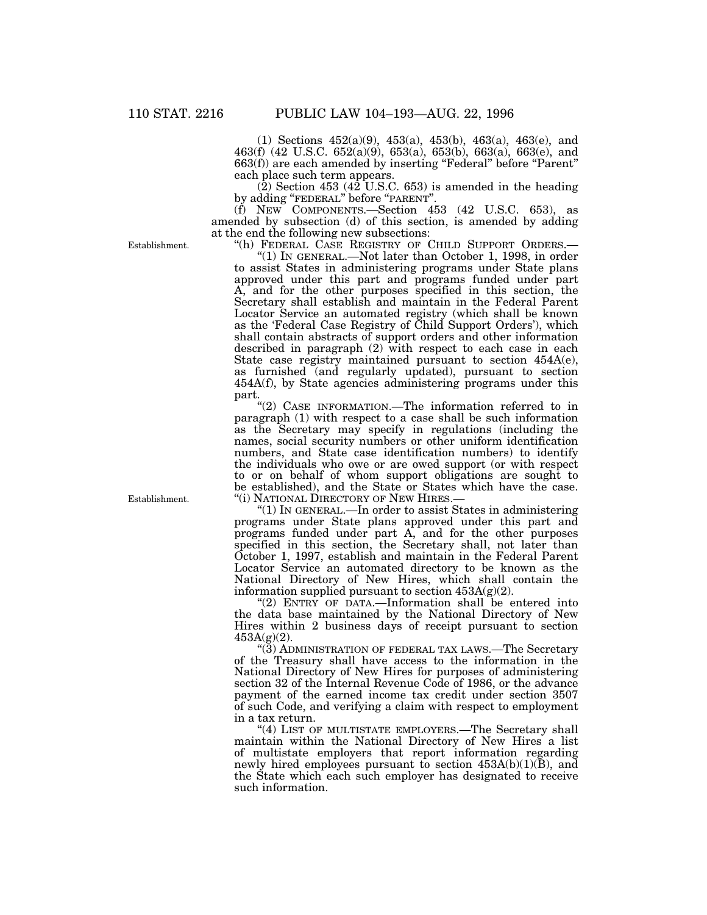Establishment.

(1) Sections 452(a)(9), 453(a), 453(b), 463(a), 463(e), and 463(f) (42 U.S.C. 652(a)(9), 653(a), 653(b), 663(a), 663(e), and 663(f)) are each amended by inserting ''Federal'' before ''Parent'' each place such term appears.

 $(2)$  Section 453 (42 U.S.C. 653) is amended in the heading by adding ''FEDERAL'' before ''PARENT''.

 $(f)$  New COMPONENTS. Section 453 (42 U.S.C. 653), as amended by subsection (d) of this section, is amended by adding at the end the following new subsections:

"(h) FEDERAL CASE REGISTRY OF CHILD SUPPORT ORDERS.-

" $(1)$  In GENERAL.—Not later than October 1, 1998, in order to assist States in administering programs under State plans approved under this part and programs funded under part A, and for the other purposes specified in this section, the Secretary shall establish and maintain in the Federal Parent Locator Service an automated registry (which shall be known as the 'Federal Case Registry of Child Support Orders'), which shall contain abstracts of support orders and other information described in paragraph (2) with respect to each case in each State case registry maintained pursuant to section 454A(e), as furnished (and regularly updated), pursuant to section 454A(f), by State agencies administering programs under this part.

''(2) CASE INFORMATION.—The information referred to in paragraph (1) with respect to a case shall be such information as the Secretary may specify in regulations (including the names, social security numbers or other uniform identification numbers, and State case identification numbers) to identify the individuals who owe or are owed support (or with respect to or on behalf of whom support obligations are sought to be established), and the State or States which have the case. ''(i) NATIONAL DIRECTORY OF NEW HIRES.—

''(1) IN GENERAL.—In order to assist States in administering programs under State plans approved under this part and programs funded under part A, and for the other purposes specified in this section, the Secretary shall, not later than October 1, 1997, establish and maintain in the Federal Parent Locator Service an automated directory to be known as the National Directory of New Hires, which shall contain the information supplied pursuant to section  $453A(g)(2)$ .

"(2) ENTRY OF DATA.—Information shall be entered into the data base maintained by the National Directory of New Hires within 2 business days of receipt pursuant to section  $453A(g)(2)$ .

''(3) ADMINISTRATION OF FEDERAL TAX LAWS.—The Secretary of the Treasury shall have access to the information in the National Directory of New Hires for purposes of administering section 32 of the Internal Revenue Code of 1986, or the advance payment of the earned income tax credit under section 3507 of such Code, and verifying a claim with respect to employment in a tax return.

"(4) LIST OF MULTISTATE EMPLOYERS.—The Secretary shall maintain within the National Directory of New Hires a list of multistate employers that report information regarding newly hired employees pursuant to section  $453A(b)(1)(B)$ , and the State which each such employer has designated to receive such information.

Establishment.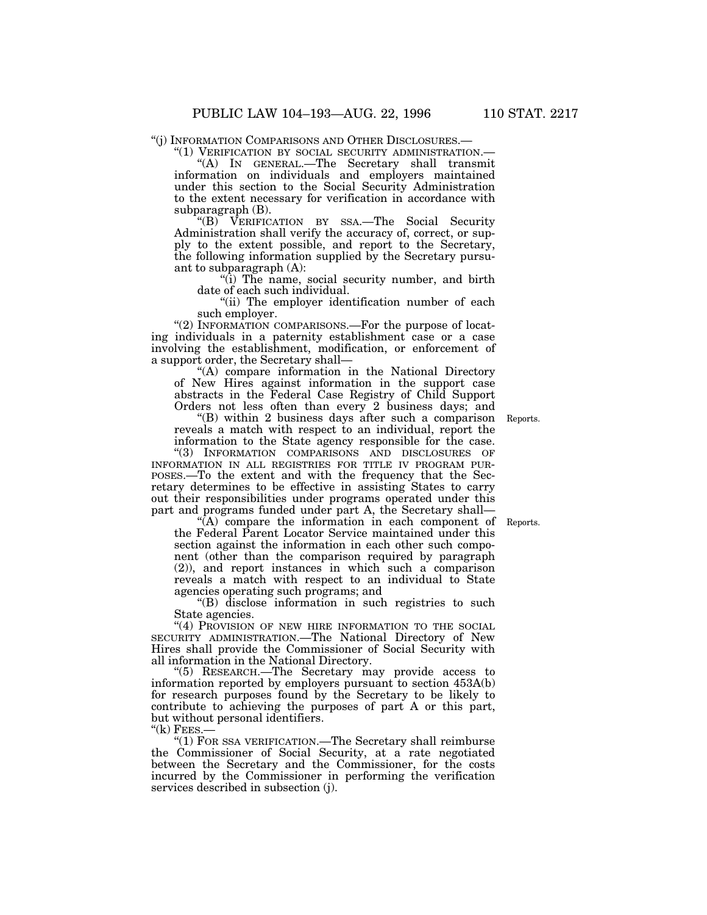''(j) INFORMATION COMPARISONS AND OTHER DISCLOSURES.— ''(1) VERIFICATION BY SOCIAL SECURITY ADMINISTRATION.— ''(A) IN GENERAL.—The Secretary shall transmit

information on individuals and employers maintained under this section to the Social Security Administration to the extent necessary for verification in accordance with subparagraph (B).

''(B) VERIFICATION BY SSA.—The Social Security Administration shall verify the accuracy of, correct, or supply to the extent possible, and report to the Secretary, the following information supplied by the Secretary pursuant to subparagraph (A):

''(i) The name, social security number, and birth date of each such individual.

"(ii) The employer identification number of each such employer.

"(2) INFORMATION COMPARISONS.—For the purpose of locating individuals in a paternity establishment case or a case involving the establishment, modification, or enforcement of a support order, the Secretary shall—

"(A) compare information in the National Directory of New Hires against information in the support case abstracts in the Federal Case Registry of Child Support Orders not less often than every 2 business days; and

''(B) within 2 business days after such a comparison reveals a match with respect to an individual, report the information to the State agency responsible for the case.

''(3) INFORMATION COMPARISONS AND DISCLOSURES OF INFORMATION IN ALL REGISTRIES FOR TITLE IV PROGRAM PUR-POSES.—To the extent and with the frequency that the Secretary determines to be effective in assisting States to carry out their responsibilities under programs operated under this part and programs funded under part A, the Secretary shall—

''(A) compare the information in each component of the Federal Parent Locator Service maintained under this section against the information in each other such component (other than the comparison required by paragraph (2)), and report instances in which such a comparison reveals a match with respect to an individual to State agencies operating such programs; and

''(B) disclose information in such registries to such State agencies.

"(4) PROVISION OF NEW HIRE INFORMATION TO THE SOCIAL SECURITY ADMINISTRATION.—The National Directory of New Hires shall provide the Commissioner of Social Security with all information in the National Directory.

''(5) RESEARCH.—The Secretary may provide access to information reported by employers pursuant to section 453A(b) for research purposes found by the Secretary to be likely to contribute to achieving the purposes of part A or this part, but without personal identifiers.

" $(k)$  Fees.

''(1) FOR SSA VERIFICATION.—The Secretary shall reimburse the Commissioner of Social Security, at a rate negotiated between the Secretary and the Commissioner, for the costs incurred by the Commissioner in performing the verification services described in subsection (j).

Reports.

Reports.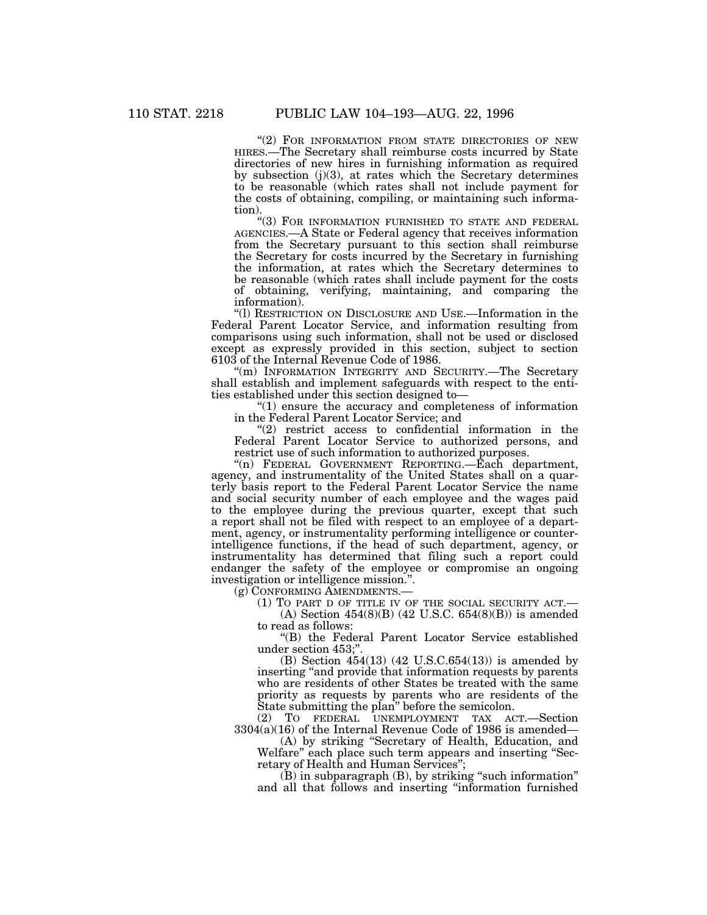"(2) FOR INFORMATION FROM STATE DIRECTORIES OF NEW HIRES.—The Secretary shall reimburse costs incurred by State directories of new hires in furnishing information as required by subsection  $(j)(3)$ , at rates which the Secretary determines to be reasonable (which rates shall not include payment for the costs of obtaining, compiling, or maintaining such information).

"(3) FOR INFORMATION FURNISHED TO STATE AND FEDERAL AGENCIES.—A State or Federal agency that receives information from the Secretary pursuant to this section shall reimburse the Secretary for costs incurred by the Secretary in furnishing the information, at rates which the Secretary determines to be reasonable (which rates shall include payment for the costs of obtaining, verifying, maintaining, and comparing the information).

''(l) RESTRICTION ON DISCLOSURE AND USE.—Information in the Federal Parent Locator Service, and information resulting from comparisons using such information, shall not be used or disclosed except as expressly provided in this section, subject to section 6103 of the Internal Revenue Code of 1986.

"(m) INFORMATION INTEGRITY AND SECURITY.—The Secretary shall establish and implement safeguards with respect to the entities established under this section designed to—

" $(1)$  ensure the accuracy and completeness of information in the Federal Parent Locator Service; and

''(2) restrict access to confidential information in the Federal Parent Locator Service to authorized persons, and restrict use of such information to authorized purposes.

''(n) FEDERAL GOVERNMENT REPORTING.—Each department, agency, and instrumentality of the United States shall on a quarterly basis report to the Federal Parent Locator Service the name and social security number of each employee and the wages paid to the employee during the previous quarter, except that such a report shall not be filed with respect to an employee of a department, agency, or instrumentality performing intelligence or counterintelligence functions, if the head of such department, agency, or instrumentality has determined that filing such a report could endanger the safety of the employee or compromise an ongoing investigation or intelligence mission.''.

(g) CONFORMING AMENDMENTS.—

(1) TO PART D OF TITLE IV OF THE SOCIAL SECURITY ACT.—

(A) Section 454(8)(B) (42 U.S.C. 654(8)(B)) is amended to read as follows:

''(B) the Federal Parent Locator Service established under section 453;''.

(B) Section 454(13) (42 U.S.C.654(13)) is amended by inserting "and provide that information requests by parents" who are residents of other States be treated with the same priority as requests by parents who are residents of the State submitting the plan'' before the semicolon.

(2) TO FEDERAL UNEMPLOYMENT TAX ACT.—Section 3304(a)(16) of the Internal Revenue Code of 1986 is amended—

(A) by striking ''Secretary of Health, Education, and Welfare'' each place such term appears and inserting ''Secretary of Health and Human Services'';

 $(B)$  in subparagraph  $(B)$ , by striking "such information" and all that follows and inserting ''information furnished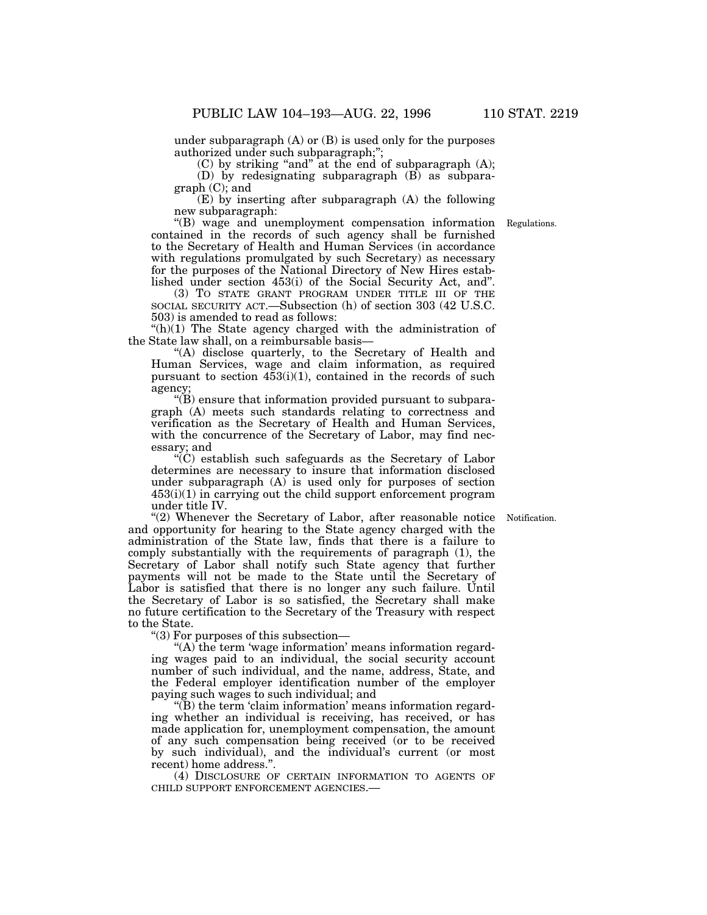under subparagraph  $(A)$  or  $(B)$  is used only for the purposes authorized under such subparagraph;'';

(C) by striking ''and'' at the end of subparagraph (A);

(D) by redesignating subparagraph (B) as subparagraph (C); and

(E) by inserting after subparagraph (A) the following new subparagraph:

''(B) wage and unemployment compensation information contained in the records of such agency shall be furnished to the Secretary of Health and Human Services (in accordance with regulations promulgated by such Secretary) as necessary for the purposes of the National Directory of New Hires established under section 453(i) of the Social Security Act, and''.

(3) TO STATE GRANT PROGRAM UNDER TITLE III OF THE SOCIAL SECURITY ACT.—Subsection (h) of section 303 (42 U.S.C. 503) is amended to read as follows:

 $f'(h)(1)$  The State agency charged with the administration of the State law shall, on a reimbursable basis—

"(A) disclose quarterly, to the Secretary of Health and Human Services, wage and claim information, as required pursuant to section  $4\overline{5}3(i)(1)$ , contained in the records of such agency;

''(B) ensure that information provided pursuant to subparagraph (A) meets such standards relating to correctness and verification as the Secretary of Health and Human Services, with the concurrence of the Secretary of Labor, may find necessary; and

''(C) establish such safeguards as the Secretary of Labor determines are necessary to insure that information disclosed under subparagraph (A) is used only for purposes of section 453(i)(1) in carrying out the child support enforcement program under title IV.

"(2) Whenever the Secretary of Labor, after reasonable notice Notification. and opportunity for hearing to the State agency charged with the administration of the State law, finds that there is a failure to comply substantially with the requirements of paragraph (1), the Secretary of Labor shall notify such State agency that further payments will not be made to the State until the Secretary of Labor is satisfied that there is no longer any such failure. Until the Secretary of Labor is so satisfied, the Secretary shall make no future certification to the Secretary of the Treasury with respect to the State.

''(3) For purposes of this subsection—

 $(A)$  the term 'wage information' means information regarding wages paid to an individual, the social security account number of such individual, and the name, address, State, and the Federal employer identification number of the employer paying such wages to such individual; and

 $\mathrm{``(B)}$  the term 'claim information' means information regarding whether an individual is receiving, has received, or has made application for, unemployment compensation, the amount of any such compensation being received (or to be received by such individual), and the individual's current (or most recent) home address.''.

(4) DISCLOSURE OF CERTAIN INFORMATION TO AGENTS OF CHILD SUPPORT ENFORCEMENT AGENCIES.—

Regulations.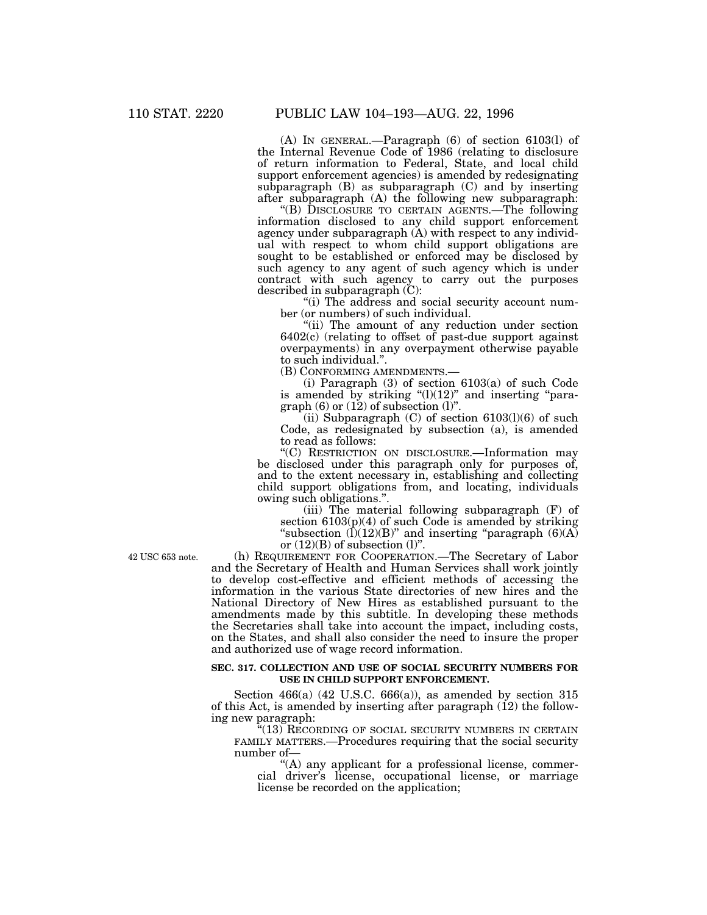(A) IN GENERAL.—Paragraph (6) of section 6103(l) of the Internal Revenue Code of 1986 (relating to disclosure of return information to Federal, State, and local child support enforcement agencies) is amended by redesignating subparagraph (B) as subparagraph (C) and by inserting after subparagraph (A) the following new subparagraph:

''(B) DISCLOSURE TO CERTAIN AGENTS.—The following information disclosed to any child support enforcement agency under subparagraph (A) with respect to any individual with respect to whom child support obligations are sought to be established or enforced may be disclosed by such agency to any agent of such agency which is under contract with such agency to carry out the purposes described in subparagraph (C):

''(i) The address and social security account number (or numbers) of such individual.

''(ii) The amount of any reduction under section 6402(c) (relating to offset of past-due support against overpayments) in any overpayment otherwise payable to such individual.''.

(B) CONFORMING AMENDMENTS.—

(i) Paragraph (3) of section 6103(a) of such Code is amended by striking "(1)(12)" and inserting "para $graph (6)$  or  $(12)$  of subsection  $(l)$ ".

(ii) Subparagraph  $(C)$  of section  $6103(1)(6)$  of such Code, as redesignated by subsection (a), is amended to read as follows:

''(C) RESTRICTION ON DISCLOSURE.—Information may be disclosed under this paragraph only for purposes of, and to the extent necessary in, establishing and collecting child support obligations from, and locating, individuals owing such obligations.''.

(iii) The material following subparagraph (F) of section  $6103(p)(4)$  of such Code is amended by striking "subsection  $(I)(12)(B)$ " and inserting "paragraph  $(6)(A)$ or  $(12)(B)$  of subsection  $(l)$ ".

42 USC 653 note.

(h) REQUIREMENT FOR COOPERATION.—The Secretary of Labor and the Secretary of Health and Human Services shall work jointly to develop cost-effective and efficient methods of accessing the information in the various State directories of new hires and the National Directory of New Hires as established pursuant to the amendments made by this subtitle. In developing these methods the Secretaries shall take into account the impact, including costs, on the States, and shall also consider the need to insure the proper and authorized use of wage record information.

#### **SEC. 317. COLLECTION AND USE OF SOCIAL SECURITY NUMBERS FOR USE IN CHILD SUPPORT ENFORCEMENT.**

Section  $466(a)$  (42 U.S.C. 666(a)), as amended by section 315 of this Act, is amended by inserting after paragraph (12) the following new paragraph:

 $\sqrt[2a]{13}$  RECORDING OF SOCIAL SECURITY NUMBERS IN CERTAIN FAMILY MATTERS.—Procedures requiring that the social security number of—

 $(A)$  any applicant for a professional license, commercial driver's license, occupational license, or marriage license be recorded on the application;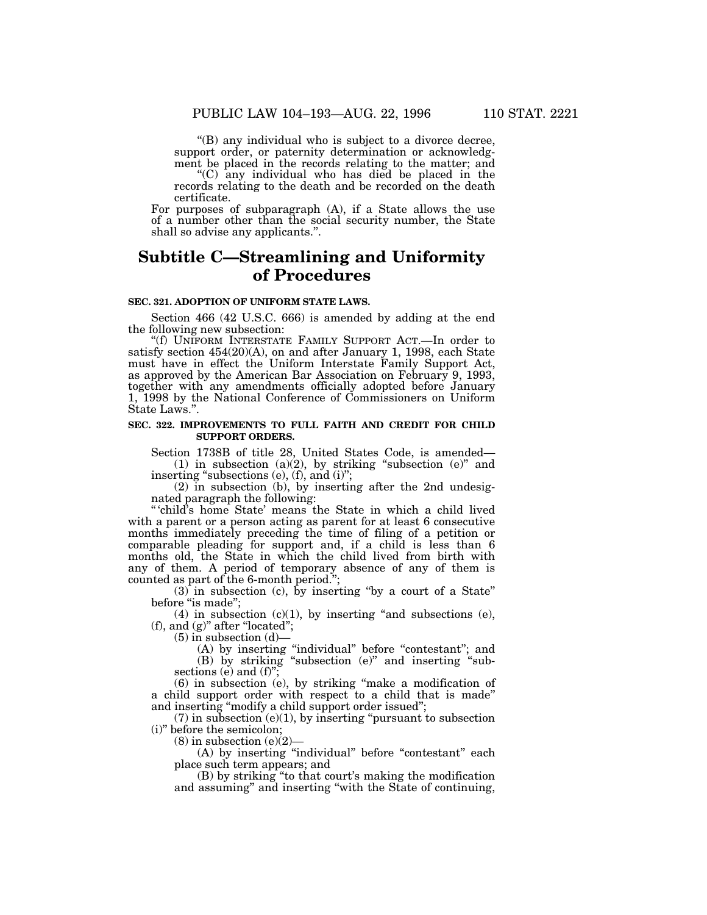''(B) any individual who is subject to a divorce decree, support order, or paternity determination or acknowledgment be placed in the records relating to the matter; and

''(C) any individual who has died be placed in the records relating to the death and be recorded on the death certificate.

For purposes of subparagraph (A), if a State allows the use of a number other than the social security number, the State shall so advise any applicants.''.

# **Subtitle C—Streamlining and Uniformity of Procedures**

# **SEC. 321. ADOPTION OF UNIFORM STATE LAWS.**

Section 466 (42 U.S.C. 666) is amended by adding at the end the following new subsection:

''(f) UNIFORM INTERSTATE FAMILY SUPPORT ACT.—In order to satisfy section 454(20)(A), on and after January 1, 1998, each State must have in effect the Uniform Interstate Family Support Act, as approved by the American Bar Association on February 9, 1993, together with any amendments officially adopted before January 1, 1998 by the National Conference of Commissioners on Uniform State Laws.''.

# **SEC. 322. IMPROVEMENTS TO FULL FAITH AND CREDIT FOR CHILD SUPPORT ORDERS.**

Section 1738B of title 28, United States Code, is amended— (1) in subsection (a) $(2)$ , by striking "subsection (e)" and inserting "subsections (e), (f), and (i)";

(2) in subsection (b), by inserting after the 2nd undesignated paragraph the following:

'' 'child's home State' means the State in which a child lived with a parent or a person acting as parent for at least 6 consecutive months immediately preceding the time of filing of a petition or comparable pleading for support and, if a child is less than 6 months old, the State in which the child lived from birth with any of them. A period of temporary absence of any of them is counted as part of the 6-month period.'';

 $(3)$  in subsection (c), by inserting "by a court of a State" before "is made";

(4) in subsection (c)(1), by inserting "and subsections (e),  $(f)$ , and  $(g)$ " after "located";

 $(5)$  in subsection  $(d)$ —

(A) by inserting "individual" before "contestant"; and

(B) by striking "subsection (e)" and inserting "subsections (e) and (f)"; (6) in subsection (e), by striking ''make a modification of

a child support order with respect to a child that is made'' and inserting ''modify a child support order issued'';

 $(7)$  in subsection  $(e)(1)$ , by inserting "pursuant to subsection (i)'' before the semicolon;

(8) in subsection (e) $(2)$ —

(A) by inserting "individual" before "contestant" each place such term appears; and

(B) by striking ''to that court's making the modification and assuming'' and inserting ''with the State of continuing,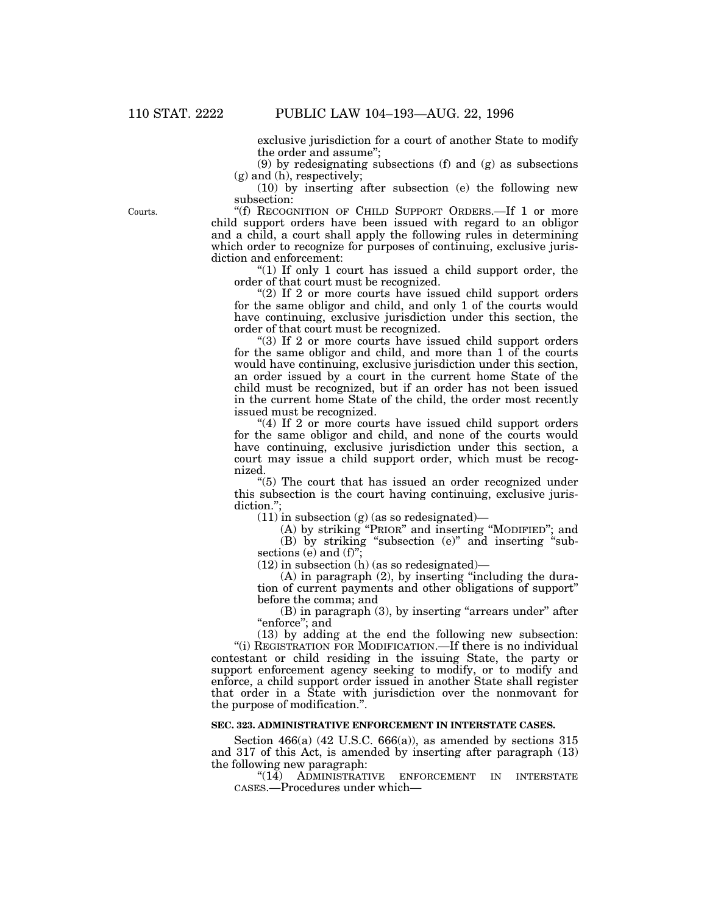exclusive jurisdiction for a court of another State to modify the order and assume'';

(9) by redesignating subsections (f) and (g) as subsections (g) and (h), respectively;

(10) by inserting after subsection (e) the following new subsection:

''(f) RECOGNITION OF CHILD SUPPORT ORDERS.—If 1 or more child support orders have been issued with regard to an obligor and a child, a court shall apply the following rules in determining which order to recognize for purposes of continuing, exclusive jurisdiction and enforcement:

"(1) If only 1 court has issued a child support order, the order of that court must be recognized.

" $(2)$  If 2 or more courts have issued child support orders for the same obligor and child, and only 1 of the courts would have continuing, exclusive jurisdiction under this section, the order of that court must be recognized.

''(3) If 2 or more courts have issued child support orders for the same obligor and child, and more than 1 of the courts would have continuing, exclusive jurisdiction under this section, an order issued by a court in the current home State of the child must be recognized, but if an order has not been issued in the current home State of the child, the order most recently issued must be recognized.

''(4) If 2 or more courts have issued child support orders for the same obligor and child, and none of the courts would have continuing, exclusive jurisdiction under this section, a court may issue a child support order, which must be recognized.

''(5) The court that has issued an order recognized under this subsection is the court having continuing, exclusive jurisdiction.'';

(11) in subsection (g) (as so redesignated)—

(A) by striking ''PRIOR'' and inserting ''MODIFIED''; and  $(B)$  by striking "subsection  $(e)$ " and inserting "subsections (e) and (f)";

 $(12)$  in subsection  $(h)$  (as so redesignated)—

(A) in paragraph (2), by inserting ''including the duration of current payments and other obligations of support'' before the comma; and

(B) in paragraph (3), by inserting "arrears under" after "enforce"; and

(13) by adding at the end the following new subsection: ''(i) REGISTRATION FOR MODIFICATION.—If there is no individual

contestant or child residing in the issuing State, the party or support enforcement agency seeking to modify, or to modify and enforce, a child support order issued in another State shall register that order in a State with jurisdiction over the nonmovant for the purpose of modification.''.

### **SEC. 323. ADMINISTRATIVE ENFORCEMENT IN INTERSTATE CASES.**

Section  $466(a)$  (42 U.S.C. 666(a)), as amended by sections 315 and 317 of this Act, is amended by inserting after paragraph (13) the following new paragraph:

"(14) ADMINISTRATIVE ENFORCEMENT IN INTERSTATE CASES.—Procedures under which—

Courts.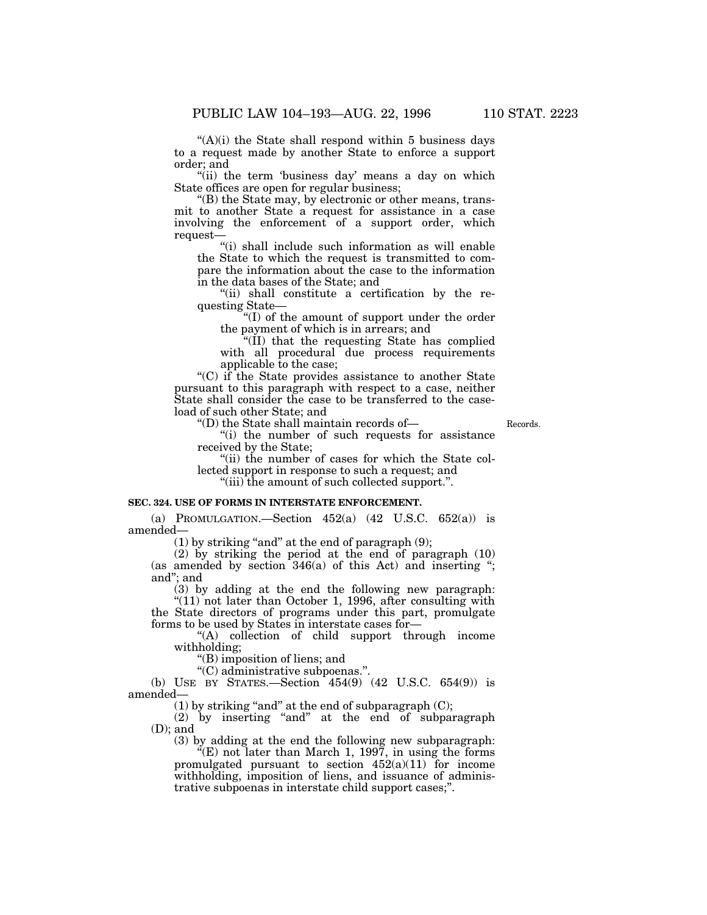" $(A)(i)$  the State shall respond within 5 business days to a request made by another State to enforce a support order; and

"(ii) the term 'business day' means a day on which State offices are open for regular business;

''(B) the State may, by electronic or other means, transmit to another State a request for assistance in a case involving the enforcement of a support order, which request—

''(i) shall include such information as will enable the State to which the request is transmitted to compare the information about the case to the information in the data bases of the State; and

''(ii) shall constitute a certification by the requesting State—

''(I) of the amount of support under the order the payment of which is in arrears; and

''(II) that the requesting State has complied with all procedural due process requirements applicable to the case;

 $(C)$  if the State provides assistance to another State pursuant to this paragraph with respect to a case, neither State shall consider the case to be transferred to the caseload of such other State; and

''(D) the State shall maintain records of—

Records.

''(i) the number of such requests for assistance received by the State;

"(ii) the number of cases for which the State collected support in response to such a request; and

''(iii) the amount of such collected support.''.

# **SEC. 324. USE OF FORMS IN INTERSTATE ENFORCEMENT.**

(a) PROMULGATION.—Section  $452(a)$  (42 U.S.C.  $652(a)$ ) is amended—

 $(1)$  by striking "and" at the end of paragraph  $(9)$ ;

(2) by striking the period at the end of paragraph (10) (as amended by section  $346(a)$  of this Act) and inserting "; and''; and

(3) by adding at the end the following new paragraph:  $(11)$  not later than October 1, 1996, after consulting with

the State directors of programs under this part, promulgate forms to be used by States in interstate cases for—

''(A) collection of child support through income withholding;

''(B) imposition of liens; and

''(C) administrative subpoenas.''.

(b) USE BY STATES.—Section 454(9) (42 U.S.C. 654(9)) is amended—

(1) by striking "and" at the end of subparagraph  $(C)$ ;

(2) by inserting ''and'' at the end of subparagraph (D); and

(3) by adding at the end the following new subparagraph:  $E(E)$  not later than March 1, 1997, in using the forms promulgated pursuant to section  $452(a)(11)$  for income withholding, imposition of liens, and issuance of administrative subpoenas in interstate child support cases;''.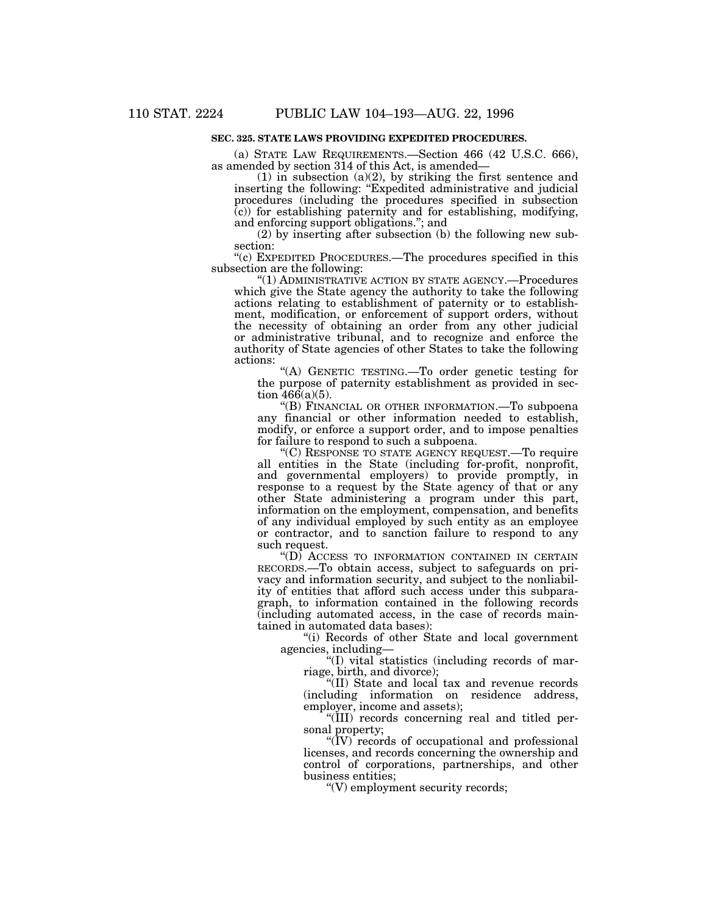### **SEC. 325. STATE LAWS PROVIDING EXPEDITED PROCEDURES.**

(a) STATE LAW REQUIREMENTS.—Section 466 (42 U.S.C. 666), as amended by section 314 of this Act, is amended—

(1) in subsection (a)(2), by striking the first sentence and inserting the following: ''Expedited administrative and judicial procedures (including the procedures specified in subsection (c)) for establishing paternity and for establishing, modifying, and enforcing support obligations.''; and

(2) by inserting after subsection (b) the following new subsection:

''(c) EXPEDITED PROCEDURES.—The procedures specified in this subsection are the following:

''(1) ADMINISTRATIVE ACTION BY STATE AGENCY.—Procedures which give the State agency the authority to take the following actions relating to establishment of paternity or to establishment, modification, or enforcement of support orders, without the necessity of obtaining an order from any other judicial or administrative tribunal, and to recognize and enforce the authority of State agencies of other States to take the following actions:

"(A) GENETIC TESTING.—To order genetic testing for the purpose of paternity establishment as provided in section 466(a)(5).

''(B) FINANCIAL OR OTHER INFORMATION.—To subpoena any financial or other information needed to establish, modify, or enforce a support order, and to impose penalties for failure to respond to such a subpoena.

''(C) RESPONSE TO STATE AGENCY REQUEST.—To require all entities in the State (including for-profit, nonprofit, and governmental employers) to provide promptly, in response to a request by the State agency of that or any other State administering a program under this part, information on the employment, compensation, and benefits of any individual employed by such entity as an employee or contractor, and to sanction failure to respond to any such request.

''(D) ACCESS TO INFORMATION CONTAINED IN CERTAIN RECORDS.—To obtain access, subject to safeguards on privacy and information security, and subject to the nonliability of entities that afford such access under this subparagraph, to information contained in the following records (including automated access, in the case of records maintained in automated data bases):

''(i) Records of other State and local government agencies, including—

''(I) vital statistics (including records of marriage, birth, and divorce);

''(II) State and local tax and revenue records (including information on residence address, employer, income and assets);

''(III) records concerning real and titled personal property;

" $(\dot{IV})$  records of occupational and professional licenses, and records concerning the ownership and control of corporations, partnerships, and other business entities;

''(V) employment security records;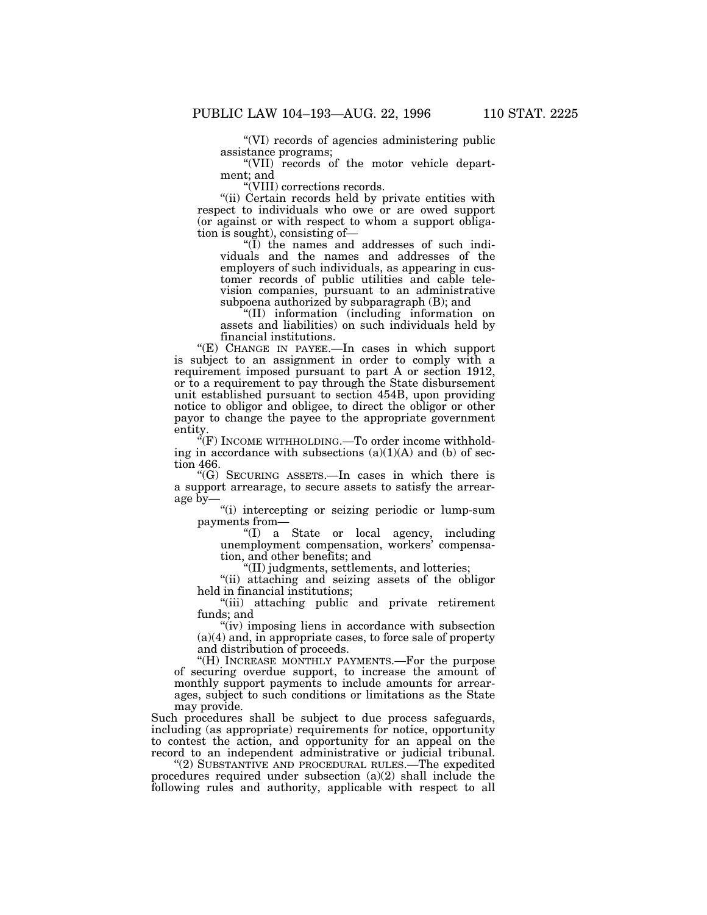''(VI) records of agencies administering public assistance programs;

''(VII) records of the motor vehicle department; and

''(VIII) corrections records.

''(ii) Certain records held by private entities with respect to individuals who owe or are owed support (or against or with respect to whom a support obligation is sought), consisting of—

''(I) the names and addresses of such individuals and the names and addresses of the employers of such individuals, as appearing in customer records of public utilities and cable television companies, pursuant to an administrative subpoena authorized by subparagraph (B); and

''(II) information (including information on assets and liabilities) on such individuals held by financial institutions.

''(E) CHANGE IN PAYEE.—In cases in which support is subject to an assignment in order to comply with a requirement imposed pursuant to part A or section 1912, or to a requirement to pay through the State disbursement unit established pursuant to section 454B, upon providing notice to obligor and obligee, to direct the obligor or other payor to change the payee to the appropriate government entity.

''(F) INCOME WITHHOLDING.—To order income withholding in accordance with subsections  $(a)(1)(A)$  and  $(b)$  of section 466.

''(G) SECURING ASSETS.—In cases in which there is a support arrearage, to secure assets to satisfy the arrearage by—

''(i) intercepting or seizing periodic or lump-sum payments from—

''(I) a State or local agency, including unemployment compensation, workers' compensation, and other benefits; and

''(II) judgments, settlements, and lotteries;

''(ii) attaching and seizing assets of the obligor held in financial institutions;

''(iii) attaching public and private retirement funds; and

"(iv) imposing liens in accordance with subsection  $(a)(4)$  and, in appropriate cases, to force sale of property and distribution of proceeds.

"(H) INCREASE MONTHLY PAYMENTS.—For the purpose of securing overdue support, to increase the amount of monthly support payments to include amounts for arrearages, subject to such conditions or limitations as the State may provide.

Such procedures shall be subject to due process safeguards, including (as appropriate) requirements for notice, opportunity to contest the action, and opportunity for an appeal on the record to an independent administrative or judicial tribunal.

''(2) SUBSTANTIVE AND PROCEDURAL RULES.—The expedited procedures required under subsection (a)(2) shall include the following rules and authority, applicable with respect to all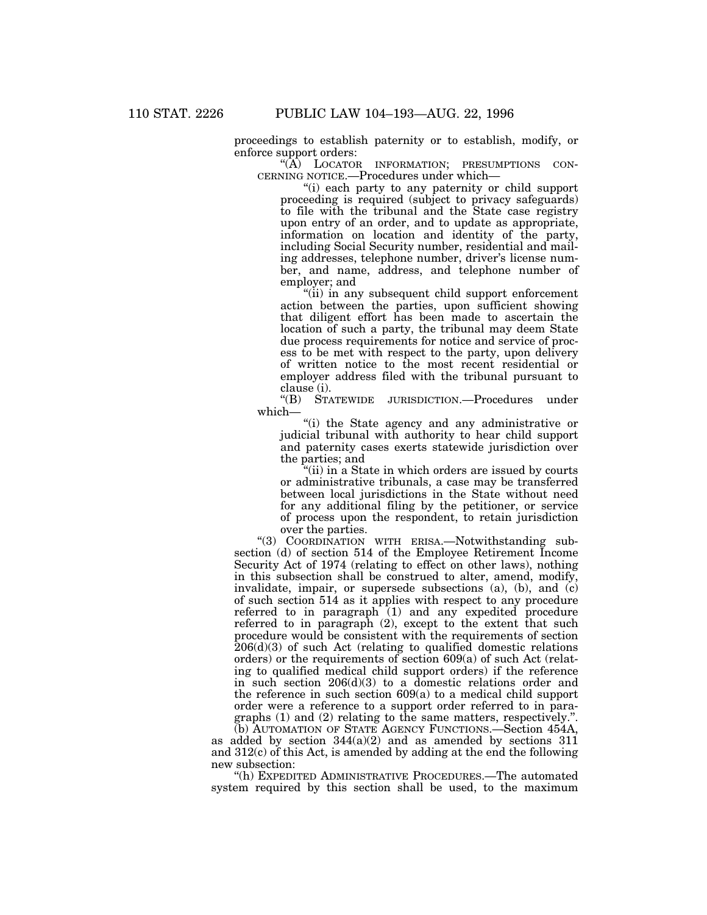proceedings to establish paternity or to establish, modify, or enforce support orders:

"(A) LOCATOR INFORMATION; PRESUMPTIONS CON-CERNING NOTICE.—Procedures under which—

''(i) each party to any paternity or child support proceeding is required (subject to privacy safeguards) to file with the tribunal and the State case registry upon entry of an order, and to update as appropriate, information on location and identity of the party, including Social Security number, residential and mailing addresses, telephone number, driver's license number, and name, address, and telephone number of employer; and

"(ii) in any subsequent child support enforcement action between the parties, upon sufficient showing that diligent effort has been made to ascertain the location of such a party, the tribunal may deem State due process requirements for notice and service of process to be met with respect to the party, upon delivery of written notice to the most recent residential or employer address filed with the tribunal pursuant to clause (i).

''(B) STATEWIDE JURISDICTION.—Procedures under which—

''(i) the State agency and any administrative or judicial tribunal with authority to hear child support and paternity cases exerts statewide jurisdiction over the parties; and

"(ii) in a State in which orders are issued by courts or administrative tribunals, a case may be transferred between local jurisdictions in the State without need for any additional filing by the petitioner, or service of process upon the respondent, to retain jurisdiction over the parties.

''(3) COORDINATION WITH ERISA.—Notwithstanding subsection (d) of section 514 of the Employee Retirement Income Security Act of 1974 (relating to effect on other laws), nothing in this subsection shall be construed to alter, amend, modify, invalidate, impair, or supersede subsections (a), (b), and (c) of such section 514 as it applies with respect to any procedure referred to in paragraph (1) and any expedited procedure referred to in paragraph (2), except to the extent that such procedure would be consistent with the requirements of section  $206(d)(3)$  of such Act (relating to qualified domestic relations orders) or the requirements of section 609(a) of such Act (relating to qualified medical child support orders) if the reference in such section 206(d)(3) to a domestic relations order and the reference in such section 609(a) to a medical child support order were a reference to a support order referred to in paragraphs (1) and (2) relating to the same matters, respectively.''.

(b) AUTOMATION OF STATE AGENCY FUNCTIONS.—Section 454A, as added by section  $344(a)(2)$  and as amended by sections  $311$ and 312(c) of this Act, is amended by adding at the end the following new subsection:

''(h) EXPEDITED ADMINISTRATIVE PROCEDURES.—The automated system required by this section shall be used, to the maximum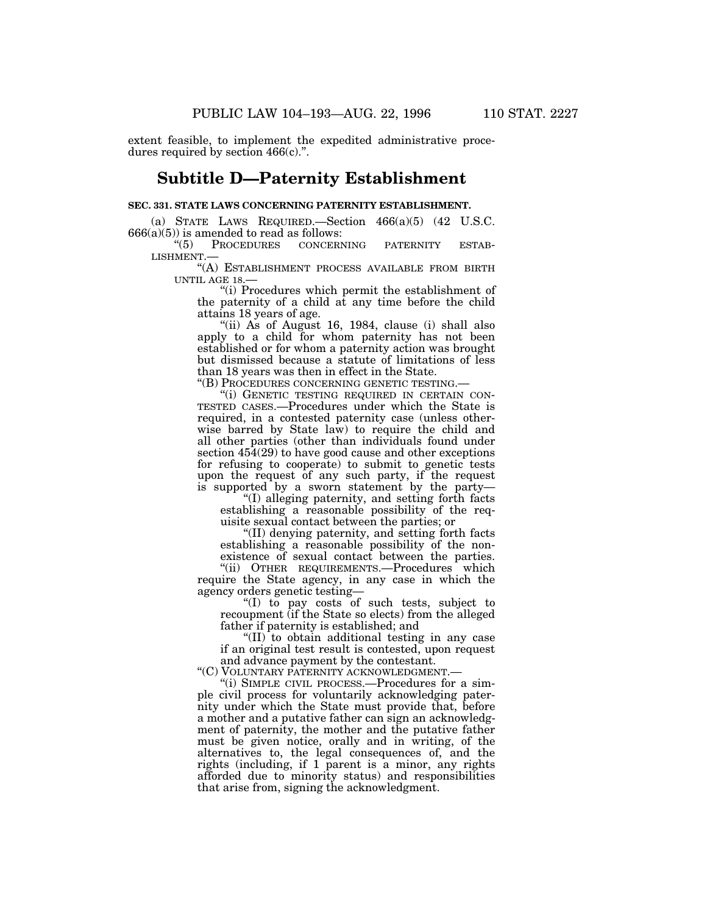extent feasible, to implement the expedited administrative procedures required by section 466(c).''.

# **Subtitle D—Paternity Establishment**

### **SEC. 331. STATE LAWS CONCERNING PATERNITY ESTABLISHMENT.**

(a) STATE LAWS REQUIRED. Section  $466(a)(5)$  (42 U.S.C.  $666(a)(5)$  is amended to read as follows:

''(5) PROCEDURES CONCERNING PATERNITY ESTAB-LISHMENT.—

''(A) ESTABLISHMENT PROCESS AVAILABLE FROM BIRTH UNTIL AGE 18.—

''(i) Procedures which permit the establishment of the paternity of a child at any time before the child attains 18 years of age.

''(ii) As of August 16, 1984, clause (i) shall also apply to a child for whom paternity has not been established or for whom a paternity action was brought but dismissed because a statute of limitations of less than 18 years was then in effect in the State.

''(B) PROCEDURES CONCERNING GENETIC TESTING.—

"(i) GENETIC TESTING REQUIRED IN CERTAIN CON-TESTED CASES.—Procedures under which the State is required, in a contested paternity case (unless otherwise barred by State law) to require the child and all other parties (other than individuals found under section 454(29) to have good cause and other exceptions for refusing to cooperate) to submit to genetic tests upon the request of any such party, if the request is supported by a sworn statement by the party—

''(I) alleging paternity, and setting forth facts establishing a reasonable possibility of the requisite sexual contact between the parties; or

''(II) denying paternity, and setting forth facts establishing a reasonable possibility of the nonexistence of sexual contact between the parties. "(ii) OTHER REQUIREMENTS.—Procedures which

require the State agency, in any case in which the agency orders genetic testing—

''(I) to pay costs of such tests, subject to recoupment (if the State so elects) from the alleged father if paternity is established; and

''(II) to obtain additional testing in any case if an original test result is contested, upon request and advance payment by the contestant.

''(C) VOLUNTARY PATERNITY ACKNOWLEDGMENT.—

''(i) SIMPLE CIVIL PROCESS.—Procedures for a simple civil process for voluntarily acknowledging paternity under which the State must provide that, before a mother and a putative father can sign an acknowledgment of paternity, the mother and the putative father must be given notice, orally and in writing, of the alternatives to, the legal consequences of, and the rights (including, if 1 parent is a minor, any rights afforded due to minority status) and responsibilities that arise from, signing the acknowledgment.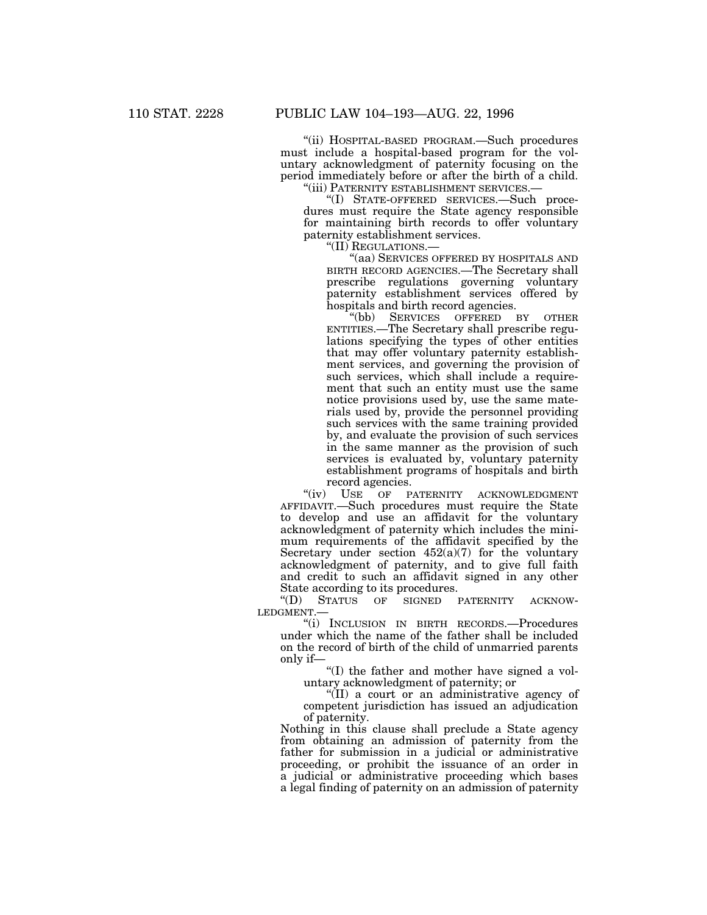''(ii) HOSPITAL-BASED PROGRAM.—Such procedures must include a hospital-based program for the voluntary acknowledgment of paternity focusing on the period immediately before or after the birth of a child. ''(iii) PATERNITY ESTABLISHMENT SERVICES.—

''(I) STATE-OFFERED SERVICES.—Such procedures must require the State agency responsible for maintaining birth records to offer voluntary paternity establishment services.

''(II) REGULATIONS.—

''(aa) SERVICES OFFERED BY HOSPITALS AND BIRTH RECORD AGENCIES.—The Secretary shall prescribe regulations governing voluntary paternity establishment services offered by hospitals and birth record agencies.

''(bb) SERVICES OFFERED BY OTHER ENTITIES.—The Secretary shall prescribe regulations specifying the types of other entities that may offer voluntary paternity establishment services, and governing the provision of such services, which shall include a requirement that such an entity must use the same notice provisions used by, use the same materials used by, provide the personnel providing such services with the same training provided by, and evaluate the provision of such services in the same manner as the provision of such services is evaluated by, voluntary paternity establishment programs of hospitals and birth

record agencies.<br>"(iv) USE OF P. PATERNITY ACKNOWLEDGMENT AFFIDAVIT.—Such procedures must require the State to develop and use an affidavit for the voluntary acknowledgment of paternity which includes the minimum requirements of the affidavit specified by the Secretary under section  $452(a)(7)$  for the voluntary acknowledgment of paternity, and to give full faith and credit to such an affidavit signed in any other

State according to its procedures.<br>
"(D) STATUS OF SIGNED 1 STATUS OF SIGNED PATERNITY ACKNOW-LEDGMENT.—

''(i) INCLUSION IN BIRTH RECORDS.—Procedures under which the name of the father shall be included on the record of birth of the child of unmarried parents only if—

''(I) the father and mother have signed a voluntary acknowledgment of paternity; or

''(II) a court or an administrative agency of competent jurisdiction has issued an adjudication of paternity.

Nothing in this clause shall preclude a State agency from obtaining an admission of paternity from the father for submission in a judicial or administrative proceeding, or prohibit the issuance of an order in a judicial or administrative proceeding which bases a legal finding of paternity on an admission of paternity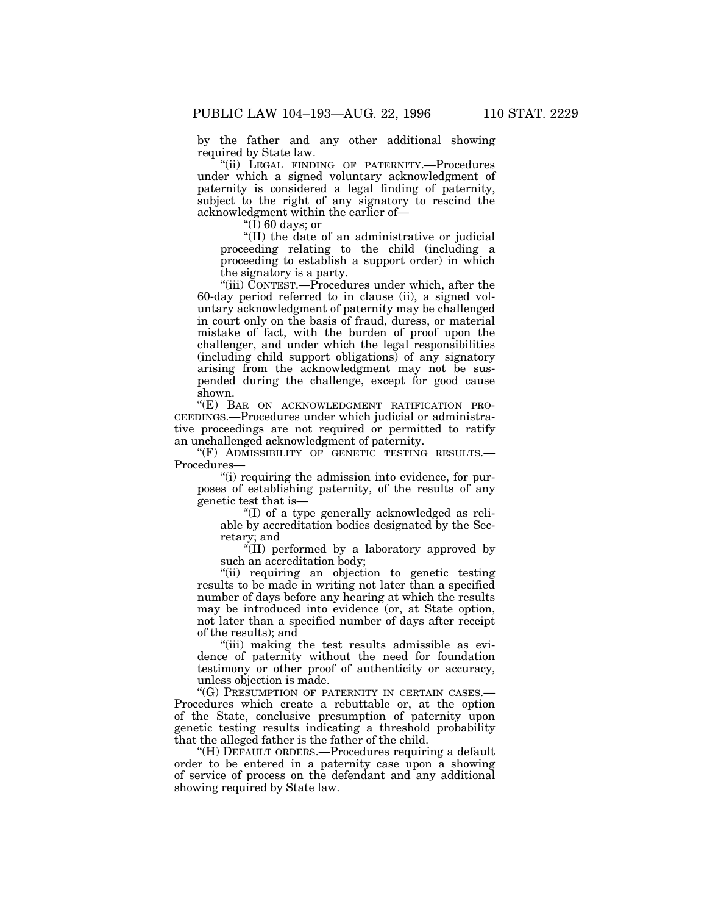by the father and any other additional showing required by State law.

''(ii) LEGAL FINDING OF PATERNITY.—Procedures under which a signed voluntary acknowledgment of paternity is considered a legal finding of paternity, subject to the right of any signatory to rescind the acknowledgment within the earlier of—

''(I) 60 days; or

''(II) the date of an administrative or judicial proceeding relating to the child (including a proceeding to establish a support order) in which the signatory is a party.

"(iii) CONTEST.—Procedures under which, after the 60-day period referred to in clause (ii), a signed voluntary acknowledgment of paternity may be challenged in court only on the basis of fraud, duress, or material mistake of fact, with the burden of proof upon the challenger, and under which the legal responsibilities (including child support obligations) of any signatory arising from the acknowledgment may not be suspended during the challenge, except for good cause shown.

"(E) BAR ON ACKNOWLEDGMENT RATIFICATION PRO-CEEDINGS.—Procedures under which judicial or administrative proceedings are not required or permitted to ratify an unchallenged acknowledgment of paternity.

"(F) ADMISSIBILITY OF GENETIC TESTING RESULTS.-Procedures—

''(i) requiring the admission into evidence, for purposes of establishing paternity, of the results of any genetic test that is—

''(I) of a type generally acknowledged as reliable by accreditation bodies designated by the Secretary; and

''(II) performed by a laboratory approved by such an accreditation body;

"(ii) requiring an objection to genetic testing results to be made in writing not later than a specified number of days before any hearing at which the results may be introduced into evidence (or, at State option, not later than a specified number of days after receipt of the results); and

''(iii) making the test results admissible as evidence of paternity without the need for foundation testimony or other proof of authenticity or accuracy, unless objection is made.

''(G) PRESUMPTION OF PATERNITY IN CERTAIN CASES.— Procedures which create a rebuttable or, at the option of the State, conclusive presumption of paternity upon genetic testing results indicating a threshold probability that the alleged father is the father of the child.

''(H) DEFAULT ORDERS.—Procedures requiring a default order to be entered in a paternity case upon a showing of service of process on the defendant and any additional showing required by State law.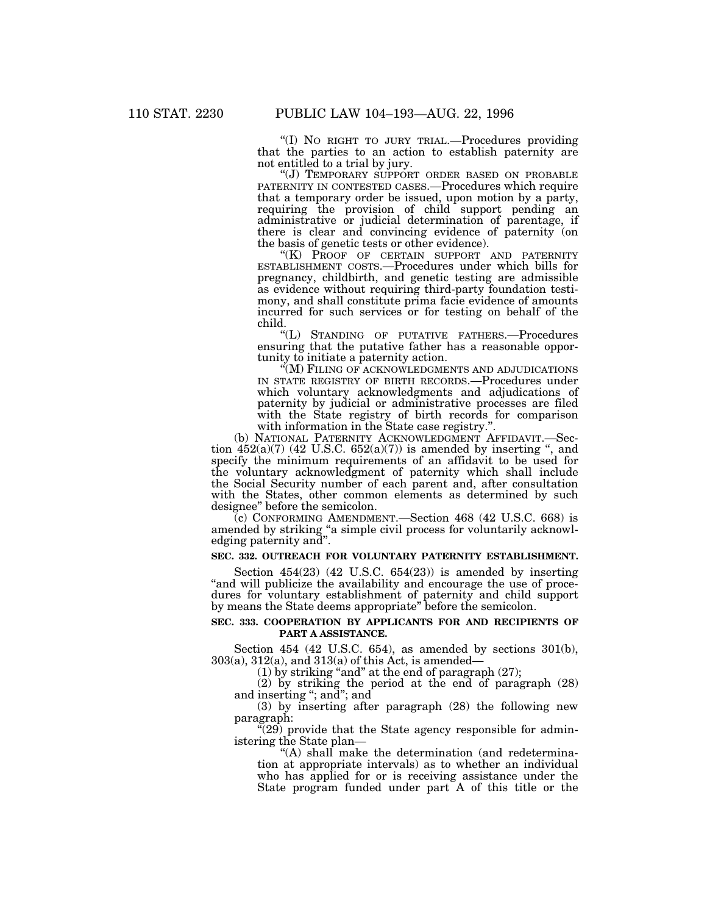''(I) NO RIGHT TO JURY TRIAL.—Procedures providing that the parties to an action to establish paternity are not entitled to a trial by jury.

''(J) TEMPORARY SUPPORT ORDER BASED ON PROBABLE PATERNITY IN CONTESTED CASES.—Procedures which require that a temporary order be issued, upon motion by a party, requiring the provision of child support pending an administrative or judicial determination of parentage, if there is clear and convincing evidence of paternity (on the basis of genetic tests or other evidence).

"(K) PROOF OF CERTAIN SUPPORT AND PATERNITY ESTABLISHMENT COSTS.—Procedures under which bills for pregnancy, childbirth, and genetic testing are admissible as evidence without requiring third-party foundation testimony, and shall constitute prima facie evidence of amounts incurred for such services or for testing on behalf of the child.

''(L) STANDING OF PUTATIVE FATHERS.—Procedures ensuring that the putative father has a reasonable opportunity to initiate a paternity action.

''(M) FILING OF ACKNOWLEDGMENTS AND ADJUDICATIONS IN STATE REGISTRY OF BIRTH RECORDS.—Procedures under which voluntary acknowledgments and adjudications of paternity by judicial or administrative processes are filed with the State registry of birth records for comparison with information in the State case registry.''.

(b) NATIONAL PATERNITY ACKNOWLEDGMENT AFFIDAVIT.—Section  $452(a)(7)$  (42 U.S.C.  $652(a)(7)$ ) is amended by inserting ", and specify the minimum requirements of an affidavit to be used for the voluntary acknowledgment of paternity which shall include the Social Security number of each parent and, after consultation with the States, other common elements as determined by such designee" before the semicolon.<br>(c) CONFORMING AMENDMENT.—Section 468 (42 U.S.C. 668) is

(c) CONFORMING AMENDMENT.—Section 468 (42 U.S.C. 668) is amended by striking ''a simple civil process for voluntarily acknowledging paternity and''.

# **SEC. 332. OUTREACH FOR VOLUNTARY PATERNITY ESTABLISHMENT.**

Section 454(23) (42 U.S.C. 654(23)) is amended by inserting "and will publicize the availability and encourage the use of procedures for voluntary establishment of paternity and child support by means the State deems appropriate'' before the semicolon.

## **SEC. 333. COOPERATION BY APPLICANTS FOR AND RECIPIENTS OF PART A ASSISTANCE.**

Section 454 (42 U.S.C. 654), as amended by sections 301(b),  $303(a)$ ,  $312(a)$ , and  $313(a)$  of this Act, is amended-

(1) by striking "and" at the end of paragraph  $(27)$ ;

(2) by striking the period at the end of paragraph (28) and inserting ''; and''; and

(3) by inserting after paragraph (28) the following new paragraph:

 $\sqrt[4]{(29)}$  provide that the State agency responsible for administering the State plan—

''(A) shall make the determination (and redetermination at appropriate intervals) as to whether an individual who has applied for or is receiving assistance under the State program funded under part A of this title or the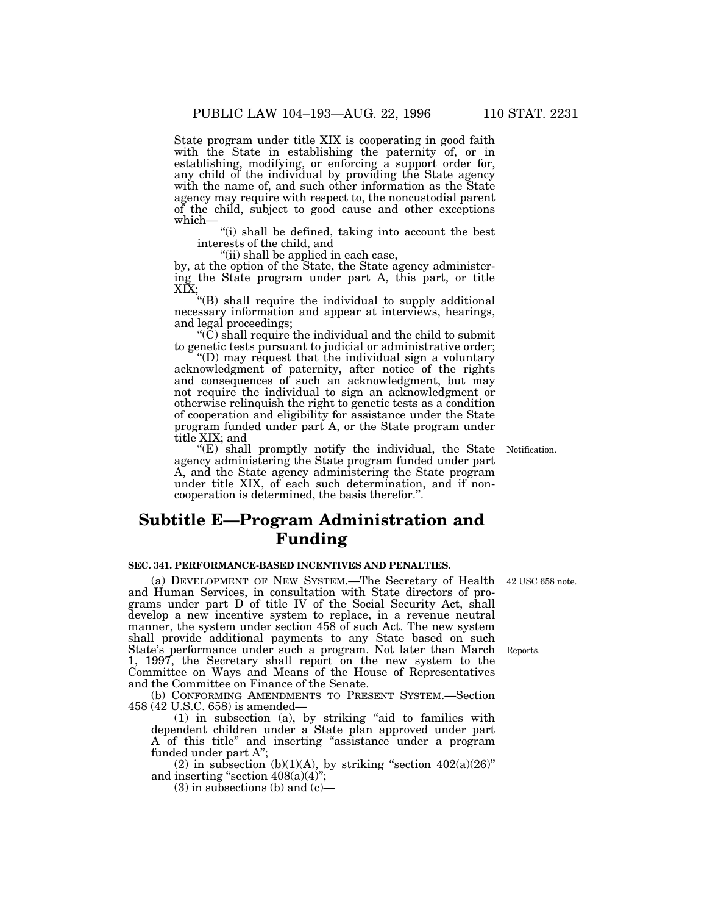State program under title XIX is cooperating in good faith with the State in establishing the paternity of, or in establishing, modifying, or enforcing a support order for, any child of the individual by providing the State agency with the name of, and such other information as the State agency may require with respect to, the noncustodial parent of the child, subject to good cause and other exceptions which—

"(i) shall be defined, taking into account the best interests of the child, and

"(ii) shall be applied in each case,

by, at the option of the State, the State agency administering the State program under part A, this part, or title XIX;

''(B) shall require the individual to supply additional necessary information and appear at interviews, hearings, and legal proceedings;

 $(C)$  shall require the individual and the child to submit to genetic tests pursuant to judicial or administrative order;

"(D) may request that the individual sign a voluntary" acknowledgment of paternity, after notice of the rights and consequences of such an acknowledgment, but may not require the individual to sign an acknowledgment or otherwise relinquish the right to genetic tests as a condition of cooperation and eligibility for assistance under the State program funded under part A, or the State program under title XIX; and

 $(E)$  shall promptly notify the individual, the State agency administering the State program funded under part A, and the State agency administering the State program under title XIX, of each such determination, and if noncooperation is determined, the basis therefor.''.

# **Subtitle E—Program Administration and Funding**

#### **SEC. 341. PERFORMANCE-BASED INCENTIVES AND PENALTIES.**

(a) DEVELOPMENT OF NEW SYSTEM.—The Secretary of Health 42 USC 658 note. and Human Services, in consultation with State directors of programs under part D of title IV of the Social Security Act, shall develop a new incentive system to replace, in a revenue neutral manner, the system under section 458 of such Act. The new system shall provide additional payments to any State based on such State's performance under such a program. Not later than March 1, 1997, the Secretary shall report on the new system to the Committee on Ways and Means of the House of Representatives and the Committee on Finance of the Senate.

(b) CONFORMING AMENDMENTS TO PRESENT SYSTEM.—Section 458 (42 U.S.C. 658) is amended—

(1) in subsection (a), by striking ''aid to families with dependent children under a State plan approved under part A of this title'' and inserting ''assistance under a program funded under part A'';

(2) in subsection (b)(1)(A), by striking "section  $402(a)(26)$ " and inserting "section  $408(a)(4)$ ";

 $(3)$  in subsections (b) and  $(c)$ —

Reports.

Notification.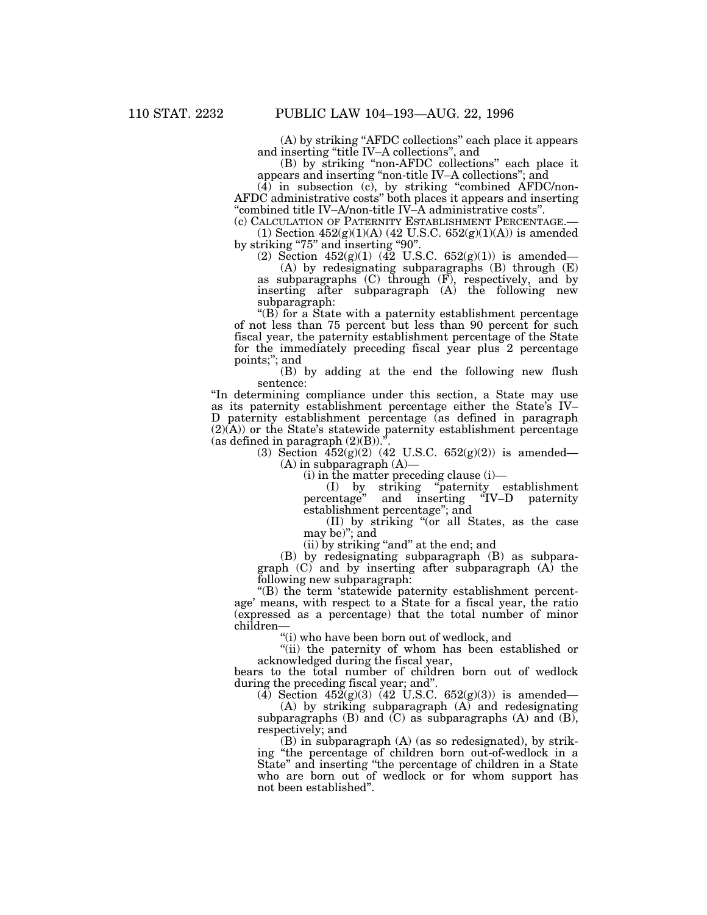(A) by striking ''AFDC collections'' each place it appears and inserting ''title IV–A collections'', and

(B) by striking ''non-AFDC collections'' each place it appears and inserting ''non-title IV–A collections''; and

(4) in subsection (c), by striking ''combined AFDC/non-AFDC administrative costs'' both places it appears and inserting ''combined title IV–A/non-title IV–A administrative costs''.

(c) CALCULATION OF PATERNITY ESTABLISHMENT PERCENTAGE.— (1) Section  $452(g)(1)(A)$  (42 U.S.C.  $652(g)(1)(A)$ ) is amended by striking ''75'' and inserting ''90''.

(2) Section  $452(g)(1)$  (42 U.S.C.  $652(g)(1)$ ) is amended— (A) by redesignating subparagraphs (B) through (E) as subparagraphs (C) through (F), respectively, and by inserting after subparagraph (A) the following new subparagraph:

 $\mathcal{L}(B)$  for a State with a paternity establishment percentage of not less than 75 percent but less than 90 percent for such fiscal year, the paternity establishment percentage of the State for the immediately preceding fiscal year plus 2 percentage points;''; and

(B) by adding at the end the following new flush sentence:

''In determining compliance under this section, a State may use as its paternity establishment percentage either the State's IV– D paternity establishment percentage (as defined in paragraph (2)(A)) or the State's statewide paternity establishment percentage (as defined in paragraph  $(2)(B)$ ).

(3) Section  $\frac{452(g)(2)}{42}$  U.S.C.  $652(g)(2)$  is amended—  $(A)$  in subparagraph  $(A)$ –

(i) in the matter preceding clause (i)—

(I) by striking ''paternity establishment percentage'' and inserting ''IV–D paternity establishment percentage''; and

(II) by striking ''(or all States, as the case may be)''; and

(ii) by striking ''and'' at the end; and

(B) by redesignating subparagraph (B) as subparagraph (C) and by inserting after subparagraph (A) the following new subparagraph:

''(B) the term 'statewide paternity establishment percentage' means, with respect to a State for a fiscal year, the ratio (expressed as a percentage) that the total number of minor children—

''(i) who have been born out of wedlock, and

''(ii) the paternity of whom has been established or acknowledged during the fiscal year,

bears to the total number of children born out of wedlock during the preceding fiscal year; and''.

(4) Section  $452(g)(3)$  (42 U.S.C.  $652(g)(3)$ ) is amended—

(A) by striking subparagraph (A) and redesignating subparagraphs  $(B)$  and  $(C)$  as subparagraphs  $(A)$  and  $(B)$ , respectively; and

(B) in subparagraph (A) (as so redesignated), by striking ''the percentage of children born out-of-wedlock in a State'' and inserting ''the percentage of children in a State who are born out of wedlock or for whom support has not been established''.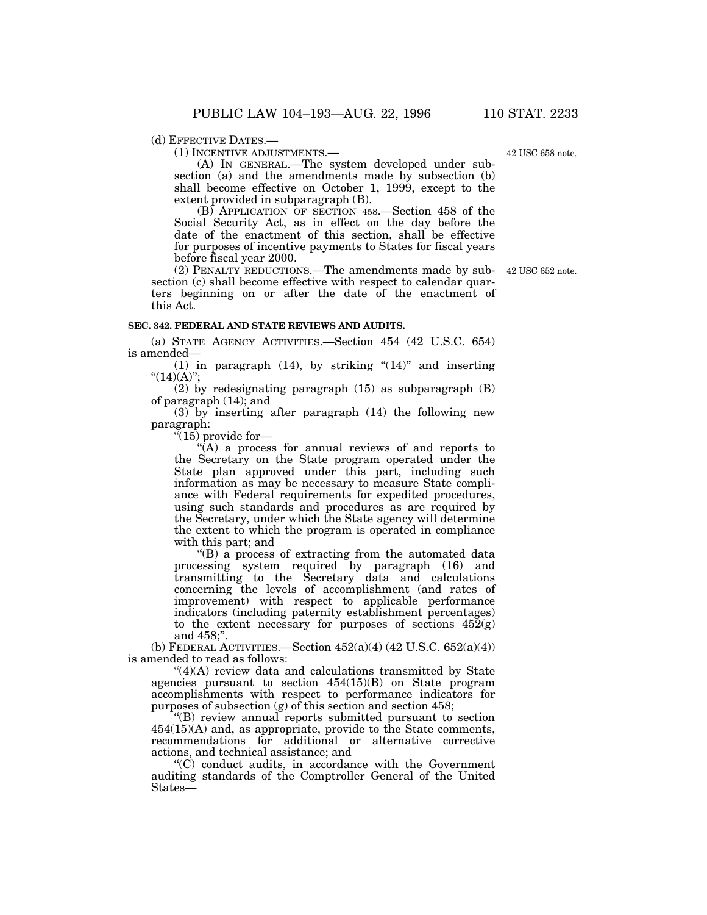42 USC 658 note.

(d) EFFECTIVE DATES.—

(1) INCENTIVE ADJUSTMENTS.—

(A) IN GENERAL.—The system developed under subsection (a) and the amendments made by subsection (b) shall become effective on October 1, 1999, except to the extent provided in subparagraph (B).

(B) APPLICATION OF SECTION 458.—Section 458 of the Social Security Act, as in effect on the day before the date of the enactment of this section, shall be effective for purposes of incentive payments to States for fiscal years before fiscal year 2000.

(2) PENALTY REDUCTIONS.—The amendments made by sub-42 USC 652 note. section (c) shall become effective with respect to calendar quarters beginning on or after the date of the enactment of this Act.

#### **SEC. 342. FEDERAL AND STATE REVIEWS AND AUDITS.**

(a) STATE AGENCY ACTIVITIES.—Section 454 (42 U.S.C. 654) is amended—

(1) in paragraph (14), by striking " $(14)$ " and inserting " $(14)(A)$ ";

(2) by redesignating paragraph (15) as subparagraph (B) of paragraph (14); and

(3) by inserting after paragraph (14) the following new paragraph:

''(15) provide for—

''(A) a process for annual reviews of and reports to the Secretary on the State program operated under the State plan approved under this part, including such information as may be necessary to measure State compliance with Federal requirements for expedited procedures, using such standards and procedures as are required by the Secretary, under which the State agency will determine the extent to which the program is operated in compliance with this part; and

''(B) a process of extracting from the automated data processing system required by paragraph (16) and transmitting to the Secretary data and calculations concerning the levels of accomplishment (and rates of improvement) with respect to applicable performance indicators (including paternity establishment percentages) to the extent necessary for purposes of sections  $452(g)$ and 458;''.

(b) FEDERAL ACTIVITIES.—Section 452(a)(4) (42 U.S.C. 652(a)(4)) is amended to read as follows:

''(4)(A) review data and calculations transmitted by State agencies pursuant to section  $454(15)(B)$  on State program accomplishments with respect to performance indicators for purposes of subsection (g) of this section and section 458;

''(B) review annual reports submitted pursuant to section 454(15)(A) and, as appropriate, provide to the State comments, recommendations for additional or alternative corrective actions, and technical assistance; and

 $(C)$  conduct audits, in accordance with the Government auditing standards of the Comptroller General of the United States—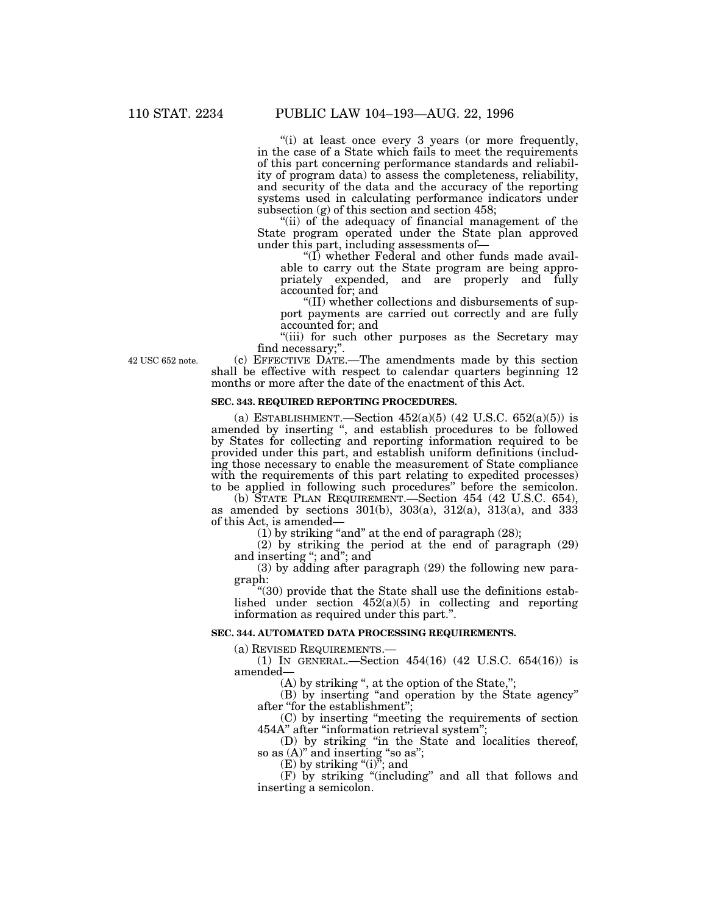''(i) at least once every 3 years (or more frequently, in the case of a State which fails to meet the requirements of this part concerning performance standards and reliability of program data) to assess the completeness, reliability, and security of the data and the accuracy of the reporting systems used in calculating performance indicators under subsection (g) of this section and section 458;

"(ii) of the adequacy of financial management of the State program operated under the State plan approved under this part, including assessments of—

" $(I)$  whether Federal and other funds made available to carry out the State program are being appropriately expended, and are properly and fully accounted for; and

''(II) whether collections and disbursements of support payments are carried out correctly and are fully accounted for; and

"(iii) for such other purposes as the Secretary may find necessary;''.

(c) EFFECTIVE DATE.—The amendments made by this section shall be effective with respect to calendar quarters beginning 12 months or more after the date of the enactment of this Act.

#### **SEC. 343. REQUIRED REPORTING PROCEDURES.**

(a) ESTABLISHMENT.—Section  $452(a)(5)$  (42 U.S.C.  $652(a)(5)$ ) is amended by inserting '', and establish procedures to be followed by States for collecting and reporting information required to be provided under this part, and establish uniform definitions (including those necessary to enable the measurement of State compliance with the requirements of this part relating to expedited processes) to be applied in following such procedures'' before the semicolon.

(b) STATE PLAN REQUIREMENT.—Section 454 (42 U.S.C. 654), as amended by sections 301(b), 303(a), 312(a), 313(a), and 333 of this Act, is amended—

 $(1)$  by striking "and" at the end of paragraph  $(28)$ ;

(2) by striking the period at the end of paragraph (29) and inserting "; and"; and

(3) by adding after paragraph (29) the following new paragraph:

" $(30)$  provide that the State shall use the definitions established under section 452(a)(5) in collecting and reporting information as required under this part.''.

#### **SEC. 344. AUTOMATED DATA PROCESSING REQUIREMENTS.**

(a) REVISED REQUIREMENTS.—

(1) IN GENERAL.—Section 454(16) (42 U.S.C. 654(16)) is amended—

(A) by striking ", at the option of the State,";

(B) by inserting ''and operation by the State agency'' after "for the establishment";

(C) by inserting ''meeting the requirements of section 454A'' after ''information retrieval system'';

(D) by striking ''in the State and localities thereof, so as  $(A)$ " and inserting "so as";

 $(E)$  by striking "(i)"; and

(F) by striking ''(including'' and all that follows and inserting a semicolon.

42 USC 652 note.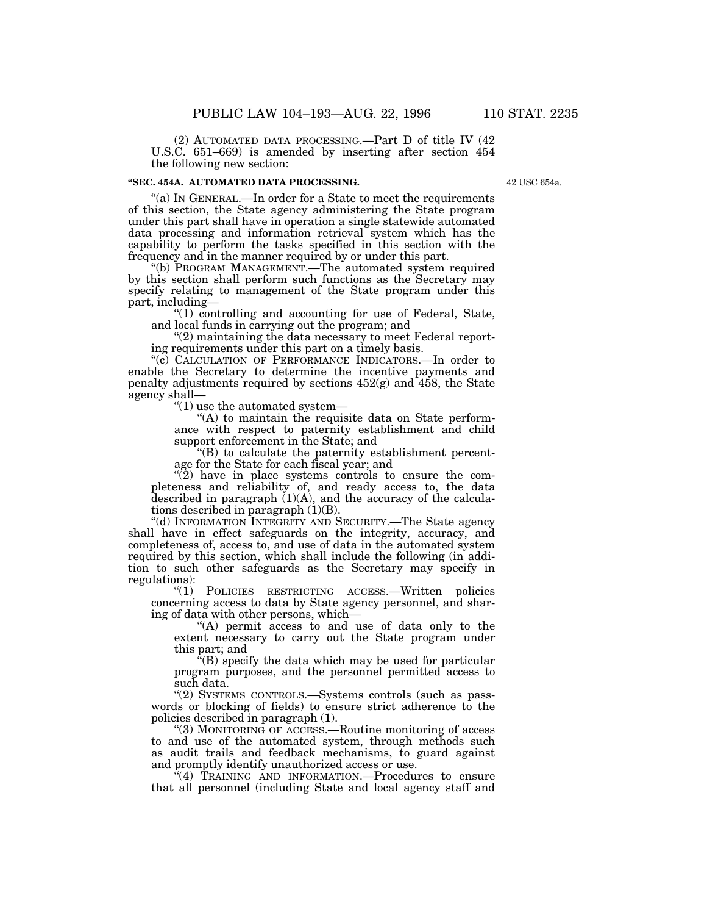(2) AUTOMATED DATA PROCESSING.—Part D of title IV (42 U.S.C. 651–669) is amended by inserting after section 454 the following new section:

# **''SEC. 454A. AUTOMATED DATA PROCESSING.**

42 USC 654a.

''(a) IN GENERAL.—In order for a State to meet the requirements of this section, the State agency administering the State program under this part shall have in operation a single statewide automated data processing and information retrieval system which has the capability to perform the tasks specified in this section with the frequency and in the manner required by or under this part.

''(b) PROGRAM MANAGEMENT.—The automated system required by this section shall perform such functions as the Secretary may specify relating to management of the State program under this part, including—

''(1) controlling and accounting for use of Federal, State, and local funds in carrying out the program; and

"(2) maintaining the data necessary to meet Federal reporting requirements under this part on a timely basis.

''(c) CALCULATION OF PERFORMANCE INDICATORS.—In order to enable the Secretary to determine the incentive payments and penalty adjustments required by sections 452(g) and 458, the State agency shall—

 $"(1)$  use the automated system—

 $<sup>4</sup>(A)$  to maintain the requisite data on State perform-</sup> ance with respect to paternity establishment and child support enforcement in the State; and

''(B) to calculate the paternity establishment percentage for the State for each fiscal year; and

 $(2)$  have in place systems controls to ensure the completeness and reliability of, and ready access to, the data described in paragraph (1)(A), and the accuracy of the calculations described in paragraph (1)(B).

''(d) INFORMATION INTEGRITY AND SECURITY.—The State agency shall have in effect safeguards on the integrity, accuracy, and completeness of, access to, and use of data in the automated system required by this section, which shall include the following (in addition to such other safeguards as the Secretary may specify in regulations):

''(1) POLICIES RESTRICTING ACCESS.—Written policies concerning access to data by State agency personnel, and sharing of data with other persons, which—

''(A) permit access to and use of data only to the extent necessary to carry out the State program under this part; and

''(B) specify the data which may be used for particular program purposes, and the personnel permitted access to such data.

''(2) SYSTEMS CONTROLS.—Systems controls (such as passwords or blocking of fields) to ensure strict adherence to the policies described in paragraph (1).

''(3) MONITORING OF ACCESS.—Routine monitoring of access to and use of the automated system, through methods such as audit trails and feedback mechanisms, to guard against and promptly identify unauthorized access or use.

 $\hat{f}(4)$  TRAINING AND INFORMATION.—Procedures to ensure that all personnel (including State and local agency staff and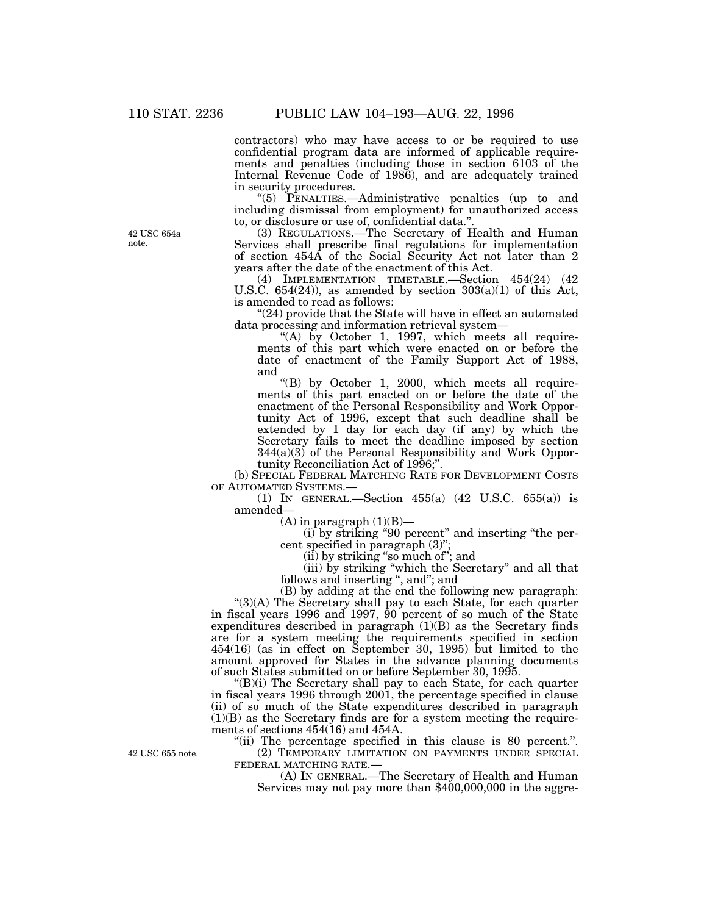contractors) who may have access to or be required to use confidential program data are informed of applicable requirements and penalties (including those in section 6103 of the Internal Revenue Code of 1986), and are adequately trained in security procedures.

''(5) PENALTIES.—Administrative penalties (up to and including dismissal from employment) for unauthorized access to, or disclosure or use of, confidential data.''.

(3) REGULATIONS.—The Secretary of Health and Human Services shall prescribe final regulations for implementation of section 454A of the Social Security Act not later than 2 years after the date of the enactment of this Act.

(4) IMPLEMENTATION TIMETABLE.—Section 454(24) (42 U.S.C.  $654(24)$ , as amended by section  $303(a)(1)$  of this Act, is amended to read as follows:

''(24) provide that the State will have in effect an automated data processing and information retrieval system—

"(A) by October 1, 1997, which meets all requirements of this part which were enacted on or before the date of enactment of the Family Support Act of 1988, and

 $'(B)$  by October 1, 2000, which meets all requirements of this part enacted on or before the date of the enactment of the Personal Responsibility and Work Opportunity Act of 1996, except that such deadline shall be extended by 1 day for each day (if any) by which the Secretary fails to meet the deadline imposed by section  $344(a)(3)$  of the Personal Responsibility and Work Opportunity Reconciliation Act of 1996;''.

(b) SPECIAL FEDERAL MATCHING RATE FOR DEVELOPMENT COSTS OF AUTOMATED SYSTEMS.—

(1) IN GENERAL.—Section 455(a) (42 U.S.C. 655(a)) is amended—

 $(A)$  in paragraph  $(1)(B)$ —

(i) by striking ''90 percent'' and inserting ''the percent specified in paragraph (3)'';

(ii) by striking ''so much of''; and

(iii) by striking ''which the Secretary'' and all that follows and inserting ", and"; and

(B) by adding at the end the following new paragraph: ''(3)(A) The Secretary shall pay to each State, for each quarter in fiscal years 1996 and 1997, 90 percent of so much of the State expenditures described in paragraph (1)(B) as the Secretary finds are for a system meeting the requirements specified in section 454(16) (as in effect on September 30, 1995) but limited to the amount approved for States in the advance planning documents of such States submitted on or before September 30, 1995.

''(B)(i) The Secretary shall pay to each State, for each quarter in fiscal years 1996 through 2001, the percentage specified in clause (ii) of so much of the State expenditures described in paragraph  $(1)(B)$  as the Secretary finds are for a system meeting the requirements of sections 454(16) and 454A.

42 USC 655 note.

"(ii) The percentage specified in this clause is 80 percent.". (2) TEMPORARY LIMITATION ON PAYMENTS UNDER SPECIAL FEDERAL MATCHING RATE.—

(A) IN GENERAL.—The Secretary of Health and Human Services may not pay more than \$400,000,000 in the aggre-

42 USC 654a note.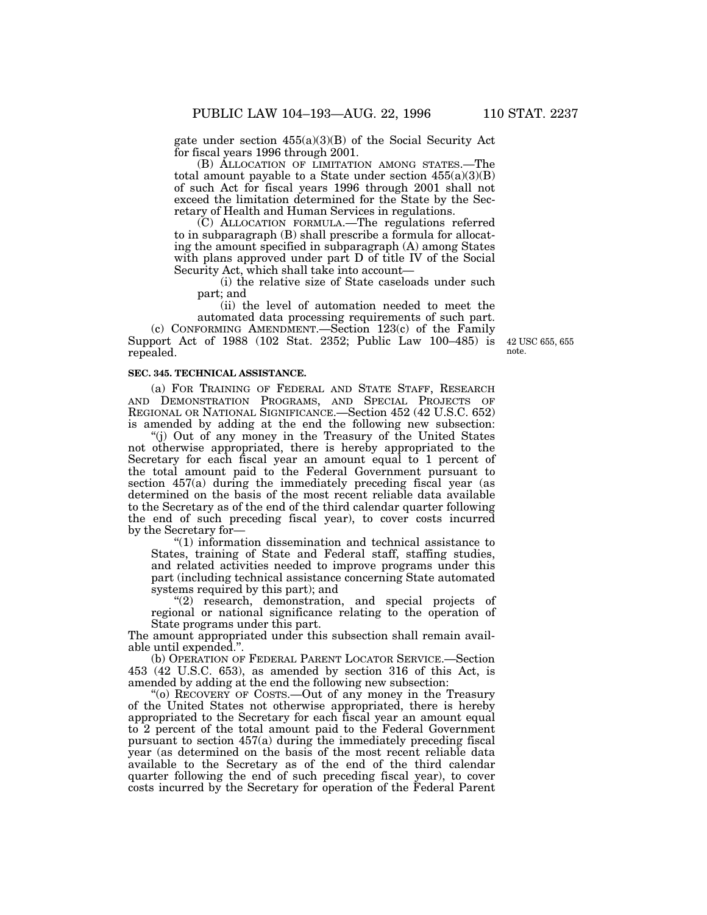gate under section 455(a)(3)(B) of the Social Security Act for fiscal years 1996 through 2001.

(B) ALLOCATION OF LIMITATION AMONG STATES.—The total amount payable to a State under section  $455(a)(3)(B)$ of such Act for fiscal years 1996 through 2001 shall not exceed the limitation determined for the State by the Secretary of Health and Human Services in regulations.

(C) ALLOCATION FORMULA.—The regulations referred to in subparagraph (B) shall prescribe a formula for allocating the amount specified in subparagraph (A) among States with plans approved under part D of title IV of the Social Security Act, which shall take into account—

(i) the relative size of State caseloads under such part; and

(ii) the level of automation needed to meet the automated data processing requirements of such part.

(c) CONFORMING AMENDMENT.—Section 123(c) of the Family Support Act of 1988 (102 Stat. 2352; Public Law 100–485) is repealed.

#### **SEC. 345. TECHNICAL ASSISTANCE.**

(a) FOR TRAINING OF FEDERAL AND STATE STAFF, RESEARCH AND DEMONSTRATION PROGRAMS, AND SPECIAL PROJECTS OF REGIONAL OR NATIONAL SIGNIFICANCE.—Section 452 (42 U.S.C. 652) is amended by adding at the end the following new subsection:

''(j) Out of any money in the Treasury of the United States not otherwise appropriated, there is hereby appropriated to the Secretary for each fiscal year an amount equal to 1 percent of the total amount paid to the Federal Government pursuant to section 457(a) during the immediately preceding fiscal year (as determined on the basis of the most recent reliable data available to the Secretary as of the end of the third calendar quarter following the end of such preceding fiscal year), to cover costs incurred by the Secretary for—

''(1) information dissemination and technical assistance to States, training of State and Federal staff, staffing studies, and related activities needed to improve programs under this part (including technical assistance concerning State automated systems required by this part); and

''(2) research, demonstration, and special projects of regional or national significance relating to the operation of State programs under this part.

The amount appropriated under this subsection shall remain available until expended.''.

(b) OPERATION OF FEDERAL PARENT LOCATOR SERVICE.—Section 453 (42 U.S.C. 653), as amended by section 316 of this Act, is amended by adding at the end the following new subsection:

''(o) RECOVERY OF COSTS.—Out of any money in the Treasury of the United States not otherwise appropriated, there is hereby appropriated to the Secretary for each fiscal year an amount equal to 2 percent of the total amount paid to the Federal Government pursuant to section 457(a) during the immediately preceding fiscal year (as determined on the basis of the most recent reliable data available to the Secretary as of the end of the third calendar quarter following the end of such preceding fiscal year), to cover costs incurred by the Secretary for operation of the Federal Parent

42 USC 655, 655 note.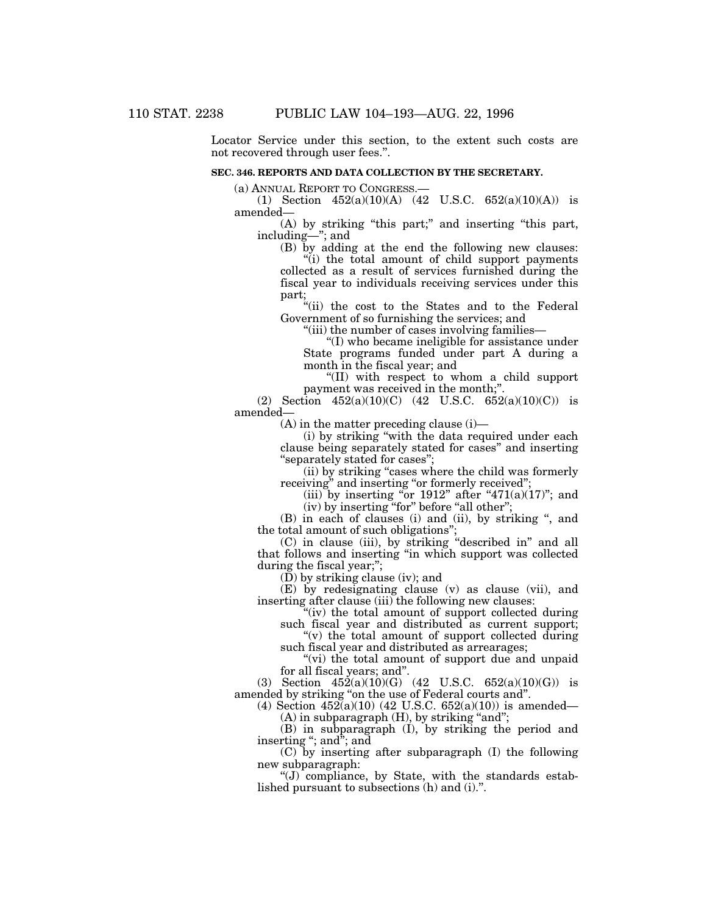Locator Service under this section, to the extent such costs are not recovered through user fees.''.

# **SEC. 346. REPORTS AND DATA COLLECTION BY THE SECRETARY.**

(a) ANNUAL REPORT TO CONGRESS.—

(1) Section  $452(a)(10)(A)$  (42 U.S.C.  $652(a)(10)(A)$  is amended—

(A) by striking ''this part;'' and inserting ''this part, including—''; and

(B) by adding at the end the following new clauses: "(i) the total amount of child support payments collected as a result of services furnished during the fiscal year to individuals receiving services under this part;

''(ii) the cost to the States and to the Federal Government of so furnishing the services; and

''(iii) the number of cases involving families—

''(I) who became ineligible for assistance under State programs funded under part A during a month in the fiscal year; and

''(II) with respect to whom a child support payment was received in the month;".

(2) Section  $452(a)(10)(C)$  (42 U.S.C.  $652(a)(10)(C)$  is amended—

(A) in the matter preceding clause (i)—

(i) by striking ''with the data required under each clause being separately stated for cases'' and inserting ''separately stated for cases'';

(ii) by striking ''cases where the child was formerly receiving" and inserting "or formerly received";

(iii) by inserting "or  $1912$ " after " $471(a)(17)$ "; and (iv) by inserting "for" before "all other";

(B) in each of clauses (i) and (ii), by striking '', and the total amount of such obligations'';

(C) in clause (iii), by striking ''described in'' and all that follows and inserting ''in which support was collected during the fiscal year;";

 $(D)$  by striking clause (iv); and

(E) by redesignating clause (v) as clause (vii), and inserting after clause (iii) the following new clauses:

"(iv) the total amount of support collected during" such fiscal year and distributed as current support;

" $(v)$  the total amount of support collected during" such fiscal year and distributed as arrearages;

"(vi) the total amount of support due and unpaid for all fiscal years; and''.

(3) Section  $452(a)(10)(G)$  (42 U.S.C.  $652(a)(10)(G)$  is amended by striking ''on the use of Federal courts and''.

(4) Section  $452(a)(10)$  (42 U.S.C.  $652(a)(10)$ ) is amended—  $(A)$  in subparagraph  $(H)$ , by striking "and";

(B) in subparagraph (I), by striking the period and inserting "; and"; and

(C) by inserting after subparagraph (I) the following new subparagraph:

" $(J)$  compliance, by State, with the standards established pursuant to subsections (h) and (i).''.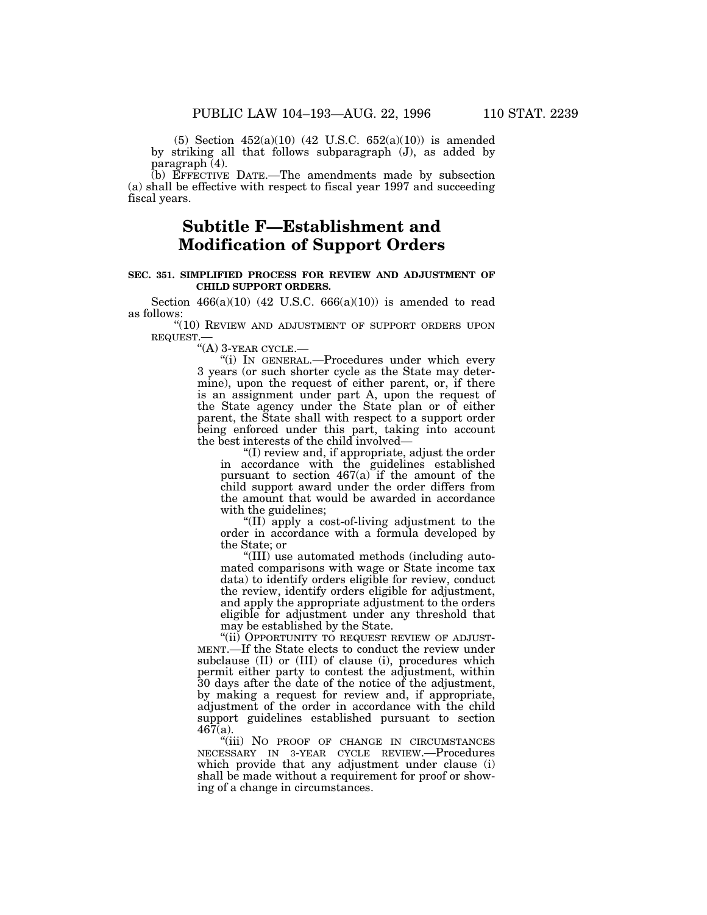(5) Section 452(a)(10) (42 U.S.C. 652(a)(10)) is amended by striking all that follows subparagraph (J), as added by paragraph (4).

(b) EFFECTIVE DATE.—The amendments made by subsection (a) shall be effective with respect to fiscal year 1997 and succeeding fiscal years.

# **Subtitle F—Establishment and Modification of Support Orders**

# **SEC. 351. SIMPLIFIED PROCESS FOR REVIEW AND ADJUSTMENT OF CHILD SUPPORT ORDERS.**

Section  $466(a)(10)$  (42 U.S.C.  $666(a)(10)$ ) is amended to read as follows:

"(10) REVIEW AND ADJUSTMENT OF SUPPORT ORDERS UPON REQUEST.—

''(A) 3-YEAR CYCLE.—

''(i) IN GENERAL.—Procedures under which every 3 years (or such shorter cycle as the State may determine), upon the request of either parent, or, if there is an assignment under part A, upon the request of the State agency under the State plan or of either parent, the State shall with respect to a support order being enforced under this part, taking into account the best interests of the child involved—

''(I) review and, if appropriate, adjust the order in accordance with the guidelines established pursuant to section 467(a) if the amount of the child support award under the order differs from the amount that would be awarded in accordance with the guidelines;

''(II) apply a cost-of-living adjustment to the order in accordance with a formula developed by the State; or

''(III) use automated methods (including automated comparisons with wage or State income tax data) to identify orders eligible for review, conduct the review, identify orders eligible for adjustment, and apply the appropriate adjustment to the orders eligible for adjustment under any threshold that may be established by the State.

"(ii) OPPORTUNITY TO REQUEST REVIEW OF ADJUST-MENT.—If the State elects to conduct the review under subclause (II) or (III) of clause (i), procedures which permit either party to contest the adjustment, within 30 days after the date of the notice of the adjustment, by making a request for review and, if appropriate, adjustment of the order in accordance with the child support guidelines established pursuant to section  $467(a)$ .

"(iii) NO PROOF OF CHANGE IN CIRCUMSTANCES NECESSARY IN 3-YEAR CYCLE REVIEW.—Procedures which provide that any adjustment under clause (i) shall be made without a requirement for proof or showing of a change in circumstances.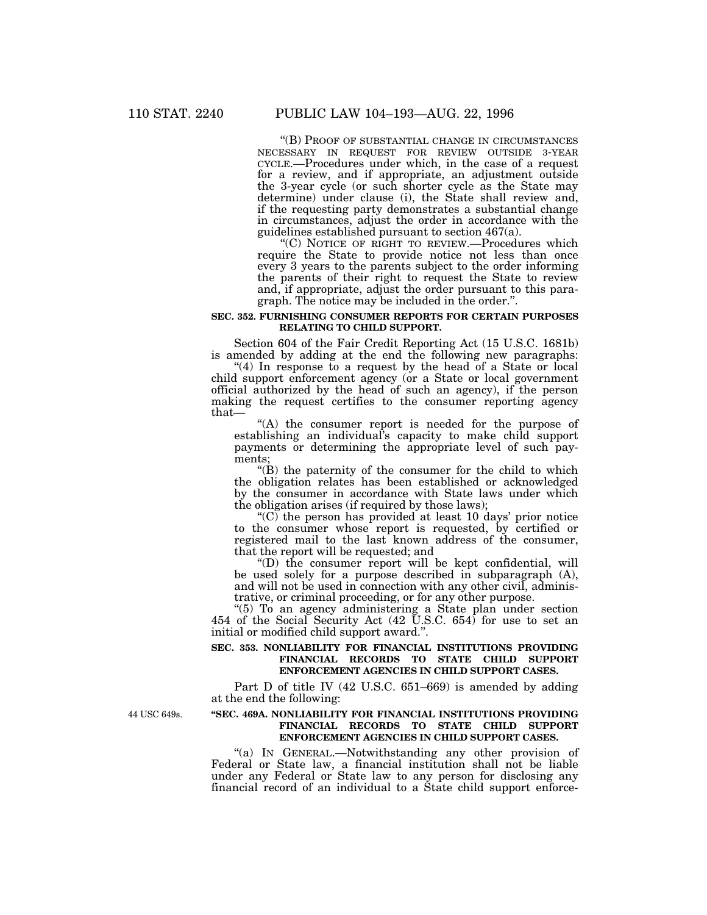''(B) PROOF OF SUBSTANTIAL CHANGE IN CIRCUMSTANCES NECESSARY IN REQUEST FOR REVIEW OUTSIDE 3-YEAR CYCLE.—Procedures under which, in the case of a request for a review, and if appropriate, an adjustment outside the 3-year cycle (or such shorter cycle as the State may determine) under clause (i), the State shall review and, if the requesting party demonstrates a substantial change in circumstances, adjust the order in accordance with the guidelines established pursuant to section 467(a).

"(C) NOTICE OF RIGHT TO REVIEW.—Procedures which require the State to provide notice not less than once every 3 years to the parents subject to the order informing the parents of their right to request the State to review and, if appropriate, adjust the order pursuant to this paragraph. The notice may be included in the order.''.

### **SEC. 352. FURNISHING CONSUMER REPORTS FOR CERTAIN PURPOSES RELATING TO CHILD SUPPORT.**

Section 604 of the Fair Credit Reporting Act (15 U.S.C. 1681b) is amended by adding at the end the following new paragraphs:

" $(4)$  In response to a request by the head of a State or local child support enforcement agency (or a State or local government official authorized by the head of such an agency), if the person making the request certifies to the consumer reporting agency that—

"(A) the consumer report is needed for the purpose of establishing an individual's capacity to make child support payments or determining the appropriate level of such payments;

 $f(B)$  the paternity of the consumer for the child to which the obligation relates has been established or acknowledged by the consumer in accordance with State laws under which the obligation arises (if required by those laws);

 $(C)$  the person has provided at least 10 days' prior notice to the consumer whose report is requested, by certified or registered mail to the last known address of the consumer, that the report will be requested; and

''(D) the consumer report will be kept confidential, will be used solely for a purpose described in subparagraph (A), and will not be used in connection with any other civil, administrative, or criminal proceeding, or for any other purpose.

''(5) To an agency administering a State plan under section 454 of the Social Security Act (42 U.S.C. 654) for use to set an initial or modified child support award.''.

#### **SEC. 353. NONLIABILITY FOR FINANCIAL INSTITUTIONS PROVIDING FINANCIAL RECORDS TO STATE CHILD SUPPORT ENFORCEMENT AGENCIES IN CHILD SUPPORT CASES.**

Part D of title IV (42 U.S.C. 651–669) is amended by adding at the end the following:

44 USC 649s.

# **''SEC. 469A. NONLIABILITY FOR FINANCIAL INSTITUTIONS PROVIDING FINANCIAL RECORDS TO STATE CHILD SUPPORT ENFORCEMENT AGENCIES IN CHILD SUPPORT CASES.**

''(a) IN GENERAL.—Notwithstanding any other provision of Federal or State law, a financial institution shall not be liable under any Federal or State law to any person for disclosing any financial record of an individual to a State child support enforce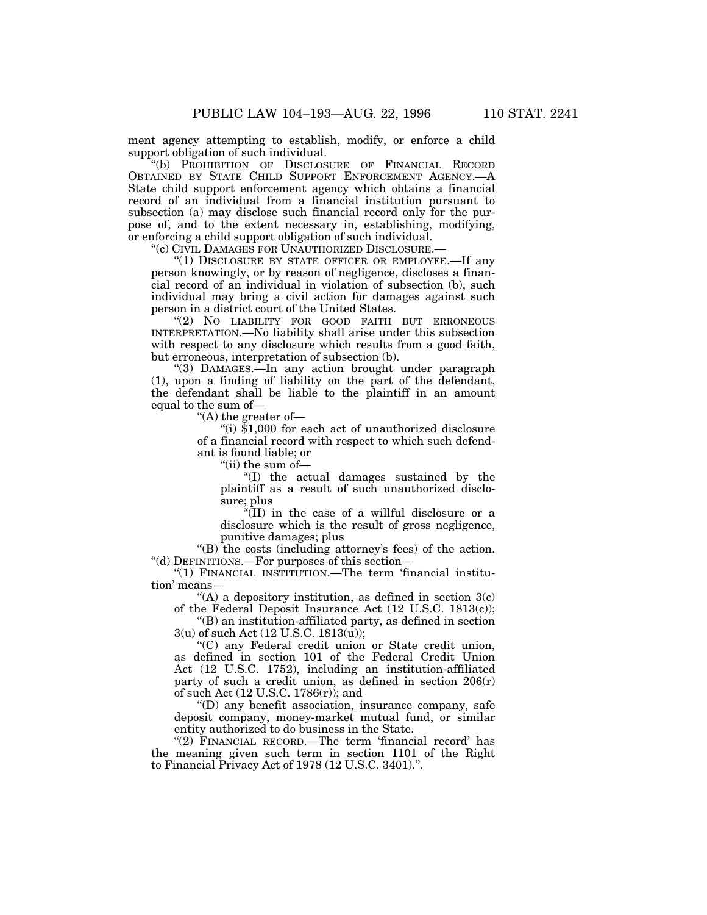ment agency attempting to establish, modify, or enforce a child support obligation of such individual.

''(b) PROHIBITION OF DISCLOSURE OF FINANCIAL RECORD OBTAINED BY STATE CHILD SUPPORT ENFORCEMENT AGENCY.—A State child support enforcement agency which obtains a financial record of an individual from a financial institution pursuant to subsection (a) may disclose such financial record only for the purpose of, and to the extent necessary in, establishing, modifying, or enforcing a child support obligation of such individual.

''(c) CIVIL DAMAGES FOR UNAUTHORIZED DISCLOSURE.—

"(1) DISCLOSURE BY STATE OFFICER OR EMPLOYEE.—If any person knowingly, or by reason of negligence, discloses a financial record of an individual in violation of subsection (b), such individual may bring a civil action for damages against such person in a district court of the United States.

''(2) NO LIABILITY FOR GOOD FAITH BUT ERRONEOUS INTERPRETATION.—No liability shall arise under this subsection with respect to any disclosure which results from a good faith, but erroneous, interpretation of subsection (b).

''(3) DAMAGES.—In any action brought under paragraph (1), upon a finding of liability on the part of the defendant, the defendant shall be liable to the plaintiff in an amount equal to the sum of—

''(A) the greater of—

''(i) \$1,000 for each act of unauthorized disclosure of a financial record with respect to which such defendant is found liable; or

''(ii) the sum of—

''(I) the actual damages sustained by the plaintiff as a result of such unauthorized disclosure; plus

'(II) in the case of a willful disclosure or a disclosure which is the result of gross negligence, punitive damages; plus

 $\mathcal{L}(B)$  the costs (including attorney's fees) of the action. ''(d) DEFINITIONS.—For purposes of this section—

''(1) FINANCIAL INSTITUTION.—The term 'financial institution' means—

"(A) a depository institution, as defined in section  $3(c)$ of the Federal Deposit Insurance Act (12 U.S.C. 1813(c));

''(B) an institution-affiliated party, as defined in section  $3(u)$  of such Act (12 U.S.C. 1813(u));

''(C) any Federal credit union or State credit union, as defined in section 101 of the Federal Credit Union Act (12 U.S.C. 1752), including an institution-affiliated party of such a credit union, as defined in section  $206(r)$ of such Act (12 U.S.C. 1786(r)); and

''(D) any benefit association, insurance company, safe deposit company, money-market mutual fund, or similar entity authorized to do business in the State.

"(2) FINANCIAL RECORD.—The term 'financial record' has the meaning given such term in section 1101 of the Right to Financial Privacy Act of 1978 (12 U.S.C. 3401).''.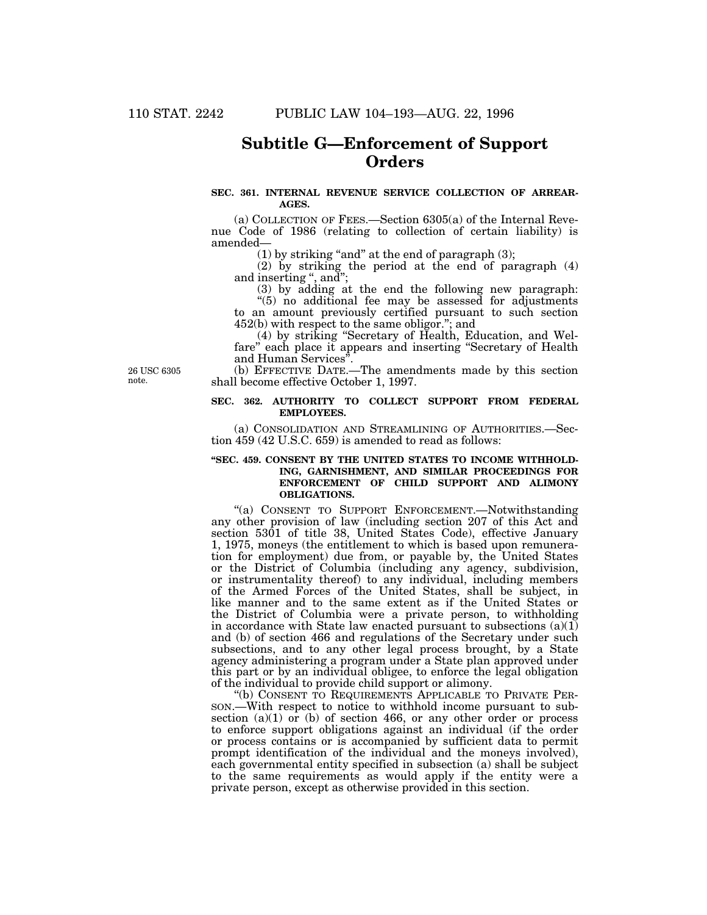# **Subtitle G—Enforcement of Support Orders**

# **SEC. 361. INTERNAL REVENUE SERVICE COLLECTION OF ARREAR-AGES.**

(a) COLLECTION OF FEES.—Section 6305(a) of the Internal Revenue Code of 1986 (relating to collection of certain liability) is amended—

 $(1)$  by striking "and" at the end of paragraph  $(3)$ ;

(2) by striking the period at the end of paragraph (4) and inserting ", and";

(3) by adding at the end the following new paragraph:

''(5) no additional fee may be assessed for adjustments to an amount previously certified pursuant to such section 452(b) with respect to the same obligor.''; and

(4) by striking ''Secretary of Health, Education, and Welfare'' each place it appears and inserting ''Secretary of Health and Human Services''.

26 USC 6305 note.

(b) EFFECTIVE DATE.—The amendments made by this section shall become effective October 1, 1997.

# **SEC. 362. AUTHORITY TO COLLECT SUPPORT FROM FEDERAL EMPLOYEES.**

(a) CONSOLIDATION AND STREAMLINING OF AUTHORITIES.—Section 459 (42 U.S.C. 659) is amended to read as follows:

#### **''SEC. 459. CONSENT BY THE UNITED STATES TO INCOME WITHHOLD-ING, GARNISHMENT, AND SIMILAR PROCEEDINGS FOR ENFORCEMENT OF CHILD SUPPORT AND ALIMONY OBLIGATIONS.**

''(a) CONSENT TO SUPPORT ENFORCEMENT.—Notwithstanding any other provision of law (including section 207 of this Act and section 5301 of title 38, United States Code), effective January 1, 1975, moneys (the entitlement to which is based upon remuneration for employment) due from, or payable by, the United States or the District of Columbia (including any agency, subdivision, or instrumentality thereof) to any individual, including members of the Armed Forces of the United States, shall be subject, in like manner and to the same extent as if the United States or the District of Columbia were a private person, to withholding in accordance with State law enacted pursuant to subsections  $(a)(1)$ and (b) of section 466 and regulations of the Secretary under such subsections, and to any other legal process brought, by a State agency administering a program under a State plan approved under this part or by an individual obligee, to enforce the legal obligation of the individual to provide child support or alimony.

''(b) CONSENT TO REQUIREMENTS APPLICABLE TO PRIVATE PER-SON.—With respect to notice to withhold income pursuant to subsection  $(a)(1)$  or  $(b)$  of section 466, or any other order or process to enforce support obligations against an individual (if the order or process contains or is accompanied by sufficient data to permit prompt identification of the individual and the moneys involved), each governmental entity specified in subsection (a) shall be subject to the same requirements as would apply if the entity were a private person, except as otherwise provided in this section.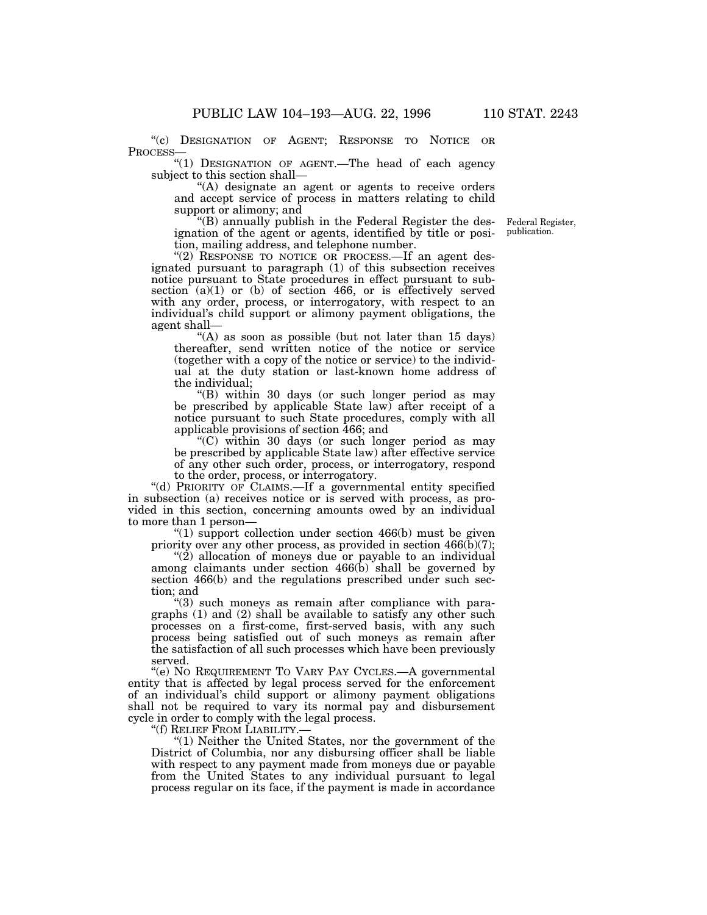''(c) DESIGNATION OF AGENT; RESPONSE TO NOTICE OR PROCESS—

''(1) DESIGNATION OF AGENT.—The head of each agency subject to this section shall—

''(A) designate an agent or agents to receive orders and accept service of process in matters relating to child support or alimony; and

''(B) annually publish in the Federal Register the designation of the agent or agents, identified by title or position, mailing address, and telephone number.

"(2) RESPONSE TO NOTICE OR PROCESS.—If an agent designated pursuant to paragraph (1) of this subsection receives notice pursuant to State procedures in effect pursuant to subsection (a)(1) or (b) of section 466, or is effectively served with any order, process, or interrogatory, with respect to an individual's child support or alimony payment obligations, the agent shall—

"(A) as soon as possible (but not later than  $15$  days) thereafter, send written notice of the notice or service (together with a copy of the notice or service) to the individual at the duty station or last-known home address of the individual;

''(B) within 30 days (or such longer period as may be prescribed by applicable State law) after receipt of a notice pursuant to such State procedures, comply with all applicable provisions of section 466; and

''(C) within 30 days (or such longer period as may be prescribed by applicable State law) after effective service of any other such order, process, or interrogatory, respond to the order, process, or interrogatory.

''(d) PRIORITY OF CLAIMS.—If a governmental entity specified in subsection (a) receives notice or is served with process, as provided in this section, concerning amounts owed by an individual to more than 1 person—

" $(1)$  support collection under section 466 $(b)$  must be given priority over any other process, as provided in section  $466(\bar{b})(7)$ ;

"(2) allocation of moneys due or payable to an individual among claimants under section 466(b) shall be governed by section 466(b) and the regulations prescribed under such section; and

''(3) such moneys as remain after compliance with paragraphs (1) and (2) shall be available to satisfy any other such processes on a first-come, first-served basis, with any such process being satisfied out of such moneys as remain after the satisfaction of all such processes which have been previously served.

''(e) NO REQUIREMENT TO VARY PAY CYCLES.—A governmental entity that is affected by legal process served for the enforcement of an individual's child support or alimony payment obligations shall not be required to vary its normal pay and disbursement cycle in order to comply with the legal process.

''(f) RELIEF FROM LIABILITY.—

''(1) Neither the United States, nor the government of the District of Columbia, nor any disbursing officer shall be liable with respect to any payment made from moneys due or payable from the United States to any individual pursuant to legal process regular on its face, if the payment is made in accordance

Federal Register, publication.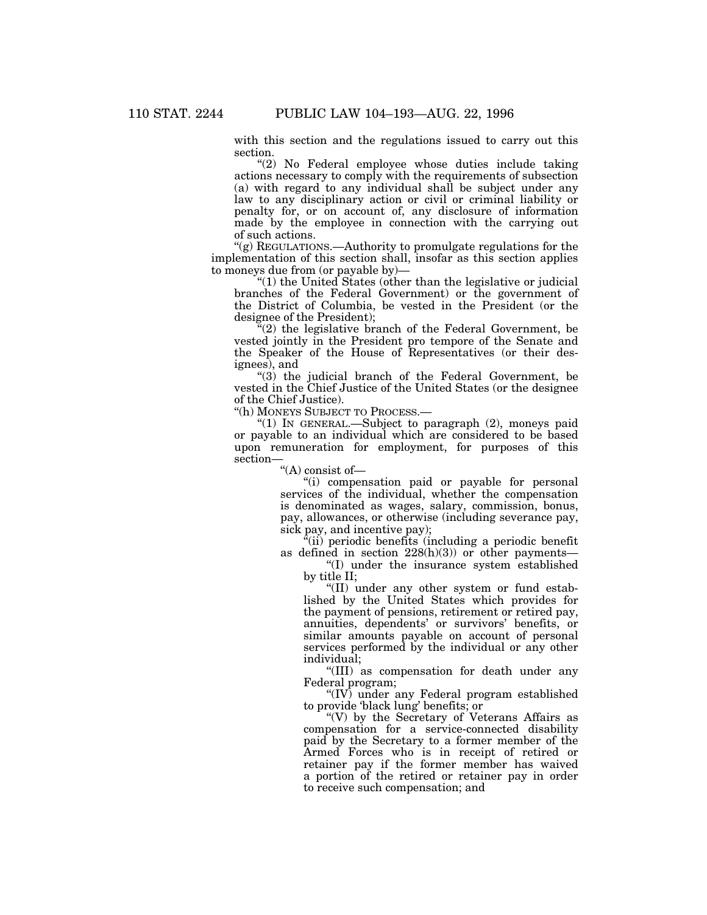with this section and the regulations issued to carry out this section.

"(2) No Federal employee whose duties include taking actions necessary to comply with the requirements of subsection (a) with regard to any individual shall be subject under any law to any disciplinary action or civil or criminal liability or penalty for, or on account of, any disclosure of information made by the employee in connection with the carrying out of such actions.

 $\degree$ (g) REGULATIONS.—Authority to promulgate regulations for the implementation of this section shall, insofar as this section applies to moneys due from (or payable by)—

''(1) the United States (other than the legislative or judicial branches of the Federal Government) or the government of the District of Columbia, be vested in the President (or the designee of the President);

 $\mathcal{L}(2)$  the legislative branch of the Federal Government, be vested jointly in the President pro tempore of the Senate and the Speaker of the House of Representatives (or their designees), and

"(3) the judicial branch of the Federal Government, be vested in the Chief Justice of the United States (or the designee of the Chief Justice).

''(h) MONEYS SUBJECT TO PROCESS.—

"(1) In GENERAL.—Subject to paragraph  $(2)$ , moneys paid or payable to an individual which are considered to be based upon remuneration for employment, for purposes of this section—

''(A) consist of—

''(i) compensation paid or payable for personal services of the individual, whether the compensation is denominated as wages, salary, commission, bonus, pay, allowances, or otherwise (including severance pay, sick pay, and incentive pay);

 $\hat{f}$ (ii) periodic benefits (including a periodic benefit as defined in section 228(h)(3)) or other payments—

''(I) under the insurance system established by title II;

''(II) under any other system or fund established by the United States which provides for the payment of pensions, retirement or retired pay, annuities, dependents' or survivors' benefits, or similar amounts payable on account of personal services performed by the individual or any other individual;

''(III) as compensation for death under any Federal program;

"(IV) under any Federal program established to provide 'black lung' benefits; or

''(V) by the Secretary of Veterans Affairs as compensation for a service-connected disability paid by the Secretary to a former member of the Armed Forces who is in receipt of retired or retainer pay if the former member has waived a portion of the retired or retainer pay in order to receive such compensation; and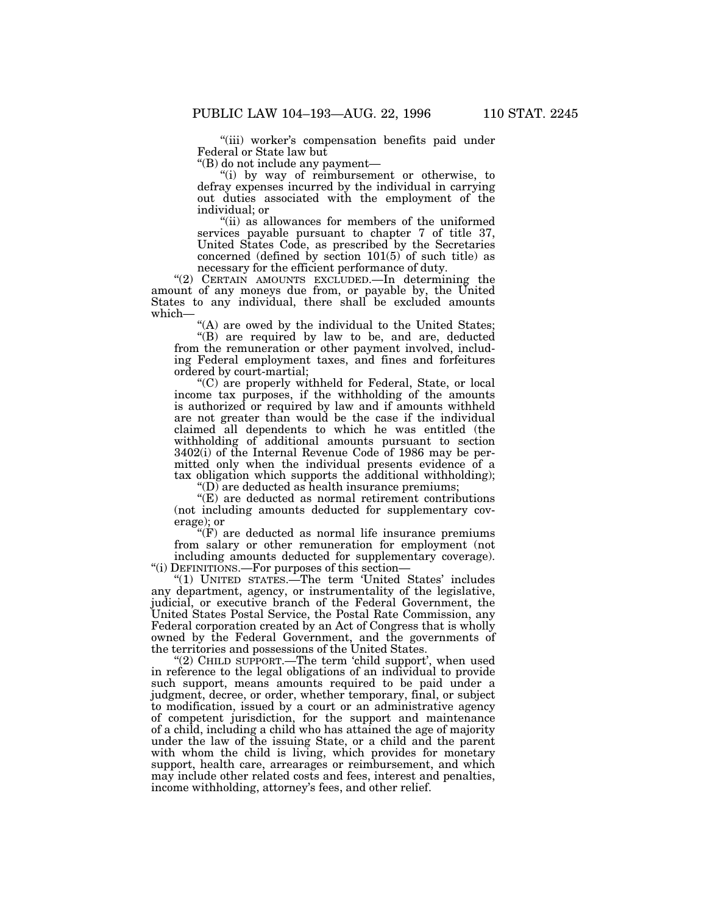''(iii) worker's compensation benefits paid under Federal or State law but

''(B) do not include any payment—

''(i) by way of reimbursement or otherwise, to defray expenses incurred by the individual in carrying out duties associated with the employment of the individual; or

"(ii) as allowances for members of the uniformed services payable pursuant to chapter 7 of title 37, United States Code, as prescribed by the Secretaries concerned (defined by section 101(5) of such title) as necessary for the efficient performance of duty.

"(2) CERTAIN AMOUNTS EXCLUDED. In determining the amount of any moneys due from, or payable by, the United States to any individual, there shall be excluded amounts which—

"(A) are owed by the individual to the United States;

"(B) are required by law to be, and are, deducted from the remuneration or other payment involved, including Federal employment taxes, and fines and forfeitures ordered by court-martial;

''(C) are properly withheld for Federal, State, or local income tax purposes, if the withholding of the amounts is authorized or required by law and if amounts withheld are not greater than would be the case if the individual claimed all dependents to which he was entitled (the withholding of additional amounts pursuant to section 3402(i) of the Internal Revenue Code of 1986 may be permitted only when the individual presents evidence of a tax obligation which supports the additional withholding);

''(D) are deducted as health insurance premiums;

''(E) are deducted as normal retirement contributions (not including amounts deducted for supplementary coverage); or

" $(F)$  are deducted as normal life insurance premiums from salary or other remuneration for employment (not including amounts deducted for supplementary coverage). ''(i) DEFINITIONS.—For purposes of this section—

"(1) UNITED STATES.—The term 'United States' includes any department, agency, or instrumentality of the legislative, judicial, or executive branch of the Federal Government, the United States Postal Service, the Postal Rate Commission, any Federal corporation created by an Act of Congress that is wholly owned by the Federal Government, and the governments of the territories and possessions of the United States.

"(2) CHILD SUPPORT.—The term 'child support', when used in reference to the legal obligations of an individual to provide such support, means amounts required to be paid under a judgment, decree, or order, whether temporary, final, or subject to modification, issued by a court or an administrative agency of competent jurisdiction, for the support and maintenance of a child, including a child who has attained the age of majority under the law of the issuing State, or a child and the parent with whom the child is living, which provides for monetary support, health care, arrearages or reimbursement, and which may include other related costs and fees, interest and penalties, income withholding, attorney's fees, and other relief.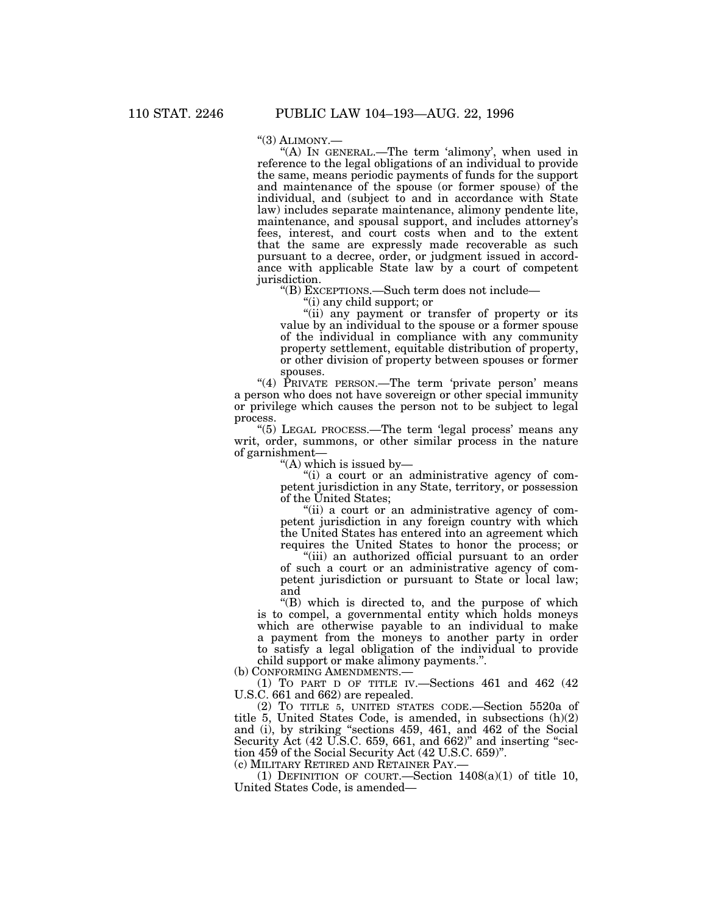"(3) ALIMONY.—<br>"(A) IN GENERAL.—The term 'alimony', when used in reference to the legal obligations of an individual to provide the same, means periodic payments of funds for the support and maintenance of the spouse (or former spouse) of the individual, and (subject to and in accordance with State law) includes separate maintenance, alimony pendente lite, maintenance, and spousal support, and includes attorney's fees, interest, and court costs when and to the extent that the same are expressly made recoverable as such pursuant to a decree, order, or judgment issued in accordance with applicable State law by a court of competent jurisdiction.

''(B) EXCEPTIONS.—Such term does not include—

''(i) any child support; or

"(ii) any payment or transfer of property or its value by an individual to the spouse or a former spouse of the individual in compliance with any community property settlement, equitable distribution of property, or other division of property between spouses or former spouses.

"(4) PRIVATE PERSON.—The term 'private person' means a person who does not have sovereign or other special immunity or privilege which causes the person not to be subject to legal process.

''(5) LEGAL PROCESS.—The term 'legal process' means any writ, order, summons, or other similar process in the nature of garnishment—

 $(A)$  which is issued by-

"(i) a court or an administrative agency of competent jurisdiction in any State, territory, or possession of the United States;

"(ii) a court or an administrative agency of competent jurisdiction in any foreign country with which the United States has entered into an agreement which requires the United States to honor the process; or

''(iii) an authorized official pursuant to an order of such a court or an administrative agency of competent jurisdiction or pursuant to State or local law; and

''(B) which is directed to, and the purpose of which is to compel, a governmental entity which holds moneys which are otherwise payable to an individual to make a payment from the moneys to another party in order to satisfy a legal obligation of the individual to provide child support or make alimony payments.''.

(b) CONFORMING AMENDMENTS.—

(1) TO PART D OF TITLE IV.—Sections 461 and 462 (42 U.S.C. 661 and 662) are repealed.

(2) TO TITLE 5, UNITED STATES CODE.—Section 5520a of title 5, United States Code, is amended, in subsections (h)(2) and (i), by striking ''sections 459, 461, and 462 of the Social Security Act (42 U.S.C. 659, 661, and 662)'' and inserting ''section 459 of the Social Security Act (42 U.S.C. 659)''.

(c) MILITARY RETIRED AND RETAINER PAY.—

(1) DEFINITION OF COURT.—Section 1408(a)(1) of title 10, United States Code, is amended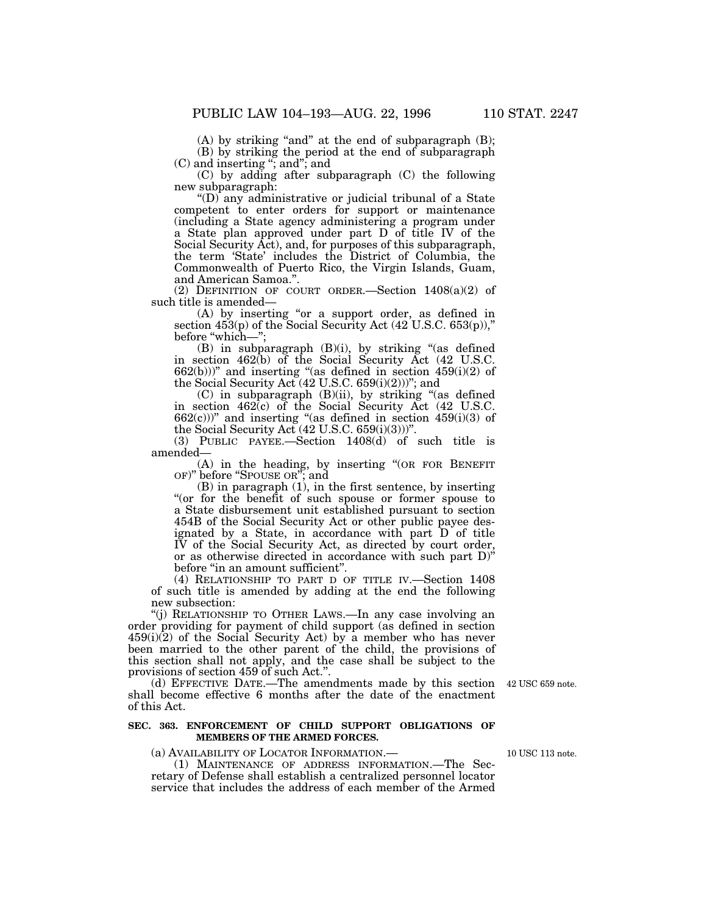$(A)$  by striking "and" at the end of subparagraph  $(B)$ ; (B) by striking the period at the end of subparagraph

(C) and inserting ''; and''; and

(C) by adding after subparagraph (C) the following new subparagraph:

''(D) any administrative or judicial tribunal of a State competent to enter orders for support or maintenance (including a State agency administering a program under a State plan approved under part D of title IV of the Social Security Act), and, for purposes of this subparagraph, the term 'State' includes the District of Columbia, the Commonwealth of Puerto Rico, the Virgin Islands, Guam, and American Samoa.''.

(2) DEFINITION OF COURT ORDER.—Section 1408(a)(2) of such title is amended—

(A) by inserting ''or a support order, as defined in section  $453(p)$  of the Social Security Act  $(42 \text{ U.S.C. } 653(p))$ ," before "which-";

(B) in subparagraph (B)(i), by striking ''(as defined in section 462(b) of the Social Security Act (42 U.S.C.  $662(b))$ " and inserting "(as defined in section  $459(i)(2)$  of the Social Security Act  $(42$  U.S.C.  $659(i)(2))$ "; and

(C) in subparagraph (B)(ii), by striking ''(as defined in section 462(c) of the Social Security Act (42 U.S.C.  $662(c)$ )" and inserting "(as defined in section  $459(i)(3)$  of the Social Security Act  $(42 \text{ U.S.C. } 659(i)(3)))$ ".

(3) PUBLIC PAYEE.—Section 1408(d) of such title is amended—

(A) in the heading, by inserting ''(OR FOR BENEFIT OF)'' before ''SPOUSE OR''; and

(B) in paragraph (1), in the first sentence, by inserting ''(or for the benefit of such spouse or former spouse to a State disbursement unit established pursuant to section 454B of the Social Security Act or other public payee designated by a State, in accordance with part D of title IV of the Social Security Act, as directed by court order, or as otherwise directed in accordance with such part D)'' before "in an amount sufficient".

(4) RELATIONSHIP TO PART D OF TITLE IV.—Section 1408 of such title is amended by adding at the end the following new subsection:

''(j) RELATIONSHIP TO OTHER LAWS.—In any case involving an order providing for payment of child support (as defined in section  $459(i)\overline{2}$  of the Social Security Act) by a member who has never been married to the other parent of the child, the provisions of this section shall not apply, and the case shall be subject to the provisions of section 459 of such Act.''.

(d) EFFECTIVE DATE.—The amendments made by this section 42 USC 659 note.shall become effective 6 months after the date of the enactment

#### **SEC. 363. ENFORCEMENT OF CHILD SUPPORT OBLIGATIONS OF MEMBERS OF THE ARMED FORCES.**

(a) AVAILABILITY OF LOCATOR INFORMATION.—

of this Act.

(1) MAINTENANCE OF ADDRESS INFORMATION.—The Secretary of Defense shall establish a centralized personnel locator service that includes the address of each member of the Armed

10 USC 113 note.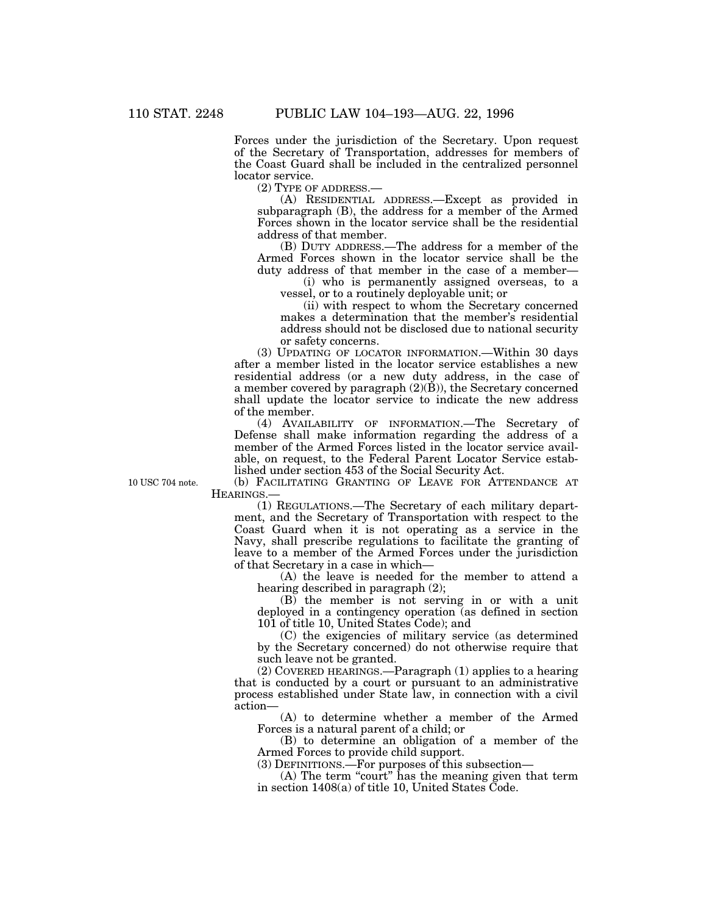Forces under the jurisdiction of the Secretary. Upon request of the Secretary of Transportation, addresses for members of the Coast Guard shall be included in the centralized personnel locator service.

(2) TYPE OF ADDRESS.—

(A) RESIDENTIAL ADDRESS.—Except as provided in subparagraph (B), the address for a member of the Armed Forces shown in the locator service shall be the residential address of that member.

(B) DUTY ADDRESS.—The address for a member of the Armed Forces shown in the locator service shall be the duty address of that member in the case of a member—

(i) who is permanently assigned overseas, to a vessel, or to a routinely deployable unit; or

(ii) with respect to whom the Secretary concerned makes a determination that the member's residential address should not be disclosed due to national security or safety concerns.

(3) UPDATING OF LOCATOR INFORMATION.—Within 30 days after a member listed in the locator service establishes a new residential address (or a new duty address, in the case of a member covered by paragraph  $(2)(\check{B})$ , the Secretary concerned shall update the locator service to indicate the new address of the member.

(4) AVAILABILITY OF INFORMATION.—The Secretary of Defense shall make information regarding the address of a member of the Armed Forces listed in the locator service available, on request, to the Federal Parent Locator Service established under section 453 of the Social Security Act.

10 USC 704 note.

(b) FACILITATING GRANTING OF LEAVE FOR ATTENDANCE AT HEARINGS.—

(1) REGULATIONS.—The Secretary of each military department, and the Secretary of Transportation with respect to the Coast Guard when it is not operating as a service in the Navy, shall prescribe regulations to facilitate the granting of leave to a member of the Armed Forces under the jurisdiction of that Secretary in a case in which—

(A) the leave is needed for the member to attend a hearing described in paragraph (2);

(B) the member is not serving in or with a unit deployed in a contingency operation (as defined in section 101 of title 10, United States Code); and

(C) the exigencies of military service (as determined by the Secretary concerned) do not otherwise require that such leave not be granted.

(2) COVERED HEARINGS.—Paragraph (1) applies to a hearing that is conducted by a court or pursuant to an administrative process established under State law, in connection with a civil action—

(A) to determine whether a member of the Armed Forces is a natural parent of a child; or

(B) to determine an obligation of a member of the Armed Forces to provide child support.

(3) DEFINITIONS.—For purposes of this subsection—

(A) The term "court" has the meaning given that term in section 1408(a) of title 10, United States Code.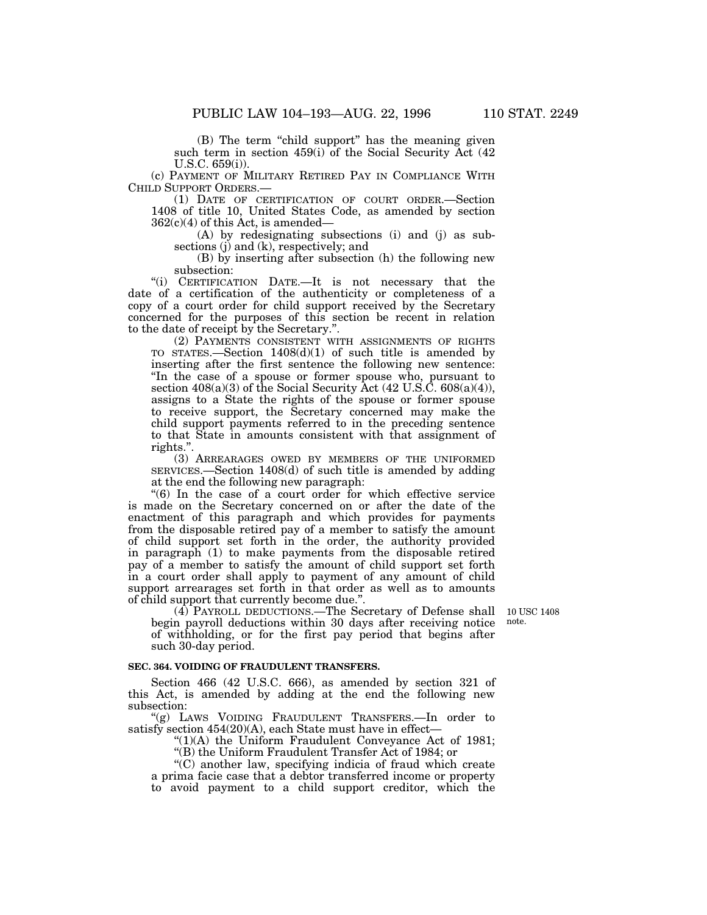(B) The term "child support" has the meaning given such term in section 459(i) of the Social Security Act (42)

U.S.C. 659(i)).

(c) PAYMENT OF MILITARY RETIRED PAY IN COMPLIANCE WITH CHILD SUPPORT ORDERS.—

(1) DATE OF CERTIFICATION OF COURT ORDER.—Section 1408 of title 10, United States Code, as amended by section  $362(c)(4)$  of this Act, is amended—

(A) by redesignating subsections (i) and (j) as subsections (j) and (k), respectively; and

(B) by inserting after subsection (h) the following new subsection:

''(i) CERTIFICATION DATE.—It is not necessary that the date of a certification of the authenticity or completeness of a copy of a court order for child support received by the Secretary concerned for the purposes of this section be recent in relation to the date of receipt by the Secretary.''.

(2) PAYMENTS CONSISTENT WITH ASSIGNMENTS OF RIGHTS TO STATES.—Section 1408(d)(1) of such title is amended by inserting after the first sentence the following new sentence: ''In the case of a spouse or former spouse who, pursuant to section  $408(a)(3)$  of the Social Security Act  $(42 \text{ U.S.} \hat{C} \cdot 608(a)(4)),$ assigns to a State the rights of the spouse or former spouse to receive support, the Secretary concerned may make the child support payments referred to in the preceding sentence to that State in amounts consistent with that assignment of rights.''.

(3) ARREARAGES OWED BY MEMBERS OF THE UNIFORMED SERVICES.—Section 1408(d) of such title is amended by adding at the end the following new paragraph:

"(6) In the case of a court order for which effective service is made on the Secretary concerned on or after the date of the enactment of this paragraph and which provides for payments from the disposable retired pay of a member to satisfy the amount of child support set forth in the order, the authority provided in paragraph (1) to make payments from the disposable retired pay of a member to satisfy the amount of child support set forth in a court order shall apply to payment of any amount of child support arrearages set forth in that order as well as to amounts of child support that currently become due.''.

(4) PAYROLL DEDUCTIONS.—The Secretary of Defense shall 10 USC 1408 begin payroll deductions within 30 days after receiving notice note. of withholding, or for the first pay period that begins after such 30-day period.

## **SEC. 364. VOIDING OF FRAUDULENT TRANSFERS.**

Section 466 (42 U.S.C. 666), as amended by section 321 of this Act, is amended by adding at the end the following new subsection:

"(g) LAWS VOIDING FRAUDULENT TRANSFERS.—In order to satisfy section 454(20)(A), each State must have in effect—

> " $(1)(A)$  the Uniform Fraudulent Conveyance Act of 1981; ''(B) the Uniform Fraudulent Transfer Act of 1984; or

''(C) another law, specifying indicia of fraud which create

a prima facie case that a debtor transferred income or property to avoid payment to a child support creditor, which the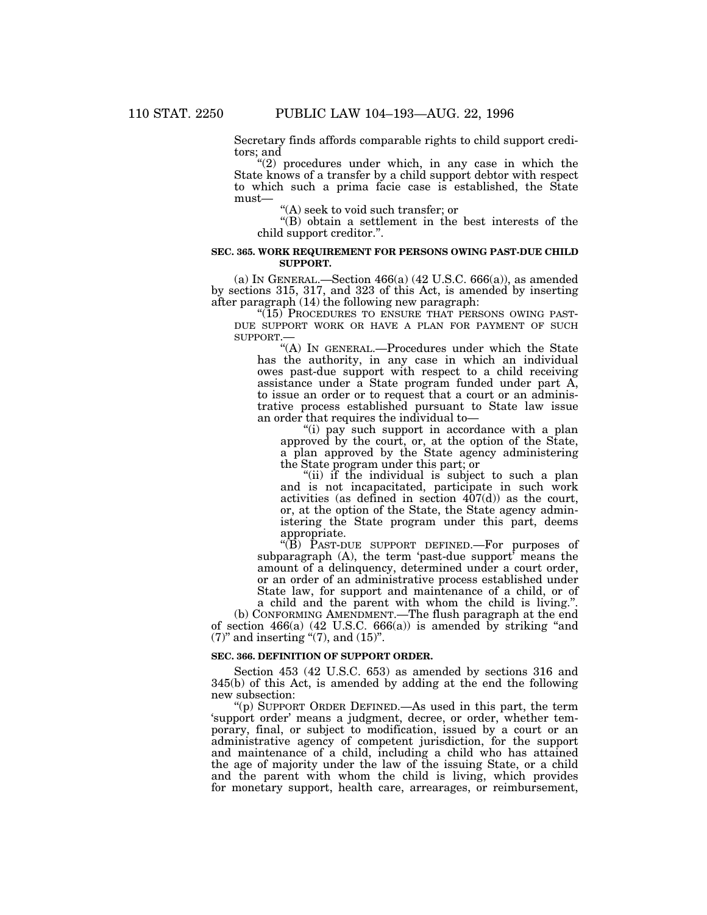Secretary finds affords comparable rights to child support creditors; and

"(2) procedures under which, in any case in which the State knows of a transfer by a child support debtor with respect to which such a prima facie case is established, the State must—

''(A) seek to void such transfer; or

''(B) obtain a settlement in the best interests of the child support creditor.''.

#### **SEC. 365. WORK REQUIREMENT FOR PERSONS OWING PAST-DUE CHILD SUPPORT.**

(a) In GENERAL.—Section  $466(a)$  (42 U.S.C. 666(a)), as amended by sections 315, 317, and 323 of this Act, is amended by inserting after paragraph (14) the following new paragraph:

"(15) PROCEDURES TO ENSURE THAT PERSONS OWING PAST-DUE SUPPORT WORK OR HAVE A PLAN FOR PAYMENT OF SUCH SUPPORT.—

"(A) IN GENERAL.—Procedures under which the State has the authority, in any case in which an individual owes past-due support with respect to a child receiving assistance under a State program funded under part A, to issue an order or to request that a court or an administrative process established pursuant to State law issue an order that requires the individual to—

"(i) pay such support in accordance with a plan approved by the court, or, at the option of the State, a plan approved by the State agency administering the State program under this part; or

"(ii) if the individual is subject to such a plan and is not incapacitated, participate in such work activities (as defined in section  $407(d)$ ) as the court, or, at the option of the State, the State agency administering the State program under this part, deems appropriate.

''(B) PAST-DUE SUPPORT DEFINED.—For purposes of subparagraph (A), the term 'past-due support' means the amount of a delinquency, determined under a court order, or an order of an administrative process established under State law, for support and maintenance of a child, or of a child and the parent with whom the child is living.

(b) CONFORMING AMENDMENT.—The flush paragraph at the end of section 466(a) (42 U.S.C. 666(a)) is amended by striking ''and  $(7)$ " and inserting " $(7)$ , and  $(15)$ ".

#### **SEC. 366. DEFINITION OF SUPPORT ORDER.**

Section 453 (42 U.S.C. 653) as amended by sections 316 and 345(b) of this Act, is amended by adding at the end the following new subsection:

''(p) SUPPORT ORDER DEFINED.—As used in this part, the term 'support order' means a judgment, decree, or order, whether temporary, final, or subject to modification, issued by a court or an administrative agency of competent jurisdiction, for the support and maintenance of a child, including a child who has attained the age of majority under the law of the issuing State, or a child and the parent with whom the child is living, which provides for monetary support, health care, arrearages, or reimbursement,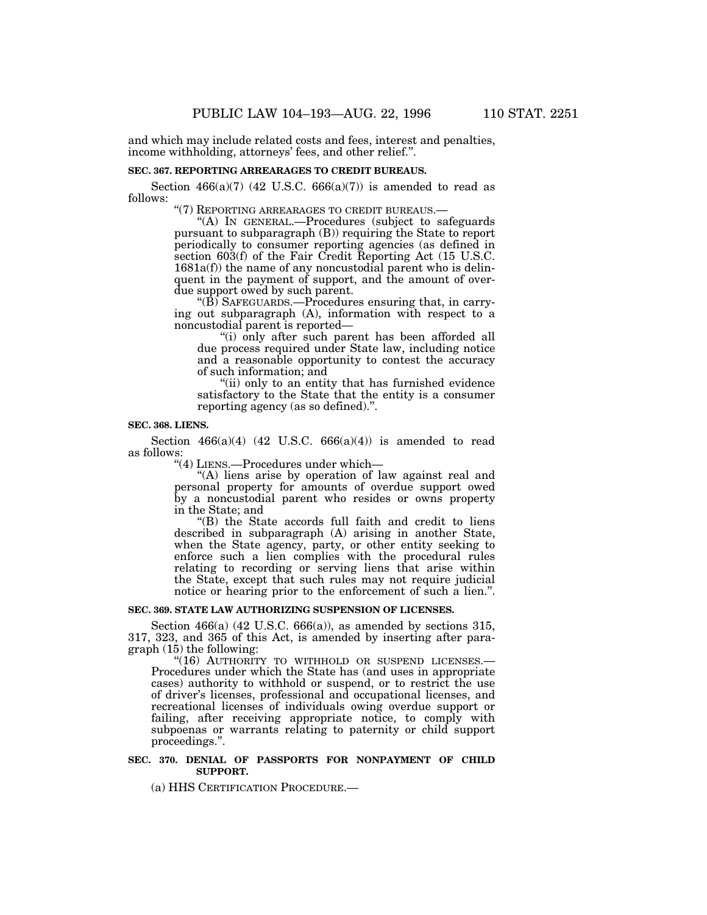#### **SEC. 367. REPORTING ARREARAGES TO CREDIT BUREAUS.**

Section  $466(a)(7)$  (42 U.S.C.  $666(a)(7)$ ) is amended to read as follows:

''(7) REPORTING ARREARAGES TO CREDIT BUREAUS.—

''(A) IN GENERAL.—Procedures (subject to safeguards pursuant to subparagraph (B)) requiring the State to report periodically to consumer reporting agencies (as defined in section 603(f) of the Fair Credit Reporting Act (15 U.S.C.  $1681a(f)$  the name of any noncustodial parent who is delinquent in the payment of support, and the amount of overdue support owed by such parent.

" $(\overline{B})$  SAFEGUARDS.—Procedures ensuring that, in carrying out subparagraph (A), information with respect to a noncustodial parent is reported—

''(i) only after such parent has been afforded all due process required under State law, including notice and a reasonable opportunity to contest the accuracy of such information; and

''(ii) only to an entity that has furnished evidence satisfactory to the State that the entity is a consumer reporting agency (as so defined).''.

## **SEC. 368. LIENS.**

Section  $466(a)(4)$  (42 U.S.C.  $666(a)(4)$ ) is amended to read as follows:

''(4) LIENS.—Procedures under which—

"(A) liens arise by operation of law against real and personal property for amounts of overdue support owed by a noncustodial parent who resides or owns property in the State; and

''(B) the State accords full faith and credit to liens described in subparagraph (A) arising in another State, when the State agency, party, or other entity seeking to enforce such a lien complies with the procedural rules relating to recording or serving liens that arise within the State, except that such rules may not require judicial notice or hearing prior to the enforcement of such a lien.''.

#### **SEC. 369. STATE LAW AUTHORIZING SUSPENSION OF LICENSES.**

Section 466(a) (42 U.S.C. 666(a)), as amended by sections 315, 317, 323, and 365 of this Act, is amended by inserting after paragraph (15) the following:

"(16) AUTHORITY TO WITHHOLD OR SUSPEND LICENSES.— Procedures under which the State has (and uses in appropriate cases) authority to withhold or suspend, or to restrict the use of driver's licenses, professional and occupational licenses, and recreational licenses of individuals owing overdue support or failing, after receiving appropriate notice, to comply with subpoenas or warrants relating to paternity or child support proceedings.''.

#### **SEC. 370. DENIAL OF PASSPORTS FOR NONPAYMENT OF CHILD SUPPORT.**

(a) HHS CERTIFICATION PROCEDURE.—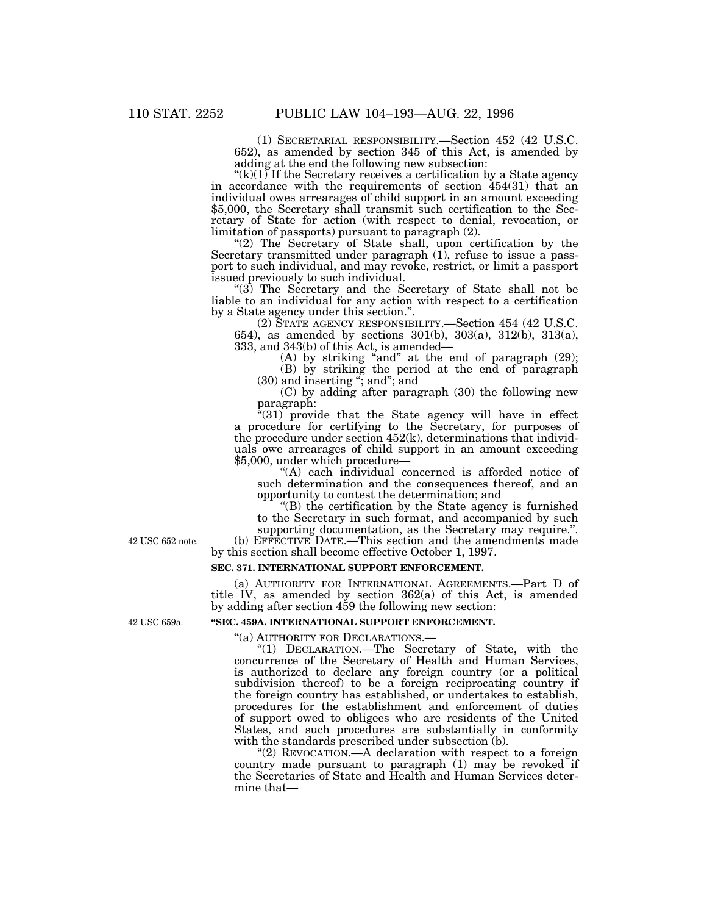(1) SECRETARIAL RESPONSIBILITY.—Section 452 (42 U.S.C. 652), as amended by section 345 of this Act, is amended by adding at the end the following new subsection:

" $(k)(1)$  If the Secretary receives a certification by a State agency in accordance with the requirements of section 454(31) that an individual owes arrearages of child support in an amount exceeding \$5,000, the Secretary shall transmit such certification to the Secretary of State for action (with respect to denial, revocation, or limitation of passports) pursuant to paragraph (2).

''(2) The Secretary of State shall, upon certification by the Secretary transmitted under paragraph (1), refuse to issue a passport to such individual, and may revoke, restrict, or limit a passport issued previously to such individual.

''(3) The Secretary and the Secretary of State shall not be liable to an individual for any action with respect to a certification by a State agency under this section.''.

(2) STATE AGENCY RESPONSIBILITY.—Section 454 (42 U.S.C. 654), as amended by sections 301(b), 303(a), 312(b), 313(a), 333, and 343(b) of this Act, is amended—

(A) by striking "and" at the end of paragraph (29); (B) by striking the period at the end of paragraph

(30) and inserting ''; and''; and

(C) by adding after paragraph (30) the following new paragraph:

"(31) provide that the State agency will have in effect a procedure for certifying to the Secretary, for purposes of the procedure under section 452(k), determinations that individuals owe arrearages of child support in an amount exceeding \$5,000, under which procedure—

''(A) each individual concerned is afforded notice of such determination and the consequences thereof, and an opportunity to contest the determination; and

''(B) the certification by the State agency is furnished to the Secretary in such format, and accompanied by such supporting documentation, as the Secretary may require.".

42 USC 652 note.

(b) EFFECTIVE DATE.—This section and the amendments made by this section shall become effective October 1, 1997.

## **SEC. 371. INTERNATIONAL SUPPORT ENFORCEMENT.**

(a) AUTHORITY FOR INTERNATIONAL AGREEMENTS.—Part D of title IV, as amended by section 362(a) of this Act, is amended by adding after section 459 the following new section:

#### **''SEC. 459A. INTERNATIONAL SUPPORT ENFORCEMENT.**

''(a) AUTHORITY FOR DECLARATIONS.— ''(1) DECLARATION.—The Secretary of State, with the concurrence of the Secretary of Health and Human Services, is authorized to declare any foreign country (or a political subdivision thereof) to be a foreign reciprocating country if the foreign country has established, or undertakes to establish, procedures for the establishment and enforcement of duties of support owed to obligees who are residents of the United States, and such procedures are substantially in conformity with the standards prescribed under subsection (b).

"(2) REVOCATION.—A declaration with respect to a foreign country made pursuant to paragraph (1) may be revoked if the Secretaries of State and Health and Human Services determine that—

42 USC 659a.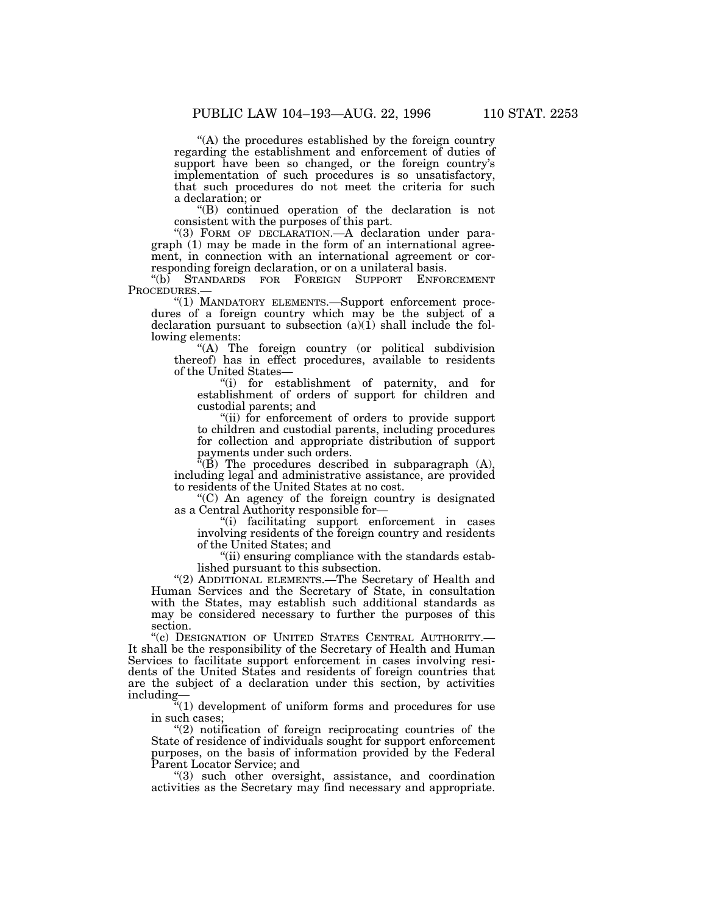''(A) the procedures established by the foreign country regarding the establishment and enforcement of duties of support have been so changed, or the foreign country's implementation of such procedures is so unsatisfactory, that such procedures do not meet the criteria for such a declaration; or

''(B) continued operation of the declaration is not consistent with the purposes of this part.

''(3) FORM OF DECLARATION.—A declaration under paragraph (1) may be made in the form of an international agreement, in connection with an international agreement or corresponding foreign declaration, or on a unilateral basis.

''(b) STANDARDS FOR FOREIGN SUPPORT ENFORCEMENT PROCEDURES.—

''(1) MANDATORY ELEMENTS.—Support enforcement procedures of a foreign country which may be the subject of a declaration pursuant to subsection  $(a)(1)$  shall include the following elements:

''(A) The foreign country (or political subdivision thereof) has in effect procedures, available to residents of the United States—

''(i) for establishment of paternity, and for establishment of orders of support for children and custodial parents; and

"(ii) for enforcement of orders to provide support to children and custodial parents, including procedures for collection and appropriate distribution of support payments under such orders.

 $f(B)$  The procedures described in subparagraph  $(A)$ , including legal and administrative assistance, are provided to residents of the United States at no cost.

''(C) An agency of the foreign country is designated as a Central Authority responsible for—

''(i) facilitating support enforcement in cases involving residents of the foreign country and residents of the United States; and

''(ii) ensuring compliance with the standards established pursuant to this subsection.

"(2) ADDITIONAL ELEMENTS.—The Secretary of Health and Human Services and the Secretary of State, in consultation with the States, may establish such additional standards as may be considered necessary to further the purposes of this section.

"(c) DESIGNATION OF UNITED STATES CENTRAL AUTHORITY.— It shall be the responsibility of the Secretary of Health and Human Services to facilitate support enforcement in cases involving residents of the United States and residents of foreign countries that are the subject of a declaration under this section, by activities including—

 $\sqrt[4]{(1)}$  development of uniform forms and procedures for use in such cases;

"(2) notification of foreign reciprocating countries of the State of residence of individuals sought for support enforcement purposes, on the basis of information provided by the Federal Parent Locator Service; and

''(3) such other oversight, assistance, and coordination activities as the Secretary may find necessary and appropriate.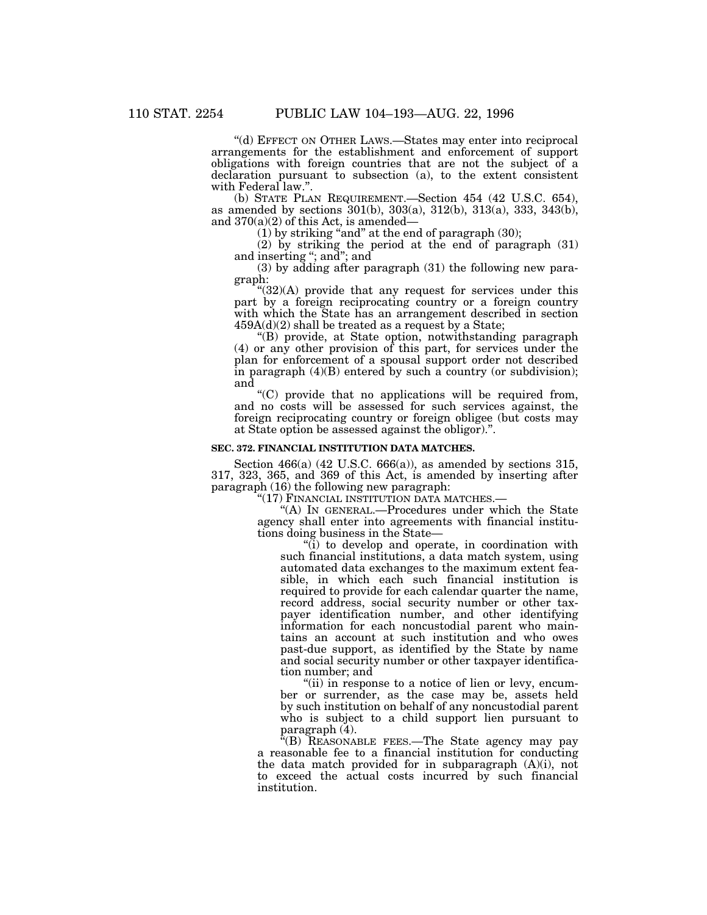''(d) EFFECT ON OTHER LAWS.—States may enter into reciprocal arrangements for the establishment and enforcement of support obligations with foreign countries that are not the subject of a declaration pursuant to subsection (a), to the extent consistent with Federal law.".

(b) STATE PLAN REQUIREMENT.—Section 454 (42 U.S.C. 654), as amended by sections 301(b), 303(a), 312(b), 313(a), 333, 343(b), and  $370(a)(2)$  of this Act, is amended–

 $(1)$  by striking "and" at the end of paragraph  $(30)$ ;

(2) by striking the period at the end of paragraph (31) and inserting ''; and''; and

(3) by adding after paragraph (31) the following new paragraph:

 $"(32)(A)$  provide that any request for services under this part by a foreign reciprocating country or a foreign country with which the State has an arrangement described in section  $459A(d)(2)$  shall be treated as a request by a State;

''(B) provide, at State option, notwithstanding paragraph (4) or any other provision of this part, for services under the plan for enforcement of a spousal support order not described in paragraph  $(4)(B)$  entered by such a country (or subdivision); and

''(C) provide that no applications will be required from, and no costs will be assessed for such services against, the foreign reciprocating country or foreign obligee (but costs may at State option be assessed against the obligor).''.

#### **SEC. 372. FINANCIAL INSTITUTION DATA MATCHES.**

Section 466(a) (42 U.S.C. 666(a)), as amended by sections 315, 317, 323, 365, and 369 of this Act, is amended by inserting after paragraph (16) the following new paragraph:

"(17) FINANCIAL INSTITUTION DATA MATCHES.-

''(A) IN GENERAL.—Procedures under which the State agency shall enter into agreements with financial institutions doing business in the State—

 $\sqrt[4]{i}$  to develop and operate, in coordination with such financial institutions, a data match system, using automated data exchanges to the maximum extent feasible, in which each such financial institution is required to provide for each calendar quarter the name, record address, social security number or other taxpayer identification number, and other identifying information for each noncustodial parent who maintains an account at such institution and who owes past-due support, as identified by the State by name and social security number or other taxpayer identification number; and

"(ii) in response to a notice of lien or levy, encumber or surrender, as the case may be, assets held by such institution on behalf of any noncustodial parent who is subject to a child support lien pursuant to paragraph (4).

''(B) REASONABLE FEES.—The State agency may pay a reasonable fee to a financial institution for conducting the data match provided for in subparagraph  $(A)(i)$ , not to exceed the actual costs incurred by such financial institution.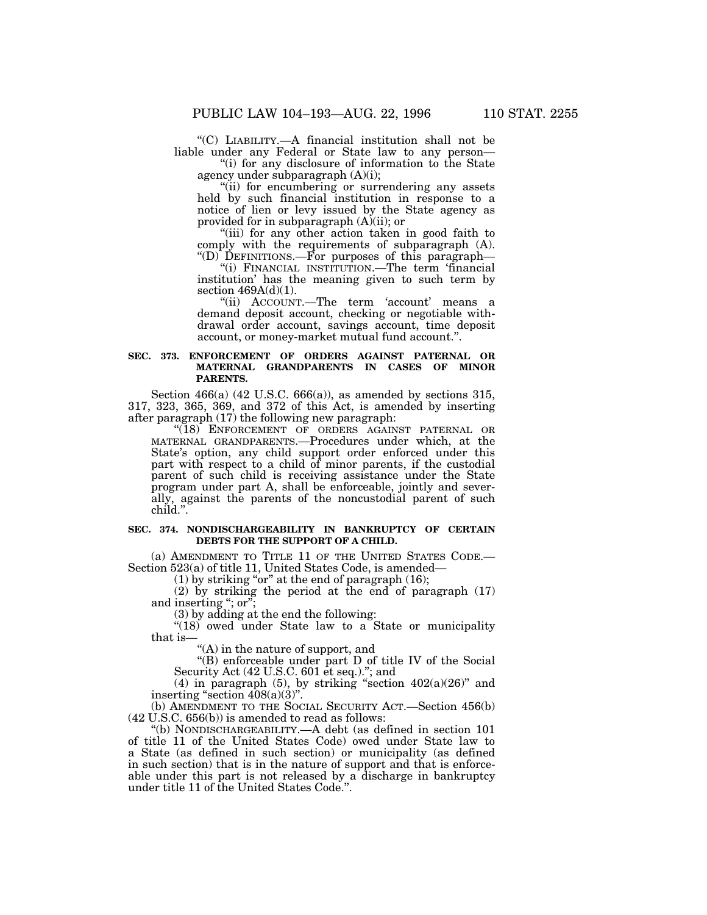''(C) LIABILITY.—A financial institution shall not be liable under any Federal or State law to any person— ''(i) for any disclosure of information to the State

agency under subparagraph (A)(i);

"(ii) for encumbering or surrendering any assets held by such financial institution in response to a notice of lien or levy issued by the State agency as provided for in subparagraph (A)(ii); or

''(iii) for any other action taken in good faith to comply with the requirements of subparagraph (A). ''(D) DEFINITIONS.—For purposes of this paragraph—

''(i) FINANCIAL INSTITUTION.—The term 'financial institution' has the meaning given to such term by section  $469A(d)(1)$ .

''(ii) ACCOUNT.—The term 'account' means a demand deposit account, checking or negotiable withdrawal order account, savings account, time deposit account, or money-market mutual fund account.''.

#### **SEC. 373. ENFORCEMENT OF ORDERS AGAINST PATERNAL OR MATERNAL GRANDPARENTS IN CASES OF MINOR PARENTS.**

Section 466(a) (42 U.S.C. 666(a)), as amended by sections 315, 317, 323, 365, 369, and 372 of this Act, is amended by inserting after paragraph (17) the following new paragraph:

''(18) ENFORCEMENT OF ORDERS AGAINST PATERNAL OR MATERNAL GRANDPARENTS.—Procedures under which, at the State's option, any child support order enforced under this part with respect to a child of minor parents, if the custodial parent of such child is receiving assistance under the State program under part A, shall be enforceable, jointly and severally, against the parents of the noncustodial parent of such child.''.

## **SEC. 374. NONDISCHARGEABILITY IN BANKRUPTCY OF CERTAIN DEBTS FOR THE SUPPORT OF A CHILD.**

(a) AMENDMENT TO TITLE 11 OF THE UNITED STATES CODE.— Section 523(a) of title 11, United States Code, is amended—

(1) by striking "or" at the end of paragraph  $(16)$ ;

(2) by striking the period at the end of paragraph (17) and inserting "; or";

(3) by adding at the end the following:

"(18) owed under State law to a State or municipality that is—

''(A) in the nature of support, and

''(B) enforceable under part D of title IV of the Social Security Act (42 U.S.C. 601 et seq.).''; and

(4) in paragraph (5), by striking "section  $402(a)(26)$ " and inserting "section  $408(a)(3)$ ".

(b) AMENDMENT TO THE SOCIAL SECURITY ACT.—Section 456(b)  $(42 \text{ U.S.C. } 656(b))$  is amended to read as follows:

''(b) NONDISCHARGEABILITY.—A debt (as defined in section 101 of title 11 of the United States Code) owed under State law to a State (as defined in such section) or municipality (as defined in such section) that is in the nature of support and that is enforceable under this part is not released by a discharge in bankruptcy under title 11 of the United States Code.''.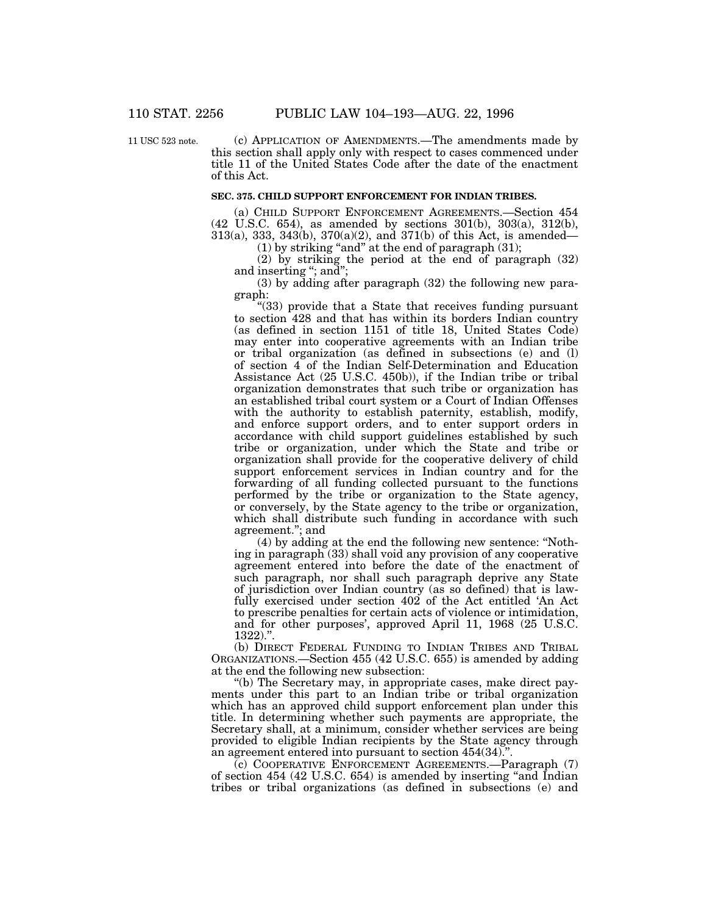11 USC 523 note.

(c) APPLICATION OF AMENDMENTS.—The amendments made by this section shall apply only with respect to cases commenced under title 11 of the United States Code after the date of the enactment of this Act.

## **SEC. 375. CHILD SUPPORT ENFORCEMENT FOR INDIAN TRIBES.**

(a) CHILD SUPPORT ENFORCEMENT AGREEMENTS.—Section 454 (42 U.S.C. 654), as amended by sections 301(b), 303(a), 312(b), 313(a), 333, 343(b), 370(a)(2), and 371(b) of this Act, is amended—

 $(1)$  by striking "and" at the end of paragraph  $(31)$ ;

(2) by striking the period at the end of paragraph (32) and inserting "; and";

(3) by adding after paragraph (32) the following new paragraph:

''(33) provide that a State that receives funding pursuant to section 428 and that has within its borders Indian country (as defined in section 1151 of title 18, United States Code) may enter into cooperative agreements with an Indian tribe or tribal organization (as defined in subsections (e) and (l) of section 4 of the Indian Self-Determination and Education Assistance Act (25 U.S.C. 450b)), if the Indian tribe or tribal organization demonstrates that such tribe or organization has an established tribal court system or a Court of Indian Offenses with the authority to establish paternity, establish, modify, and enforce support orders, and to enter support orders in accordance with child support guidelines established by such tribe or organization, under which the State and tribe or organization shall provide for the cooperative delivery of child support enforcement services in Indian country and for the forwarding of all funding collected pursuant to the functions performed by the tribe or organization to the State agency, or conversely, by the State agency to the tribe or organization, which shall distribute such funding in accordance with such agreement.''; and

(4) by adding at the end the following new sentence: ''Nothing in paragraph (33) shall void any provision of any cooperative agreement entered into before the date of the enactment of such paragraph, nor shall such paragraph deprive any State of jurisdiction over Indian country (as so defined) that is lawfully exercised under section 402 of the Act entitled 'An Act to prescribe penalties for certain acts of violence or intimidation, and for other purposes', approved April 11, 1968 (25 U.S.C. 1322).''.

(b) DIRECT FEDERAL FUNDING TO INDIAN TRIBES AND TRIBAL ORGANIZATIONS.—Section 455 (42 U.S.C. 655) is amended by adding at the end the following new subsection:

''(b) The Secretary may, in appropriate cases, make direct payments under this part to an Indian tribe or tribal organization which has an approved child support enforcement plan under this title. In determining whether such payments are appropriate, the Secretary shall, at a minimum, consider whether services are being provided to eligible Indian recipients by the State agency through an agreement entered into pursuant to section 454(34).''.

 $\rm(\bar{c})$  COOPERATIVE ENFORCEMENT AGREEMENTS.—Paragraph  $(7)$ of section 454 (42 U.S.C. 654) is amended by inserting ''and Indian tribes or tribal organizations (as defined in subsections (e) and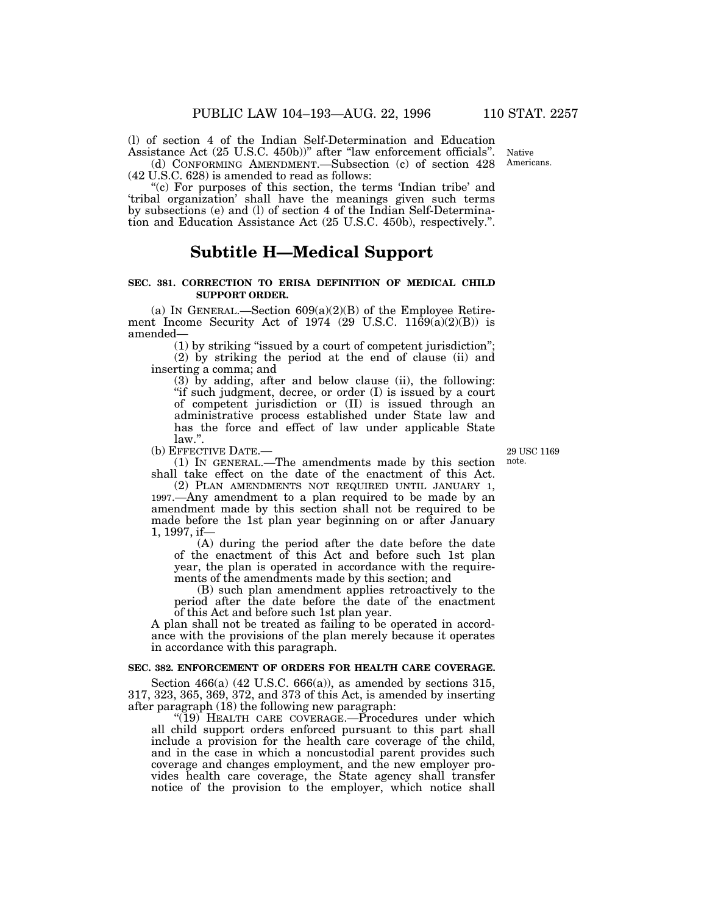Assistance Act (25 U.S.C. 450b))'' after ''law enforcement officials''. (d) CONFORMING AMENDMENT.—Subsection (c) of section 428 (42 U.S.C. 628) is amended to read as follows:

''(c) For purposes of this section, the terms 'Indian tribe' and 'tribal organization' shall have the meanings given such terms by subsections (e) and (l) of section 4 of the Indian Self-Determination and Education Assistance Act (25 U.S.C. 450b), respectively.''.

## **Subtitle H—Medical Support**

#### **SEC. 381. CORRECTION TO ERISA DEFINITION OF MEDICAL CHILD SUPPORT ORDER.**

(a) IN GENERAL.—Section  $609(a)(2)(B)$  of the Employee Retirement Income Security Act of 1974 (29 U.S.C. 11 $\overline{69(a)(2)(B)}$ ) is amended—

(1) by striking ''issued by a court of competent jurisdiction''; (2) by striking the period at the end of clause (ii) and inserting a comma; and

(3) by adding, after and below clause (ii), the following: "if such judgment, decree, or order (I) is issued by a court of competent jurisdiction or (II) is issued through an administrative process established under State law and has the force and effect of law under applicable State law.''.

(b) EFFECTIVE DATE.—

(1) IN GENERAL.—The amendments made by this section shall take effect on the date of the enactment of this Act.<br>(2) PLAN AMENDMENTS NOT REQUIRED UNTIL JANUARY 1,

1997.—Any amendment to a plan required to be made by an amendment made by this section shall not be required to be made before the 1st plan year beginning on or after January 1, 1997, if—

(A) during the period after the date before the date of the enactment of this Act and before such 1st plan year, the plan is operated in accordance with the requirements of the amendments made by this section; and

(B) such plan amendment applies retroactively to the period after the date before the date of the enactment of this Act and before such 1st plan year.

A plan shall not be treated as failing to be operated in accordance with the provisions of the plan merely because it operates in accordance with this paragraph.

### **SEC. 382. ENFORCEMENT OF ORDERS FOR HEALTH CARE COVERAGE.**

Section  $466(a)$  (42 U.S.C.  $666(a)$ ), as amended by sections 315, 317, 323, 365, 369, 372, and 373 of this Act, is amended by inserting after paragraph (18) the following new paragraph:

"(19) HEALTH CARE COVERAGE.—Procedures under which all child support orders enforced pursuant to this part shall include a provision for the health care coverage of the child, and in the case in which a noncustodial parent provides such coverage and changes employment, and the new employer provides health care coverage, the State agency shall transfer notice of the provision to the employer, which notice shall

29 USC 1169 note.

Native Americans.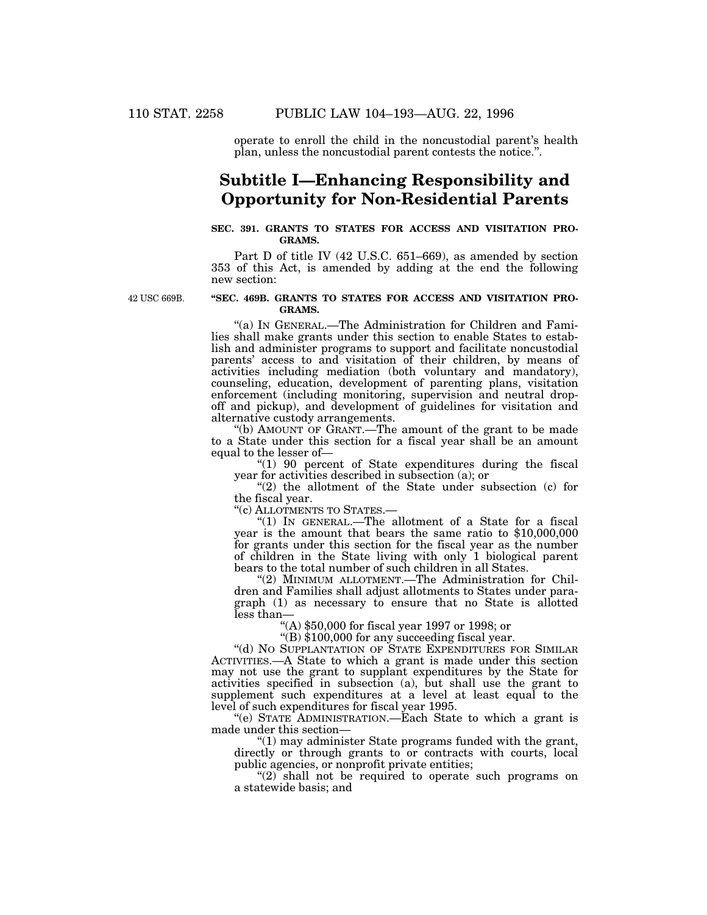operate to enroll the child in the noncustodial parent's health plan, unless the noncustodial parent contests the notice.''.

# **Subtitle I—Enhancing Responsibility and Opportunity for Non-Residential Parents**

#### **SEC. 391. GRANTS TO STATES FOR ACCESS AND VISITATION PRO-GRAMS.**

Part D of title IV (42 U.S.C. 651–669), as amended by section 353 of this Act, is amended by adding at the end the following new section:

42 USC 669B.

### **''SEC. 469B. GRANTS TO STATES FOR ACCESS AND VISITATION PRO-GRAMS.**

''(a) IN GENERAL.—The Administration for Children and Families shall make grants under this section to enable States to establish and administer programs to support and facilitate noncustodial parents' access to and visitation of their children, by means of activities including mediation (both voluntary and mandatory), counseling, education, development of parenting plans, visitation enforcement (including monitoring, supervision and neutral dropoff and pickup), and development of guidelines for visitation and alternative custody arrangements.

''(b) AMOUNT OF GRANT.—The amount of the grant to be made to a State under this section for a fiscal year shall be an amount equal to the lesser of—

 $''(1)$  90 percent of State expenditures during the fiscal year for activities described in subsection (a); or

"(2) the allotment of the State under subsection (c) for the fiscal year.

''(c) ALLOTMENTS TO STATES.—

"(1) IN GENERAL.—The allotment of a State for a fiscal year is the amount that bears the same ratio to \$10,000,000 for grants under this section for the fiscal year as the number of children in the State living with only 1 biological parent bears to the total number of such children in all States.

''(2) MINIMUM ALLOTMENT.—The Administration for Children and Families shall adjust allotments to States under paragraph (1) as necessary to ensure that no State is allotted less than—

''(A) \$50,000 for fiscal year 1997 or 1998; or

 $'(B)$  \$100,000 for any succeeding fiscal year.

''(d) NO SUPPLANTATION OF STATE EXPENDITURES FOR SIMILAR ACTIVITIES.—A State to which a grant is made under this section may not use the grant to supplant expenditures by the State for activities specified in subsection (a), but shall use the grant to supplement such expenditures at a level at least equal to the level of such expenditures for fiscal year 1995.

''(e) STATE ADMINISTRATION.—Each State to which a grant is made under this section—

''(1) may administer State programs funded with the grant, directly or through grants to or contracts with courts, local public agencies, or nonprofit private entities;

"(2) shall not be required to operate such programs on a statewide basis; and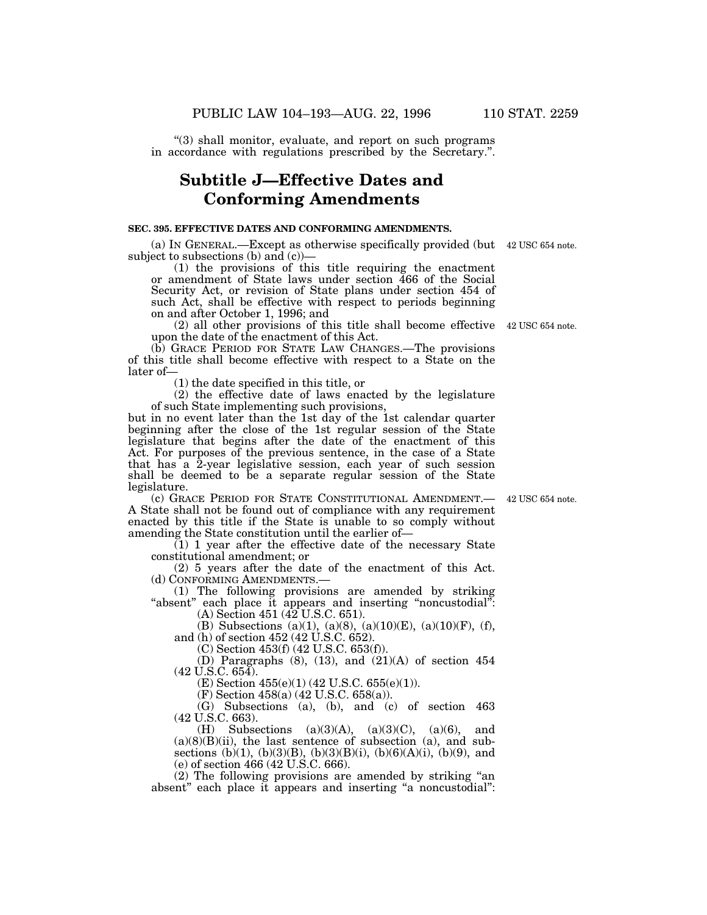''(3) shall monitor, evaluate, and report on such programs in accordance with regulations prescribed by the Secretary.''.

# **Subtitle J—Effective Dates and Conforming Amendments**

## **SEC. 395. EFFECTIVE DATES AND CONFORMING AMENDMENTS.**

(a) IN GENERAL.—Except as otherwise specifically provided (but 42 USC 654 note.subject to subsections (b) and (c))—

(1) the provisions of this title requiring the enactment or amendment of State laws under section 466 of the Social Security Act, or revision of State plans under section 454 of such Act, shall be effective with respect to periods beginning on and after October 1, 1996; and

(2) all other provisions of this title shall become effective 42 USC 654 note. upon the date of the enactment of this Act.

(b) GRACE PERIOD FOR STATE LAW CHANGES.—The provisions of this title shall become effective with respect to a State on the later of—

(1) the date specified in this title, or

(2) the effective date of laws enacted by the legislature of such State implementing such provisions,

but in no event later than the 1st day of the 1st calendar quarter beginning after the close of the 1st regular session of the State legislature that begins after the date of the enactment of this Act. For purposes of the previous sentence, in the case of a State that has a 2-year legislative session, each year of such session shall be deemed to be a separate regular session of the State legislature.

(c) GRACE PERIOD FOR STATE CONSTITUTIONAL AMENDMENT.— A State shall not be found out of compliance with any requirement enacted by this title if the State is unable to so comply without amending the State constitution until the earlier of—

 $(1)$  1 year after the effective date of the necessary State constitutional amendment; or

(2) 5 years after the date of the enactment of this Act. (d) CONFORMING AMENDMENTS.—

(1) The following provisions are amended by striking "absent" each place it appears and inserting "noncustodial": (A) Section 451 (42 U.S.C. 651).

(B) Subsections (a)(1), (a)(8), (a)(10)(E), (a)(10)(F), (f), and (h) of section 452 (42 U.S.C. 652).

(C) Section 453(f) (42 U.S.C. 653(f)).

(D) Paragraphs (8), (13), and (21)(A) of section 454 (42 U.S.C. 654).

(E) Section 455(e)(1) (42 U.S.C. 655(e)(1)).

(F) Section 458(a) (42 U.S.C. 658(a)).

(G) Subsections (a), (b), and (c) of section 463 (42 U.S.C. 663).

(H) Subsections (a)(3)(A), (a)(3)(C), (a)(6), and  $(a)(8)(B)(ii)$ , the last sentence of subsection  $(a)$ , and subsections (b)(1), (b)(3)(B), (b)(3)(B)(i), (b)(6)(A)(i), (b)(9), and (e) of section 466 (42 U.S.C. 666).

(2) The following provisions are amended by striking ''an absent" each place it appears and inserting "a noncustodial":

42 USC 654 note.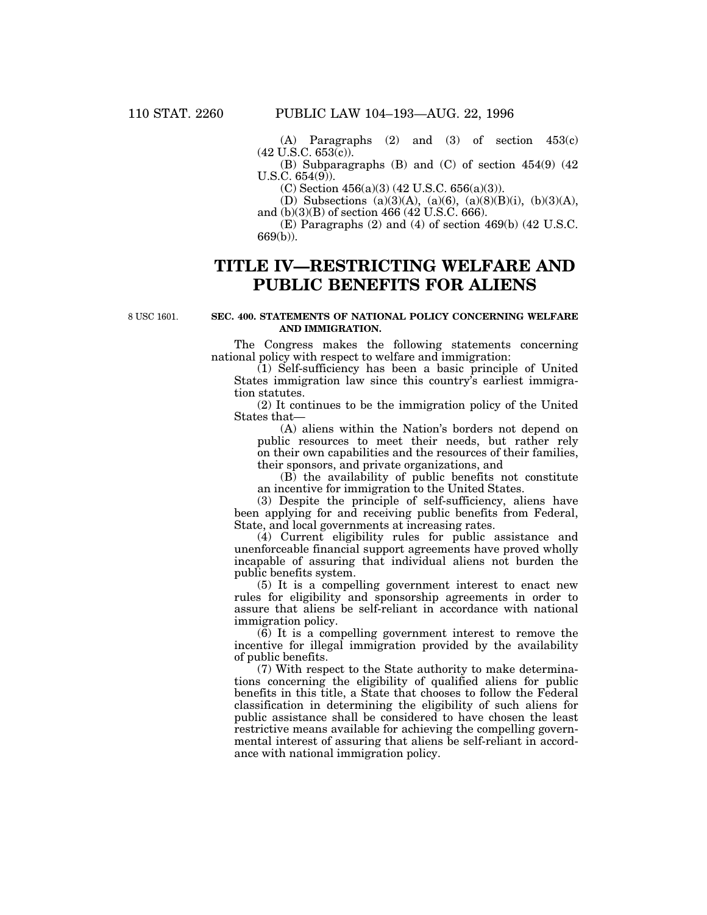(A) Paragraphs (2) and (3) of section 453(c) (42 U.S.C. 653(c)).

(B) Subparagraphs (B) and (C) of section 454(9) (42 U.S.C. 654(9)).

(C) Section 456(a)(3) (42 U.S.C. 656(a)(3)).

(D) Subsections (a)(3)(A), (a)(6), (a)(8)(B)(i), (b)(3)(A), and (b)(3)(B) of section 466 (42 U.S.C. 666).

(E) Paragraphs (2) and (4) of section 469(b) (42 U.S.C. 669(b)).

# **TITLE IV—RESTRICTING WELFARE AND PUBLIC BENEFITS FOR ALIENS**

8 USC 1601.

## **SEC. 400. STATEMENTS OF NATIONAL POLICY CONCERNING WELFARE AND IMMIGRATION.**

The Congress makes the following statements concerning national policy with respect to welfare and immigration:

(1) Self-sufficiency has been a basic principle of United States immigration law since this country's earliest immigration statutes.

(2) It continues to be the immigration policy of the United States that—

(A) aliens within the Nation's borders not depend on public resources to meet their needs, but rather rely on their own capabilities and the resources of their families, their sponsors, and private organizations, and

(B) the availability of public benefits not constitute an incentive for immigration to the United States.

(3) Despite the principle of self-sufficiency, aliens have been applying for and receiving public benefits from Federal, State, and local governments at increasing rates.

(4) Current eligibility rules for public assistance and unenforceable financial support agreements have proved wholly incapable of assuring that individual aliens not burden the public benefits system.

(5) It is a compelling government interest to enact new rules for eligibility and sponsorship agreements in order to assure that aliens be self-reliant in accordance with national immigration policy.

(6) It is a compelling government interest to remove the incentive for illegal immigration provided by the availability of public benefits.

(7) With respect to the State authority to make determinations concerning the eligibility of qualified aliens for public benefits in this title, a State that chooses to follow the Federal classification in determining the eligibility of such aliens for public assistance shall be considered to have chosen the least restrictive means available for achieving the compelling governmental interest of assuring that aliens be self-reliant in accordance with national immigration policy.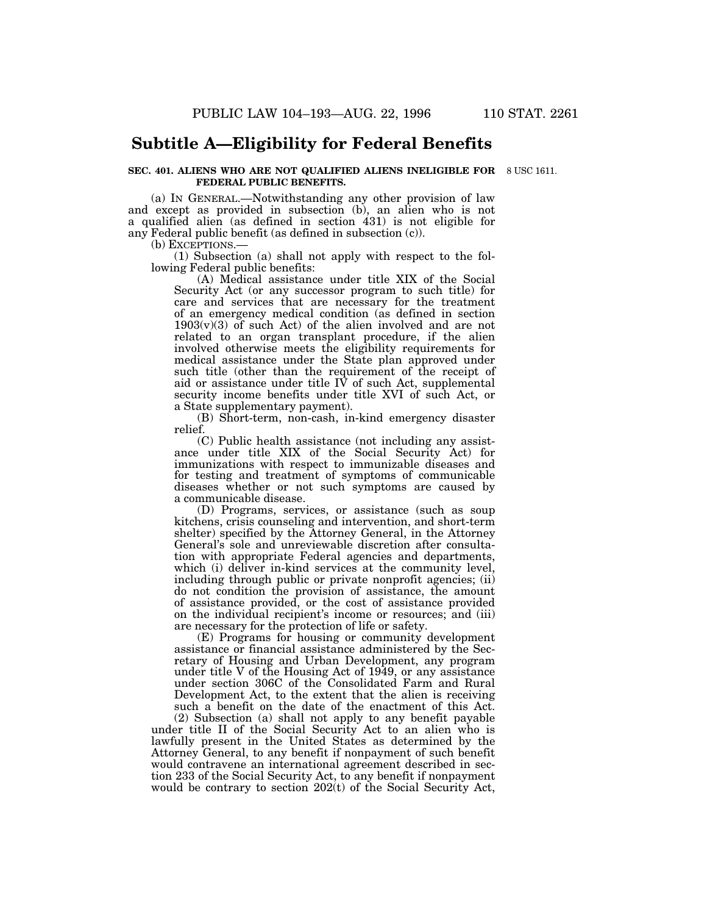## **Subtitle A—Eligibility for Federal Benefits**

#### **SEC. 401. ALIENS WHO ARE NOT QUALIFIED ALIENS INELIGIBLE FOR** 8 USC 1611.**FEDERAL PUBLIC BENEFITS.**

(a) IN GENERAL.—Notwithstanding any other provision of law and except as provided in subsection (b), an alien who is not a qualified alien (as defined in section 431) is not eligible for any Federal public benefit (as defined in subsection (c)).

(b) EXCEPTIONS.—

(1) Subsection (a) shall not apply with respect to the following Federal public benefits:

(A) Medical assistance under title XIX of the Social Security Act (or any successor program to such title) for care and services that are necessary for the treatment of an emergency medical condition (as defined in section  $1903(v)(3)$  of such Act) of the alien involved and are not related to an organ transplant procedure, if the alien involved otherwise meets the eligibility requirements for medical assistance under the State plan approved under such title (other than the requirement of the receipt of aid or assistance under title IV of such Act, supplemental security income benefits under title XVI of such Act, or a State supplementary payment).

(B) Short-term, non-cash, in-kind emergency disaster relief.

(C) Public health assistance (not including any assistance under title XIX of the Social Security Act) for immunizations with respect to immunizable diseases and for testing and treatment of symptoms of communicable diseases whether or not such symptoms are caused by a communicable disease.

(D) Programs, services, or assistance (such as soup kitchens, crisis counseling and intervention, and short-term shelter) specified by the Attorney General, in the Attorney General's sole and unreviewable discretion after consultation with appropriate Federal agencies and departments, which (i) deliver in-kind services at the community level, including through public or private nonprofit agencies; (ii) do not condition the provision of assistance, the amount of assistance provided, or the cost of assistance provided on the individual recipient's income or resources; and (iii) are necessary for the protection of life or safety.

(E) Programs for housing or community development assistance or financial assistance administered by the Secretary of Housing and Urban Development, any program under title V of the Housing Act of 1949, or any assistance under section 306C of the Consolidated Farm and Rural Development Act, to the extent that the alien is receiving such a benefit on the date of the enactment of this Act.

(2) Subsection (a) shall not apply to any benefit payable under title II of the Social Security Act to an alien who is lawfully present in the United States as determined by the Attorney General, to any benefit if nonpayment of such benefit would contravene an international agreement described in section 233 of the Social Security Act, to any benefit if nonpayment would be contrary to section  $202(t)$  of the Social Security Act,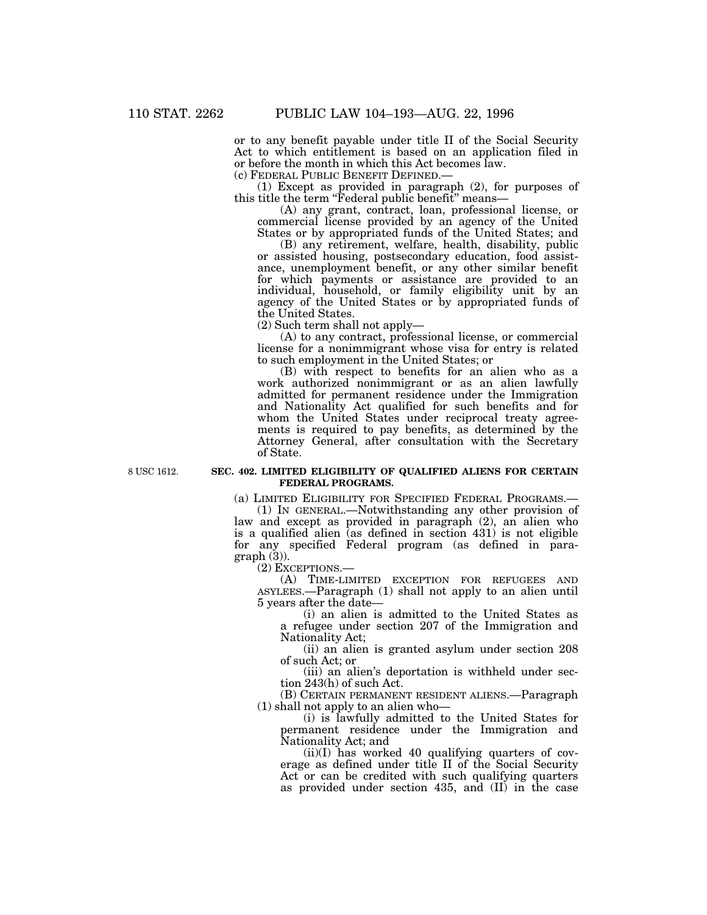or to any benefit payable under title II of the Social Security Act to which entitlement is based on an application filed in or before the month in which this Act becomes law.

(c) FEDERAL PUBLIC BENEFIT DEFINED.—

(1) Except as provided in paragraph (2), for purposes of this title the term ''Federal public benefit'' means—

(A) any grant, contract, loan, professional license, or commercial license provided by an agency of the United States or by appropriated funds of the United States; and

(B) any retirement, welfare, health, disability, public or assisted housing, postsecondary education, food assistance, unemployment benefit, or any other similar benefit for which payments or assistance are provided to an individual, household, or family eligibility unit by an agency of the United States or by appropriated funds of the United States.

(2) Such term shall not apply—

(A) to any contract, professional license, or commercial license for a nonimmigrant whose visa for entry is related to such employment in the United States; or

(B) with respect to benefits for an alien who as a work authorized nonimmigrant or as an alien lawfully admitted for permanent residence under the Immigration and Nationality Act qualified for such benefits and for whom the United States under reciprocal treaty agreements is required to pay benefits, as determined by the Attorney General, after consultation with the Secretary of State.

8 USC 1612.

## **SEC. 402. LIMITED ELIGIBILITY OF QUALIFIED ALIENS FOR CERTAIN FEDERAL PROGRAMS.**

(a) LIMITED ELIGIBILITY FOR SPECIFIED FEDERAL PROGRAMS.—

(1) IN GENERAL.—Notwithstanding any other provision of law and except as provided in paragraph (2), an alien who is a qualified alien (as defined in section 431) is not eligible for any specified Federal program (as defined in para $graph(3)$ ).

(2) EXCEPTIONS.—

(A) TIME-LIMITED EXCEPTION FOR REFUGEES AND ASYLEES.—Paragraph (1) shall not apply to an alien until 5 years after the date—

(i) an alien is admitted to the United States as a refugee under section 207 of the Immigration and Nationality Act;

(ii) an alien is granted asylum under section 208 of such Act; or

(iii) an alien's deportation is withheld under section 243(h) of such Act.

(B) CERTAIN PERMANENT RESIDENT ALIENS.—Paragraph (1) shall not apply to an alien who—

(i) is lawfully admitted to the United States for permanent residence under the Immigration and Nationality Act; and

 $(ii)(I)$  has worked 40 qualifying quarters of coverage as defined under title II of the Social Security Act or can be credited with such qualifying quarters as provided under section 435, and (II) in the case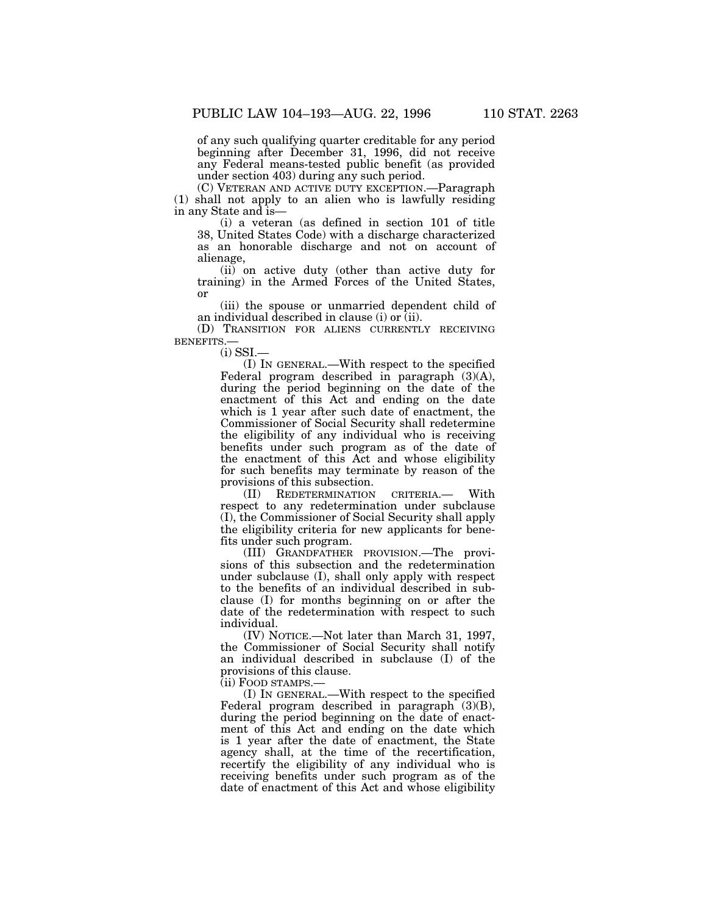of any such qualifying quarter creditable for any period beginning after December 31, 1996, did not receive any Federal means-tested public benefit (as provided under section 403) during any such period.

(C) VETERAN AND ACTIVE DUTY EXCEPTION.—Paragraph (1) shall not apply to an alien who is lawfully residing in any State and is—

(i) a veteran (as defined in section 101 of title 38, United States Code) with a discharge characterized as an honorable discharge and not on account of alienage,

(ii) on active duty (other than active duty for training) in the Armed Forces of the United States, or

(iii) the spouse or unmarried dependent child of an individual described in clause (i) or  $(i)$ .

(D) TRANSITION FOR ALIENS CURRENTLY RECEIVING BENEFITS.—

(i) SSI.—

(I) IN GENERAL.—With respect to the specified Federal program described in paragraph (3)(A), during the period beginning on the date of the enactment of this Act and ending on the date which is 1 year after such date of enactment, the Commissioner of Social Security shall redetermine the eligibility of any individual who is receiving benefits under such program as of the date of the enactment of this Act and whose eligibility for such benefits may terminate by reason of the provisions of this subsection.

(II) REDETERMINATION CRITERIA.— With respect to any redetermination under subclause (I), the Commissioner of Social Security shall apply the eligibility criteria for new applicants for benefits under such program.

(III) GRANDFATHER PROVISION.—The provisions of this subsection and the redetermination under subclause (I), shall only apply with respect to the benefits of an individual described in subclause (I) for months beginning on or after the date of the redetermination with respect to such individual.

(IV) NOTICE.—Not later than March 31, 1997, the Commissioner of Social Security shall notify an individual described in subclause (I) of the provisions of this clause.

(ii) FOOD STAMPS.—

(I) IN GENERAL.—With respect to the specified Federal program described in paragraph (3)(B), during the period beginning on the date of enactment of this Act and ending on the date which is 1 year after the date of enactment, the State agency shall, at the time of the recertification, recertify the eligibility of any individual who is receiving benefits under such program as of the date of enactment of this Act and whose eligibility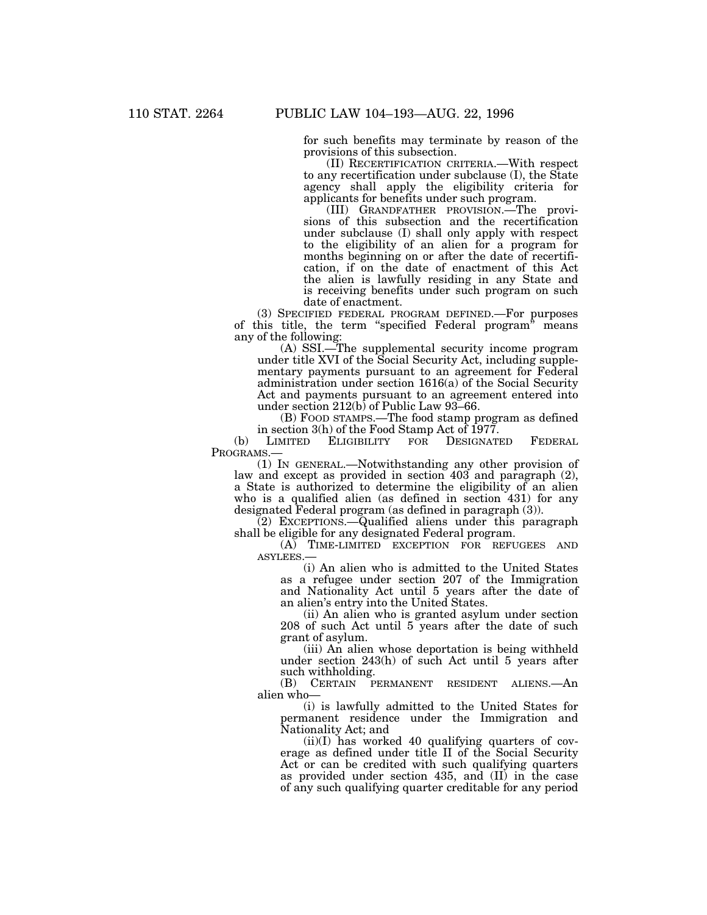for such benefits may terminate by reason of the provisions of this subsection.

(II) RECERTIFICATION CRITERIA.—With respect to any recertification under subclause (I), the State agency shall apply the eligibility criteria for applicants for benefits under such program.

(III) GRANDFATHER PROVISION.—The provisions of this subsection and the recertification under subclause (I) shall only apply with respect to the eligibility of an alien for a program for months beginning on or after the date of recertification, if on the date of enactment of this Act the alien is lawfully residing in any State and is receiving benefits under such program on such date of enactment.

(3) SPECIFIED FEDERAL PROGRAM DEFINED.—For purposes of this title, the term ''specified Federal program'' means any of the following:

(A) SSI.—The supplemental security income program under title XVI of the Social Security Act, including supplementary payments pursuant to an agreement for Federal administration under section 1616(a) of the Social Security Act and payments pursuant to an agreement entered into under section 212(b) of Public Law 93–66.

(B) FOOD STAMPS.—The food stamp program as defined in section 3(h) of the Food Stamp Act of 1977.

(b) LIMITED ELIGIBILITY FOR DESIGNATED FEDERAL PROGRAMS.—

(1) IN GENERAL.—Notwithstanding any other provision of law and except as provided in section 403 and paragraph (2), a State is authorized to determine the eligibility of an alien who is a qualified alien (as defined in section 431) for any designated Federal program (as defined in paragraph (3)).

(2) EXCEPTIONS.—Qualified aliens under this paragraph shall be eligible for any designated Federal program.

(A) TIME-LIMITED EXCEPTION FOR REFUGEES AND ASYLEES.—

(i) An alien who is admitted to the United States as a refugee under section 207 of the Immigration and Nationality Act until 5 years after the date of an alien's entry into the United States.

(ii) An alien who is granted asylum under section 208 of such Act until 5 years after the date of such grant of asylum.

(iii) An alien whose deportation is being withheld under section 243(h) of such Act until 5 years after such withholding.

(B) CERTAIN PERMANENT RESIDENT ALIENS.—An alien who—

(i) is lawfully admitted to the United States for permanent residence under the Immigration and Nationality Act; and

 $(ii)(I)$  has worked 40 qualifying quarters of coverage as defined under title II of the Social Security Act or can be credited with such qualifying quarters as provided under section 435, and (II) in the case of any such qualifying quarter creditable for any period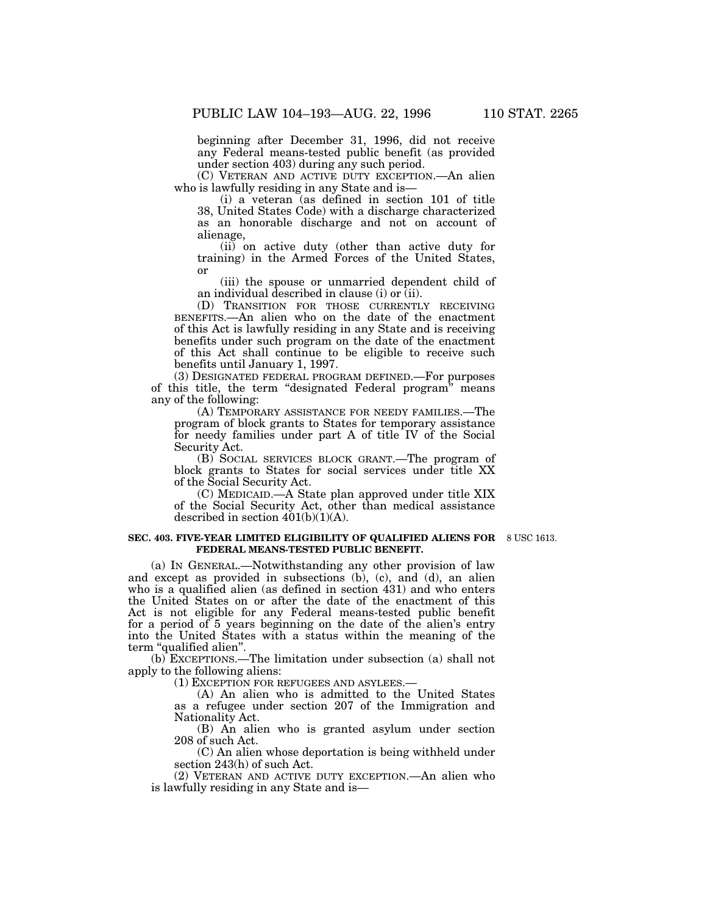beginning after December 31, 1996, did not receive any Federal means-tested public benefit (as provided under section 403) during any such period.

(C) VETERAN AND ACTIVE DUTY EXCEPTION.—An alien who is lawfully residing in any State and is—

(i) a veteran (as defined in section 101 of title 38, United States Code) with a discharge characterized as an honorable discharge and not on account of alienage,

(ii) on active duty (other than active duty for training) in the Armed Forces of the United States, or

(iii) the spouse or unmarried dependent child of an individual described in clause (i) or  $(i)$ .

(D) TRANSITION FOR THOSE CURRENTLY RECEIVING BENEFITS.—An alien who on the date of the enactment of this Act is lawfully residing in any State and is receiving benefits under such program on the date of the enactment of this Act shall continue to be eligible to receive such benefits until January 1, 1997.

(3) DESIGNATED FEDERAL PROGRAM DEFINED.—For purposes of this title, the term "designated Federal program" means any of the following:

(A) TEMPORARY ASSISTANCE FOR NEEDY FAMILIES.—The program of block grants to States for temporary assistance for needy families under part A of title IV of the Social Security Act.

(B) SOCIAL SERVICES BLOCK GRANT.—The program of block grants to States for social services under title XX of the Social Security Act.

(C) MEDICAID.—A State plan approved under title XIX of the Social Security Act, other than medical assistance described in section  $401(b)(1)(A)$ .

#### **SEC. 403. FIVE-YEAR LIMITED ELIGIBILITY OF QUALIFIED ALIENS FOR** 8 USC 1613.**FEDERAL MEANS-TESTED PUBLIC BENEFIT.**

(a) IN GENERAL.—Notwithstanding any other provision of law and except as provided in subsections (b), (c), and (d), an alien who is a qualified alien (as defined in section 431) and who enters the United States on or after the date of the enactment of this Act is not eligible for any Federal means-tested public benefit for a period of 5 years beginning on the date of the alien's entry into the United States with a status within the meaning of the term "qualified alien".

(b) EXCEPTIONS.—The limitation under subsection (a) shall not apply to the following aliens:

(1) EXCEPTION FOR REFUGEES AND ASYLEES.—

(A) An alien who is admitted to the United States as a refugee under section 207 of the Immigration and Nationality Act.

(B) An alien who is granted asylum under section 208 of such Act.

(C) An alien whose deportation is being withheld under section 243(h) of such Act.

(2) VETERAN AND ACTIVE DUTY EXCEPTION.—An alien who is lawfully residing in any State and is—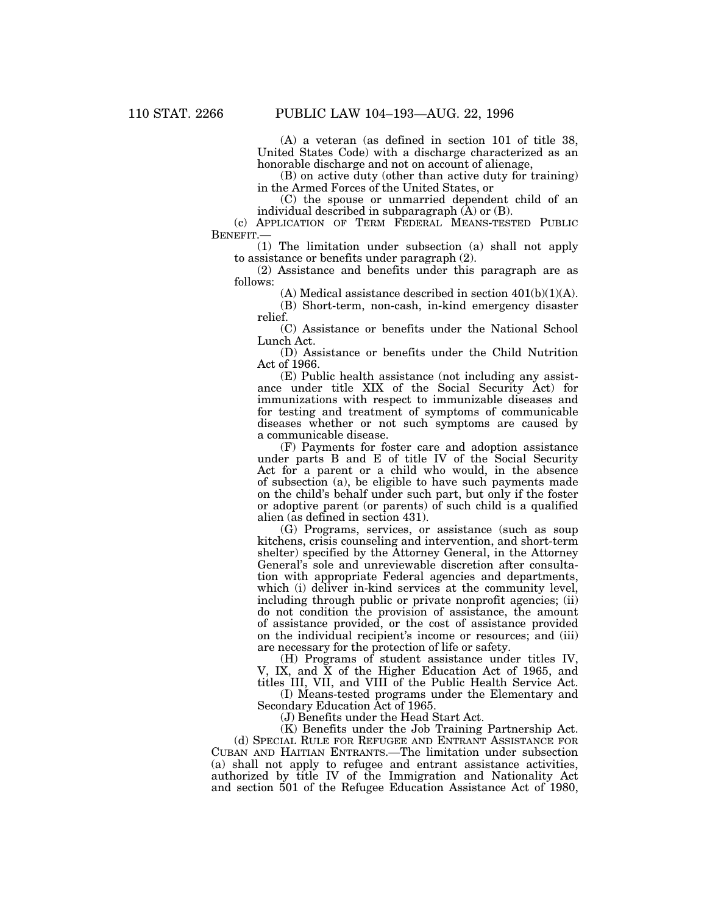(A) a veteran (as defined in section 101 of title 38, United States Code) with a discharge characterized as an honorable discharge and not on account of alienage,

(B) on active duty (other than active duty for training) in the Armed Forces of the United States, or

(C) the spouse or unmarried dependent child of an individual described in subparagraph  $(\overline{A})$  or  $(B)$ .

(c) APPLICATION OF TERM FEDERAL MEANS-TESTED PUBLIC BENEFIT.—

(1) The limitation under subsection (a) shall not apply to assistance or benefits under paragraph (2).

(2) Assistance and benefits under this paragraph are as follows:

 $(A)$  Medical assistance described in section  $401(b)(1)(A)$ .

(B) Short-term, non-cash, in-kind emergency disaster relief.

(C) Assistance or benefits under the National School Lunch Act.

(D) Assistance or benefits under the Child Nutrition Act of 1966.

(E) Public health assistance (not including any assistance under title XIX of the Social Security Act) for immunizations with respect to immunizable diseases and for testing and treatment of symptoms of communicable diseases whether or not such symptoms are caused by a communicable disease.

(F) Payments for foster care and adoption assistance under parts B and E of title IV of the Social Security Act for a parent or a child who would, in the absence of subsection (a), be eligible to have such payments made on the child's behalf under such part, but only if the foster or adoptive parent (or parents) of such child is a qualified alien (as defined in section 431).

(G) Programs, services, or assistance (such as soup kitchens, crisis counseling and intervention, and short-term shelter) specified by the Attorney General, in the Attorney General's sole and unreviewable discretion after consultation with appropriate Federal agencies and departments, which (i) deliver in-kind services at the community level, including through public or private nonprofit agencies; (ii) do not condition the provision of assistance, the amount of assistance provided, or the cost of assistance provided on the individual recipient's income or resources; and (iii) are necessary for the protection of life or safety.

(H) Programs of student assistance under titles IV, IX, and X of the Higher Education Act of 1965, and titles III, VII, and VIII of the Public Health Service Act.

(I) Means-tested programs under the Elementary and Secondary Education Act of 1965.

(J) Benefits under the Head Start Act.

(K) Benefits under the Job Training Partnership Act. (d) SPECIAL RULE FOR REFUGEE AND ENTRANT ASSISTANCE FOR CUBAN AND HAITIAN ENTRANTS.—The limitation under subsection (a) shall not apply to refugee and entrant assistance activities, authorized by title IV of the Immigration and Nationality Act and section 501 of the Refugee Education Assistance Act of 1980,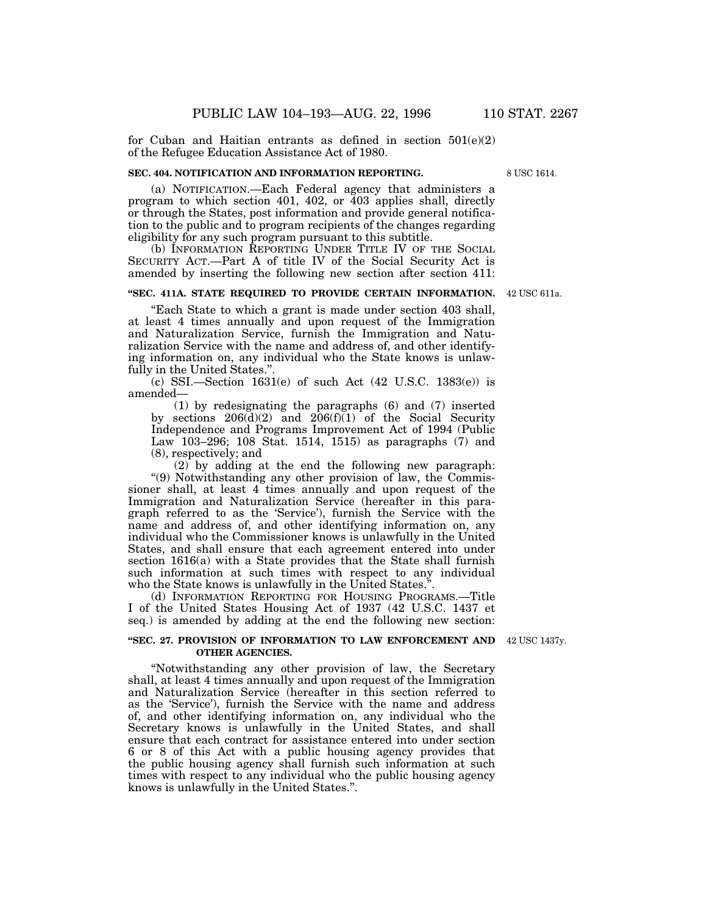for Cuban and Haitian entrants as defined in section  $501(e)(2)$ of the Refugee Education Assistance Act of 1980.

### **SEC. 404. NOTIFICATION AND INFORMATION REPORTING.**

(a) NOTIFICATION.—Each Federal agency that administers a program to which section 401, 402, or 403 applies shall, directly or through the States, post information and provide general notification to the public and to program recipients of the changes regarding eligibility for any such program pursuant to this subtitle.

(b) INFORMATION REPORTING UNDER TITLE IV OF THE SOCIAL SECURITY ACT.—Part A of title IV of the Social Security Act is amended by inserting the following new section after section 411:

#### **''SEC. 411A. STATE REQUIRED TO PROVIDE CERTAIN INFORMATION.** 42 USC 611a.

"Each State to which a grant is made under section 403 shall, at least 4 times annually and upon request of the Immigration and Naturalization Service, furnish the Immigration and Naturalization Service with the name and address of, and other identifying information on, any individual who the State knows is unlawfully in the United States.''.

(c) SSI.—Section 1631(e) of such Act (42 U.S.C. 1383(e)) is amended—

(1) by redesignating the paragraphs (6) and (7) inserted by sections  $206\overline{d}$ (2) and  $206\overline{f}$ (f) $\overline{1}$  of the Social Security Independence and Programs Improvement Act of 1994 (Public Law 103–296; 108 Stat. 1514, 1515) as paragraphs (7) and (8), respectively; and

(2) by adding at the end the following new paragraph: "(9) Notwithstanding any other provision of law, the Commissioner shall, at least 4 times annually and upon request of the Immigration and Naturalization Service (hereafter in this paragraph referred to as the 'Service'), furnish the Service with the name and address of, and other identifying information on, any individual who the Commissioner knows is unlawfully in the United States, and shall ensure that each agreement entered into under section 1616(a) with a State provides that the State shall furnish such information at such times with respect to any individual who the State knows is unlawfully in the United States."

(d) INFORMATION REPORTING FOR HOUSING PROGRAMS.—Title I of the United States Housing Act of 1937 (42 U.S.C. 1437 et seq.) is amended by adding at the end the following new section:

#### **''SEC. 27. PROVISION OF INFORMATION TO LAW ENFORCEMENT AND** 42 USC 1437y. **OTHER AGENCIES.**

''Notwithstanding any other provision of law, the Secretary shall, at least 4 times annually and upon request of the Immigration and Naturalization Service (hereafter in this section referred to as the 'Service'), furnish the Service with the name and address of, and other identifying information on, any individual who the Secretary knows is unlawfully in the United States, and shall ensure that each contract for assistance entered into under section 6 or 8 of this Act with a public housing agency provides that the public housing agency shall furnish such information at such times with respect to any individual who the public housing agency knows is unlawfully in the United States.''.

8 USC 1614.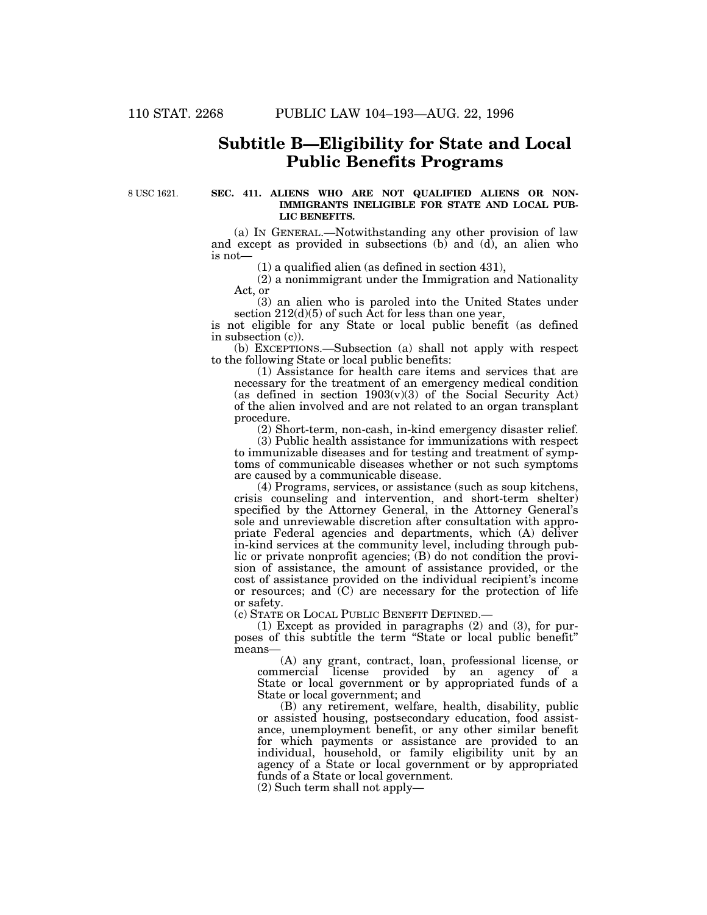## **Subtitle B—Eligibility for State and Local Public Benefits Programs**

8 USC 1621.

## **SEC. 411. ALIENS WHO ARE NOT QUALIFIED ALIENS OR NON-IMMIGRANTS INELIGIBLE FOR STATE AND LOCAL PUB-LIC BENEFITS.**

(a) IN GENERAL.—Notwithstanding any other provision of law and except as provided in subsections (b) and (d), an alien who is not—

(1) a qualified alien (as defined in section 431),

(2) a nonimmigrant under the Immigration and Nationality Act, or

(3) an alien who is paroled into the United States under section  $212(d)(5)$  of such Act for less than one year,

is not eligible for any State or local public benefit (as defined in subsection (c)).

(b) EXCEPTIONS.—Subsection (a) shall not apply with respect to the following State or local public benefits:

(1) Assistance for health care items and services that are necessary for the treatment of an emergency medical condition (as defined in section  $1903(v)(3)$  of the Social Security Act) of the alien involved and are not related to an organ transplant procedure.

(2) Short-term, non-cash, in-kind emergency disaster relief.

(3) Public health assistance for immunizations with respect to immunizable diseases and for testing and treatment of symptoms of communicable diseases whether or not such symptoms are caused by a communicable disease.

(4) Programs, services, or assistance (such as soup kitchens, crisis counseling and intervention, and short-term shelter) specified by the Attorney General, in the Attorney General's sole and unreviewable discretion after consultation with appropriate Federal agencies and departments, which (A) deliver in-kind services at the community level, including through public or private nonprofit agencies; (B) do not condition the provision of assistance, the amount of assistance provided, or the cost of assistance provided on the individual recipient's income or resources; and  $(C)$  are necessary for the protection of life or safety.

(c) STATE OR LOCAL PUBLIC BENEFIT DEFINED.—

(1) Except as provided in paragraphs (2) and (3), for purposes of this subtitle the term ''State or local public benefit'' means—

(A) any grant, contract, loan, professional license, or commercial license provided by an agency of a State or local government or by appropriated funds of a State or local government; and

(B) any retirement, welfare, health, disability, public or assisted housing, postsecondary education, food assistance, unemployment benefit, or any other similar benefit for which payments or assistance are provided to an individual, household, or family eligibility unit by an agency of a State or local government or by appropriated funds of a State or local government.

(2) Such term shall not apply—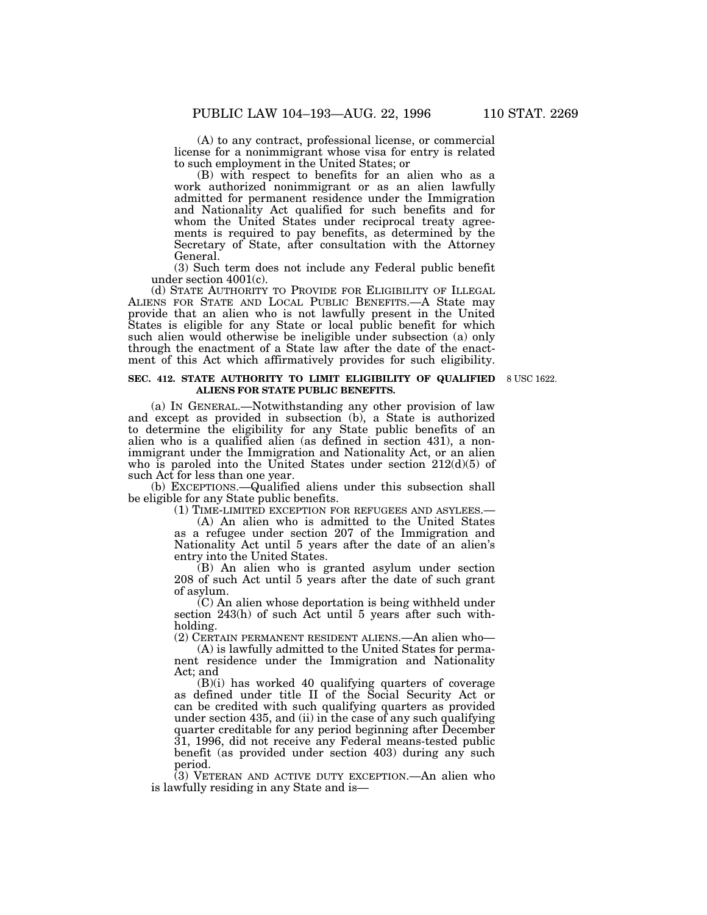(A) to any contract, professional license, or commercial license for a nonimmigrant whose visa for entry is related to such employment in the United States; or

(B) with respect to benefits for an alien who as a work authorized nonimmigrant or as an alien lawfully admitted for permanent residence under the Immigration and Nationality Act qualified for such benefits and for whom the United States under reciprocal treaty agreements is required to pay benefits, as determined by the Secretary of State, after consultation with the Attorney General.

(3) Such term does not include any Federal public benefit under section 4001(c).

(d) STATE AUTHORITY TO PROVIDE FOR ELIGIBILITY OF ILLEGAL ALIENS FOR STATE AND LOCAL PUBLIC BENEFITS.—A State may provide that an alien who is not lawfully present in the United States is eligible for any State or local public benefit for which such alien would otherwise be ineligible under subsection (a) only through the enactment of a State law after the date of the enactment of this Act which affirmatively provides for such eligibility.

#### **SEC. 412. STATE AUTHORITY TO LIMIT ELIGIBILITY OF QUALIFIED** 8 USC 1622.**ALIENS FOR STATE PUBLIC BENEFITS.**

(a) IN GENERAL.—Notwithstanding any other provision of law and except as provided in subsection (b), a State is authorized to determine the eligibility for any State public benefits of an alien who is a qualified alien (as defined in section 431), a nonimmigrant under the Immigration and Nationality Act, or an alien who is paroled into the United States under section  $212(d)(5)$  of such Act for less than one year.

(b) EXCEPTIONS.—Qualified aliens under this subsection shall be eligible for any State public benefits.

(1) TIME-LIMITED EXCEPTION FOR REFUGEES AND ASYLEES.—

(A) An alien who is admitted to the United States as a refugee under section 207 of the Immigration and Nationality Act until 5 years after the date of an alien's entry into the United States.

(B) An alien who is granted asylum under section 208 of such Act until 5 years after the date of such grant of asylum.

(C) An alien whose deportation is being withheld under section 243(h) of such Act until 5 years after such withholding.

(2) CERTAIN PERMANENT RESIDENT ALIENS.—An alien who—

(A) is lawfully admitted to the United States for permanent residence under the Immigration and Nationality Act; and

(B)(i) has worked 40 qualifying quarters of coverage as defined under title II of the Social Security Act or can be credited with such qualifying quarters as provided under section 435, and (ii) in the case of any such qualifying quarter creditable for any period beginning after December 31, 1996, did not receive any Federal means-tested public benefit (as provided under section 403) during any such period.

(3) VETERAN AND ACTIVE DUTY EXCEPTION.—An alien who is lawfully residing in any State and is—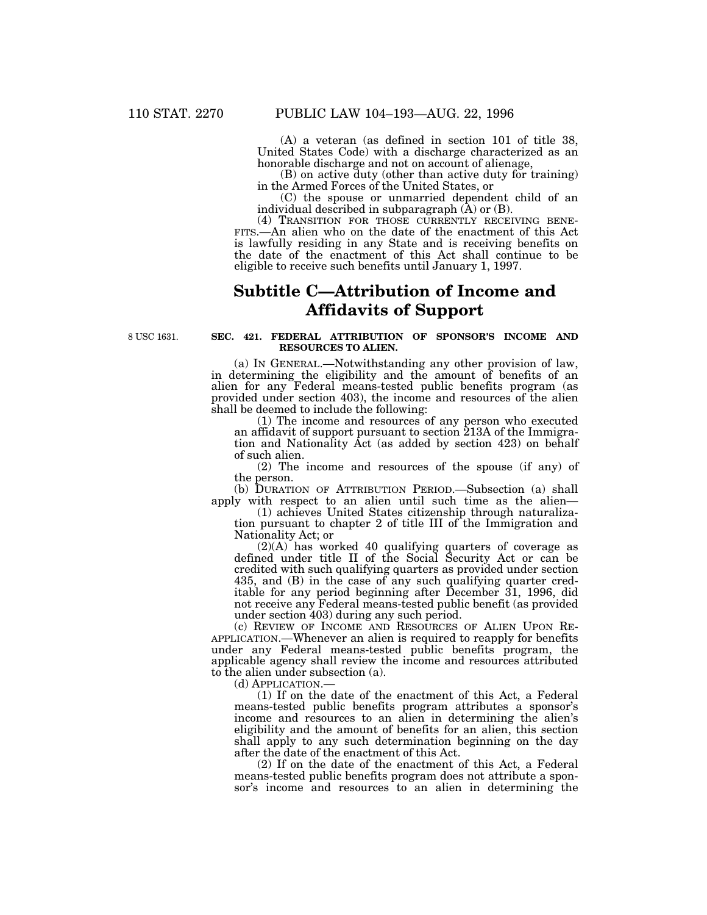(A) a veteran (as defined in section 101 of title 38, United States Code) with a discharge characterized as an honorable discharge and not on account of alienage,

(B) on active duty (other than active duty for training) in the Armed Forces of the United States, or

(C) the spouse or unmarried dependent child of an individual described in subparagraph  $(A)$  or  $(B)$ .<br>(4) TRANSITION FOR THOSE CURRENTLY RECEIVING BENE-

FITS.—An alien who on the date of the enactment of this Act is lawfully residing in any State and is receiving benefits on the date of the enactment of this Act shall continue to be eligible to receive such benefits until January 1, 1997.

# **Subtitle C—Attribution of Income and Affidavits of Support**

8 USC 1631.

## **SEC. 421. FEDERAL ATTRIBUTION OF SPONSOR'S INCOME AND RESOURCES TO ALIEN.**

(a) IN GENERAL.—Notwithstanding any other provision of law, in determining the eligibility and the amount of benefits of an alien for any Federal means-tested public benefits program (as provided under section 403), the income and resources of the alien shall be deemed to include the following:

(1) The income and resources of any person who executed an affidavit of support pursuant to section 213A of the Immigration and Nationality Act (as added by section 423) on behalf of such alien.

(2) The income and resources of the spouse (if any) of the person.

(b) DURATION OF ATTRIBUTION PERIOD.—Subsection (a) shall apply with respect to an alien until such time as the alien—

(1) achieves United States citizenship through naturalization pursuant to chapter 2 of title III of the Immigration and Nationality Act; or

(2)(A) has worked 40 qualifying quarters of coverage as defined under title II of the Social Security Act or can be credited with such qualifying quarters as provided under section 435, and (B) in the case of any such qualifying quarter creditable for any period beginning after December 31, 1996, did not receive any Federal means-tested public benefit (as provided under section 403) during any such period.<br>(c) REVIEW OF INCOME AND RESOURCES OF ALIEN UPON RE-

APPLICATION.—Whenever an alien is required to reapply for benefits under any Federal means-tested public benefits program, the applicable agency shall review the income and resources attributed to the alien under subsection (a).<br>(d) APPLICATION.—

 $(1)$  If on the date of the enactment of this Act, a Federal means-tested public benefits program attributes a sponsor's income and resources to an alien in determining the alien's eligibility and the amount of benefits for an alien, this section shall apply to any such determination beginning on the day after the date of the enactment of this Act.

(2) If on the date of the enactment of this Act, a Federal means-tested public benefits program does not attribute a sponsor's income and resources to an alien in determining the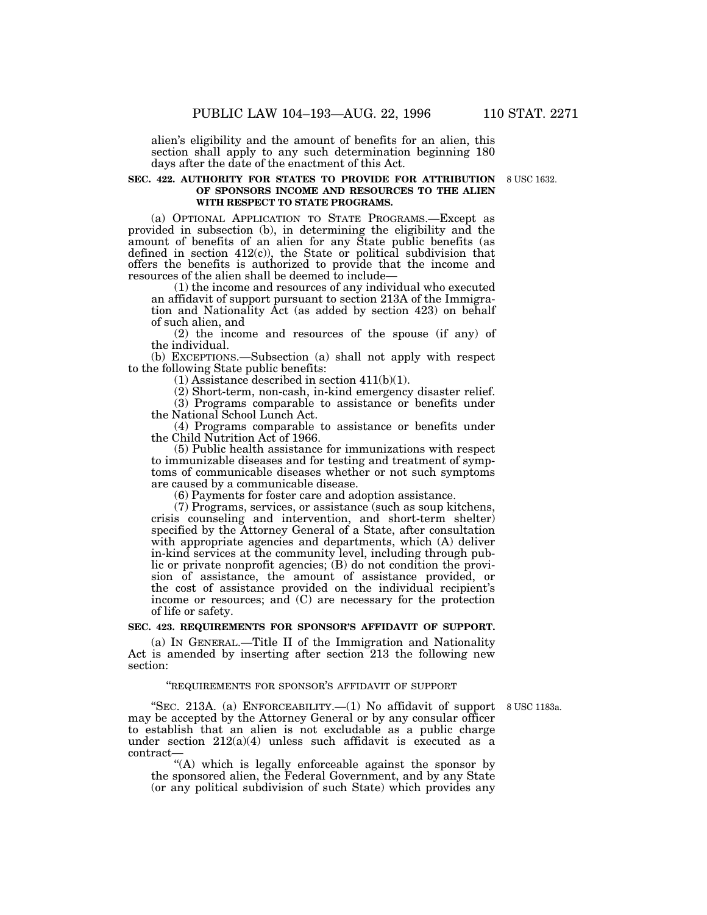alien's eligibility and the amount of benefits for an alien, this section shall apply to any such determination beginning 180 days after the date of the enactment of this Act.

#### **SEC. 422. AUTHORITY FOR STATES TO PROVIDE FOR ATTRIBUTION** 8 USC 1632.**OF SPONSORS INCOME AND RESOURCES TO THE ALIEN WITH RESPECT TO STATE PROGRAMS.**

(a) OPTIONAL APPLICATION TO STATE PROGRAMS.—Except as provided in subsection (b), in determining the eligibility and the amount of benefits of an alien for any State public benefits (as defined in section 412(c)), the State or political subdivision that offers the benefits is authorized to provide that the income and resources of the alien shall be deemed to include—

(1) the income and resources of any individual who executed an affidavit of support pursuant to section 213A of the Immigration and Nationality Act (as added by section 423) on behalf of such alien, and

(2) the income and resources of the spouse (if any) of the individual.

(b) EXCEPTIONS.—Subsection (a) shall not apply with respect to the following State public benefits:

(1) Assistance described in section 411(b)(1).

(2) Short-term, non-cash, in-kind emergency disaster relief. (3) Programs comparable to assistance or benefits under the National School Lunch Act.

(4) Programs comparable to assistance or benefits under the Child Nutrition Act of 1966.

(5) Public health assistance for immunizations with respect to immunizable diseases and for testing and treatment of symptoms of communicable diseases whether or not such symptoms are caused by a communicable disease.

(6) Payments for foster care and adoption assistance.

(7) Programs, services, or assistance (such as soup kitchens, crisis counseling and intervention, and short-term shelter) specified by the Attorney General of a State, after consultation with appropriate agencies and departments, which  $(A)$  deliver in-kind services at the community level, including through public or private nonprofit agencies; (B) do not condition the provision of assistance, the amount of assistance provided, or the cost of assistance provided on the individual recipient's income or resources; and (C) are necessary for the protection of life or safety.

## **SEC. 423. REQUIREMENTS FOR SPONSOR'S AFFIDAVIT OF SUPPORT.**

(a) IN GENERAL.—Title II of the Immigration and Nationality Act is amended by inserting after section 213 the following new section:

#### ''REQUIREMENTS FOR SPONSOR'S AFFIDAVIT OF SUPPORT

"SEC. 213A. (a) ENFORCEABILITY.—(1) No affidavit of support 8 USC 1183a. may be accepted by the Attorney General or by any consular officer to establish that an alien is not excludable as a public charge under section 212(a)(4) unless such affidavit is executed as a contract—

''(A) which is legally enforceable against the sponsor by the sponsored alien, the Federal Government, and by any State (or any political subdivision of such State) which provides any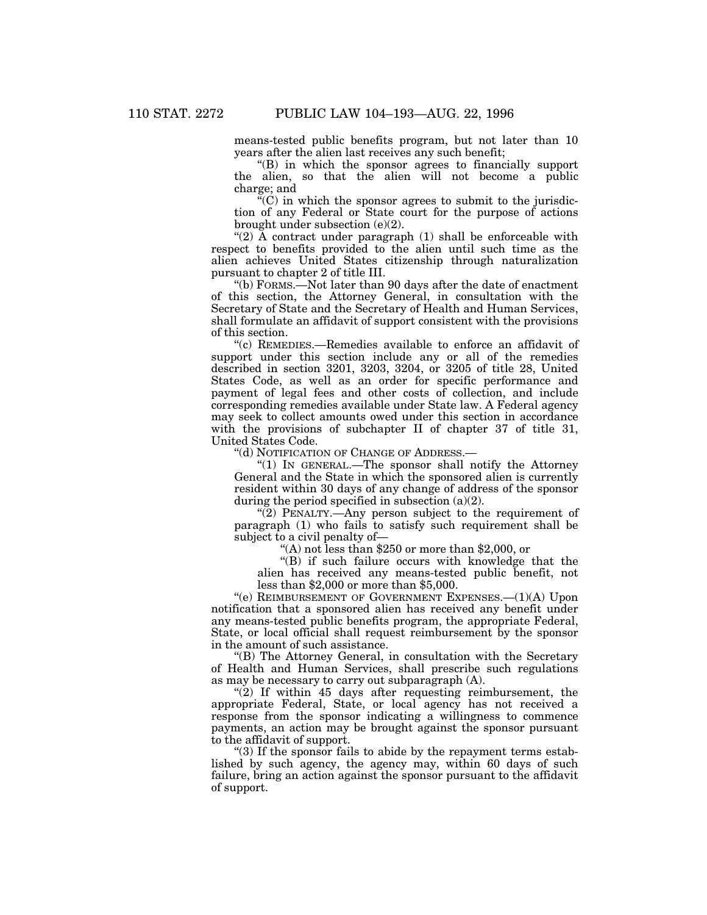means-tested public benefits program, but not later than 10 years after the alien last receives any such benefit;

''(B) in which the sponsor agrees to financially support the alien, so that the alien will not become a public charge; and

 $C$ ) in which the sponsor agrees to submit to the jurisdiction of any Federal or State court for the purpose of actions brought under subsection (e)(2).

"(2)  $\overline{A}$  contract under paragraph (1) shall be enforceable with respect to benefits provided to the alien until such time as the alien achieves United States citizenship through naturalization pursuant to chapter 2 of title III.

''(b) FORMS.—Not later than 90 days after the date of enactment of this section, the Attorney General, in consultation with the Secretary of State and the Secretary of Health and Human Services, shall formulate an affidavit of support consistent with the provisions of this section.

''(c) REMEDIES.—Remedies available to enforce an affidavit of support under this section include any or all of the remedies described in section 3201, 3203, 3204, or 3205 of title 28, United States Code, as well as an order for specific performance and payment of legal fees and other costs of collection, and include corresponding remedies available under State law. A Federal agency may seek to collect amounts owed under this section in accordance with the provisions of subchapter II of chapter 37 of title 31, United States Code.

''(d) NOTIFICATION OF CHANGE OF ADDRESS.—

''(1) IN GENERAL.—The sponsor shall notify the Attorney General and the State in which the sponsored alien is currently resident within 30 days of any change of address of the sponsor during the period specified in subsection (a)(2).

"(2) PENALTY.—Any person subject to the requirement of paragraph (1) who fails to satisfy such requirement shall be subject to a civil penalty of—

"(A) not less than \$250 or more than \$2,000, or

''(B) if such failure occurs with knowledge that the alien has received any means-tested public benefit, not less than \$2,000 or more than \$5,000.

"(e) REIMBURSEMENT OF GOVERNMENT EXPENSES.-- (1)(A) Upon notification that a sponsored alien has received any benefit under any means-tested public benefits program, the appropriate Federal, State, or local official shall request reimbursement by the sponsor in the amount of such assistance.

''(B) The Attorney General, in consultation with the Secretary of Health and Human Services, shall prescribe such regulations as may be necessary to carry out subparagraph (A).

 $(2)$  If within 45 days after requesting reimbursement, the appropriate Federal, State, or local agency has not received a response from the sponsor indicating a willingness to commence payments, an action may be brought against the sponsor pursuant to the affidavit of support.

 $(3)$  If the sponsor fails to abide by the repayment terms established by such agency, the agency may, within 60 days of such failure, bring an action against the sponsor pursuant to the affidavit of support.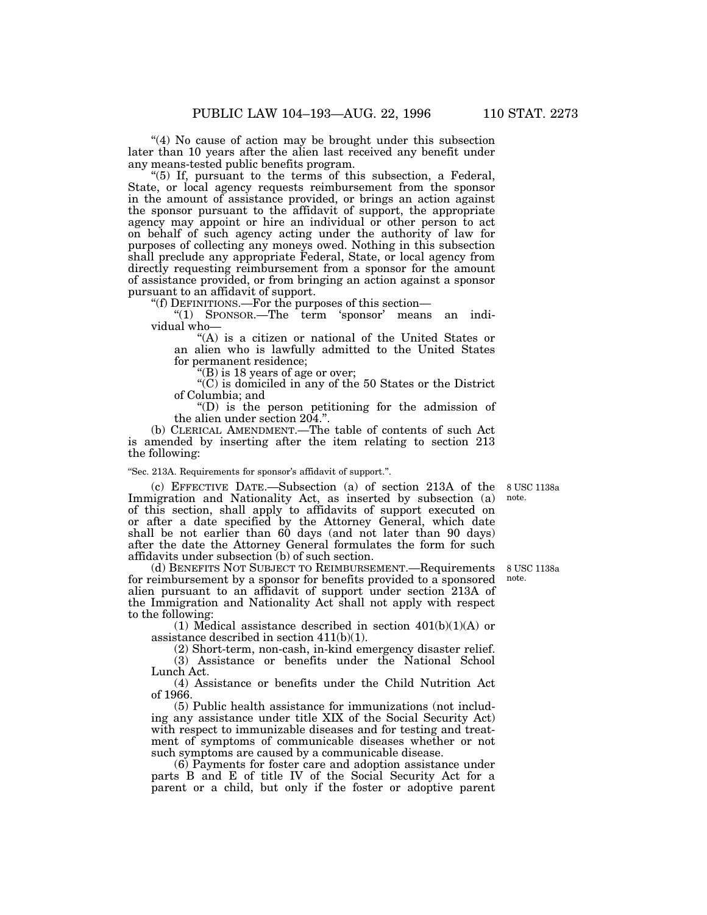"(4) No cause of action may be brought under this subsection later than 10 years after the alien last received any benefit under any means-tested public benefits program.

"(5) If, pursuant to the terms of this subsection, a Federal, State, or local agency requests reimbursement from the sponsor in the amount of assistance provided, or brings an action against the sponsor pursuant to the affidavit of support, the appropriate agency may appoint or hire an individual or other person to act on behalf of such agency acting under the authority of law for purposes of collecting any moneys owed. Nothing in this subsection shall preclude any appropriate Federal, State, or local agency from directly requesting reimbursement from a sponsor for the amount of assistance provided, or from bringing an action against a sponsor pursuant to an affidavit of support.

''(f) DEFINITIONS.—For the purposes of this section—

''(1) SPONSOR.—The term 'sponsor' means an individual who—

''(A) is a citizen or national of the United States or an alien who is lawfully admitted to the United States for permanent residence;

 $f(B)$  is 18 years of age or over;

''(C) is domiciled in any of the 50 States or the District of Columbia; and

 $'(D)$  is the person petitioning for the admission of the alien under section 204.''.

(b) CLERICAL AMENDMENT.—The table of contents of such Act is amended by inserting after the item relating to section 213 the following:

#### ''Sec. 213A. Requirements for sponsor's affidavit of support.''.

(c) EFFECTIVE DATE.—Subsection (a) of section 213A of the Immigration and Nationality Act, as inserted by subsection (a) of this section, shall apply to affidavits of support executed on or after a date specified by the Attorney General, which date shall be not earlier than 60 days (and not later than 90 days) after the date the Attorney General formulates the form for such affidavits under subsection (b) of such section.

(d) BENEFITS NOT SUBJECT TO REIMBURSEMENT.—Requirements for reimbursement by a sponsor for benefits provided to a sponsored alien pursuant to an affidavit of support under section 213A of the Immigration and Nationality Act shall not apply with respect to the following:

(1) Medical assistance described in section  $401(b)(1)(A)$  or assistance described in section 411(b)(1).

(2) Short-term, non-cash, in-kind emergency disaster relief.

(3) Assistance or benefits under the National School Lunch Act.

(4) Assistance or benefits under the Child Nutrition Act of 1966.

(5) Public health assistance for immunizations (not including any assistance under title XIX of the Social Security Act) with respect to immunizable diseases and for testing and treatment of symptoms of communicable diseases whether or not such symptoms are caused by a communicable disease.

(6) Payments for foster care and adoption assistance under parts B and E of title IV of the Social Security Act for a parent or a child, but only if the foster or adoptive parent

8 USC 1138a note.

8 USC 1138a note.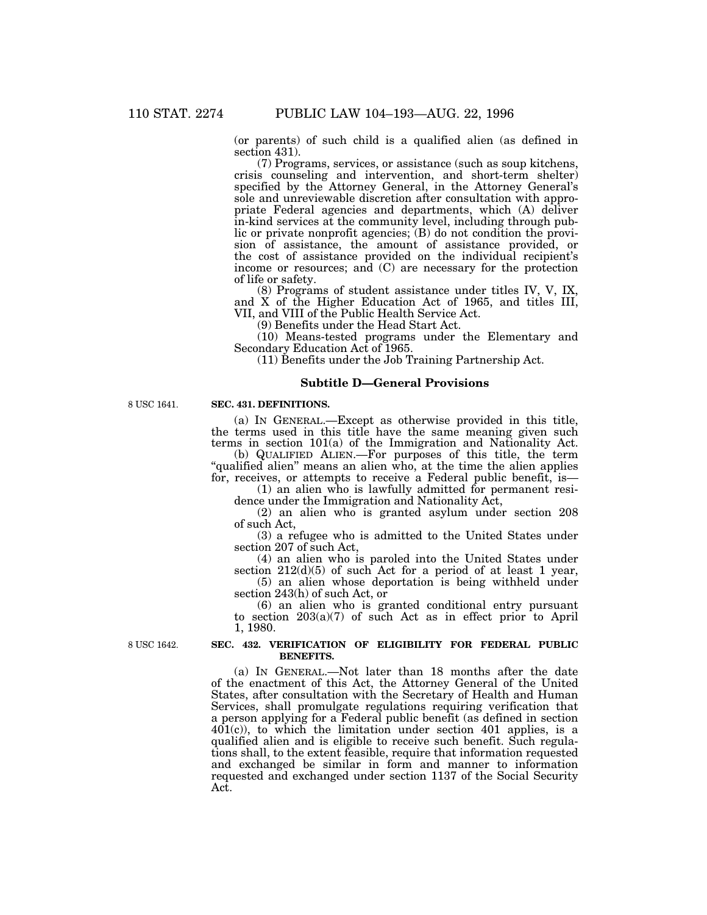(or parents) of such child is a qualified alien (as defined in section 431).

(7) Programs, services, or assistance (such as soup kitchens, crisis counseling and intervention, and short-term shelter) specified by the Attorney General, in the Attorney General's sole and unreviewable discretion after consultation with appropriate Federal agencies and departments, which (A) deliver in-kind services at the community level, including through public or private nonprofit agencies; (B) do not condition the provision of assistance, the amount of assistance provided, or the cost of assistance provided on the individual recipient's income or resources; and (C) are necessary for the protection of life or safety.

(8) Programs of student assistance under titles IV, V, IX, and X of the Higher Education Act of 1965, and titles III, VII, and VIII of the Public Health Service Act.

(9) Benefits under the Head Start Act.

(10) Means-tested programs under the Elementary and Secondary Education Act of 1965.

(11) Benefits under the Job Training Partnership Act.

#### **Subtitle D—General Provisions**

8 USC 1641.

## **SEC. 431. DEFINITIONS.**

(a) IN GENERAL.—Except as otherwise provided in this title, the terms used in this title have the same meaning given such terms in section 101(a) of the Immigration and Nationality Act.

(b) QUALIFIED ALIEN.—For purposes of this title, the term "qualified alien" means an alien who, at the time the alien applies for, receives, or attempts to receive a Federal public benefit, is—

(1) an alien who is lawfully admitted for permanent residence under the Immigration and Nationality Act,

(2) an alien who is granted asylum under section 208 of such Act,

(3) a refugee who is admitted to the United States under section 207 of such Act,

(4) an alien who is paroled into the United States under

section  $212(d)(5)$  of such Act for a period of at least 1 year, (5) an alien whose deportation is being withheld under

section 243(h) of such Act, or (6) an alien who is granted conditional entry pursuant to section 203(a)(7) of such Act as in effect prior to April 1, 1980.

8 USC 1642.

#### **SEC. 432. VERIFICATION OF ELIGIBILITY FOR FEDERAL PUBLIC BENEFITS.**

(a) IN GENERAL.—Not later than 18 months after the date of the enactment of this Act, the Attorney General of the United States, after consultation with the Secretary of Health and Human Services, shall promulgate regulations requiring verification that a person applying for a Federal public benefit (as defined in section  $401(c)$ , to which the limitation under section 401 applies, is a qualified alien and is eligible to receive such benefit. Such regulations shall, to the extent feasible, require that information requested and exchanged be similar in form and manner to information requested and exchanged under section 1137 of the Social Security Act.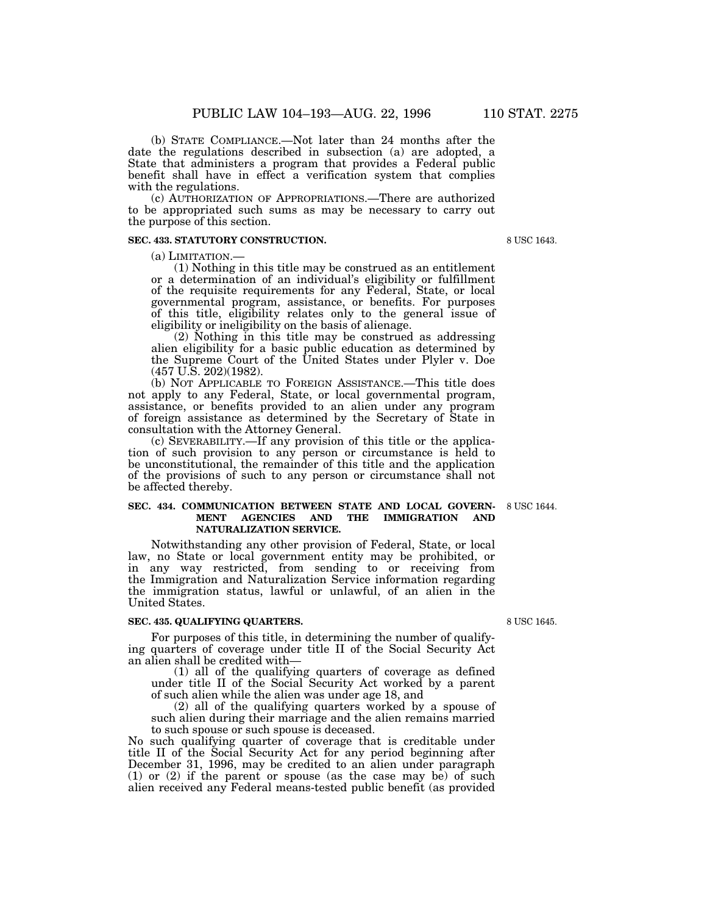(b) STATE COMPLIANCE.—Not later than 24 months after the date the regulations described in subsection (a) are adopted, a State that administers a program that provides a Federal public benefit shall have in effect a verification system that complies with the regulations.

(c) AUTHORIZATION OF APPROPRIATIONS.—There are authorized to be appropriated such sums as may be necessary to carry out the purpose of this section.

## **SEC. 433. STATUTORY CONSTRUCTION.**

8 USC 1643.

(a) LIMITATION.—

(1) Nothing in this title may be construed as an entitlement a determination of an individual's eligibility or fulfillment of the requisite requirements for any Federal, State, or local governmental program, assistance, or benefits. For purposes of this title, eligibility relates only to the general issue of eligibility or ineligibility on the basis of alienage.

(2) Nothing in this title may be construed as addressing alien eligibility for a basic public education as determined by the Supreme Court of the United States under Plyler v. Doe (457 U.S. 202)(1982).

(b) NOT APPLICABLE TO FOREIGN ASSISTANCE.—This title does not apply to any Federal, State, or local governmental program, assistance, or benefits provided to an alien under any program of foreign assistance as determined by the Secretary of State in consultation with the Attorney General.

(c) SEVERABILITY.—If any provision of this title or the application of such provision to any person or circumstance is held to be unconstitutional, the remainder of this title and the application of the provisions of such to any person or circumstance shall not be affected thereby.

#### **SEC. 434. COMMUNICATION BETWEEN STATE AND LOCAL GOVERN-**8 USC 1644. **MENT AGENCIES AND THE IMMIGRATION AND NATURALIZATION SERVICE.**

Notwithstanding any other provision of Federal, State, or local law, no State or local government entity may be prohibited, or in any way restricted, from sending to or receiving from the Immigration and Naturalization Service information regarding the immigration status, lawful or unlawful, of an alien in the United States.

#### **SEC. 435. QUALIFYING QUARTERS.**

For purposes of this title, in determining the number of qualifying quarters of coverage under title II of the Social Security Act an alien shall be credited with—

(1) all of the qualifying quarters of coverage as defined under title II of the Social Security Act worked by a parent of such alien while the alien was under age 18, and

(2) all of the qualifying quarters worked by a spouse of such alien during their marriage and the alien remains married to such spouse or such spouse is deceased.

No such qualifying quarter of coverage that is creditable under title II of the Social Security Act for any period beginning after December 31, 1996, may be credited to an alien under paragraph (1) or (2) if the parent or spouse (as the case may be) of such alien received any Federal means-tested public benefit (as provided

8 USC 1645.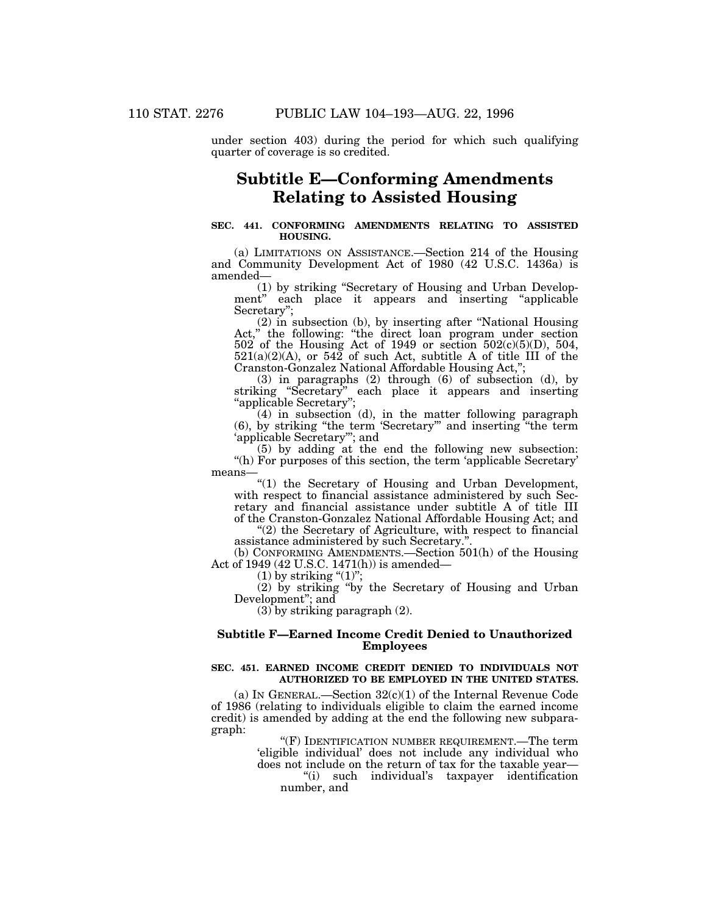under section 403) during the period for which such qualifying quarter of coverage is so credited.

# **Subtitle E—Conforming Amendments Relating to Assisted Housing**

## **SEC. 441. CONFORMING AMENDMENTS RELATING TO ASSISTED HOUSING.**

(a) LIMITATIONS ON ASSISTANCE.—Section 214 of the Housing and Community Development Act of 1980 (42 U.S.C. 1436a) is amended—

(1) by striking ''Secretary of Housing and Urban Development'' each place it appears and inserting ''applicable Secretary'';

(2) in subsection (b), by inserting after ''National Housing Act," the following: "the direct loan program under section  $502$  of the Housing Act of 1949 or section  $502(c)(5)(D)$ ,  $504$ ,  $521(a)(2)(A)$ , or  $54\overline{2}$  of such Act, subtitle A of title III of the Cranston-Gonzalez National Affordable Housing Act,'';

(3) in paragraphs (2) through (6) of subsection (d), by striking ''Secretary'' each place it appears and inserting ''applicable Secretary'';

(4) in subsection (d), in the matter following paragraph (6), by striking ''the term 'Secretary''' and inserting ''the term 'applicable Secretary'''; and

(5) by adding at the end the following new subsection: "(h) For purposes of this section, the term 'applicable Secretary' means—

"(1) the Secretary of Housing and Urban Development, with respect to financial assistance administered by such Secretary and financial assistance under subtitle A of title III of the Cranston-Gonzalez National Affordable Housing Act; and

"(2) the Secretary of Agriculture, with respect to financial assistance administered by such Secretary.''.

(b) CONFORMING AMENDMENTS.—Section 501(h) of the Housing Act of 1949 (42 U.S.C. 1471(h)) is amended—

 $(1)$  by striking " $(1)$ ";

(2) by striking ''by the Secretary of Housing and Urban Development''; and

 $(3)$  by striking paragraph  $(2)$ .

## **Subtitle F—Earned Income Credit Denied to Unauthorized Employees**

### **SEC. 451. EARNED INCOME CREDIT DENIED TO INDIVIDUALS NOT AUTHORIZED TO BE EMPLOYED IN THE UNITED STATES.**

(a) IN GENERAL.—Section  $32(c)(1)$  of the Internal Revenue Code of 1986 (relating to individuals eligible to claim the earned income credit) is amended by adding at the end the following new subparagraph:

"(F) IDENTIFICATION NUMBER REQUIREMENT.—The term 'eligible individual' does not include any individual who does not include on the return of tax for the taxable year— ''(i) such individual's taxpayer identification number, and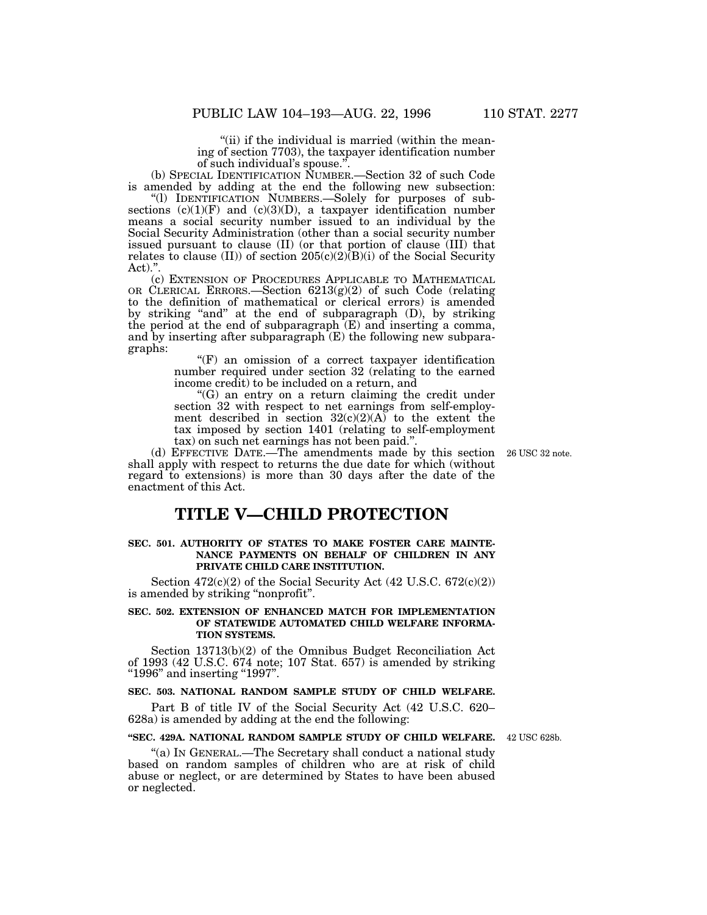"(ii) if the individual is married (within the meaning of section 7703), the taxpayer identification number of such individual's spouse.''.

(b) SPECIAL IDENTIFICATION NUMBER.—Section 32 of such Code is amended by adding at the end the following new subsection:

''(l) IDENTIFICATION NUMBERS.—Solely for purposes of subsections  $(c)(1)(F)$  and  $(c)(3)(D)$ , a taxpayer identification number means a social security number issued to an individual by the Social Security Administration (other than a social security number issued pursuant to clause (II) (or that portion of clause (III) that relates to clause (II)) of section  $205(c)(2)$ (B)(i) of the Social Security Act).''.

(c) EXTENSION OF PROCEDURES APPLICABLE TO MATHEMATICAL OR CLERICAL ERRORS.—Section 6213(g)(2) of such Code (relating to the definition of mathematical or clerical errors) is amended by striking "and" at the end of subparagraph (D), by striking the period at the end of subparagraph (E) and inserting a comma, and by inserting after subparagraph (E) the following new subparagraphs:

''(F) an omission of a correct taxpayer identification number required under section 32 (relating to the earned income credit) to be included on a return, and

''(G) an entry on a return claiming the credit under section 32 with respect to net earnings from self-employment described in section  $32(c)(2)(A)$  to the extent the tax imposed by section 1401 (relating to self-employment tax) on such net earnings has not been paid.''.

(d) EFFECTIVE DATE.—The amendments made by this section 26 USC 32 note.shall apply with respect to returns the due date for which (without regard to extensions) is more than 30 days after the date of the enactment of this Act.

## **TITLE V—CHILD PROTECTION**

### **SEC. 501. AUTHORITY OF STATES TO MAKE FOSTER CARE MAINTE-NANCE PAYMENTS ON BEHALF OF CHILDREN IN ANY PRIVATE CHILD CARE INSTITUTION.**

Section 472(c)(2) of the Social Security Act (42 U.S.C. 672(c)(2)) is amended by striking ''nonprofit''.

## **SEC. 502. EXTENSION OF ENHANCED MATCH FOR IMPLEMENTATION OF STATEWIDE AUTOMATED CHILD WELFARE INFORMA-TION SYSTEMS.**

Section 13713(b)(2) of the Omnibus Budget Reconciliation Act of 1993 (42 U.S.C. 674 note; 107 Stat. 657) is amended by striking "1996" and inserting "1997".

#### **SEC. 503. NATIONAL RANDOM SAMPLE STUDY OF CHILD WELFARE.**

Part B of title IV of the Social Security Act (42 U.S.C. 620– 628a) is amended by adding at the end the following:

#### **''SEC. 429A. NATIONAL RANDOM SAMPLE STUDY OF CHILD WELFARE.** 42 USC 628b.

''(a) IN GENERAL.—The Secretary shall conduct a national study based on random samples of children who are at risk of child abuse or neglect, or are determined by States to have been abused or neglected.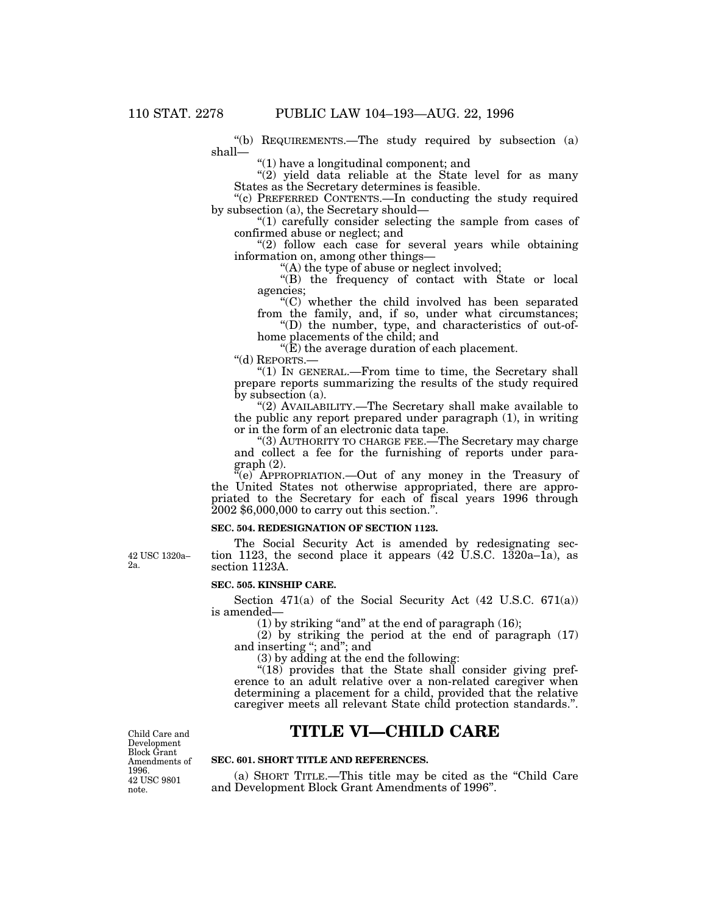''(b) REQUIREMENTS.—The study required by subsection (a) shall—

''(1) have a longitudinal component; and

"(2) yield data reliable at the State level for as many States as the Secretary determines is feasible.

''(c) PREFERRED CONTENTS.—In conducting the study required by subsection (a), the Secretary should—

''(1) carefully consider selecting the sample from cases of confirmed abuse or neglect; and

"(2) follow each case for several years while obtaining information on, among other things—

"(A) the type of abuse or neglect involved;

"(B) the frequency of contact with State or local agencies;

''(C) whether the child involved has been separated from the family, and, if so, under what circumstances;

''(D) the number, type, and characteristics of out-ofhome placements of the child; and

" $(E)$  the average duration of each placement.

''(d) REPORTS.—

"(1) In GENERAL.—From time to time, the Secretary shall prepare reports summarizing the results of the study required by subsection (a).

''(2) AVAILABILITY.—The Secretary shall make available to the public any report prepared under paragraph (1), in writing or in the form of an electronic data tape.

"(3) AUTHORITY TO CHARGE FEE.—The Secretary may charge and collect a fee for the furnishing of reports under paragraph (2).

''(e) APPROPRIATION.—Out of any money in the Treasury of the United States not otherwise appropriated, there are appropriated to the Secretary for each of fiscal years 1996 through 2002 \$6,000,000 to carry out this section.''.

## **SEC. 504. REDESIGNATION OF SECTION 1123.**

The Social Security Act is amended by redesignating section 1123, the second place it appears  $(42 \text{ U.S.C. } 1\bar{3}20a-1\bar{a})$ , as section 1123A.

#### **SEC. 505. KINSHIP CARE.**

Section 471(a) of the Social Security Act  $(42 \text{ U.S.C. } 671(a))$ is amended—

 $(1)$  by striking "and" at the end of paragraph  $(16)$ ;

(2) by striking the period at the end of paragraph (17) and inserting ''; and''; and

(3) by adding at the end the following:

"(18) provides that the State shall consider giving preference to an adult relative over a non-related caregiver when determining a placement for a child, provided that the relative caregiver meets all relevant State child protection standards.''.

**TITLE VI—CHILD CARE**

## **SEC. 601. SHORT TITLE AND REFERENCES.**

(a) SHORT TITLE.—This title may be cited as the ''Child Care 42 USC 9801 (a) SHORT TITLE.—This title may be cited as the net and Development Block Grant Amendments of 1996".

42 USC 1320a– 2a.

note. Child Care and Development Block Grant Amendments of 1996.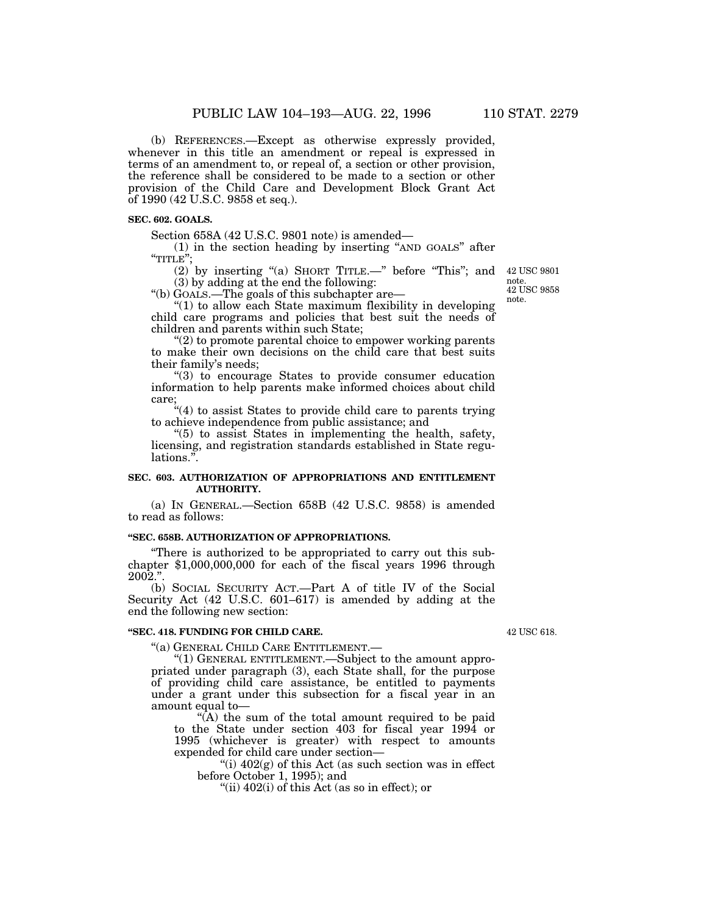(b) REFERENCES.—Except as otherwise expressly provided, whenever in this title an amendment or repeal is expressed in terms of an amendment to, or repeal of, a section or other provision, the reference shall be considered to be made to a section or other provision of the Child Care and Development Block Grant Act of 1990 (42 U.S.C. 9858 et seq.).

#### **SEC. 602. GOALS.**

Section 658A (42 U.S.C. 9801 note) is amended—

(1) in the section heading by inserting ''AND GOALS'' after "TITLE";

(2) by inserting "(a) SHORT TITLE.—" before "This"; and 42 USC 9801 (3) by adding at the end the following:

''(b) GOALS.—The goals of this subchapter are—

''(1) to allow each State maximum flexibility in developing child care programs and policies that best suit the needs of children and parents within such State;

''(2) to promote parental choice to empower working parents to make their own decisions on the child care that best suits their family's needs;

''(3) to encourage States to provide consumer education information to help parents make informed choices about child care;

"(4) to assist States to provide child care to parents trying to achieve independence from public assistance; and

''(5) to assist States in implementing the health, safety, licensing, and registration standards established in State regulations.".

## **SEC. 603. AUTHORIZATION OF APPROPRIATIONS AND ENTITLEMENT AUTHORITY.**

(a) IN GENERAL.—Section 658B (42 U.S.C. 9858) is amended to read as follows:

#### **''SEC. 658B. AUTHORIZATION OF APPROPRIATIONS.**

''There is authorized to be appropriated to carry out this subchapter \$1,000,000,000 for each of the fiscal years 1996 through 2002.''.

(b) SOCIAL SECURITY ACT.—Part A of title IV of the Social Security Act (42 U.S.C. 601–617) is amended by adding at the end the following new section:

## **''SEC. 418. FUNDING FOR CHILD CARE.**

''(a) GENERAL CHILD CARE ENTITLEMENT.—

''(1) GENERAL ENTITLEMENT.—Subject to the amount appropriated under paragraph (3), each State shall, for the purpose of providing child care assistance, be entitled to payments under a grant under this subsection for a fiscal year in an amount equal to—

"(A) the sum of the total amount required to be paid to the State under section 403 for fiscal year 1994 or 1995 (whichever is greater) with respect to amounts expended for child care under section—

"(i)  $402(g)$  of this Act (as such section was in effect before October 1, 1995); and

"(ii)  $402(i)$  of this Act (as so in effect); or

42 USC 618.

42 USC 9858 note.note.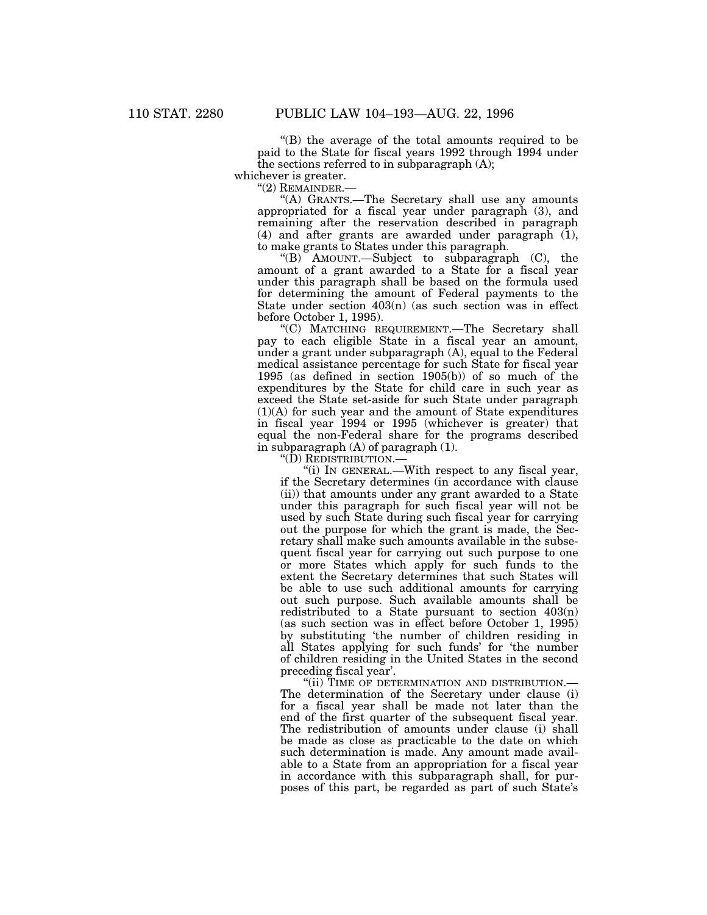''(B) the average of the total amounts required to be paid to the State for fiscal years 1992 through 1994 under the sections referred to in subparagraph (A); whichever is greater.

''(2) REMAINDER.—

''(A) GRANTS.—The Secretary shall use any amounts appropriated for a fiscal year under paragraph (3), and remaining after the reservation described in paragraph (4) and after grants are awarded under paragraph  $(1)$ , to make grants to States under this paragraph.

''(B) AMOUNT.—Subject to subparagraph (C), the amount of a grant awarded to a State for a fiscal year under this paragraph shall be based on the formula used for determining the amount of Federal payments to the State under section 403(n) (as such section was in effect before October 1, 1995).

''(C) MATCHING REQUIREMENT.—The Secretary shall pay to each eligible State in a fiscal year an amount, under a grant under subparagraph (A), equal to the Federal medical assistance percentage for such State for fiscal year 1995 (as defined in section 1905(b)) of so much of the expenditures by the State for child care in such year as exceed the State set-aside for such State under paragraph (1)(A) for such year and the amount of State expenditures in fiscal year 1994 or 1995 (whichever is greater) that equal the non-Federal share for the programs described in subparagraph (A) of paragraph (1).

''(D) REDISTRIBUTION.—

''(i) IN GENERAL.—With respect to any fiscal year, if the Secretary determines (in accordance with clause (ii)) that amounts under any grant awarded to a State under this paragraph for such fiscal year will not be used by such State during such fiscal year for carrying out the purpose for which the grant is made, the Secretary shall make such amounts available in the subsequent fiscal year for carrying out such purpose to one or more States which apply for such funds to the extent the Secretary determines that such States will be able to use such additional amounts for carrying out such purpose. Such available amounts shall be redistributed to a State pursuant to section 403(n) (as such section was in effect before October 1, 1995) by substituting 'the number of children residing in all States applying for such funds' for 'the number of children residing in the United States in the second preceding fiscal year'.

'(ii) TIME OF DETERMINATION AND DISTRIBUTION. The determination of the Secretary under clause (i) for a fiscal year shall be made not later than the end of the first quarter of the subsequent fiscal year. The redistribution of amounts under clause (i) shall be made as close as practicable to the date on which such determination is made. Any amount made available to a State from an appropriation for a fiscal year in accordance with this subparagraph shall, for purposes of this part, be regarded as part of such State's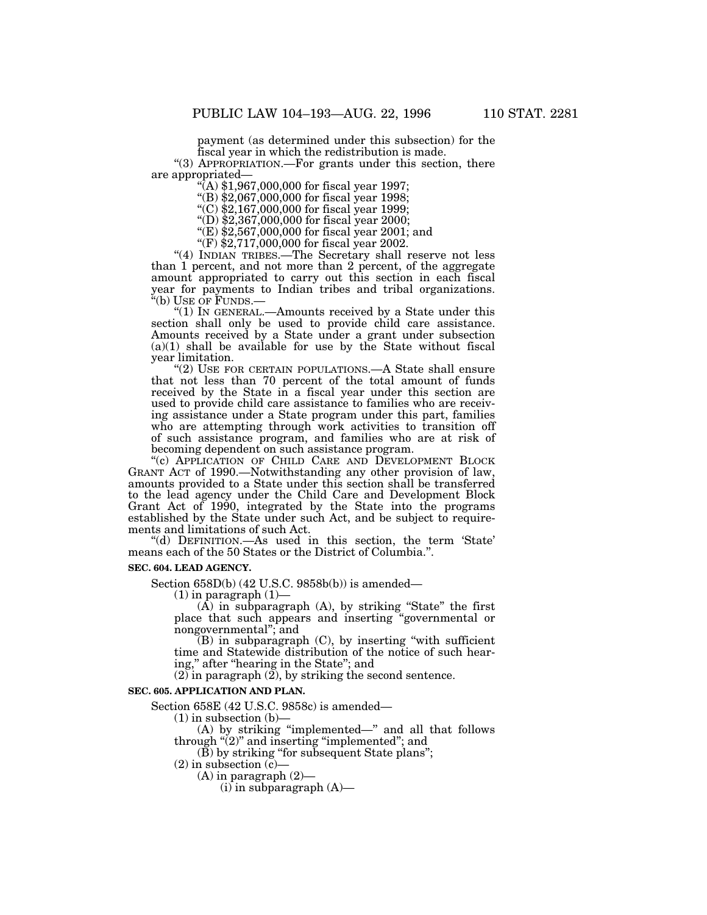payment (as determined under this subsection) for the fiscal year in which the redistribution is made.

"(3) APPROPRIATION.—For grants under this section, there are appropriated—

"(A)  $$1,967,000,000$  for fiscal year 1997;

''(B) \$2,067,000,000 for fiscal year 1998;

''(C) \$2,167,000,000 for fiscal year 1999;

''(D) \$2,367,000,000 for fiscal year 2000;

''(E) \$2,567,000,000 for fiscal year 2001; and

''(F) \$2,717,000,000 for fiscal year 2002.

"(4) INDIAN TRIBES.—The Secretary shall reserve not less than 1 percent, and not more than 2 percent, of the aggregate amount appropriated to carry out this section in each fiscal year for payments to Indian tribes and tribal organizations. ''(b) USE OF FUNDS.— ''(1) IN GENERAL.—Amounts received by a State under this

section shall only be used to provide child care assistance. Amounts received by a State under a grant under subsection  $(a)(1)$  shall be available for use by the State without fiscal year limitation.

"(2) USE FOR CERTAIN POPULATIONS.—A State shall ensure that not less than 70 percent of the total amount of funds received by the State in a fiscal year under this section are used to provide child care assistance to families who are receiving assistance under a State program under this part, families who are attempting through work activities to transition off of such assistance program, and families who are at risk of becoming dependent on such assistance program.

''(c) APPLICATION OF CHILD CARE AND DEVELOPMENT BLOCK GRANT ACT of 1990.—Notwithstanding any other provision of law, amounts provided to a State under this section shall be transferred to the lead agency under the Child Care and Development Block Grant Act of 1990, integrated by the State into the programs established by the State under such Act, and be subject to requirements and limitations of such Act.

''(d) DEFINITION.—As used in this section, the term 'State' means each of the 50 States or the District of Columbia.''.

#### **SEC. 604. LEAD AGENCY.**

Section 658D(b) (42 U.S.C. 9858b(b)) is amended—

 $(1)$  in paragraph  $(1)$ —

 $(A)$  in subparagraph  $(A)$ , by striking "State" the first place that such appears and inserting ''governmental or nongovernmental''; and

(B) in subparagraph (C), by inserting ''with sufficient time and Statewide distribution of the notice of such hearing,'' after ''hearing in the State''; and

 $(2)$  in paragraph  $(2)$ , by striking the second sentence.

## **SEC. 605. APPLICATION AND PLAN.**

Section 658E (42 U.S.C. 9858c) is amended—

 $(1)$  in subsection  $(b)$ -

(A) by striking ''implemented—'' and all that follows through "(2)" and inserting "implemented"; and

(B) by striking ''for subsequent State plans'';

 $(2)$  in subsection  $(c)$ —

(A) in paragraph (2)—

 $(i)$  in subparagraph  $(A)$ —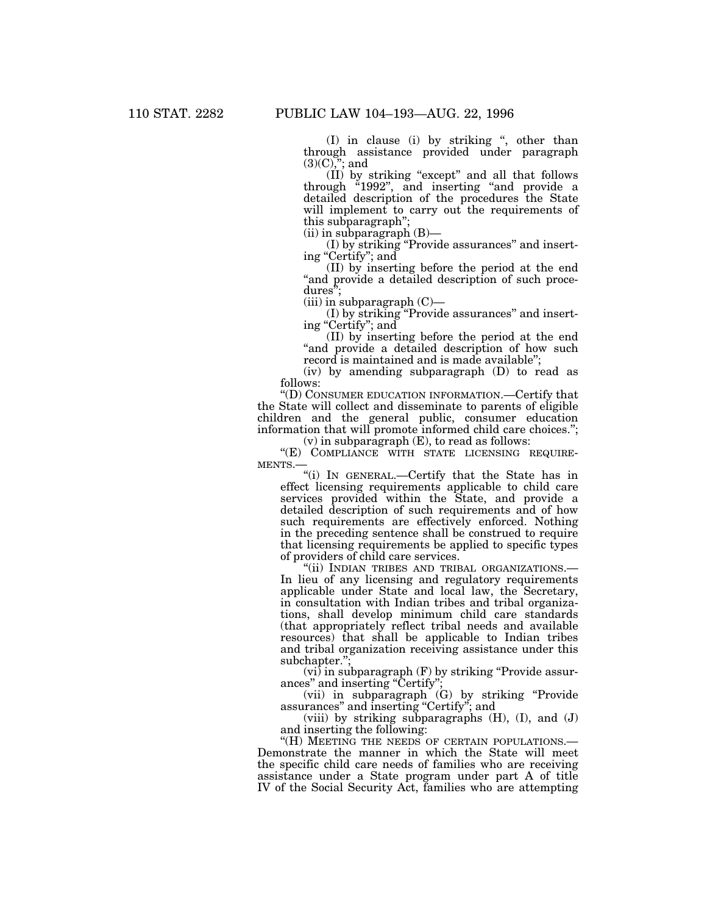(I) in clause (i) by striking '', other than through assistance provided under paragraph  $(3)(C)$ ,"; and

(II) by striking ''except'' and all that follows through "1992", and inserting "and provide a detailed description of the procedures the State will implement to carry out the requirements of this subparagraph'';

(ii) in subparagraph (B)—

(I) by striking ''Provide assurances'' and inserting "Certify"; and

(II) by inserting before the period at the end "and provide a detailed description of such procedures<sup>7</sup>

 $(iii)$  in subparagraph  $(C)$ —

(I) by striking ''Provide assurances'' and inserting "Certify"; and

(II) by inserting before the period at the end "and provide a detailed description of how such record is maintained and is made available'';

(iv) by amending subparagraph (D) to read as follows:

''(D) CONSUMER EDUCATION INFORMATION.—Certify that the State will collect and disseminate to parents of eligible children and the general public, consumer education information that will promote informed child care choices.''; (v) in subparagraph (E), to read as follows:

"(E) COMPLIANCE WITH STATE LICENSING REQUIRE-MENTS.—

''(i) IN GENERAL.—Certify that the State has in effect licensing requirements applicable to child care services provided within the State, and provide a detailed description of such requirements and of how such requirements are effectively enforced. Nothing in the preceding sentence shall be construed to require that licensing requirements be applied to specific types of providers of child care services.

"(ii) INDIAN TRIBES AND TRIBAL ORGANIZATIONS.-In lieu of any licensing and regulatory requirements applicable under State and local law, the Secretary, in consultation with Indian tribes and tribal organizations, shall develop minimum child care standards (that appropriately reflect tribal needs and available resources) that shall be applicable to Indian tribes and tribal organization receiving assistance under this subchapter.'';

 $(vi)$  in subparagraph  $(F)$  by striking "Provide assurances" and inserting "Certify'

(vii) in subparagraph (G) by striking ''Provide assurances'' and inserting ''Certify''; and

(viii) by striking subparagraphs (H), (I), and (J) and inserting the following:

''(H) MEETING THE NEEDS OF CERTAIN POPULATIONS.— Demonstrate the manner in which the State will meet the specific child care needs of families who are receiving assistance under a State program under part A of title IV of the Social Security Act, families who are attempting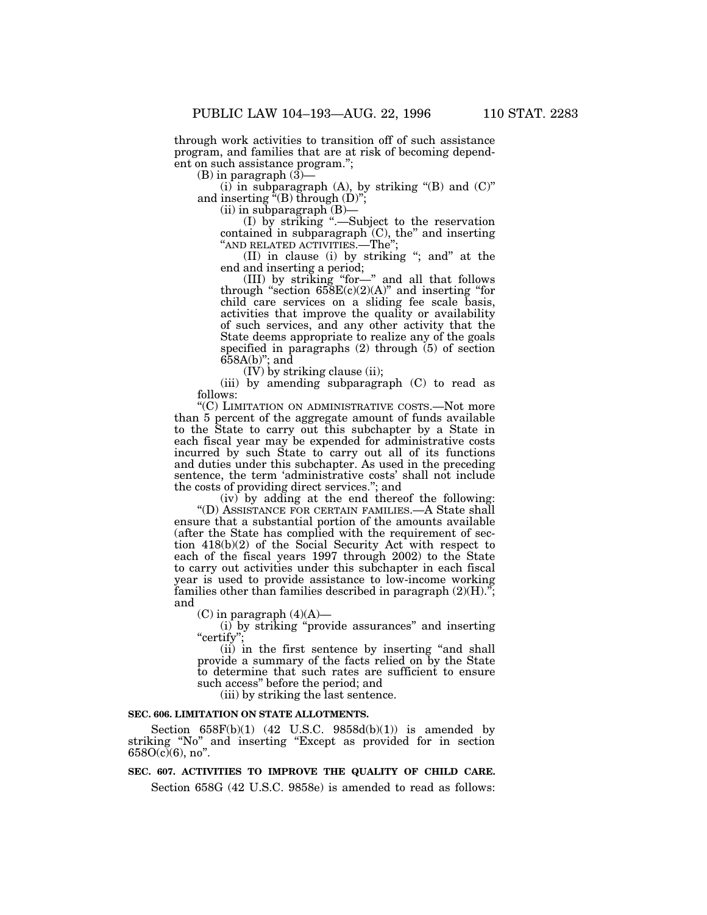through work activities to transition off of such assistance program, and families that are at risk of becoming dependent on such assistance program.'';

 $(B)$  in paragraph  $(3)$ 

(i) in subparagraph  $(A)$ , by striking " $(B)$  and  $(C)$ " and inserting  $^{\alpha}$ (B) through (D)";

 $(ii)$  in subparagraph  $(B)$ —

(I) by striking ''.—Subject to the reservation contained in subparagraph  $(C)$ , the" and inserting ''AND RELATED ACTIVITIES.—The'';

(II) in clause (i) by striking ''; and'' at the end and inserting a period;

(III) by striking ''for—'' and all that follows through "section  $658E(c)(2)(A)$ " and inserting "for child care services on a sliding fee scale basis, activities that improve the quality or availability of such services, and any other activity that the State deems appropriate to realize any of the goals specified in paragraphs (2) through (5) of section 658A(b)''; and

(IV) by striking clause (ii);

(iii) by amending subparagraph (C) to read as follows:

''(C) LIMITATION ON ADMINISTRATIVE COSTS.—Not more than 5 percent of the aggregate amount of funds available to the State to carry out this subchapter by a State in each fiscal year may be expended for administrative costs incurred by such State to carry out all of its functions and duties under this subchapter. As used in the preceding sentence, the term 'administrative costs' shall not include the costs of providing direct services.''; and

(iv) by adding at the end thereof the following: ''(D) ASSISTANCE FOR CERTAIN FAMILIES.—A State shall ensure that a substantial portion of the amounts available (after the State has complied with the requirement of section 418(b)(2) of the Social Security Act with respect to each of the fiscal years 1997 through 2002) to the State to carry out activities under this subchapter in each fiscal year is used to provide assistance to low-income working families other than families described in paragraph  $(2)(H)$ ."; and

 $(C)$  in paragraph  $(4)(A)$ —

(i) by striking ''provide assurances'' and inserting ''certify'';

(ii) in the first sentence by inserting ''and shall provide a summary of the facts relied on by the State to determine that such rates are sufficient to ensure such access'' before the period; and

(iii) by striking the last sentence.

## **SEC. 606. LIMITATION ON STATE ALLOTMENTS.**

Section 658F(b)(1) (42 U.S.C. 9858d(b)(1)) is amended by striking "No" and inserting "Except as provided for in section  $658O(c)(6)$ , no".

## **SEC. 607. ACTIVITIES TO IMPROVE THE QUALITY OF CHILD CARE.**

Section 658G (42 U.S.C. 9858e) is amended to read as follows: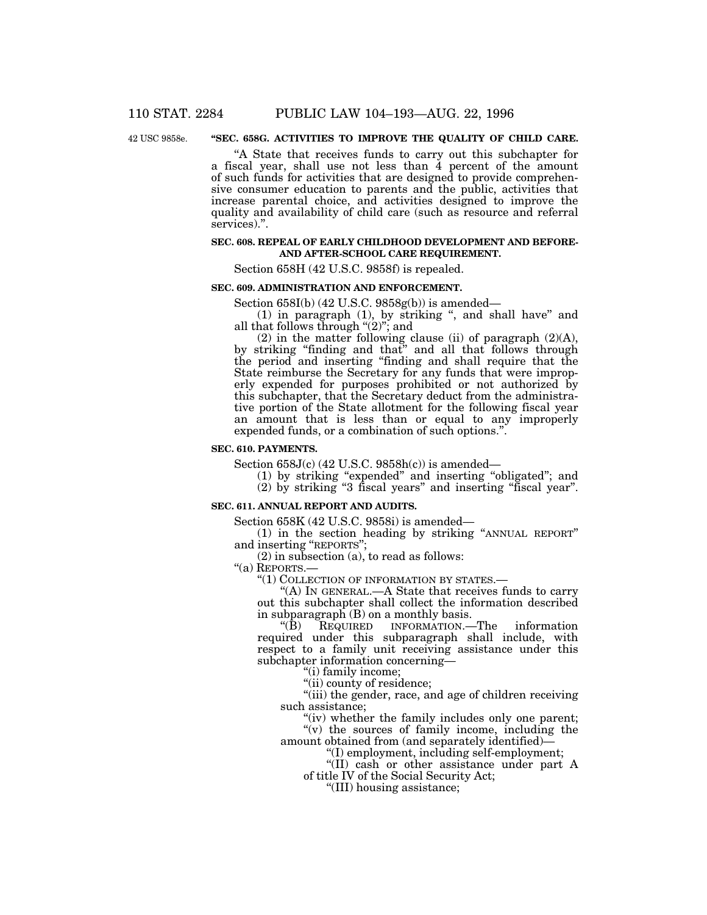42 USC 9858e.

## **''SEC. 658G. ACTIVITIES TO IMPROVE THE QUALITY OF CHILD CARE.**

"A State that receives funds to carry out this subchapter for a fiscal year, shall use not less than 4 percent of the amount of such funds for activities that are designed to provide comprehensive consumer education to parents and the public, activities that increase parental choice, and activities designed to improve the quality and availability of child care (such as resource and referral services).''.

## **SEC. 608. REPEAL OF EARLY CHILDHOOD DEVELOPMENT AND BEFORE-AND AFTER-SCHOOL CARE REQUIREMENT.**

Section 658H (42 U.S.C. 9858f) is repealed.

#### **SEC. 609. ADMINISTRATION AND ENFORCEMENT.**

Section 658I(b) (42 U.S.C. 9858g(b)) is amended—

(1) in paragraph (1), by striking ", and shall have" and all that follows through "(2)"; and

 $(2)$  in the matter following clause (ii) of paragraph  $(2)(A)$ , by striking ''finding and that'' and all that follows through the period and inserting ''finding and shall require that the State reimburse the Secretary for any funds that were improperly expended for purposes prohibited or not authorized by this subchapter, that the Secretary deduct from the administrative portion of the State allotment for the following fiscal year an amount that is less than or equal to any improperly expended funds, or a combination of such options.''.

#### **SEC. 610. PAYMENTS.**

Section  $658J(c)$  (42 U.S.C.  $9858h(c)$ ) is amended—

(1) by striking ''expended'' and inserting ''obligated''; and

(2) by striking ''3 fiscal years'' and inserting ''fiscal year''.

#### **SEC. 611. ANNUAL REPORT AND AUDITS.**

Section 658K (42 U.S.C. 9858i) is amended—

(1) in the section heading by striking ''ANNUAL REPORT'' and inserting ''REPORTS'';

(2) in subsection (a), to read as follows:

''(a) REPORTS.—

''(1) COLLECTION OF INFORMATION BY STATES.—

''(A) IN GENERAL.—A State that receives funds to carry out this subchapter shall collect the information described in subparagraph  $(B)$  on a monthly basis.<br>" $(B)$  REQUIRED INFORMATION.

REQUIRED INFORMATION.—The information required under this subparagraph shall include, with respect to a family unit receiving assistance under this subchapter information concerning—

''(i) family income;

"(ii) county of residence;

"(iii) the gender, race, and age of children receiving such assistance;

"(iv) whether the family includes only one parent;  $''(v)$  the sources of family income, including the

amount obtained from (and separately identified)—

''(I) employment, including self-employment;

''(II) cash or other assistance under part A of title IV of the Social Security Act;

''(III) housing assistance;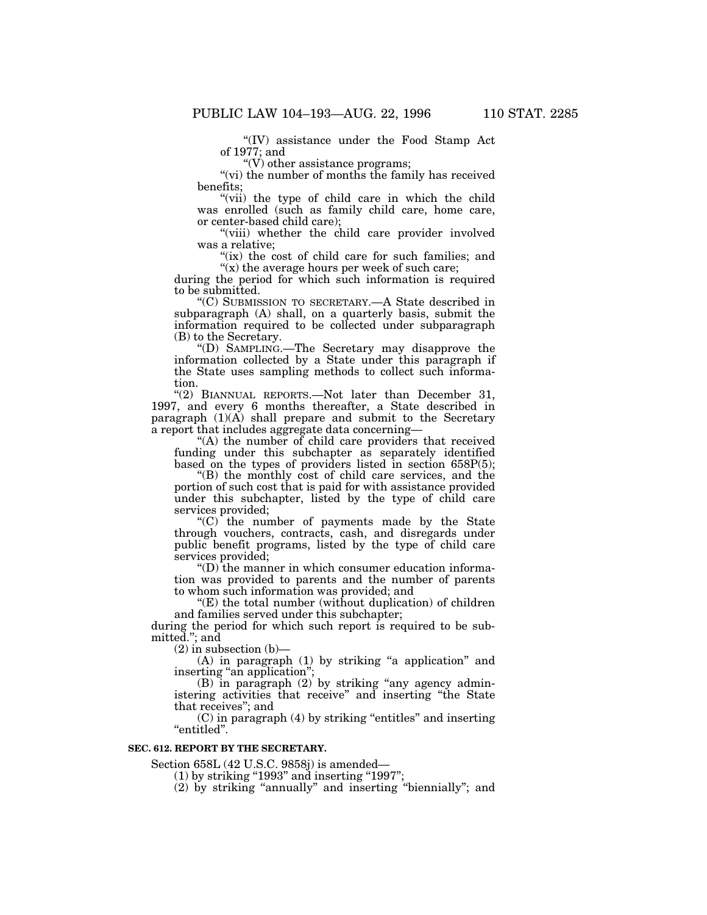''(IV) assistance under the Food Stamp Act of 1977; and

''(V) other assistance programs;

"(vi) the number of months the family has received benefits;

"(vii) the type of child care in which the child was enrolled (such as family child care, home care, or center-based child care);

"(viii) whether the child care provider involved was a relative;

"(ix) the cost of child care for such families; and  $(x)$  the average hours per week of such care;

during the period for which such information is required to be submitted.

''(C) SUBMISSION TO SECRETARY.—A State described in subparagraph (A) shall, on a quarterly basis, submit the information required to be collected under subparagraph (B) to the Secretary.

''(D) SAMPLING.—The Secretary may disapprove the information collected by a State under this paragraph if the State uses sampling methods to collect such information.

"(2) BIANNUAL REPORTS.-Not later than December 31, 1997, and every 6 months thereafter, a State described in paragraph  $(1)(A)$  shall prepare and submit to the Secretary a report that includes aggregate data concerning—

"(A) the number of child care providers that received funding under this subchapter as separately identified based on the types of providers listed in section 658P(5);

''(B) the monthly cost of child care services, and the portion of such cost that is paid for with assistance provided under this subchapter, listed by the type of child care services provided;

 $(C)$  the number of payments made by the State through vouchers, contracts, cash, and disregards under public benefit programs, listed by the type of child care services provided;

 $\mathrm{``(D)}$  the manner in which consumer education information was provided to parents and the number of parents to whom such information was provided; and

" $(E)$  the total number (without duplication) of children and families served under this subchapter;

during the period for which such report is required to be submitted.''; and

(2) in subsection (b)—

(A) in paragraph (1) by striking "a application" and inserting "an application";

(B) in paragraph (2) by striking ''any agency administering activities that receive'' and inserting ''the State that receives''; and

(C) in paragraph (4) by striking ''entitles'' and inserting ''entitled''.

## **SEC. 612. REPORT BY THE SECRETARY.**

Section 658L (42 U.S.C. 9858j) is amended—

 $(1)$  by striking "1993" and inserting "1997";

(1) by striking '1550' and inserting  $1557$ ',<br>(2) by striking "annually" and inserting "biennially"; and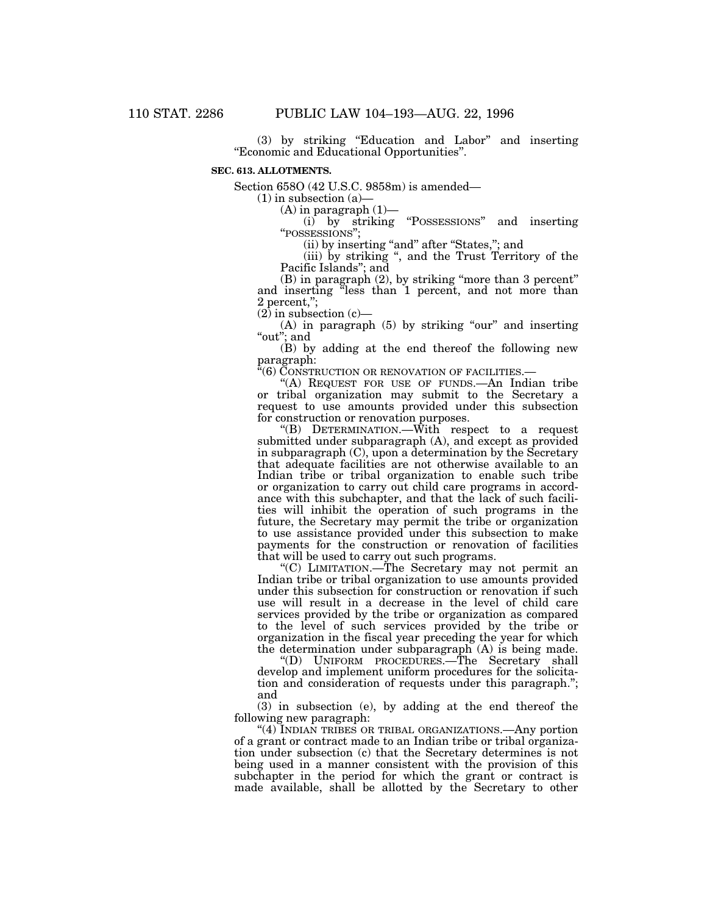(3) by striking ''Education and Labor'' and inserting ''Economic and Educational Opportunities''.

## **SEC. 613. ALLOTMENTS.**

Section 658O (42 U.S.C. 9858m) is amended—

 $(1)$  in subsection  $(a)$ —

 $(A)$  in paragraph  $(1)$ —

(i) by striking ''POSSESSIONS'' and inserting ''POSSESSIONS'';

(ii) by inserting ''and'' after ''States,''; and

(iii) by striking '', and the Trust Territory of the Pacific Islands"; and

(B) in paragraph (2), by striking ''more than 3 percent'' and inserting ''less than 1 percent, and not more than 2 percent,'';

 $(2)$  in subsection  $(c)$ —

 $(A)$  in paragraph  $(5)$  by striking "our" and inserting "out"; and

(B) by adding at the end thereof the following new paragraph:

''(6) CONSTRUCTION OR RENOVATION OF FACILITIES.—

''(A) REQUEST FOR USE OF FUNDS.—An Indian tribe or tribal organization may submit to the Secretary a request to use amounts provided under this subsection for construction or renovation purposes.

"(B) DETERMINATION.—With respect to a request submitted under subparagraph (A), and except as provided in subparagraph (C), upon a determination by the Secretary that adequate facilities are not otherwise available to an Indian tribe or tribal organization to enable such tribe or organization to carry out child care programs in accordance with this subchapter, and that the lack of such facilities will inhibit the operation of such programs in the future, the Secretary may permit the tribe or organization to use assistance provided under this subsection to make payments for the construction or renovation of facilities that will be used to carry out such programs.

"(C) LIMITATION.—The Secretary may not permit an Indian tribe or tribal organization to use amounts provided under this subsection for construction or renovation if such use will result in a decrease in the level of child care services provided by the tribe or organization as compared to the level of such services provided by the tribe or organization in the fiscal year preceding the year for which the determination under subparagraph (A) is being made.

''(D) UNIFORM PROCEDURES.—The Secretary shall develop and implement uniform procedures for the solicitation and consideration of requests under this paragraph." and

(3) in subsection (e), by adding at the end thereof the following new paragraph:

''(4) INDIAN TRIBES OR TRIBAL ORGANIZATIONS.—Any portion of a grant or contract made to an Indian tribe or tribal organization under subsection (c) that the Secretary determines is not being used in a manner consistent with the provision of this subchapter in the period for which the grant or contract is made available, shall be allotted by the Secretary to other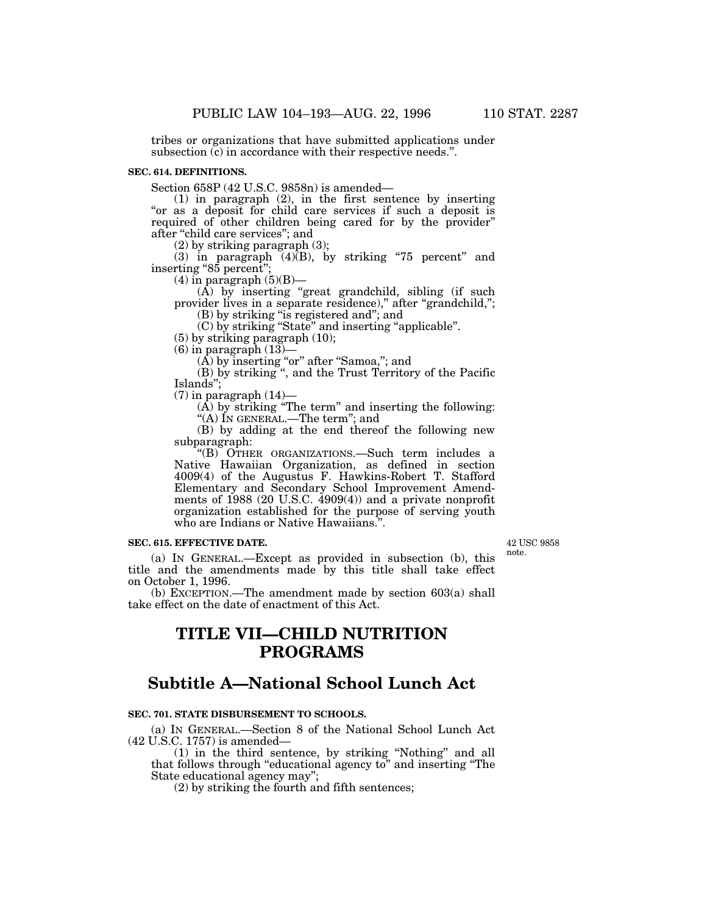tribes or organizations that have submitted applications under subsection  $(c)$  in accordance with their respective needs.".

## **SEC. 614. DEFINITIONS.**

Section 658P (42 U.S.C. 9858n) is amended—

(1) in paragraph (2), in the first sentence by inserting "or as a deposit for child care services if such a deposit is required of other children being cared for by the provider'' after ''child care services''; and

(2) by striking paragraph (3);

(3) in paragraph  $(4)(B)$ , by striking "75 percent" and inserting "85 percent";

 $(4)$  in paragraph  $(5)(B)$ —

(A) by inserting ''great grandchild, sibling (if such provider lives in a separate residence)," after "grandchild,"; (B) by striking ''is registered and''; and

(C) by striking ''State'' and inserting ''applicable''.

(5) by striking paragraph (10);

 $(6)$  in paragraph  $(13)$ 

(A) by inserting "or" after "Samoa,"; and

(B) by striking '', and the Trust Territory of the Pacific Islands'';

 $(7)$  in paragraph  $(14)$ —

(A) by striking ''The term'' and inserting the following: ''(A) IN GENERAL.—The term''; and

(B) by adding at the end thereof the following new subparagraph:

''(B) OTHER ORGANIZATIONS.—Such term includes a Native Hawaiian Organization, as defined in section 4009(4) of the Augustus F. Hawkins-Robert T. Stafford Elementary and Secondary School Improvement Amendments of 1988 (20 U.S.C. 4909(4)) and a private nonprofit organization established for the purpose of serving youth who are Indians or Native Hawaiians.''.

#### **SEC. 615. EFFECTIVE DATE.**

42 USC 9858 note.

(a) IN GENERAL.—Except as provided in subsection (b), this title and the amendments made by this title shall take effect on October 1, 1996.

(b) EXCEPTION.—The amendment made by section 603(a) shall take effect on the date of enactment of this Act.

# **TITLE VII—CHILD NUTRITION PROGRAMS**

# **Subtitle A—National School Lunch Act**

## **SEC. 701. STATE DISBURSEMENT TO SCHOOLS.**

(a) IN GENERAL.—Section 8 of the National School Lunch Act (42 U.S.C. 1757) is amended—

(1) in the third sentence, by striking ''Nothing'' and all that follows through ''educational agency to'' and inserting ''The State educational agency may'';

(2) by striking the fourth and fifth sentences;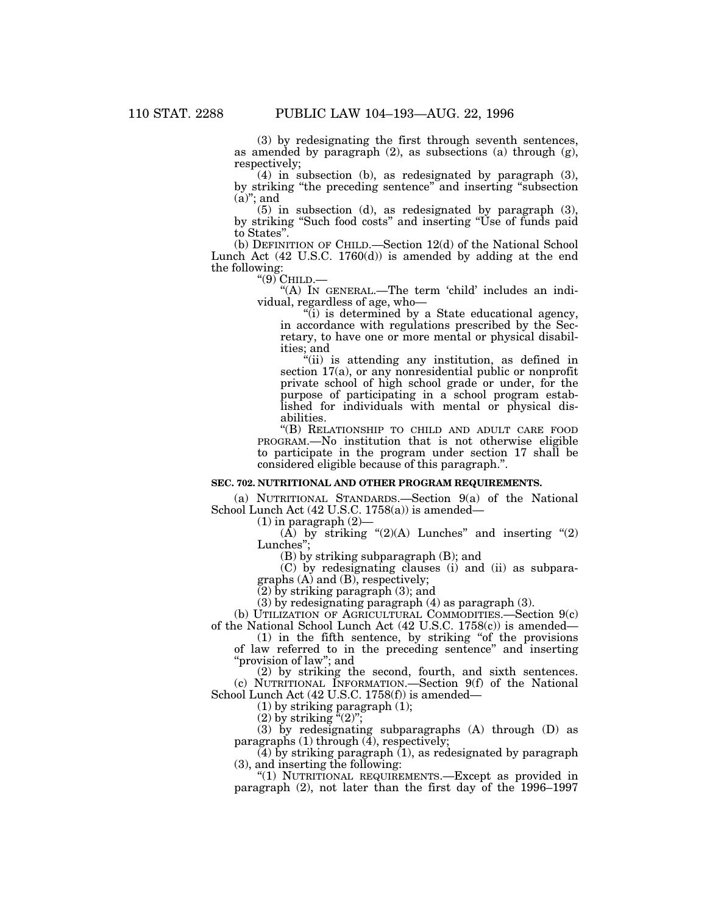(3) by redesignating the first through seventh sentences, as amended by paragraph (2), as subsections (a) through (g), respectively;

(4) in subsection (b), as redesignated by paragraph (3), by striking ''the preceding sentence'' and inserting ''subsection  $(a)$ "; and

(5) in subsection (d), as redesignated by paragraph (3), by striking ''Such food costs'' and inserting ''Use of funds paid to States''.

(b) DEFINITION OF CHILD.—Section 12(d) of the National School Lunch Act (42 U.S.C. 1760(d)) is amended by adding at the end the following:

 $"$ (9) CHILD.

"(A) IN GENERAL.—The term 'child' includes an individual, regardless of age, who—

''(i) is determined by a State educational agency, in accordance with regulations prescribed by the Secretary, to have one or more mental or physical disabilities; and

''(ii) is attending any institution, as defined in section 17(a), or any nonresidential public or nonprofit private school of high school grade or under, for the purpose of participating in a school program established for individuals with mental or physical disabilities.

''(B) RELATIONSHIP TO CHILD AND ADULT CARE FOOD PROGRAM.—No institution that is not otherwise eligible to participate in the program under section 17 shall be considered eligible because of this paragraph.''.

### **SEC. 702. NUTRITIONAL AND OTHER PROGRAM REQUIREMENTS.**

(a) NUTRITIONAL STANDARDS.—Section 9(a) of the National School Lunch Act (42 U.S.C. 1758(a)) is amended—

 $(1)$  in paragraph  $(2)$ -

 $(\overrightarrow{A})$  by striking "(2)(A) Lunches" and inserting "(2) Lunches";

(B) by striking subparagraph (B); and

(C) by redesignating clauses (i) and (ii) as subparagraphs  $(A)$  and  $(B)$ , respectively;

(2) by striking paragraph (3); and

(3) by redesignating paragraph (4) as paragraph (3).

(b) UTILIZATION OF AGRICULTURAL COMMODITIES.—Section 9(c) of the National School Lunch Act (42 U.S.C. 1758(c)) is amended—

(1) in the fifth sentence, by striking ''of the provisions of law referred to in the preceding sentence'' and inserting ''provision of law''; and

(2) by striking the second, fourth, and sixth sentences. (c) NUTRITIONAL INFORMATION.—Section 9(f) of the National School Lunch Act (42 U.S.C. 1758(f)) is amended—

(1) by striking paragraph (1);

(2) by striking  $(2)$ ";

(3) by redesignating subparagraphs (A) through (D) as paragraphs  $(1)$  through  $(4)$ , respectively;

(4) by striking paragraph (1), as redesignated by paragraph (3), and inserting the following:

''(1) NUTRITIONAL REQUIREMENTS.—Except as provided in paragraph (2), not later than the first day of the 1996–1997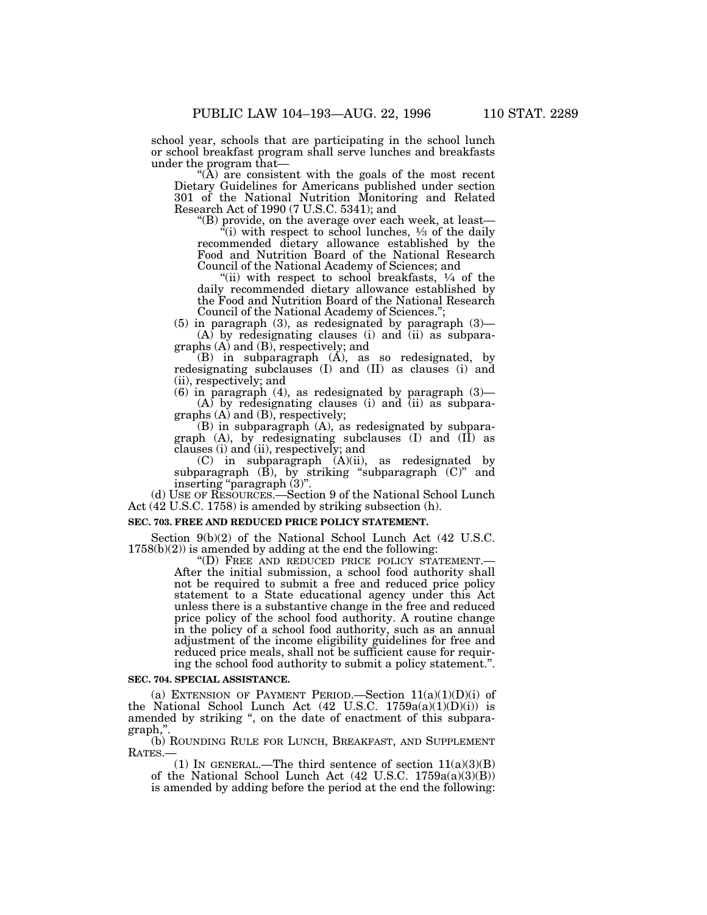school year, schools that are participating in the school lunch or school breakfast program shall serve lunches and breakfasts under the program that—

"( $\tilde{A}$ ) are consistent with the goals of the most recent Dietary Guidelines for Americans published under section 301 of the National Nutrition Monitoring and Related Research Act of 1990 (7 U.S.C. 5341); and

''(B) provide, on the average over each week, at least—  $\epsilon$ <sup>(i)</sup> with respect to school lunches,  $\frac{1}{3}$  of the daily recommended dietary allowance established by the Food and Nutrition Board of the National Research Council of the National Academy of Sciences; and

"(ii) with respect to school breakfasts,  $\frac{1}{4}$  of the daily recommended dietary allowance established by the Food and Nutrition Board of the National Research Council of the National Academy of Sciences.'';

(5) in paragraph (3), as redesignated by paragraph (3)— (A) by redesignating clauses (i) and (ii) as subpara-

graphs (A) and (B), respectively; and

 $(B)$  in subparagraph  $(A)$ , as so redesignated, by redesignating subclauses (I) and (II) as clauses (i) and (ii), respectively; and

 $(6)$  in paragraph  $(4)$ , as redesignated by paragraph  $(3)$ — (A) by redesignating clauses (i) and (ii) as subpara-

graphs  $(A)$  and  $(B)$ , respectively;

(B) in subparagraph (A), as redesignated by subparagraph (A), by redesignating subclauses (I) and (II) as clauses (i) and (ii), respectively; and

(C) in subparagraph (A)(ii), as redesignated by subparagraph (B), by striking ''subparagraph (C)'' and inserting "paragraph  $(3)$ ".

(d) USE OF RESOURCES.—Section 9 of the National School Lunch Act (42 U.S.C. 1758) is amended by striking subsection (h).

## **SEC. 703. FREE AND REDUCED PRICE POLICY STATEMENT.**

Section 9(b)(2) of the National School Lunch Act (42 U.S.C.  $1758(b)(2)$ ) is amended by adding at the end the following:<br>"(D) FREE AND REDUCED PRICE POLICY STATEMENT.

After the initial submission, a school food authority shall not be required to submit a free and reduced price policy statement to a State educational agency under this Act unless there is a substantive change in the free and reduced price policy of the school food authority. A routine change in the policy of a school food authority, such as an annual adjustment of the income eligibility guidelines for free and reduced price meals, shall not be sufficient cause for requiring the school food authority to submit a policy statement.''.

#### **SEC. 704. SPECIAL ASSISTANCE.**

(a) EXTENSION OF PAYMENT PERIOD.—Section  $11(a)(1)(D)(i)$  of the National School Lunch Act  $(42 \text{ U.S.C. } 1759a(a)(1)(D)(i))$  is amended by striking ", on the date of enactment of this subparagraph,''.

(b) ROUNDING RULE FOR LUNCH, BREAKFAST, AND SUPPLEMENT RATES.—(1) IN GENERAL.—The third sentence of section  $11(a)(3)(B)$ 

of the National School Lunch Act (42 U.S.C. 1759a(a)(3)(B)) is amended by adding before the period at the end the following: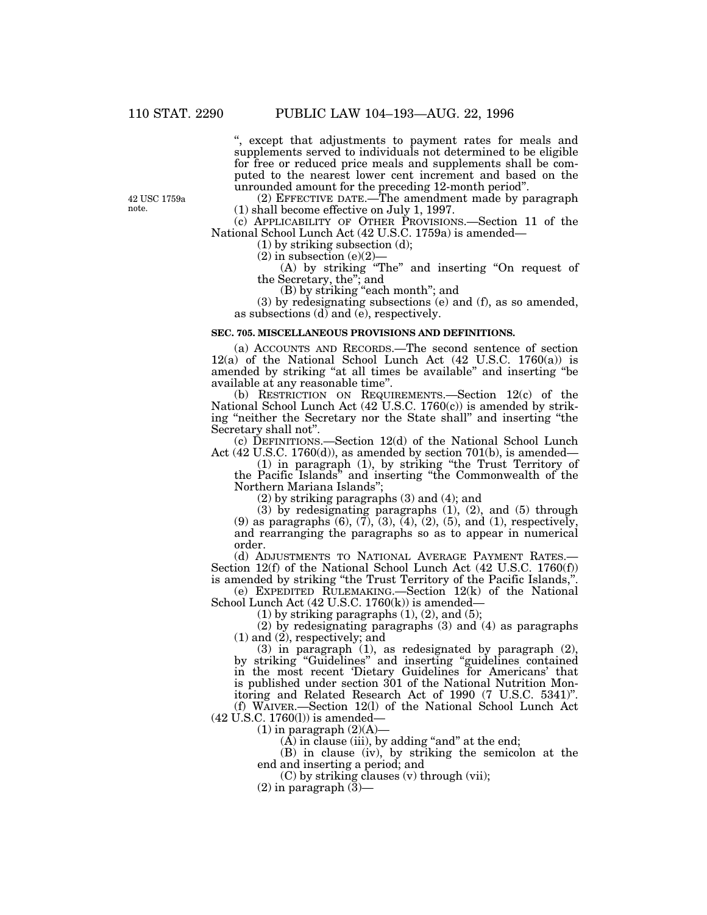'', except that adjustments to payment rates for meals and supplements served to individuals not determined to be eligible for free or reduced price meals and supplements shall be computed to the nearest lower cent increment and based on the unrounded amount for the preceding 12-month period''.

(2) EFFECTIVE DATE.—The amendment made by paragraph (1) shall become effective on July 1, 1997.

(c) APPLICABILITY OF OTHER PROVISIONS.—Section 11 of the National School Lunch Act (42 U.S.C. 1759a) is amended—

(1) by striking subsection (d);

 $(2)$  in subsection  $(e)(2)$ —

(A) by striking ''The'' and inserting ''On request of the Secretary, the''; and

(B) by striking "each month"; and

(3) by redesignating subsections (e) and (f), as so amended, as subsections  $(d)$  and  $(e)$ , respectively.

#### **SEC. 705. MISCELLANEOUS PROVISIONS AND DEFINITIONS.**

(a) ACCOUNTS AND RECORDS.—The second sentence of section 12(a) of the National School Lunch Act (42 U.S.C. 1760(a)) is amended by striking "at all times be available" and inserting "be available at any reasonable time''.

(b) RESTRICTION ON REQUIREMENTS.—Section 12(c) of the National School Lunch Act (42 U.S.C. 1760(c)) is amended by striking ''neither the Secretary nor the State shall'' and inserting ''the Secretary shall not''.

(c) DEFINITIONS.—Section 12(d) of the National School Lunch Act (42 U.S.C. 1760(d)), as amended by section 701(b), is amended—

(1) in paragraph (1), by striking ''the Trust Territory of the Pacific Islands'' and inserting ''the Commonwealth of the Northern Mariana Islands'';

(2) by striking paragraphs (3) and (4); and

(3) by redesignating paragraphs (1), (2), and (5) through (9) as paragraphs  $(6)$ ,  $(7)$ ,  $(3)$ ,  $(4)$ ,  $(2)$ ,  $(5)$ , and  $(1)$ , respectively, and rearranging the paragraphs so as to appear in numerical order.

(d) ADJUSTMENTS TO NATIONAL AVERAGE PAYMENT RATES.— Section 12(f) of the National School Lunch Act (42 U.S.C. 1760(f)) is amended by striking ''the Trust Territory of the Pacific Islands,''.

(e) EXPEDITED RULEMAKING.—Section 12(k) of the National School Lunch Act (42 U.S.C. 1760(k)) is amended—

 $(1)$  by striking paragraphs  $(1)$ ,  $(2)$ , and  $(5)$ ;

(2) by redesignating paragraphs (3) and (4) as paragraphs (1) and (2), respectively; and

(3) in paragraph (1), as redesignated by paragraph (2), by striking "Guidelines" and inserting "guidelines contained in the most recent 'Dietary Guidelines for Americans' that is published under section 301 of the National Nutrition Monitoring and Related Research Act of 1990 (7 U.S.C. 5341)''. (f) WAIVER.—Section 12(l) of the National School Lunch Act

(42 U.S.C. 1760(l)) is amended—

 $(1)$  in paragraph  $(2)(A)$ —

 $(A)$  in clause (iii), by adding "and" at the end;

(B) in clause (iv), by striking the semicolon at the end and inserting a period; and

(C) by striking clauses (v) through (vii);

 $(2)$  in paragraph  $(\bar{3})$ —

42 USC 1759a note.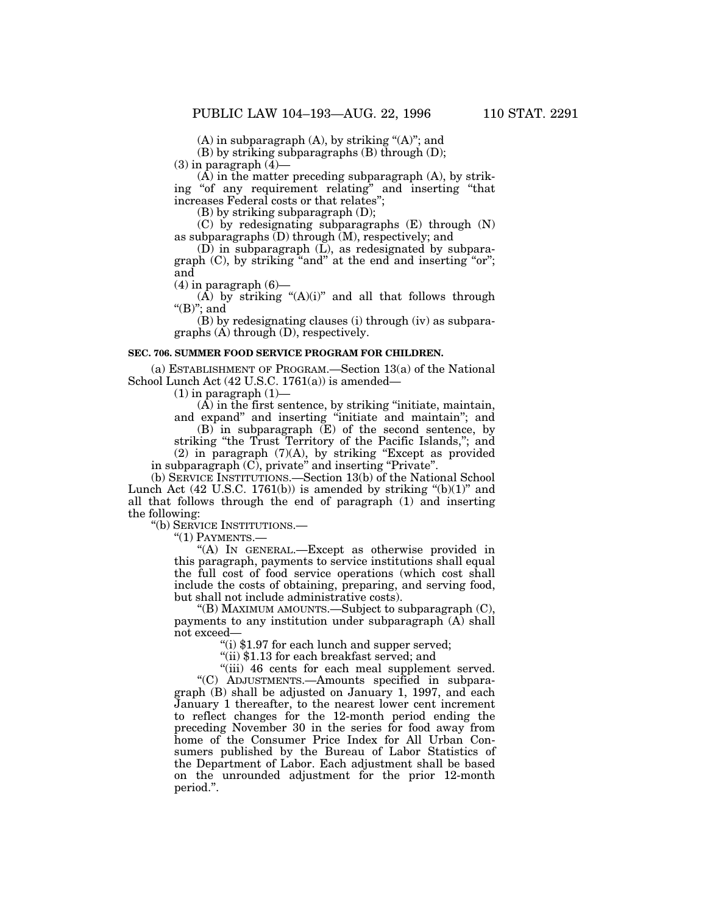$(A)$  in subparagraph  $(A)$ , by striking " $(A)$ "; and

(B) by striking subparagraphs (B) through (D);

 $(3)$  in paragraph  $(4)$ —

 $(\overline{A})$  in the matter preceding subparagraph  $(A)$ , by striking "of any requirement relating" and inserting "that increases Federal costs or that relates'';

(B) by striking subparagraph (D);

(C) by redesignating subparagraphs (E) through (N) as subparagraphs (D) through (M), respectively; and

 $(D)$  in subparagraph  $(\overline{L})$ , as redesignated by subparagraph (C), by striking "and" at the end and inserting "or"; and

 $(4)$  in paragraph  $(6)$ —

 $(A)$  by striking " $(A)(i)$ " and all that follows through " $(B)$ "; and

(B) by redesignating clauses (i) through (iv) as subparagraphs (A) through (D), respectively.

## **SEC. 706. SUMMER FOOD SERVICE PROGRAM FOR CHILDREN.**

(a) ESTABLISHMENT OF PROGRAM.—Section 13(a) of the National School Lunch Act (42 U.S.C. 1761(a)) is amended—

 $(1)$  in paragraph  $(1)$ —

 $(\overline{A})$  in the first sentence, by striking "initiate, maintain, and expand'' and inserting ''initiate and maintain''; and

 $(B)$  in subparagraph  $(E)$  of the second sentence, by

striking "the Trust Territory of the Pacific Islands,"; and  $(2)$  in paragraph  $(7)(A)$ , by striking "Except as provided in subparagraph  $(C)$ , private" and inserting "Private".

(b) SERVICE INSTITUTIONS.—Section 13(b) of the National School Lunch Act  $(42 \text{ U.S.C. } 1761(b))$  is amended by striking " $(b)(1)$ " and all that follows through the end of paragraph (1) and inserting the following:

''(b) SERVICE INSTITUTIONS.—

''(1) PAYMENTS.—

''(A) IN GENERAL.—Except as otherwise provided in this paragraph, payments to service institutions shall equal the full cost of food service operations (which cost shall include the costs of obtaining, preparing, and serving food, but shall not include administrative costs).

''(B) MAXIMUM AMOUNTS.—Subject to subparagraph (C), payments to any institution under subparagraph  $(A)$  shall not exceed—

''(i) \$1.97 for each lunch and supper served;

"(ii) \$1.13 for each breakfast served; and

"(iii) 46 cents for each meal supplement served. ''(C) ADJUSTMENTS.—Amounts specified in subparagraph (B) shall be adjusted on January 1, 1997, and each January 1 thereafter, to the nearest lower cent increment to reflect changes for the 12-month period ending the preceding November 30 in the series for food away from home of the Consumer Price Index for All Urban Consumers published by the Bureau of Labor Statistics of the Department of Labor. Each adjustment shall be based on the unrounded adjustment for the prior 12-month period.''.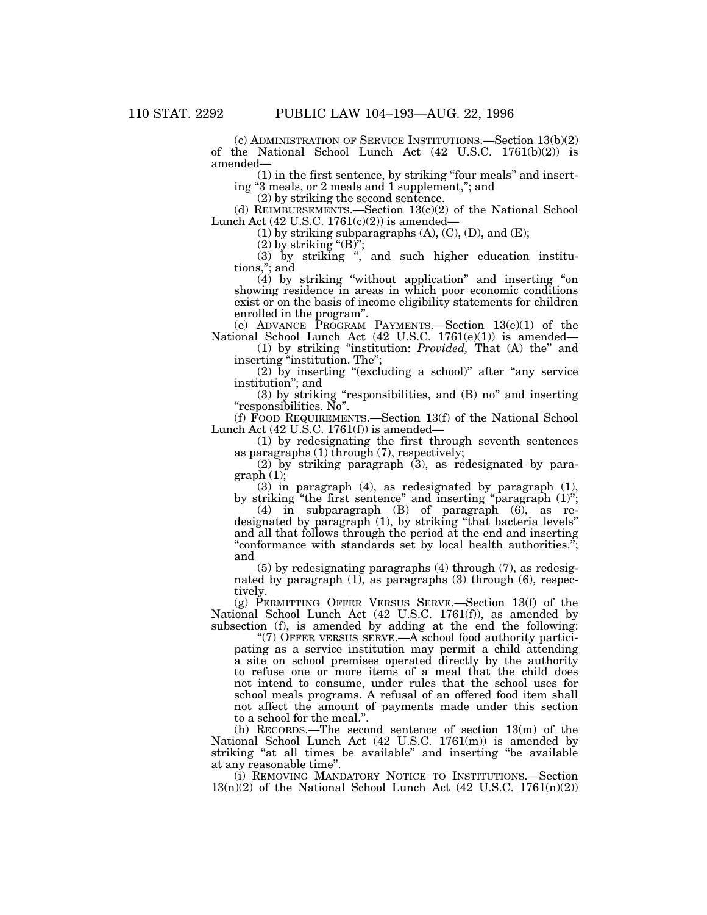(c) ADMINISTRATION OF SERVICE INSTITUTIONS.—Section 13(b)(2) of the National School Lunch Act (42 U.S.C. 1761(b)(2)) is amended—

(1) in the first sentence, by striking ''four meals'' and inserting ''3 meals, or 2 meals and 1 supplement,''; and

(2) by striking the second sentence.

(d) REIMBURSEMENTS.—Section 13(c)(2) of the National School Lunch Act (42 U.S.C. 1761(c)(2)) is amended—

(1) by striking subparagraphs (A), (C), (D), and (E);

 $(2)$  by striking "(B)";

(3) by striking '', and such higher education institutions,''; and

(4) by striking ''without application'' and inserting ''on showing residence in areas in which poor economic conditions exist or on the basis of income eligibility statements for children enrolled in the program''.

(e) ADVANCE PROGRAM PAYMENTS.—Section  $13(e)(1)$  of the National School Lunch Act (42 U.S.C. 1761(e)(1)) is amended—

(1) by striking ''institution: *Provided,* That (A) the'' and inserting ''institution. The'';

(2) by inserting ''(excluding a school)'' after ''any service institution''; and

(3) by striking "responsibilities, and (B) no" and inserting ''responsibilities. No''.

(f) FOOD REQUIREMENTS.—Section 13(f) of the National School Lunch Act (42 U.S.C. 1761(f)) is amended—

(1) by redesignating the first through seventh sentences as paragraphs (1) through (7), respectively;

(2) by striking paragraph (3), as redesignated by para $graph (1)$ ;

(3) in paragraph (4), as redesignated by paragraph (1), by striking "the first sentence" and inserting "paragraph  $(1)$ ";

(4) in subparagraph (B) of paragraph (6), as redesignated by paragraph (1), by striking ''that bacteria levels'' and all that follows through the period at the end and inserting "conformance with standards set by local health authorities."; and

(5) by redesignating paragraphs (4) through (7), as redesignated by paragraph  $(1)$ , as paragraphs  $(3)$  through  $(6)$ , respectively.

(g) PERMITTING OFFER VERSUS SERVE.—Section 13(f) of the National School Lunch Act (42 U.S.C. 1761(f)), as amended by subsection (f), is amended by adding at the end the following:

''(7) OFFER VERSUS SERVE.—A school food authority participating as a service institution may permit a child attending a site on school premises operated directly by the authority to refuse one or more items of a meal that the child does not intend to consume, under rules that the school uses for school meals programs. A refusal of an offered food item shall not affect the amount of payments made under this section to a school for the meal.''.

(h) RECORDS.—The second sentence of section 13(m) of the National School Lunch Act (42 U.S.C. 1761(m)) is amended by striking "at all times be available" and inserting "be available at any reasonable time''.

(i) REMOVING MANDATORY NOTICE TO INSTITUTIONS.—Section  $13(n)(2)$  of the National School Lunch Act  $(42 \text{ U.S.C. } 1761(n)(2))$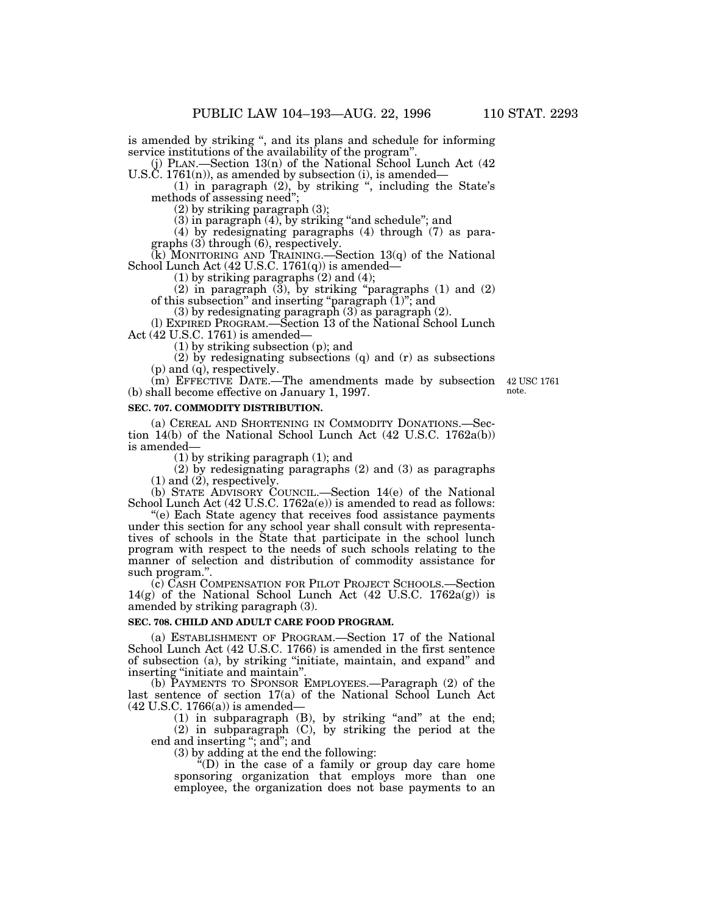is amended by striking '', and its plans and schedule for informing service institutions of the availability of the program''.

(j) PLAN.—Section 13(n) of the National School Lunch Act (42 U.S.C. 1761 $(n)$ , as amended by subsection  $(i)$ , is amended—

 $(1)$  in paragraph  $(2)$ , by striking ", including the State's methods of assessing need'';

(2) by striking paragraph (3);

(3) in paragraph (4), by striking ''and schedule''; and

(4) by redesignating paragraphs (4) through (7) as paragraphs (3) through (6), respectively.

(k) MONITORING AND TRAINING.—Section 13(q) of the National School Lunch Act (42 U.S.C. 1761(q)) is amended—

(1) by striking paragraphs (2) and (4);

 $(2)$  in paragraph  $(3)$ , by striking "paragraphs  $(1)$  and  $(2)$ of this subsection" and inserting "paragraph (1)"; and

(3) by redesignating paragraph (3) as paragraph (2).

(l) EXPIRED PROGRAM.—Section 13 of the National School Lunch Act (42 U.S.C. 1761) is amended—

(1) by striking subsection (p); and

(2) by redesignating subsections (q) and (r) as subsections (p) and (q), respectively.

(m) EFFECTIVE DATE.—The amendments made by subsection 42 USC 1761 (b) shall become effective on January 1, 1997.

note.

#### **SEC. 707. COMMODITY DISTRIBUTI**

(a) CEREAL AND SHORTENING IN COMMODITY DONATIONS.—Section 14(b) of the National School Lunch Act (42 U.S.C. 1762a(b)) is amended—

(1) by striking paragraph (1); and

(2) by redesignating paragraphs (2) and (3) as paragraphs  $(1)$  and  $(2)$ , respectively.

(b) STATE ADVISORY COUNCIL.—Section 14(e) of the National School Lunch Act (42 U.S.C. 1762a(e)) is amended to read as follows:

''(e) Each State agency that receives food assistance payments under this section for any school year shall consult with representatives of schools in the State that participate in the school lunch program with respect to the needs of such schools relating to the manner of selection and distribution of commodity assistance for such program.''.

(c) CASH COMPENSATION FOR PILOT PROJECT SCHOOLS.—Section 14(g) of the National School Lunch Act  $(42 \text{ U.S.C. } 1762a(g))$  is amended by striking paragraph (3).

## **SEC. 708. CHILD AND ADULT CARE FOOD PROGRAM.**

(a) ESTABLISHMENT OF PROGRAM.—Section 17 of the National School Lunch Act (42 U.S.C. 1766) is amended in the first sentence of subsection (a), by striking ''initiate, maintain, and expand'' and inserting ''initiate and maintain''.

(b) PAYMENTS TO SPONSOR EMPLOYEES.—Paragraph (2) of the last sentence of section 17(a) of the National School Lunch Act (42 U.S.C. 1766(a)) is amended—

(1) in subparagraph (B), by striking "and" at the end; (2) in subparagraph (C), by striking the period at the end and inserting ''; and''; and

(3) by adding at the end the following:

 $\sqrt[\alpha]{(D)}$  in the case of a family or group day care home sponsoring organization that employs more than one employee, the organization does not base payments to an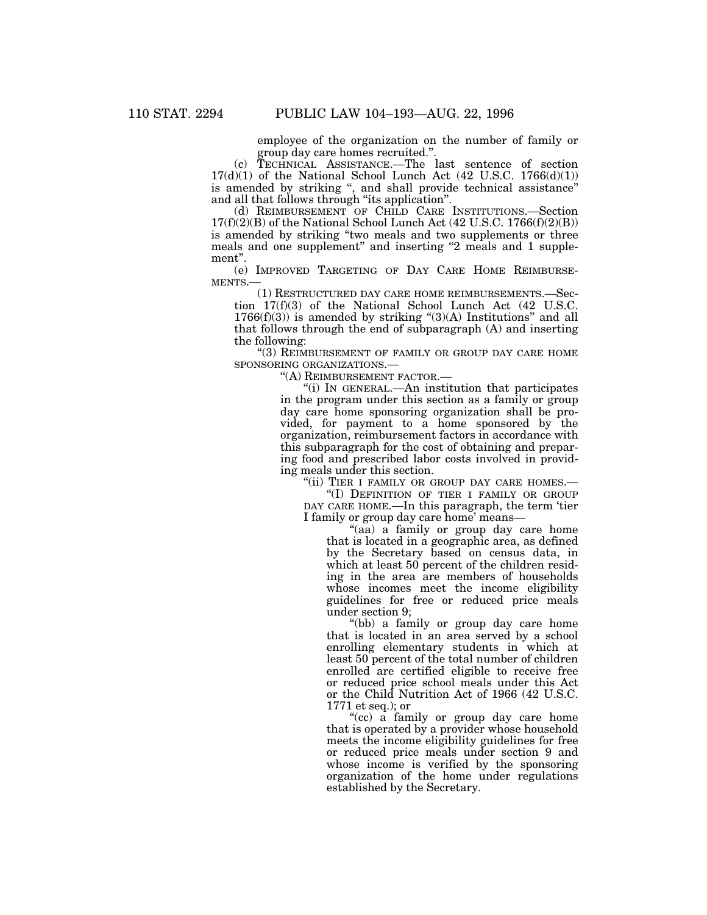employee of the organization on the number of family or group day care homes recruited.''.

(c) TECHNICAL ASSISTANCE.—The last sentence of section  $17(d)(1)$  of the National School Lunch Act  $(42 \text{ U.S.C. } 1766(d)(1))$ is amended by striking '', and shall provide technical assistance'' and all that follows through ''its application''.

(d) REIMBURSEMENT OF CHILD CARE INSTITUTIONS.—Section  $17(f)(2)(B)$  of the National School Lunch Act (42 U.S.C.  $1766(f)(2)(B)$ ) is amended by striking ''two meals and two supplements or three meals and one supplement" and inserting "2 meals and 1 supplement''.

(e) IMPROVED TARGETING OF DAY CARE HOME REIMBURSE-MENTS.—

(1) RESTRUCTURED DAY CARE HOME REIMBURSEMENTS.—Section 17(f)(3) of the National School Lunch Act (42 U.S.C.  $1766(f)(3)$ ) is amended by striking "(3)(A) Institutions" and all that follows through the end of subparagraph (A) and inserting the following:

"(3) REIMBURSEMENT OF FAMILY OR GROUP DAY CARE HOME SPONSORING ORGANIZATIONS.—

''(A) REIMBURSEMENT FACTOR.—

''(i) IN GENERAL.—An institution that participates in the program under this section as a family or group day care home sponsoring organization shall be provided, for payment to a home sponsored by the organization, reimbursement factors in accordance with this subparagraph for the cost of obtaining and preparing food and prescribed labor costs involved in providing meals under this section.

"(ii) TIER I FAMILY OR GROUP DAY CARE HOMES.-

''(I) DEFINITION OF TIER I FAMILY OR GROUP DAY CARE HOME.—In this paragraph, the term 'tier I family or group day care home' means—

"(aa) a family or group day care home that is located in a geographic area, as defined by the Secretary based on census data, in which at least 50 percent of the children residing in the area are members of households whose incomes meet the income eligibility guidelines for free or reduced price meals under section 9;

''(bb) a family or group day care home that is located in an area served by a school enrolling elementary students in which at least 50 percent of the total number of children enrolled are certified eligible to receive free or reduced price school meals under this Act or the Child Nutrition Act of 1966 (42 U.S.C. 1771 et seq.); or

"(cc) a family or group day care home that is operated by a provider whose household meets the income eligibility guidelines for free or reduced price meals under section 9 and whose income is verified by the sponsoring organization of the home under regulations established by the Secretary.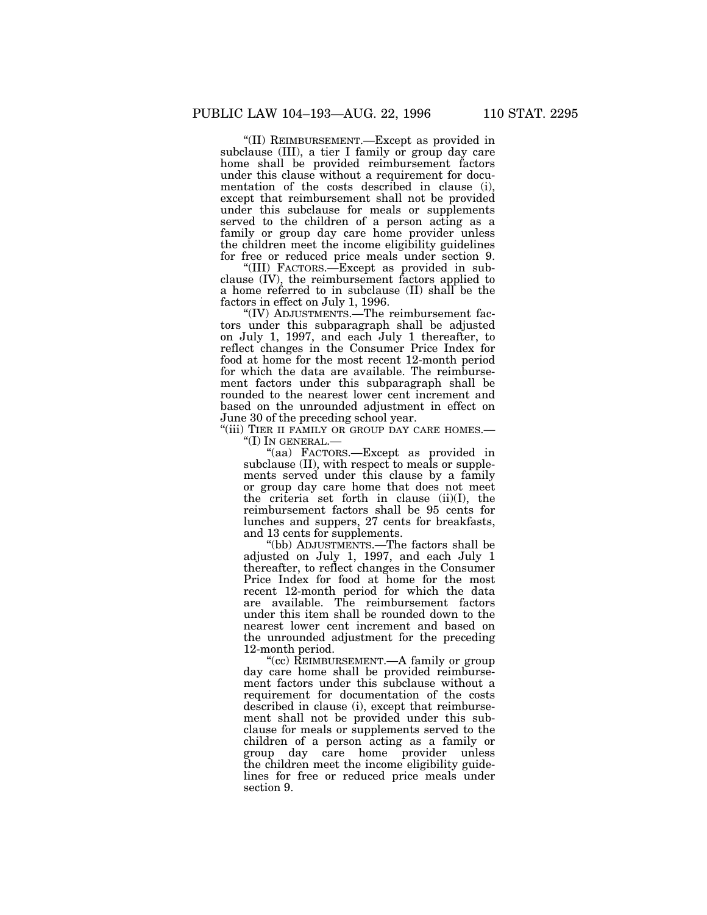''(II) REIMBURSEMENT.—Except as provided in subclause (III), a tier I family or group day care home shall be provided reimbursement factors under this clause without a requirement for documentation of the costs described in clause (i), except that reimbursement shall not be provided under this subclause for meals or supplements served to the children of a person acting as a family or group day care home provider unless the children meet the income eligibility guidelines for free or reduced price meals under section 9.

''(III) FACTORS.—Except as provided in subclause (IV), the reimbursement factors applied to a home referred to in subclause (II) shall be the factors in effect on July 1, 1996.

''(IV) ADJUSTMENTS.—The reimbursement factors under this subparagraph shall be adjusted on July 1, 1997, and each July 1 thereafter, to reflect changes in the Consumer Price Index for food at home for the most recent 12-month period for which the data are available. The reimbursement factors under this subparagraph shall be rounded to the nearest lower cent increment and based on the unrounded adjustment in effect on June 30 of the preceding school year.

"(iii) TIER II FAMILY OR GROUP DAY CARE HOMES.— ''(I) IN GENERAL.—

''(aa) FACTORS.—Except as provided in subclause (II), with respect to meals or supplements served under this clause by a family or group day care home that does not meet the criteria set forth in clause (ii)(I), the reimbursement factors shall be 95 cents for lunches and suppers, 27 cents for breakfasts, and 13 cents for supplements.

''(bb) ADJUSTMENTS.—The factors shall be adjusted on July 1, 1997, and each July 1 thereafter, to reflect changes in the Consumer Price Index for food at home for the most recent 12-month period for which the data are available. The reimbursement factors under this item shall be rounded down to the nearest lower cent increment and based on the unrounded adjustment for the preceding 12-month period.

"(cc) REIMBURSEMENT.—A family or group day care home shall be provided reimbursement factors under this subclause without a requirement for documentation of the costs described in clause (i), except that reimbursement shall not be provided under this subclause for meals or supplements served to the children of a person acting as a family or group day care home provider unless the children meet the income eligibility guidelines for free or reduced price meals under section 9.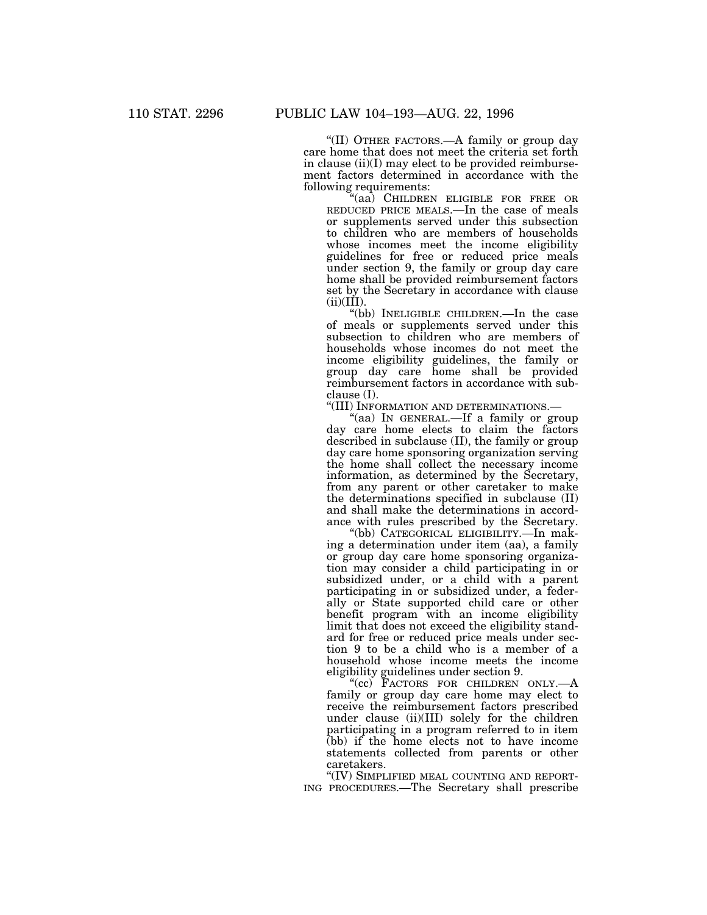''(II) OTHER FACTORS.—A family or group day care home that does not meet the criteria set forth in clause  $(ii)(I)$  may elect to be provided reimbursement factors determined in accordance with the following requirements:

''(aa) CHILDREN ELIGIBLE FOR FREE OR REDUCED PRICE MEALS.—In the case of meals or supplements served under this subsection to children who are members of households whose incomes meet the income eligibility guidelines for free or reduced price meals under section 9, the family or group day care home shall be provided reimbursement factors set by the Secretary in accordance with clause  $(ii)(III)$ .

''(bb) INELIGIBLE CHILDREN.—In the case of meals or supplements served under this subsection to children who are members of households whose incomes do not meet the income eligibility guidelines, the family or group day care home shall be provided reimbursement factors in accordance with subclause (I).

''(III) INFORMATION AND DETERMINATIONS.—

"(aa) In GENERAL.—If a family or group day care home elects to claim the factors described in subclause (II), the family or group day care home sponsoring organization serving the home shall collect the necessary income information, as determined by the Secretary, from any parent or other caretaker to make the determinations specified in subclause (II) and shall make the determinations in accordance with rules prescribed by the Secretary.

''(bb) CATEGORICAL ELIGIBILITY.—In making a determination under item (aa), a family or group day care home sponsoring organization may consider a child participating in or subsidized under, or a child with a parent participating in or subsidized under, a federally or State supported child care or other benefit program with an income eligibility limit that does not exceed the eligibility standard for free or reduced price meals under section 9 to be a child who is a member of a household whose income meets the income eligibility guidelines under section 9.

"(cc) FACTORS FOR CHILDREN ONLY.—A family or group day care home may elect to receive the reimbursement factors prescribed under clause (ii)(III) solely for the children participating in a program referred to in item (bb) if the home elects not to have income statements collected from parents or other caretakers.

''(IV) SIMPLIFIED MEAL COUNTING AND REPORT-ING PROCEDURES.—The Secretary shall prescribe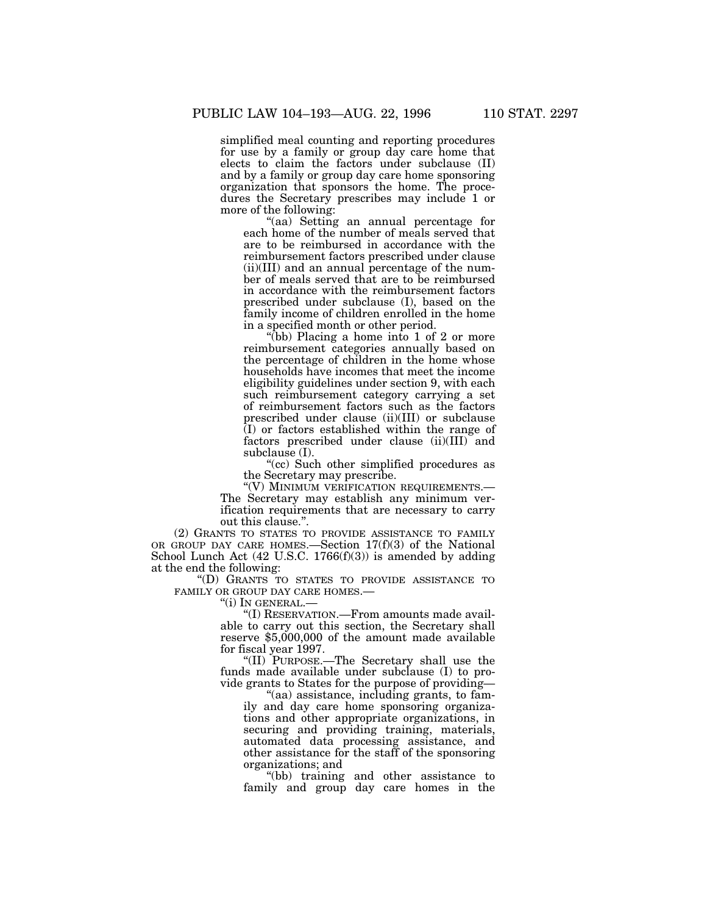simplified meal counting and reporting procedures for use by a family or group day care home that elects to claim the factors under subclause (II) and by a family or group day care home sponsoring organization that sponsors the home. The procedures the Secretary prescribes may include 1 or more of the following:

''(aa) Setting an annual percentage for each home of the number of meals served that are to be reimbursed in accordance with the reimbursement factors prescribed under clause (ii)(III) and an annual percentage of the number of meals served that are to be reimbursed in accordance with the reimbursement factors prescribed under subclause (I), based on the family income of children enrolled in the home in a specified month or other period.

 $*(bb)$  Placing a home into 1 of 2 or more reimbursement categories annually based on the percentage of children in the home whose households have incomes that meet the income eligibility guidelines under section 9, with each such reimbursement category carrying a set of reimbursement factors such as the factors prescribed under clause (ii)(III) or subclause (I) or factors established within the range of factors prescribed under clause (ii)(III) and subclause (I).

"(cc) Such other simplified procedures as the Secretary may prescribe.

"(V) MINIMUM VERIFICATION REQUIREMENTS.-The Secretary may establish any minimum verification requirements that are necessary to carry out this clause.''.

(2) GRANTS TO STATES TO PROVIDE ASSISTANCE TO FAMILY OR GROUP DAY CARE HOMES.—Section  $17(f)(3)$  of the National School Lunch Act (42 U.S.C. 1766(f)(3)) is amended by adding at the end the following:

''(D) GRANTS TO STATES TO PROVIDE ASSISTANCE TO FAMILY OR GROUP DAY CARE HOMES.—

''(i) IN GENERAL.—

''(I) RESERVATION.—From amounts made available to carry out this section, the Secretary shall reserve \$5,000,000 of the amount made available for fiscal year 1997.

''(II) PURPOSE.—The Secretary shall use the funds made available under subclause (I) to provide grants to States for the purpose of providing—

''(aa) assistance, including grants, to family and day care home sponsoring organizations and other appropriate organizations, in securing and providing training, materials, automated data processing assistance, and other assistance for the staff of the sponsoring organizations; and

''(bb) training and other assistance to family and group day care homes in the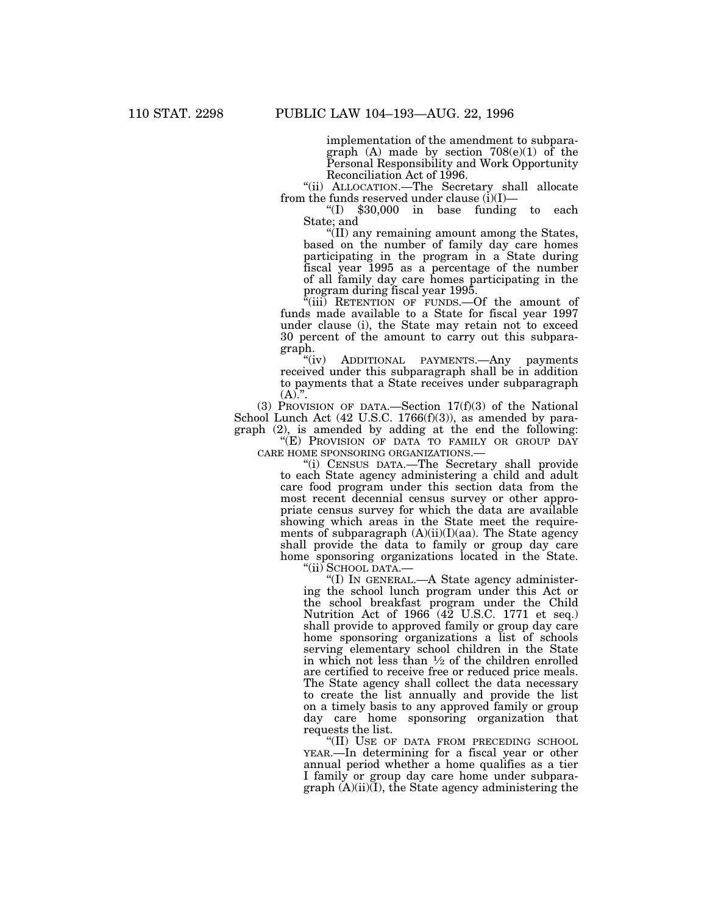implementation of the amendment to subparagraph (A) made by section 708(e)(1) of the Personal Responsibility and Work Opportunity Reconciliation Act of 1996.

''(ii) ALLOCATION.—The Secretary shall allocate from the funds reserved under clause  $(i)(I)$ —

''(I) \$30,000 in base funding to each State; and

"(II) any remaining amount among the States, based on the number of family day care homes participating in the program in a State during fiscal year 1995 as a percentage of the number of all family day care homes participating in the program during fiscal year 1995.

"(iii) RETENTION OF FUNDS.—Of the amount of funds made available to a State for fiscal year 1997 under clause (i), the State may retain not to exceed 30 percent of the amount to carry out this subpara $graph.$ <br>"(iv)

ADDITIONAL PAYMENTS.—Any payments received under this subparagraph shall be in addition to payments that a State receives under subparagraph  $(A).$ ".

(3) PROVISION OF DATA.—Section 17(f)(3) of the National School Lunch Act  $(42 \text{ U.S.C. } 1766(f)(3))$ , as amended by paragraph (2), is amended by adding at the end the following: ''(E) PROVISION OF DATA TO FAMILY OR GROUP DAY

CARE HOME SPONSORING ORGANIZATIONS.—

''(i) CENSUS DATA.—The Secretary shall provide to each State agency administering a child and adult care food program under this section data from the most recent decennial census survey or other appropriate census survey for which the data are available showing which areas in the State meet the requirements of subparagraph  $(A)(ii)(I)(aa)$ . The State agency shall provide the data to family or group day care home sponsoring organizations located in the State.

''(ii) SCHOOL DATA.—

''(I) IN GENERAL.—A State agency administering the school lunch program under this Act or the school breakfast program under the Child Nutrition Act of 1966 (42 U.S.C. 1771 et seq.) shall provide to approved family or group day care home sponsoring organizations a list of schools serving elementary school children in the State in which not less than  $\frac{1}{2}$  of the children enrolled are certified to receive free or reduced price meals. The State agency shall collect the data necessary to create the list annually and provide the list on a timely basis to any approved family or group day care home sponsoring organization that requests the list.

''(II) USE OF DATA FROM PRECEDING SCHOOL YEAR.—In determining for a fiscal year or other annual period whether a home qualifies as a tier I family or group day care home under subpara $graph (A)(ii)(I)$ , the State agency administering the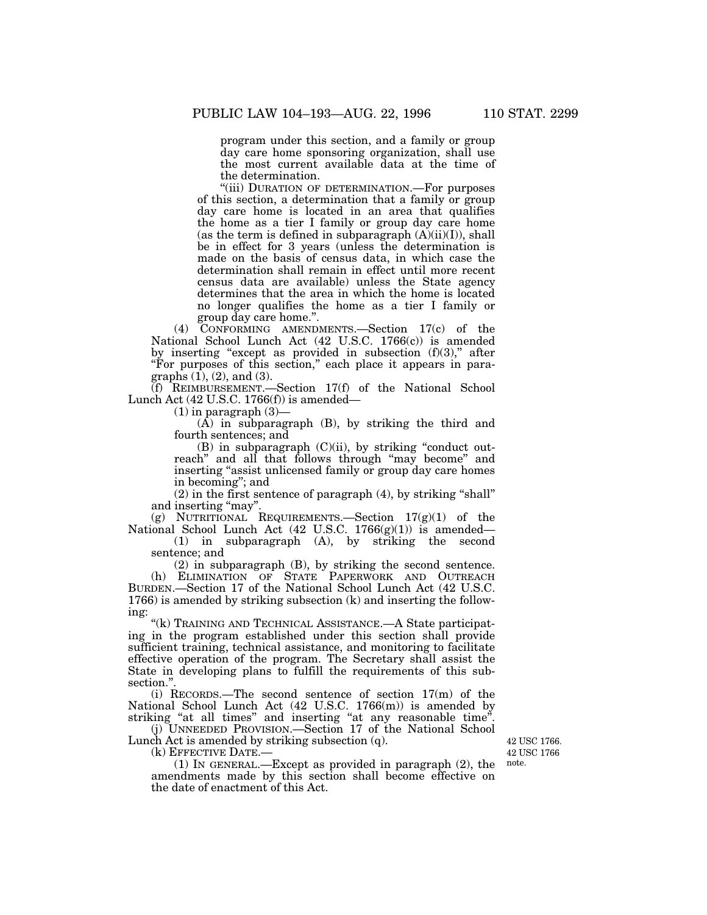program under this section, and a family or group day care home sponsoring organization, shall use the most current available data at the time of the determination.

"(iii) DURATION OF DETERMINATION.—For purposes of this section, a determination that a family or group day care home is located in an area that qualifies the home as a tier I family or group day care home (as the term is defined in subparagraph  $(A)(ii)(I)$ ), shall be in effect for 3 years (unless the determination is made on the basis of census data, in which case the determination shall remain in effect until more recent census data are available) unless the State agency determines that the area in which the home is located no longer qualifies the home as a tier I family or group day care home.''.

(4) CONFORMING AMENDMENTS.—Section 17(c) of the National School Lunch Act (42 U.S.C. 1766(c)) is amended by inserting "except as provided in subsection  $(f)(3)$ ," after "For purposes of this section," each place it appears in paragraphs  $(I)$ ,  $(2)$ , and  $(3)$ .

(f) REIMBURSEMENT.—Section 17(f) of the National School Lunch Act (42 U.S.C. 1766(f)) is amended—

 $(1)$  in paragraph  $(3)$ —

(A) in subparagraph (B), by striking the third and fourth sentences; and

 $(B)$  in subparagraph  $(C)(ii)$ , by striking "conduct outreach" and all that follows through "may become" and inserting "assist unlicensed family or group day care homes in becoming''; and

(2) in the first sentence of paragraph (4), by striking ''shall'' and inserting "may"

(g) NUTRITIONAL REQUIREMENTS.—Section 17(g)(1) of the National School Lunch Act (42 U.S.C. 1766(g)(1)) is amended—

(1) in subparagraph (A), by striking the second sentence; and

(2) in subparagraph (B), by striking the second sentence. (h) ELIMINATION OF STATE PAPERWORK AND OUTREACH BURDEN.—Section 17 of the National School Lunch Act (42 U.S.C. 1766) is amended by striking subsection (k) and inserting the following:

''(k) TRAINING AND TECHNICAL ASSISTANCE.—A State participating in the program established under this section shall provide sufficient training, technical assistance, and monitoring to facilitate effective operation of the program. The Secretary shall assist the State in developing plans to fulfill the requirements of this subsection.'

(i) RECORDS.—The second sentence of section 17(m) of the National School Lunch Act (42 U.S.C. 1766(m)) is amended by striking "at all times" and inserting "at any reasonable time". (j) UNNEEDED PROVISION.—Section 17 of the National School

Lunch Act is amended by striking subsection (q).

(k) EFFECTIVE DATE.—

(1) IN GENERAL.—Except as provided in paragraph (2), the amendments made by this section shall become effective on the date of enactment of this Act.

42 USC 1766 note. 42 USC 1766.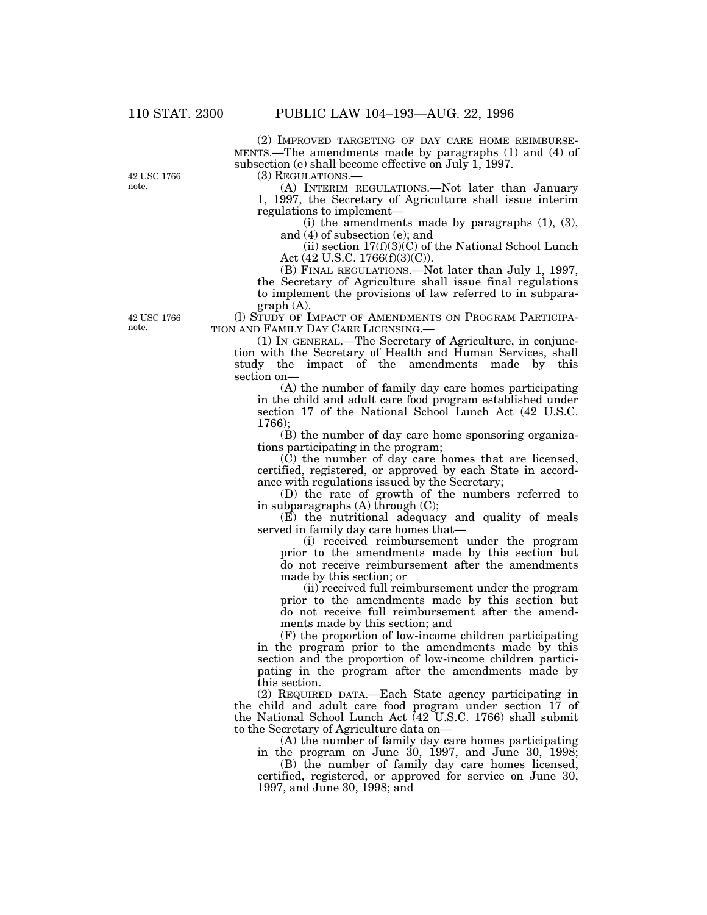(2) IMPROVED TARGETING OF DAY CARE HOME REIMBURSE-MENTS.—The amendments made by paragraphs (1) and (4) of subsection (e) shall become effective on July 1, 1997.

42 USC 1766 note.

(3) REGULATIONS.—

(A) INTERIM REGULATIONS.—Not later than January 1, 1997, the Secretary of Agriculture shall issue interim regulations to implement—

(i) the amendments made by paragraphs (1), (3), and (4) of subsection (e); and

(ii) section  $17(f)(3)(C)$  of the National School Lunch Act (42 U.S.C. 1766(f)(3)(C)).

(B) FINAL REGULATIONS.—Not later than July 1, 1997, the Secretary of Agriculture shall issue final regulations to implement the provisions of law referred to in subparagraph (A).

(l) STUDY OF IMPACT OF AMENDMENTS ON PROGRAM PARTICIPA-TION AND FAMILY DAY CARE LICENSING.—

(1) IN GENERAL.—The Secretary of Agriculture, in conjunction with the Secretary of Health and Human Services, shall study the impact of the amendments made by this section on—

(A) the number of family day care homes participating in the child and adult care food program established under section 17 of the National School Lunch Act (42 U.S.C. 1766);

(B) the number of day care home sponsoring organizations participating in the program;

 $(\tilde{C})$  the number of day care homes that are licensed, certified, registered, or approved by each State in accordance with regulations issued by the Secretary;

(D) the rate of growth of the numbers referred to in subparagraphs (A) through (C);

(E) the nutritional adequacy and quality of meals served in family day care homes that—

(i) received reimbursement under the program prior to the amendments made by this section but do not receive reimbursement after the amendments made by this section; or

(ii) received full reimbursement under the program prior to the amendments made by this section but do not receive full reimbursement after the amendments made by this section; and

(F) the proportion of low-income children participating in the program prior to the amendments made by this section and the proportion of low-income children participating in the program after the amendments made by this section.

(2) REQUIRED DATA.—Each State agency participating in the child and adult care food program under section 17 of the National School Lunch Act (42 U.S.C. 1766) shall submit to the Secretary of Agriculture data on—

(A) the number of family day care homes participating in the program on June 30, 1997, and June 30, 1998;

(B) the number of family day care homes licensed, certified, registered, or approved for service on June 30, 1997, and June 30, 1998; and

42 USC 1766 note.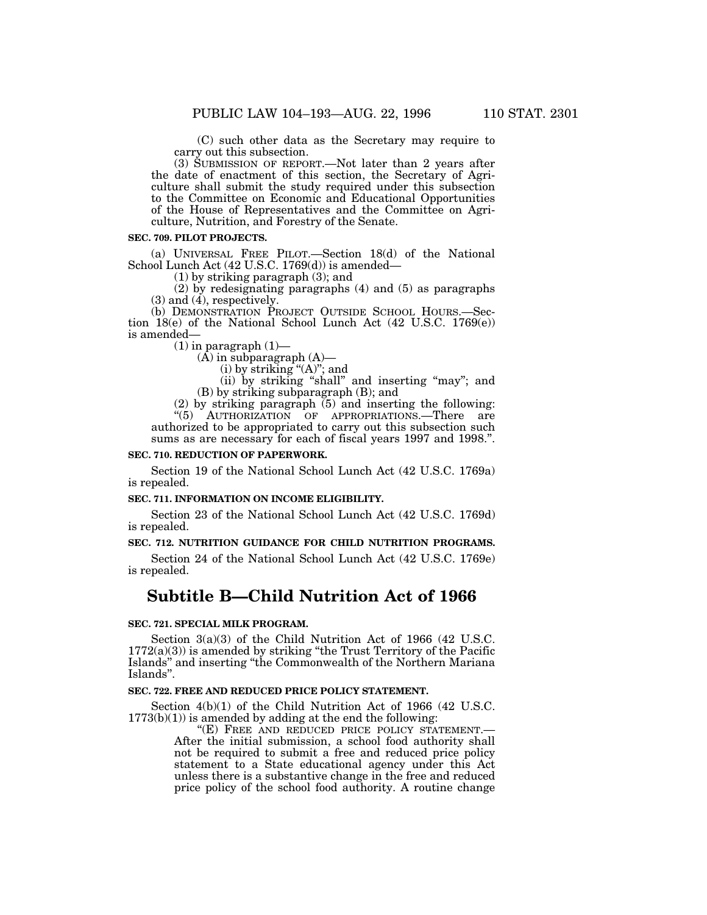(C) such other data as the Secretary may require to carry out this subsection.

(3) SUBMISSION OF REPORT.—Not later than 2 years after the date of enactment of this section, the Secretary of Agriculture shall submit the study required under this subsection to the Committee on Economic and Educational Opportunities of the House of Representatives and the Committee on Agriculture, Nutrition, and Forestry of the Senate.

## **SEC. 709. PILOT PROJECTS.**

(a) UNIVERSAL FREE PILOT.—Section 18(d) of the National School Lunch Act (42 U.S.C. 1769(d)) is amended—

(1) by striking paragraph (3); and

(2) by redesignating paragraphs (4) and (5) as paragraphs  $(3)$  and  $(4)$ , respectively.

(b) DEMONSTRATION PROJECT OUTSIDE SCHOOL HOURS.-Section 18(e) of the National School Lunch Act (42 U.S.C. 1769(e)) is amended—

 $(1)$  in paragraph  $(1)$ —

 $(A)$  in subparagraph  $(A)$ —

(i) by striking ''(A)''; and

(ii) by striking ''shall'' and inserting ''may''; and (B) by striking subparagraph (B); and

(2) by striking paragraph (5) and inserting the following: ''(5) AUTHORIZATION OF APPROPRIATIONS.—There are authorized to be appropriated to carry out this subsection such sums as are necessary for each of fiscal years 1997 and 1998.''.

## **SEC. 710. REDUCTION OF PAPERWORK.**

Section 19 of the National School Lunch Act (42 U.S.C. 1769a) is repealed.

## **SEC. 711. INFORMATION ON INCOME ELIGIBILITY.**

Section 23 of the National School Lunch Act (42 U.S.C. 1769d) is repealed.

## **SEC. 712. NUTRITION GUIDANCE FOR CHILD NUTRITION PROGRAMS.**

Section 24 of the National School Lunch Act (42 U.S.C. 1769e) is repealed.

# **Subtitle B—Child Nutrition Act of 1966**

### **SEC. 721. SPECIAL MILK PROGRAM.**

Section 3(a)(3) of the Child Nutrition Act of 1966 (42 U.S.C.  $1772(a)(3)$ ) is amended by striking "the Trust Territory of the Pacific Islands'' and inserting ''the Commonwealth of the Northern Mariana Islands''.

## **SEC. 722. FREE AND REDUCED PRICE POLICY STATEMENT.**

Section 4(b)(1) of the Child Nutrition Act of 1966 (42 U.S.C. 1773(b)(1)) is amended by adding at the end the following:

"(E) FREE AND REDUCED PRICE POLICY STATEMENT.-After the initial submission, a school food authority shall not be required to submit a free and reduced price policy statement to a State educational agency under this Act unless there is a substantive change in the free and reduced price policy of the school food authority. A routine change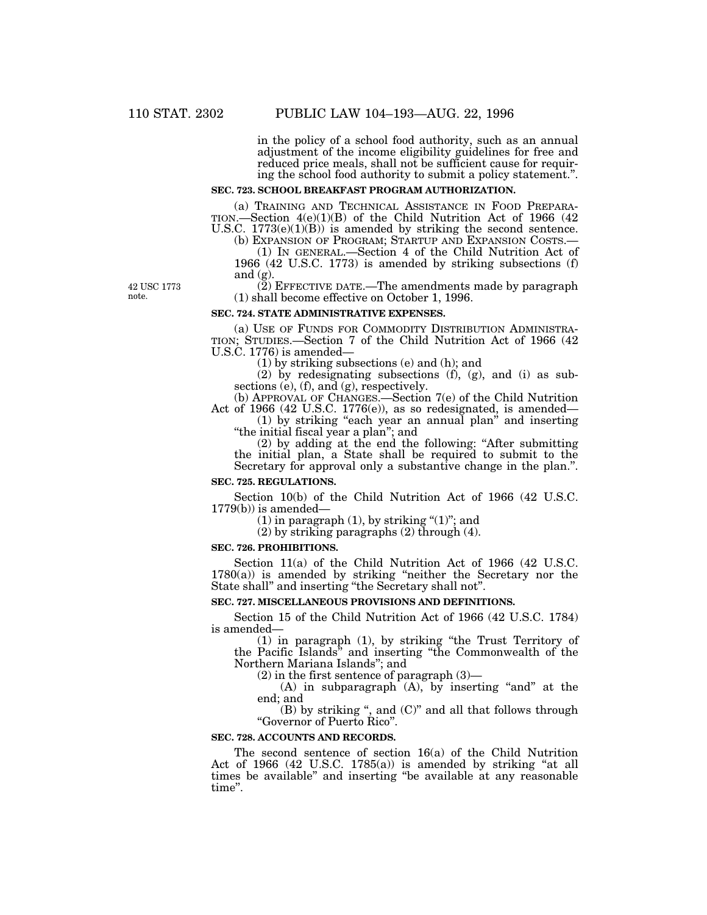in the policy of a school food authority, such as an annual adjustment of the income eligibility guidelines for free and reduced price meals, shall not be sufficient cause for requiring the school food authority to submit a policy statement.''.

## **SEC. 723. SCHOOL BREAKFAST PROGRAM AUTHORIZATION.**

(a) TRAINING AND TECHNICAL ASSISTANCE IN FOOD PREPARATION.—Section  $4(e)(1)(B)$  of the Child Nutrition Act of 1966 (42 U.S.C.  $1773(e)(1)(B)$  is amended by striking the second sentence.<br>(b) EXPANSION OF PROGRAM; STARTUP AND EXPANSION COSTS.—

 $(1)$  In GENERAL.—Section 4 of the Child Nutrition Act of

1966 (42 U.S.C. 1773) is amended by striking subsections (f) and (g).

42 USC 1773 note.

## (2) EFFECTIVE DATE.—The amendments made by paragraph (1) shall become effective on October 1, 1996.

#### **SEC. 724. STATE ADMINISTRATIVE EXPENSES.**

(a) USE OF FUNDS FOR COMMODITY DISTRIBUTION ADMINISTRA- TION; STUDIES.—Section 7 of the Child Nutrition Act of 1966 (42 U.S.C. 1776) is amended—

(1) by striking subsections (e) and (h); and

(2) by redesignating subsections (f), (g), and (i) as subsections (e), (f), and (g), respectively.

(b) APPROVAL OF CHANGES.—Section 7(e) of the Child Nutrition Act of 1966 (42 U.S.C. 1776(e)), as so redesignated, is amended—

(1) by striking ''each year an annual plan'' and inserting ''the initial fiscal year a plan''; and

(2) by adding at the end the following: ''After submitting the initial plan, a State shall be required to submit to the Secretary for approval only a substantive change in the plan.''.

#### **SEC. 725. REGULATIONS.**

Section 10(b) of the Child Nutrition Act of 1966 (42 U.S.C. 1779(b)) is amended—

 $(1)$  in paragraph  $(1)$ , by striking " $(1)$ "; and

(2) by striking paragraphs (2) through (4).

#### **SEC. 726. PROHIBITIONS.**

Section 11(a) of the Child Nutrition Act of 1966 (42 U.S.C.  $1780(a)$ ) is amended by striking "neither the Secretary nor the State shall'' and inserting ''the Secretary shall not''.

## **SEC. 727. MISCELLANEOUS PROVISIONS AND DEFINITIONS.**

Section 15 of the Child Nutrition Act of 1966 (42 U.S.C. 1784) is amended—

(1) in paragraph (1), by striking ''the Trust Territory of the Pacific Islands'' and inserting ''the Commonwealth of the Northern Mariana Islands''; and

(2) in the first sentence of paragraph (3)—

 $(A)$  in subparagraph  $(A)$ , by inserting "and" at the end; and

 $(B)$  by striking ", and  $(C)$ " and all that follows through ''Governor of Puerto Rico''.

#### **SEC. 728. ACCOUNTS AND RECORDS.**

The second sentence of section 16(a) of the Child Nutrition Act of 1966  $(42 \text{ U.S.C. } 1785(a))$  is amended by striking "at all times be available'' and inserting ''be available at any reasonable time''.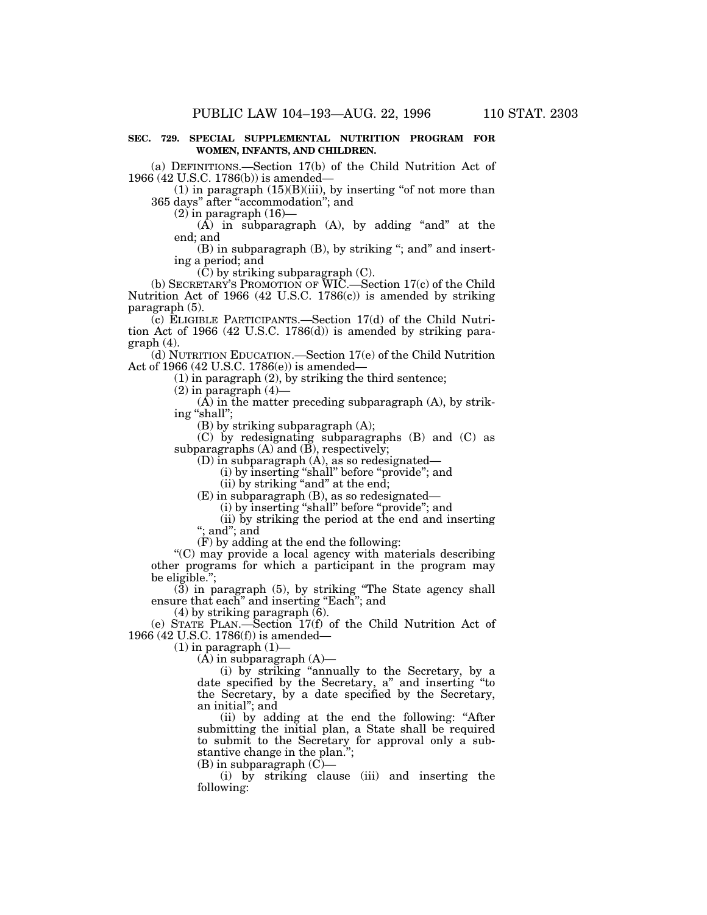### **SEC. 729. SPECIAL SUPPLEMENTAL NUTRITION PROGRAM FOR WOMEN, INFANTS, AND CHILDREN.**

(a) DEFINITIONS.—Section 17(b) of the Child Nutrition Act of 1966 (42 U.S.C. 1786(b)) is amended—

 $(1)$  in paragraph  $(15)(B)(iii)$ , by inserting "of not more than 365 days'' after ''accommodation''; and

 $(2)$  in paragraph  $(16)$ —

 $(A)$  in subparagraph  $(A)$ , by adding "and" at the end; and

 $(B)$  in subparagraph  $(B)$ , by striking "; and" and inserting a period; and

 $(\tilde{C})$  by striking subparagraph  $(C)$ .

(b) SECRETARY'S PROMOTION OF WIC.—Section 17(c) of the Child Nutrition Act of 1966 (42 U.S.C. 1786(c)) is amended by striking paragraph (5).

(c) ELIGIBLE PARTICIPANTS.—Section 17(d) of the Child Nutrition Act of 1966 (42 U.S.C. 1786(d)) is amended by striking paragraph (4).

(d) NUTRITION EDUCATION.—Section 17(e) of the Child Nutrition Act of 1966 (42 U.S.C. 1786(e)) is amended—

(1) in paragraph (2), by striking the third sentence;

 $(2)$  in paragraph  $(4)$ —

(A) in the matter preceding subparagraph (A), by striking "shall";

(B) by striking subparagraph (A);

(C) by redesignating subparagraphs (B) and (C) as subparagraphs  $(A)$  and  $(B)$ , respectively;

(D) in subparagraph (A), as so redesignated—

(i) by inserting ''shall'' before ''provide''; and

(ii) by striking "and" at the end;

(E) in subparagraph (B), as so redesignated—

(i) by inserting ''shall'' before ''provide''; and

(ii) by striking the period at the end and inserting ''; and''; and

(F) by adding at the end the following:

''(C) may provide a local agency with materials describing other programs for which a participant in the program may be eligible.'';

 $(3)$  in paragraph  $(5)$ , by striking "The State agency shall ensure that each'' and inserting ''Each''; and

(4) by striking paragraph (6).

(e) STATE PLAN.—Section 17(f) of the Child Nutrition Act of 1966 (42 U.S.C. 1786(f)) is amended—

 $(1)$  in paragraph  $(1)$ —

 $(A)$  in subparagraph  $(A)$ —

(i) by striking ''annually to the Secretary, by a date specified by the Secretary, a'' and inserting ''to the Secretary, by a date specified by the Secretary, an initial''; and

(ii) by adding at the end the following: "After submitting the initial plan, a State shall be required to submit to the Secretary for approval only a substantive change in the plan.'';

 $(B)$  in subparagraph  $(C)$ —

(i) by striking clause (iii) and inserting the following: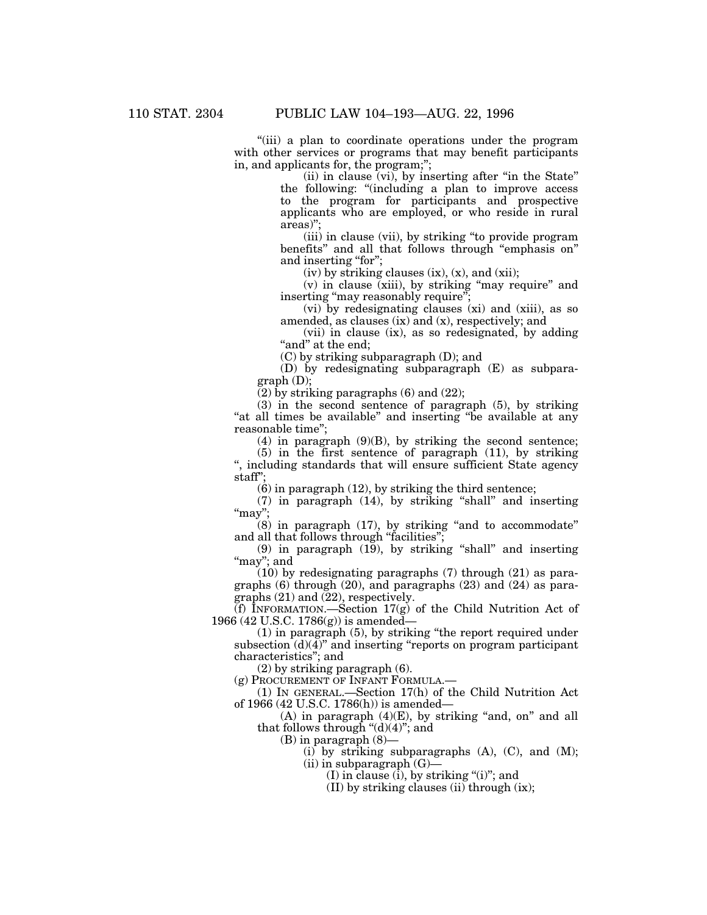"(iii) a plan to coordinate operations under the program with other services or programs that may benefit participants in, and applicants for, the program;'';

(ii) in clause (vi), by inserting after "in the State" the following: "(including a plan to improve access to the program for participants and prospective applicants who are employed, or who reside in rural areas)'';

(iii) in clause (vii), by striking ''to provide program benefits'' and all that follows through ''emphasis on'' and inserting "for";

(iv) by striking clauses (ix), (x), and (xii);

 $(v)$  in clause (xiii), by striking "may require" and inserting "may reasonably require";

(vi) by redesignating clauses (xi) and (xiii), as so amended, as clauses (ix) and (x), respectively; and

(vii) in clause (ix), as so redesignated, by adding "and" at the end;

(C) by striking subparagraph (D); and

(D) by redesignating subparagraph (E) as subparagraph (D);

 $(2)$  by striking paragraphs  $(6)$  and  $(22)$ ;

(3) in the second sentence of paragraph (5), by striking ''at all times be available'' and inserting ''be available at any reasonable time'';

(4) in paragraph (9)(B), by striking the second sentence;

(5) in the first sentence of paragraph (11), by striking '', including standards that will ensure sufficient State agency staff'';

 $(6)$  in paragraph (12), by striking the third sentence;

 $(7)$  in paragraph  $(14)$ , by striking "shall" and inserting "may"

(8) in paragraph (17), by striking ''and to accommodate'' and all that follows through "facilities";

 $(9)$  in paragraph  $(19)$ , by striking "shall" and inserting ''may''; and

(10) by redesignating paragraphs (7) through (21) as paragraphs (6) through (20), and paragraphs (23) and (24) as paragraphs (21) and (22), respectively.

 $(f)$  INFORMATION.—Section 17 $(g)$  of the Child Nutrition Act of 1966 (42 U.S.C. 1786(g)) is amended—

(1) in paragraph (5), by striking ''the report required under subsection  $(d)(\breve{4})$ " and inserting "reports on program participant characteristics''; and

(2) by striking paragraph (6).

(g) PROCUREMENT OF INFANT FORMULA.—

(1) IN GENERAL.—Section 17(h) of the Child Nutrition Act of 1966 (42 U.S.C. 1786(h)) is amended—

(A) in paragraph  $(4)(E)$ , by striking "and, on" and all that follows through " $(d)(4)$ "; and

(B) in paragraph (8)—

 $(i)$  by striking subparagraphs  $(A)$ ,  $(C)$ , and  $(M)$ ;  $(ii)$  in subparagraph  $(G)$ —

 $(I)$  in clause  $(i)$ , by striking " $(i)$ "; and

(II) by striking clauses (ii) through (ix);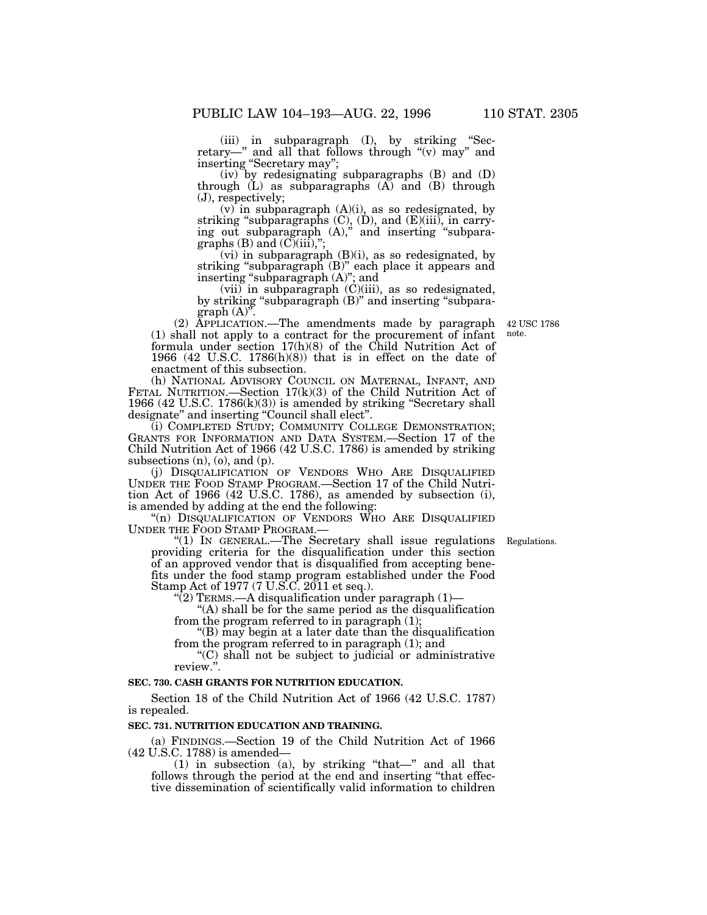(iii) in subparagraph (I), by striking ''Secretary—'' and all that follows through ''(v) may'' and inserting ''Secretary may'';

(iv) by redesignating subparagraphs (B) and (D) through  $(L)$  as subparagraphs  $(A)$  and  $(B)$  through (J), respectively;

 $(v)$  in subparagraph  $(A)(i)$ , as so redesignated, by striking "subparagraphs (C), (D), and (E)(iii), in carrying out subparagraph  $(A)$ ," and inserting "subparagraphs  $(B)$  and  $(C)(iii)$ ,";

(vi) in subparagraph (B)(i), as so redesignated, by striking ''subparagraph (B)'' each place it appears and inserting ''subparagraph (A)''; and

(vii) in subparagraph (C)(iii), as so redesignated, by striking "subparagraph (B)" and inserting "subparagraph (A)''.

(2) APPLICATION.—The amendments made by paragraph (1) shall not apply to a contract for the procurement of infant formula under section 17(h)(8) of the Child Nutrition Act of 1966 (42 U.S.C. 1786(h)(8)) that is in effect on the date of enactment of this subsection.

(h) NATIONAL ADVISORY COUNCIL ON MATERNAL, INFANT, AND FETAL NUTRITION.—Section 17(k)(3) of the Child Nutrition Act of 1966 (42 U.S.C. 1786 $(k)(3)$ ) is amended by striking "Secretary shall designate" and inserting "Council shall elect".

(i) COMPLETED STUDY; COMMUNITY COLLEGE DEMONSTRATION; GRANTS FOR INFORMATION AND DATA SYSTEM.—Section 17 of the Child Nutrition Act of 1966 (42 U.S.C. 1786) is amended by striking subsections  $(n)$ ,  $(o)$ , and  $(p)$ .

(j) DISQUALIFICATION OF VENDORS WHO ARE DISQUALIFIED UNDER THE FOOD STAMP PROGRAM.—Section 17 of the Child Nutrition Act of 1966 (42 U.S.C. 1786), as amended by subsection (i), is amended by adding at the end the following:

"(n) DISQUALIFICATION OF VENDORS WHO ARE DISQUALIFIED UNDER THE FOOD STAMP PROGRAM.— UNDER THE FOOD STAMP PROGRAM.—<br>"(1) IN GENERAL.—The Secretary shall issue regulations Regulations.

providing criteria for the disqualification under this section of an approved vendor that is disqualified from accepting benefits under the food stamp program established under the Food Stamp Act of 1977 (7 U.S.C. 2011 et seq.).

''(2) TERMS.—A disqualification under paragraph (1)—

 $f(A)$  shall be for the same period as the disqualification from the program referred to in paragraph (1);

''(B) may begin at a later date than the disqualification from the program referred to in paragraph (1); and

''(C) shall not be subject to judicial or administrative review.''.

#### **SEC. 730. CASH GRANTS FOR NUTRITION EDUCATION.**

Section 18 of the Child Nutrition Act of 1966 (42 U.S.C. 1787) is repealed.

#### **SEC. 731. NUTRITION EDUCATION AND TRAINING.**

(a) FINDINGS.—Section 19 of the Child Nutrition Act of 1966 (42 U.S.C. 1788) is amended—

(1) in subsection (a), by striking ''that—'' and all that follows through the period at the end and inserting "that effective dissemination of scientifically valid information to children

42 USC 1786 note.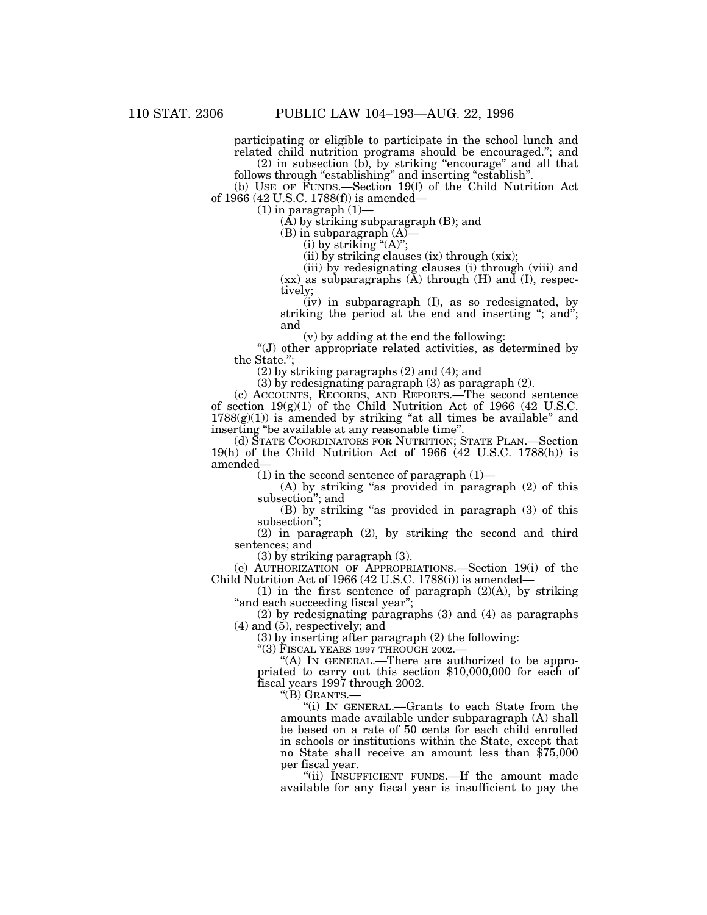participating or eligible to participate in the school lunch and related child nutrition programs should be encouraged.''; and

(2) in subsection (b), by striking ''encourage'' and all that follows through ''establishing'' and inserting ''establish''.

(b) USE OF FUNDS.—Section 19(f) of the Child Nutrition Act

of 1966 (42 U.S.C. 1788(f)) is amended—

 $(1)$  in paragraph  $(1)$ 

 $(A)$  by striking subparagraph  $(B)$ ; and

 $(B)$  in subparagraph  $(A)$ –

(i) by striking " $(A)$ ";

(ii) by striking clauses (ix) through (xix);

(iii) by redesignating clauses (i) through (viii) and  $(xx)$  as subparagraphs  $(\overline{A})$  through  $(H)$  and  $(I)$ , respectively;

(iv) in subparagraph (I), as so redesignated, by striking the period at the end and inserting "; and"; and

(v) by adding at the end the following:

''(J) other appropriate related activities, as determined by the State.'';

(2) by striking paragraphs (2) and (4); and

(3) by redesignating paragraph (3) as paragraph (2).

(c) ACCOUNTS, RECORDS, AND REPORTS.—The second sentence of section 19(g)(1) of the Child Nutrition Act of 1966 (42 U.S.C.  $1788(g)(1)$ ) is amended by striking "at all times be available" and inserting ''be available at any reasonable time''.

(d) STATE COORDINATORS FOR NUTRITION; STATE PLAN.—Section 19(h) of the Child Nutrition Act of 1966 (42 U.S.C. 1788(h)) is amended—

 $(1)$  in the second sentence of paragraph  $(1)$ —

(A) by striking ''as provided in paragraph (2) of this subsection''; and

(B) by striking ''as provided in paragraph (3) of this subsection'';

(2) in paragraph (2), by striking the second and third sentences; and

(3) by striking paragraph (3).

(e) AUTHORIZATION OF APPROPRIATIONS.—Section 19(i) of the Child Nutrition Act of 1966 (42 U.S.C. 1788(i)) is amended—

(1) in the first sentence of paragraph (2)(A), by striking ''and each succeeding fiscal year'';

(2) by redesignating paragraphs (3) and (4) as paragraphs (4) and (5), respectively; and

(3) by inserting after paragraph (2) the following:

''(3) FISCAL YEARS 1997 THROUGH 2002.—

''(A) IN GENERAL.—There are authorized to be appropriated to carry out this section \$10,000,000 for each of fiscal years 1997 through 2002.

''(B) GRANTS.—

''(i) IN GENERAL.—Grants to each State from the amounts made available under subparagraph (A) shall be based on a rate of 50 cents for each child enrolled in schools or institutions within the State, except that no State shall receive an amount less than \$75,000 per fiscal year.

''(ii) INSUFFICIENT FUNDS.—If the amount made available for any fiscal year is insufficient to pay the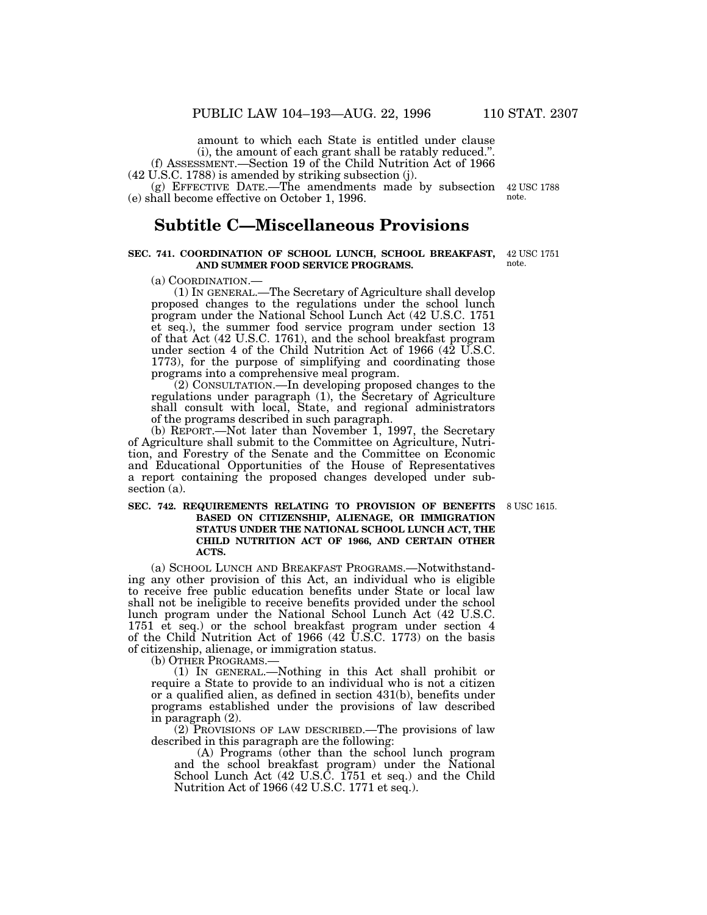amount to which each State is entitled under clause (i), the amount of each grant shall be ratably reduced. (f) ASSESSMENT.—Section 19 of the Child Nutrition Act of 1966 (42 U.S.C. 1788) is amended by striking subsection (j).

(g) EFFECTIVE DATE.—The amendments made by subsection 42 USC 1788 (e) shall become effective on October 1, 1996. note.

# **Subtitle C—Miscellaneous Provisions**

#### **SEC. 741. COORDINATION OF SCHOOL LUNCH, SCHOOL BREAKFAST, AND SUMMER FOOD SERVICE PROGRAMS.**

(a) COORDINATION.—

(1) IN GENERAL.—The Secretary of Agriculture shall develop proposed changes to the regulations under the school lunch program under the National School Lunch Act (42 U.S.C. 1751 et seq.), the summer food service program under section 13 of that Act (42 U.S.C. 1761), and the school breakfast program under section 4 of the Child Nutrition Act of 1966 (42 U.S.C. 1773), for the purpose of simplifying and coordinating those programs into a comprehensive meal program.

(2) CONSULTATION.—In developing proposed changes to the regulations under paragraph (1), the Secretary of Agriculture shall consult with local, State, and regional administrators of the programs described in such paragraph.

(b) REPORT.—Not later than November 1, 1997, the Secretary of Agriculture shall submit to the Committee on Agriculture, Nutrition, and Forestry of the Senate and the Committee on Economic and Educational Opportunities of the House of Representatives a report containing the proposed changes developed under subsection (a).

#### **SEC. 742. REQUIREMENTS RELATING TO PROVISION OF BENEFITS** 8 USC 1615. **BASED ON CITIZENSHIP, ALIENAGE, OR IMMIGRATION STATUS UNDER THE NATIONAL SCHOOL LUNCH ACT, THE CHILD NUTRITION ACT OF 1966, AND CERTAIN OTHER ACTS.**

(a) SCHOOL LUNCH AND BREAKFAST PROGRAMS.—Notwithstanding any other provision of this Act, an individual who is eligible to receive free public education benefits under State or local law shall not be ineligible to receive benefits provided under the school lunch program under the National School Lunch Act (42 U.S.C. 1751 et seq.) or the school breakfast program under section 4 of the Child Nutrition Act of 1966 (42 U.S.C. 1773) on the basis of citizenship, alienage, or immigration status.

(b) OTHER PROGRAMS.—

(1) IN GENERAL.—Nothing in this Act shall prohibit or require a State to provide to an individual who is not a citizen or a qualified alien, as defined in section 431(b), benefits under programs established under the provisions of law described in paragraph (2).

(2) PROVISIONS OF LAW DESCRIBED.—The provisions of law described in this paragraph are the following:

(A) Programs (other than the school lunch program and the school breakfast program) under the National School Lunch Act (42 U.S.C. 1751 et seq.) and the Child Nutrition Act of 1966 (42 U.S.C. 1771 et seq.).

42 USC 1751 note.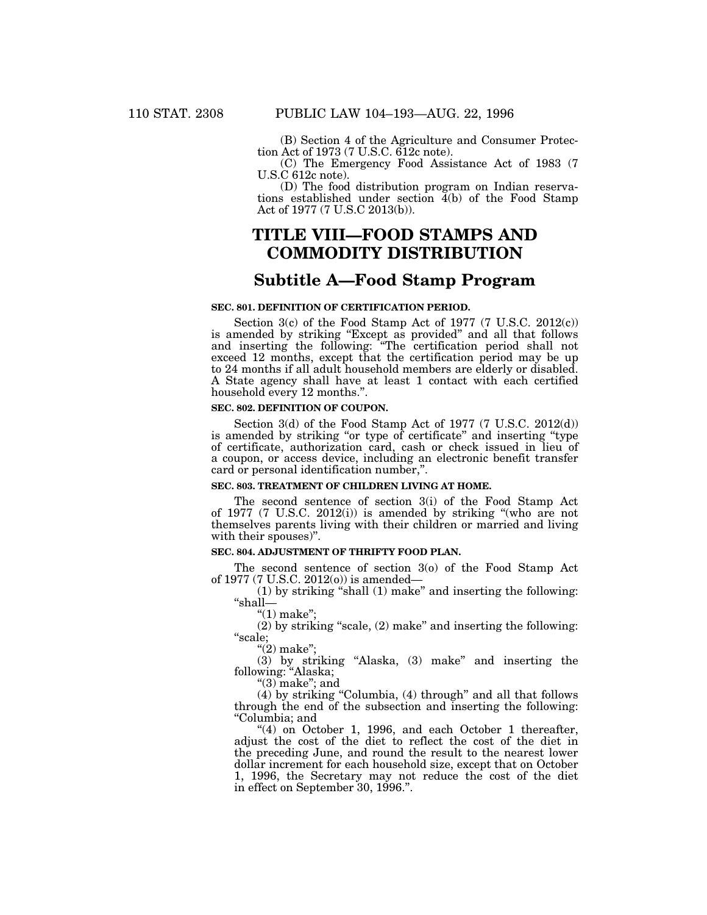(B) Section 4 of the Agriculture and Consumer Protection Act of 1973 (7 U.S.C. 612c note).

(C) The Emergency Food Assistance Act of 1983 (7 U.S.C 612c note).

(D) The food distribution program on Indian reservations established under section  $\overline{4}$ (b) of the Food Stamp Act of 1977 (7 U.S.C 2013(b)).

# **TITLE VIII—FOOD STAMPS AND COMMODITY DISTRIBUTION**

# **Subtitle A—Food Stamp Program**

#### **SEC. 801. DEFINITION OF CERTIFICATION PERIOD.**

Section 3(c) of the Food Stamp Act of 1977 (7 U.S.C. 2012(c)) is amended by striking ''Except as provided'' and all that follows and inserting the following: ''The certification period shall not exceed 12 months, except that the certification period may be up to 24 months if all adult household members are elderly or disabled. A State agency shall have at least 1 contact with each certified household every 12 months.''.

## **SEC. 802. DEFINITION OF COUPON.**

Section 3(d) of the Food Stamp Act of 1977 (7 U.S.C. 2012(d)) is amended by striking ''or type of certificate'' and inserting ''type of certificate, authorization card, cash or check issued in lieu of a coupon, or access device, including an electronic benefit transfer card or personal identification number,''.

# **SEC. 803. TREATMENT OF CHILDREN LIVING AT HOME.**

The second sentence of section 3(i) of the Food Stamp Act of 1977 (7 U.S.C. 2012(i)) is amended by striking ''(who are not themselves parents living with their children or married and living with their spouses)''.

## **SEC. 804. ADJUSTMENT OF THRIFTY FOOD PLAN.**

The second sentence of section 3(o) of the Food Stamp Act of 1977 (7 U.S.C. 2012(o)) is amended—

(1) by striking ''shall (1) make'' and inserting the following: ''shall—

 $"(1)$  make";

 $(2)$  by striking "scale,  $(2)$  make" and inserting the following: ''scale;

 $\degree$ (2) make";

(3) by striking ''Alaska, (3) make'' and inserting the following: ''Alaska;

" $(3)$  make"; and

(4) by striking ''Columbia, (4) through'' and all that follows through the end of the subsection and inserting the following: ''Columbia; and

"(4) on October 1, 1996, and each October 1 thereafter, adjust the cost of the diet to reflect the cost of the diet in the preceding June, and round the result to the nearest lower dollar increment for each household size, except that on October 1, 1996, the Secretary may not reduce the cost of the diet in effect on September 30, 1996.''.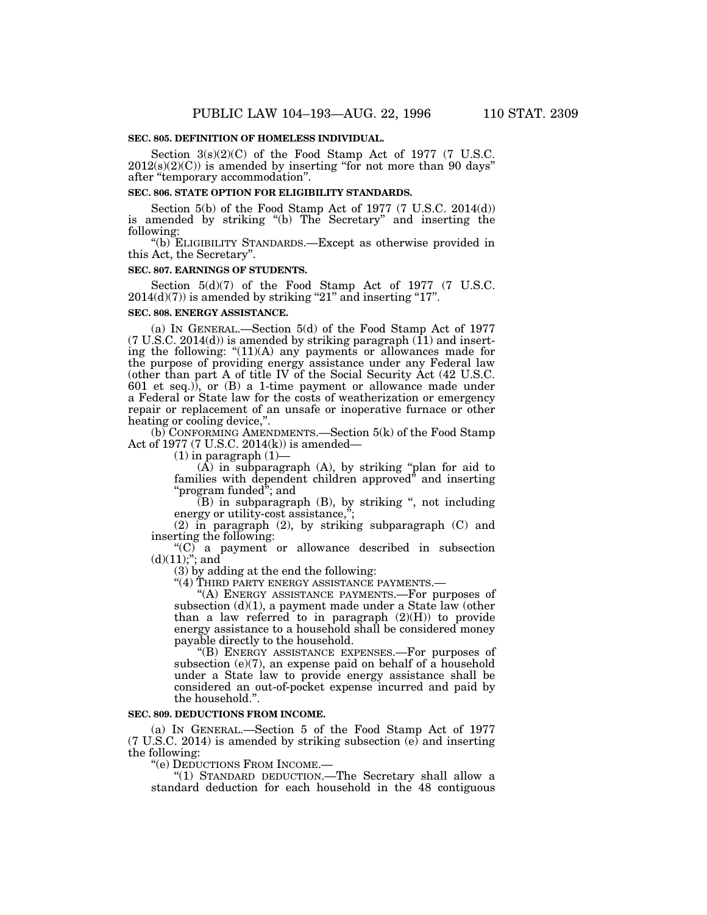### **SEC. 805. DEFINITION OF HOMELESS INDIVIDUAL.**

Section  $3(s)(2)(C)$  of the Food Stamp Act of 1977 (7 U.S.C.  $2012(s)(2)(C)$ ) is amended by inserting "for not more than 90 days" after ''temporary accommodation''.

## **SEC. 806. STATE OPTION FOR ELIGIBILITY STANDARDS.**

Section 5(b) of the Food Stamp Act of 1977 (7 U.S.C. 2014(d)) is amended by striking ''(b) The Secretary'' and inserting the following:

''(b) ELIGIBILITY STANDARDS.—Except as otherwise provided in this Act, the Secretary''.

#### **SEC. 807. EARNINGS OF STUDENTS.**

Section 5(d)(7) of the Food Stamp Act of 1977 (7 U.S.C.  $2014(d)(7)$ ) is amended by striking "21" and inserting "17".

#### **SEC. 808. ENERGY ASSISTANCE.**

(a) IN GENERAL.—Section 5(d) of the Food Stamp Act of 1977 (7 U.S.C. 2014(d)) is amended by striking paragraph (11) and inserting the following: " $(11)(A)$  any payments or allowances made for the purpose of providing energy assistance under any Federal law (other than part A of title IV of the Social Security Act (42 U.S.C. 601 et seq.)), or (B) a 1-time payment or allowance made under a Federal or State law for the costs of weatherization or emergency repair or replacement of an unsafe or inoperative furnace or other heating or cooling device,''.

(b) CONFORMING AMENDMENTS.—Section 5(k) of the Food Stamp Act of 1977 (7 U.S.C. 2014(k)) is amended—

 $(1)$  in paragraph  $(1)$ –

(A) in subparagraph (A), by striking ''plan for aid to families with dependent children approved'' and inserting ''program funded''; and

 $(B)$  in subparagraph  $(B)$ , by striking ", not including energy or utility-cost assistance,";

(2) in paragraph (2), by striking subparagraph (C) and inserting the following:

''(C) a payment or allowance described in subsection  $(d)(11);$ "; and

(3) by adding at the end the following:<br>"(4) THIRD PARTY ENERGY ASSISTANCE PAYMENTS.—

"(A) ENERGY ASSISTANCE PAYMENTS.—For purposes of subsection  $(d)(1)$ , a payment made under a State law (other than a law referred to in paragraph  $(2)(H)$  to provide energy assistance to a household shall be considered money payable directly to the household.

''(B) ENERGY ASSISTANCE EXPENSES.—For purposes of subsection (e)(7), an expense paid on behalf of a household under a State law to provide energy assistance shall be considered an out-of-pocket expense incurred and paid by the household.''.

#### **SEC. 809. DEDUCTIONS FROM INCOME.**

(a) IN GENERAL.—Section 5 of the Food Stamp Act of 1977  $(7 \text{ U.S.C. } 2014)$  is amended by striking subsection  $(e)$  and inserting the following:

''(e) DEDUCTIONS FROM INCOME.—

''(1) STANDARD DEDUCTION.—The Secretary shall allow a standard deduction for each household in the 48 contiguous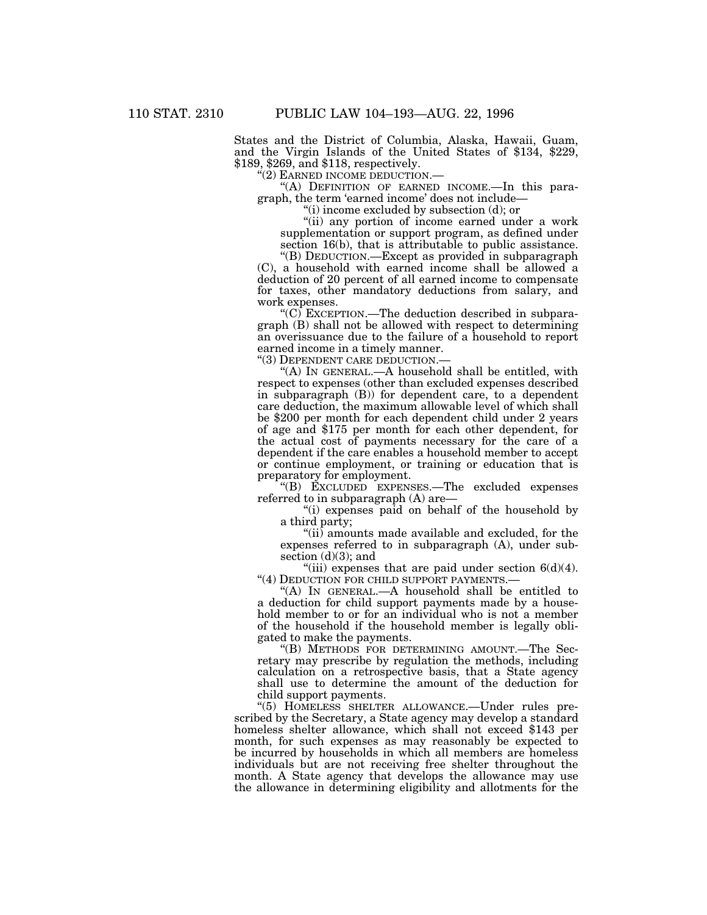States and the District of Columbia, Alaska, Hawaii, Guam, and the Virgin Islands of the United States of \$134, \$229, \$189, \$269, and \$118, respectively.

''(2) EARNED INCOME DEDUCTION.—

"(A) DEFINITION OF EARNED INCOME.-In this paragraph, the term 'earned income' does not include—

"(i) income excluded by subsection  $(d)$ ; or

"(ii) any portion of income earned under a work supplementation or support program, as defined under section 16(b), that is attributable to public assistance.

''(B) DEDUCTION.—Except as provided in subparagraph (C), a household with earned income shall be allowed a deduction of 20 percent of all earned income to compensate for taxes, other mandatory deductions from salary, and work expenses.

" $(C)$  EXCEPTION.—The deduction described in subparagraph (B) shall not be allowed with respect to determining an overissuance due to the failure of a household to report earned income in a timely manner.

''(3) DEPENDENT CARE DEDUCTION.—

 $(A)$  In GENERAL.—A household shall be entitled, with respect to expenses (other than excluded expenses described in subparagraph (B)) for dependent care, to a dependent care deduction, the maximum allowable level of which shall be \$200 per month for each dependent child under 2 years of age and \$175 per month for each other dependent, for the actual cost of payments necessary for the care of a dependent if the care enables a household member to accept or continue employment, or training or education that is preparatory for employment.

''(B) EXCLUDED EXPENSES.—The excluded expenses referred to in subparagraph (A) are—

"(i) expenses paid on behalf of the household by a third party;

"(ii) amounts made available and excluded, for the expenses referred to in subparagraph (A), under subsection  $(d)(3)$ ; and

"(iii) expenses that are paid under section  $6(d)(4)$ . "(4) DEDUCTION FOR CHILD SUPPORT PAYMENTS.

''(A) IN GENERAL.—A household shall be entitled to a deduction for child support payments made by a household member to or for an individual who is not a member of the household if the household member is legally obligated to make the payments.

''(B) METHODS FOR DETERMINING AMOUNT.—The Secretary may prescribe by regulation the methods, including calculation on a retrospective basis, that a State agency shall use to determine the amount of the deduction for child support payments.

''(5) HOMELESS SHELTER ALLOWANCE.—Under rules prescribed by the Secretary, a State agency may develop a standard homeless shelter allowance, which shall not exceed \$143 per month, for such expenses as may reasonably be expected to be incurred by households in which all members are homeless individuals but are not receiving free shelter throughout the month. A State agency that develops the allowance may use the allowance in determining eligibility and allotments for the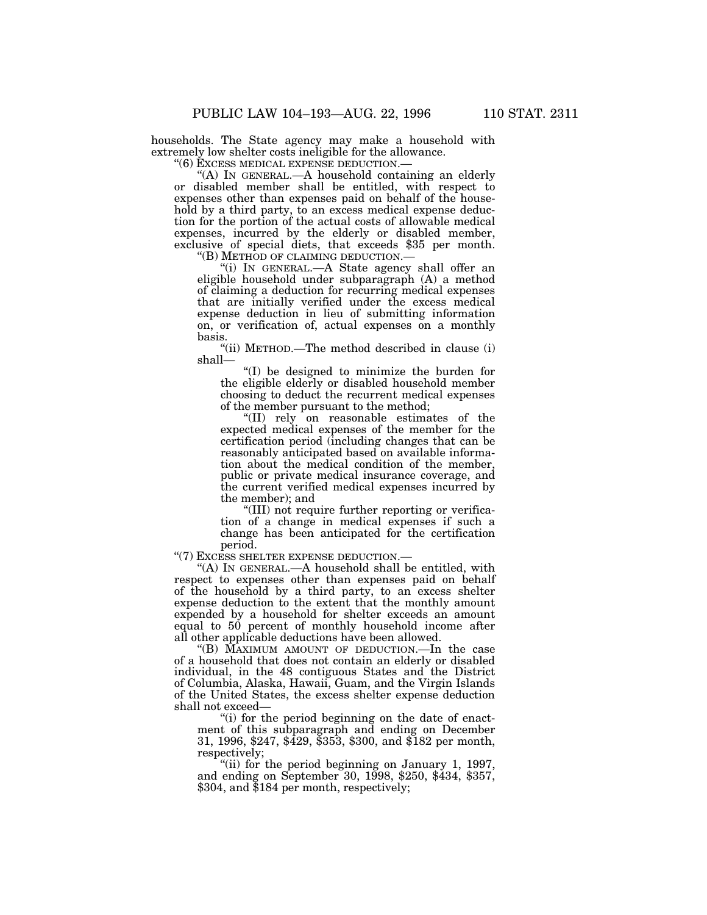households. The State agency may make a household with extremely low shelter costs ineligible for the allowance.<br>"(6) Excess MEDICAL EXPENSE DEDUCTION.—

"(A) IN GENERAL.—A household containing an elderly or disabled member shall be entitled, with respect to expenses other than expenses paid on behalf of the household by a third party, to an excess medical expense deduction for the portion of the actual costs of allowable medical expenses, incurred by the elderly or disabled member, exclusive of special diets, that exceeds \$35 per month.

''(B) METHOD OF CLAIMING DEDUCTION.—

''(i) IN GENERAL.—A State agency shall offer an eligible household under subparagraph (A) a method of claiming a deduction for recurring medical expenses that are initially verified under the excess medical expense deduction in lieu of submitting information on, or verification of, actual expenses on a monthly basis.

''(ii) METHOD.—The method described in clause (i) shall—

''(I) be designed to minimize the burden for the eligible elderly or disabled household member choosing to deduct the recurrent medical expenses of the member pursuant to the method;

''(II) rely on reasonable estimates of the expected medical expenses of the member for the certification period (including changes that can be reasonably anticipated based on available information about the medical condition of the member, public or private medical insurance coverage, and the current verified medical expenses incurred by the member); and

''(III) not require further reporting or verification of a change in medical expenses if such a change has been anticipated for the certification period.

''(7) EXCESS SHELTER EXPENSE DEDUCTION.—

''(A) IN GENERAL.—A household shall be entitled, with respect to expenses other than expenses paid on behalf of the household by a third party, to an excess shelter expense deduction to the extent that the monthly amount expended by a household for shelter exceeds an amount equal to 50 percent of monthly household income after all other applicable deductions have been allowed.

''(B) MAXIMUM AMOUNT OF DEDUCTION.—In the case of a household that does not contain an elderly or disabled individual, in the 48 contiguous States and the District of Columbia, Alaska, Hawaii, Guam, and the Virgin Islands of the United States, the excess shelter expense deduction shall not exceed—

"(i) for the period beginning on the date of enactment of this subparagraph and ending on December 31, 1996, \$247, \$429, \$353, \$300, and \$182 per month, respectively;

''(ii) for the period beginning on January 1, 1997, and ending on September 30, 1998, \$250, \$434, \$357, \$304, and \$184 per month, respectively;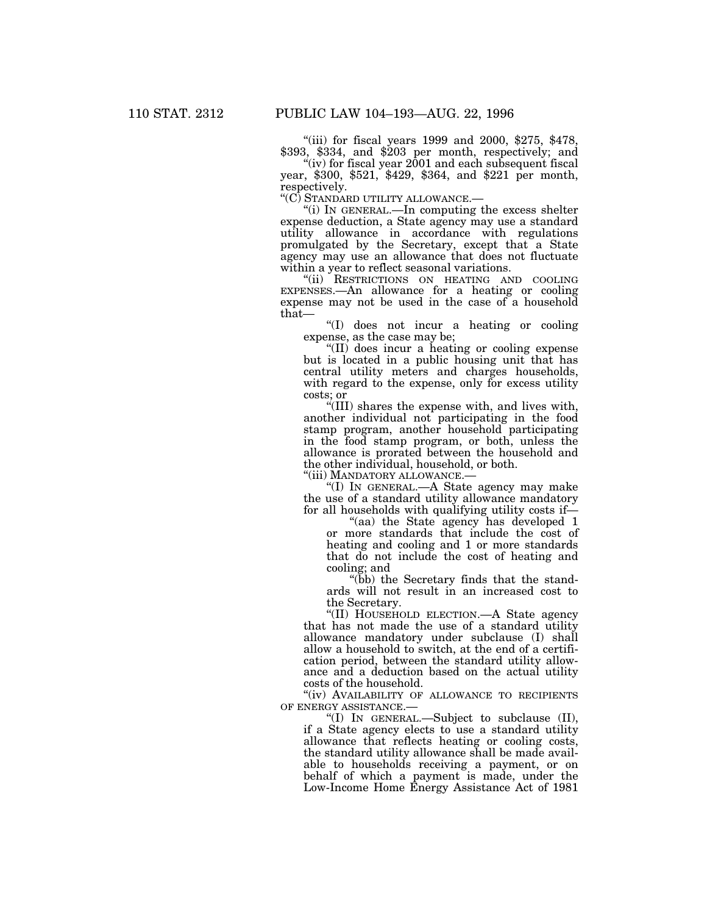''(iii) for fiscal years 1999 and 2000, \$275, \$478, \$393, \$334, and \$203 per month, respectively; and

''(iv) for fiscal year 2001 and each subsequent fiscal year, \$300, \$521, \$429, \$364, and \$221 per month, respectively.

''(C) STANDARD UTILITY ALLOWANCE.—

''(i) IN GENERAL.—In computing the excess shelter expense deduction, a State agency may use a standard utility allowance in accordance with regulations promulgated by the Secretary, except that a State agency may use an allowance that does not fluctuate within a year to reflect seasonal variations.

''(ii) RESTRICTIONS ON HEATING AND COOLING EXPENSES.—An allowance for a heating or cooling expense may not be used in the case of a household that—

''(I) does not incur a heating or cooling expense, as the case may be;

''(II) does incur a heating or cooling expense but is located in a public housing unit that has central utility meters and charges households, with regard to the expense, only for excess utility costs; or

''(III) shares the expense with, and lives with, another individual not participating in the food stamp program, another household participating in the food stamp program, or both, unless the allowance is prorated between the household and the other individual, household, or both.

"(iii) MANDATORY ALLOWANCE.-

''(I) IN GENERAL.—A State agency may make the use of a standard utility allowance mandatory for all households with qualifying utility costs if—

"(aa) the State agency has developed 1 or more standards that include the cost of heating and cooling and 1 or more standards that do not include the cost of heating and cooling; and

''(bb) the Secretary finds that the standards will not result in an increased cost to the Secretary.

''(II) HOUSEHOLD ELECTION.—A State agency that has not made the use of a standard utility allowance mandatory under subclause (I) shall allow a household to switch, at the end of a certification period, between the standard utility allowance and a deduction based on the actual utility costs of the household.

"(iv) AVAILABILITY OF ALLOWANCE TO RECIPIENTS OF ENERGY ASSISTANCE.—

''(I) IN GENERAL.—Subject to subclause (II), if a State agency elects to use a standard utility allowance that reflects heating or cooling costs, the standard utility allowance shall be made available to households receiving a payment, or on behalf of which a payment is made, under the Low-Income Home Energy Assistance Act of 1981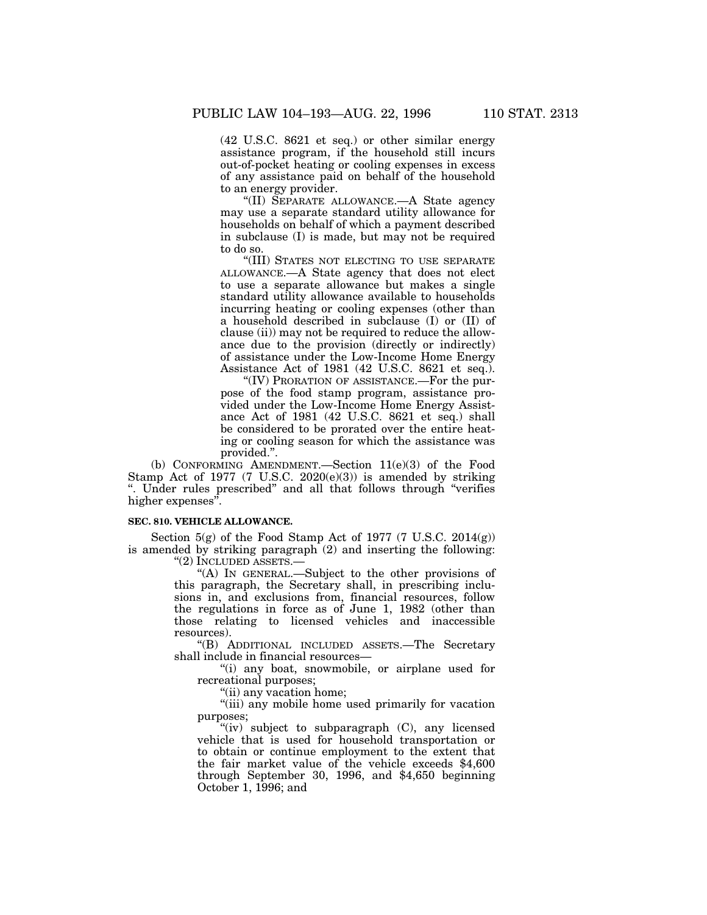(42 U.S.C. 8621 et seq.) or other similar energy assistance program, if the household still incurs out-of-pocket heating or cooling expenses in excess of any assistance paid on behalf of the household to an energy provider.

''(II) SEPARATE ALLOWANCE.—A State agency may use a separate standard utility allowance for households on behalf of which a payment described in subclause (I) is made, but may not be required to do so.

''(III) STATES NOT ELECTING TO USE SEPARATE ALLOWANCE.—A State agency that does not elect to use a separate allowance but makes a single standard utility allowance available to households incurring heating or cooling expenses (other than a household described in subclause (I) or (II) of clause (ii)) may not be required to reduce the allowance due to the provision (directly or indirectly) of assistance under the Low-Income Home Energy Assistance Act of 1981 (42 U.S.C. 8621 et seq.).

''(IV) PRORATION OF ASSISTANCE.—For the purpose of the food stamp program, assistance provided under the Low-Income Home Energy Assistance Act of 1981 (42 U.S.C. 8621 et seq.) shall be considered to be prorated over the entire heating or cooling season for which the assistance was provided.''.

(b) CONFORMING AMENDMENT.—Section 11(e)(3) of the Food Stamp Act of 1977 (7 U.S.C. 2020(e)(3)) is amended by striking ''. Under rules prescribed'' and all that follows through ''verifies higher expenses".

## **SEC. 810. VEHICLE ALLOWANCE.**

Section  $5(g)$  of the Food Stamp Act of 1977 (7 U.S.C. 2014 $(g)$ ) is amended by striking paragraph (2) and inserting the following: ''(2) INCLUDED ASSETS.—

> ''(A) IN GENERAL.—Subject to the other provisions of this paragraph, the Secretary shall, in prescribing inclusions in, and exclusions from, financial resources, follow the regulations in force as of June 1, 1982 (other than those relating to licensed vehicles and inaccessible resources).

> ''(B) ADDITIONAL INCLUDED ASSETS.—The Secretary shall include in financial resources—

''(i) any boat, snowmobile, or airplane used for recreational purposes;

''(ii) any vacation home;

''(iii) any mobile home used primarily for vacation purposes;

"(iv) subject to subparagraph  $(C)$ , any licensed vehicle that is used for household transportation or to obtain or continue employment to the extent that the fair market value of the vehicle exceeds \$4,600 through September 30, 1996, and \$4,650 beginning October 1, 1996; and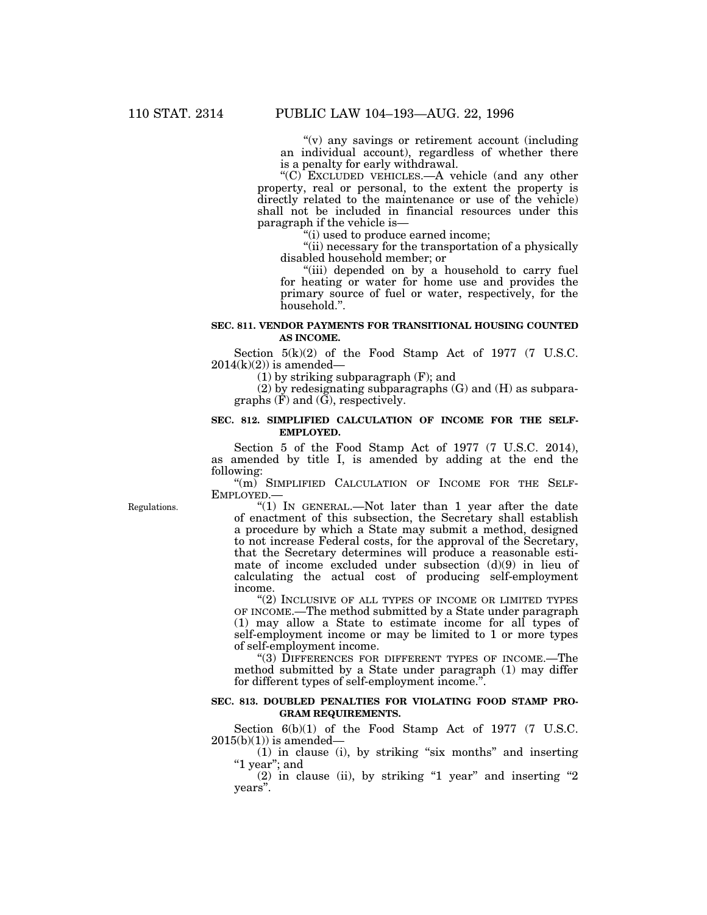$(v)$  any savings or retirement account (including an individual account), regardless of whether there is a penalty for early withdrawal.

"(C) EXCLUDED VEHICLES.—A vehicle (and any other property, real or personal, to the extent the property is directly related to the maintenance or use of the vehicle) shall not be included in financial resources under this paragraph if the vehicle is—

''(i) used to produce earned income;

''(ii) necessary for the transportation of a physically disabled household member; or

"(iii) depended on by a household to carry fuel for heating or water for home use and provides the primary source of fuel or water, respectively, for the household.''.

## **SEC. 811. VENDOR PAYMENTS FOR TRANSITIONAL HOUSING COUNTED AS INCOME.**

Section  $5(k)(2)$  of the Food Stamp Act of 1977 (7 U.S.C.  $2014(k)(2)$  is amended-

(1) by striking subparagraph (F); and

(2) by redesignating subparagraphs (G) and (H) as subparagraphs  $(\tilde{F})$  and  $(\tilde{G})$ , respectively.

## **SEC. 812. SIMPLIFIED CALCULATION OF INCOME FOR THE SELF-EMPLOYED.**

Section 5 of the Food Stamp Act of 1977 (7 U.S.C. 2014), as amended by title I, is amended by adding at the end the following:

"(m) SIMPLIFIED CALCULATION OF INCOME FOR THE SELF-EMPLOYED.—

Regulations.

" $(1)$  In GENERAL.—Not later than 1 year after the date of enactment of this subsection, the Secretary shall establish a procedure by which a State may submit a method, designed to not increase Federal costs, for the approval of the Secretary, that the Secretary determines will produce a reasonable estimate of income excluded under subsection (d)(9) in lieu of calculating the actual cost of producing self-employment income.

"(2) INCLUSIVE OF ALL TYPES OF INCOME OR LIMITED TYPES OF INCOME.—The method submitted by a State under paragraph (1) may allow a State to estimate income for all types of self-employment income or may be limited to 1 or more types of self-employment income.

"(3) DIFFERENCES FOR DIFFERENT TYPES OF INCOME.—The method submitted by a State under paragraph (1) may differ for different types of self-employment income.''.

## **SEC. 813. DOUBLED PENALTIES FOR VIOLATING FOOD STAMP PRO-GRAM REQUIREMENTS.**

Section 6(b)(1) of the Food Stamp Act of 1977 (7 U.S.C.  $2015(b)(1)$  is amended-

(1) in clause (i), by striking ''six months'' and inserting "1 year"; and

 $(2)$  in clause (ii), by striking "1 year" and inserting "2 years''.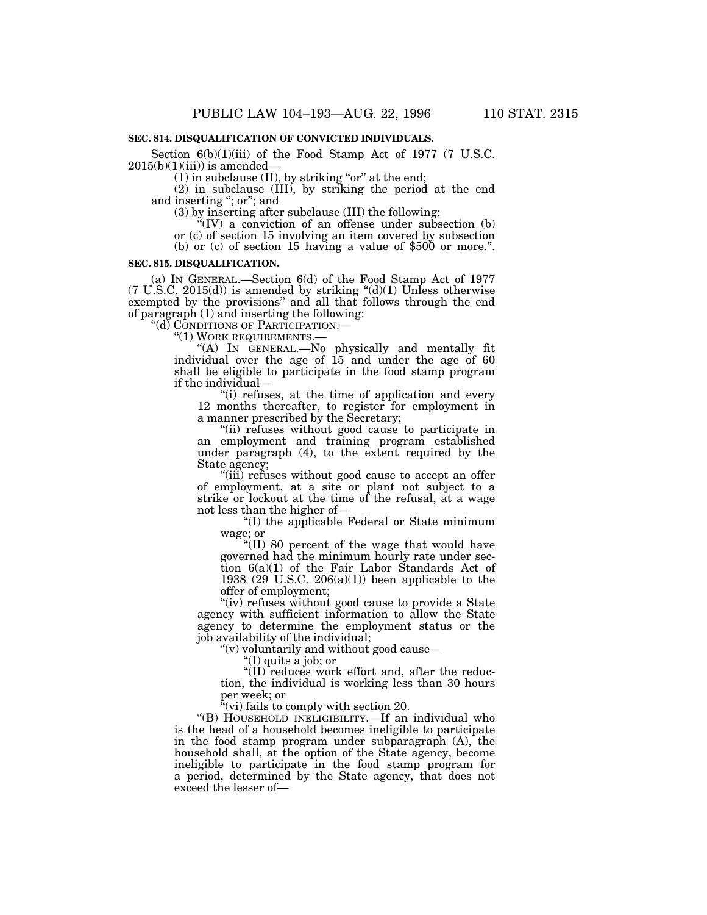## **SEC. 814. DISQUALIFICATION OF CONVICTED INDIVIDUALS.**

Section  $6(b)(1)(iii)$  of the Food Stamp Act of 1977 (7 U.S.C.  $2015(b)(1)(iii)$  is amended—

 $(1)$  in subclause  $(II)$ , by striking "or" at the end;

(2) in subclause (III), by striking the period at the end and inserting ''; or''; and

(3) by inserting after subclause (III) the following:

 $K(V)$  a conviction of an offense under subsection (b)

or (c) of section 15 involving an item covered by subsection (b) or (c) of section 15 having a value of \$500 or more.''.

#### **SEC. 815. DISQUALIFICATION.**

(a) IN GENERAL.—Section 6(d) of the Food Stamp Act of 1977  $(7 \text{ U.S.C. } 2015(d))$  is amended by striking " $(d)(1)$  Unless otherwise exempted by the provisions'' and all that follows through the end of paragraph (1) and inserting the following:

"(d) CONDITIONS OF PARTICIPATION.

''(1) WORK REQUIREMENTS.—

''(A) IN GENERAL.—No physically and mentally fit individual over the age of 15 and under the age of 60 shall be eligible to participate in the food stamp program if the individual—

"(i) refuses, at the time of application and every 12 months thereafter, to register for employment in a manner prescribed by the Secretary;

''(ii) refuses without good cause to participate in an employment and training program established under paragraph (4), to the extent required by the State agency;

''(iii) refuses without good cause to accept an offer of employment, at a site or plant not subject to a strike or lockout at the time of the refusal, at a wage not less than the higher of—

''(I) the applicable Federal or State minimum wage; or

''(II) 80 percent of the wage that would have governed had the minimum hourly rate under section 6(a)(1) of the Fair Labor Standards Act of 1938 (29 U.S.C. 206(a)(1)) been applicable to the offer of employment;

"(iv) refuses without good cause to provide a State agency with sufficient information to allow the State agency to determine the employment status or the job availability of the individual;

''(v) voluntarily and without good cause—

''(I) quits a job; or

''(II) reduces work effort and, after the reduction, the individual is working less than 30 hours per week; or

"(vi) fails to comply with section 20.

"(B) HOUSEHOLD INELIGIBILITY.—If an individual who is the head of a household becomes ineligible to participate in the food stamp program under subparagraph (A), the household shall, at the option of the State agency, become ineligible to participate in the food stamp program for a period, determined by the State agency, that does not exceed the lesser of—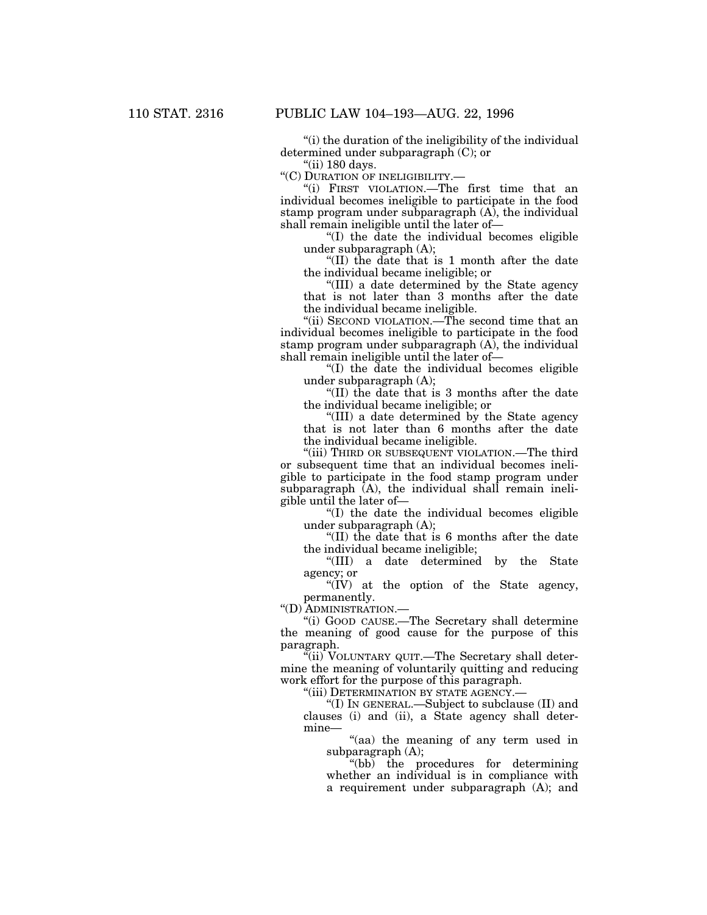''(i) the duration of the ineligibility of the individual determined under subparagraph (C); or

"(ii)  $180$  days.

''(C) DURATION OF INELIGIBILITY.—

''(i) FIRST VIOLATION.—The first time that an individual becomes ineligible to participate in the food stamp program under subparagraph (A), the individual shall remain ineligible until the later of—

''(I) the date the individual becomes eligible under subparagraph (A);

''(II) the date that is 1 month after the date the individual became ineligible; or

''(III) a date determined by the State agency that is not later than 3 months after the date the individual became ineligible.

"(ii) SECOND VIOLATION.—The second time that an individual becomes ineligible to participate in the food stamp program under subparagraph  $(A)$ , the individual shall remain ineligible until the later of—

''(I) the date the individual becomes eligible under subparagraph (A);

''(II) the date that is 3 months after the date the individual became ineligible; or

''(III) a date determined by the State agency that is not later than 6 months after the date the individual became ineligible.

"(iii) THIRD OR SUBSEQUENT VIOLATION.—The third or subsequent time that an individual becomes ineligible to participate in the food stamp program under subparagraph (A), the individual shall remain ineligible until the later of—

''(I) the date the individual becomes eligible under subparagraph (A);

''(II) the date that is 6 months after the date the individual became ineligible;

''(III) a date determined by the State agency; or

''(IV) at the option of the State agency, permanently.

''(D) ADMINISTRATION.—

''(i) GOOD CAUSE.—The Secretary shall determine the meaning of good cause for the purpose of this paragraph.

''(ii) VOLUNTARY QUIT.—The Secretary shall determine the meaning of voluntarily quitting and reducing work effort for the purpose of this paragraph.

''(iii) DETERMINATION BY STATE AGENCY.—

''(I) IN GENERAL.—Subject to subclause (II) and clauses (i) and (ii), a State agency shall determine—

''(aa) the meaning of any term used in subparagraph (A);

"(bb) the procedures for determining whether an individual is in compliance with a requirement under subparagraph (A); and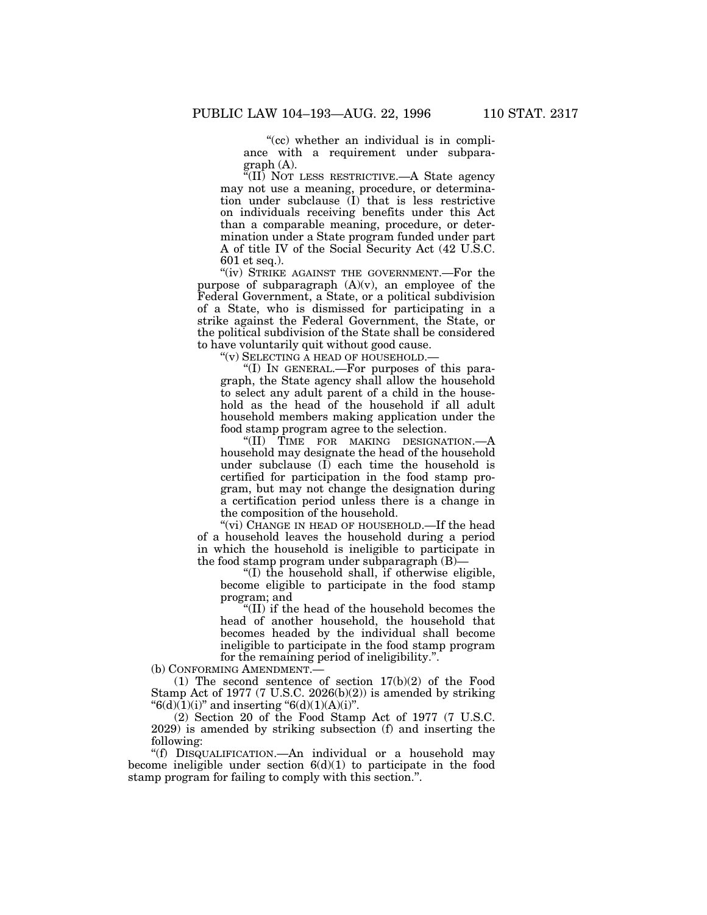"(cc) whether an individual is in compliance with a requirement under subparagraph (A).

''(II) NOT LESS RESTRICTIVE.—A State agency may not use a meaning, procedure, or determination under subclause (I) that is less restrictive on individuals receiving benefits under this Act than a comparable meaning, procedure, or determination under a State program funded under part A of title IV of the Social Security Act (42 U.S.C. 601 et seq.).

"(iv) STRIKE AGAINST THE GOVERNMENT.—For the purpose of subparagraph (A)(v), an employee of the Federal Government, a State, or a political subdivision of a State, who is dismissed for participating in a strike against the Federal Government, the State, or the political subdivision of the State shall be considered to have voluntarily quit without good cause.

''(v) SELECTING A HEAD OF HOUSEHOLD.—

''(I) IN GENERAL.—For purposes of this paragraph, the State agency shall allow the household to select any adult parent of a child in the household as the head of the household if all adult household members making application under the food stamp program agree to the selection.

"(II) TIME FOR MAKING DESIGNATION.—A household may designate the head of the household under subclause (I) each time the household is certified for participation in the food stamp program, but may not change the designation during a certification period unless there is a change in the composition of the household.

"(vi) CHANGE IN HEAD OF HOUSEHOLD.—If the head of a household leaves the household during a period in which the household is ineligible to participate in the food stamp program under subparagraph (B)—

''(I) the household shall, if otherwise eligible, become eligible to participate in the food stamp program; and

''(II) if the head of the household becomes the head of another household, the household that becomes headed by the individual shall become ineligible to participate in the food stamp program for the remaining period of ineligibility.''.

(b) CONFORMING AMENDMENT.—

(1) The second sentence of section 17(b)(2) of the Food Stamp Act of 1977 (7 U.S.C. 2026(b)(2)) is amended by striking " $6(d)(1)(i)$ " and inserting " $6(d)(1)(A)(i)$ ".

(2) Section 20 of the Food Stamp Act of 1977 (7 U.S.C. 2029) is amended by striking subsection (f) and inserting the following:

''(f) DISQUALIFICATION.—An individual or a household may become ineligible under section  $6(d)(1)$  to participate in the food stamp program for failing to comply with this section.''.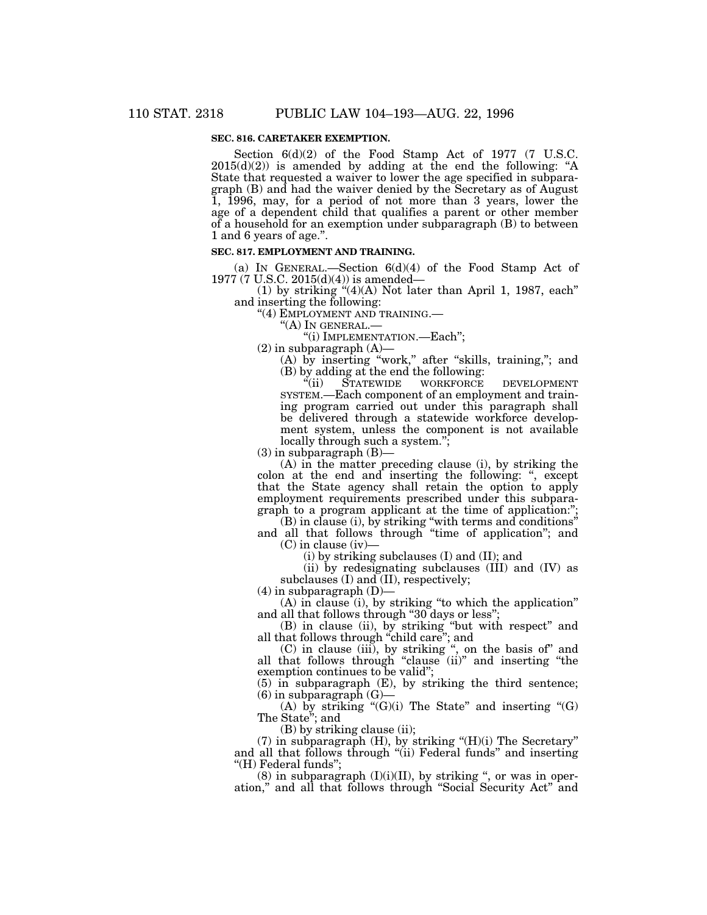## **SEC. 816. CARETAKER EXEMPTION.**

Section 6(d)(2) of the Food Stamp Act of 1977 (7 U.S.C.  $2015(d)(2)$  is amended by adding at the end the following: "A State that requested a waiver to lower the age specified in subparagraph (B) and had the waiver denied by the Secretary as of August 1, 1996, may, for a period of not more than 3 years, lower the age of a dependent child that qualifies a parent or other member of a household for an exemption under subparagraph (B) to between 1 and 6 years of age.''.

#### **SEC. 817. EMPLOYMENT AND TRAINING.**

(a) IN GENERAL.—Section  $6(d)(4)$  of the Food Stamp Act of 1977 (7 U.S.C. 2015(d)(4)) is amended—

(1) by striking  $(4)(A)$  Not later than April 1, 1987, each" and inserting the following:

''(4) EMPLOYMENT AND TRAINING.—

''(A) IN GENERAL.—

''(i) IMPLEMENTATION.—Each'';

(2) in subparagraph (A)—

(A) by inserting ''work,'' after ''skills, training,''; and (B) by adding at the end the following:

''(ii) STATEWIDE WORKFORCE DEVELOPMENT SYSTEM.—Each component of an employment and training program carried out under this paragraph shall be delivered through a statewide workforce development system, unless the component is not available locally through such a system.'';

 $(3)$  in subparagraph  $(B)$ —

(A) in the matter preceding clause (i), by striking the colon at the end and inserting the following: ", except that the State agency shall retain the option to apply employment requirements prescribed under this subparagraph to a program applicant at the time of application:'';

(B) in clause (i), by striking ''with terms and conditions'' and all that follows through ''time of application''; and (C) in clause (iv)—

(i) by striking subclauses (I) and (II); and

(ii) by redesignating subclauses (III) and (IV) as subclauses (I) and (II), respectively;

 $(4)$  in subparagraph  $(D)$ —

 $(A)$  in clause (i), by striking "to which the application" and all that follows through ''30 days or less'';

(B) in clause (ii), by striking ''but with respect'' and all that follows through ''child care''; and

(C) in clause (iii), by striking '', on the basis of'' and all that follows through "clause (ii)" and inserting "the exemption continues to be valid'';

(5) in subparagraph (E), by striking the third sentence;  $(6)$  in subparagraph  $(G)$ -

(A) by striking " $(G)(i)$  The State" and inserting " $(G)$ The State''; and

(B) by striking clause (ii);

(7) in subparagraph  $(H)$ , by striking " $(H)(i)$  The Secretary" and all that follows through ''(ii) Federal funds'' and inserting ''(H) Federal funds'';

 $(8)$  in subparagraph  $(I)(i)(II)$ , by striking ", or was in operation,'' and all that follows through ''Social Security Act'' and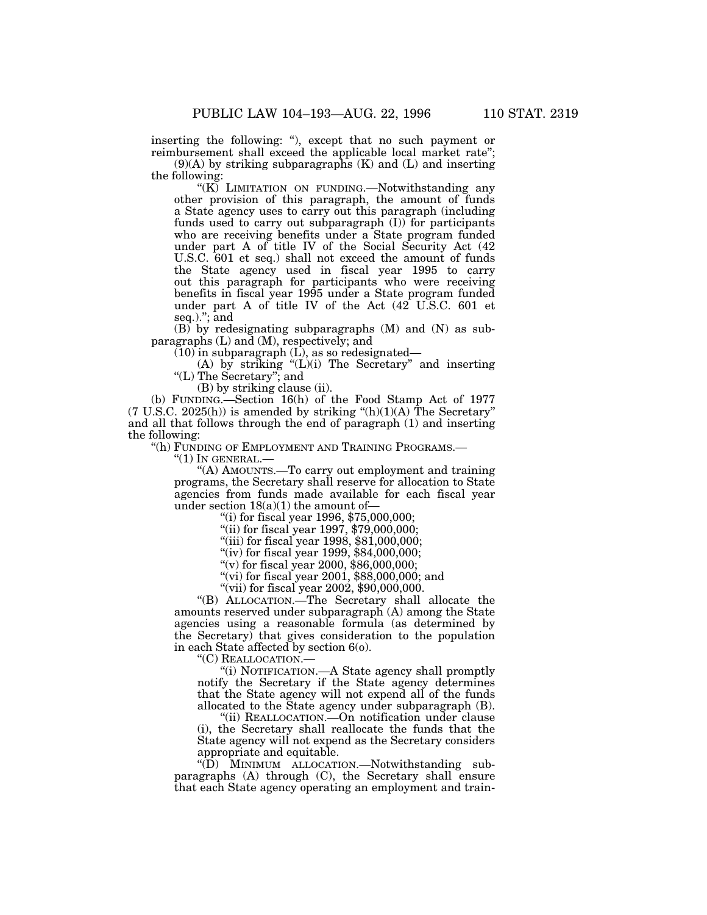inserting the following: ''), except that no such payment or reimbursement shall exceed the applicable local market rate'';

 $(9)(A)$  by striking subparagraphs  $(K)$  and  $(L)$  and inserting the following:

"(K) LIMITATION ON FUNDING.—Notwithstanding any other provision of this paragraph, the amount of funds a State agency uses to carry out this paragraph (including funds used to carry out subparagraph  $(I)$ ) for participants who are receiving benefits under a State program funded under part A of title IV of the Social Security Act (42 U.S.C. 601 et seq.) shall not exceed the amount of funds the State agency used in fiscal year 1995 to carry out this paragraph for participants who were receiving benefits in fiscal year 1995 under a State program funded under part A of title IV of the Act (42 U.S.C. 601 et seq.).''; and

 $(B)$  by redesignating subparagraphs  $(M)$  and  $(N)$  as subparagraphs (L) and (M), respectively; and

 $(10)$  in subparagraph  $(L)$ , as so redesignated—

(A) by striking  $(L)(i)$  The Secretary" and inserting ''(L) The Secretary''; and

(B) by striking clause (ii).

(b) FUNDING.—Section 16(h) of the Food Stamp Act of 1977  $(7 \text{ U.S.C. } 2025(h))$  is amended by striking " $(h)(1)(A)$  The Secretary" and all that follows through the end of paragraph (1) and inserting the following:

''(h) FUNDING OF EMPLOYMENT AND TRAINING PROGRAMS.—

 $"(1)$  In general.—

''(A) AMOUNTS.—To carry out employment and training programs, the Secretary shall reserve for allocation to State agencies from funds made available for each fiscal year under section  $18(a)(1)$  the amount of-

''(i) for fiscal year 1996, \$75,000,000;

''(ii) for fiscal year 1997, \$79,000,000;

"(iii) for fiscal year 1998, \$81,000,000;

"(iv) for fiscal year 1999, \$84,000,000;

''(v) for fiscal year 2000, \$86,000,000;

''(vi) for fiscal year 2001, \$88,000,000; and

"(vii) for fiscal year 2002, \$90,000,000.

''(B) ALLOCATION.—The Secretary shall allocate the amounts reserved under subparagraph (A) among the State agencies using a reasonable formula (as determined by the Secretary) that gives consideration to the population in each State affected by section 6(o).

''(C) REALLOCATION.—

''(i) NOTIFICATION.—A State agency shall promptly notify the Secretary if the State agency determines that the State agency will not expend all of the funds allocated to the State agency under subparagraph (B).

"(ii) REALLOCATION.—On notification under clause (i), the Secretary shall reallocate the funds that the State agency will not expend as the Secretary considers appropriate and equitable.

''(D) MINIMUM ALLOCATION.—Notwithstanding subparagraphs  $(A)$  through  $(C)$ , the Secretary shall ensure that each State agency operating an employment and train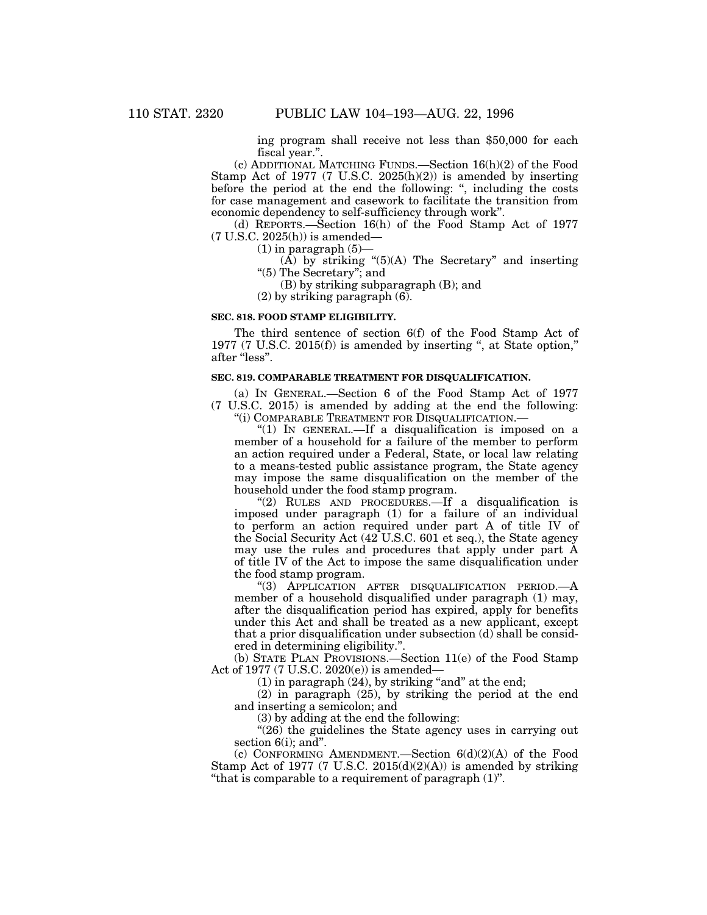ing program shall receive not less than \$50,000 for each fiscal year.''.

(c) ADDITIONAL MATCHING FUNDS.—Section 16(h)(2) of the Food Stamp Act of 1977 (7 U.S.C.  $2025(h)(2)$ ) is amended by inserting before the period at the end the following: ", including the costs for case management and casework to facilitate the transition from economic dependency to self-sufficiency through work''.

(d) REPORTS.—Section 16(h) of the Food Stamp Act of 1977  $(7 \text{ U.S.C. } 2025(h))$  is amended—

 $(1)$  in paragraph  $(5)$ 

 $(\overrightarrow{A})$  by striking "(5)(A) The Secretary" and inserting ''(5) The Secretary''; and

(B) by striking subparagraph (B); and

(2) by striking paragraph (6).

### **SEC. 818. FOOD STAMP ELIGIBILITY.**

The third sentence of section 6(f) of the Food Stamp Act of 1977 (7 U.S.C. 2015(f)) is amended by inserting '', at State option,'' after "less".

#### **SEC. 819. COMPARABLE TREATMENT FOR DISQUALIFICATION.**

(a) IN GENERAL.—Section 6 of the Food Stamp Act of 1977 (7 U.S.C. 2015) is amended by adding at the end the following:

"(i) COMPARABLE TREATMENT FOR DISQUALIFICATION.-

''(1) IN GENERAL.—If a disqualification is imposed on a member of a household for a failure of the member to perform an action required under a Federal, State, or local law relating to a means-tested public assistance program, the State agency may impose the same disqualification on the member of the household under the food stamp program.

"(2) RULES AND PROCEDURES.—If a disqualification is imposed under paragraph (1) for a failure of an individual to perform an action required under part A of title IV of the Social Security Act (42 U.S.C. 601 et seq.), the State agency may use the rules and procedures that apply under part A of title IV of the Act to impose the same disqualification under the food stamp program.

"(3) APPLICATION AFTER DISQUALIFICATION PERIOD.—A member of a household disqualified under paragraph (1) may, after the disqualification period has expired, apply for benefits under this Act and shall be treated as a new applicant, except that a prior disqualification under subsection (d) shall be considered in determining eligibility.''.

(b) STATE PLAN PROVISIONS.—Section 11(e) of the Food Stamp Act of 1977 (7 U.S.C. 2020(e)) is amended—

 $(1)$  in paragraph  $(24)$ , by striking "and" at the end;

(2) in paragraph (25), by striking the period at the end and inserting a semicolon; and

(3) by adding at the end the following:

"(26) the guidelines the State agency uses in carrying out section 6(i); and".

(c) CONFORMING AMENDMENT.—Section  $6(d)(2)(A)$  of the Food Stamp Act of 1977 (7 U.S.C. 2015(d)(2)(A)) is amended by striking ''that is comparable to a requirement of paragraph (1)''.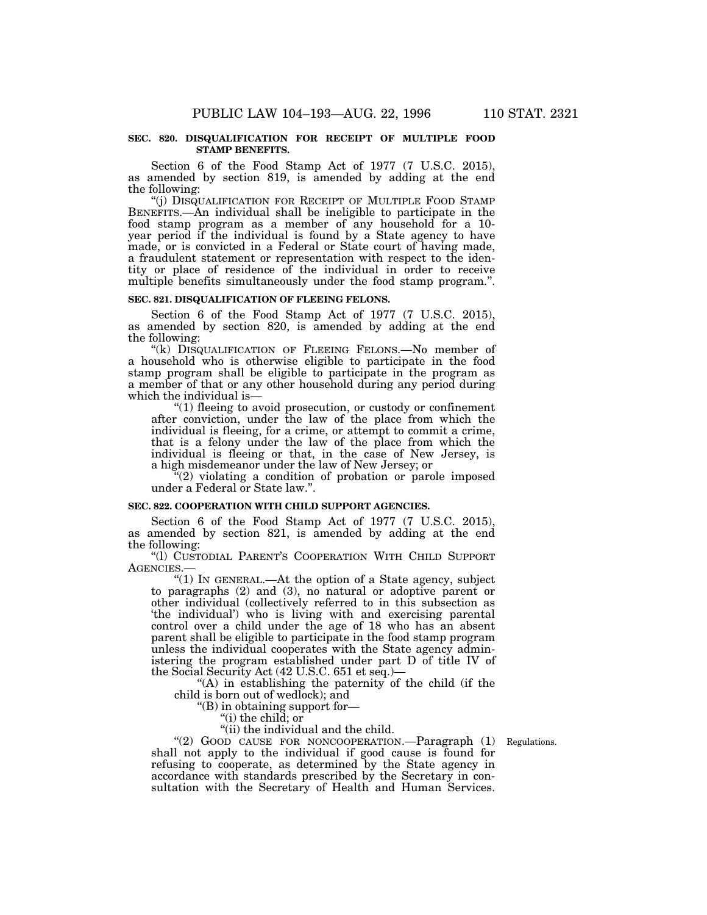# **SEC. 820. DISQUALIFICATION FOR RECEIPT OF MULTIPLE FOOD STAMP BENEFITS.**

Section 6 of the Food Stamp Act of 1977 (7 U.S.C. 2015), as amended by section 819, is amended by adding at the end the following:

'(j) DISQUALIFICATION FOR RECEIPT OF MULTIPLE FOOD STAMP BENEFITS.—An individual shall be ineligible to participate in the food stamp program as a member of any household for a 10 year period if the individual is found by a State agency to have made, or is convicted in a Federal or State court of having made, a fraudulent statement or representation with respect to the identity or place of residence of the individual in order to receive multiple benefits simultaneously under the food stamp program.''.

#### **SEC. 821. DISQUALIFICATION OF FLEEING FELONS.**

Section 6 of the Food Stamp Act of 1977 (7 U.S.C. 2015), as amended by section 820, is amended by adding at the end the following:

"(k) DISQUALIFICATION OF FLEEING FELONS.—No member of a household who is otherwise eligible to participate in the food stamp program shall be eligible to participate in the program as a member of that or any other household during any period during which the individual is—

''(1) fleeing to avoid prosecution, or custody or confinement after conviction, under the law of the place from which the individual is fleeing, for a crime, or attempt to commit a crime, that is a felony under the law of the place from which the individual is fleeing or that, in the case of New Jersey, is a high misdemeanor under the law of New Jersey; or

''(2) violating a condition of probation or parole imposed under a Federal or State law.''.

#### **SEC. 822. COOPERATION WITH CHILD SUPPORT AGENCIES.**

Section 6 of the Food Stamp Act of 1977 (7 U.S.C. 2015), as amended by section 821, is amended by adding at the end the following:

''(l) CUSTODIAL PARENT'S COOPERATION WITH CHILD SUPPORT AGENCIES.—

"(1) IN GENERAL.—At the option of a State agency, subject to paragraphs (2) and (3), no natural or adoptive parent or other individual (collectively referred to in this subsection as 'the individual') who is living with and exercising parental control over a child under the age of 18 who has an absent parent shall be eligible to participate in the food stamp program unless the individual cooperates with the State agency administering the program established under part D of title IV of the Social Security Act (42 U.S.C. 651 et seq.)—

''(A) in establishing the paternity of the child (if the child is born out of wedlock); and

''(B) in obtaining support for—

"(i) the child; or

"(ii) the individual and the child.

"(2) GOOD CAUSE FOR NONCOOPERATION.—Paragraph (1) Regulations. shall not apply to the individual if good cause is found for refusing to cooperate, as determined by the State agency in accordance with standards prescribed by the Secretary in consultation with the Secretary of Health and Human Services.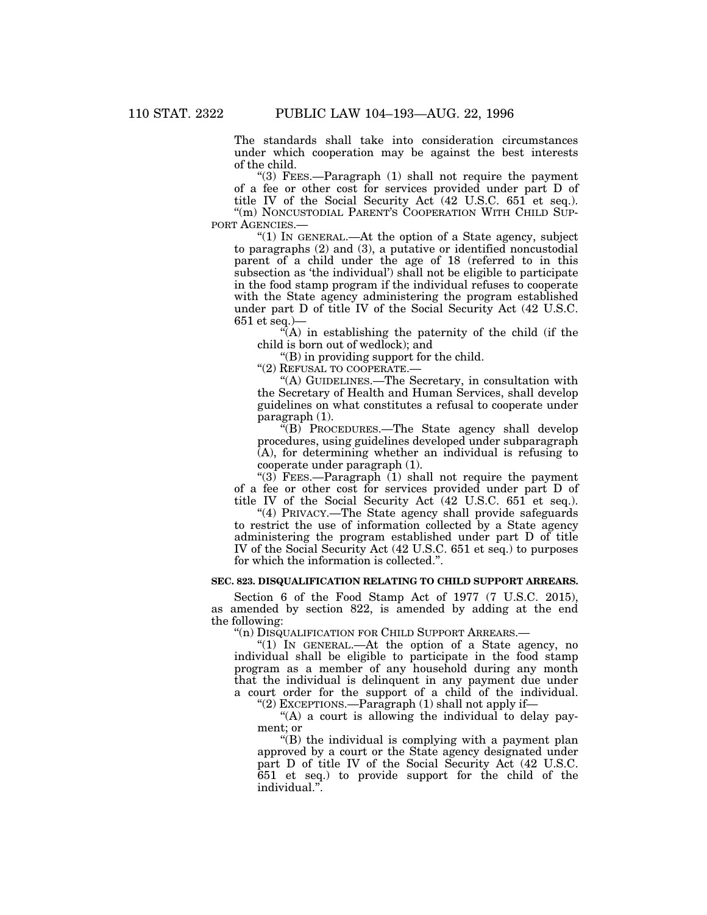The standards shall take into consideration circumstances under which cooperation may be against the best interests of the child.

''(3) FEES.—Paragraph (1) shall not require the payment of a fee or other cost for services provided under part D of title IV of the Social Security Act (42 U.S.C. 651 et seq.). "(m) NONCUSTODIAL PARENT'S COOPERATION WITH CHILD SUP-PORT AGENCIES.—

"(1) In GENERAL.—At the option of a State agency, subject to paragraphs (2) and (3), a putative or identified noncustodial parent of a child under the age of 18 (referred to in this subsection as 'the individual') shall not be eligible to participate in the food stamp program if the individual refuses to cooperate with the State agency administering the program established under part D of title IV of the Social Security Act (42 U.S.C. 651 et seq.)—

 $\sqrt{\left(\text{A}\right)}$  in establishing the paternity of the child (if the child is born out of wedlock); and

 $\mathrm{``(B)}$  in providing support for the child.

''(2) REFUSAL TO COOPERATE.—

''(A) GUIDELINES.—The Secretary, in consultation with the Secretary of Health and Human Services, shall develop guidelines on what constitutes a refusal to cooperate under paragraph (1).

 $\sqrt[\text{B}]{B}$  Procedures.—The State agency shall develop procedures, using guidelines developed under subparagraph  $(A)$ , for determining whether an individual is refusing to cooperate under paragraph (1).

"(3) FEES.—Paragraph (1) shall not require the payment of a fee or other cost for services provided under part D of title IV of the Social Security Act (42 U.S.C. 651 et seq.).

"(4) PRIVACY.—The State agency shall provide safeguards to restrict the use of information collected by a State agency administering the program established under part D of title IV of the Social Security Act (42 U.S.C. 651 et seq.) to purposes for which the information is collected.''.

#### **SEC. 823. DISQUALIFICATION RELATING TO CHILD SUPPORT ARREARS.**

Section 6 of the Food Stamp Act of 1977 (7 U.S.C. 2015), as amended by section 822, is amended by adding at the end the following:

''(n) DISQUALIFICATION FOR CHILD SUPPORT ARREARS.—

''(1) IN GENERAL.—At the option of a State agency, no individual shall be eligible to participate in the food stamp program as a member of any household during any month that the individual is delinquent in any payment due under a court order for the support of a child of the individual.

" $(2)$  EXCEPTIONS.—Paragraph  $(1)$  shall not apply if—

" $(A)$  a court is allowing the individual to delay payment; or

''(B) the individual is complying with a payment plan approved by a court or the State agency designated under part D of title IV of the Social Security Act (42 U.S.C. 651 et seq.) to provide support for the child of the individual.".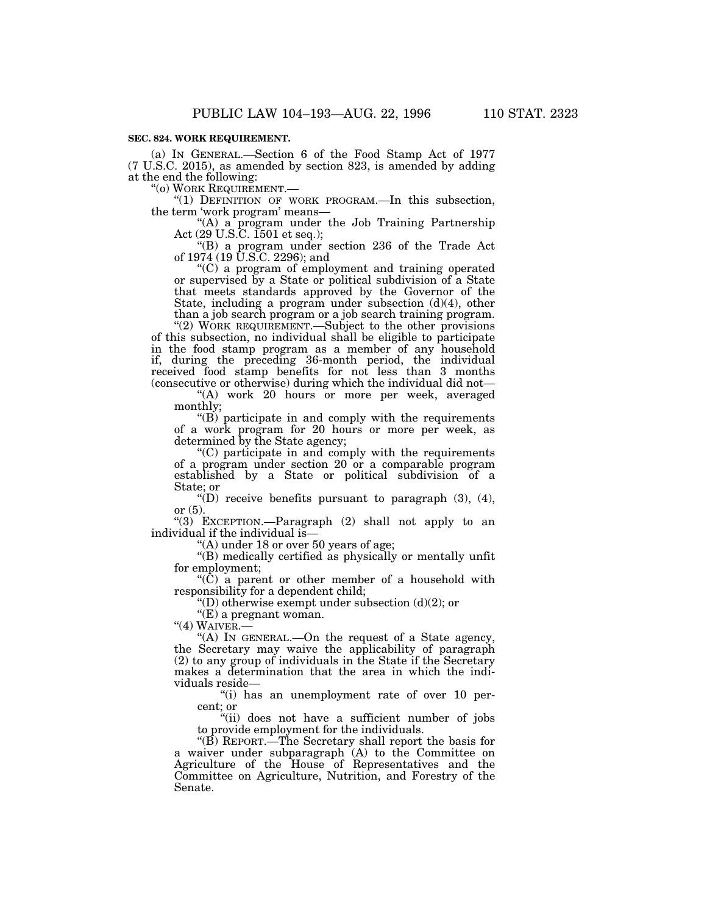### **SEC. 824. WORK REQUIREMENT.**

(a) IN GENERAL.—Section 6 of the Food Stamp Act of 1977 (7 U.S.C. 2015), as amended by section 823, is amended by adding at the end the following:<br>"(0) WORK REQUIREMENT.

"(1) DEFINITION OF WORK PROGRAM.—In this subsection, the term 'work program' means—

"(A) a program under the Job Training Partnership Act (29 U.S.C. 1501 et seq.);

''(B) a program under section 236 of the Trade Act of 1974 (19 U.S.C. 2296); and

''(C) a program of employment and training operated or supervised by a State or political subdivision of a State that meets standards approved by the Governor of the State, including a program under subsection  $(d)(4)$ , other than a job search program or a job search training program.

"(2) WORK REQUIREMENT.—Subject to the other provisions of this subsection, no individual shall be eligible to participate in the food stamp program as a member of any household if, during the preceding 36-month period, the individual received food stamp benefits for not less than 3 months (consecutive or otherwise) during which the individual did not—

"(A) work 20 hours or more per week, averaged monthly;

 $\mathrm{``(B)}$  participate in and comply with the requirements of a work program for 20 hours or more per week, as determined by the State agency;

''(C) participate in and comply with the requirements of a program under section 20 or a comparable program established by a State or political subdivision of a State; or

"(D) receive benefits pursuant to paragraph  $(3)$ ,  $(4)$ , or  $(5)$ .

''(3) EXCEPTION.—Paragraph (2) shall not apply to an individual if the individual is—

''(A) under 18 or over 50 years of age;

''(B) medically certified as physically or mentally unfit for employment;

''(C) a parent or other member of a household with responsibility for a dependent child;

''(D) otherwise exempt under subsection (d)(2); or

"(E) a pregnant woman.

 $!(4)$  WAIVER. $-$ 

"(A) In GENERAL.—On the request of a State agency, the Secretary may waive the applicability of paragraph (2) to any group of individuals in the State if the Secretary makes a determination that the area in which the individuals reside—

''(i) has an unemployment rate of over 10 percent; or

''(ii) does not have a sufficient number of jobs to provide employment for the individuals.

''(B) REPORT.—The Secretary shall report the basis for a waiver under subparagraph (A) to the Committee on Agriculture of the House of Representatives and the Committee on Agriculture, Nutrition, and Forestry of the Senate.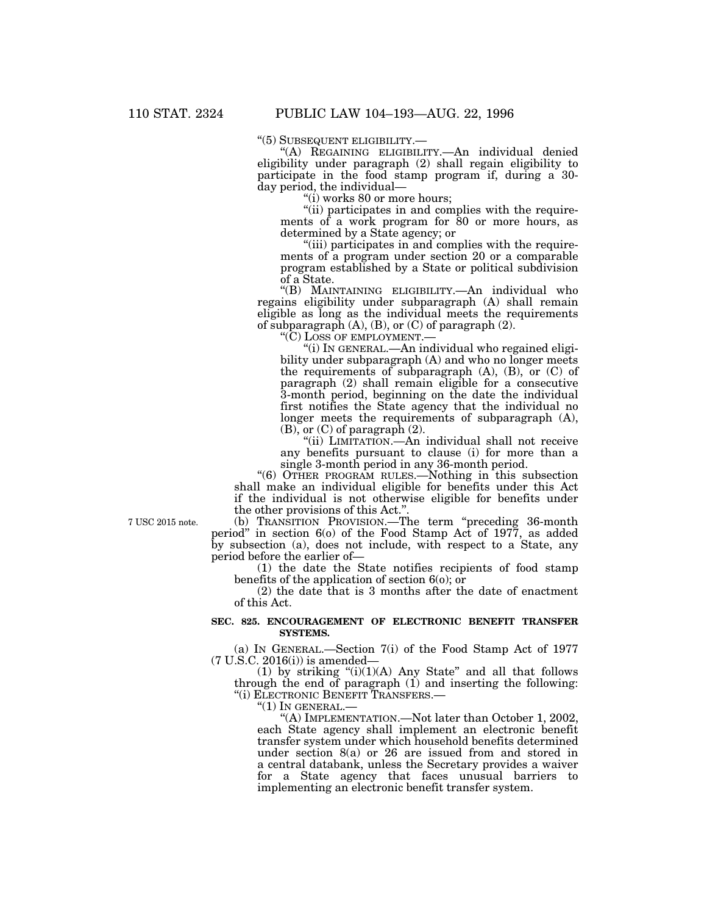''(5) SUBSEQUENT ELIGIBILITY.— ''(A) REGAINING ELIGIBILITY.—An individual denied eligibility under paragraph (2) shall regain eligibility to participate in the food stamp program if, during a 30 day period, the individual—

''(i) works 80 or more hours;

"(ii) participates in and complies with the requirements of a work program for 80 or more hours, as determined by a State agency; or

"(iii) participates in and complies with the requirements of a program under section 20 or a comparable program established by a State or political subdivision of a State.

''(B) MAINTAINING ELIGIBILITY.—An individual who regains eligibility under subparagraph (A) shall remain eligible as long as the individual meets the requirements of subparagraph  $(A)$ ,  $(B)$ , or  $(C)$  of paragraph  $(2)$ .

''(C) LOSS OF EMPLOYMENT.—

''(i) IN GENERAL.—An individual who regained eligibility under subparagraph (A) and who no longer meets the requirements of subparagraph (A), (B), or (C) of paragraph (2) shall remain eligible for a consecutive 3-month period, beginning on the date the individual first notifies the State agency that the individual no longer meets the requirements of subparagraph (A), (B), or (C) of paragraph (2).

"(ii) LIMITATION.—An individual shall not receive any benefits pursuant to clause (i) for more than a single 3-month period in any 36-month period.

''(6) OTHER PROGRAM RULES.—Nothing in this subsection shall make an individual eligible for benefits under this Act if the individual is not otherwise eligible for benefits under the other provisions of this Act.''.

7 USC 2015 note.

(b) TRANSITION PROVISION.—The term ''preceding 36-month period'' in section 6(o) of the Food Stamp Act of 1977, as added by subsection (a), does not include, with respect to a State, any period before the earlier of—

(1) the date the State notifies recipients of food stamp benefits of the application of section  $6$ (o); or

(2) the date that is 3 months after the date of enactment of this Act.

# **SEC. 825. ENCOURAGEMENT OF ELECTRONIC BENEFIT TRANSFER SYSTEMS.**

(a) IN GENERAL.—Section 7(i) of the Food Stamp Act of 1977 (7 U.S.C. 2016(i)) is amended—

(1) by striking  $\lq (i)(1)(A)$  Any State" and all that follows through the end of paragraph (1) and inserting the following: "(i) ELECTRONIC BENEFIT TRANSFERS.—

 $"(1)$  In GENERAL.

''(A) IMPLEMENTATION.—Not later than October 1, 2002, each State agency shall implement an electronic benefit transfer system under which household benefits determined under section 8(a) or 26 are issued from and stored in a central databank, unless the Secretary provides a waiver for a State agency that faces unusual barriers to implementing an electronic benefit transfer system.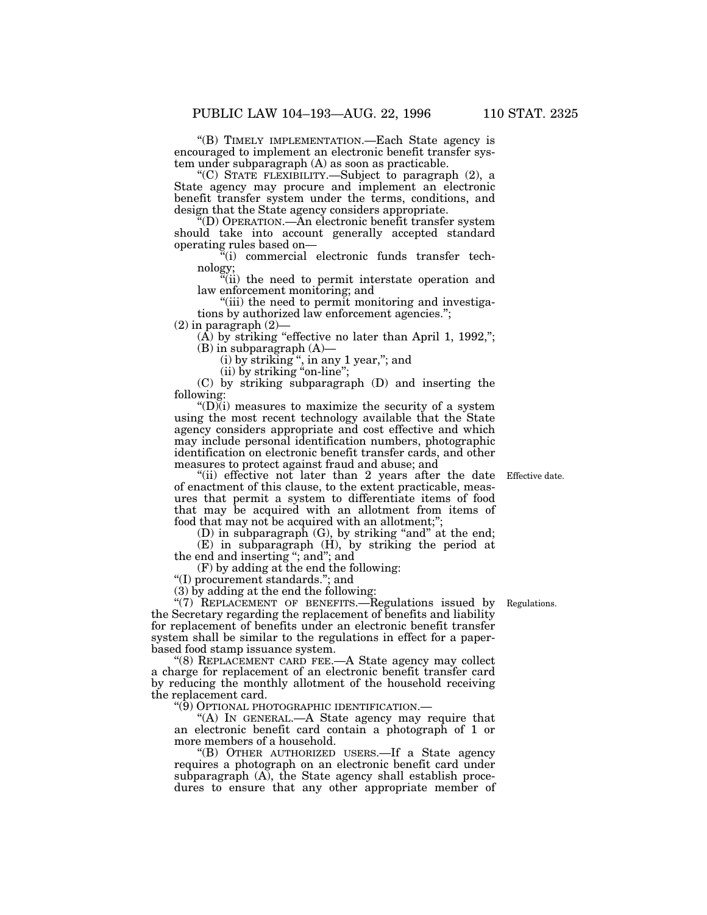''(B) TIMELY IMPLEMENTATION.—Each State agency is encouraged to implement an electronic benefit transfer system under subparagraph (A) as soon as practicable.

''(C) STATE FLEXIBILITY.—Subject to paragraph (2), a State agency may procure and implement an electronic benefit transfer system under the terms, conditions, and design that the State agency considers appropriate.

''(D) OPERATION.—An electronic benefit transfer system should take into account generally accepted standard operating rules based on—

''(i) commercial electronic funds transfer technology;

 $\ddot{f}$ (ii) the need to permit interstate operation and law enforcement monitoring; and

"(iii) the need to permit monitoring and investigations by authorized law enforcement agencies.'';

 $(2)$  in paragraph  $(2)$ 

 $(A)$  by striking "effective no later than April 1, 1992,";

(B) in subparagraph (A)—

(i) by striking '', in any 1 year,''; and

(ii) by striking "on-line";

(C) by striking subparagraph (D) and inserting the following:

" $(D)$ (i) measures to maximize the security of a system using the most recent technology available that the State agency considers appropriate and cost effective and which may include personal identification numbers, photographic identification on electronic benefit transfer cards, and other measures to protect against fraud and abuse; and

"(ii) effective not later than 2 years after the date of enactment of this clause, to the extent practicable, measures that permit a system to differentiate items of food that may be acquired with an allotment from items of food that may not be acquired with an allotment;";

 $(D)$  in subparagraph  $(G)$ , by striking "and" at the end;

(E) in subparagraph (H), by striking the period at the end and inserting "; and"; and

(F) by adding at the end the following:

''(I) procurement standards.''; and

(3) by adding at the end the following:

"(7) REPLACEMENT OF BENEFITS.—Regulations issued by Regulations. the Secretary regarding the replacement of benefits and liability for replacement of benefits under an electronic benefit transfer system shall be similar to the regulations in effect for a paperbased food stamp issuance system.

''(8) REPLACEMENT CARD FEE.—A State agency may collect a charge for replacement of an electronic benefit transfer card by reducing the monthly allotment of the household receiving the replacement card.

''(9) OPTIONAL PHOTOGRAPHIC IDENTIFICATION.—

"(A) IN GENERAL.—A State agency may require that an electronic benefit card contain a photograph of 1 or more members of a household.

''(B) OTHER AUTHORIZED USERS.—If a State agency requires a photograph on an electronic benefit card under subparagraph (A), the State agency shall establish procedures to ensure that any other appropriate member of

Effective date.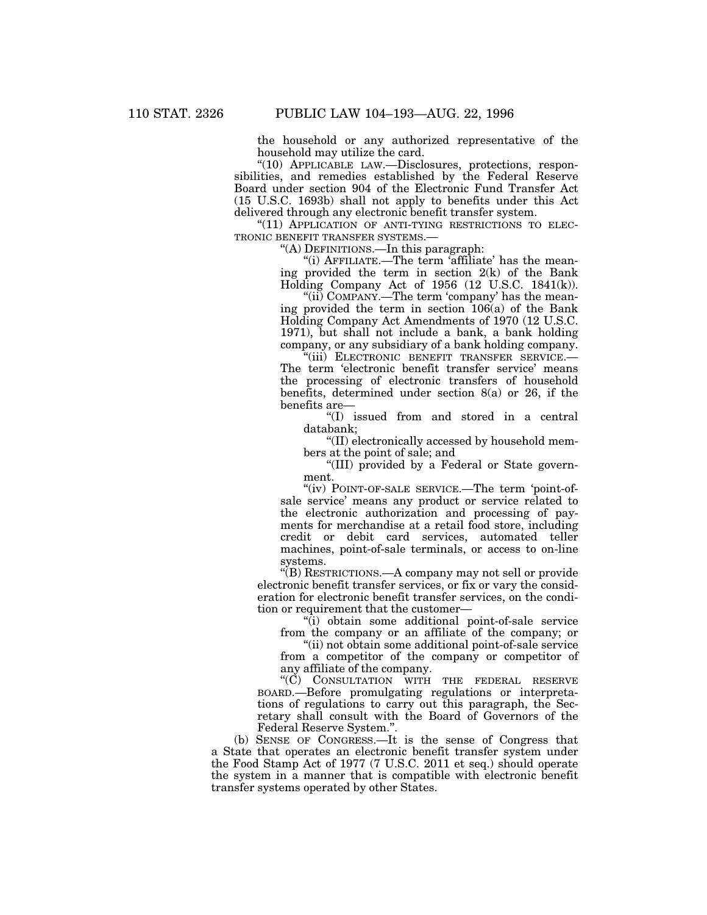the household or any authorized representative of the household may utilize the card.

"(10) APPLICABLE LAW.-Disclosures, protections, responsibilities, and remedies established by the Federal Reserve Board under section 904 of the Electronic Fund Transfer Act (15 U.S.C. 1693b) shall not apply to benefits under this Act delivered through any electronic benefit transfer system.

"(11) APPLICATION OF ANTI-TYING RESTRICTIONS TO ELEC-TRONIC BENEFIT TRANSFER SYSTEMS.—

''(A) DEFINITIONS.—In this paragraph:

"(i) AFFILIATE.—The term 'affiliate' has the meaning provided the term in section 2(k) of the Bank Holding Company Act of 1956 (12 U.S.C. 1841(k)).

"(ii) COMPANY.—The term 'company' has the meaning provided the term in section 106(a) of the Bank Holding Company Act Amendments of 1970 (12 U.S.C. 1971), but shall not include a bank, a bank holding company, or any subsidiary of a bank holding company.

''(iii) ELECTRONIC BENEFIT TRANSFER SERVICE.— The term 'electronic benefit transfer service' means the processing of electronic transfers of household benefits, determined under section 8(a) or 26, if the benefits are—

''(I) issued from and stored in a central databank;

''(II) electronically accessed by household members at the point of sale; and

''(III) provided by a Federal or State government.

"(iv) POINT-OF-SALE SERVICE.—The term 'point-ofsale service' means any product or service related to the electronic authorization and processing of payments for merchandise at a retail food store, including credit or debit card services, automated teller machines, point-of-sale terminals, or access to on-line systems.

''(B) RESTRICTIONS.—A company may not sell or provide electronic benefit transfer services, or fix or vary the consideration for electronic benefit transfer services, on the condition or requirement that the customer—

''(i) obtain some additional point-of-sale service from the company or an affiliate of the company; or

''(ii) not obtain some additional point-of-sale service from a competitor of the company or competitor of any affiliate of the company.

''(C) CONSULTATION WITH THE FEDERAL RESERVE BOARD.—Before promulgating regulations or interpretations of regulations to carry out this paragraph, the Secretary shall consult with the Board of Governors of the Federal Reserve System.''.

(b) SENSE OF CONGRESS.—It is the sense of Congress that a State that operates an electronic benefit transfer system under the Food Stamp Act of 1977 (7 U.S.C. 2011 et seq.) should operate the system in a manner that is compatible with electronic benefit transfer systems operated by other States.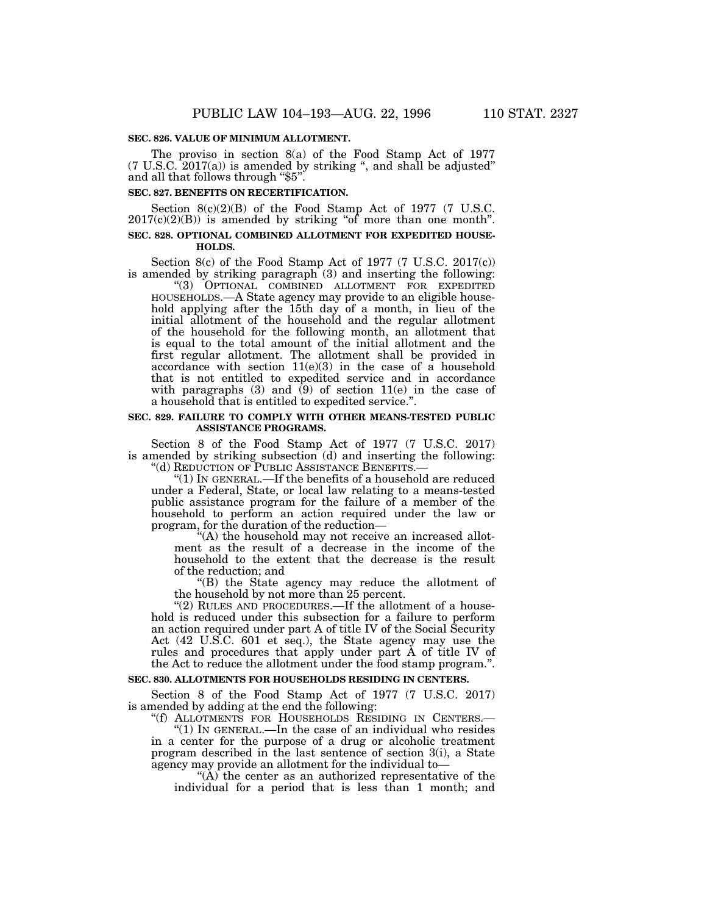#### **SEC. 826. VALUE OF MINIMUM ALLOTMENT.**

The proviso in section 8(a) of the Food Stamp Act of 1977  $(7 \text{ U.S.C. } 2017(a))$  is amended by striking ", and shall be adjusted" and all that follows through "\$5".

# **SEC. 827. BENEFITS ON RECERTIFICATION.**

Section 8(c)(2)(B) of the Food Stamp Act of 1977 (7 U.S.C.  $2017(c)(2)(B)$  is amended by striking "of more than one month".

# **SEC. 828. OPTIONAL COMBINED ALLOTMENT FOR EXPEDITED HOUSE-HOLDS.**

Section 8(c) of the Food Stamp Act of 1977 (7 U.S.C. 2017(c)) is amended by striking paragraph (3) and inserting the following:

''(3) OPTIONAL COMBINED ALLOTMENT FOR EXPEDITED HOUSEHOLDS.—A State agency may provide to an eligible household applying after the 15th day of a month, in lieu of the initial allotment of the household and the regular allotment of the household for the following month, an allotment that is equal to the total amount of the initial allotment and the first regular allotment. The allotment shall be provided in accordance with section  $11(e)(3)$  in the case of a household that is not entitled to expedited service and in accordance with paragraphs (3) and (9) of section 11(e) in the case of a household that is entitled to expedited service.''.

# **SEC. 829. FAILURE TO COMPLY WITH OTHER MEANS-TESTED PUBLIC ASSISTANCE PROGRAMS.**

Section 8 of the Food Stamp Act of 1977 (7 U.S.C. 2017) is amended by striking subsection (d) and inserting the following: "(d) REDUCTION OF PUBLIC ASSISTANCE BENEFITS.—

" $(1)$  In GENERAL.—If the benefits of a household are reduced under a Federal, State, or local law relating to a means-tested public assistance program for the failure of a member of the household to perform an action required under the law or program, for the duration of the reduction—

"(A) the household may not receive an increased allotment as the result of a decrease in the income of the household to the extent that the decrease is the result of the reduction; and

''(B) the State agency may reduce the allotment of the household by not more than 25 percent.

"(2) RULES AND PROCEDURES.—If the allotment of a household is reduced under this subsection for a failure to perform an action required under part A of title IV of the Social Security Act (42 U.S.C. 601 et seq.), the State agency may use the rules and procedures that apply under part A of title IV of the Act to reduce the allotment under the food stamp program.''.

### **SEC. 830. ALLOTMENTS FOR HOUSEHOLDS RESIDING IN CENTERS.**

Section 8 of the Food Stamp Act of 1977 (7 U.S.C. 2017) is amended by adding at the end the following:

"(f) ALLOTMENTS FOR HOUSEHOLDS RESIDING IN CENTERS.-

''(1) IN GENERAL.—In the case of an individual who resides in a center for the purpose of a drug or alcoholic treatment program described in the last sentence of section 3(i), a State agency may provide an allotment for the individual to—

" $(A)$  the center as an authorized representative of the individual for a period that is less than 1 month; and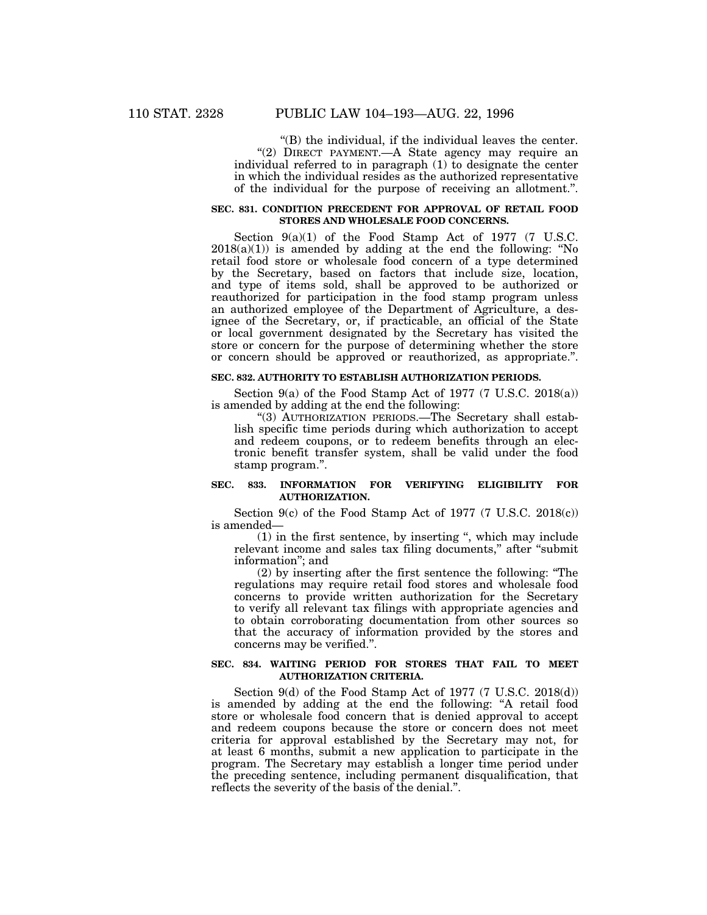''(B) the individual, if the individual leaves the center. "(2) DIRECT PAYMENT.—A State agency may require an individual referred to in paragraph (1) to designate the center in which the individual resides as the authorized representative of the individual for the purpose of receiving an allotment.''.

# **SEC. 831. CONDITION PRECEDENT FOR APPROVAL OF RETAIL FOOD STORES AND WHOLESALE FOOD CONCERNS.**

Section  $9(a)(1)$  of the Food Stamp Act of 1977 (7 U.S.C.  $2018(a)(1)$  is amended by adding at the end the following: "No retail food store or wholesale food concern of a type determined by the Secretary, based on factors that include size, location, and type of items sold, shall be approved to be authorized or reauthorized for participation in the food stamp program unless an authorized employee of the Department of Agriculture, a designee of the Secretary, or, if practicable, an official of the State or local government designated by the Secretary has visited the store or concern for the purpose of determining whether the store or concern should be approved or reauthorized, as appropriate.''.

#### **SEC. 832. AUTHORITY TO ESTABLISH AUTHORIZATION PERIODS.**

Section 9(a) of the Food Stamp Act of 1977 (7 U.S.C. 2018(a)) is amended by adding at the end the following:

''(3) AUTHORIZATION PERIODS.—The Secretary shall establish specific time periods during which authorization to accept and redeem coupons, or to redeem benefits through an electronic benefit transfer system, shall be valid under the food stamp program.''.

# **SEC. 833. INFORMATION FOR VERIFYING ELIGIBILITY FOR AUTHORIZATION.**

Section 9(c) of the Food Stamp Act of 1977 (7 U.S.C. 2018(c)) is amended—

(1) in the first sentence, by inserting '', which may include relevant income and sales tax filing documents," after "submit" information''; and

(2) by inserting after the first sentence the following: ''The regulations may require retail food stores and wholesale food concerns to provide written authorization for the Secretary to verify all relevant tax filings with appropriate agencies and to obtain corroborating documentation from other sources so that the accuracy of information provided by the stores and concerns may be verified.''.

#### **SEC. 834. WAITING PERIOD FOR STORES THAT FAIL TO MEET AUTHORIZATION CRITERIA.**

Section 9(d) of the Food Stamp Act of 1977 (7 U.S.C. 2018(d)) is amended by adding at the end the following: ''A retail food store or wholesale food concern that is denied approval to accept and redeem coupons because the store or concern does not meet criteria for approval established by the Secretary may not, for at least 6 months, submit a new application to participate in the program. The Secretary may establish a longer time period under the preceding sentence, including permanent disqualification, that reflects the severity of the basis of the denial.''.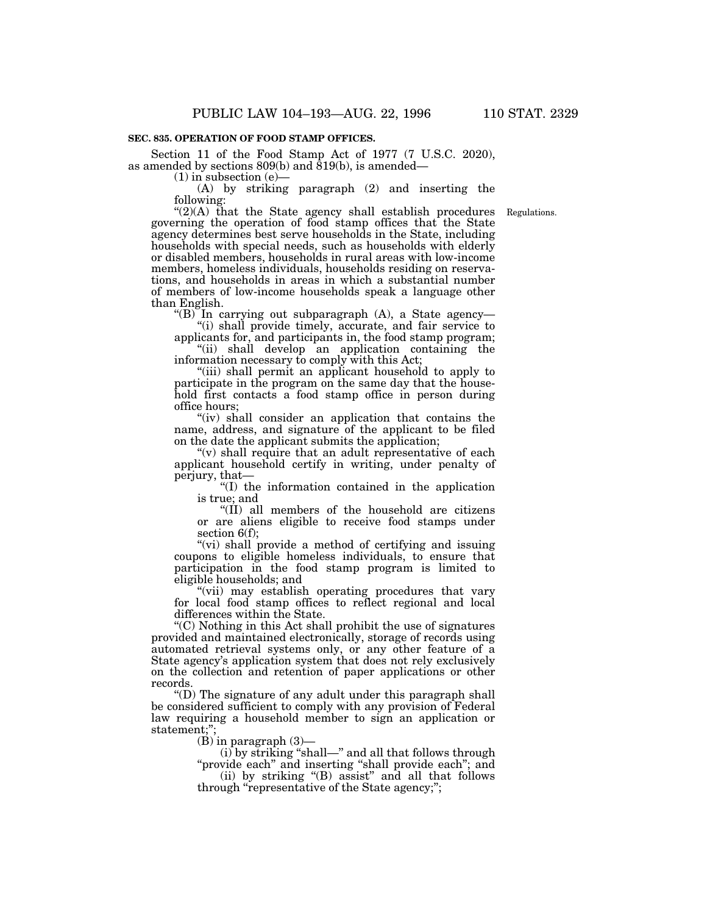## **SEC. 835. OPERATION OF FOOD STAMP OFFICES.**

Section 11 of the Food Stamp Act of 1977 (7 U.S.C. 2020), as amended by sections  $809(b)$  and  $\overline{819(b)}$ , is amended—

 $(1)$  in subsection  $(e)$ —

(A) by striking paragraph (2) and inserting the following:

Regulations.

" $(2)(A)$  that the State agency shall establish procedures governing the operation of food stamp offices that the State agency determines best serve households in the State, including households with special needs, such as households with elderly or disabled members, households in rural areas with low-income members, homeless individuals, households residing on reservations, and households in areas in which a substantial number of members of low-income households speak a language other than English.

"(B) In carrying out subparagraph  $(A)$ , a State agency-

''(i) shall provide timely, accurate, and fair service to applicants for, and participants in, the food stamp program; ''(ii) shall develop an application containing the

information necessary to comply with this Act; ''(iii) shall permit an applicant household to apply to

participate in the program on the same day that the household first contacts a food stamp office in person during office hours;

"(iv) shall consider an application that contains the name, address, and signature of the applicant to be filed on the date the applicant submits the application;

" $(v)$  shall require that an adult representative of each applicant household certify in writing, under penalty of perjury, that—

''(I) the information contained in the application is true; and

''(II) all members of the household are citizens or are aliens eligible to receive food stamps under section  $6(f)$ ;

"(vi) shall provide a method of certifying and issuing coupons to eligible homeless individuals, to ensure that participation in the food stamp program is limited to eligible households; and

"(vii) may establish operating procedures that vary for local food stamp offices to reflect regional and local differences within the State.

''(C) Nothing in this Act shall prohibit the use of signatures provided and maintained electronically, storage of records using automated retrieval systems only, or any other feature of a State agency's application system that does not rely exclusively on the collection and retention of paper applications or other records.

''(D) The signature of any adult under this paragraph shall be considered sufficient to comply with any provision of Federal law requiring a household member to sign an application or statement;'';

 $(\dot{B})$  in paragraph  $(3)$ —

(i) by striking ''shall—'' and all that follows through "provide each" and inserting "shall provide each"; and (ii) by striking "(B) assist" and all that follows through "representative of the State agency;";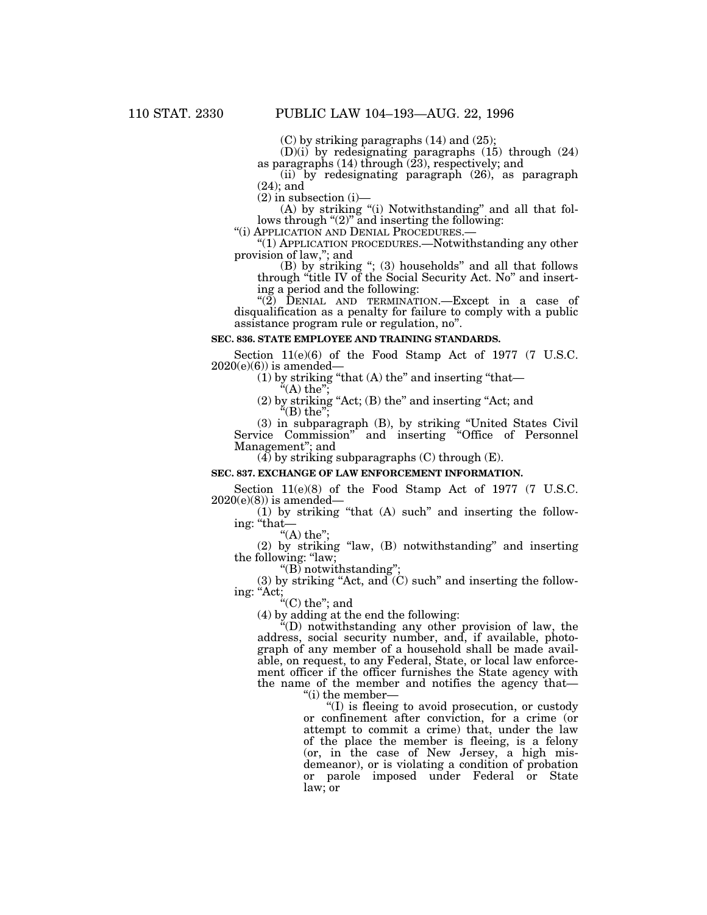(C) by striking paragraphs (14) and (25);

(D)(i) by redesignating paragraphs (15) through (24) as paragraphs (14) through (23), respectively; and

(ii) by redesignating paragraph (26), as paragraph (24); and

 $(2)$  in subsection  $(i)$ —

(A) by striking "(i) Notwithstanding" and all that follows through "(2)" and inserting the following:<br>"(i) APPLICATION AND DENIAL PROCEDURES.—

"(1) APPLICATION PROCEDURES.—Notwithstanding any other provision of law,''; and

(B) by striking ''; (3) households'' and all that follows through ''title IV of the Social Security Act. No'' and inserting a period and the following:

" $(2)$  DENIAL AND TERMINATION.—Except in a case of disqualification as a penalty for failure to comply with a public assistance program rule or regulation, no''.

## **SEC. 836. STATE EMPLOYEE AND TRAINING STANDARDS.**

Section 11(e)(6) of the Food Stamp Act of 1977 (7 U.S.C.  $2020(e)(6)$ ) is amended–

 $(1)$  by striking "that  $(A)$  the" and inserting "that—

"(A) the"; (2) by striking "Act; (B) the" and inserting "Act; and "(B) the";

(3) in subparagraph (B), by striking ''United States Civil Service Commission'' and inserting ''Office of Personnel Management''; and

(4) by striking subparagraphs (C) through (E).

#### **SEC. 837. EXCHANGE OF LAW ENFORCEMENT INFORMATION.**

Section 11(e)(8) of the Food Stamp Act of 1977 (7 U.S.C.  $2020(e)(8)$ ) is amended—

 $(1)$  by striking "that  $(A)$  such" and inserting the following: ''that—

"(A) the";

(2) by striking ''law, (B) notwithstanding'' and inserting the following: "law;

''(B) notwithstanding'';

(3) by striking "Act, and  $(C)$  such" and inserting the following: "Act;

"(C) the"; and

(4) by adding at the end the following:

''(D) notwithstanding any other provision of law, the address, social security number, and, if available, photograph of any member of a household shall be made available, on request, to any Federal, State, or local law enforcement officer if the officer furnishes the State agency with the name of the member and notifies the agency that—

''(i) the member—

''(I) is fleeing to avoid prosecution, or custody or confinement after conviction, for a crime (or attempt to commit a crime) that, under the law of the place the member is fleeing, is a felony (or, in the case of New Jersey, a high misdemeanor), or is violating a condition of probation or parole imposed under Federal or State law; or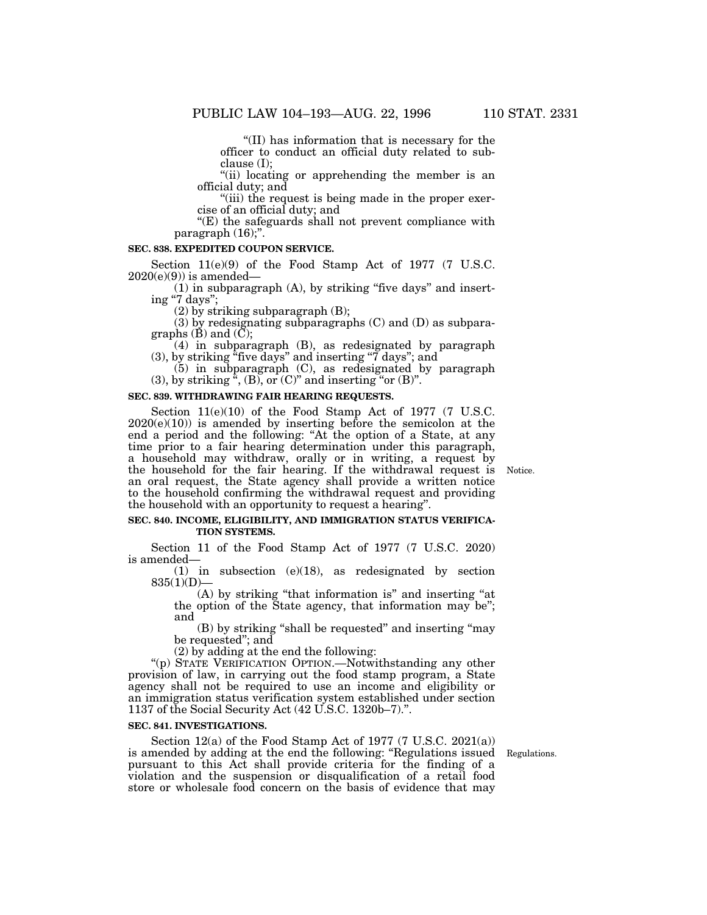''(II) has information that is necessary for the officer to conduct an official duty related to subclause (I);

"(ii) locating or apprehending the member is an official duty; and

''(iii) the request is being made in the proper exercise of an official duty; and

''(E) the safeguards shall not prevent compliance with paragraph (16);''.

#### **SEC. 838. EXPEDITED COUPON SERVICE.**

Section  $11(e)(9)$  of the Food Stamp Act of 1977 (7 U.S.C.  $2020(e)(9)$ ) is amended—

 $(1)$  in subparagraph  $(A)$ , by striking "five days" and inserting "7 days";

(2) by striking subparagraph (B);

(3) by redesignating subparagraphs (C) and (D) as subparagraphs  $(B)$  and  $(C)$ ;

(4) in subparagraph (B), as redesignated by paragraph (3), by striking ''five days'' and inserting ''7 days''; and

(5) in subparagraph (C), as redesignated by paragraph (3), by striking  $\alpha$ , (B), or (C)" and inserting "or (B)".

## **SEC. 839. WITHDRAWING FAIR HEARING REQUESTS.**

Section 11(e)(10) of the Food Stamp Act of 1977 (7 U.S.C.  $2020(e)(10)$  is amended by inserting before the semicolon at the end a period and the following: "At the option of a State, at any time prior to a fair hearing determination under this paragraph, a household may withdraw, orally or in writing, a request by the household for the fair hearing. If the withdrawal request is an oral request, the State agency shall provide a written notice to the household confirming the withdrawal request and providing the household with an opportunity to request a hearing''.

#### **SEC. 840. INCOME, ELIGIBILITY, AND IMMIGRATION STATUS VERIFICA-TION SYSTEMS.**

Section 11 of the Food Stamp Act of 1977 (7 U.S.C. 2020) is amended—

(1) in subsection (e)(18), as redesignated by section  $835(1)(D)$ 

(A) by striking ''that information is'' and inserting ''at the option of the State agency, that information may be''; and

(B) by striking ''shall be requested'' and inserting ''may be requested''; and

(2) by adding at the end the following:

''(p) STATE VERIFICATION OPTION.—Notwithstanding any other provision of law, in carrying out the food stamp program, a State agency shall not be required to use an income and eligibility or an immigration status verification system established under section 1137 of the Social Security Act (42 U.S.C. 1320b–7).''.

#### **SEC. 841. INVESTIGATIONS.**

Section 12(a) of the Food Stamp Act of 1977 (7 U.S.C. 2021(a)) is amended by adding at the end the following: ''Regulations issued Regulations. pursuant to this Act shall provide criteria for the finding of a violation and the suspension or disqualification of a retail food store or wholesale food concern on the basis of evidence that may

Notice.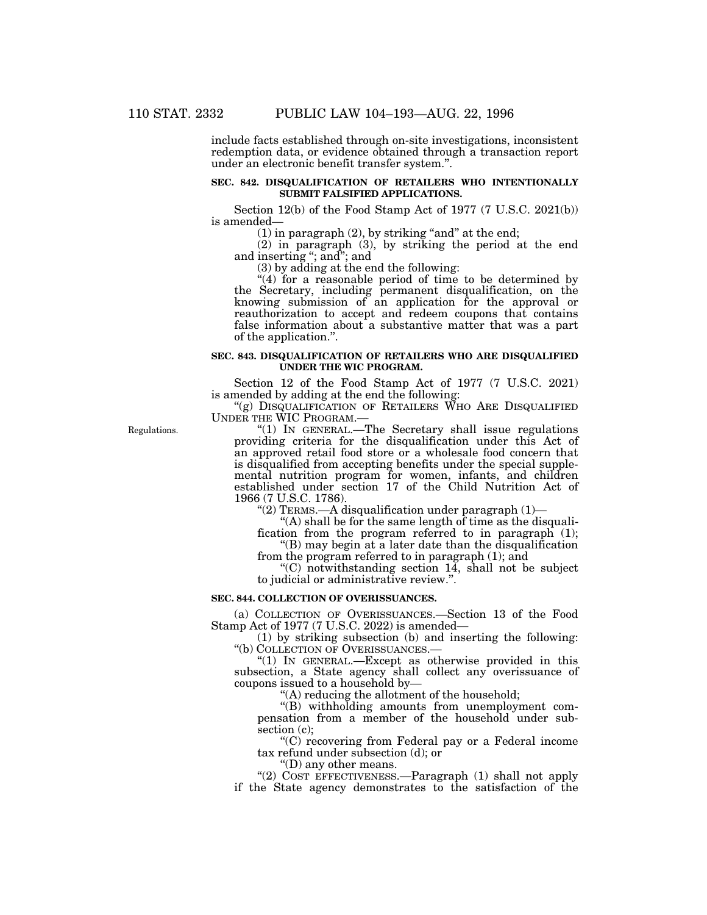include facts established through on-site investigations, inconsistent redemption data, or evidence obtained through a transaction report under an electronic benefit transfer system.''.

# **SEC. 842. DISQUALIFICATION OF RETAILERS WHO INTENTIONALLY SUBMIT FALSIFIED APPLICATIONS.**

Section 12(b) of the Food Stamp Act of 1977 (7 U.S.C. 2021(b)) is amended—

 $(1)$  in paragraph  $(2)$ , by striking "and" at the end;

(2) in paragraph (3), by striking the period at the end and inserting ''; and''; and

(3) by adding at the end the following:

 $*(4)$  for a reasonable period of time to be determined by the Secretary, including permanent disqualification, on the knowing submission of an application for the approval or reauthorization to accept and redeem coupons that contains false information about a substantive matter that was a part of the application.''.

# **SEC. 843. DISQUALIFICATION OF RETAILERS WHO ARE DISQUALIFIED UNDER THE WIC PROGRAM.**

Section 12 of the Food Stamp Act of 1977 (7 U.S.C. 2021) is amended by adding at the end the following:

"(g) DISQUALIFICATION OF RETAILERS WHO ARE DISQUALIFIED UNDER THE WIC PROGRAM.—

Regulations.

''(1) IN GENERAL.—The Secretary shall issue regulations providing criteria for the disqualification under this Act of an approved retail food store or a wholesale food concern that is disqualified from accepting benefits under the special supplemental nutrition program for women, infants, and children established under section 17 of the Child Nutrition Act of 1966 (7 U.S.C. 1786).

"(2) TERMS.—A disqualification under paragraph  $(1)$ -

 $(A)$  shall be for the same length of time as the disqualification from the program referred to in paragraph (1);

''(B) may begin at a later date than the disqualification from the program referred to in paragraph (1); and

''(C) notwithstanding section 14, shall not be subject to judicial or administrative review.''.

# **SEC. 844. COLLECTION OF OVERISSUANCES.**

(a) COLLECTION OF OVERISSUANCES.—Section 13 of the Food Stamp Act of 1977 (7 U.S.C. 2022) is amended—

(1) by striking subsection (b) and inserting the following: ''(b) COLLECTION OF OVERISSUANCES.—

"(1) In GENERAL.—Except as otherwise provided in this subsection, a State agency shall collect any overissuance of coupons issued to a household by—

''(A) reducing the allotment of the household;

''(B) withholding amounts from unemployment compensation from a member of the household under subsection (c);

''(C) recovering from Federal pay or a Federal income tax refund under subsection (d); or

''(D) any other means.

"(2) COST EFFECTIVENESS.—Paragraph (1) shall not apply if the State agency demonstrates to the satisfaction of the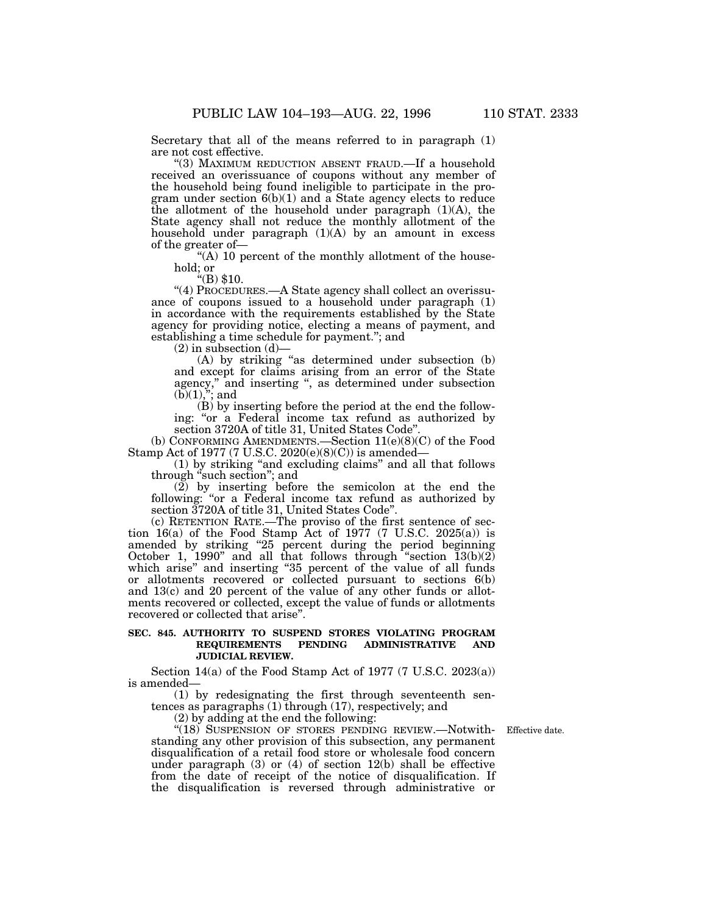Secretary that all of the means referred to in paragraph (1) are not cost effective.

''(3) MAXIMUM REDUCTION ABSENT FRAUD.—If a household received an overissuance of coupons without any member of the household being found ineligible to participate in the program under section 6(b)(1) and a State agency elects to reduce the allotment of the household under paragraph  $(1)(A)$ , the State agency shall not reduce the monthly allotment of the household under paragraph  $(1)(A)$  by an amount in excess of the greater of—

"(A) 10 percent of the monthly allotment of the household; or

 $^{4}(B)$  \$10.

''(4) PROCEDURES.—A State agency shall collect an overissuance of coupons issued to a household under paragraph (1) in accordance with the requirements established by the State agency for providing notice, electing a means of payment, and establishing a time schedule for payment.''; and

 $(2)$  in subsection  $(d)$ —

(A) by striking ''as determined under subsection (b) and except for claims arising from an error of the State agency,'' and inserting '', as determined under subsection  $(b)(1),$ "; and

(B) by inserting before the period at the end the following: "or a Federal income tax refund as authorized by section 3720A of title 31, United States Code".

(b) CONFORMING AMENDMENTS.—Section  $11(e)(8)(C)$  of the Food Stamp Act of 1977 (7 U.S.C. 2020(e)(8)(C)) is amended–

(1) by striking ''and excluding claims'' and all that follows through ''such section''; and

(2) by inserting before the semicolon at the end the following: "or a Federal income tax refund as authorized by section 3720A of title 31, United States Code''.

(c) RETENTION RATE.—The proviso of the first sentence of section 16(a) of the Food Stamp Act of 1977 (7 U.S.C. 2025(a)) is amended by striking "25 percent during the period beginning October 1, 1990" and all that follows through "section  $\tilde{1}3(b)(2)$ which arise'' and inserting ''35 percent of the value of all funds or allotments recovered or collected pursuant to sections 6(b) and 13(c) and 20 percent of the value of any other funds or allotments recovered or collected, except the value of funds or allotments recovered or collected that arise''.

#### **SEC. 845. AUTHORITY TO SUSPEND STORES VIOLATING PROGRAM REQUIREMENTS PENDING ADMINISTRATIVE AND JUDICIAL REVIEW.**

Section 14(a) of the Food Stamp Act of 1977 (7 U.S.C. 2023(a)) is amended—

(1) by redesignating the first through seventeenth sentences as paragraphs (1) through (17), respectively; and

(2) by adding at the end the following:

Effective date.

"(18) SUSPENSION OF STORES PENDING REVIEW.—Notwithstanding any other provision of this subsection, any permanent disqualification of a retail food store or wholesale food concern under paragraph  $(3)$  or  $(4)$  of section 12(b) shall be effective from the date of receipt of the notice of disqualification. If the disqualification is reversed through administrative or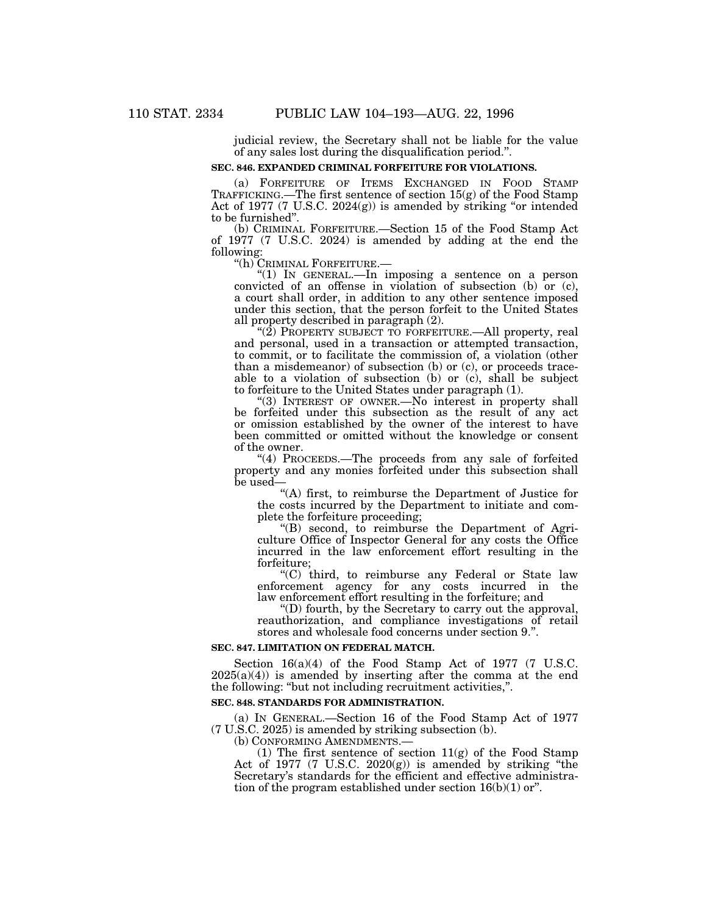judicial review, the Secretary shall not be liable for the value of any sales lost during the disqualification period.''.

# **SEC. 846. EXPANDED CRIMINAL FORFEITURE FOR VIOLATIONS.**

(a) FORFEITURE OF ITEMS EXCHANGED IN FOOD STAMP TRAFFICKING.—The first sentence of section 15(g) of the Food Stamp Act of 1977 (7 U.S.C. 2024(g)) is amended by striking "or intended to be furnished''.

(b) CRIMINAL FORFEITURE.—Section 15 of the Food Stamp Act of 1977 (7 U.S.C. 2024) is amended by adding at the end the following:<br>"(h) CRIMINAL FORFEITURE.—

" $(1)$  In GENERAL.—In imposing a sentence on a person convicted of an offense in violation of subsection (b) or (c), a court shall order, in addition to any other sentence imposed under this section, that the person forfeit to the United States all property described in paragraph (2).

" $(2)$  PROPERTY SUBJECT TO FORFEITURE.—All property, real and personal, used in a transaction or attempted transaction, to commit, or to facilitate the commission of, a violation (other than a misdemeanor) of subsection (b) or (c), or proceeds traceable to a violation of subsection (b) or (c), shall be subject to forfeiture to the United States under paragraph (1).

"(3) INTEREST OF OWNER.—No interest in property shall be forfeited under this subsection as the result of any act or omission established by the owner of the interest to have been committed or omitted without the knowledge or consent of the owner.

"(4) PROCEEDS.—The proceeds from any sale of forfeited property and any monies forfeited under this subsection shall be used—

"(A) first, to reimburse the Department of Justice for the costs incurred by the Department to initiate and complete the forfeiture proceeding;

''(B) second, to reimburse the Department of Agriculture Office of Inspector General for any costs the Office incurred in the law enforcement effort resulting in the forfeiture;

''(C) third, to reimburse any Federal or State law enforcement agency for any costs incurred in the law enforcement effort resulting in the forfeiture; and

''(D) fourth, by the Secretary to carry out the approval, reauthorization, and compliance investigations of retail stores and wholesale food concerns under section 9.''.

#### **SEC. 847. LIMITATION ON FEDERAL MATCH.**

Section 16(a)(4) of the Food Stamp Act of 1977 (7 U.S.C.  $2025(a)(4)$  is amended by inserting after the comma at the end the following: ''but not including recruitment activities,''.

# **SEC. 848. STANDARDS FOR ADMINISTRATION.**

(a) IN GENERAL.—Section 16 of the Food Stamp Act of 1977 (7 U.S.C. 2025) is amended by striking subsection (b).

(b) CONFORMING AMENDMENTS.—

(1) The first sentence of section  $11(g)$  of the Food Stamp Act of 1977 (7 U.S.C. 2020 $(g)$ ) is amended by striking "the Secretary's standards for the efficient and effective administration of the program established under section 16(b)(1) or''.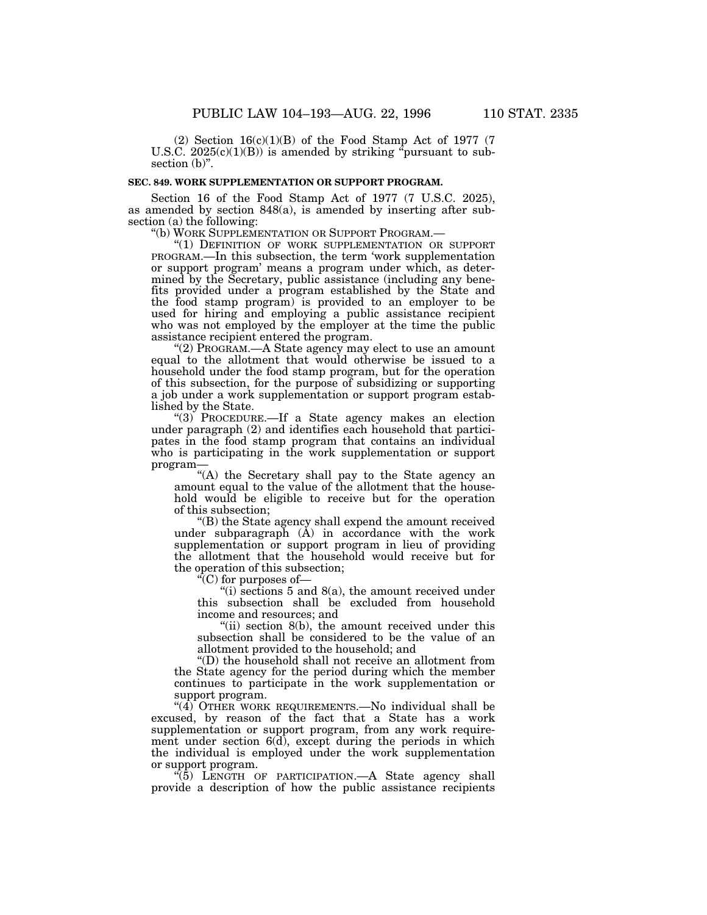(2) Section 16(c)(1)(B) of the Food Stamp Act of 1977 (7 U.S.C.  $2025(c)(1)(B)$ ) is amended by striking "pursuant to subsection (b)".

#### **SEC. 849. WORK SUPPLEMENTATION OR SUPPORT PROGRAM.**

Section 16 of the Food Stamp Act of 1977 (7 U.S.C. 2025), as amended by section 848(a), is amended by inserting after subsection (a) the following:

''(b) WORK SUPPLEMENTATION OR SUPPORT PROGRAM.—

"(1) DEFINITION OF WORK SUPPLEMENTATION OR SUPPORT PROGRAM.—In this subsection, the term 'work supplementation or support program' means a program under which, as determined by the Secretary, public assistance (including any benefits provided under a program established by the State and the food stamp program) is provided to an employer to be used for hiring and employing a public assistance recipient who was not employed by the employer at the time the public assistance recipient entered the program.

"(2) PROGRAM.—A State agency may elect to use an amount equal to the allotment that would otherwise be issued to a household under the food stamp program, but for the operation of this subsection, for the purpose of subsidizing or supporting a job under a work supplementation or support program established by the State.

''(3) PROCEDURE.—If a State agency makes an election under paragraph (2) and identifies each household that participates in the food stamp program that contains an individual who is participating in the work supplementation or support program—

''(A) the Secretary shall pay to the State agency an amount equal to the value of the allotment that the household would be eligible to receive but for the operation of this subsection;

''(B) the State agency shall expend the amount received under subparagraph (A) in accordance with the work supplementation or support program in lieu of providing the allotment that the household would receive but for the operation of this subsection;

 $\tilde{C}(C)$  for purposes of—

"(i) sections  $5$  and  $8(a)$ , the amount received under this subsection shall be excluded from household income and resources; and

"(ii) section 8(b), the amount received under this subsection shall be considered to be the value of an allotment provided to the household; and

''(D) the household shall not receive an allotment from the State agency for the period during which the member continues to participate in the work supplementation or support program.

''(4) OTHER WORK REQUIREMENTS.—No individual shall be excused, by reason of the fact that a State has a work supplementation or support program, from any work requirement under section 6(d), except during the periods in which the individual is employed under the work supplementation or support program.

 $(5)$  LENGTH OF PARTICIPATION.—A State agency shall provide a description of how the public assistance recipients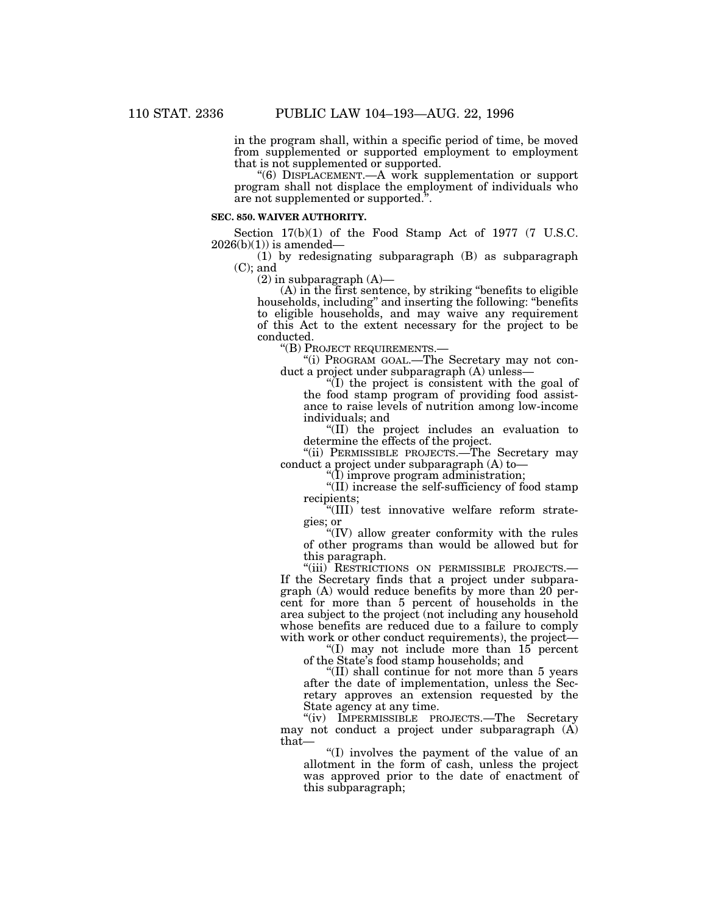in the program shall, within a specific period of time, be moved from supplemented or supported employment to employment that is not supplemented or supported.

''(6) DISPLACEMENT.—A work supplementation or support program shall not displace the employment of individuals who are not supplemented or supported.''.

# **SEC. 850. WAIVER AUTHORITY.**

Section 17(b)(1) of the Food Stamp Act of 1977 (7 U.S.C.  $2026(b)(1)$  is amended-

(1) by redesignating subparagraph (B) as subparagraph (C); and

 $(2)$  in subparagraph  $(A)$ —

(A) in the first sentence, by striking ''benefits to eligible households, including'' and inserting the following: ''benefits to eligible households, and may waive any requirement of this Act to the extent necessary for the project to be conducted.

''(B) PROJECT REQUIREMENTS.—

''(i) PROGRAM GOAL.—The Secretary may not conduct a project under subparagraph (A) unless—

''(I) the project is consistent with the goal of the food stamp program of providing food assistance to raise levels of nutrition among low-income individuals; and

''(II) the project includes an evaluation to determine the effects of the project.

''(ii) PERMISSIBLE PROJECTS.—The Secretary may conduct a project under subparagraph (A) to—

''(I) improve program administration;

''(II) increase the self-sufficiency of food stamp recipients;

''(III) test innovative welfare reform strategies; or

''(IV) allow greater conformity with the rules of other programs than would be allowed but for this paragraph.

"(iii) RESTRICTIONS ON PERMISSIBLE PROJECTS.-If the Secretary finds that a project under subparagraph (A) would reduce benefits by more than 20 percent for more than 5 percent of households in the area subject to the project (not including any household whose benefits are reduced due to a failure to comply with work or other conduct requirements), the project—

''(I) may not include more than 15 percent of the State's food stamp households; and

''(II) shall continue for not more than 5 years after the date of implementation, unless the Secretary approves an extension requested by the State agency at any time.

"(iv) IMPERMISSIBLE PROJECTS.—The Secretary may not conduct a project under subparagraph (A) that—

''(I) involves the payment of the value of an allotment in the form of cash, unless the project was approved prior to the date of enactment of this subparagraph;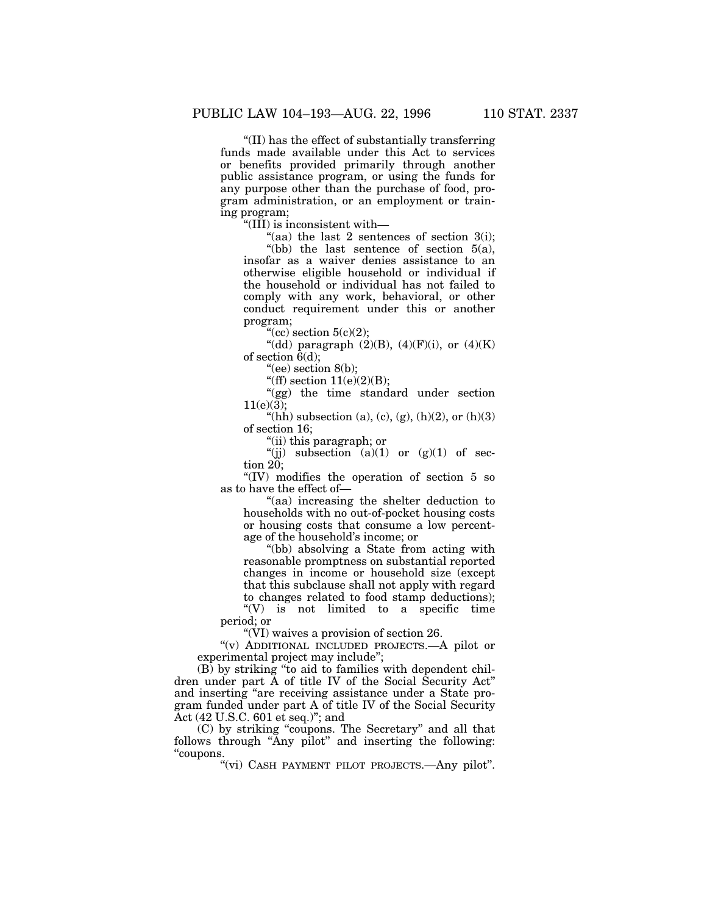''(II) has the effect of substantially transferring funds made available under this Act to services or benefits provided primarily through another public assistance program, or using the funds for any purpose other than the purchase of food, program administration, or an employment or training program;

''(III) is inconsistent with—

 $'(aa)$  the last 2 sentences of section  $3(i)$ ;

"(bb) the last sentence of section  $5(a)$ , insofar as a waiver denies assistance to an otherwise eligible household or individual if the household or individual has not failed to comply with any work, behavioral, or other conduct requirement under this or another program;

"(cc) section  $5(c)(2)$ ;

"(dd) paragraph  $(2)(B)$ ,  $(4)(F)(i)$ , or  $(4)(K)$ of section  $\bar{6}$ (d);

"(ee) section  $8(b)$ ;

"(ff) section 11(e)(2)(B);

''(gg) the time standard under section  $11(e)(3);$ 

"(hh) subsection (a), (c), (g), (h)(2), or (h)(3) of section 16;

''(ii) this paragraph; or

"(jj) subsection  $(a)(1)$  or  $(g)(1)$  of section  $20$ ;

''(IV) modifies the operation of section 5 so as to have the effect of—

"(aa) increasing the shelter deduction to households with no out-of-pocket housing costs or housing costs that consume a low percentage of the household's income; or

''(bb) absolving a State from acting with reasonable promptness on substantial reported changes in income or household size (except that this subclause shall not apply with regard to changes related to food stamp deductions); " $(V)$  is not limited to a specific time

period; or ''(VI) waives a provision of section 26.

''(v) ADDITIONAL INCLUDED PROJECTS.—A pilot or experimental project may include'';

(B) by striking ''to aid to families with dependent children under part A of title IV of the Social Security Act'' and inserting "are receiving assistance under a State program funded under part A of title IV of the Social Security Act (42 U.S.C. 601 et seq.)''; and

(C) by striking ''coupons. The Secretary'' and all that follows through "Any pilot" and inserting the following: ''coupons.

''(vi) CASH PAYMENT PILOT PROJECTS.—Any pilot''.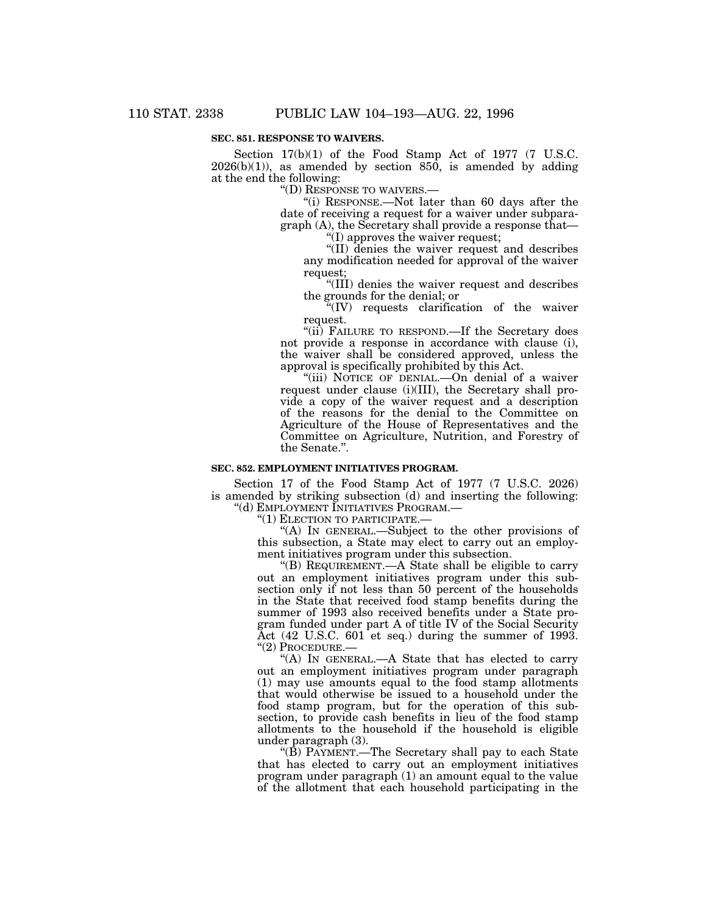# **SEC. 851. RESPONSE TO WAIVERS.**

Section 17(b)(1) of the Food Stamp Act of 1977 (7 U.S.C.  $2026(b)(1)$ , as amended by section 850, is amended by adding at the end the following:

''(D) RESPONSE TO WAIVERS.—

''(i) RESPONSE.—Not later than 60 days after the date of receiving a request for a waiver under subparagraph (A), the Secretary shall provide a response that  $f(I)$  approves the waiver request;

''(II) denies the waiver request and describes any modification needed for approval of the waiver request;

''(III) denies the waiver request and describes the grounds for the denial; or

"(IV) requests clarification of the waiver request.

''(ii) FAILURE TO RESPOND.—If the Secretary does not provide a response in accordance with clause (i), the waiver shall be considered approved, unless the approval is specifically prohibited by this Act.

''(iii) NOTICE OF DENIAL.—On denial of a waiver request under clause (i)(III), the Secretary shall provide a copy of the waiver request and a description of the reasons for the denial to the Committee on Agriculture of the House of Representatives and the Committee on Agriculture, Nutrition, and Forestry of the Senate.''.

# **SEC. 852. EMPLOYMENT INITIATIVES PROGRAM.**

Section 17 of the Food Stamp Act of 1977 (7 U.S.C. 2026) is amended by striking subsection (d) and inserting the following: ''(d) EMPLOYMENT INITIATIVES PROGRAM.—

''(1) ELECTION TO PARTICIPATE.—

''(A) IN GENERAL.—Subject to the other provisions of this subsection, a State may elect to carry out an employment initiatives program under this subsection.

''(B) REQUIREMENT.—A State shall be eligible to carry out an employment initiatives program under this subsection only if not less than 50 percent of the households in the State that received food stamp benefits during the summer of 1993 also received benefits under a State program funded under part A of title IV of the Social Security Act (42 U.S.C. 601 et seq.) during the summer of 1993. ''(2) PROCEDURE.—

''(A) IN GENERAL.—A State that has elected to carry out an employment initiatives program under paragraph (1) may use amounts equal to the food stamp allotments that would otherwise be issued to a household under the food stamp program, but for the operation of this subsection, to provide cash benefits in lieu of the food stamp allotments to the household if the household is eligible under paragraph (3).

" $(B)$  PAYMENT.—The Secretary shall pay to each State that has elected to carry out an employment initiatives program under paragraph (1) an amount equal to the value of the allotment that each household participating in the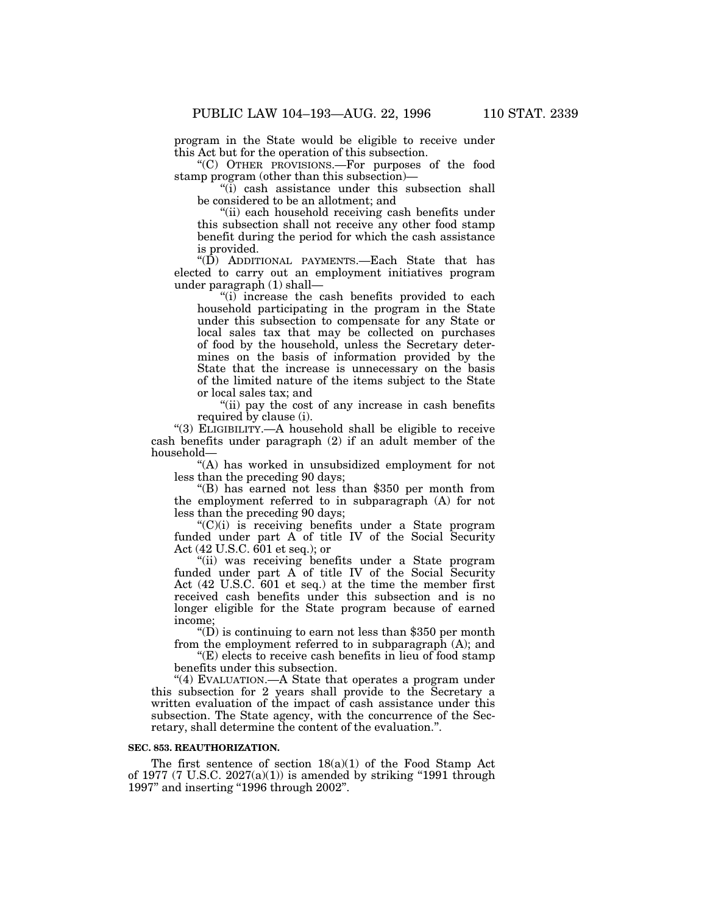program in the State would be eligible to receive under this Act but for the operation of this subsection.

''(C) OTHER PROVISIONS.—For purposes of the food stamp program (other than this subsection)—

''(i) cash assistance under this subsection shall be considered to be an allotment; and

''(ii) each household receiving cash benefits under this subsection shall not receive any other food stamp benefit during the period for which the cash assistance is provided.

" $(D)$  ADDITIONAL PAYMENTS.—Each State that has elected to carry out an employment initiatives program under paragraph (1) shall—

''(i) increase the cash benefits provided to each household participating in the program in the State under this subsection to compensate for any State or local sales tax that may be collected on purchases of food by the household, unless the Secretary determines on the basis of information provided by the State that the increase is unnecessary on the basis of the limited nature of the items subject to the State or local sales tax; and

''(ii) pay the cost of any increase in cash benefits required by clause (i).

''(3) ELIGIBILITY.—A household shall be eligible to receive cash benefits under paragraph (2) if an adult member of the household—

''(A) has worked in unsubsidized employment for not less than the preceding 90 days;

''(B) has earned not less than \$350 per month from the employment referred to in subparagraph (A) for not less than the preceding 90 days;

''(C)(i) is receiving benefits under a State program funded under part A of title IV of the Social Security Act (42 U.S.C. 601 et seq.); or

''(ii) was receiving benefits under a State program funded under part A of title IV of the Social Security Act (42 U.S.C. 601 et seq.) at the time the member first received cash benefits under this subsection and is no longer eligible for the State program because of earned income;

 $\degree$ (D) is continuing to earn not less than \$350 per month from the employment referred to in subparagraph (A); and

''(E) elects to receive cash benefits in lieu of food stamp benefits under this subsection.

"(4) EVALUATION.—A State that operates a program under this subsection for 2 years shall provide to the Secretary a written evaluation of the impact of cash assistance under this subsection. The State agency, with the concurrence of the Secretary, shall determine the content of the evaluation.''.

# **SEC. 853. REAUTHORIZATION.**

The first sentence of section  $18(a)(1)$  of the Food Stamp Act of 1977 (7 U.S.C. 2027(a)(1)) is amended by striking "1991 through 1997'' and inserting ''1996 through 2002''.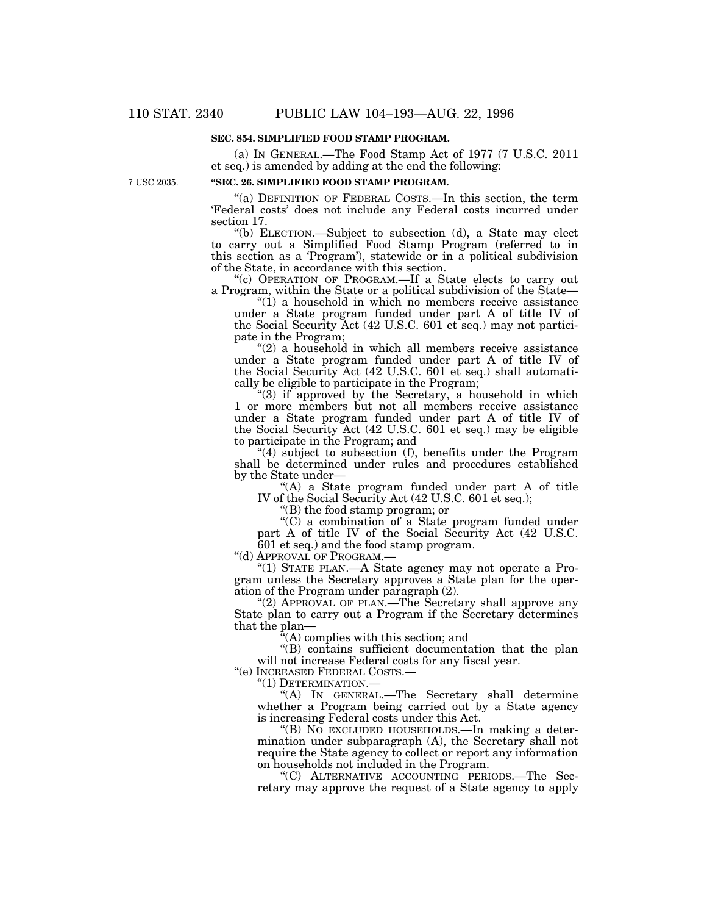# **SEC. 854. SIMPLIFIED FOOD STAMP PROGRAM.**

(a) IN GENERAL.—The Food Stamp Act of 1977 (7 U.S.C. 2011 et seq.) is amended by adding at the end the following:

7 USC 2035.

# **''SEC. 26. SIMPLIFIED FOOD STAMP PROGRAM.**

''(a) DEFINITION OF FEDERAL COSTS.—In this section, the term 'Federal costs' does not include any Federal costs incurred under section 17.

''(b) ELECTION.—Subject to subsection (d), a State may elect to carry out a Simplified Food Stamp Program (referred to in this section as a 'Program'), statewide or in a political subdivision of the State, in accordance with this section.

"(c) OPERATION OF PROGRAM.—If a State elects to carry out a Program, within the State or a political subdivision of the State—

 $"(1)$  a household in which no members receive assistance under a State program funded under part A of title IV of the Social Security Act (42 U.S.C. 601 et seq.) may not participate in the Program;

"(2) a household in which all members receive assistance under a State program funded under part A of title IV of the Social Security Act (42 U.S.C. 601 et seq.) shall automatically be eligible to participate in the Program;

"(3) if approved by the Secretary, a household in which 1 or more members but not all members receive assistance under a State program funded under part A of title IV of the Social Security Act (42 U.S.C. 601 et seq.) may be eligible to participate in the Program; and

"(4) subject to subsection (f), benefits under the Program shall be determined under rules and procedures established by the State under—

''(A) a State program funded under part A of title IV of the Social Security Act (42 U.S.C. 601 et seq.);

''(B) the food stamp program; or

''(C) a combination of a State program funded under part A of title IV of the Social Security Act (42 U.S.C. 601 et seq.) and the food stamp program.

''(d) APPROVAL OF PROGRAM.—

''(1) STATE PLAN.—A State agency may not operate a Program unless the Secretary approves a State plan for the operation of the Program under paragraph (2).

"(2) APPROVAL OF PLAN.—The Secretary shall approve any State plan to carry out a Program if the Secretary determines that the plan—

 $\mathbf{H}^{\alpha}$ (A) complies with this section; and

''(B) contains sufficient documentation that the plan will not increase Federal costs for any fiscal year.

''(e) INCREASED FEDERAL COSTS.—

''(1) DETERMINATION.—

''(A) IN GENERAL.—The Secretary shall determine whether a Program being carried out by a State agency is increasing Federal costs under this Act.

"(B) NO EXCLUDED HOUSEHOLDS.—In making a determination under subparagraph (A), the Secretary shall not require the State agency to collect or report any information on households not included in the Program.

''(C) ALTERNATIVE ACCOUNTING PERIODS.—The Secretary may approve the request of a State agency to apply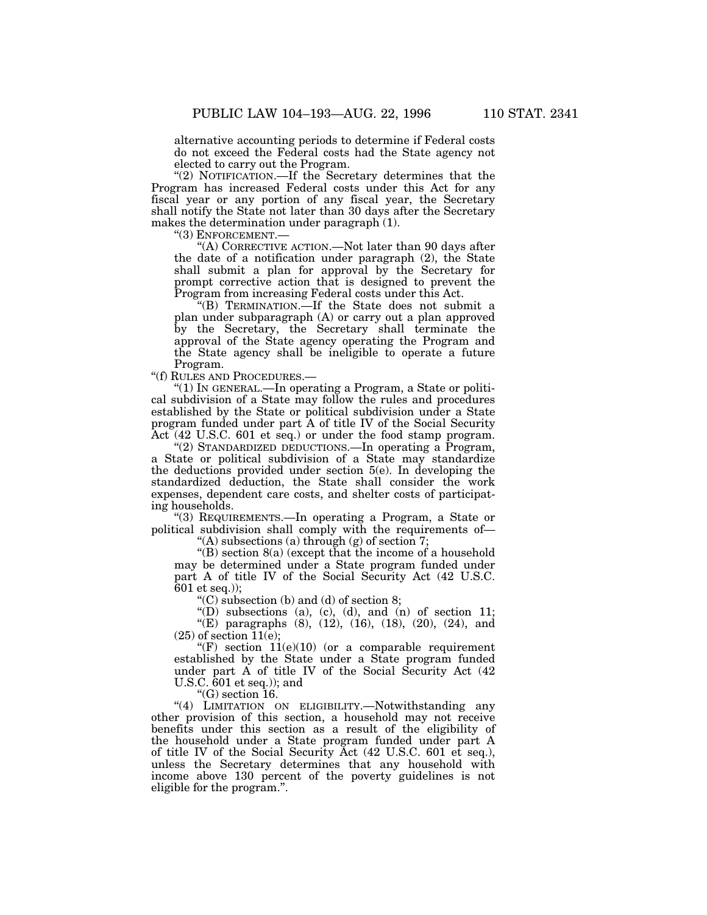alternative accounting periods to determine if Federal costs do not exceed the Federal costs had the State agency not elected to carry out the Program.

"(2) NOTIFICATION.—If the Secretary determines that the Program has increased Federal costs under this Act for any fiscal year or any portion of any fiscal year, the Secretary shall notify the State not later than 30 days after the Secretary makes the determination under paragraph (1).

''(3) ENFORCEMENT.—

''(A) CORRECTIVE ACTION.—Not later than 90 days after the date of a notification under paragraph (2), the State shall submit a plan for approval by the Secretary for prompt corrective action that is designed to prevent the Program from increasing Federal costs under this Act.

''(B) TERMINATION.—If the State does not submit a plan under subparagraph (A) or carry out a plan approved by the Secretary, the Secretary shall terminate the approval of the State agency operating the Program and the State agency shall be ineligible to operate a future Program.

''(f) RULES AND PROCEDURES.—

''(1) IN GENERAL.—In operating a Program, a State or political subdivision of a State may follow the rules and procedures established by the State or political subdivision under a State program funded under part A of title IV of the Social Security Act (42 U.S.C. 601 et seq.) or under the food stamp program.

"(2) STANDARDIZED DEDUCTIONS.—In operating a Program, a State or political subdivision of a State may standardize the deductions provided under section 5(e). In developing the standardized deduction, the State shall consider the work expenses, dependent care costs, and shelter costs of participating households.

''(3) REQUIREMENTS.—In operating a Program, a State or political subdivision shall comply with the requirements of—

"(A) subsections (a) through (g) of section 7;

''(B) section 8(a) (except that the income of a household may be determined under a State program funded under part A of title IV of the Social Security Act (42 U.S.C. 601 et seq.));

"(C) subsection (b) and (d) of section 8;

"(D) subsections (a), (c), (d), and (n) of section  $11$ ; "(E) paragraphs (8), (12), (16), (18), (20), (24), and

 $(25)$  of section  $11(e)$ ;

"(F) section  $11(e)(10)$  (or a comparable requirement established by the State under a State program funded under part A of title IV of the Social Security Act (42 U.S.C. 601 et seq.)); and

 $(C)$  section 16.

"(4) LIMITATION ON ELIGIBILITY.-Notwithstanding any other provision of this section, a household may not receive benefits under this section as a result of the eligibility of the household under a State program funded under part A of title IV of the Social Security Act (42 U.S.C. 601 et seq.), unless the Secretary determines that any household with income above 130 percent of the poverty guidelines is not eligible for the program.''.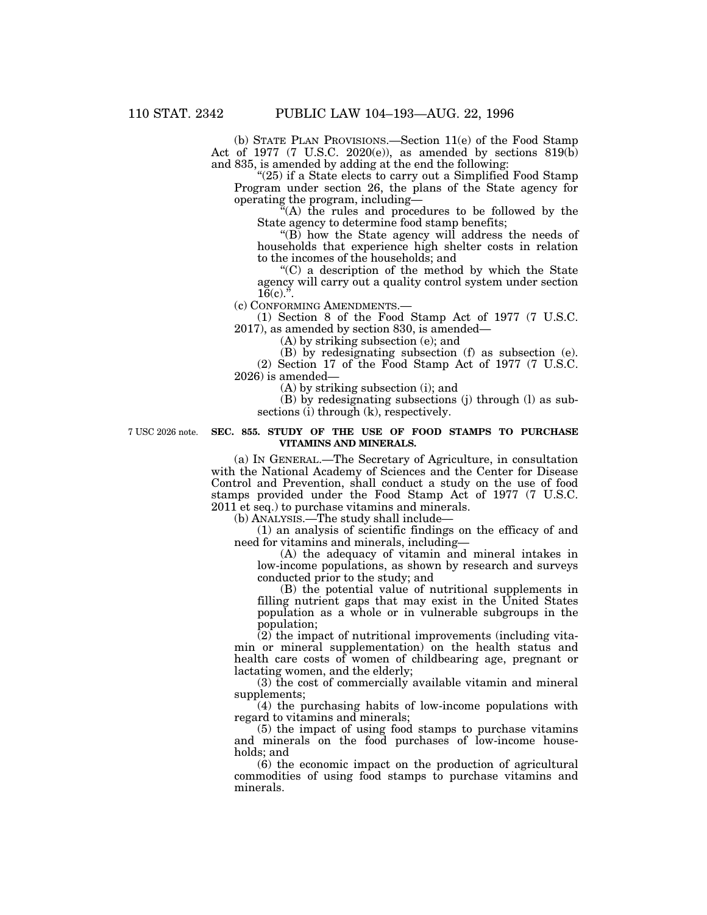(b) STATE PLAN PROVISIONS.—Section 11(e) of the Food Stamp Act of 1977 (7 U.S.C. 2020(e)), as amended by sections 819(b) and 835, is amended by adding at the end the following:

"(25) if a State elects to carry out a Simplified Food Stamp Program under section 26, the plans of the State agency for operating the program, including—

"(A) the rules and procedures to be followed by the State agency to determine food stamp benefits;

" $(B)$  how the State agency will address the needs of households that experience high shelter costs in relation to the incomes of the households; and

 $(C)$  a description of the method by which the State agency will carry out a quality control system under section  $16(c)$ .".

(c) CONFORMING AMENDMENTS.—

(1) Section 8 of the Food Stamp Act of 1977 (7 U.S.C. 2017), as amended by section 830, is amended—

(A) by striking subsection (e); and

(B) by redesignating subsection (f) as subsection (e). (2) Section 17 of the Food Stamp Act of 1977 (7 U.S.C. 2026) is amended—

(A) by striking subsection (i); and

(B) by redesignating subsections (j) through (l) as subsections (i) through (k), respectively.

7 USC 2026 note.

# **SEC. 855. STUDY OF THE USE OF FOOD STAMPS TO PURCHASE VITAMINS AND MINERALS.**

(a) IN GENERAL.—The Secretary of Agriculture, in consultation with the National Academy of Sciences and the Center for Disease Control and Prevention, shall conduct a study on the use of food stamps provided under the Food Stamp Act of 1977 (7 U.S.C. 2011 et seq.) to purchase vitamins and minerals.

(b) ANALYSIS.—The study shall include—

(1) an analysis of scientific findings on the efficacy of and need for vitamins and minerals, including—

(A) the adequacy of vitamin and mineral intakes in low-income populations, as shown by research and surveys conducted prior to the study; and

(B) the potential value of nutritional supplements in filling nutrient gaps that may exist in the United States population as a whole or in vulnerable subgroups in the population;

 $(2)$  the impact of nutritional improvements (including vitamin or mineral supplementation) on the health status and health care costs of women of childbearing age, pregnant or lactating women, and the elderly;

(3) the cost of commercially available vitamin and mineral supplements;

(4) the purchasing habits of low-income populations with regard to vitamins and minerals;

(5) the impact of using food stamps to purchase vitamins and minerals on the food purchases of low-income households; and

(6) the economic impact on the production of agricultural commodities of using food stamps to purchase vitamins and minerals.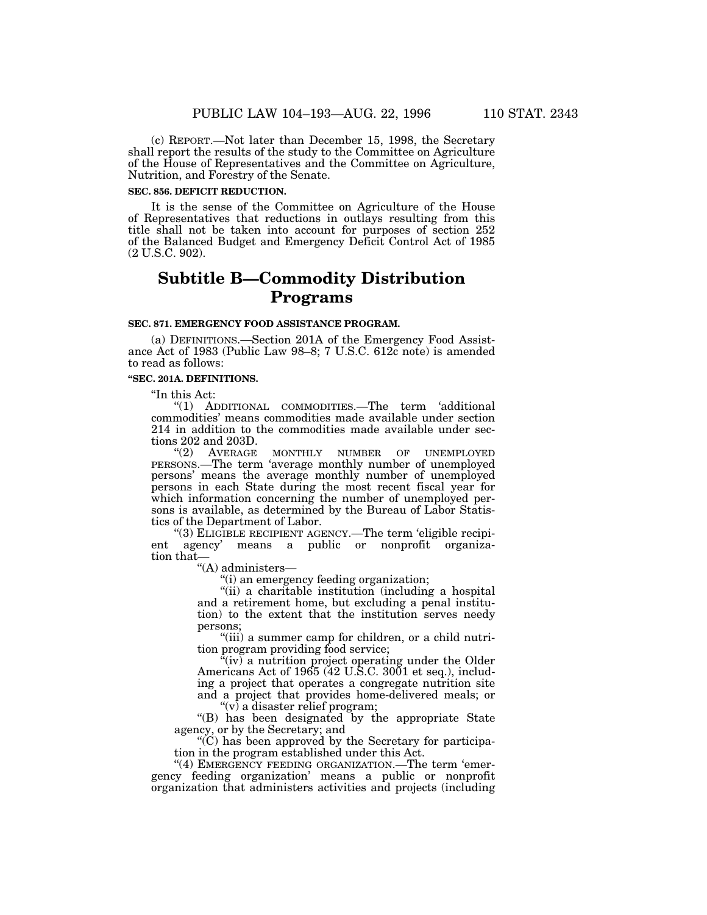(c) REPORT.—Not later than December 15, 1998, the Secretary shall report the results of the study to the Committee on Agriculture of the House of Representatives and the Committee on Agriculture, Nutrition, and Forestry of the Senate.

# **SEC. 856. DEFICIT REDUCTION.**

It is the sense of the Committee on Agriculture of the House of Representatives that reductions in outlays resulting from this title shall not be taken into account for purposes of section 252 of the Balanced Budget and Emergency Deficit Control Act of 1985 (2 U.S.C. 902).

# **Subtitle B—Commodity Distribution Programs**

# **SEC. 871. EMERGENCY FOOD ASSISTANCE PROGRAM.**

(a) DEFINITIONS.—Section 201A of the Emergency Food Assistance Act of 1983 (Public Law 98–8; 7 U.S.C. 612c note) is amended to read as follows:

# **''SEC. 201A. DEFINITIONS.**

''In this Act:

''(1) ADDITIONAL COMMODITIES.—The term 'additional commodities' means commodities made available under section 214 in addition to the commodities made available under sections 202 and 203D.

"(2) AVERAGE MONTHLY NUMBER OF UNEMPLOYED PERSONS.—The term 'average monthly number of unemployed persons' means the average monthly number of unemployed persons in each State during the most recent fiscal year for which information concerning the number of unemployed persons is available, as determined by the Bureau of Labor Statistics of the Department of Labor.

''(3) ELIGIBLE RECIPIENT AGENCY.—The term 'eligible recipient agency' means a public or nonprofit organization that-

''(A) administers—

(i) an emergency feeding organization;

"(ii) a charitable institution (including a hospital and a retirement home, but excluding a penal institution) to the extent that the institution serves needy persons;

"(iii) a summer camp for children, or a child nutrition program providing food service;

 $\sqrt[n]{\mathbf{i}}$  a nutrition project operating under the Older Americans Act of 1965 (42 U.S.C. 3001 et seq.), including a project that operates a congregate nutrition site and a project that provides home-delivered meals; or  $(v)$  a disaster relief program;

''(B) has been designated by the appropriate State agency, or by the Secretary; and

''(C) has been approved by the Secretary for participation in the program established under this Act.

"(4) EMERGENCY FEEDING ORGANIZATION.—The term 'emergency feeding organization' means a public or nonprofit organization that administers activities and projects (including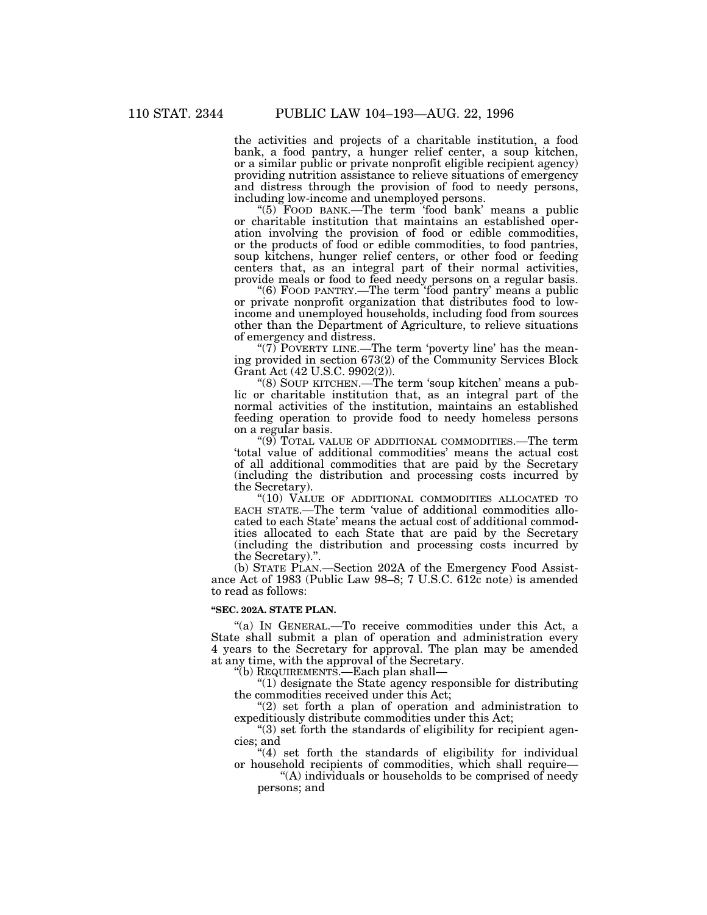the activities and projects of a charitable institution, a food bank, a food pantry, a hunger relief center, a soup kitchen, or a similar public or private nonprofit eligible recipient agency) providing nutrition assistance to relieve situations of emergency and distress through the provision of food to needy persons, including low-income and unemployed persons.

''(5) FOOD BANK.—The term 'food bank' means a public or charitable institution that maintains an established operation involving the provision of food or edible commodities, or the products of food or edible commodities, to food pantries, soup kitchens, hunger relief centers, or other food or feeding centers that, as an integral part of their normal activities, provide meals or food to feed needy persons on a regular basis.

''(6) FOOD PANTRY.—The term 'food pantry' means a public or private nonprofit organization that distributes food to lowincome and unemployed households, including food from sources other than the Department of Agriculture, to relieve situations of emergency and distress.

"(7) POVERTY LINE.—The term 'poverty line' has the meaning provided in section 673(2) of the Community Services Block Grant Act (42 U.S.C. 9902(2)).

"(8) SOUP KITCHEN.—The term 'soup kitchen' means a public or charitable institution that, as an integral part of the normal activities of the institution, maintains an established feeding operation to provide food to needy homeless persons on a regular basis.

''(9) TOTAL VALUE OF ADDITIONAL COMMODITIES.—The term 'total value of additional commodities' means the actual cost of all additional commodities that are paid by the Secretary (including the distribution and processing costs incurred by the Secretary).

"(10) VALUE OF ADDITIONAL COMMODITIES ALLOCATED TO EACH STATE.—The term 'value of additional commodities allocated to each State' means the actual cost of additional commodities allocated to each State that are paid by the Secretary (including the distribution and processing costs incurred by the Secretary).''.

(b) STATE PLAN.—Section 202A of the Emergency Food Assistance Act of 1983 (Public Law 98–8; 7 U.S.C. 612c note) is amended to read as follows:

## **''SEC. 202A. STATE PLAN.**

"(a) IN GENERAL.—To receive commodities under this Act, a State shall submit a plan of operation and administration every 4 years to the Secretary for approval. The plan may be amended at any time, with the approval of the Secretary.

''(b) REQUIREMENTS.—Each plan shall—

 $(1)$  designate the State agency responsible for distributing the commodities received under this Act;

 $(2)$  set forth a plan of operation and administration to expeditiously distribute commodities under this Act;

"(3) set forth the standards of eligibility for recipient agencies; and

 $(4)$  set forth the standards of eligibility for individual or household recipients of commodities, which shall require—

''(A) individuals or households to be comprised of needy persons; and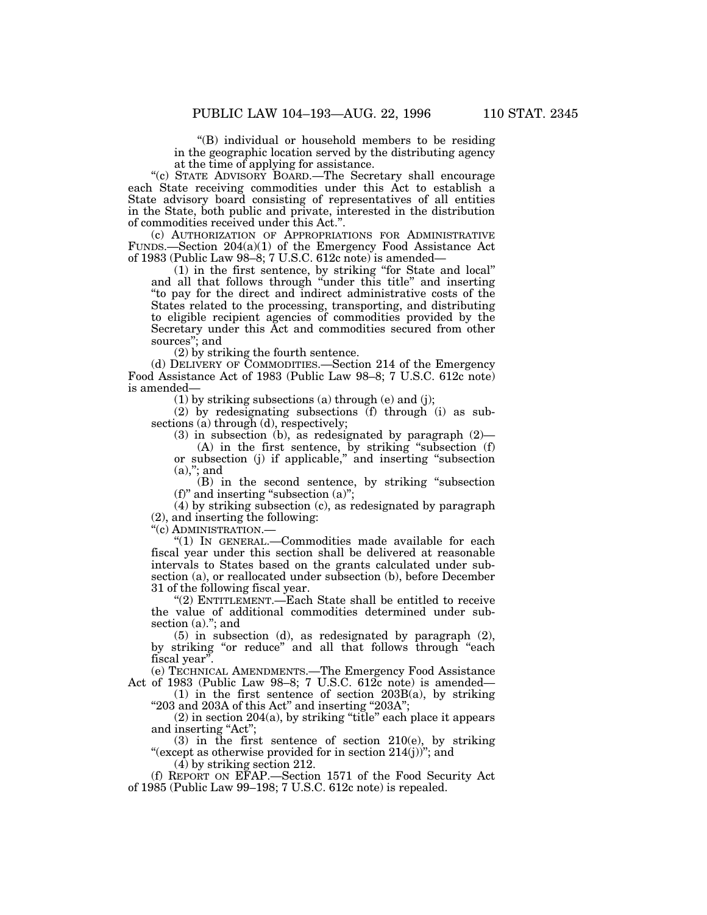''(B) individual or household members to be residing in the geographic location served by the distributing agency at the time of applying for assistance.

"(c) STATE ADVISORY BOARD.—The Secretary shall encourage each State receiving commodities under this Act to establish a State advisory board consisting of representatives of all entities in the State, both public and private, interested in the distribution of commodities received under this Act.''.

(c) AUTHORIZATION OF APPROPRIATIONS FOR ADMINISTRATIVE FUNDS.—Section 204(a)(1) of the Emergency Food Assistance Act of 1983 (Public Law 98–8; 7 U.S.C. 612c note) is amended—

(1) in the first sentence, by striking ''for State and local'' and all that follows through ''under this title'' and inserting ''to pay for the direct and indirect administrative costs of the States related to the processing, transporting, and distributing to eligible recipient agencies of commodities provided by the Secretary under this Act and commodities secured from other sources''; and

(2) by striking the fourth sentence.

(d) DELIVERY OF COMMODITIES.—Section 214 of the Emergency Food Assistance Act of 1983 (Public Law 98–8; 7 U.S.C. 612c note) is amended—

(1) by striking subsections (a) through (e) and (j);

(2) by redesignating subsections (f) through (i) as subsections (a) through (d), respectively;

(3) in subsection (b), as redesignated by paragraph (2)—

(A) in the first sentence, by striking ''subsection (f) or subsection (j) if applicable,'' and inserting ''subsection  $(a)$ ,"; and

(B) in the second sentence, by striking ''subsection (f)" and inserting "subsection  $(a)$ ";

(4) by striking subsection (c), as redesignated by paragraph (2), and inserting the following:

"(c) ADMINISTRATION.-

''(1) IN GENERAL.—Commodities made available for each fiscal year under this section shall be delivered at reasonable intervals to States based on the grants calculated under subsection (a), or reallocated under subsection (b), before December 31 of the following fiscal year.

''(2) ENTITLEMENT.—Each State shall be entitled to receive the value of additional commodities determined under subsection (a)."; and

(5) in subsection (d), as redesignated by paragraph (2), by striking "or reduce" and all that follows through "each fiscal year''.

(e) TECHNICAL AMENDMENTS.—The Emergency Food Assistance Act of 1983 (Public Law 98–8; 7 U.S.C. 612c note) is amended—

(1) in the first sentence of section 203B(a), by striking "203 and 203A of this Act" and inserting "203A";

 $(2)$  in section 204 $(a)$ , by striking "title" each place it appears and inserting "Act";

(3) in the first sentence of section 210(e), by striking "(except as otherwise provided for in section  $214(j)$ "; and

 $(4)$  by striking section 212.

(f) REPORT ON EFAP.—Section 1571 of the Food Security Act of 1985 (Public Law 99–198; 7 U.S.C. 612c note) is repealed.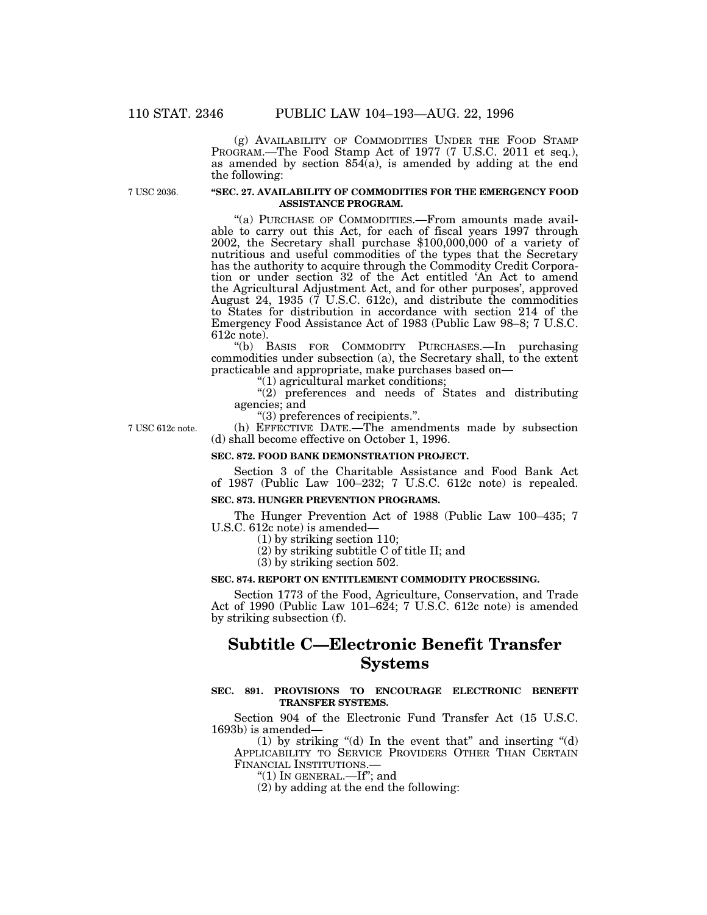(g) AVAILABILITY OF COMMODITIES UNDER THE FOOD STAMP PROGRAM.—The Food Stamp Act of 1977 (7 U.S.C. 2011 et seq.), as amended by section  $85\overline{4}$ (a), is amended by adding at the end the following:

7 USC 2036.

#### **''SEC. 27. AVAILABILITY OF COMMODITIES FOR THE EMERGENCY FOOD ASSISTANCE PROGRAM.**

"(a) PURCHASE OF COMMODITIES.—From amounts made available to carry out this Act, for each of fiscal years 1997 through 2002, the Secretary shall purchase \$100,000,000 of a variety of nutritious and useful commodities of the types that the Secretary has the authority to acquire through the Commodity Credit Corporation or under section 32 of the Act entitled 'An Act to amend the Agricultural Adjustment Act, and for other purposes', approved August 24, 1935 (7 U.S.C. 612c), and distribute the commodities to States for distribution in accordance with section 214 of the Emergency Food Assistance Act of 1983 (Public Law 98–8; 7 U.S.C. 612c note).

''(b) BASIS FOR COMMODITY PURCHASES.—In purchasing commodities under subsection (a), the Secretary shall, to the extent practicable and appropriate, make purchases based on—

''(1) agricultural market conditions;

"(2) preferences and needs of States and distributing agencies; and

(h) EFFECTIVE DATE.—The amendments made by subsection

''(3) preferences of recipients.''.

(d) shall become effective on October 1, 1996.

7 USC 612c note.

#### **SEC. 872. FOOD BANK DEMONSTRATION PROJECT.**

Section 3 of the Charitable Assistance and Food Bank Act of 1987 (Public Law 100–232; 7 U.S.C. 612c note) is repealed.

#### **SEC. 873. HUNGER PREVENTION PROGRAMS.**

The Hunger Prevention Act of 1988 (Public Law 100–435; 7 U.S.C. 612c note) is amended—

(1) by striking section 110;

(2) by striking subtitle C of title II; and

(3) by striking section 502.

### **SEC. 874. REPORT ON ENTITLEMENT COMMODITY PROCESSING.**

Section 1773 of the Food, Agriculture, Conservation, and Trade Act of 1990 (Public Law 101–624; 7 U.S.C. 612c note) is amended by striking subsection (f).

# **Subtitle C—Electronic Benefit Transfer Systems**

# **SEC. 891. PROVISIONS TO ENCOURAGE ELECTRONIC BENEFIT TRANSFER SYSTEMS.**

Section 904 of the Electronic Fund Transfer Act (15 U.S.C. 1693b) is amended—

(1) by striking "(d) In the event that" and inserting "(d) APPLICABILITY TO SERVICE PROVIDERS OTHER THAN CERTAIN FINANCIAL INSTITUTIONS.—

''(1) IN GENERAL.—If''; and

(2) by adding at the end the following: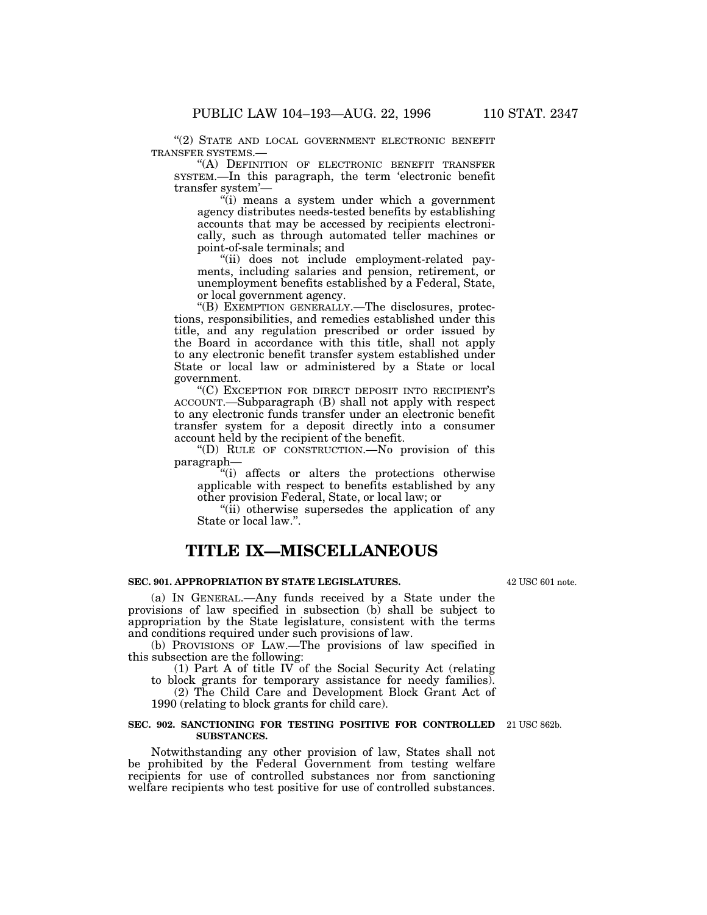"(2) STATE AND LOCAL GOVERNMENT ELECTRONIC BENEFIT TRANSFER SYSTEMS.—

"(A) DEFINITION OF ELECTRONIC BENEFIT TRANSFER SYSTEM.—In this paragraph, the term 'electronic benefit transfer system'—

''(i) means a system under which a government agency distributes needs-tested benefits by establishing accounts that may be accessed by recipients electronically, such as through automated teller machines or point-of-sale terminals; and

''(ii) does not include employment-related payments, including salaries and pension, retirement, or unemployment benefits established by a Federal, State, or local government agency.

''(B) EXEMPTION GENERALLY.—The disclosures, protections, responsibilities, and remedies established under this title, and any regulation prescribed or order issued by the Board in accordance with this title, shall not apply to any electronic benefit transfer system established under State or local law or administered by a State or local government.

''(C) EXCEPTION FOR DIRECT DEPOSIT INTO RECIPIENT'S ACCOUNT.—Subparagraph (B) shall not apply with respect to any electronic funds transfer under an electronic benefit transfer system for a deposit directly into a consumer account held by the recipient of the benefit.

''(D) RULE OF CONSTRUCTION.—No provision of this paragraph—

''(i) affects or alters the protections otherwise applicable with respect to benefits established by any other provision Federal, State, or local law; or

"(ii) otherwise supersedes the application of any State or local law.''.

# **TITLE IX—MISCELLANEOUS**

#### **SEC. 901. APPROPRIATION BY STATE LEGISLATURES.**

(a) IN GENERAL.—Any funds received by a State under the provisions of law specified in subsection (b) shall be subject to appropriation by the State legislature, consistent with the terms and conditions required under such provisions of law.

(b) PROVISIONS OF LAW.—The provisions of law specified in this subsection are the following:

(1) Part A of title IV of the Social Security Act (relating to block grants for temporary assistance for needy families).

(2) The Child Care and Development Block Grant Act of

1990 (relating to block grants for child care).

#### **SEC. 902. SANCTIONING FOR TESTING POSITIVE FOR CONTROLLED** 21 USC 862b. **SUBSTANCES.**

Notwithstanding any other provision of law, States shall not be prohibited by the Federal Government from testing welfare recipients for use of controlled substances nor from sanctioning welfare recipients who test positive for use of controlled substances.

42 USC 601 note.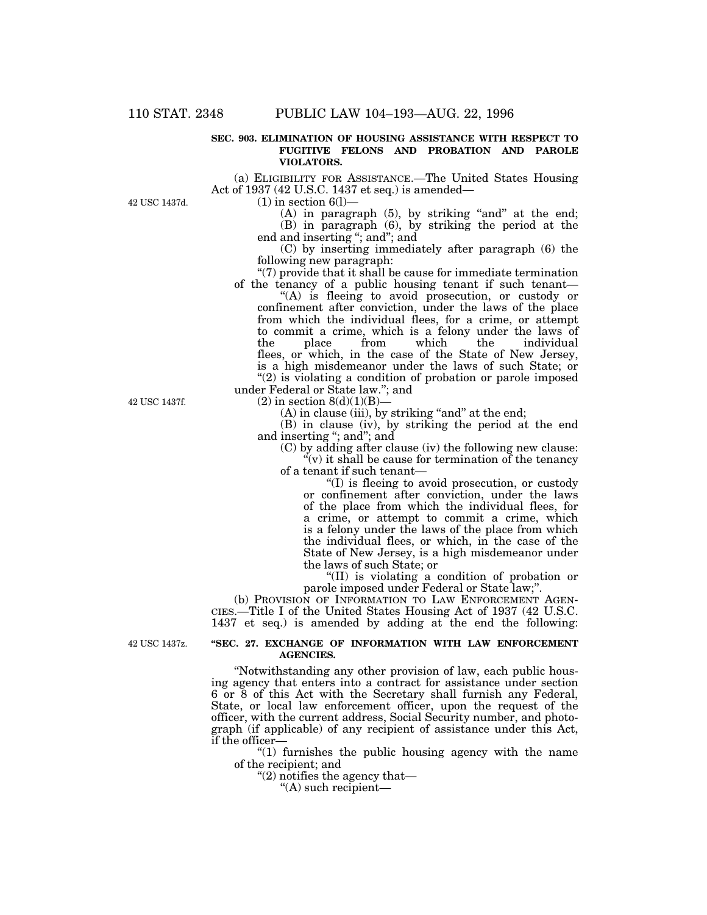# **SEC. 903. ELIMINATION OF HOUSING ASSISTANCE WITH RESPECT TO FUGITIVE FELONS AND PROBATION AND PAROLE VIOLATORS.**

(a) ELIGIBILITY FOR ASSISTANCE.—The United States Housing Act of 1937 (42 U.S.C. 1437 et seq.) is amended—

42 USC 1437d.

 $(1)$  in section  $6(1)$  $(A)$  in paragraph  $(5)$ , by striking "and" at the end; (B) in paragraph (6), by striking the period at the

end and inserting ''; and''; and (C) by inserting immediately after paragraph (6) the following new paragraph:

''(7) provide that it shall be cause for immediate termination of the tenancy of a public housing tenant if such tenant—

''(A) is fleeing to avoid prosecution, or custody or confinement after conviction, under the laws of the place from which the individual flees, for a crime, or attempt to commit a crime, which is a felony under the laws of the place from which the individual flees, or which, in the case of the State of New Jersey, is a high misdemeanor under the laws of such State; or "(2) is violating a condition of probation or parole imposed under Federal or State law.''; and

 $(2)$  in section  $8(d)(1)(B)$ 

(A) in clause (iii), by striking "and" at the end;

(B) in clause (iv), by striking the period at the end and inserting "; and"; and

(C) by adding after clause (iv) the following new clause:  $\mathcal{L}(v)$  it shall be cause for termination of the tenancy of a tenant if such tenant—

''(I) is fleeing to avoid prosecution, or custody or confinement after conviction, under the laws of the place from which the individual flees, for a crime, or attempt to commit a crime, which is a felony under the laws of the place from which the individual flees, or which, in the case of the State of New Jersey, is a high misdemeanor under the laws of such State; or

''(II) is violating a condition of probation or parole imposed under Federal or State law;''.

(b) PROVISION OF INFORMATION TO LAW ENFORCEMENT AGEN-CIES.—Title I of the United States Housing Act of 1937 (42 U.S.C. 1437 et seq.) is amended by adding at the end the following:

42 USC 1437z.

#### **''SEC. 27. EXCHANGE OF INFORMATION WITH LAW ENFORCEMENT AGENCIES.**

''Notwithstanding any other provision of law, each public housing agency that enters into a contract for assistance under section 6 or 8 of this Act with the Secretary shall furnish any Federal, State, or local law enforcement officer, upon the request of the officer, with the current address, Social Security number, and photograph (if applicable) of any recipient of assistance under this Act, if the officer—

"(1) furnishes the public housing agency with the name of the recipient; and

''(2) notifies the agency that—

''(A) such recipient—

42 USC 1437f.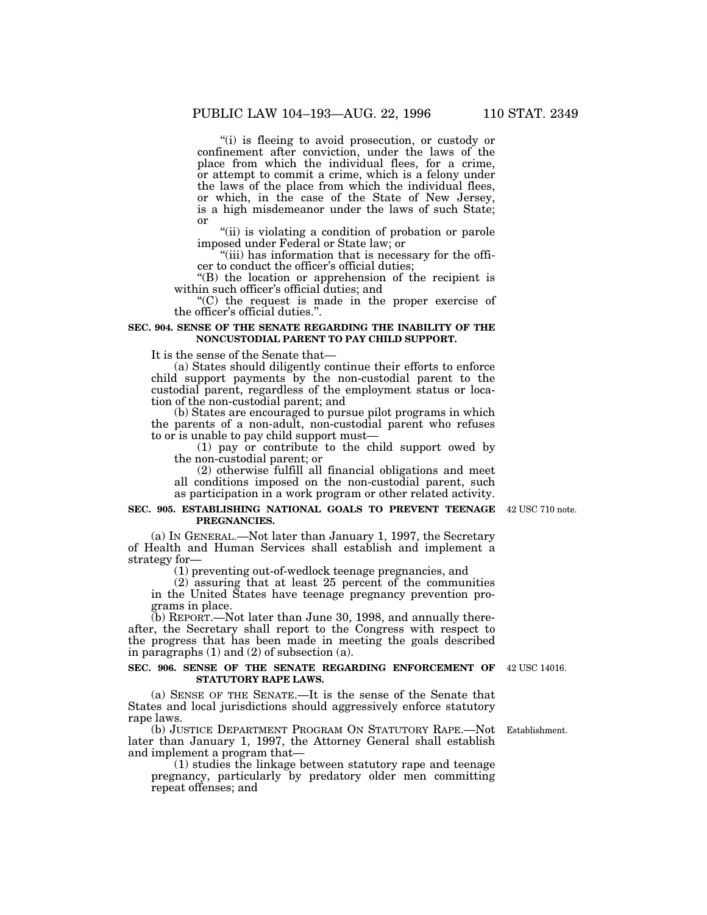''(i) is fleeing to avoid prosecution, or custody or confinement after conviction, under the laws of the place from which the individual flees, for a crime, or attempt to commit a crime, which is a felony under the laws of the place from which the individual flees, or which, in the case of the State of New Jersey, is a high misdemeanor under the laws of such State; or

"(ii) is violating a condition of probation or parole imposed under Federal or State law; or

"(iii) has information that is necessary for the officer to conduct the officer's official duties;

''(B) the location or apprehension of the recipient is within such officer's official duties; and

 $(C)$  the request is made in the proper exercise of the officer's official duties.''.

# **SEC. 904. SENSE OF THE SENATE REGARDING THE INABILITY OF THE NONCUSTODIAL PARENT TO PAY CHILD SUPPORT.**

It is the sense of the Senate that—

(a) States should diligently continue their efforts to enforce child support payments by the non-custodial parent to the custodial parent, regardless of the employment status or location of the non-custodial parent; and

(b) States are encouraged to pursue pilot programs in which the parents of a non-adult, non-custodial parent who refuses to or is unable to pay child support must—

(1) pay or contribute to the child support owed by the non-custodial parent; or

(2) otherwise fulfill all financial obligations and meet all conditions imposed on the non-custodial parent, such as participation in a work program or other related activity.

#### **SEC. 905. ESTABLISHING NATIONAL GOALS TO PREVENT TEENAGE** 42 USC 710 note.**PREGNANCIES.**

(a) IN GENERAL.—Not later than January 1, 1997, the Secretary of Health and Human Services shall establish and implement a strategy for—

(1) preventing out-of-wedlock teenage pregnancies, and

 $(2)$  assuring that at least 25 percent of the communities in the United States have teenage pregnancy prevention programs in place.

(b) REPORT.—Not later than June 30, 1998, and annually thereafter, the Secretary shall report to the Congress with respect to the progress that has been made in meeting the goals described in paragraphs (1) and (2) of subsection (a).

#### **SEC. 906. SENSE OF THE SENATE REGARDING ENFORCEMENT OF** 42 USC 14016. **STATUTORY RAPE LAWS.**

(a) SENSE OF THE SENATE.—It is the sense of the Senate that States and local jurisdictions should aggressively enforce statutory rape laws.

(b) JUSTICE DEPARTMENT PROGRAM ON STATUTORY RAPE.—Not Establishment. later than January 1, 1997, the Attorney General shall establish and implement a program that—

(1) studies the linkage between statutory rape and teenage pregnancy, particularly by predatory older men committing repeat offenses; and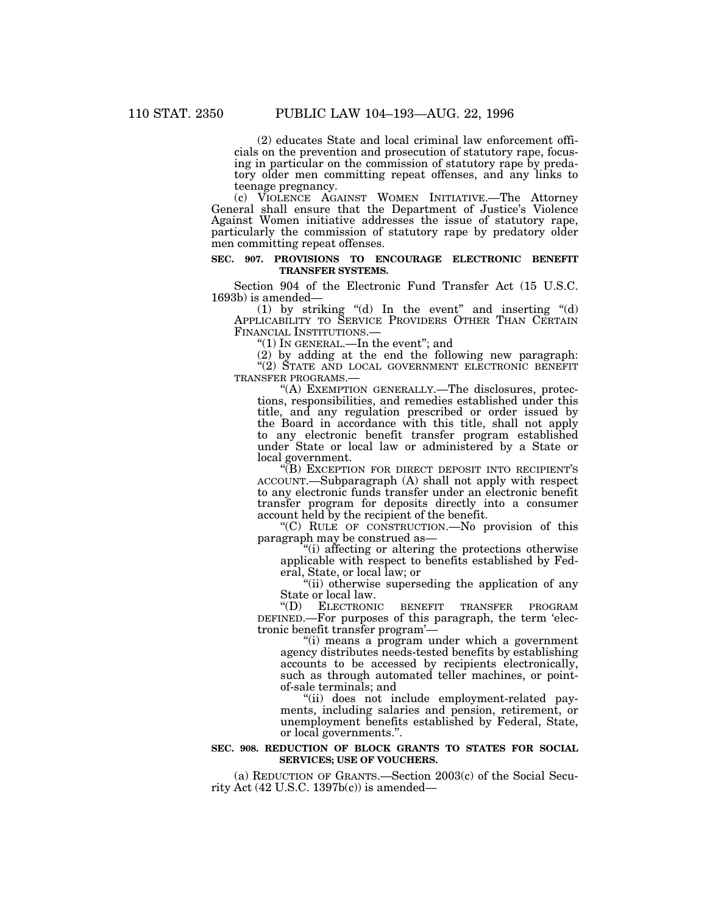(2) educates State and local criminal law enforcement officials on the prevention and prosecution of statutory rape, focusing in particular on the commission of statutory rape by predatory older men committing repeat offenses, and any links to teenage pregnancy.

(c) VIOLENCE AGAINST WOMEN INITIATIVE.—The Attorney General shall ensure that the Department of Justice's Violence Against Women initiative addresses the issue of statutory rape, particularly the commission of statutory rape by predatory older men committing repeat offenses.

# **SEC. 907. PROVISIONS TO ENCOURAGE ELECTRONIC BENEFIT TRANSFER SYSTEMS.**

Section 904 of the Electronic Fund Transfer Act (15 U.S.C. 1693b) is amended—

(1) by striking "(d) In the event" and inserting "(d) APPLICABILITY TO SERVICE PROVIDERS OTHER THAN CERTAIN FINANCIAL INSTITUTIONS.—

" $(1)$  In GENERAL.—In the event"; and

(2) by adding at the end the following new paragraph: "(2) STATE AND LOCAL GOVERNMENT ELECTRONIC BENEFIT

TRANSFER PROGRAMS.—<br>"(A) EXEMPTION GENERALLY.—The disclosures, protections, responsibilities, and remedies established under this title, and any regulation prescribed or order issued by the Board in accordance with this title, shall not apply to any electronic benefit transfer program established under State or local law or administered by a State or local government.

''(B) EXCEPTION FOR DIRECT DEPOSIT INTO RECIPIENT'S ACCOUNT.—Subparagraph (A) shall not apply with respect to any electronic funds transfer under an electronic benefit transfer program for deposits directly into a consumer account held by the recipient of the benefit.

''(C) RULE OF CONSTRUCTION.—No provision of this paragraph may be construed as—

''(i) affecting or altering the protections otherwise applicable with respect to benefits established by Federal, State, or local law; or

''(ii) otherwise superseding the application of any State or local law.<br>"(D) ELECTRONIC

BENEFIT TRANSFER PROGRAM DEFINED.—For purposes of this paragraph, the term 'electronic benefit transfer program'—

"(i) means a program under which a government agency distributes needs-tested benefits by establishing accounts to be accessed by recipients electronically, such as through automated teller machines, or pointof-sale terminals; and

''(ii) does not include employment-related payments, including salaries and pension, retirement, or unemployment benefits established by Federal, State, or local governments.''.

# **SEC. 908. REDUCTION OF BLOCK GRANTS TO STATES FOR SOCIAL SERVICES; USE OF VOUCHERS.**

(a) REDUCTION OF GRANTS.—Section 2003(c) of the Social Security Act (42 U.S.C. 1397b(c)) is amended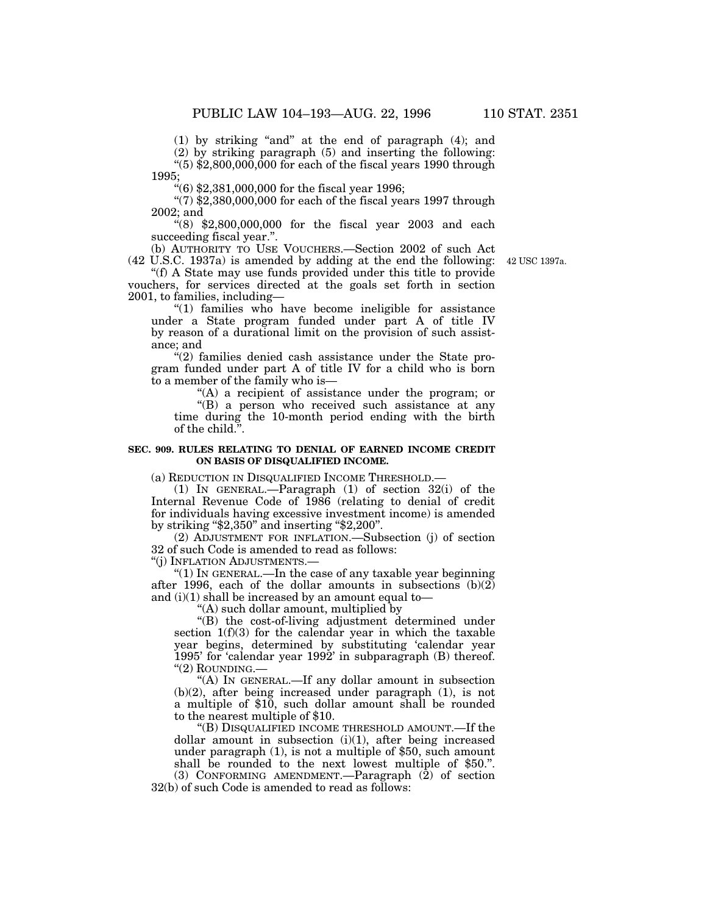(1) by striking ''and'' at the end of paragraph (4); and

(2) by striking paragraph (5) and inserting the following:

''(5) \$2,800,000,000 for each of the fiscal years 1990 through 1995;

''(6) \$2,381,000,000 for the fiscal year 1996;

" $(7)$  \$2,380,000,000 for each of the fiscal years 1997 through 2002; and

 $*(8)$  \$2,800,000,000 for the fiscal year 2003 and each succeeding fiscal year.''.

(b) AUTHORITY TO USE VOUCHERS.—Section 2002 of such Act (42 U.S.C. 1937a) is amended by adding at the end the following:

42 USC 1397a.

''(f) A State may use funds provided under this title to provide vouchers, for services directed at the goals set forth in section 2001, to families, including—

''(1) families who have become ineligible for assistance under a State program funded under part A of title IV by reason of a durational limit on the provision of such assistance; and

''(2) families denied cash assistance under the State program funded under part A of title IV for a child who is born to a member of the family who is—

''(A) a recipient of assistance under the program; or

''(B) a person who received such assistance at any time during the 10-month period ending with the birth of the child.''.

# **SEC. 909. RULES RELATING TO DENIAL OF EARNED INCOME CREDIT ON BASIS OF DISQUALIFIED INCOME.**

(a) REDUCTION IN DISQUALIFIED INCOME THRESHOLD.—

(1) IN GENERAL.—Paragraph (1) of section 32(i) of the Internal Revenue Code of 1986 (relating to denial of credit for individuals having excessive investment income) is amended by striking " $$2,350"$  and inserting " $$2,200"$ .

(2) ADJUSTMENT FOR INFLATION.—Subsection (j) of section 32 of such Code is amended to read as follows:

''(j) INFLATION ADJUSTMENTS.—

''(1) IN GENERAL.—In the case of any taxable year beginning after 1996, each of the dollar amounts in subsections (b)(2) and  $(i)(1)$  shall be increased by an amount equal to—

''(A) such dollar amount, multiplied by

''(B) the cost-of-living adjustment determined under section  $1(f)(3)$  for the calendar year in which the taxable year begins, determined by substituting 'calendar year 1995' for 'calendar year 1992' in subparagraph (B) thereof. "(2) ROUNDING.-

''(A) IN GENERAL.—If any dollar amount in subsection (b)(2), after being increased under paragraph (1), is not a multiple of \$10, such dollar amount shall be rounded to the nearest multiple of \$10.

''(B) DISQUALIFIED INCOME THRESHOLD AMOUNT.—If the dollar amount in subsection  $(i)(1)$ , after being increased under paragraph (1), is not a multiple of \$50, such amount shall be rounded to the next lowest multiple of \$50.''.

(3) CONFORMING AMENDMENT.—Paragraph  $(2)$  of section 32(b) of such Code is amended to read as follows: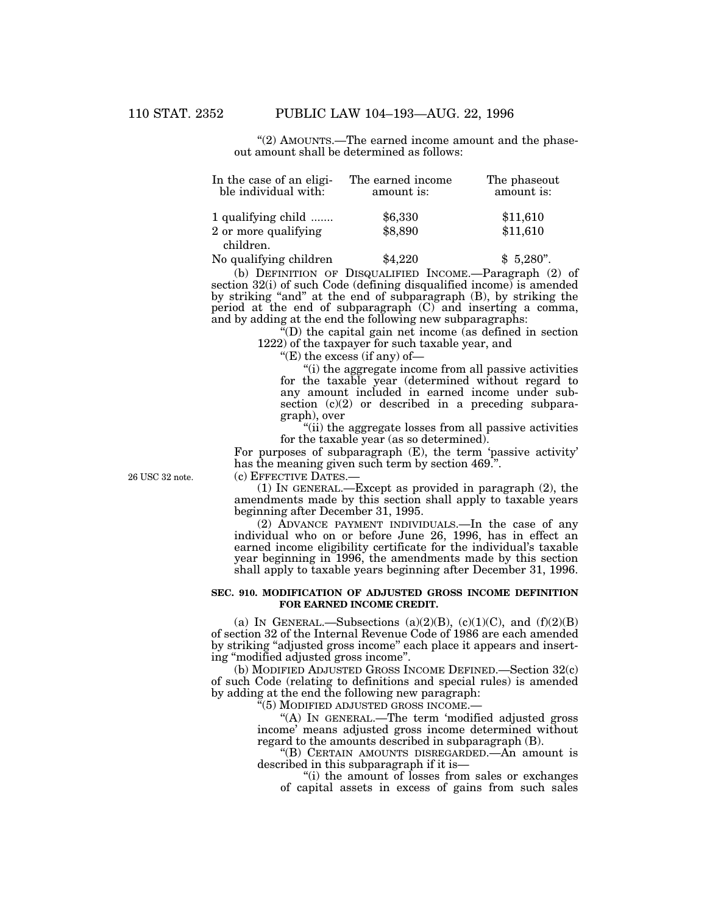"(2) AMOUNTS.—The earned income amount and the phaseout amount shall be determined as follows:

| In the case of an eligi-<br>ble individual with:        | The earned income<br>amount is: | The phaseout<br>amount is: |
|---------------------------------------------------------|---------------------------------|----------------------------|
| 1 qualifying child<br>2 or more qualifying<br>children. | \$6,330<br>\$8,890              | \$11,610<br>\$11,610       |
| No qualifying children                                  | \$4,220                         | $$5,280"$ .                |

(b) DEFINITION OF DISQUALIFIED INCOME.—Paragraph (2) of section 32(i) of such Code (defining disqualified income) is amended by striking ''and'' at the end of subparagraph (B), by striking the period at the end of subparagraph (C) and inserting a comma, and by adding at the end the following new subparagraphs:

> ''(D) the capital gain net income (as defined in section 1222) of the taxpayer for such taxable year, and

" $(E)$  the excess (if any) of-

''(i) the aggregate income from all passive activities for the taxable year (determined without regard to any amount included in earned income under subsection (c)(2) or described in a preceding subparagraph), over

''(ii) the aggregate losses from all passive activities for the taxable year (as so determined).

For purposes of subparagraph (E), the term 'passive activity' has the meaning given such term by section 469.''.

26 USC 32 note.

(c) EFFECTIVE DATES.— (1) IN GENERAL.—Except as provided in paragraph (2), the amendments made by this section shall apply to taxable years beginning after December 31, 1995.

(2) ADVANCE PAYMENT INDIVIDUALS.—In the case of any individual who on or before June 26, 1996, has in effect an earned income eligibility certificate for the individual's taxable year beginning in 1996, the amendments made by this section shall apply to taxable years beginning after December 31, 1996.

# **SEC. 910. MODIFICATION OF ADJUSTED GROSS INCOME DEFINITION FOR EARNED INCOME CREDIT.**

(a) IN GENERAL.—Subsections  $(a)(2)(B)$ ,  $(c)(1)(C)$ , and  $(f)(2)(B)$ of section 32 of the Internal Revenue Code of 1986 are each amended by striking ''adjusted gross income'' each place it appears and inserting ''modified adjusted gross income''.

(b) MODIFIED ADJUSTED GROSS INCOME DEFINED.—Section 32(c) of such Code (relating to definitions and special rules) is amended by adding at the end the following new paragraph:

''(5) MODIFIED ADJUSTED GROSS INCOME.—

''(A) IN GENERAL.—The term 'modified adjusted gross income' means adjusted gross income determined without regard to the amounts described in subparagraph (B).

''(B) CERTAIN AMOUNTS DISREGARDED.—An amount is described in this subparagraph if it is—

''(i) the amount of losses from sales or exchanges of capital assets in excess of gains from such sales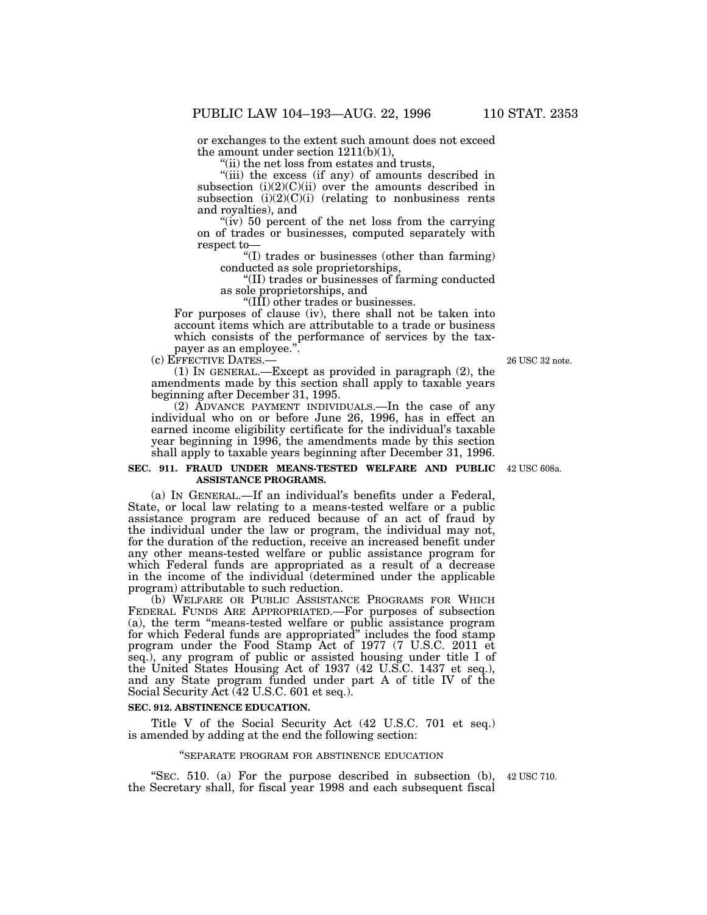or exchanges to the extent such amount does not exceed the amount under section  $1211(b)(1)$ ,

''(ii) the net loss from estates and trusts,

"(iii) the excess (if any) of amounts described in subsection  $(i)(2)(C)(ii)$  over the amounts described in subsection  $(i)(2)(C)(i)$  (relating to nonbusiness rents and royalties), and

" $(iv)$  50 percent of the net loss from the carrying on of trades or businesses, computed separately with respect to—

''(I) trades or businesses (other than farming) conducted as sole proprietorships,

''(II) trades or businesses of farming conducted as sole proprietorships, and

''(III) other trades or businesses.

For purposes of clause (iv), there shall not be taken into account items which are attributable to a trade or business which consists of the performance of services by the taxpayer as an employee.''.

(c) EFFECTIVE DATES.—

(1) IN GENERAL.—Except as provided in paragraph (2), the amendments made by this section shall apply to taxable years beginning after December 31, 1995.

(2) ADVANCE PAYMENT INDIVIDUALS.—In the case of any individual who on or before June 26, 1996, has in effect an earned income eligibility certificate for the individual's taxable year beginning in 1996, the amendments made by this section shall apply to taxable years beginning after December 31, 1996.

#### **SEC. 911. FRAUD UNDER MEANS-TESTED WELFARE AND PUBLIC** 42 USC 608a. **ASSISTANCE PROGRAMS.**

(a) IN GENERAL.—If an individual's benefits under a Federal, State, or local law relating to a means-tested welfare or a public assistance program are reduced because of an act of fraud by the individual under the law or program, the individual may not, for the duration of the reduction, receive an increased benefit under any other means-tested welfare or public assistance program for which Federal funds are appropriated as a result of a decrease in the income of the individual (determined under the applicable program) attributable to such reduction.

(b) WELFARE OR PUBLIC ASSISTANCE PROGRAMS FOR WHICH FEDERAL FUNDS ARE APPROPRIATED.—For purposes of subsection (a), the term ''means-tested welfare or public assistance program for which Federal funds are appropriated'' includes the food stamp program under the Food Stamp Act of 1977 (7 U.S.C. 2011 et seq.), any program of public or assisted housing under title I of the United States Housing Act of 1937 (42 U.S.C. 1437 et seq.), and any State program funded under part A of title IV of the Social Security Act (42 U.S.C. 601 et seq.).

#### **SEC. 912. ABSTINENCE EDUCATION.**

Title V of the Social Security Act (42 U.S.C. 701 et seq.) is amended by adding at the end the following section:

#### ''SEPARATE PROGRAM FOR ABSTINENCE EDUCATION

''SEC. 510. (a) For the purpose described in subsection (b), 42 USC 710. the Secretary shall, for fiscal year 1998 and each subsequent fiscal

26 USC 32 note.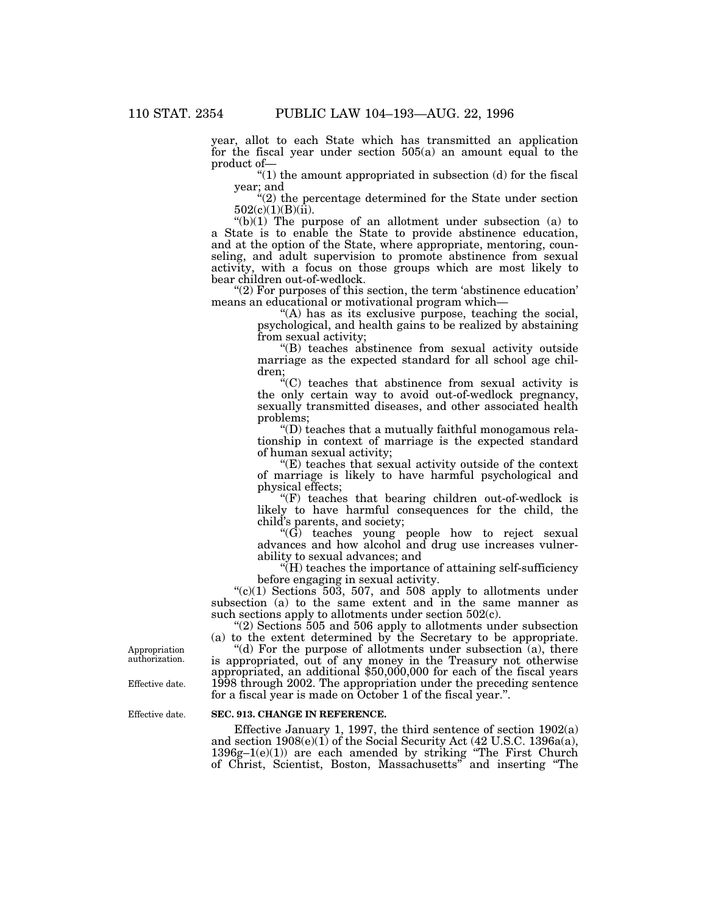year, allot to each State which has transmitted an application for the fiscal year under section 505(a) an amount equal to the product of—

 $(1)$  the amount appropriated in subsection (d) for the fiscal year; and

"(2) the percentage determined for the State under section  $502(c)(1)(B)(ii).$ 

" $(b)(1)$  The purpose of an allotment under subsection (a) to a State is to enable the State to provide abstinence education, and at the option of the State, where appropriate, mentoring, counseling, and adult supervision to promote abstinence from sexual activity, with a focus on those groups which are most likely to bear children out-of-wedlock.

 $"(2)$  For purposes of this section, the term 'abstinence education' means an educational or motivational program which—

"(A) has as its exclusive purpose, teaching the social, psychological, and health gains to be realized by abstaining from sexual activity;

''(B) teaches abstinence from sexual activity outside marriage as the expected standard for all school age children;

 $C^{\prime}(C)$  teaches that abstinence from sexual activity is the only certain way to avoid out-of-wedlock pregnancy, sexually transmitted diseases, and other associated health problems;

''(D) teaches that a mutually faithful monogamous relationship in context of marriage is the expected standard of human sexual activity;

''(E) teaches that sexual activity outside of the context of marriage is likely to have harmful psychological and physical effects;

 $(F)$  teaches that bearing children out-of-wedlock is likely to have harmful consequences for the child, the child's parents, and society;

''(G) teaches young people how to reject sexual advances and how alcohol and drug use increases vulnerability to sexual advances; and

''(H) teaches the importance of attaining self-sufficiency before engaging in sexual activity.

" $(c)(1)$  Sections 503, 507, and 508 apply to allotments under subsection (a) to the same extent and in the same manner as such sections apply to allotments under section 502(c).

" $(2)$  Sections 505 and 506 apply to allotments under subsection (a) to the extent determined by the Secretary to be appropriate.

"(d) For the purpose of allotments under subsection  $(a)$ , there is appropriated, out of any money in the Treasury not otherwise appropriated, an additional \$50,000,000 for each of the fiscal years 1998 through 2002. The appropriation under the preceding sentence for a fiscal year is made on October 1 of the fiscal year.''.

#### **SEC. 913. CHANGE IN REFERENCE.**

Effective January 1, 1997, the third sentence of section 1902(a) and section 1908(e)(1) of the Social Security Act (42 U.S.C. 1396a(a), 1396g–1(e)(1)) are each amended by striking "The First Church of Christ, Scientist, Boston, Massachusetts'' and inserting ''The

Appropriation authorization.

Effective date.

Effective date.